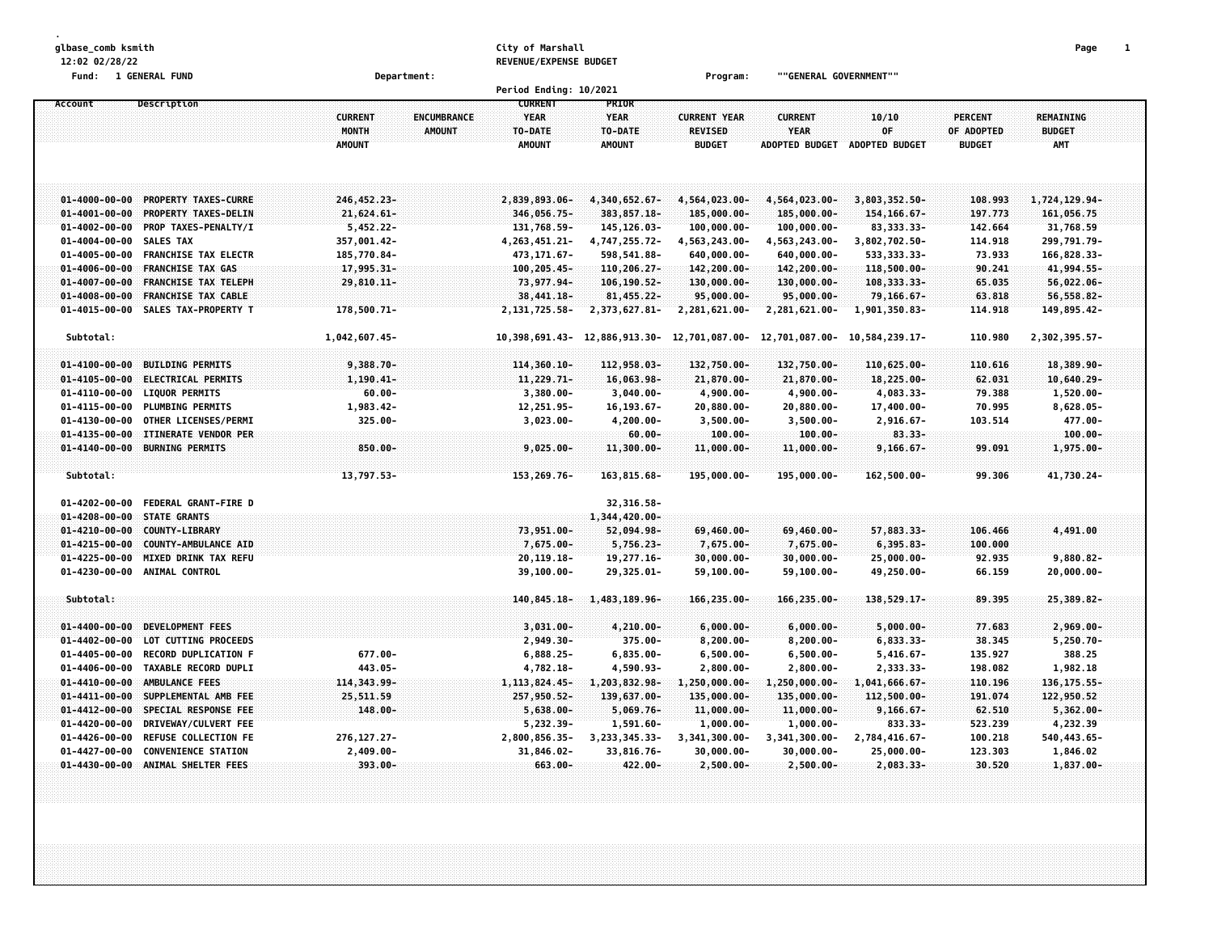| glbase_comb ksmith<br>12:02 02/28/22           |                                             |                                          |                                     | City of Marshall<br>REVENUE/EXPENSE BUDGET |                                         |                                                        |                                                        |                               |                                               | Page                                     | $\mathbf{1}$ |
|------------------------------------------------|---------------------------------------------|------------------------------------------|-------------------------------------|--------------------------------------------|-----------------------------------------|--------------------------------------------------------|--------------------------------------------------------|-------------------------------|-----------------------------------------------|------------------------------------------|--------------|
| Fund: 1 GENERAL FUND                           |                                             |                                          | Department:                         |                                            |                                         | Program:                                               | ""GENERAL GOVERNMENT""                                 |                               |                                               |                                          |              |
| Account                                        | Description                                 |                                          |                                     | Period Ending: 10/2021<br><b>CURRENT</b>   | PRIOR                                   |                                                        |                                                        |                               |                                               |                                          |              |
|                                                |                                             | <b>CURRENT</b><br>MONTH<br><b>AMOUNT</b> | <b>ENCUMBRANCE</b><br><b>AMOUNT</b> | <b>YEAR</b><br>TO-DATE<br><b>AMOUNT</b>    | <b>YEAR</b><br>TO-DATE<br><b>AMOUNT</b> | <b>CURRENT YEAR</b><br><b>REVISED</b><br><b>BUDGET</b> | <b>CURRENT</b><br><b>YEAR</b><br><b>ADOPTED BUDGET</b> | 10/10<br>0F<br>ADOPTED BUDGET | <b>PERCENT</b><br>OF ADOPTED<br><b>BUDGET</b> | REMAINING<br><b>BUDGET</b><br><b>AMT</b> |              |
| $01 - 4000 - 00 - 00$                          | <b>PROPERTY TAXES-CURRE</b>                 | 246,452.23-                              |                                     | 2,839,893.06-                              | 4,340,652.67-                           | 4,564,023.00-                                          | 4,564,023.00-                                          | 3,803,352.50-                 | 108.993                                       | 1,724,129.94-                            |              |
| $01 - 4001 - 00 - 00$                          | PROPERTY TAXES-DELIN                        | 21,624.61-                               |                                     | 346,056.75-                                | 383, 857.18-                            | 185,000.00-                                            | 185,000.00-                                            | 154, 166.67-                  | 197.773                                       | 161,056.75                               |              |
| $01 - 4002 - 00 - 00$                          | PROP TAXES-PENALTY/I                        | $5,452.22 -$                             |                                     | 131,768.59-                                | 145, 126.03-                            | 100,000.00-                                            | 100,000.00-                                            | 83, 333. 33-                  | 142.664                                       | 31,768.59                                |              |
| $01 - 4004 - 00 - 00$                          | <b>SALES TAX</b>                            | 357,001.42-                              |                                     | 4, 263, 451. 21-                           | 4,747,255.72-                           | 4,563,243.00-                                          | 4,563,243.00-                                          | 3,802,702.50-                 | 114.918                                       | 299,791.79-                              |              |
| $01 - 4005 - 00 - 00$                          | <b>FRANCHISE TAX ELECTR</b>                 | 185,770.84-                              |                                     | 473, 171.67-                               | 598,541.88-                             | 640,000.00-                                            | 640,000.00-                                            | 533, 333. 33-                 | 73.933                                        | 166,828.33-                              |              |
| $01 - 4006 - 00 - 00$                          | <b>FRANCHISE TAX GAS</b>                    | 17,995.31-                               |                                     | 100,205.45-                                | 110,206.27-                             | 142,200.00-                                            | 142,200.00-                                            | 118,500.00-                   | 90.241                                        | 41,994.55-                               |              |
| $01 - 4007 - 00 - 00$                          | FRANCHISE TAX TELEPH                        | 29,810.11-                               |                                     | 73,977.94-                                 | 106, 190.52-                            | $130,000.00 -$                                         | $130,000.00 -$                                         | 108,333.33-                   | 65.035                                        | 56,022.06-                               |              |
| $01 - 4008 - 00 - 00$                          | <b>FRANCHISE TAX CABLE</b>                  |                                          |                                     | 38,441.18-                                 | 81,455.22-                              | 95,000.00-                                             | 95,000.00-                                             | 79,166.67-                    | 63.818                                        | 56,558.82-                               |              |
| $01 - 4015 - 00 - 00$                          | SALES TAX-PROPERTY T                        | 178,500.71-                              |                                     | 2,131,725.58-                              | 2,373,627.81-                           | 2,281,621.00-                                          | 2,281,621.00-                                          | 1,901,350.83-                 | 114.918                                       | 149,895.42-                              |              |
| Subtotal:                                      |                                             | 1,042,607.45-                            |                                     | 10,398,691.43-                             | 12,886,913.30-                          | 12,701,087.00-                                         | 12,701,087.00-                                         | 10,584,239.17-                | 110.980                                       | 2,302,395.57-                            |              |
|                                                |                                             |                                          |                                     |                                            |                                         |                                                        |                                                        |                               |                                               |                                          |              |
| $01 - 4100 - 00 - 00$                          | <b>BUILDING PERMITS</b>                     | $9,388.70 -$                             |                                     | 114,360.10-                                | 112,958.03-                             | 132,750.00-                                            | 132,750.00-                                            | 110,625.00-                   | 110.616                                       | 18,389.90-                               |              |
| $01 - 4105 - 00 - 00$<br>$01 - 4110 - 00 - 00$ | ELECTRICAL PERMITS<br><b>LIQUOR PERMITS</b> | 1,190.41-<br>$60.00 -$                   |                                     | 11,229.71-<br>3,380.00-                    | 16,063.98-<br>$3,040.00 -$              | 21,870.00-<br>4,900.00-                                | 21,870.00-<br>4,900.00-                                | 18,225.00-<br>4,083.33-       | 62.031<br>79.388                              | $10,640.29 -$<br>1,520.00-               |              |
| $01 - 4115 - 00 - 00$                          | <b>PLUMBING PERMITS</b>                     | 1,983.42-                                |                                     | 12,251.95-                                 | 16, 193.67-                             | 20,880.00-                                             | 20,880.00-                                             | 17,400.00-                    | 70.995                                        | $8,628.05 -$                             |              |
| $01 - 4130 - 00 - 00$                          | OTHER LICENSES/PERMI                        | 325.00-                                  |                                     | $3,023.00 -$                               | $4, 200.00 -$                           | $3,500.00 -$                                           | $3,500.00 -$                                           | 2,916.67-                     | 103.514                                       | 477.00-                                  |              |
| $01 - 4135 - 00 - 00$                          | ITINERATE VENDOR PER                        |                                          |                                     |                                            | $60.00 -$                               | $100.00 -$                                             | $100.00 -$                                             | $83.33 -$                     |                                               | $100.00 -$                               |              |
| $01 - 4140 - 00 - 00$                          | <b>BURNING PERMITS</b>                      | $850.00 -$                               |                                     | $9,025.00 -$                               | 11,300.00-                              | 11,000.00-                                             | 11,000.00-                                             | $9,166.67 -$                  | 99.091                                        | 1,975.00-                                |              |
|                                                |                                             |                                          |                                     |                                            |                                         |                                                        |                                                        |                               |                                               |                                          |              |
| Subtotal:                                      |                                             | 13,797.53-                               |                                     | 153,269.76-                                | 163,815.68-                             | 195,000.00-                                            | 195,000.00-                                            | 162,500.00-                   | 99.306                                        | 41,730.24-                               |              |
| $01 - 4202 - 00 - 00$                          | FEDERAL GRANT-FIRE D                        |                                          |                                     |                                            | 32, 316.58-                             |                                                        |                                                        |                               |                                               |                                          |              |
| $01 - 4208 - 00 - 00$                          | STATE GRANTS                                |                                          |                                     |                                            | 1,344,420.00-                           |                                                        |                                                        |                               |                                               |                                          |              |
| $01 - 4210 - 00 - 00$                          | COUNTY-LIBRARY                              |                                          |                                     | 73,951.00-                                 | 52,094.98-                              | 69,460.00-                                             | 69,460.00-                                             | 57,883.33-                    | 106.466                                       | 4,491.00                                 |              |
| $01 - 4215 - 00 - 00$                          | COUNTY-AMBULANCE AID                        |                                          |                                     | 7,675.00-                                  | 5,756.23-                               | 7,675.00-                                              | 7,675.00-                                              | $6,395.83-$                   | 100.000                                       |                                          |              |
| $01 - 4225 - 00 - 00$                          | <b>MIXED DRINK TAX REFU</b>                 |                                          |                                     | 20,119.18-                                 | 19,277.16-                              | $30,000.00 -$                                          | $30,000.00 -$                                          | 25,000.00-                    | 92.935                                        | $9,880.82 -$                             |              |
| $01 - 4230 - 00 - 00$                          | ANIMAL CONTROL                              |                                          |                                     | 39,100.00-                                 | 29,325.01-                              | 59,100.00-                                             | 59,100.00-                                             | 49,250.00-                    | 66.159                                        | $20,000.00 -$                            |              |
| Subtotal:                                      |                                             |                                          |                                     | 140,845.18-                                | 1,483,189.96-                           | 166,235.00-                                            | 166,235.00-                                            | $138,529.17-$                 | 89.395                                        | 25,389.82-                               |              |
| $01 - 4400 - 00 - 00$                          | <b>DEVELOPMENT FEES</b>                     |                                          |                                     | $3,031.00 -$                               | 4,210.00-                               | $6,000.00 -$                                           | $6,000.00 -$                                           | $5,000.00 -$                  | 77.683                                        | $2,969.00 -$                             |              |
| $01 - 4402 - 00 - 00$                          | LOT CUTTING PROCEEDS                        |                                          |                                     | 2,949.30-                                  | 375.00-                                 | $8,200.00 -$                                           | $8,200.00 -$                                           | $6,833.33-$                   | 38.345                                        | $5,250.70 -$                             |              |
| $01 - 4405 - 00 - 00$                          | RECORD DUPLICATION F                        | 677.00-                                  |                                     | 6,888.25-                                  | $6,835.00 -$                            | $6,500.00 -$                                           | $6,500.00 -$                                           | $5,416.67 -$                  | 135.927                                       | 388.25                                   |              |
| $01 - 4406 - 00 - 00$                          | TAXABLE RECORD DUPLI                        | 443.05-                                  |                                     | 4,782.18-                                  | 4,590.93-                               | $2,800.00 -$                                           | $2,800.00 -$                                           | 2,333.33-                     | 198.082                                       | 1,982.18                                 |              |
| $01 - 4410 - 00 - 00$                          | AMBULANCE FEES                              | 114,343.99-                              |                                     | 1, 113, 824.45-                            | 1,203,832.98-                           | 1,250,000.00-                                          | $1,250,000.00 -$                                       | 1,041,666.67-                 | 110.196                                       | 136, 175.55-                             |              |
| $01 - 4411 - 00 - 00$                          | SUPPLEMENTAL AMB FEE                        | 25,511.59                                |                                     | 257,950.52-                                | 139,637.00-                             | 135,000.00-                                            | 135,000.00-                                            | 112,500.00-                   | 191.074                                       | 122,950.52                               |              |
| $01 - 4412 - 00 - 00$                          | SPECIAL RESPONSE FEE                        | 148.00-                                  |                                     | $5,638.00 -$                               | $5,069.76-$                             | $11,000.00 -$                                          | $11,000.00 -$                                          | $9,166.67 -$                  | 62.510                                        | $5,362.00 -$                             |              |
| $01 - 4420 - 00 - 00$                          | DRIVEWAY/CULVERT FEE                        |                                          |                                     | 5,232.39-                                  | $1,591.60 -$                            | $1,000.00 -$                                           | $1,000.00 -$                                           | 833.33-                       | 523.239                                       | 4,232.39                                 |              |
| $01 - 4426 - 00 - 00$                          | <b>REFUSE COLLECTION FE</b>                 | 276, 127. 27-                            |                                     | 2,800,856.35-                              | 3, 233, 345. 33-                        | 3,341,300.00-                                          | 3,341,300.00-                                          | 2,784,416.67-                 | 100.218                                       | 540, 443.65-                             |              |
| $01 - 4427 - 00 - 00$                          | <b>CONVENIENCE STATION</b>                  | $2,409.00 -$                             |                                     | 31,846.02-                                 | 33,816.76-                              | 30,000.00-                                             | $30,000.00 -$                                          | 25,000.00-                    | 123.303                                       | 1,846.02                                 |              |
| $01 - 4430 - 00 - 00$                          | ANIMAL SHELTER FEES                         | 393.00-                                  |                                     | $663.00 -$                                 | $422.00 -$                              | $2,500.00 -$                                           | $2,500.00 -$                                           | 2,083.33-                     | 30.520                                        | 1,837.00-                                |              |
|                                                |                                             |                                          |                                     |                                            |                                         |                                                        |                                                        |                               |                                               |                                          |              |
|                                                |                                             |                                          |                                     |                                            |                                         |                                                        |                                                        |                               |                                               |                                          |              |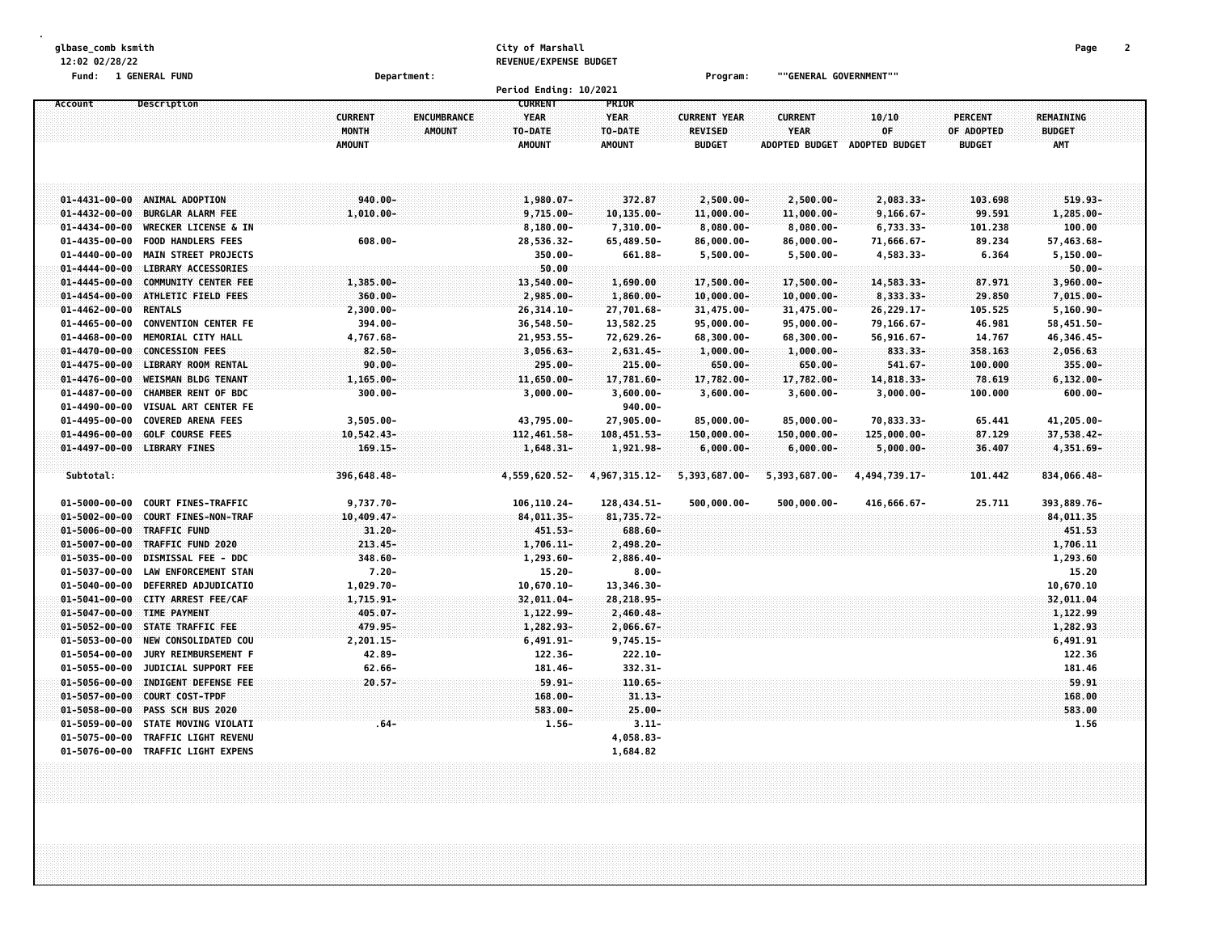| glbase_comb ksmith                                                                                                                                                                                 |                                                                          | City of Marshall                              |                                                  |                                                        |                                                                |                                                 |                                               | Page<br>2                                       |
|----------------------------------------------------------------------------------------------------------------------------------------------------------------------------------------------------|--------------------------------------------------------------------------|-----------------------------------------------|--------------------------------------------------|--------------------------------------------------------|----------------------------------------------------------------|-------------------------------------------------|-----------------------------------------------|-------------------------------------------------|
| 12:02 02/28/22                                                                                                                                                                                     |                                                                          | REVENUE/EXPENSE BUDGET                        |                                                  |                                                        |                                                                |                                                 |                                               |                                                 |
| Fund: 1 GENERAL FUND                                                                                                                                                                               | Department:                                                              | Period Ending: 10/2021                        |                                                  | Program:                                               | ""GENERAL GOVERNMENT""                                         |                                                 |                                               |                                                 |
| Description<br>Account                                                                                                                                                                             |                                                                          | <b>CURRENT</b>                                | PRIOR                                            |                                                        |                                                                |                                                 |                                               |                                                 |
|                                                                                                                                                                                                    | <b>CURRENT</b><br>ENCUMBRANCE<br>MONTH<br><b>AMOUNT</b><br><b>AMOUNT</b> | YEAR<br>TO-DATE<br><b>AMOUNT</b>              | <b>YEAR</b><br>TO-DATE<br><b>AMOUNT</b>          | <b>CURRENT YEAR</b><br><b>REVISED</b><br><b>BUDGET</b> | <b>CURRENT</b><br><b>YEAR</b><br>ADOPTED BUDGET ADOPTED BUDGET | 10/10<br>0F                                     | <b>PERCENT</b><br>OF ADOPTED<br><b>BUDGET</b> | <b>REMAINING</b><br><b>BUDGET</b><br><b>AMT</b> |
| $01 - 4431 - 00 - 00$<br>ANIMAL ADOPTION<br><b>BURGLAR ALARM FEE</b><br>$01 - 4432 - 00 - 00$                                                                                                      | $940.00 -$<br>$1,010.00 -$                                               | $1,980.07 -$<br>$9,715.00 -$                  | 372.87<br>10,135.00-                             | 2,500.00-<br>11,000.00-                                | 2,500.00-<br>11,000.00-                                        | 2,083.33-<br>$9,166.67 -$                       | 103.698<br>99.591                             | $519.93 -$<br>1,285.00-                         |
| $01 - 4434 - 00 - 00$<br><b>WRECKER LICENSE &amp; IN</b><br>$01 - 4435 - 00 - 00$<br><b>FOOD HANDLERS FEES</b><br>$01 - 4440 - 00 - 00$<br><b>MAIN STREET PROJECTS</b>                             | 608.00-                                                                  | $8,180.00 -$<br>28,536.32-<br>$350.00 -$      | 7,310.00-<br>65,489.50-<br>661.88-               | $8,080.00 -$<br>86,000.00-<br>$5,500.00 -$             | $8,080.00 -$<br>$86,000.00 -$<br>$5,500.00 -$                  | $6,733.33-$<br>71,666.67-<br>4,583.33-          | 101.238<br>89.234<br>6.364                    | 100.00<br>57,463.68-<br>$5, 150.00 -$           |
| LIBRARY ACCESSORIES<br>$01 - 4444 - 00 - 00$<br><b>COMMUNITY CENTER FEE</b><br>$01 - 4445 - 00 - 00$<br>01-4454-00-00 ATHLETIC FIELD FEES                                                          | 1,385.00-<br>$360.00 -$                                                  | 50.00<br>13,540.00-<br>2,985.00-              | 1,690.00<br>1,860.00-                            | 17,500.00-<br>$10,000.00 -$                            | 17,500.00-<br>$10,000.00 -$                                    | 14,583.33-<br>8,333.33-                         | 87.971<br>29.850                              | $50.00 -$<br>3,960.00-<br>7,015.00-             |
| $01 - 4462 - 00 - 00$<br><b>RENTALS</b><br>$01 - 4465 - 00 - 00$<br><b>CONVENTION CENTER FE</b><br>MEMORIAL CITY HALL<br>$01 - 4468 - 00 - 00$                                                     | $2,300.00 -$<br>394.00-<br>4,767.68-                                     | 26,314.10-<br>36,548.50-<br>21,953.55-        | 27,701.68-<br>13,582.25<br>72,629.26-            | 31,475.00-<br>95,000.00-<br>68,300.00-                 | 31,475.00-<br>95,000.00-<br>68,300.00-                         | 26,229.17-<br>79,166.67-<br>56,916.67-          | 105.525<br>46.981<br>14.767                   | $5,160.90 -$<br>58,451.50-<br>46,346.45-        |
| $01 - 4470 - 00 - 00$<br><b>CONCESSION FEES</b><br>$01 - 4475 - 00 - 00$<br><b>LIBRARY ROOM RENTAL</b><br><b>WEISMAN BLDG TENANT</b><br>$01 - 4476 - 00 - 00$                                      | 82.50-<br>$90.00 -$<br>1,165.00-                                         | $3,056.63-$<br>295.00-<br>11,650.00-          | 2,631.45-<br>$215.00 -$<br>17,781.60-            | $1,000.00 -$<br>$650.00 -$<br>17,782.00-               | $1,000.00 -$<br>$650.00 -$<br>17,782.00-                       | 833.33-<br>$541.67 -$<br>14,818.33-             | 358.163<br>100.000<br>78.619                  | 2,056.63<br>355.00-<br>$6, 132.00 -$            |
| $01 - 4487 - 00 - 00$<br><b>CHAMBER RENT OF BDC</b><br>$01 - 4490 - 00 - 00$<br>VISUAL ART CENTER FE<br><b>COVERED ARENA FEES</b><br>$01 - 4495 - 00 - 00$                                         | $300.00 -$<br>$3,505.00 -$                                               | $3,000.00 -$<br>43,795.00-                    | $3,600.00 -$<br>$940.00 -$<br>27,905.00-         | $3,600.00 -$<br>85,000.00-                             | $3,600.00 -$<br>$85,000.00 -$                                  | $3,000.00 -$<br>70,833.33-                      | 100.000<br>65.441                             | $600.00 -$<br>41,205.00-                        |
| $01 - 4496 - 00 - 00$<br><b>GOLF COURSE FEES</b><br>01-4497-00-00 LIBRARY FINES<br>Subtotal:                                                                                                       | $10,542.43-$<br>$169.15 -$<br>396,648.48-                                | 112,461.58-<br>1,648.31-<br>4,559,620.52-     | 108,451.53-<br>1,921.98-<br>4, 967, 315. 12-     | $150,000.00 -$<br>$6,000.00 -$<br>5,393,687.00-        | $150,000.00 -$<br>$6,000.00-$<br>5,393,687.00-                 | $125,000.00 -$<br>$5,000.00 -$<br>4,494,739.17- | 87.129<br>36.407<br>101.442                   | 37,538.42-<br>4,351.69-<br>834,066.48-          |
| $01 - 5000 - 00 - 00$<br><b>COURT FINES-TRAFFIC</b><br><b>COURT FINES-NON-TRAF</b><br>$01 - 5002 - 00 - 00$                                                                                        | 9,737.70-<br>$10,409.47-$                                                | 106,110.24-<br>84,011.35-                     | 128,434.51-<br>81,735.72-                        | 500,000.00-                                            | 500,000.00-                                                    | 416,666.67-                                     | 25.711                                        | 393,889.76-<br>84,011.35                        |
| $01 - 5006 - 00 - 00$<br><b>TRAFFIC FUND</b><br>$01 - 5007 - 00 - 00$<br>TRAFFIC FUND 2020<br>$01 - 5035 - 00 - 00$<br><b>DISMISSAL FEE - DDC</b>                                                  | $31.20 -$<br>$213.45 -$<br>348.60-                                       | 451.53-<br>$1,706.11-$<br>$1,293.60 -$        | 688.60-<br>2,498.20-<br>2,886.40-                |                                                        |                                                                |                                                 |                                               | 451.53<br>1,706.11<br>1,293.60                  |
| $01 - 5037 - 00 - 00$<br><b>LAW ENFORCEMENT STAN</b><br>$01 - 5040 - 00 - 00$<br>DEFERRED ADJUDICATIO<br>$01 - 5041 - 00 - 00$<br>CITY ARREST FEE/CAF                                              | $7.20 -$<br>1,029.70-<br>1,715.91-                                       | $15.20 -$<br>$10,670.10 -$<br>32,011.04-      | $8.00 -$<br>13,346.30-<br>28,218.95-             |                                                        |                                                                |                                                 |                                               | 15.20<br>10,670.10<br>32,011.04                 |
| 01-5047-00-00 TIME PAYMENT<br>$01 - 5052 - 00 - 00$<br>STATE TRAFFIC FEE<br>$01 - 5053 - 00 - 00$<br>NEW CONSOLIDATED COU                                                                          | $405.07 -$<br>479.95-<br>$2,201.15-$                                     | 1,122.99-<br>1,282.93-<br>$6,491.91-$         | 2,460.48-<br>$2,066.67 -$<br>$9,745.15-$         |                                                        |                                                                |                                                 |                                               | 1,122.99<br>1,282.93<br>6,491.91                |
| $01 - 5054 - 00 - 00$<br>JURY REIMBURSEMENT F<br>$01 - 5055 - 00 - 00$<br>JUDICIAL SUPPORT FEE<br>INDIGENT DEFENSE FEE<br>$01 - 5056 - 00 - 00$<br>$01 - 5057 - 00 - 00$<br><b>COURT COST-TPDF</b> | 42.89-<br>$62.66 -$<br>$20.57 -$                                         | 122.36-<br>181.46-<br>$59.91 -$<br>$168,00 -$ | $222.10 -$<br>332.31-<br>$110.65 -$<br>$31.13 -$ |                                                        |                                                                |                                                 |                                               | 122.36<br>181.46<br>59.91<br>168.00             |
| $01 - 5058 - 00 - 00$<br>PASS SCH BUS 2020<br>STATE MOVING VIOLATI<br>$01 - 5059 - 00 - 00$<br><b>TRAFFIC LIGHT REVENU</b><br>$01 - 5075 - 00 - 00$                                                | . 64 –                                                                   | $583.00 -$<br>$1.56 -$                        | $25.00 -$<br>$3.11 -$<br>4,058.83-               |                                                        |                                                                |                                                 |                                               | 583.00<br>1.56                                  |
| $01 - 5076 - 00 - 00$<br><b>TRAFFIC LIGHT EXPENS</b>                                                                                                                                               |                                                                          |                                               | 1,684.82                                         |                                                        |                                                                |                                                 |                                               |                                                 |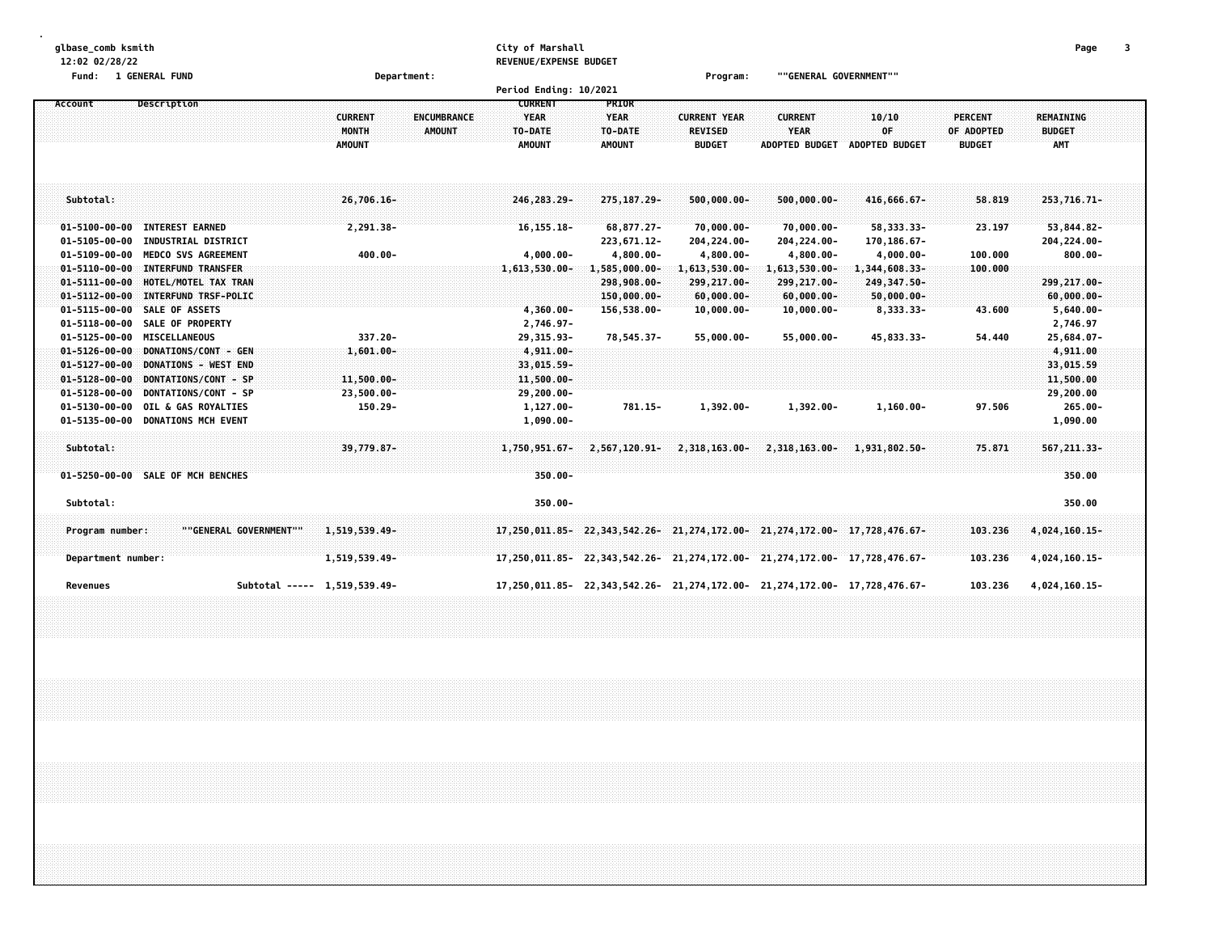| glbase comb ksmith<br>12:02 02/28/22<br>Fund: 1 GENERAL FUND<br>Description<br>Account                                                              | Department:                                                                     | City of Marshall<br>REVENUE/EXPENSE BUDGET<br>Period Ending: 10/2021<br><b>CURRENT</b> | PRIOR                                        | Program:                                               | ""GENERAL GOVERNMENT""                                 |                                           |                                               | Page                                     | 3 |
|-----------------------------------------------------------------------------------------------------------------------------------------------------|---------------------------------------------------------------------------------|----------------------------------------------------------------------------------------|----------------------------------------------|--------------------------------------------------------|--------------------------------------------------------|-------------------------------------------|-----------------------------------------------|------------------------------------------|---|
|                                                                                                                                                     | <b>CURRENT</b><br><b>ENCUMBRANCE</b><br>MONTH<br><b>AMOUNT</b><br><b>AMOUNT</b> | <b>YEAR</b><br>TO-DATE<br><b>AMOUNT</b>                                                | <b>YEAR</b><br>TO-DATE<br><b>AMOUNT</b>      | <b>CURRENT YEAR</b><br><b>REVISED</b><br><b>BUDGET</b> | <b>CURRENT</b><br><b>YEAR</b><br><b>ADOPTED BUDGET</b> | 10/10<br>OF<br><b>ADOPTED BUDGET</b>      | <b>PERCENT</b><br>OF ADOPTED<br><b>BUDGET</b> | <b>REMAINING</b><br><b>BUDGET</b><br>AMT |   |
| Subtotal:                                                                                                                                           | 26,706.16-                                                                      | 246, 283, 29-                                                                          | 275, 187. 29-                                | $500,000.00 -$                                         | $500,000.00 -$                                         | 416,666.67-                               | 58.819                                        | 253, 716. 71-                            |   |
| $01 - 5100 - 00 - 00$<br><b>INTEREST EARNED</b><br>$01 - 5105 - 00 - 00$<br><b>INDUSTRIAL DISTRICT</b>                                              | 2,291.38-                                                                       | 16, 155. 18-                                                                           | 68,877.27-<br>223,671.12-                    | 70,000.00-<br>204,224.00-                              | $70,000.00 -$<br>204,224.00-                           | 58,333.33-<br>170,186.67-                 | 23.197                                        | 53,844.82-<br>204,224.00-                |   |
| $01 - 5109 - 00 - 00$<br>MEDCO SVS AGREEMENT<br>$01 - 5110 - 00 - 00$<br><b>INTERFUND TRANSFER</b><br>$01 - 5111 - 00 - 00$<br>HOTEL/MOTEL TAX TRAN | $400.00 -$                                                                      | $4,000.00 -$<br>$1,613,530.00 -$                                                       | 4,800.00-<br>$1,585,000.00 -$<br>298,908.00- | 4,800.00-<br>1,613,530.00-<br>299,217.00-              | 4,800.00-<br>1,613,530.00-<br>299,217.00-              | 4,000.00-<br>1,344,608.33-<br>249,347.50- | 100.000<br>100.000                            | $800.00 -$<br>299,217.00-                |   |
| $01 - 5112 - 00 - 00$<br>INTERFUND TRSF-POLIC<br>$01 - 5115 - 00 - 00$<br>SALE OF ASSETS<br>$01 - 5118 - 00 - 00$<br>SALE OF PROPERTY               |                                                                                 | 4,360.00-<br>2,746.97-                                                                 | 150,000.00-<br>156,538.00-                   | $60,000.00 -$<br>$10,000.00-$                          | $60,000.00 -$<br>$10,000.00 -$                         | $50,000.00 -$<br>8,333.33-                | 43.600                                        | $60,000,00-$<br>$5,640.00 -$<br>2,746.97 |   |
| <b>MISCELLANEOUS</b><br>$01 - 5125 - 00 - 00$<br>$01 - 5126 - 00 - 00$<br>DONATIONS/CONT - GEN                                                      | 337.20-<br>$1,601.00 -$                                                         | 29,315.93-<br>$4,911,00-$                                                              | 78.545.37-                                   | 55.000.00-                                             | 55.000.00-                                             | 45.833.33-                                | 54.440                                        | 25,684.07-<br>4,911.00                   |   |
| $01 - 5127 - 00 - 00$<br>DONATIONS - WEST END<br>$01 - 5128 - 00 - 00$<br>DONTATIONS/CONT - SP<br>$01 - 5128 - 00 - 00$<br>DONTATIONS/CONT - SP     | 11,500.00-<br>23,500.00-                                                        | 33,015.59-<br>11,500.00-<br>$29,200.00 -$                                              |                                              |                                                        |                                                        |                                           |                                               | 33,015.59<br>11,500.00<br>29,200.00      |   |
| $01 - 5130 - 00 - 00$<br>OIL & GAS ROYALTIES<br>$01 - 5135 - 00 - 00$<br><b>DONATIONS MCH EVENT</b>                                                 | $150.29 -$                                                                      | 1,127.00-<br>$1,090.00 -$                                                              | 781.15-                                      | 1,392.00-                                              | 1,392.00-                                              | $1,160.00 -$                              | 97.506                                        | $265.00 -$<br>1,090.00                   |   |
| Subtotal:                                                                                                                                           | 39,779.87-                                                                      | 1,750,951.67-                                                                          | $2,567,120.91 -$                             | 2,318,163.00-                                          |                                                        | 2,318,163.00- 1,931,802.50-               | 75.871                                        | 567, 211, 33-                            |   |
| 01-5250-00-00 SALE OF MCH BENCHES<br>Subtotal:                                                                                                      |                                                                                 | $350.00 -$<br>$350.00 -$                                                               |                                              |                                                        |                                                        |                                           |                                               | 350.00<br>350.00                         |   |
| ""GENERAL GOVERNMENT""<br>Program number:                                                                                                           | 1,519,539.49-                                                                   | $17,250,011.85 - 22,343,542.26 - 21,274,172.00 - 21,274,172.00 - 17,728,476.67 -$      |                                              |                                                        |                                                        |                                           | 103.236                                       | 4,024,160.15-                            |   |
| Department number:                                                                                                                                  | 1,519,539.49-                                                                   | 17,250,011.85-22,343,542.26-21,274,172.00-21,274,172.00-17,728,476.67-                 |                                              |                                                        |                                                        |                                           | 103.236                                       | 4,024,160.15-                            |   |
| Subtotal ----- 1,519,539.49-<br>Revenues                                                                                                            |                                                                                 | 17,250,011.85-22,343,542.26-21,274,172.00-21,274,172.00-17,728,476.67-                 |                                              |                                                        |                                                        |                                           | 103.236                                       | 4,024,160.15-                            |   |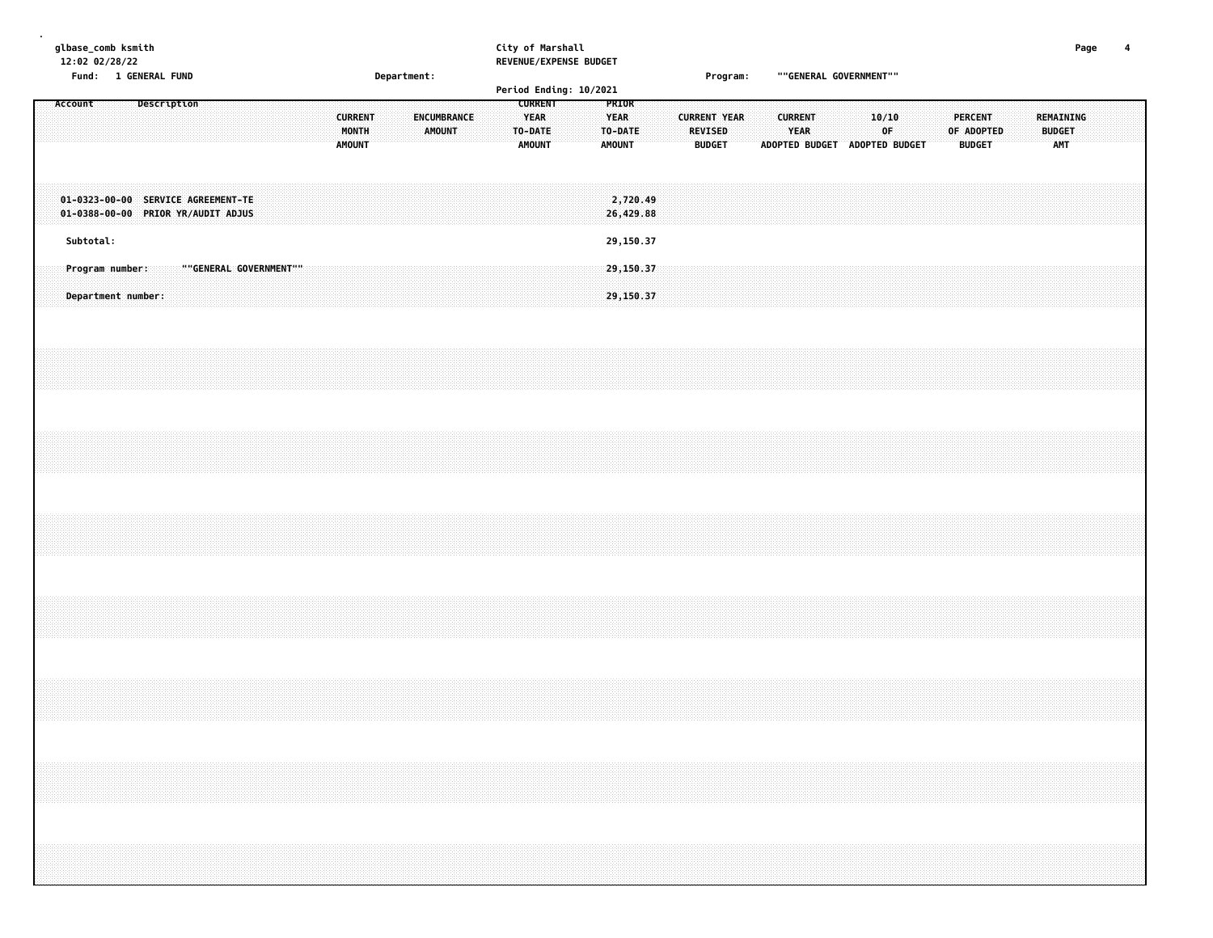| glbase_comb ksmith<br>12:02 02/28/22<br>Fund: 1 GENERAL FUND |         |           |  |                                       |             | Department:                                                              |  |  |  | City of Marshall                | REVENUE/EXPENSE BUDGET |  |                              |  |                                                           | Program: |                        |                                           | ""GENERAL GOVERNMENT"" |  |                                 |                     |                               |                               |  | Page         | 4 |         |                             |  |                                                                                                                                                                      |  |  |  |
|--------------------------------------------------------------|---------|-----------|--|---------------------------------------|-------------|--------------------------------------------------------------------------|--|--|--|---------------------------------|------------------------|--|------------------------------|--|-----------------------------------------------------------|----------|------------------------|-------------------------------------------|------------------------|--|---------------------------------|---------------------|-------------------------------|-------------------------------|--|--------------|---|---------|-----------------------------|--|----------------------------------------------------------------------------------------------------------------------------------------------------------------------|--|--|--|
|                                                              |         |           |  |                                       |             |                                                                          |  |  |  |                                 |                        |  |                              |  |                                                           |          | Period Ending: 10/2021 |                                           |                        |  |                                 |                     |                               |                               |  |              |   |         |                             |  |                                                                                                                                                                      |  |  |  |
|                                                              | Account |           |  |                                       | Description |                                                                          |  |  |  | <b>CURRENT</b><br><b>AMOUNT</b> | MONTH                  |  | ENCUMBRANCE<br><b>AMOUNT</b> |  | <b>CURRENT</b><br><b>YEAR</b><br>TO-DATE<br><b>AMOUNT</b> |          |                        | PRIOR<br>YEAR<br>TO-DATE<br><b>AMOUNT</b> |                        |  | <b>REVISED</b><br><b>BUDGET</b> | <b>CURRENT YEAR</b> | ADOPTED BUDGET ADOPTED BUDGET | <b>CURRENT</b><br><b>YEAR</b> |  | 10/10<br>0F. |   | PERCENT | OF ADOPTED<br><b>BUDGET</b> |  | REMAINING<br><b>BUDGET</b><br><b>AMT</b>                                                                                                                             |  |  |  |
|                                                              |         |           |  |                                       |             | 01-0323-00-00 SERVICE AGREEMENT-TE<br>01-0388-00-00 PRIOR YR/AUDIT ADJUS |  |  |  |                                 |                        |  |                              |  |                                                           |          |                        |                                           | 2,720.49<br>26,429.88  |  |                                 |                     |                               |                               |  |              |   |         |                             |  |                                                                                                                                                                      |  |  |  |
|                                                              |         | Subtotal: |  |                                       |             |                                                                          |  |  |  |                                 |                        |  |                              |  |                                                           |          |                        |                                           | 29,150.37              |  |                                 |                     |                               |                               |  |              |   |         |                             |  |                                                                                                                                                                      |  |  |  |
|                                                              |         |           |  | Program number:<br>Department number: |             | ""GENERAL GOVERNMENT""                                                   |  |  |  |                                 |                        |  |                              |  |                                                           |          |                        |                                           | 29,150.37<br>29,150.37 |  |                                 |                     |                               |                               |  |              |   |         |                             |  |                                                                                                                                                                      |  |  |  |
|                                                              |         |           |  |                                       |             |                                                                          |  |  |  |                                 |                        |  |                              |  |                                                           |          |                        |                                           |                        |  |                                 |                     |                               |                               |  |              |   |         |                             |  |                                                                                                                                                                      |  |  |  |
|                                                              |         |           |  |                                       |             |                                                                          |  |  |  |                                 |                        |  |                              |  |                                                           |          |                        |                                           |                        |  |                                 |                     |                               |                               |  |              |   |         |                             |  |                                                                                                                                                                      |  |  |  |
|                                                              |         |           |  |                                       |             |                                                                          |  |  |  |                                 |                        |  |                              |  |                                                           |          |                        |                                           |                        |  |                                 |                     |                               |                               |  |              |   |         |                             |  |                                                                                                                                                                      |  |  |  |
|                                                              |         |           |  |                                       |             |                                                                          |  |  |  |                                 |                        |  |                              |  |                                                           |          |                        |                                           |                        |  |                                 |                     |                               |                               |  |              |   |         |                             |  |                                                                                                                                                                      |  |  |  |
|                                                              |         |           |  |                                       |             |                                                                          |  |  |  |                                 |                        |  |                              |  |                                                           |          |                        |                                           |                        |  |                                 |                     |                               |                               |  |              |   |         |                             |  |                                                                                                                                                                      |  |  |  |
|                                                              |         |           |  |                                       |             |                                                                          |  |  |  |                                 |                        |  |                              |  |                                                           |          |                        |                                           |                        |  |                                 |                     |                               |                               |  |              |   |         |                             |  | ,我们就会在这里,我们就会在这里,我们就会在这里,我们就会在这里,我们就会在这里,我们就会在这里,我们就会在这里,我们就会在这里,我们就会在这里,我们就会在这里<br>第一章 一个人的话,我们就会在这里,我们就会在这里,我们就会在这里,我们就会在这里,我们就会在这里,我们就会在这里,我们就会在这里,我们就会在这里,我们就会在这 |  |  |  |
|                                                              |         |           |  |                                       |             |                                                                          |  |  |  |                                 |                        |  |                              |  |                                                           |          |                        |                                           |                        |  |                                 |                     |                               |                               |  |              |   |         |                             |  |                                                                                                                                                                      |  |  |  |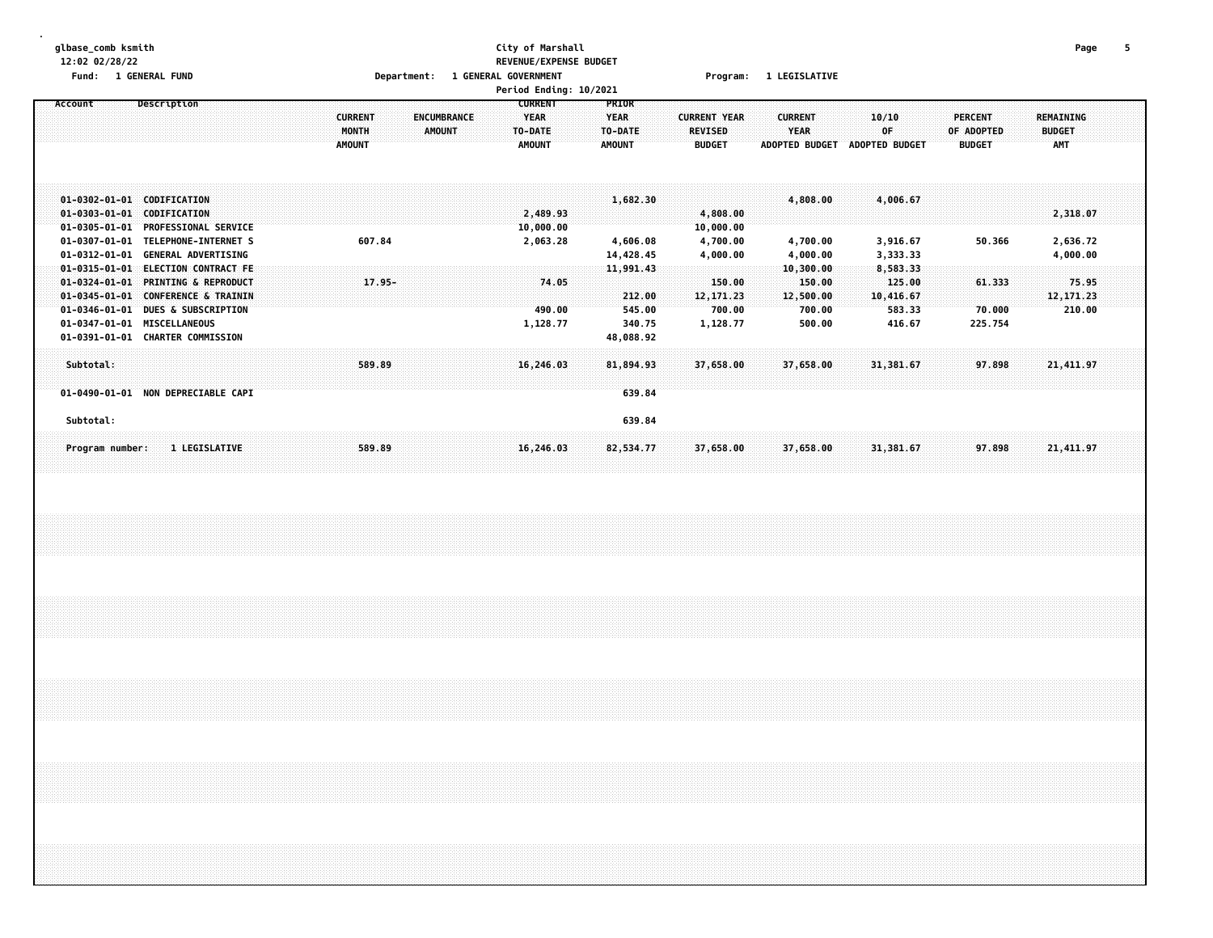# **glbase\_comb ksmith City of Marshall Page 5 12:02 02/28/22 REVENUE/EXPENSE BUDGET**

|                       | <b>1 GENERAL FUND</b>              |                                      |                             |               |                     |                       |                       |                |                  |
|-----------------------|------------------------------------|--------------------------------------|-----------------------------|---------------|---------------------|-----------------------|-----------------------|----------------|------------------|
| <b>Fund:</b>          |                                    | <b>Department:</b>                   | <b>1 GENERAL GOVERNMENT</b> |               | Program:            | <b>1 LEGISLATIVE</b>  |                       |                |                  |
|                       |                                    |                                      | Period Ending: 10/2021      |               |                     |                       |                       |                |                  |
| Account               | Description                        |                                      | <b>CURRENT</b>              | <b>PRIOR</b>  |                     |                       |                       |                |                  |
|                       |                                    | <b>ENCUMBRANCE</b><br><b>CURRENT</b> | YEAR                        | <b>YEAR</b>   | <b>CURRENT YEAR</b> | <b>CURRENT</b>        | 10/10                 | <b>PERCENT</b> | <b>REMAINING</b> |
|                       |                                    | AMOUNT<br>MONTH                      | TO-DATE                     | TO-DATE       | <b>REVISED</b>      | <b>YEAR</b>           | 0F                    | OF ADOPTED     | <b>BUDGET</b>    |
|                       |                                    | <b>AMOUNT</b>                        | <b>AMOUNT</b>               | <b>AMOUNT</b> | <b>BUDGET</b>       | <b>ADOPTED BUDGET</b> | <b>ADOPTED BUDGET</b> | <b>BUDGET</b>  | <b>AMT</b>       |
|                       |                                    |                                      |                             |               |                     |                       |                       |                |                  |
|                       |                                    |                                      |                             |               |                     |                       |                       |                |                  |
|                       |                                    |                                      |                             |               |                     |                       |                       |                |                  |
|                       | 01-0302-01-01 CODIFICATION         |                                      |                             | 1,682.30      |                     | 4,808.00              | 4,006.67              |                |                  |
|                       | 01-0303-01-01 CODIFICATION         |                                      | 2,489.93                    |               | 4,808.00            |                       |                       |                | 2,318.07         |
|                       | 01-0305-01-01 PROFESSIONAL SERVICE |                                      | 10,000.00                   |               | 10,000.00           |                       |                       |                |                  |
| 01-0307-01-01         | <b>TELEPHONE-INTERNET S</b>        | 607.84                               | 2,063.28                    | 4,606.08      | 4,700.00            | 4,700.00              | 3,916.67              | 50.366         | 2,636.72         |
| $01 - 0312 - 01 - 01$ | <b>GENERAL ADVERTISING</b>         |                                      |                             | 14,428.45     | 4,000.00            | 4,000.00              | 3,333.33              |                | 4,000.00         |
|                       | 01-0315-01-01 ELECTION CONTRACT FE |                                      |                             | 11,991.43     |                     | 10,300.00             | 8,583.33              |                |                  |
| $01 - 0324 - 01 - 01$ | <b>PRINTING &amp; REPRODUCT</b>    | $17.95 -$                            | 74.05                       |               | 150.00              | 150.00                | 125.00                | 61.333         | 75.95            |
|                       | 01-0345-01-01 CONFERENCE & TRAININ |                                      |                             | 212.00        | 12, 171, 23         | 12,500.00             | 10,416.67             |                | 12, 171, 23      |
| $01 - 0346 - 01 - 01$ | <b>DUES &amp; SUBSCRIPTION</b>     |                                      | 490.00                      | 545.00        | 700.00              | 700.00                | 583.33                | 70.000         | 210.00           |
|                       | 01-0347-01-01 MISCELLANEOUS        |                                      | 1,128.77                    | 340.75        | 1,128.77            | 500.00                | 416.67                | 225.754        |                  |
|                       | 01-0391-01-01 CHARTER COMMISSION   |                                      |                             | 48,088.92     |                     |                       |                       |                |                  |
|                       |                                    |                                      |                             |               |                     |                       |                       |                |                  |
| Subtotal:             |                                    | 589.89                               | 16,246.03                   | 81,894.93     | 37,658.00           | 37,658.00             | 31,381.67             | 97.898         | 21,411.97        |
|                       |                                    |                                      |                             |               |                     |                       |                       |                |                  |
|                       | 01-0490-01-01 NON DEPRECIABLE CAPI |                                      |                             | 639.84        |                     |                       |                       |                |                  |
|                       |                                    |                                      |                             |               |                     |                       |                       |                |                  |
| Subtotal:             |                                    |                                      |                             | 639.84        |                     |                       |                       |                |                  |
|                       |                                    |                                      |                             |               |                     |                       |                       |                |                  |
| Program number:       | 1 LEGISLATIVE                      | 589.89                               | 16,246.03                   | 82,534.77     | 37,658.00           | 37,658.00             | 31, 381, 67           | 97.898         | 21,411.97        |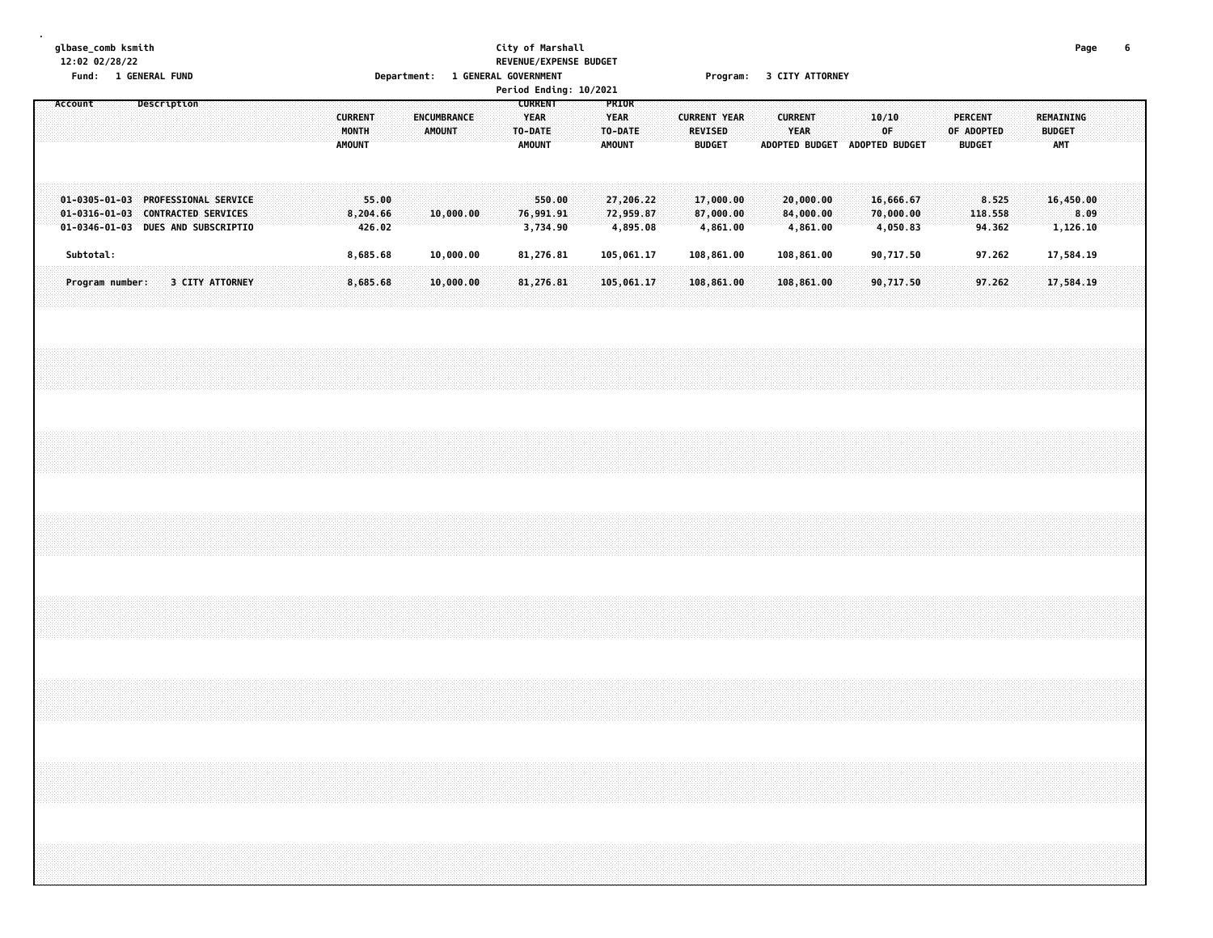#### **glbase\_comb ksmith City of Marshall Page 6 12:02 02/28/22 REVENUE/EXPENSE BUDGET** Fund: 1 GENERAL FUND CONTENT DEPARTMENT: 1 GENERAL GOVERNMENT COMPROMISE 2 CITY ATTORNEY

| Period Ending: 10/2021<br><b>CURRENT</b><br>PRIOR<br>Account<br>Description<br>YEAR<br>REMAINING<br><b>CURRENT</b><br>ENCUMBRANCE<br><b>YEAR</b><br><b>CURRENT YEAR</b><br><b>CURRENT</b><br>10/10<br><b>PERCENT</b> |                                                                                                                                                                                                                                                                                                                                                                                                                                                             |                 |  |                                                                                                               |  |  |                        |  |  |  |  |  |                        |                 |  |        |           |  |                                 |  |                                    |  |                                 |                       |  |                                    |                |                                    |  |                             |  |               |                       |      |  |  |
|----------------------------------------------------------------------------------------------------------------------------------------------------------------------------------------------------------------------|-------------------------------------------------------------------------------------------------------------------------------------------------------------------------------------------------------------------------------------------------------------------------------------------------------------------------------------------------------------------------------------------------------------------------------------------------------------|-----------------|--|---------------------------------------------------------------------------------------------------------------|--|--|------------------------|--|--|--|--|--|------------------------|-----------------|--|--------|-----------|--|---------------------------------|--|------------------------------------|--|---------------------------------|-----------------------|--|------------------------------------|----------------|------------------------------------|--|-----------------------------|--|---------------|-----------------------|------|--|--|
|                                                                                                                                                                                                                      |                                                                                                                                                                                                                                                                                                                                                                                                                                                             |                 |  |                                                                                                               |  |  |                        |  |  |  |  |  | MONTH<br><b>AMOUNT</b> |                 |  | AMOUNT |           |  | TO-DATE<br><b>AMOUNT</b>        |  | TO-DATE<br>AMOUNT                  |  | <b>REVISED</b><br><b>BUDGET</b> |                       |  | YEAR<br>ADOPTED BUDGET             | ADOPTED BUDGET | OF                                 |  | OF ADOPTED<br><b>BUDGET</b> |  | <b>BUDGET</b> | AMT                   |      |  |  |
|                                                                                                                                                                                                                      |                                                                                                                                                                                                                                                                                                                                                                                                                                                             |                 |  | 01-0305-01-03 PROFESSIONAL SERVICE<br>01-0316-01-03 CONTRACTED SERVICES<br>01-0346-01-03 DUES AND SUBSCRIPTIO |  |  |                        |  |  |  |  |  | 8,204.66               | 55.00<br>426.02 |  |        | 10,000.00 |  | 550.00<br>76,991.91<br>3,734.90 |  | 27,206.22<br>72,959.87<br>4,895.08 |  | 87,000.00                       | 17,000.00<br>4,861.00 |  | 20,000.00<br>84,000.00<br>4,861.00 |                | 16,666.67<br>70,000.00<br>4,050.83 |  | 8.525<br>118.558<br>94.362  |  |               | 16,450.00<br>1,126.10 | 8.09 |  |  |
|                                                                                                                                                                                                                      |                                                                                                                                                                                                                                                                                                                                                                                                                                                             | Subtotal:       |  |                                                                                                               |  |  |                        |  |  |  |  |  | 8,685.68               |                 |  |        | 10,000.00 |  | 81,276.81                       |  | 105,061.17                         |  | 108,861.00                      |                       |  | 108,861.00                         |                | 90,717.50                          |  | 97.262                      |  |               | 17,584.19             |      |  |  |
|                                                                                                                                                                                                                      |                                                                                                                                                                                                                                                                                                                                                                                                                                                             | Program number: |  |                                                                                                               |  |  | <b>3 CITY ATTORNEY</b> |  |  |  |  |  | 8,685.68               |                 |  |        | 10,000.00 |  | 81,276.81                       |  | 105,061.17                         |  |                                 | 108,861.00            |  | 108,861.00                         |                | 90,717.50                          |  | 97.262                      |  |               | 17,584.19             |      |  |  |
|                                                                                                                                                                                                                      |                                                                                                                                                                                                                                                                                                                                                                                                                                                             |                 |  |                                                                                                               |  |  |                        |  |  |  |  |  |                        |                 |  |        |           |  |                                 |  |                                    |  |                                 |                       |  |                                    |                |                                    |  |                             |  |               |                       |      |  |  |
|                                                                                                                                                                                                                      |                                                                                                                                                                                                                                                                                                                                                                                                                                                             |                 |  |                                                                                                               |  |  |                        |  |  |  |  |  |                        |                 |  |        |           |  |                                 |  |                                    |  |                                 |                       |  |                                    |                |                                    |  |                             |  |               |                       |      |  |  |
|                                                                                                                                                                                                                      |                                                                                                                                                                                                                                                                                                                                                                                                                                                             |                 |  |                                                                                                               |  |  |                        |  |  |  |  |  |                        |                 |  |        |           |  |                                 |  |                                    |  |                                 |                       |  |                                    |                |                                    |  |                             |  |               |                       |      |  |  |
|                                                                                                                                                                                                                      |                                                                                                                                                                                                                                                                                                                                                                                                                                                             |                 |  |                                                                                                               |  |  |                        |  |  |  |  |  |                        |                 |  |        |           |  |                                 |  |                                    |  |                                 |                       |  |                                    |                |                                    |  |                             |  |               |                       |      |  |  |
|                                                                                                                                                                                                                      |                                                                                                                                                                                                                                                                                                                                                                                                                                                             |                 |  |                                                                                                               |  |  |                        |  |  |  |  |  |                        |                 |  |        |           |  |                                 |  |                                    |  |                                 |                       |  |                                    |                |                                    |  |                             |  |               |                       |      |  |  |
|                                                                                                                                                                                                                      |                                                                                                                                                                                                                                                                                                                                                                                                                                                             |                 |  |                                                                                                               |  |  |                        |  |  |  |  |  |                        |                 |  |        |           |  |                                 |  |                                    |  |                                 |                       |  |                                    |                |                                    |  |                             |  |               |                       |      |  |  |
|                                                                                                                                                                                                                      | $\mathcal{L}(\mathcal{L}(\mathcal{L}(\mathcal{L}(\mathcal{L}(\mathcal{L}(\mathcal{L}(\mathcal{L}(\mathcal{L}(\mathcal{L}(\mathcal{L}(\mathcal{L}(\mathcal{L}(\mathcal{L}(\mathcal{L}(\mathcal{L}(\mathcal{L}(\mathcal{L}(\mathcal{L}(\mathcal{L}(\mathcal{L}(\mathcal{L}(\mathcal{L}(\mathcal{L}(\mathcal{L}(\mathcal{L}(\mathcal{L}(\mathcal{L}(\mathcal{L}(\mathcal{L}(\mathcal{L}(\mathcal{L}(\mathcal{L}(\mathcal{L}(\mathcal{L}(\mathcal{L}(\mathcal{$ |                 |  |                                                                                                               |  |  |                        |  |  |  |  |  |                        |                 |  |        |           |  |                                 |  |                                    |  |                                 |                       |  |                                    |                |                                    |  |                             |  |               |                       |      |  |  |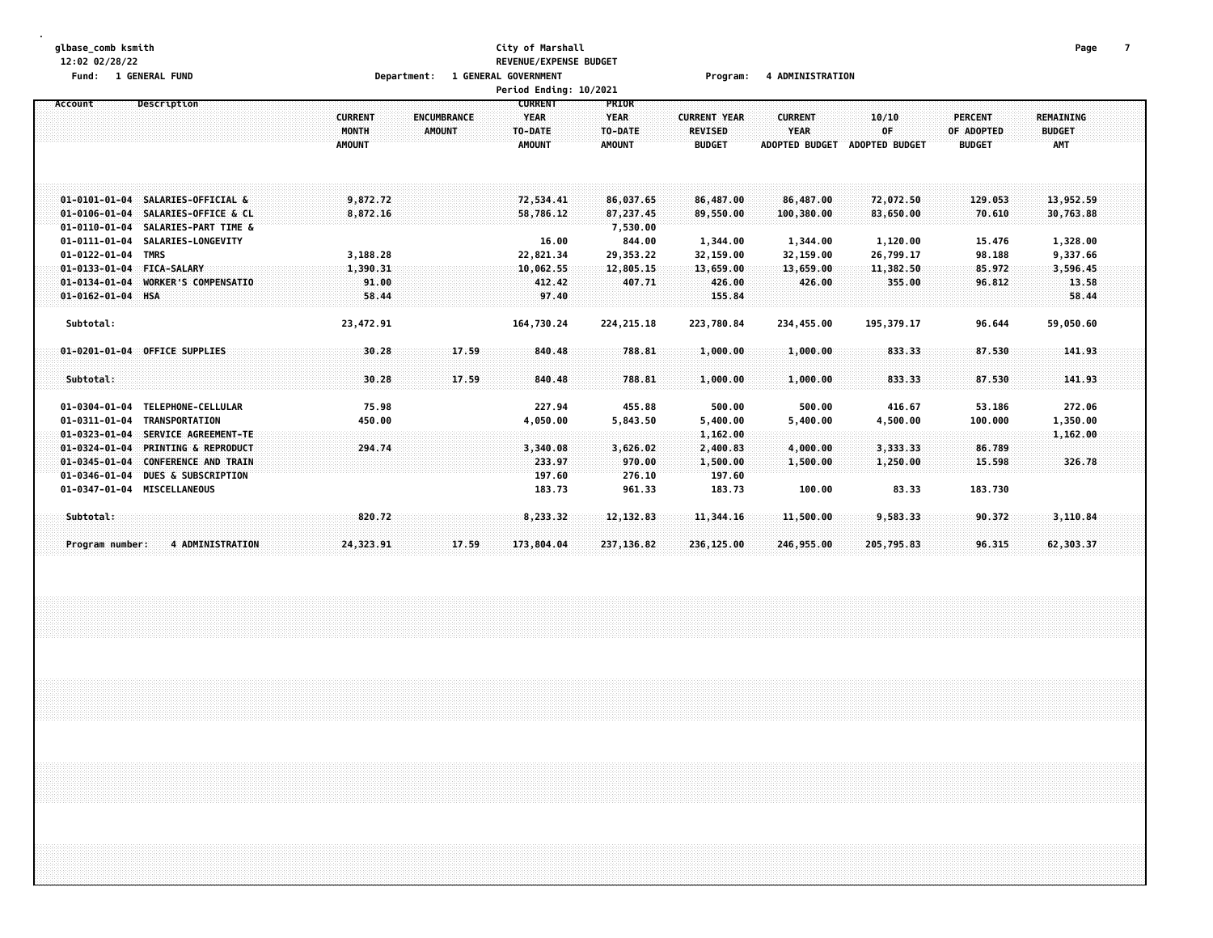#### **glbase\_comb ksmith City of Marshall Page 7 12:02 02/28/22 REVENUE/EXPENSE BUDGET Fund: 1 GENERAL FUND Department: 1 GENERAL GOVERNMENT Program: 4 ADMINISTRATION**

|                       |                                |                |                    | Period Ending: 10/2021 |               |                     |                       |                       |                |                  |  |
|-----------------------|--------------------------------|----------------|--------------------|------------------------|---------------|---------------------|-----------------------|-----------------------|----------------|------------------|--|
| Account               | Description                    |                |                    | <b>CURRENT</b>         | PRIOR         |                     |                       |                       |                |                  |  |
|                       |                                | <b>CURRENT</b> | <b>ENCUMBRANCE</b> | <b>YEAR</b>            | <b>YEAR</b>   | <b>CURRENT YEAR</b> | <b>CURRENT</b>        | 10/10                 | <b>PERCENT</b> | <b>REMAINING</b> |  |
|                       |                                | MONTH          | <b>AMOUNT</b>      | TO-DATE                | TO-DATE       | <b>REVISED</b>      | <b>YEAR</b>           | OF                    | OF ADOPTED     | <b>BUDGET</b>    |  |
|                       |                                | <b>AMOUNT</b>  |                    | <b>AMOUNT</b>          | <b>AMOUNT</b> | <b>BUDGET</b>       | <b>ADOPTED BUDGET</b> | <b>ADOPTED BUDGET</b> | <b>BUDGET</b>  | <b>AMT</b>       |  |
|                       |                                |                |                    |                        |               |                     |                       |                       |                |                  |  |
|                       |                                |                |                    |                        |               |                     |                       |                       |                |                  |  |
|                       |                                |                |                    |                        |               |                     |                       |                       |                |                  |  |
| $01 - 0101 - 01 - 04$ | SALARIES-OFFICIAL &            | 9,872.72       |                    | 72,534.41              | 86,037.65     | 86,487.00           | 86,487.00             | 72,072.50             | 129.053        | 13,952.59        |  |
| $01 - 0106 - 01 - 04$ | SALARIES-OFFICE & CL           | 8,872.16       |                    | 58,786.12              | 87,237.45     | 89,550.00           | 100,380.00            | 83,650.00             | 70.610         | 30,763.88        |  |
| $01 - 0110 - 01 - 04$ | SALARIES-PART TIME &           |                |                    |                        | 7,530.00      |                     |                       |                       |                |                  |  |
| 01-0111-01-04         | <b>SALARIES-LONGEVITY</b>      |                |                    | 16.00                  | 844.00        | 1,344.00            | 1,344.00              | 1,120.00              | 15.476         | 1,328.00         |  |
| $01 - 0122 - 01 - 04$ | <b>TMRS</b>                    | 3,188.28       |                    | 22,821.34              | 29,353.22     | 32,159.00           | 32,159.00             | 26,799.17             | 98.188         | 9,337.66         |  |
| $01 - 0133 - 01 - 04$ | <b>FICA-SALARY</b>             | 1,390.31       |                    | 10,062.55              | 12,805.15     | 13,659.00           | 13,659.00             | 11,382.50             | 85.972         | 3,596.45         |  |
| $01 - 0134 - 01 - 04$ | WORKER'S COMPENSATIO           | 91.00          |                    | 412.42                 | 407.71        | 426.00              | 426.00                | 355.00                | 96.812         | 13.58            |  |
| 01-0162-01-04 HSA     |                                | 58.44          |                    | 97.40                  |               | 155.84              |                       |                       |                | 58.44            |  |
|                       |                                |                |                    |                        |               |                     |                       |                       |                |                  |  |
| Subtotal:             |                                | 23,472.91      |                    | 164,730.24             | 224, 215. 18  | 223,780.84          | 234,455.00            | 195,379.17            | 96.644         | 59,050.60        |  |
|                       |                                |                |                    |                        |               |                     |                       |                       |                |                  |  |
| $01 - 0201 - 01 - 04$ | OFFICE SUPPLIES                | 30.28          | 17.59              | 840.48                 | 788.81        | 1,000.00            | 1,000.00              | 833.33                | 87.530         | 141.93           |  |
|                       |                                |                |                    |                        |               |                     |                       |                       |                |                  |  |
| Subtotal:             |                                | 30.28          | 17.59              | 840.48                 | 788.81        | 1,000.00            | 1,000.00              | 833.33                | 87.530         | 141.93           |  |
|                       |                                |                |                    |                        |               |                     |                       |                       |                |                  |  |
| $01 - 0304 - 01 - 04$ | TELEPHONE-CELLULAR             | 75.98          |                    | 227.94                 | 455.88        | 500.00              | 500.00                | 416.67                | 53.186         | 272.06           |  |
| $01 - 0311 - 01 - 04$ | <b>TRANSPORTATION</b>          | 450.00         |                    | 4,050.00               | 5,843.50      | 5,400.00            | 5,400.00              | 4,500.00              | 100.000        | 1,350.00         |  |
| $01 - 0323 - 01 - 04$ | SERVICE AGREEMENT-TE           |                |                    |                        |               | 1,162.00            |                       |                       |                | 1,162.00         |  |
| $01 - 0324 - 01 - 04$ | PRINTING & REPRODUCT           | 294.74         |                    | 3,340.08               | 3,626.02      | 2,400.83            | 4,000.00              | 3,333.33              | 86.789         |                  |  |
| $01 - 0345 - 01 - 04$ | <b>CONFERENCE AND TRAIN</b>    |                |                    | 233.97                 | 970.00        | 1,500.00            |                       | 1,250.00              | 15.598         | 326.78           |  |
| $01 - 0346 - 01 - 04$ | <b>DUES &amp; SUBSCRIPTION</b> |                |                    | 197.60                 | 276.10        | 197.60              | 1,500.00              |                       |                |                  |  |
|                       |                                |                |                    |                        |               |                     |                       |                       |                |                  |  |
| $01 - 0347 - 01 - 04$ | <b>MISCELLANEOUS</b>           |                |                    | 183.73                 | 961.33        | 183.73              | 100.00                | 83.33                 | 183.730        |                  |  |
| Subtotal:             |                                | 820.72         |                    | 8,233.32               | 12,132.83     | 11,344.16           | 11,500.00             | 9,583.33              | 90.372         | 3,110.84         |  |
|                       |                                |                |                    |                        |               |                     |                       |                       |                |                  |  |
| Program number:       | <b>4 ADMINISTRATION</b>        |                | 17.59              | 173,804.04             | 237, 136, 82  |                     | 246,955.00            | 205,795.83            | 96.315         | 62,303.37        |  |
|                       |                                | 24,323.91      |                    |                        |               | 236,125.00          |                       |                       |                |                  |  |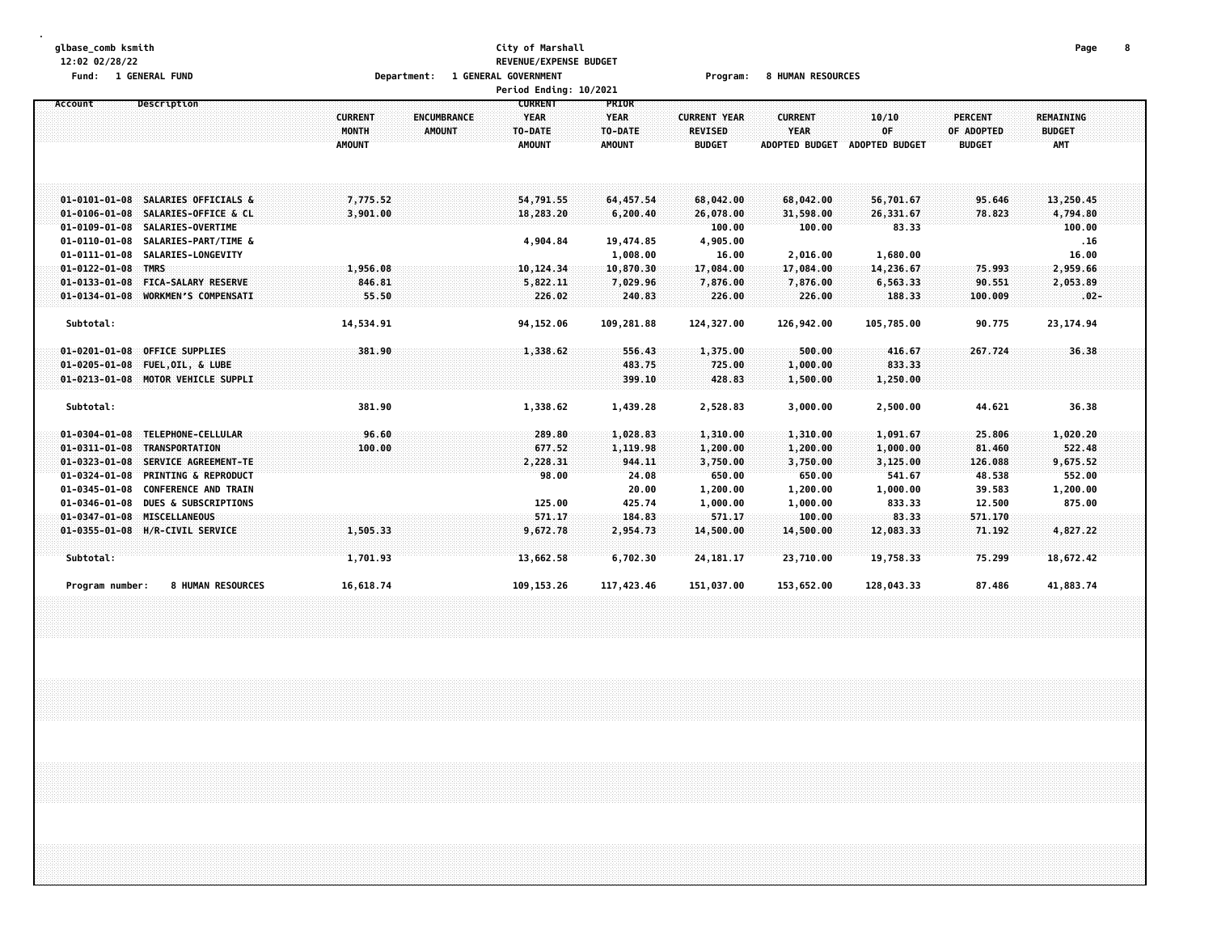#### **glbase\_comb ksmith City of Marshall Page 8 12:02 02/28/22 REVENUE/EXPENSE BUDGET Fund: 1 GENERAL FUND Department: 1 GENERAL GOVERNMENT Program: 8 HUMAN RESOURCES**

|                       |                                    |                | Period Ending: 10/2021            |             |                     |                       |                |                |               |  |
|-----------------------|------------------------------------|----------------|-----------------------------------|-------------|---------------------|-----------------------|----------------|----------------|---------------|--|
| Account               | Description                        |                | <b>CURRENT</b>                    | PRIOR       |                     |                       |                |                |               |  |
|                       |                                    | <b>CURRENT</b> | <b>ENCUMBRANCE</b><br><b>YEAR</b> | <b>YEAR</b> | <b>CURRENT YEAR</b> | <b>CURRENT</b>        | 10/10          | <b>PERCENT</b> | REMAINING     |  |
|                       |                                    | MONTH          | <b>AMOUNT</b><br>TO-DATE          | TO-DATE     | <b>REVISED</b>      | <b>YEAR</b>           | OF             | OF ADOPTED     | <b>BUDGET</b> |  |
|                       |                                    | <b>AMOUNT</b>  | <b>AMOUNT</b>                     | AMOUNT      | <b>BUDGET</b>       | <b>ADOPTED BUDGET</b> | ADOPTED BUDGET | <b>BUDGET</b>  | <b>AMT</b>    |  |
|                       |                                    |                |                                   |             |                     |                       |                |                |               |  |
|                       |                                    |                |                                   |             |                     |                       |                |                |               |  |
|                       |                                    |                |                                   |             |                     |                       |                |                |               |  |
|                       | 01-0101-01-08 SALARIES OFFICIALS & | 7,775.52       | 54,791.55                         | 64, 457.54  | 68,042.00           | 68,042.00             | 56,701.67      | 95.646         | 13,250.45     |  |
| $01 - 0106 - 01 - 08$ | SALARIES-OFFICE & CL               | 3,901.00       | 18,283.20                         | 6,200.40    | 26,078.00           | 31,598.00             | 26,331.67      | 78.823         | 4,794.80      |  |
| $01 - 0109 - 01 - 08$ | SALARIES-OVERTIME                  |                |                                   |             | 100.00              | 100.00                | 83.33          |                | 100.00        |  |
| $01 - 0110 - 01 - 08$ | SALARIES-PART/TIME &               |                | 4,904.84                          | 19,474.85   | 4,905.00            |                       |                |                | .16           |  |
| $01 - 0111 - 01 - 08$ | SALARIES-LONGEVITY                 |                |                                   | 1,008.00    | 16.00               | 2,016.00              | 1,680.00       |                | 16.00         |  |
| $01 - 0122 - 01 - 08$ | <b>TMRS</b>                        | 1,956.08       | 10,124.34                         | 10,870.30   | 17,084.00           | 17,084.00             | 14,236.67      | 75.993         | 2,959.66      |  |
| $01 - 0133 - 01 - 08$ | <b>FICA-SALARY RESERVE</b>         | 846.81         | 5,822.11                          | 7,029.96    | 7,876.00            | 7,876.00              | 6,563.33       | 90.551         | 2,053.89      |  |
| $01 - 0134 - 01 - 08$ | <b>WORKMEN'S COMPENSATI</b>        | 55.50          | 226.02                            | 240.83      | 226.00              | 226.00                | 188.33         | 100.009        | $.02 -$       |  |
| Subtotal:             |                                    | 14,534.91      | 94, 152.06                        | 109,281.88  | 124,327.00          | 126,942.00            | 105,785.00     | 90.775         | 23, 174.94    |  |
|                       |                                    |                |                                   |             |                     |                       |                |                |               |  |
| $01 - 0201 - 01 - 08$ | <b>OFFICE SUPPLIES</b>             | 381.90         | 1,338.62                          | 556.43      | 1,375.00            | 500.00                | 416.67         | 267.724        | 36.38         |  |
| $01 - 0205 - 01 - 08$ | FUEL, OIL, & LUBE                  |                |                                   | 483.75      | 725.00              | 1,000.00              | 833.33         |                |               |  |
|                       | 01-0213-01-08 MOTOR VEHICLE SUPPLI |                |                                   | 399.10      | 428.83              | 1,500.00              | 1,250.00       |                |               |  |
|                       |                                    |                |                                   |             |                     |                       |                |                |               |  |
| Subtotal:             |                                    | 381.90         | 1,338.62                          | 1,439.28    | 2,528.83            | 3,000.00              | 2,500.00       | 44.621         | 36.38         |  |
|                       |                                    |                |                                   |             |                     |                       |                |                |               |  |
| $01 - 0304 - 01 - 08$ | TELEPHONE-CELLULAR                 | 96.60          | 289.80                            | 1,028.83    | 1,310.00            | 1,310.00              | 1,091.67       | 25.806         | 1,020.20      |  |
| $01 - 0311 - 01 - 08$ | <b>TRANSPORTATION</b>              | 100.00         | 677.52                            | 1,119.98    | 1,200.00            | 1,200.00              | 1,000.00       | 81.460         | 522,48        |  |
| $01 - 0323 - 01 - 08$ | SERVICE AGREEMENT-TE               |                | 2,228.31                          | 944.11      | 3,750.00            | 3,750.00              | 3,125.00       | 126.088        | 9,675.52      |  |
| $01 - 0324 - 01 - 08$ | <b>PRINTING &amp; REPRODUCT</b>    |                | 98.00                             | 24.08       | 650.00              | 650.00                | 541.67         | 48.538         | 552.00        |  |
| $01 - 0345 - 01 - 08$ | <b>CONFERENCE AND TRAIN</b>        |                |                                   | 20.00       | 1,200.00            | 1,200.00              | 1,000.00       | 39.583         | 1,200.00      |  |
| $01 - 0346 - 01 - 08$ | <b>DUES &amp; SUBSCRIPTIONS</b>    |                | 125.00                            | 425.74      | 1,000.00            | 1,000.00              | 833.33         | 12.500         | 875.00        |  |
| $01 - 0347 - 01 - 08$ | MISCELLANEOUS                      |                | 571.17                            | 184.83      | 571.17              | 100.00                | 83.33          | 571.170        |               |  |
|                       | 01-0355-01-08 H/R-CIVIL SERVICE    | 1,505.33       | 9,672.78                          | 2,954.73    | 14,500.00           | 14,500.00             | 12,083.33      | 71.192         | 4,827.22      |  |
|                       |                                    |                |                                   |             |                     |                       |                |                |               |  |
| Subtotal:             |                                    | 1,701.93       | 13,662.58                         | 6,702.30    | 24, 181. 17         | 23,710.00             | 19,758.33      | 75.299         | 18,672.42     |  |
|                       |                                    |                |                                   |             |                     |                       |                |                |               |  |
| Program number:       | <b>8 HUMAN RESOURCES</b>           | 16,618.74      | 109, 153. 26                      | 117,423.46  | 151,037.00          | 153,652.00            | 128,043.33     | 87.486         | 41,883.74     |  |
|                       |                                    |                |                                   |             |                     |                       |                |                |               |  |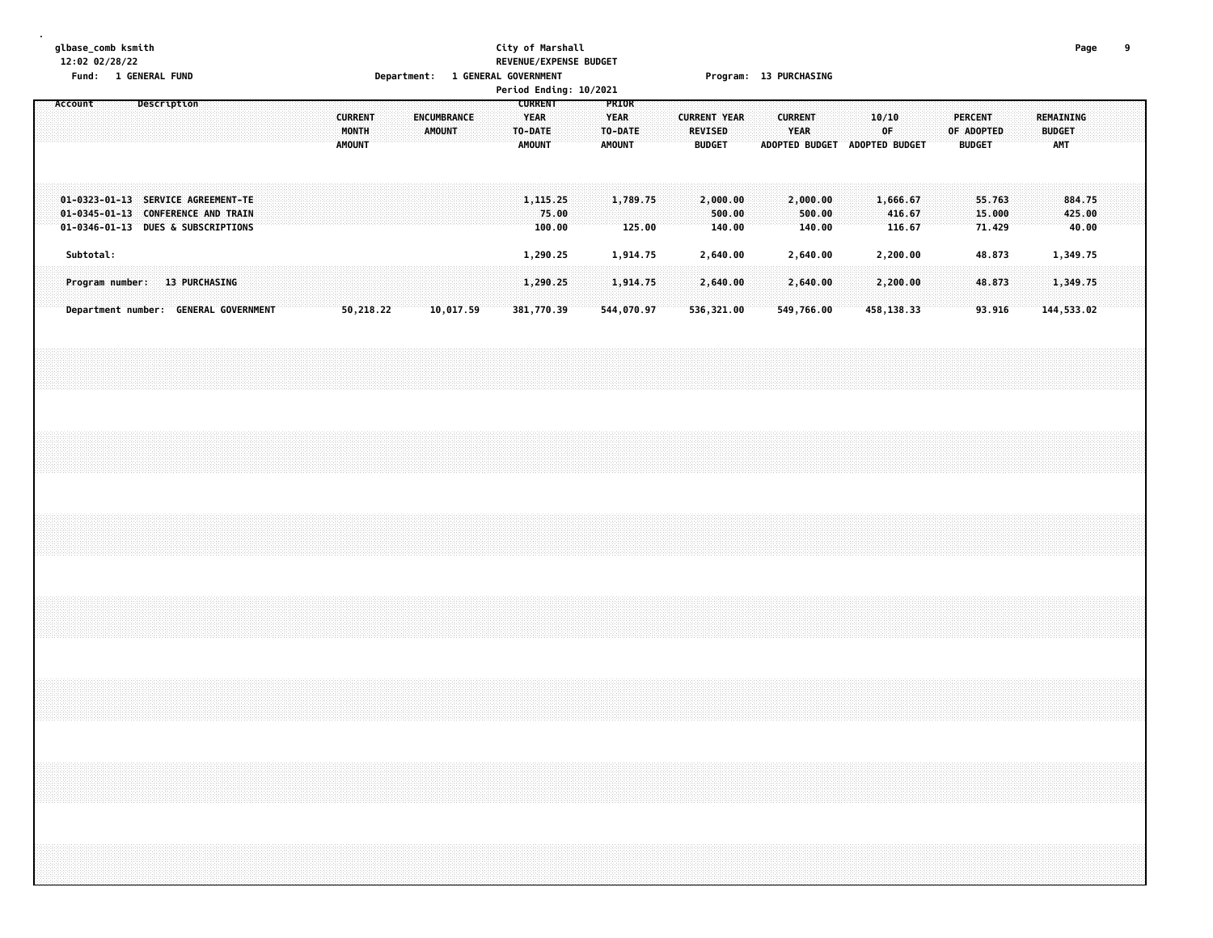#### **glbase\_comb ksmith City of Marshall Page 9 12:02 02/28/22 REVENUE/EXPENSE BUDGET Fund: 1 GENERAL FUND Department: 1 GENERAL GOVERNMENT Program: 13 PURCHASING**

|                                  |  |                                                                                                                |  |  |  |  |  |  |  |                                       |  |  |  |                          |  |           |                          |  |            |                 |               |            |                    |      |                               |                              |  | Period Ending: 10/2021<br><b>CURRENT</b><br>PRIOR<br>Description<br>Account<br><b>CURRENT</b><br><b>YEAR</b><br><b>YEAR</b><br><b>CURRENT YEAR</b><br><b>CURRENT</b><br><b>REMAINING</b><br>ENCUMBRANCE<br>10/10<br><b>PERCENT</b> |                              |  |            |               |                              |  |                             |  |                            |  |  |            |                           |  |
|----------------------------------|--|----------------------------------------------------------------------------------------------------------------|--|--|--|--|--|--|--|---------------------------------------|--|--|--|--------------------------|--|-----------|--------------------------|--|------------|-----------------|---------------|------------|--------------------|------|-------------------------------|------------------------------|--|------------------------------------------------------------------------------------------------------------------------------------------------------------------------------------------------------------------------------------|------------------------------|--|------------|---------------|------------------------------|--|-----------------------------|--|----------------------------|--|--|------------|---------------------------|--|
| MONTH<br>AMOUNT<br><b>AMOUNT</b> |  |                                                                                                                |  |  |  |  |  |  |  |                                       |  |  |  | TO-DATE<br><b>AMOUNT</b> |  |           | TO-DATE<br><b>AMOUNT</b> |  |            | REVISED         | <b>BUDGET</b> |            |                    | YEAR | ADOPTED BUDGET ADOPTED BUDGET |                              |  | 0F.                                                                                                                                                                                                                                |                              |  | OF ADOPTED | <b>BUDGET</b> |                              |  | <b>BUDGET</b><br><b>AMT</b> |  |                            |  |  |            |                           |  |
|                                  |  | 01-0323-01-13 SERVICE AGREEMENT-TE<br>01-0345-01-13 CONFERENCE AND TRAIN<br>01-0346-01-13 DUES & SUBSCRIPTIONS |  |  |  |  |  |  |  |                                       |  |  |  |                          |  |           |                          |  | 1,115.25   | 75.00<br>100.00 |               |            | 1,789.75<br>125.00 |      |                               | 2,000.00<br>500.00<br>140.00 |  |                                                                                                                                                                                                                                    | 2,000.00<br>500.00<br>140.00 |  |            |               | 1,666.67<br>416.67<br>116.67 |  |                             |  | 55.763<br>15.000<br>71.429 |  |  |            | 884.75<br>425.00<br>40.00 |  |
|                                  |  | Subtotal:                                                                                                      |  |  |  |  |  |  |  |                                       |  |  |  |                          |  |           |                          |  | 1,290.25   |                 |               |            | 1,914.75           |      |                               | 2,640.00                     |  |                                                                                                                                                                                                                                    | 2,640.00                     |  |            |               | 2,200.00                     |  |                             |  | 48.873                     |  |  |            | 1,349.75                  |  |
|                                  |  | Program number: 13 PURCHASING                                                                                  |  |  |  |  |  |  |  |                                       |  |  |  |                          |  |           |                          |  | 1,290.25   |                 |               |            | 1,914.75           |      |                               | 2,640.00                     |  |                                                                                                                                                                                                                                    | 2,640.00                     |  |            |               | 2,200.00                     |  |                             |  | 48.873                     |  |  |            | 1,349.75                  |  |
|                                  |  |                                                                                                                |  |  |  |  |  |  |  | Department number: GENERAL GOVERNMENT |  |  |  | 50,218.22                |  | 10,017.59 |                          |  | 381,770.39 |                 |               | 544,070.97 |                    |      | 536,321.00                    |                              |  |                                                                                                                                                                                                                                    | 549,766.00                   |  |            | 458,138.33    |                              |  |                             |  | 93.916                     |  |  | 144,533.02 |                           |  |
|                                  |  |                                                                                                                |  |  |  |  |  |  |  |                                       |  |  |  |                          |  |           |                          |  |            |                 |               |            |                    |      |                               |                              |  |                                                                                                                                                                                                                                    |                              |  |            |               |                              |  |                             |  |                            |  |  |            |                           |  |
|                                  |  |                                                                                                                |  |  |  |  |  |  |  |                                       |  |  |  |                          |  |           |                          |  |            |                 |               |            |                    |      |                               |                              |  |                                                                                                                                                                                                                                    |                              |  |            |               |                              |  |                             |  |                            |  |  |            |                           |  |
|                                  |  |                                                                                                                |  |  |  |  |  |  |  |                                       |  |  |  |                          |  |           |                          |  |            |                 |               |            |                    |      |                               |                              |  |                                                                                                                                                                                                                                    |                              |  |            |               |                              |  |                             |  |                            |  |  |            |                           |  |
|                                  |  |                                                                                                                |  |  |  |  |  |  |  |                                       |  |  |  |                          |  |           |                          |  |            |                 |               |            |                    |      |                               |                              |  |                                                                                                                                                                                                                                    |                              |  |            |               |                              |  |                             |  |                            |  |  |            |                           |  |
|                                  |  |                                                                                                                |  |  |  |  |  |  |  |                                       |  |  |  |                          |  |           |                          |  |            |                 |               |            |                    |      |                               |                              |  |                                                                                                                                                                                                                                    |                              |  |            |               |                              |  |                             |  |                            |  |  |            |                           |  |
|                                  |  |                                                                                                                |  |  |  |  |  |  |  |                                       |  |  |  |                          |  |           |                          |  |            |                 |               |            |                    |      |                               |                              |  |                                                                                                                                                                                                                                    |                              |  |            |               |                              |  |                             |  |                            |  |  |            |                           |  |
|                                  |  |                                                                                                                |  |  |  |  |  |  |  |                                       |  |  |  |                          |  |           |                          |  |            |                 |               |            |                    |      |                               |                              |  |                                                                                                                                                                                                                                    |                              |  |            |               |                              |  |                             |  |                            |  |  |            |                           |  |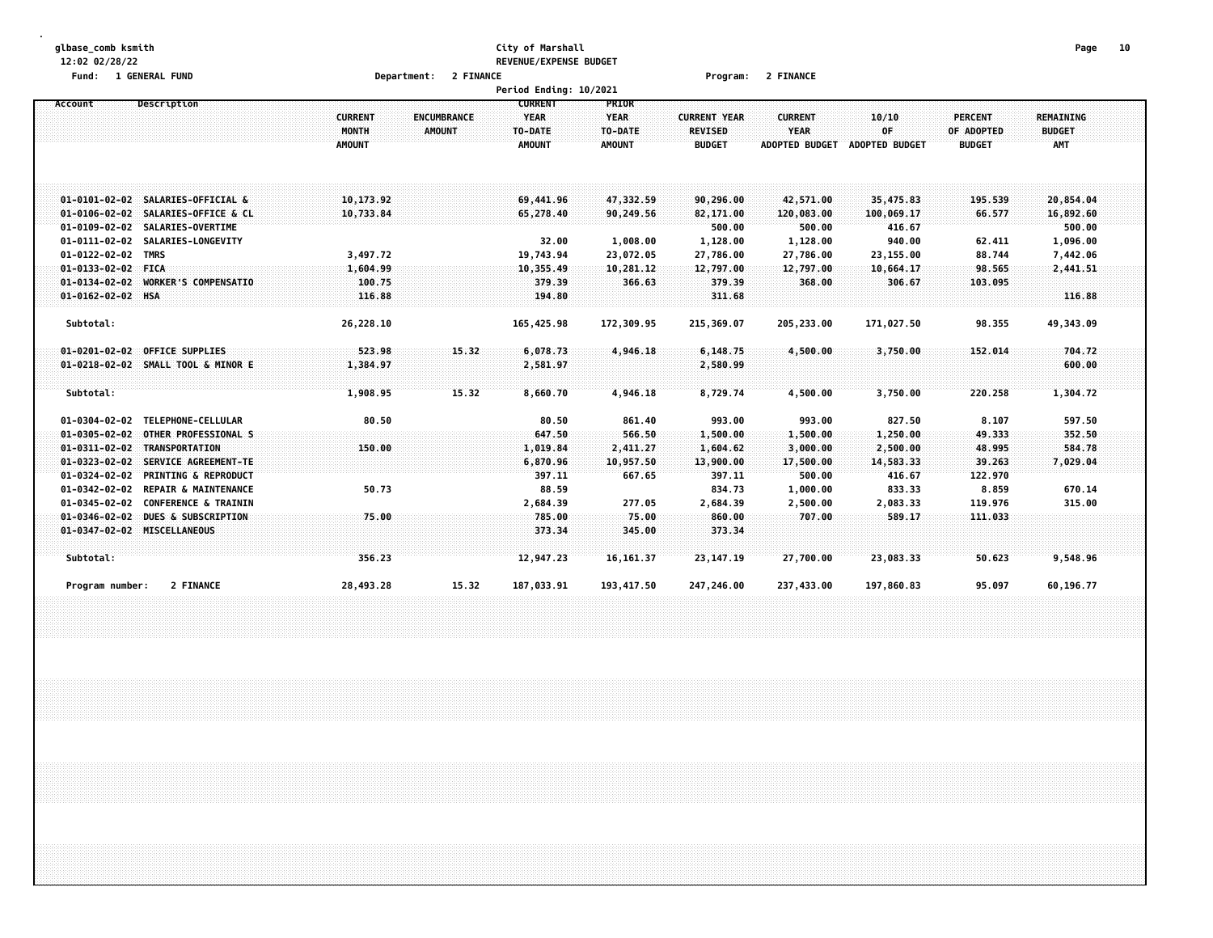#### **glbase\_comb ksmith City of Marshall Page 10 12:02 02/28/22 REVENUE/EXPENSE BUDGET**

| Fund:                                                                                            | 1 GENERAL FUND                                                                                                                                 |                                                 | Department: 2 FINANCE        |                                                           |                                                         | Program:                                               | 2 FINANCE                                              |                                                       |                                                |                                                 |  |
|--------------------------------------------------------------------------------------------------|------------------------------------------------------------------------------------------------------------------------------------------------|-------------------------------------------------|------------------------------|-----------------------------------------------------------|---------------------------------------------------------|--------------------------------------------------------|--------------------------------------------------------|-------------------------------------------------------|------------------------------------------------|-------------------------------------------------|--|
|                                                                                                  |                                                                                                                                                |                                                 |                              | Period Ending: 10/2021                                    |                                                         |                                                        |                                                        |                                                       |                                                |                                                 |  |
| Account                                                                                          | Description                                                                                                                                    | <b>CURRENT</b><br><b>MONTH</b><br><b>AMOUNT</b> | <b>ENCUMBRANCE</b><br>AMOUNT | <b>CURRENT</b><br><b>YEAR</b><br>TO-DATE<br><b>AMOUNT</b> | <b>PRIOR</b><br><b>YEAR</b><br>TO-DATE<br><b>AMOUNT</b> | <b>CURRENT YEAR</b><br><b>REVISED</b><br><b>BUDGET</b> | <b>CURRENT</b><br><b>YEAR</b><br><b>ADOPTED BUDGET</b> | 10/10<br>OF<br><b>ADOPTED BUDGET</b>                  | <b>PERCENT</b><br>OF ADOPTED<br><b>BUDGET</b>  | <b>REMAINING</b><br><b>BUDGET</b><br><b>AMT</b> |  |
|                                                                                                  | 01-0101-02-02 SALARIES-OFFICIAL &<br>01-0106-02-02 SALARIES-OFFICE & CL<br>01-0109-02-02 SALARIES-OVERTIME<br>01-0111-02-02 SALARIES-LONGEVITY | 10,173.92<br>10,733.84                          |                              | 69,441.96<br>65,278.40<br>32.00                           | 47,332.59<br>90,249.56<br>1,008.00                      | 90,296.00<br>82,171.00<br>500.00<br>1,128.00           | 42,571.00<br>120,083.00<br>500.00<br>1,128.00          | 35,475.83<br>100,069.17<br>416.67<br>940.00           | 195.539<br>66.577<br>62.411                    | 20,854.04<br>16,892.60<br>500.00<br>1,096.00    |  |
| $01 - 0122 - 02 - 02$<br>01-0133-02-02 FICA<br>$01 - 0134 - 02 - 02$<br>01-0162-02-02 HSA        | TMRS<br><b>WORKER'S COMPENSATIO</b>                                                                                                            | 3,497.72<br>1,604.99<br>100.75<br>116.88        |                              | 19,743.94<br>10,355.49<br>379.39<br>194.80                | 23,072.05<br>10,281.12<br>366.63                        | 27,786.00<br>12,797.00<br>379.39<br>311.68             | 27,786.00<br>12,797.00<br>368.00                       | 23,155.00<br>10,664.17<br>306.67                      | 88.744<br>98.565<br>103.095                    | 7,442.06<br>2,441.51<br>116.88                  |  |
| Subtotal:                                                                                        |                                                                                                                                                | 26,228.10                                       |                              | 165,425.98                                                | 172,309.95                                              | 215,369.07                                             | 205,233.00                                             | 171,027.50                                            | 98.355                                         | 49,343.09                                       |  |
| Subtotal:                                                                                        | 01-0201-02-02 OFFICE SUPPLIES<br>01-0218-02-02 SMALL TOOL & MINOR E                                                                            | 523.98<br>1,384.97<br>1,908.95                  | 15.32<br>15.32               | 6,078.73<br>2,581.97<br>8,660.70                          | 4,946,18<br>4,946.18                                    | 6,148.75<br>2,580.99<br>8,729.74                       | 4,500.00<br>4,500.00                                   | 3,750.00<br>3,750.00                                  | 152.014<br>220.258                             | 704.72<br>600.00<br>1,304.72                    |  |
| $01 - 0304 - 02 - 02$<br>$01 - 0305 - 02 - 02$<br>$01 - 0323 - 02 - 02$<br>$01 - 0324 - 02 - 02$ | TELEPHONE-CELLULAR<br><b>OTHER PROFESSIONAL S</b><br>01-0311-02-02 TRANSPORTATION<br>SERVICE AGREEMENT-TE<br><b>PRINTING &amp; REPRODUCT</b>   | 80.50<br>150.00                                 |                              | 80.50<br>647.50<br>1,019.84<br>6,870.96<br>397.11         | 861.40<br>566.50<br>2,411.27<br>10,957.50<br>667.65     | 993.00<br>1,500.00<br>1,604.62<br>13,900.00<br>397.11  | 993.00<br>1,500.00<br>3,000.00<br>17,500.00<br>500.00  | 827.50<br>1,250.00<br>2,500.00<br>14,583.33<br>416.67 | 8.107<br>49.333<br>48.995<br>39.263<br>122.970 | 597.50<br>352.50<br>584,78<br>7,029.04          |  |
| $01 - 0342 - 02 - 02$<br>$01 - 0345 - 02 - 02$                                                   | <b>REPAIR &amp; MAINTENANCE</b><br><b>CONFERENCE &amp; TRAININ</b><br>01-0346-02-02 DUES & SUBSCRIPTION<br>01-0347-02-02 MISCELLANEOUS         | 50.73<br>75.00                                  |                              | 88.59<br>2,684.39<br>785.00<br>373.34                     | 277.05<br>75.00<br>345.00                               | 834.73<br>2,684.39<br>860.00<br>373.34                 | 1,000.00<br>2,500.00<br>707.00                         | 833.33<br>2,083.33<br>589.17                          | 8.859<br>119.976<br>111.033                    | 670.14<br>315.00                                |  |
| Subtotal:<br>Program number:                                                                     | 2 FINANCE                                                                                                                                      | 356.23<br>28,493.28                             | 15.32                        | 12,947.23<br>187,033.91                                   | 16, 161.37<br>193, 417.50                               | 23, 147. 19<br>247,246.00                              | 27,700.00<br>237,433.00                                | 23,083.33<br>197,860.83                               | 50.623<br>95.097                               | 9,548.96<br>60,196.77                           |  |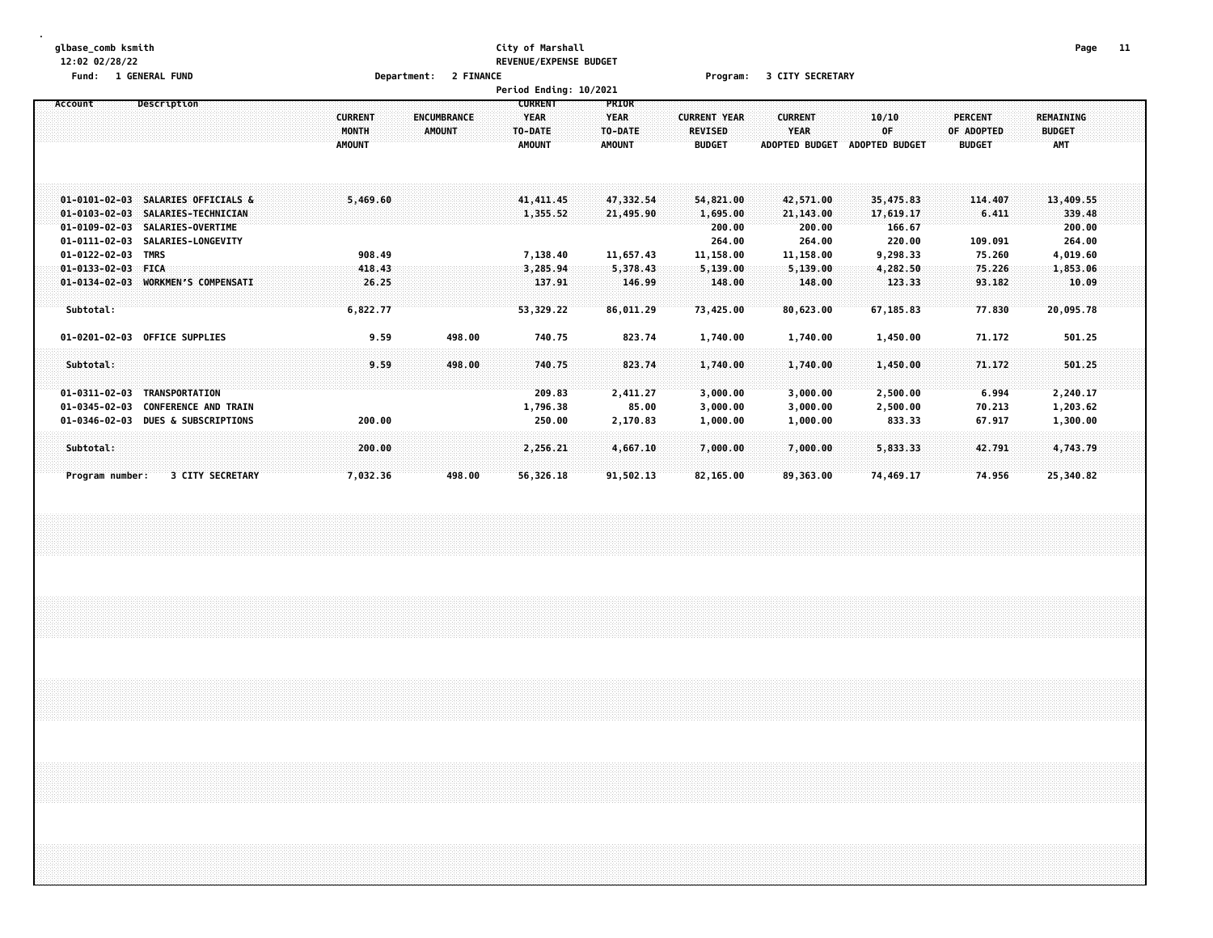#### **glbase\_comb ksmith City of Marshall Page 11 12:02 02/28/22 REVENUE/EXPENSE BUDGET**

**Fund: 1 GENERAL FUND Department: 2 FINANCE Program: 3 CITY SECRETARY**

|                                                  |                                                                                                            |                                          |                                     | Period Ending: 10/2021                                    |                                                  |                                                        |                                                 |                                          |                                               |                                                 |  |
|--------------------------------------------------|------------------------------------------------------------------------------------------------------------|------------------------------------------|-------------------------------------|-----------------------------------------------------------|--------------------------------------------------|--------------------------------------------------------|-------------------------------------------------|------------------------------------------|-----------------------------------------------|-------------------------------------------------|--|
| Account                                          | Description                                                                                                | <b>CURRENT</b><br>MONTH<br><b>AMOUNT</b> | <b>ENCUMBRANCE</b><br><b>AMOUNT</b> | <b>CURRENT</b><br><b>YEAR</b><br>TO-DATE<br><b>AMOUNT</b> | PRIOR<br><b>YEAR</b><br>TO-DATE<br><b>AMOUNT</b> | <b>CURRENT YEAR</b><br><b>REVISED</b><br><b>BUDGET</b> | <b>CURRENT</b><br><b>YEAR</b><br>ADOPTED BUDGET | 10/10<br>OF<br>ADOPTED BUDGET            | <b>PERCENT</b><br>OF ADOPTED<br><b>BUDGET</b> | <b>REMAINING</b><br><b>BUDGET</b><br><b>AMT</b> |  |
|                                                  | 01-0101-02-03 SALARIES OFFICIALS &<br>01-0103-02-03 SALARIES-TECHNICIAN<br>01-0109-02-03 SALARIES-OVERTIME | 5,469.60                                 |                                     | 41, 411, 45<br>1,355.52                                   | 47,332.54<br>21,495.90                           | 54,821.00<br>1,695.00<br>200.00                        | 42,571.00<br>21,143.00<br>200.00                | 35,475.83<br>17,619.17<br>166.67         | 114,407<br>6.411                              | 13,409.55<br>339.48<br>200.00                   |  |
| 01-0122-02-03 TMRS<br>$01 - 0133 - 02 - 03$ FICA | 01-0111-02-03 SALARIES-LONGEVITY<br>01-0134-02-03 WORKMEN'S COMPENSATI                                     | 908.49<br>418.43<br>26.25                |                                     | 7,138.40<br>3,285.94<br>137.91                            | 11,657.43<br>5,378.43<br>146.99                  | 264.00<br>11,158.00<br>5,139.00<br>148.00              | 264.00<br>11,158.00<br>5,139.00<br>148.00       | 220.00<br>9,298.33<br>4,282.50<br>123.33 | 109.091<br>75.260<br>75.226<br>93.182         | 264.00<br>4,019.60<br>1,853.06<br>10.09         |  |
| Subtotal:<br>Subtotal:                           | 01-0201-02-03 OFFICE SUPPLIES                                                                              | 6,822.77<br>9.59<br>9.59                 | 498.00<br>498.00                    | 53,329.22<br>740.75<br>740.75                             | 86,011.29<br>823.74<br>823.74                    | 73,425.00<br>1,740.00<br>1,740.00                      | 80,623.00<br>1,740.00<br>1,740.00               | 67,185.83<br>1,450.00<br>1,450.00        | 77.830<br>71.172<br>71.172                    | 20,095.78<br>501.25<br>501.25                   |  |
| $01 - 0311 - 02 - 03$<br>$01 - 0345 - 02 - 03$   | TRANSPORTATION<br><b>CONFERENCE AND TRAIN</b><br>01-0346-02-03 DUES & SUBSCRIPTIONS                        | 200.00                                   |                                     | 209.83<br>1,796.38<br>250.00                              | 2,411.27<br>85.00<br>2,170.83                    | 3,000.00<br>3,000.00<br>1,000.00                       | 3,000.00<br>3,000.00<br>1,000.00                | 2,500.00<br>2,500.00<br>833.33           | 6.994<br>70.213<br>67.917                     | 2,240.17<br>1,203.62<br>1,300.00                |  |
| Subtotal:<br>Program number:                     | <b>3 CITY SECRETARY</b>                                                                                    | 200.00<br>7,032.36                       | 498.00                              | 2,256.21<br>56,326.18                                     | 4,667.10<br>91,502.13                            | 7,000.00<br>82,165.00                                  | 7,000.00<br>89,363.00                           | 5,833.33<br>74,469.17                    | 42.791<br>74.956                              | 4,743.79<br>25,340.82                           |  |
|                                                  |                                                                                                            |                                          |                                     |                                                           |                                                  |                                                        |                                                 |                                          |                                               |                                                 |  |
|                                                  |                                                                                                            |                                          |                                     |                                                           |                                                  |                                                        |                                                 |                                          |                                               |                                                 |  |
|                                                  |                                                                                                            |                                          |                                     |                                                           |                                                  |                                                        |                                                 |                                          |                                               |                                                 |  |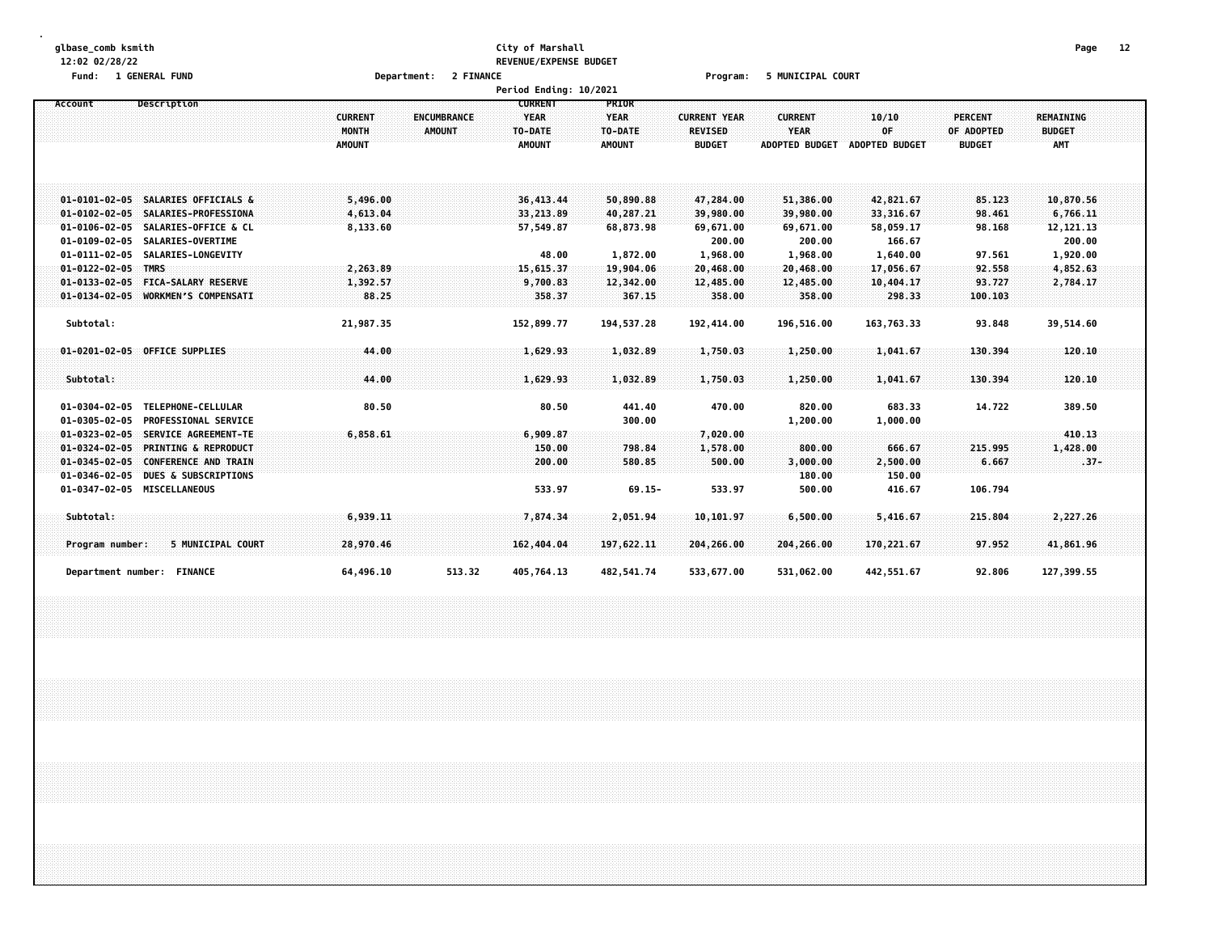### **glbase\_comb ksmith City of Marshall Page 12 12:02 02/28/22 REVENUE/EXPENSE BUDGET**

**Fund: 1 GENERAL FUND Department: 2 FINANCE Program: 5 MUNICIPAL COURT**

|                                                          |                |                                   | <b>Period Ending: 10/2021</b> |                     |                       |                       |                |                  |  |
|----------------------------------------------------------|----------------|-----------------------------------|-------------------------------|---------------------|-----------------------|-----------------------|----------------|------------------|--|
| Description<br>Account                                   |                | <b>CURRENT</b>                    | PRIOR                         |                     |                       |                       |                |                  |  |
|                                                          | <b>CURRENT</b> | <b>YEAR</b><br><b>ENCUMBRANCE</b> | <b>YEAR</b>                   | <b>CURRENT YEAR</b> | <b>CURRENT</b>        | 10/10                 | <b>PERCENT</b> | <b>REMAINING</b> |  |
|                                                          | MONTH          | TO-DATE<br><b>AMOUNT</b>          | TO-DATE                       | <b>REVISED</b>      | <b>YEAR</b>           | 0F                    | OF ADOPTED     | <b>BUDGET</b>    |  |
|                                                          | <b>AMOUNT</b>  | <b>AMOUNT</b>                     | <b>AMOUNT</b>                 | <b>BUDGET</b>       | <b>ADOPTED BUDGET</b> | <b>ADOPTED BUDGET</b> | <b>BUDGET</b>  | AMT              |  |
|                                                          |                |                                   |                               |                     |                       |                       |                |                  |  |
|                                                          |                |                                   |                               |                     |                       |                       |                |                  |  |
|                                                          |                |                                   |                               |                     |                       |                       |                |                  |  |
| 01-0101-02-05 SALARIES OFFICIALS &                       | 5,496.00       | 36, 413.44                        | 50,890.88                     | 47,284.00           | 51,386.00             | 42,821.67             | 85.123         | 10,870.56        |  |
| 01-0102-02-05 SALARIES-PROFESSIONA                       | 4,613.04       | 33,213.89                         | 40,287.21                     | 39,980.00           | 39,980.00             | 33,316.67             | 98.461         | 6,766.11         |  |
| 01-0106-02-05 SALARIES-OFFICE & CL                       | 8,133.60       | 57,549.87                         | 68,873.98                     | 69,671.00           | 69,671.00             | 58,059.17             | 98.168         | 12, 121. 13      |  |
| $01 - 0109 - 02 - 05$<br>SALARIES-OVERTIME               |                |                                   |                               | 200.00              | 200.00                | 166.67                |                | 200.00           |  |
| 01-0111-02-05 SALARIES-LONGEVITY                         |                |                                   | 48.00<br>1,872.00             | 1,968.00            | 1,968.00              | 1,640.00              | 97.561         | 1,920.00         |  |
| $01 - 0122 - 02 - 05$ TMRS                               | 2,263.89       | 15,615.37                         | 19,904.06                     | 20,468.00           | 20,468.00             | 17,056.67             | 92.558         | 4,852.63         |  |
| 01-0133-02-05 FICA-SALARY RESERVE                        | 1,392.57       | 9,700.83                          | 12,342.00                     | 12,485.00           | 12,485.00             | 10,404.17             | 93.727         | 2,784.17         |  |
| 01-0134-02-05 WORKMEN'S COMPENSATI                       | 88.25          |                                   | 358.37<br>367.15              | 358.00              | 358.00                | 298.33                | 100.103        |                  |  |
|                                                          |                |                                   |                               |                     |                       |                       |                |                  |  |
| Subtotal:                                                | 21,987.35      | 152,899.77                        | 194, 537.28                   | 192,414.00          | 196,516.00            | 163,763.33            | 93.848         | 39,514.60        |  |
|                                                          |                |                                   |                               |                     |                       |                       |                |                  |  |
| 01-0201-02-05 OFFICE SUPPLIES                            | 44.00          | 1,629.93                          | 1,032.89                      | 1,750.03            | 1,250.00              | 1,041.67              | 130.394        | 120.10           |  |
|                                                          |                |                                   |                               |                     |                       |                       |                |                  |  |
| Subtotal:                                                | 44.00          | 1,629.93                          | 1,032.89                      | 1,750.03            | 1,250.00              | 1,041.67              | 130.394        | 120.10           |  |
|                                                          |                |                                   |                               |                     |                       |                       |                |                  |  |
| $01 - 0304 - 02 - 05$<br>TELEPHONE-CELLULAR              | 80.50          |                                   | 441.40<br>80.50               | 470.00              | 820.00                | 683.33                | 14.722         | 389.50           |  |
| <b>PROFESSIONAL SERVICE</b><br>$01 - 0305 - 02 - 05$     |                |                                   | 300.00                        |                     | 1,200.00              | 1,000.00              |                |                  |  |
| SERVICE AGREEMENT-TE<br>$01 - 0323 - 02 - 05$            | 6,858.61       | 6,909.87                          |                               | 7,020.00            |                       |                       |                | 410.13           |  |
| <b>PRINTING &amp; REPRODUCT</b><br>$01 - 0324 - 02 - 05$ |                |                                   | 798.84<br>150.00              | 1,578.00            | 800.00                | 666.67                | 215.995        | 1,428.00         |  |
| $01 - 0345 - 02 - 05$<br><b>CONFERENCE AND TRAIN</b>     |                |                                   | 200.00<br>580.85              | 500.00              | 3,000.00              | 2,500.00              | 6.667          | $.37 -$          |  |
| $01 - 0346 - 02 - 05$<br><b>DUES &amp; SUBSCRIPTIONS</b> |                |                                   |                               |                     | 180.00                | 150.00                |                |                  |  |
| 01-0347-02-05 MISCELLANEOUS                              |                |                                   | 533.97<br>$69.15 -$           | 533.97              | 500.00                | 416.67                | 106.794        |                  |  |
|                                                          |                |                                   |                               |                     |                       |                       |                |                  |  |
| Subtotal:                                                | 6,939.11       | 7,874.34                          | 2,051.94                      | 10, 101.97          | 6,500.00              | 5,416.67              | 215.804        | 2,227.26         |  |
|                                                          |                |                                   |                               |                     |                       |                       |                |                  |  |
| 5 MUNICIPAL COURT<br>Program number:                     | 28,970.46      | 162,404.04                        | 197,622,11                    | 204,266.00          | 204,266.00            | 170,221.67            | 97.952         | 41,861.96        |  |
|                                                          |                |                                   |                               |                     |                       |                       |                |                  |  |
| Department number: FINANCE                               | 64,496.10      | 513.32<br>405,764.13              | 482,541.74                    | 533,677.00          | 531,062.00            | 442,551.67            | 92.806         | 127,399.55       |  |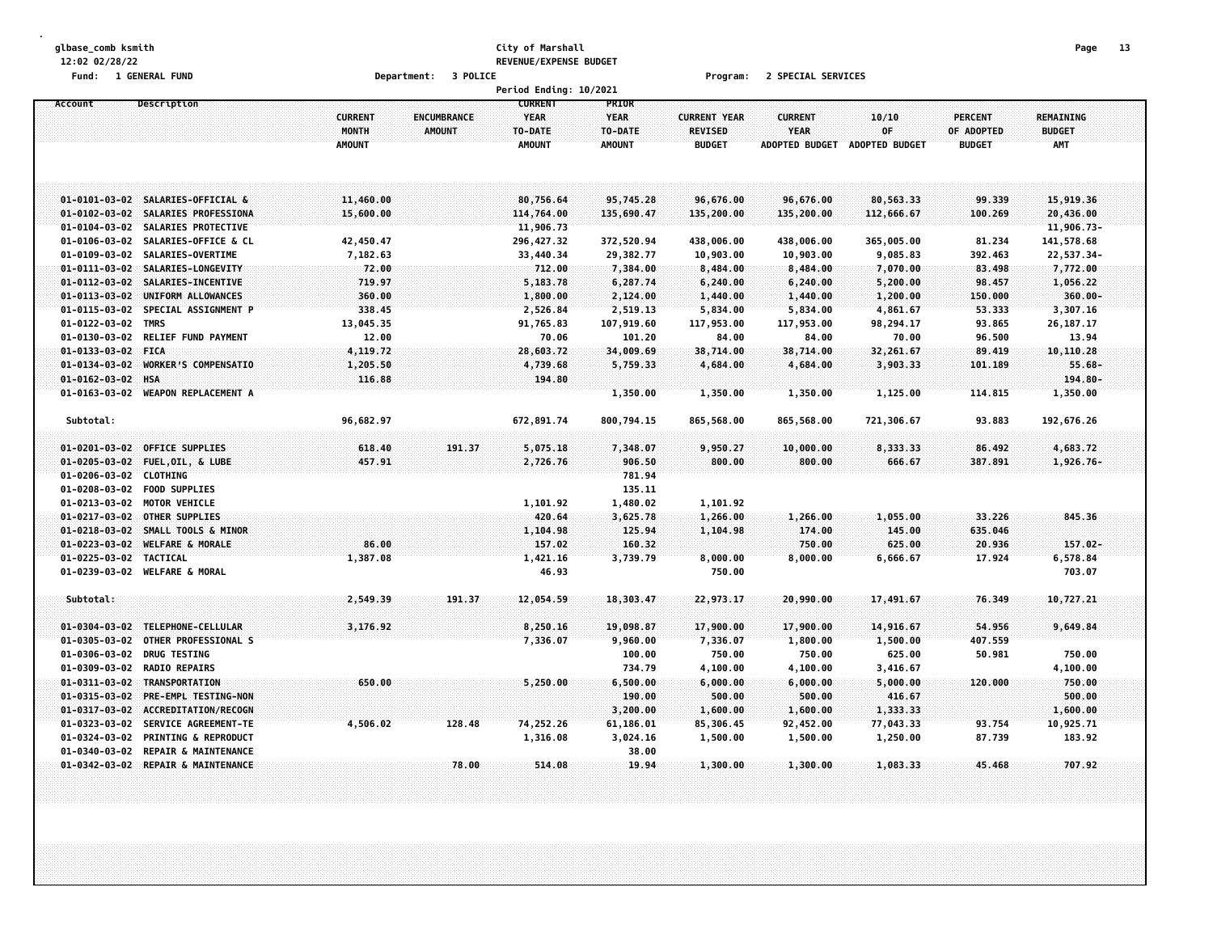## **glbase\_comb ksmith City of Marshall Page 13 12:02 02/28/22 REVENUE/EXPENSE BUDGET**

**Fund: 1 GENERAL FUND Department: 3 POLICE Program: 2 SPECIAL SERVICES**

|                                                                                                           |                                          |                              | Period Ending: 10/2021                                    |                                           |                                                        |                                                 |                                      |                                               |                                                 |  |
|-----------------------------------------------------------------------------------------------------------|------------------------------------------|------------------------------|-----------------------------------------------------------|-------------------------------------------|--------------------------------------------------------|-------------------------------------------------|--------------------------------------|-----------------------------------------------|-------------------------------------------------|--|
| Description<br>Account                                                                                    | <b>CURRENT</b><br>MONTH<br><b>AMOUNT</b> | ENCUMBRANCE<br><b>AMOUNT</b> | <b>CURRENT</b><br><b>YEAR</b><br>TO-DATE<br><b>AMOUNT</b> | PRIOR<br><b>YEAR</b><br>TO-DATE<br>AMOUNT | <b>CURRENT YEAR</b><br><b>REVISED</b><br><b>BUDGET</b> | <b>CURRENT</b><br>YEAR<br><b>ADOPTED BUDGET</b> | 10/10<br>OF<br><b>ADOPTED BUDGET</b> | <b>PERCENT</b><br>OF ADOPTED<br><b>BUDGET</b> | <b>REMAINING</b><br><b>BUDGET</b><br><b>AMT</b> |  |
| 01-0101-03-02 SALARIES-OFFICIAL &                                                                         | 11,460.00                                |                              | 80,756.64                                                 | 95,745.28                                 | 96,676.00                                              | 96,676.00                                       | 80,563.33                            | 99.339                                        | 15,919.36                                       |  |
| 01-0102-03-02 SALARIES PROFESSIONA                                                                        | 15,600.00                                |                              | 114,764.00                                                | 135,690.47                                | 135,200.00                                             | 135,200.00                                      | 112,666.67                           | 100.269                                       | 20,436.00                                       |  |
| $01 - 0104 - 03 - 02$<br>SALARIES PROTECTIVE                                                              |                                          |                              | 11,906.73                                                 |                                           |                                                        |                                                 |                                      |                                               | 11,906.73-                                      |  |
| $01 - 0106 - 03 - 02$<br>SALARIES-OFFICE & CL                                                             | 42,450.47                                |                              | 296,427.32                                                | 372,520.94                                | 438,006.00                                             | 438,006.00                                      | 365,005.00                           | 81.234                                        | 141,578.68                                      |  |
| $01 - 0109 - 03 - 02$<br>SALARIES-OVERTIME                                                                | 7,182.63                                 |                              | 33,440.34                                                 | 29,382.77                                 | 10,903.00                                              | 10,903.00                                       | 9,085.83                             | 392.463                                       | 22,537.34-                                      |  |
| $01 - 0111 - 03 - 02$<br>SALARIES-LONGEVITY                                                               | 72.00                                    |                              | 712.00                                                    | 7,384.00                                  | 8,484.00                                               | 8,484.00                                        | 7,070.00                             | 83.498                                        | 7,772.00                                        |  |
| $01 - 0112 - 03 - 02$<br>SALARIES-INCENTIVE                                                               | 719.97                                   |                              | 5,183.78                                                  | 6,287.74                                  | 6,240.00                                               | 6,240.00                                        | 5,200.00                             | 98.457                                        | 1,056.22                                        |  |
| $01 - 0113 - 03 - 02$<br>UNIFORM ALLOWANCES                                                               | 360.00                                   |                              | 1,800.00                                                  | 2,124.00                                  | 1,440.00                                               | 1,440.00                                        | 1,200.00                             | 150.000                                       | 360.00                                          |  |
| $01 - 0115 - 03 - 02$<br>SPECIAL ASSIGNMENT P                                                             | 338.45                                   |                              | 2,526.84                                                  | 2,519.13                                  | 5,834.00                                               | 5,834.00                                        | 4,861.67                             | 53.333                                        | 3,307.16                                        |  |
| $01 - 0122 - 03 - 02$<br><b>TMRS</b>                                                                      | 13,045.35                                |                              | 91,765.83                                                 | 107,919.60                                | 117,953.00                                             | 117,953.00                                      | 98,294.17                            | 93.865                                        | 26,187.17                                       |  |
| $01 - 0130 - 03 - 02$<br>RELIEF FUND PAYMENT                                                              | 12.00                                    |                              | 70.06                                                     | 101.20                                    | 84.00                                                  | 84.00                                           | 70.00                                | 96.500                                        | 13.94                                           |  |
| 01-0133-03-02 FICA                                                                                        | 4,119.72                                 |                              | 28,603.72                                                 | 34,009.69                                 | 38,714.00                                              | 38,714.00                                       | 32,261.67                            | 89,419                                        | 10,110.28                                       |  |
| $01 - 0134 - 03 - 02$<br><b>WORKER'S COMPENSATIO</b>                                                      | 1,205.50                                 |                              | 4,739.68                                                  | 5,759.33                                  | 4,684.00                                               | 4,684.00                                        | 3,903.33                             | 101.189                                       | $55.68 -$                                       |  |
| 01-0162-03-02 HSA                                                                                         | 116.88                                   |                              | 194.80                                                    |                                           |                                                        |                                                 |                                      |                                               | 194.80-                                         |  |
| $01 - 0163 - 03 - 02$<br><b>WEAPON REPLACEMENT A</b>                                                      |                                          |                              |                                                           | 1,350.00                                  | 1,350.00                                               | 1,350.00                                        | 1,125.00                             | 114.815                                       | 1,350.00                                        |  |
| Subtotal:                                                                                                 | 96,682.97                                |                              | 672,891.74                                                | 800,794.15                                | 865,568.00                                             | 865,568.00                                      | 721,306.67                           | 93.883                                        | 192,676.26                                      |  |
| 01-0201-03-02 OFFICE SUPPLIES                                                                             | 618.40                                   | 191.37                       |                                                           |                                           | 9,950.27                                               |                                                 |                                      | 86.492                                        | 4,683.72                                        |  |
| $01 - 0205 - 03 - 02$<br>FUEL, OIL, & LUBE                                                                | 457.91                                   |                              | 5,075.18<br>2,726.76                                      | 7,348.07<br>906.50                        | 800.00                                                 | 10,000.00<br>800.00                             | 8,333.33<br>666.67                   | 387.891                                       | 1,926.76-                                       |  |
| $01 - 0206 - 03 - 02$<br><b>CLOTHING</b>                                                                  |                                          |                              |                                                           | 781.94                                    |                                                        |                                                 |                                      |                                               |                                                 |  |
| 01-0208-03-02 FOOD SUPPLIES                                                                               |                                          |                              |                                                           | 135.11                                    |                                                        |                                                 |                                      |                                               |                                                 |  |
| 01-0213-03-02 MOTOR VEHICLE                                                                               |                                          |                              | 1,101.92                                                  | 1,480.02                                  | 1,101.92                                               |                                                 |                                      |                                               |                                                 |  |
| 01-0217-03-02 OTHER SUPPLIES                                                                              |                                          |                              | 420.64                                                    | 3,625.78                                  | 1,266.00                                               | 1,266.00                                        | 1,055.00                             | 33.226                                        | 845.36                                          |  |
| $01 - 0218 - 03 - 02$<br>SMALL TOOLS & MINOR                                                              |                                          |                              | 1,104.98                                                  | 125.94                                    | 1,104.98                                               | 174.00                                          | 145.00                               | 635.046                                       |                                                 |  |
| $01 - 0223 - 03 - 02$<br><b>WELFARE &amp; MORALE</b>                                                      | 86.00                                    |                              | 157.02                                                    | 160.32                                    |                                                        | 750.00                                          | 625.00                               | 20,936                                        | $157.02 -$                                      |  |
| 01-0225-03-02 TACTICAL                                                                                    | 1,387.08                                 |                              | 1,421.16                                                  | 3,739.79                                  | 8,000.00                                               | 8,000.00                                        | 6,666.67                             | 17.924                                        | 6,578.84                                        |  |
| 01-0239-03-02 WELFARE & MORAL                                                                             |                                          |                              | 46.93                                                     |                                           | 750.00                                                 |                                                 |                                      |                                               | 703.07                                          |  |
| Subtotal:                                                                                                 | 2,549.39                                 | 191.37                       | 12,054.59                                                 | 18,303.47                                 | 22,973.17                                              | 20,990.00                                       | 17,491.67                            | 76.349                                        | 10,727.21                                       |  |
|                                                                                                           |                                          |                              |                                                           |                                           |                                                        |                                                 |                                      |                                               |                                                 |  |
| 01-0304-03-02 TELEPHONE-CELLULAR                                                                          | 3,176.92                                 |                              | 8,250.16                                                  | 19,098.87                                 | 17,900.00                                              | 17,900.00                                       | 14,916.67                            | 54.956                                        | 9,649.84                                        |  |
| $01 - 0305 - 03 - 02$<br><b>OTHER PROFESSIONAL S</b>                                                      |                                          |                              | 7,336.07                                                  | 9,960.00                                  | 7,336.07                                               | 1,800.00                                        | 1,500.00                             | 407.559                                       |                                                 |  |
| $01 - 0306 - 03 - 02$<br><b>DRUG TESTING</b>                                                              |                                          |                              |                                                           | 100.00                                    | 750.00                                                 | 750.00                                          | 625.00                               | 50.981                                        | 750.00                                          |  |
| $01 - 0309 - 03 - 02$<br><b>RADIO REPAIRS</b>                                                             |                                          |                              |                                                           | 734.79                                    | 4,100.00                                               | 4,100.00                                        | 3,416.67                             |                                               | 4,100.00                                        |  |
| $01 - 0311 - 03 - 02$<br>TRANSPORTATION                                                                   | 650.00                                   |                              | 5,250.00                                                  | 6,500.00                                  | 6,000.00                                               | 6,000.00                                        | 5,000.00                             | 120.000                                       | 750.00                                          |  |
| $01 - 0315 - 03 - 02$<br>PRE-EMPL TESTING-NON                                                             |                                          |                              |                                                           | 190.00                                    | 500.00                                                 | 500.00                                          | 416.67                               |                                               | 500.00                                          |  |
| $01 - 0317 - 03 - 02$<br>ACCREDITATION/RECOGN                                                             |                                          |                              |                                                           | 3,200.00                                  | 1,600.00                                               | 1,600.00                                        | 1,333.33                             |                                               | 1,600.00                                        |  |
| $01 - 0323 - 03 - 02$<br>SERVICE AGREEMENT-TE<br>$01 - 0324 - 03 - 02$<br><b>PRINTING &amp; REPRODUCT</b> | 4,506.02                                 | 128.48                       | 74,252.26<br>1,316.08                                     | 61,186.01                                 | 85,306.45                                              | 92,452.00                                       | 77,043.33                            | 93.754<br>87.739                              | 10,925.71<br>183.92                             |  |
| $01 - 0340 - 03 - 02$<br>REPAIR & MAINTENANCE                                                             |                                          |                              |                                                           | 3,024.16<br>38.00                         | 1,500.00                                               | 1,500.00                                        | 1,250.00                             |                                               |                                                 |  |
| 01-0342-03-02 REPAIR & MAINTENANCE                                                                        |                                          | 78.00                        | 514.08                                                    | 19.94                                     | 1,300.00                                               | 1,300.00                                        | 1,083.33                             | 45.468                                        | 707.92                                          |  |
|                                                                                                           |                                          |                              |                                                           |                                           |                                                        |                                                 |                                      |                                               |                                                 |  |
|                                                                                                           |                                          |                              |                                                           |                                           |                                                        |                                                 |                                      |                                               |                                                 |  |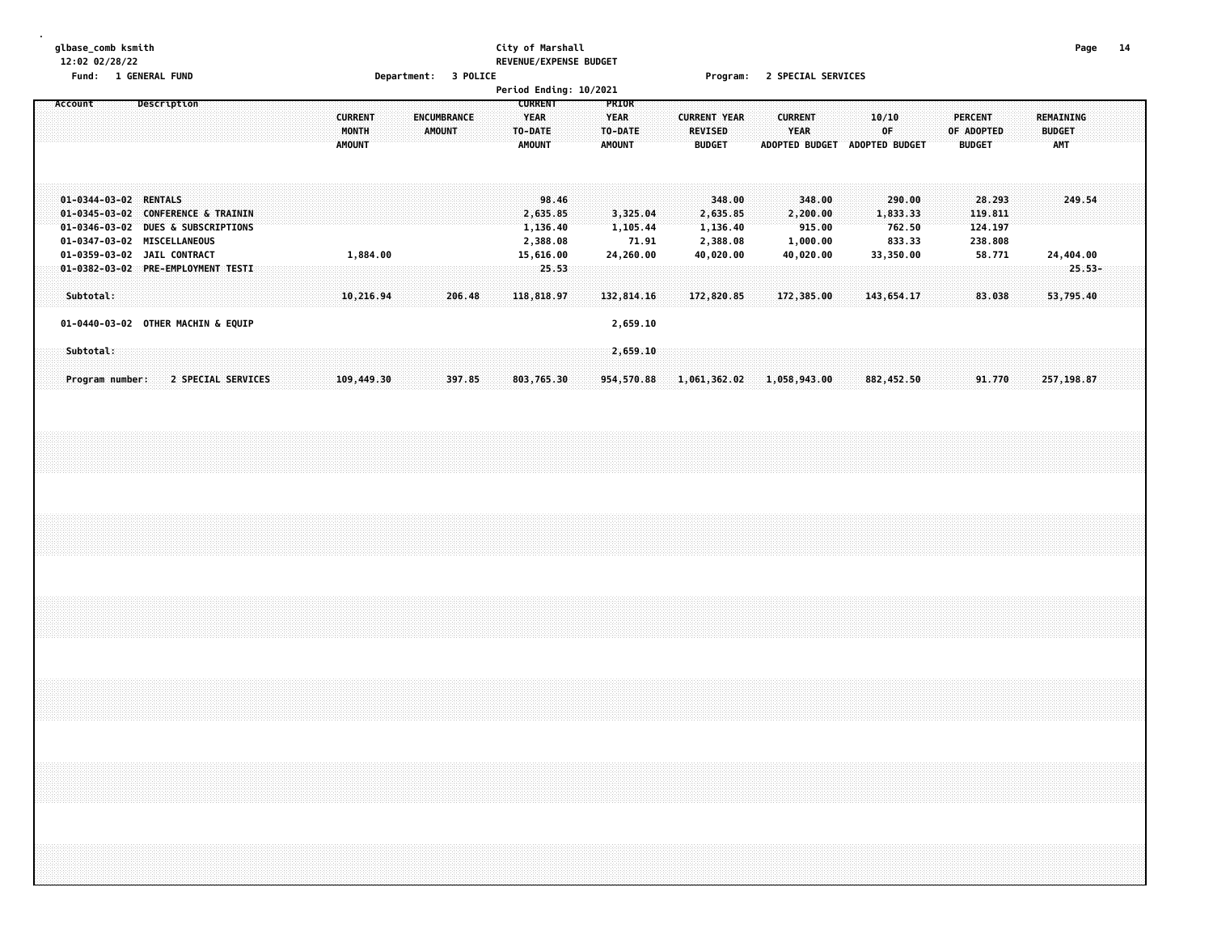#### **glbase\_comb ksmith City of Marshall Page 14 12:02 02/28/22 REVENUE/EXPENSE BUDGET Fund: 1 GENERAL FUND Department: 3 POLICE Program: 2 SPECIAL SERVICES**

|         | . unu. |           |                 | <b>T ALMENTE LAMB</b>                                                                                                                                           |                    |  |  |  |                                          |  |             |               |        | pehantment. 3 LATTER |  |                                                           |                                                        | Period Ending: 10/2021 |                                                  |                                            |  | rivyiam. Z əricini əlmiliciə                           |        |  |                                   |                  |                               |             |                                                     |  |                                                   |  |                                          |                     |  |
|---------|--------|-----------|-----------------|-----------------------------------------------------------------------------------------------------------------------------------------------------------------|--------------------|--|--|--|------------------------------------------|--|-------------|---------------|--------|----------------------|--|-----------------------------------------------------------|--------------------------------------------------------|------------------------|--------------------------------------------------|--------------------------------------------|--|--------------------------------------------------------|--------|--|-----------------------------------|------------------|-------------------------------|-------------|-----------------------------------------------------|--|---------------------------------------------------|--|------------------------------------------|---------------------|--|
| Account |        |           |                 | Description                                                                                                                                                     |                    |  |  |  | <b>CURRENT</b><br>MONTH<br><b>AMOUNT</b> |  | ENCUMBRANCE | <b>AMOUNT</b> |        |                      |  | <b>CURRENT</b><br><b>YEAR</b><br>TO-DATE<br><b>AMOUNT</b> |                                                        |                        | PRIOR<br><b>YEAR</b><br>TO-DATE<br><b>AMOUNT</b> |                                            |  | <b>CURRENT YEAR</b><br><b>REVISED</b><br><b>BUDGET</b> |        |  | <b>CURRENT</b><br>YEAR            |                  | ADOPTED BUDGET ADOPTED BUDGET | 10/10<br>0F |                                                     |  | <b>PERCENT</b><br>OF ADOPTED<br><b>BUDGET</b>     |  | REMAINING<br><b>BUDGET</b><br><b>AMT</b> |                     |  |
|         |        |           |                 | 01-0344-03-02 RENTALS<br>01-0345-03-02 CONFERENCE & TRAININ<br>01-0346-03-02 DUES & SUBSCRIPTIONS<br>01-0347-03-02 MISCELLANEOUS<br>01-0359-03-02 JAIL CONTRACT |                    |  |  |  | 1,884.00                                 |  |             |               |        |                      |  |                                                           | 98.46<br>2,635.85<br>1,136.40<br>2,388.08<br>15,616.00 |                        |                                                  | 3,325.04<br>1,105.44<br>71.91<br>24,260.00 |  | 2,635.85<br>1,136.40<br>2,388.08<br>40,020.00          | 348.00 |  | 2,200.00<br>1,000.00<br>40,020.00 | 348.00<br>915.00 |                               |             | 290.00<br>1,833.33<br>762.50<br>833.33<br>33,350.00 |  | 28.293<br>119.811<br>124.197<br>238.808<br>58.771 |  |                                          | 249.54<br>24,404.00 |  |
|         |        |           |                 | 01-0382-03-02 PRE-EMPLOYMENT TESTI                                                                                                                              |                    |  |  |  |                                          |  |             |               |        |                      |  |                                                           | 25.53                                                  |                        |                                                  |                                            |  |                                                        |        |  |                                   |                  |                               |             |                                                     |  |                                                   |  |                                          | $25.53 -$           |  |
|         |        | Subtotal: |                 | 01-0440-03-02 OTHER MACHIN & EQUIP                                                                                                                              |                    |  |  |  | 10,216.94                                |  |             |               | 206.48 |                      |  |                                                           | 118,818.97                                             |                        |                                                  | 132,814.16<br>2,659.10                     |  | 172,820.85                                             |        |  | 172,385.00                        |                  |                               |             | 143,654.17                                          |  | 83.038                                            |  |                                          | 53,795.40           |  |
|         |        | Subtotal: | Program number: |                                                                                                                                                                 | 2 SPECIAL SERVICES |  |  |  | 109,449.30                               |  |             |               | 397.85 |                      |  |                                                           | 803,765.30                                             |                        |                                                  | 2,659.10<br>954,570.88                     |  | 1,061,362.02                                           |        |  | 1,058,943.00                      |                  |                               |             | 882,452.50                                          |  | 91.770                                            |  |                                          | 257,198.87          |  |
|         |        |           |                 |                                                                                                                                                                 |                    |  |  |  |                                          |  |             |               |        |                      |  |                                                           |                                                        |                        |                                                  |                                            |  |                                                        |        |  |                                   |                  |                               |             |                                                     |  |                                                   |  |                                          |                     |  |
|         |        |           |                 |                                                                                                                                                                 |                    |  |  |  |                                          |  |             |               |        |                      |  |                                                           |                                                        |                        |                                                  |                                            |  |                                                        |        |  |                                   |                  |                               |             |                                                     |  |                                                   |  |                                          |                     |  |
|         |        |           |                 |                                                                                                                                                                 |                    |  |  |  |                                          |  |             |               |        |                      |  |                                                           |                                                        |                        |                                                  |                                            |  |                                                        |        |  |                                   |                  |                               |             |                                                     |  |                                                   |  |                                          |                     |  |
|         |        |           |                 |                                                                                                                                                                 |                    |  |  |  |                                          |  |             |               |        |                      |  |                                                           |                                                        |                        |                                                  |                                            |  |                                                        |        |  |                                   |                  |                               |             |                                                     |  |                                                   |  |                                          |                     |  |
|         |        |           |                 |                                                                                                                                                                 |                    |  |  |  |                                          |  |             |               |        |                      |  |                                                           |                                                        |                        |                                                  |                                            |  |                                                        |        |  |                                   |                  |                               |             |                                                     |  |                                                   |  |                                          |                     |  |
|         |        |           |                 |                                                                                                                                                                 |                    |  |  |  |                                          |  |             |               |        |                      |  |                                                           |                                                        |                        |                                                  |                                            |  |                                                        |        |  |                                   |                  |                               |             |                                                     |  |                                                   |  |                                          |                     |  |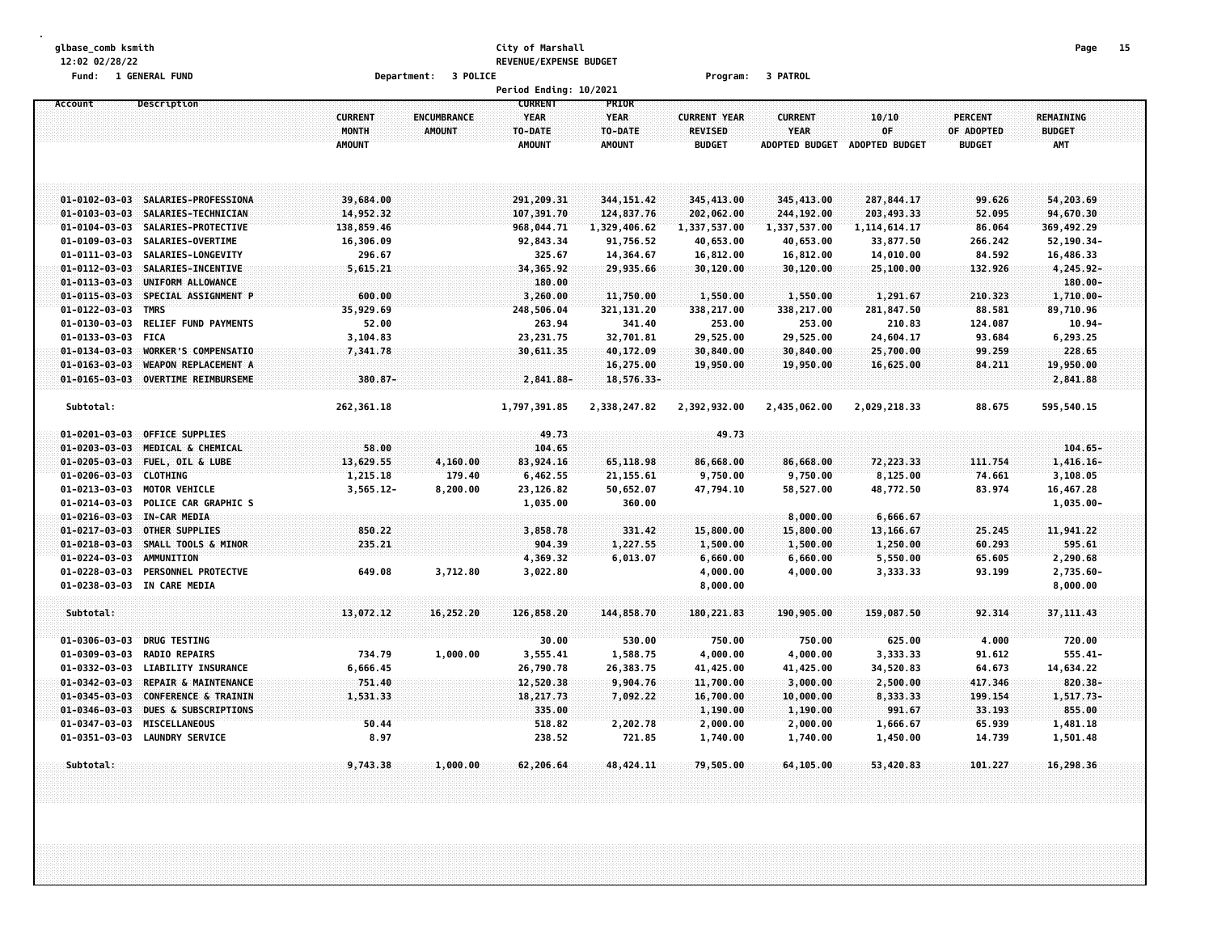#### **glbase\_comb ksmith City of Marshall Page 15 12:02 02/28/22 REVENUE/EXPENSE BUDGET Fund: 1 GENERAL FUND Department: 3 POLICE Program: 3 PATROL**

|                       |                                 |                |                    | Period Ending: 10/2021 |               |                     |                       |                |                |                  |  |
|-----------------------|---------------------------------|----------------|--------------------|------------------------|---------------|---------------------|-----------------------|----------------|----------------|------------------|--|
| Account               | Description                     |                |                    | <b>CURRENT</b>         | PRIOR         |                     |                       |                |                |                  |  |
|                       |                                 | <b>CURRENT</b> | <b>ENCUMBRANCE</b> | <b>YEAR</b>            | <b>YEAR</b>   | <b>CURRENT YEAR</b> | <b>CURRENT</b>        | 10/10          | <b>PERCENT</b> | <b>REMAINING</b> |  |
|                       |                                 | MONTH          | <b>AMOUNT</b>      | TO-DATE                | TO-DATE       | <b>REVISED</b>      | <b>YEAR</b>           | OF             | OF ADOPTED     | <b>BUDGET</b>    |  |
|                       |                                 | <b>AMOUNT</b>  |                    | <b>AMOUNT</b>          | <b>AMOUNT</b> | <b>BUDGET</b>       | <b>ADOPTED BUDGET</b> | ADOPTED BUDGET | <b>BUDGET</b>  | <b>AMT</b>       |  |
|                       |                                 |                |                    |                        |               |                     |                       |                |                |                  |  |
|                       |                                 |                |                    |                        |               |                     |                       |                |                |                  |  |
|                       |                                 |                |                    |                        |               |                     |                       |                |                |                  |  |
| $01 - 0102 - 03 - 03$ | SALARIES-PROFESSIONA            | 39,684.00      |                    | 291,209.31             | 344, 151.42   | 345,413.00          | 345,413.00            | 287,844.17     | 99.626         | 54,203.69        |  |
| $01 - 0103 - 03 - 03$ | SALARIES-TECHNICIAN             | 14,952.32      |                    | 107,391.70             | 124,837.76    | 202,062.00          | 244,192.00            | 203,493.33     | 52.095         | 94,670.30        |  |
| $01 - 0104 - 03 - 03$ | SALARIES-PROTECTIVE             | 138,859.46     |                    | 968,044.71             | 1,329,406.62  | 1,337,537.00        | 1,337,537.00          | 1, 114, 614.17 | 86.064         | 369,492.29       |  |
| $01 - 0109 - 03 - 03$ | SALARIES-OVERTIME               | 16,306.09      |                    | 92,843.34              | 91,756.52     | 40,653.00           | 40,653.00             | 33,877.50      | 266.242        | 52,190.34-       |  |
| $01 - 0111 - 03 - 03$ | SALARIES-LONGEVITY              | 296.67         |                    | 325.67                 | 14,364.67     | 16,812.00           | 16,812.00             | 14,010.00      | 84.592         | 16,486.33        |  |
| $01 - 0112 - 03 - 03$ | SALARIES-INCENTIVE              | 5,615.21       |                    | 34,365.92              | 29,935.66     | 30,120.00           | 30,120.00             | 25,100.00      | 132.926        | $4,245.92 -$     |  |
| $01 - 0113 - 03 - 03$ | UNIFORM ALLOWANCE               |                |                    | 180.00                 |               |                     |                       |                |                | 180.00-          |  |
| $01 - 0115 - 03 - 03$ | SPECIAL ASSIGNMENT P            | 600.00         |                    | 3,260.00               | 11,750.00     | 1,550.00            | 1,550.00              | 1,291.67       | 210.323        | 1,710.00-        |  |
| $01 - 0122 - 03 - 03$ | <b>TMRS</b>                     | 35,929.69      |                    | 248,506.04             | 321,131.20    | 338,217.00          | 338,217.00            | 281,847.50     | 88.581         | 89,710.96        |  |
| $01 - 0130 - 03 - 03$ | <b>RELIEF FUND PAYMENTS</b>     | 52.00          |                    | 263.94                 | 341.40        | 253.00              | 253.00                | 210.83         | 124.087        | $10.94 -$        |  |
| $01 - 0133 - 03 - 03$ | <b>FICA</b>                     | 3,104.83       |                    | 23, 231.75             | 32,701.81     | 29,525.00           | 29,525.00             | 24,604.17      | 93.684         | 6,293.25         |  |
| $01 - 0134 - 03 - 03$ | WORKER'S COMPENSATIO            | 7,341.78       |                    | 30,611.35              | 40,172.09     | 30,840.00           | 30,840.00             | 25,700.00      | 99.259         | 228.65           |  |
| $01 - 0163 - 03 - 03$ | <b>WEAPON REPLACEMENT A</b>     |                |                    |                        | 16,275.00     | 19,950.00           | 19,950.00             | 16,625.00      | 84.211         | 19,950.00        |  |
| $01 - 0165 - 03 - 03$ | <b>OVERTIME REIMBURSEME</b>     | 380.87-        |                    | 2,841.88-              | 18,576.33-    |                     |                       |                |                | 2,841.88         |  |
| Subtotal:             |                                 | 262,361.18     |                    | 1,797,391.85           | 2,338,247.82  | 2,392,932.00        | 2,435,062.00          | 2,029,218.33   | 88.675         | 595,540.15       |  |
|                       |                                 |                |                    |                        |               |                     |                       |                |                |                  |  |
| $01 - 0201 - 03 - 03$ | <b>OFFICE SUPPLIES</b>          |                |                    | 49.73                  |               | 49.73               |                       |                |                |                  |  |
| $01 - 0203 - 03 - 03$ | <b>MEDICAL &amp; CHEMICAL</b>   | 58.00          |                    | 104.65                 |               |                     |                       |                |                | $104.65 -$       |  |
| $01 - 0205 - 03 - 03$ | FUEL, OIL & LUBE                | 13,629.55      | 4,160.00           | 83,924.16              | 65,118.98     | 86,668.00           | 86,668.00             | 72,223.33      | 111.754        | $1,416.16-$      |  |
| $01 - 0206 - 03 - 03$ | <b>CLOTHING</b>                 | 1,215.18       | 179.40             | 6,462.55               | 21, 155.61    | 9,750.00            | 9,750.00              | 8,125.00       | 74.661         | 3,108.05         |  |
| $01 - 0213 - 03 - 03$ | MOTOR VEHICLE                   | $3,565.12 -$   | 8,200.00           | 23,126.82              | 50,652.07     | 47,794.10           | 58,527.00             | 48,772.50      | 83.974         | 16,467.28        |  |
| $01 - 0214 - 03 - 03$ | POLICE CAR GRAPHIC S            |                |                    | 1,035.00               | 360.00        |                     |                       |                |                | $1,035.00 -$     |  |
| $01 - 0216 - 03 - 03$ | IN-CAR MEDIA                    |                |                    |                        |               |                     | 8,000.00              | 6,666.67       |                |                  |  |
| $01 - 0217 - 03 - 03$ | OTHER SUPPLIES                  | 850.22         |                    | 3,858.78               | 331.42        | 15,800.00           | 15,800.00             | 13, 166.67     | 25.245         | 11,941.22        |  |
| $01 - 0218 - 03 - 03$ | SMALL TOOLS & MINOR             | 235.21         |                    | 904,39                 | 1,227.55      | 1,500.00            | 1,500.00              | 1,250.00       | 60.293         | 595.61           |  |
| $01 - 0224 - 03 - 03$ | AMMUNITION                      |                |                    | 4,369.32               | 6,013.07      | 6,660.00            | 6,660.00              | 5,550.00       | 65.605         | 2,290.68         |  |
| $01 - 0228 - 03 - 03$ | <b>PERSONNEL PROTECTVE</b>      | 649.08         | 3,712.80           | 3,022.80               |               | 4,000.00            | 4,000.00              | 3,333.33       | 93.199         | 2,735.60-        |  |
| $01 - 0238 - 03 - 03$ | IN CARE MEDIA                   |                |                    |                        |               | 8,000.00            |                       |                |                | 8,000.00         |  |
|                       |                                 |                |                    |                        |               |                     |                       |                |                |                  |  |
| Subtotal:             |                                 | 13,072.12      | 16,252.20          | 126,858.20             | 144,858.70    | 180, 221.83         | 190,905.00            | 159,087.50     | 92.314         | 37, 111.43       |  |
| $01 - 0306 - 03 - 03$ | <b>DRUG TESTING</b>             |                |                    | 30.00                  | 530.00        | 750.00              | 750.00                | 625.00         | 4.000          | 720.00           |  |
| $01 - 0309 - 03 - 03$ | <b>RADIO REPAIRS</b>            | 734.79         | 1,000.00           | 3,555.41               | 1,588.75      | 4,000.00            | 4,000.00              | 3,333.33       | 91.612         | $555.41 -$       |  |
| $01 - 0332 - 03 - 03$ | <b>LIABILITY INSURANCE</b>      | 6,666.45       |                    | 26,790.78              | 26,383.75     | 41,425.00           | 41,425.00             | 34,520.83      | 64.673         | 14,634.22        |  |
| $01 - 0342 - 03 - 03$ | REPAIR & MAINTENANCE            | 751.40         |                    | 12,520.38              | 9,904.76      | 11,700.00           | 3,000.00              | 2,500.00       | 417.346        | $820.38 -$       |  |
| $01 - 0345 - 03 - 03$ | CONFERENCE & TRAININ            | 1,531.33       |                    | 18,217.73              | 7,092.22      | 16,700.00           | 10,000.00             | 8,333.33       | 199,154        | 1,517.73-        |  |
| $01 - 0346 - 03 - 03$ | <b>DUES &amp; SUBSCRIPTIONS</b> |                |                    | 335.00                 |               | 1,190.00            | 1,190.00              | 991.67         | 33.193         | 855.00           |  |
| $01 - 0347 - 03 - 03$ | <b>MISCELLANEOUS</b>            | 50.44          |                    | 518.82                 | 2,202.78      | 2,000.00            | 2,000.00              | 1,666.67       | 65.939         | 1,481.18         |  |
| $01 - 0351 - 03 - 03$ | <b>LAUNDRY SERVICE</b>          | 8.97           |                    | 238.52                 | 721.85        | 1,740.00            | 1,740.00              | 1,450.00       | 14.739         | 1,501.48         |  |
|                       |                                 |                |                    |                        |               |                     |                       |                |                |                  |  |
| Subtotal:             |                                 | 9,743.38       | 1,000.00           | 62,206.64              | 48, 424. 11   | 79,505.00           | 64,105.00             | 53,420.83      | 101.227        | 16,298.36        |  |
|                       |                                 |                |                    |                        |               |                     |                       |                |                |                  |  |
|                       |                                 |                |                    |                        |               |                     |                       |                |                |                  |  |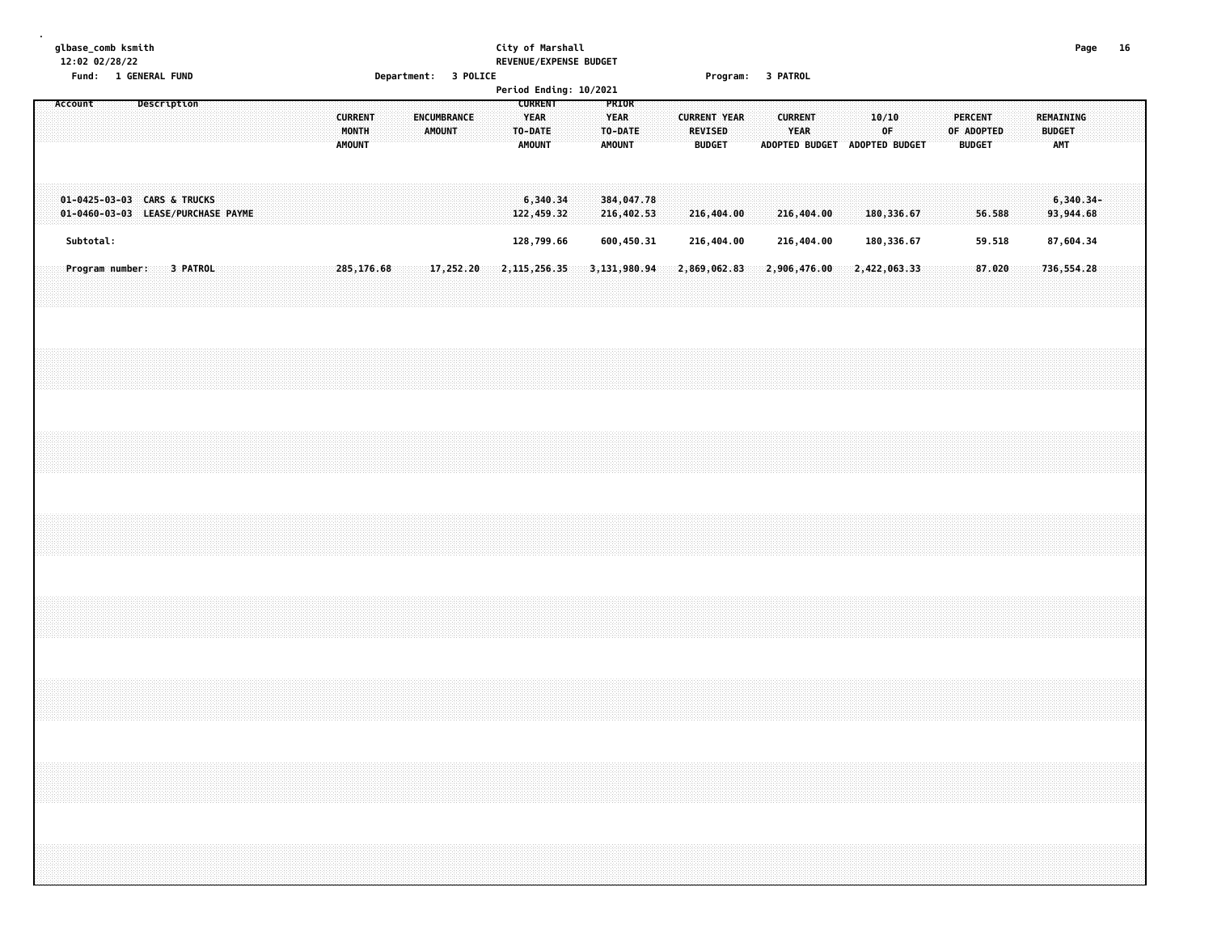#### **glbase\_comb ksmith City of Marshall Page 16 12:02 02/28/22 REVENUE/EXPENSE BUDGET Fund: 1 GENERAL FUND Department: 3 POLICE Program: 3 PATROL**

|                                                                   | <b>Pepur ements</b><br>- - - - -                        | Period Ending: 10/2021                                                      |                                                          |                                             |                            |
|-------------------------------------------------------------------|---------------------------------------------------------|-----------------------------------------------------------------------------|----------------------------------------------------------|---------------------------------------------|----------------------------|
| Description<br>Account                                            | <b>CURRENT</b><br>ENCUMBRANCE<br>MONTH<br><b>AMOUNT</b> | <b>CURRENT</b><br>PRIOR<br><b>YEAR</b><br><b>YEAR</b><br>TO-DATE<br>TO-DATE | <b>CURRENT YEAR</b><br><b>CURRENT</b><br>YEAR<br>REVISED | 10/10<br><b>PERCENT</b><br>0F<br>OF ADOPTED | REMAINING<br><b>BUDGET</b> |
|                                                                   | <b>AMOUNT</b>                                           | <b>AMOUNT</b><br><b>AMOUNT</b>                                              | <b>BUDGET</b><br>ADOPTED BUDGET ADOPTED BUDGET           | <b>BUDGET</b>                               | AMT                        |
| 01-0425-03-03 CARS & TRUCKS<br>01-0460-03-03 LEASE/PURCHASE PAYME |                                                         | 6,340.34<br>384,047.78<br>122,459.32<br>216,402.53                          | 216,404.00<br>216,404.00                                 | 180,336.67<br>56.588                        | $6,340.34-$<br>93,944.68   |
| Subtotal:                                                         |                                                         | 128,799.66<br>600,450.31                                                    | 216,404.00<br>216,404.00                                 | 180,336.67<br>59.518                        | 87,604.34                  |
| Program number:<br>3 PATROL                                       | 285,176.68<br>17,252.20                                 | 2, 115, 256.35<br>3, 131, 980.94                                            | 2,906,476.00<br>2,869,062.83                             | 2,422,063.33<br>87.020                      | 736,554.28                 |
|                                                                   |                                                         |                                                                             |                                                          |                                             |                            |
|                                                                   |                                                         |                                                                             |                                                          |                                             |                            |
|                                                                   |                                                         |                                                                             |                                                          |                                             |                            |
|                                                                   |                                                         |                                                                             |                                                          |                                             |                            |
|                                                                   |                                                         |                                                                             |                                                          |                                             |                            |
|                                                                   |                                                         |                                                                             |                                                          |                                             |                            |
|                                                                   |                                                         |                                                                             |                                                          |                                             |                            |
|                                                                   |                                                         |                                                                             |                                                          |                                             |                            |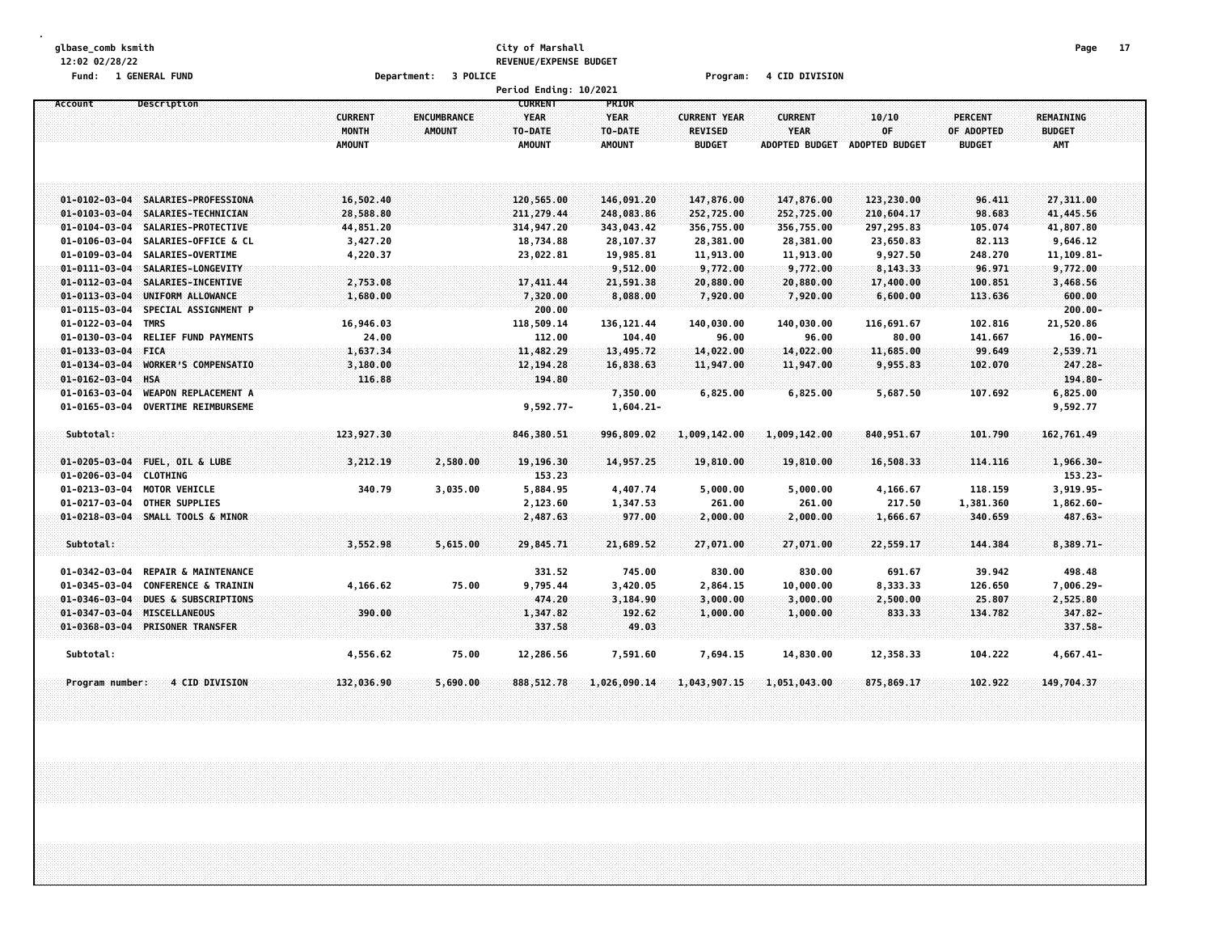#### **glbase\_comb ksmith City of Marshall Page 17 12:02 02/28/22 REVENUE/EXPENSE BUDGET Fund: 1 GENERAL FUND Department: 3 POLICE Program: 4 CID DIVISION**

|                       |                                 |                                                 |                              | Period Ending: 10/2021                                    |                                                  |                                                        |                                                        |                               |                                        |                                          |  |
|-----------------------|---------------------------------|-------------------------------------------------|------------------------------|-----------------------------------------------------------|--------------------------------------------------|--------------------------------------------------------|--------------------------------------------------------|-------------------------------|----------------------------------------|------------------------------------------|--|
| Account               | Description                     | <b>CURRENT</b><br><b>MONTH</b><br><b>AMOUNT</b> | ENCUMBRANCE<br><b>AMOUNT</b> | <b>CURRENT</b><br><b>YEAR</b><br>TO-DATE<br><b>AMOUNT</b> | PRIOR<br><b>YEAR</b><br>TO-DATE<br><b>AMOUNT</b> | <b>CURRENT YEAR</b><br><b>REVISED</b><br><b>BUDGET</b> | <b>CURRENT</b><br><b>YEAR</b><br><b>ADOPTED BUDGET</b> | 10/10<br>OF<br>ADOPTED BUDGET | PERCENT<br>OF ADOPTED<br><b>BUDGET</b> | REMAINING<br><b>BUDGET</b><br><b>AMT</b> |  |
| $01 - 0102 - 03 - 04$ | SALARIES-PROFESSIONA            | 16,502.40                                       |                              | 120,565.00                                                | 146,091.20                                       | 147,876.00                                             | 147,876.00                                             | 123,230.00                    | 96.411                                 | 27,311.00                                |  |
| $01 - 0103 - 03 - 04$ | SALARIES-TECHNICIAN             | 28,588.80                                       |                              | 211, 279.44                                               | 248,083.86                                       | 252,725.00                                             | 252,725.00                                             | 210,604.17                    | 98.683                                 | 41,445.56                                |  |
| $01 - 0104 - 03 - 04$ | SALARIES-PROTECTIVE             | 44,851.20                                       |                              | 314,947.20                                                | 343,043.42                                       | 356,755.00                                             | 356,755.00                                             | 297,295.83                    | 105.074                                | 41,807.80                                |  |
| $01 - 0106 - 03 - 04$ | SALARIES-OFFICE & CL            | 3,427.20                                        |                              | 18,734.88                                                 | 28,107.37                                        | 28,381.00                                              | 28,381.00                                              | 23,650.83                     | 82.113                                 | 9,646.12                                 |  |
| $01 - 0109 - 03 - 04$ | SALARIES-OVERTIME               | 4,220.37                                        |                              | 23,022.81                                                 | 19,985.81                                        | 11,913.00                                              | 11,913.00                                              | 9,927.50                      | 248.270                                | 11, 109.81-                              |  |
| $01 - 0111 - 03 - 04$ | SALARIES-LONGEVITY              |                                                 |                              |                                                           | 9,512.00                                         | 9,772.00                                               | 9,772.00                                               | 8,143.33                      | 96.971                                 | 9,772.00                                 |  |
| $01 - 0112 - 03 - 04$ | SALARIES-INCENTIVE              | 2,753.08                                        |                              | 17,411.44                                                 | 21,591.38                                        | 20,880.00                                              | 20,880.00                                              | 17,400.00                     | 100.851                                | 3,468.56                                 |  |
| $01 - 0113 - 03 - 04$ | UNIFORM ALLOWANCE               | 1,680.00                                        |                              | 7,320.00                                                  | 8,088.00                                         | 7,920.00                                               | 7,920.00                                               | 6,600.00                      | 113.636                                | 600.00                                   |  |
| $01 - 0115 - 03 - 04$ | SPECIAL ASSIGNMENT P            |                                                 |                              | 200.00                                                    |                                                  |                                                        |                                                        |                               |                                        | $200.00 -$                               |  |
| $01 - 0122 - 03 - 04$ | <b>TMRS</b>                     | 16,946.03                                       |                              | 118,509.14                                                | 136, 121.44                                      | 140,030.00                                             | 140,030.00                                             | 116,691.67                    | 102.816                                | 21,520.86                                |  |
| $01 - 0130 - 03 - 04$ | <b>RELIEF FUND PAYMENTS</b>     | 24.00                                           |                              | 112.00                                                    | 104.40                                           | 96.00                                                  | 96.00                                                  | 80.00                         | 141.667                                | $16.00 -$                                |  |
| 01-0133-03-04         | <b>FICA</b>                     | 1,637.34                                        |                              | 11,482.29                                                 | 13,495.72                                        | 14,022.00                                              | 14,022.00                                              | 11,685.00                     | 99.649                                 | 2,539.71                                 |  |
| $01 - 0134 - 03 - 04$ | WORKER'S COMPENSATIO            | 3,180.00                                        |                              | 12, 194. 28                                               | 16,838.63                                        | 11,947.00                                              | 11,947.00                                              | 9,955.83                      | 102.070                                | $247.28 -$                               |  |
| $01 - 0162 - 03 - 04$ | <b>HSA</b>                      | 116.88                                          |                              | 194.80                                                    |                                                  |                                                        |                                                        |                               |                                        | $194.80 -$                               |  |
| $01 - 0163 - 03 - 04$ | <b>WEAPON REPLACEMENT A</b>     |                                                 |                              |                                                           | 7,350.00                                         | 6,825.00                                               | 6,825.00                                               | 5,687.50                      | 107.692                                | 6,825.00                                 |  |
| $01 - 0165 - 03 - 04$ | <b>OVERTIME REIMBURSEME</b>     |                                                 |                              | $9,592.77-$                                               | $1,604.21-$                                      |                                                        |                                                        |                               |                                        | 9,592.77                                 |  |
| Subtotal:             |                                 | 123,927.30                                      |                              | 846,380.51                                                | 996,809.02                                       | 1,009,142.00                                           | 1,009,142.00                                           | 840,951.67                    | 101.790                                | 162,761.49                               |  |
|                       |                                 |                                                 |                              |                                                           |                                                  |                                                        |                                                        |                               |                                        |                                          |  |
| $01 - 0205 - 03 - 04$ | <b>FUEL, OIL &amp; LUBE</b>     | 3,212.19                                        | 2,580.00                     | 19,196.30                                                 | 14,957.25                                        | 19,810.00                                              | 19,810.00                                              | 16,508.33                     | 114.116                                | $1,966.30 -$                             |  |
| $01 - 0206 - 03 - 04$ | <b>CLOTHING</b>                 |                                                 |                              | 153.23                                                    |                                                  |                                                        |                                                        |                               |                                        | $153.23 -$                               |  |
| $01 - 0213 - 03 - 04$ | <b>MOTOR VEHICLE</b>            | 340.79                                          | 3,035.00                     | 5,884.95                                                  | 4,407.74                                         | 5,000.00                                               | 5,000.00                                               | 4,166.67                      | 118.159                                | $3,919.95 -$                             |  |
| $01 - 0217 - 03 - 04$ | OTHER SUPPLIES                  |                                                 |                              | 2,123.60                                                  | 1,347.53                                         | 261.00                                                 | 261.00                                                 | 217.50                        | 1,381.360                              | $1,862.60 -$                             |  |
| $01 - 0218 - 03 - 04$ | <b>SMALL TOOLS &amp; MINOR</b>  |                                                 |                              | 2,487.63                                                  | 977.00                                           | 2,000.00                                               | 2,000.00                                               | 1,666.67                      | 340.659                                | $487.63 -$                               |  |
| Subtotal:             |                                 | 3,552.98                                        | 5,615.00                     | 29,845.71                                                 | 21,689.52                                        | 27,071.00                                              | 27,071.00                                              | 22,559.17                     | 144,384                                | 8,389.71-                                |  |
| 01-0342-03-04         | <b>REPAIR &amp; MAINTENANCE</b> |                                                 |                              | 331.52                                                    | 745.00                                           | 830.00                                                 | 830.00                                                 | 691.67                        | 39.942                                 | 498.48                                   |  |
| 01-0345-03-04         | <b>CONFERENCE &amp; TRAININ</b> | 4,166.62                                        | 75.00                        | 9,795.44                                                  | 3,420.05                                         | 2,864.15                                               | 10,000.00                                              | 8,333.33                      | 126.650                                | 7,006.29-                                |  |
| $01 - 0346 - 03 - 04$ | DUES & SUBSCRIPTIONS            |                                                 |                              | 474.20                                                    | 3,184.90                                         | 3,000.00                                               | 3,000.00                                               | 2,500.00                      | 25.807                                 | 2,525.80                                 |  |
| $01 - 0347 - 03 - 04$ | <b>MISCELLANEOUS</b>            | 390.00                                          |                              | 1,347.82                                                  | 192.62                                           | 1,000.00                                               | 1,000.00                                               | 833.33                        | 134.782                                | $347.82 -$                               |  |
| $01 - 0368 - 03 - 04$ | <b>PRISONER TRANSFER</b>        |                                                 |                              | 337.58                                                    | 49.03                                            |                                                        |                                                        |                               |                                        | 337.58-                                  |  |
| Subtotal:             |                                 | 4,556.62                                        | 75.00                        | 12,286.56                                                 | 7,591.60                                         | 7,694.15                                               | 14,830.00                                              | 12,358.33                     | 104.222                                | $4,667.41-$                              |  |
| Program number:       | 4 CID DIVISION                  | 132,036.90                                      | 5,690.00                     | 888, 512.78                                               | 1,026,090.14                                     | 1,043,907.15                                           | 1,051,043.00                                           | 875,869.17                    | 102.922                                | 149,704.37                               |  |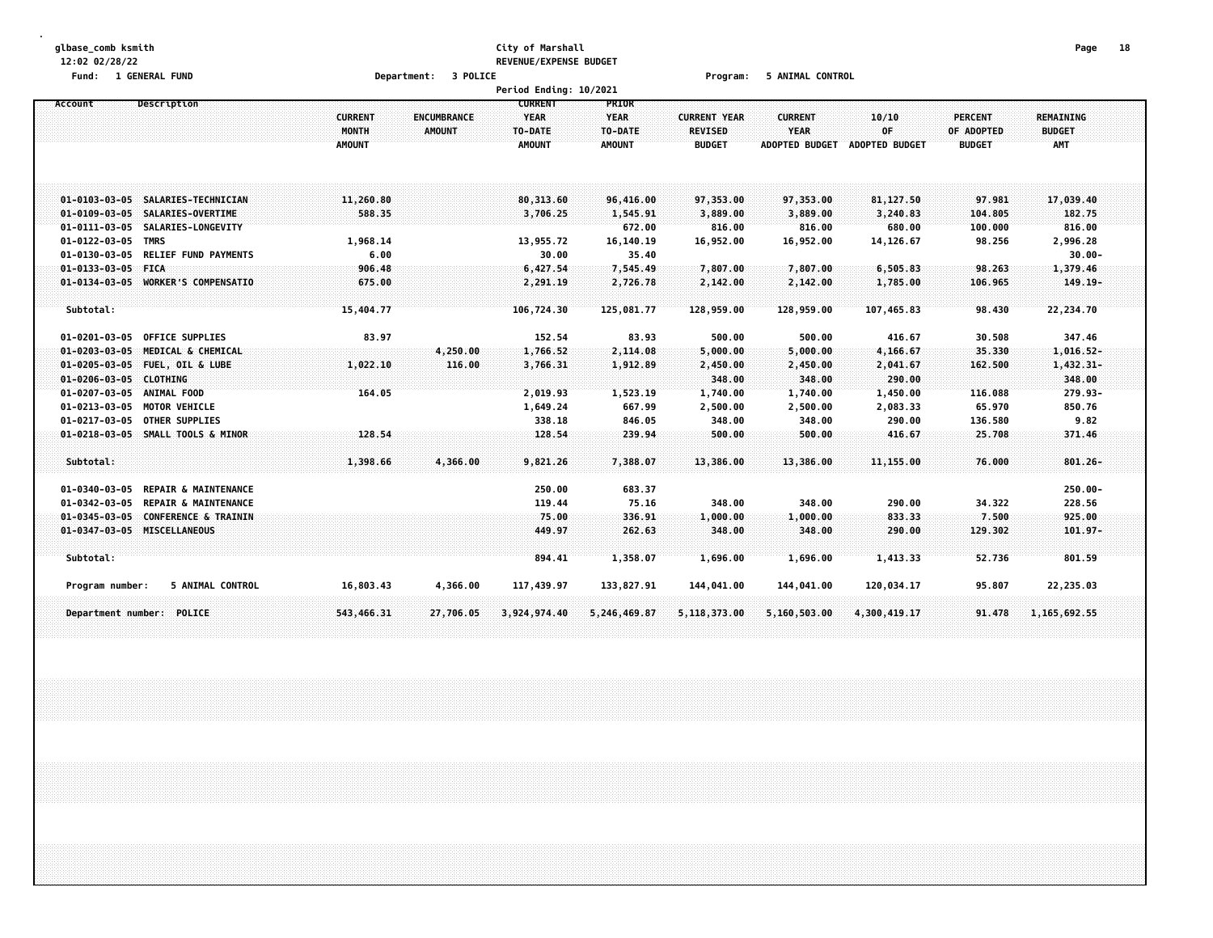#### **glbase\_comb ksmith City of Marshall Page 18 12:02 02/28/22 REVENUE/EXPENSE BUDGET Fund: 1 GENERAL FUND Department: 3 POLICE Program: 5 ANIMAL CONTROL**

|                       |                                    |                                          |                                     | Period Ending: 10/2021                  |                                  |                                                        |                                                        |                               |                                               |                                          |  |
|-----------------------|------------------------------------|------------------------------------------|-------------------------------------|-----------------------------------------|----------------------------------|--------------------------------------------------------|--------------------------------------------------------|-------------------------------|-----------------------------------------------|------------------------------------------|--|
| Account               | Description                        |                                          |                                     | <b>CURRENT</b>                          | <b>PRIOR</b>                     |                                                        |                                                        |                               |                                               |                                          |  |
|                       |                                    | <b>CURRENT</b><br>MONTH<br><b>AMOUNT</b> | <b>ENCUMBRANCE</b><br><b>AMOUNT</b> | <b>YEAR</b><br>TO-DATE<br><b>AMOUNT</b> | <b>YEAR</b><br>TO-DATE<br>AMOUNT | <b>CURRENT YEAR</b><br><b>REVISED</b><br><b>BUDGET</b> | <b>CURRENT</b><br><b>YEAR</b><br><b>ADOPTED BUDGET</b> | 10/10<br>0F<br>ADOPTED BUDGET | <b>PERCENT</b><br>OF ADOPTED<br><b>BUDGET</b> | <b>REMAINING</b><br><b>BUDGET</b><br>AMT |  |
| $01 - 0103 - 03 - 05$ | SALARIES-TECHNICIAN                | 11,260.80                                |                                     | 80, 313.60                              | 96,416.00                        | 97,353.00                                              | 97,353.00                                              | 81,127.50                     | 97.981                                        | 17,039.40                                |  |
| $01 - 0109 - 03 - 05$ | SALARIES-OVERTIME                  | 588.35                                   |                                     | 3,706.25                                | 1,545.91                         | 3,889.00                                               | 3,889.00                                               | 3,240.83                      | 104.805                                       | 182.75                                   |  |
| $01 - 0111 - 03 - 05$ | SALARIES-LONGEVITY                 |                                          |                                     |                                         | 672.00                           | 816.00                                                 | 816.00                                                 | 680.00                        | 100.000                                       | 816.00                                   |  |
| $01 - 0122 - 03 - 05$ | <b>TMRS</b>                        | 1,968.14                                 |                                     | 13,955.72                               | 16,140.19                        | 16,952.00                                              | 16,952.00                                              | 14,126.67                     | 98.256                                        | 2,996.28                                 |  |
| $01 - 0130 - 03 - 05$ | <b>RELIEF FUND PAYMENTS</b>        | 6.00                                     |                                     | 30.00                                   | 35.40                            |                                                        |                                                        |                               |                                               | $30.00 -$                                |  |
| $01 - 0133 - 03 - 05$ | <b>FICA</b>                        | 906.48                                   |                                     | 6,427.54                                | 7,545.49                         | 7,807.00                                               | 7,807.00                                               | 6,505.83                      | 98.263                                        | 1,379.46                                 |  |
|                       | 01-0134-03-05 WORKER'S COMPENSATIO | 675.00                                   |                                     | 2,291.19                                | 2,726.78                         | 2,142.00                                               | 2,142.00                                               | 1,785.00                      | 106.965                                       | $149.19 -$                               |  |
|                       |                                    |                                          |                                     |                                         |                                  |                                                        |                                                        |                               |                                               |                                          |  |
| Subtotal:             |                                    | 15,404.77                                |                                     | 106,724.30                              | 125,081.77                       | 128,959.00                                             | 128,959.00                                             | 107,465.83                    | 98.430                                        | 22,234.70                                |  |
| $01 - 0201 - 03 - 05$ | <b>OFFICE SUPPLIES</b>             | 83.97                                    |                                     | 152.54                                  | 83.93                            | 500.00                                                 | 500.00                                                 | 416.67                        | 30.508                                        | 347.46                                   |  |
| $01 - 0203 - 03 - 05$ | MEDICAL & CHEMICAL                 |                                          | 4,250.00                            | 1,766.52                                | 2,114.08                         | 5,000.00                                               | 5,000.00                                               | 4,166.67                      | 35.330                                        | 1,016.52-                                |  |
| $01 - 0205 - 03 - 05$ | FUEL, OIL & LUBE                   | 1,022.10                                 | 116.00                              | 3,766.31                                | 1,912.89                         | 2,450.00                                               | 2,450.00                                               | 2,041.67                      | 162.500                                       | $1,432.31-$                              |  |
| $01 - 0206 - 03 - 05$ | <b>CLOTHING</b>                    |                                          |                                     |                                         |                                  | 348.00                                                 | 348.00                                                 | 290.00                        |                                               | 348.00                                   |  |
| $01 - 0207 - 03 - 05$ | ANIMAL FOOD                        | 164.05                                   |                                     | 2,019.93                                | 1,523.19                         | 1,740.00                                               | 1,740.00                                               | 1,450.00                      | 116.088                                       | 279.93-                                  |  |
| $01 - 0213 - 03 - 05$ | <b>MOTOR VEHICLE</b>               |                                          |                                     | 1,649.24                                | 667.99                           | 2,500.00                                               | 2,500.00                                               | 2,083.33                      | 65.970                                        | 850.76                                   |  |
| $01 - 0217 - 03 - 05$ | <b>OTHER SUPPLIES</b>              |                                          |                                     | 338.18                                  | 846.05                           | 348.00                                                 | 348.00                                                 | 290.00                        | 136.580                                       | 9.82                                     |  |
|                       | 01-0218-03-05 SMALL TOOLS & MINOR  | 128.54                                   |                                     | 128.54                                  | 239.94                           | 500.00                                                 | 500.00                                                 | 416.67                        | 25.708                                        | 371.46                                   |  |
| Subtotal:             |                                    | 1,398.66                                 | 4,366.00                            | 9,821.26                                | 7,388.07                         | 13,386.00                                              | 13,386.00                                              | 11,155.00                     | 76.000                                        | $801.26 -$                               |  |
| $01 - 0340 - 03 - 05$ | <b>REPAIR &amp; MAINTENANCE</b>    |                                          |                                     | 250.00                                  | 683.37                           |                                                        |                                                        |                               |                                               | $250.00 -$                               |  |
| $01 - 0342 - 03 - 05$ | <b>REPAIR &amp; MAINTENANCE</b>    |                                          |                                     | 119.44                                  | 75.16                            | 348.00                                                 | 348.00                                                 | 290.00                        | 34.322                                        | 228.56                                   |  |
| $01 - 0345 - 03 - 05$ | <b>CONFERENCE &amp; TRAININ</b>    |                                          |                                     | 75.00                                   | 336.91                           | 1,000.00                                               | 1,000.00                                               | 833.33                        | 7.500                                         | 925.00                                   |  |
|                       | 01-0347-03-05 MISCELLANEOUS        |                                          |                                     | 449.97                                  | 262.63                           | 348.00                                                 | 348.00                                                 | 290.00                        | 129.302                                       | $101.97 -$                               |  |
| Subtotal:             |                                    |                                          |                                     | 894.41                                  | 1,358.07                         | 1,696.00                                               | 1,696.00                                               | 1,413.33                      | 52.736                                        | 801.59                                   |  |
| Program number:       | 5 ANIMAL CONTROL                   | 16,803.43                                | 4,366.00                            | 117,439.97                              | 133,827.91                       | 144,041.00                                             | 144,041.00                                             | 120,034.17                    | 95.807                                        | 22,235.03                                |  |
|                       | Department number: POLICE          | 543,466.31                               | 27,706.05                           | 3,924,974.40                            | 5,246,469.87                     | 5,118,373.00                                           | 5,160,503.00                                           | 4,300,419.17                  | 91.478                                        | 1, 165, 692.55                           |  |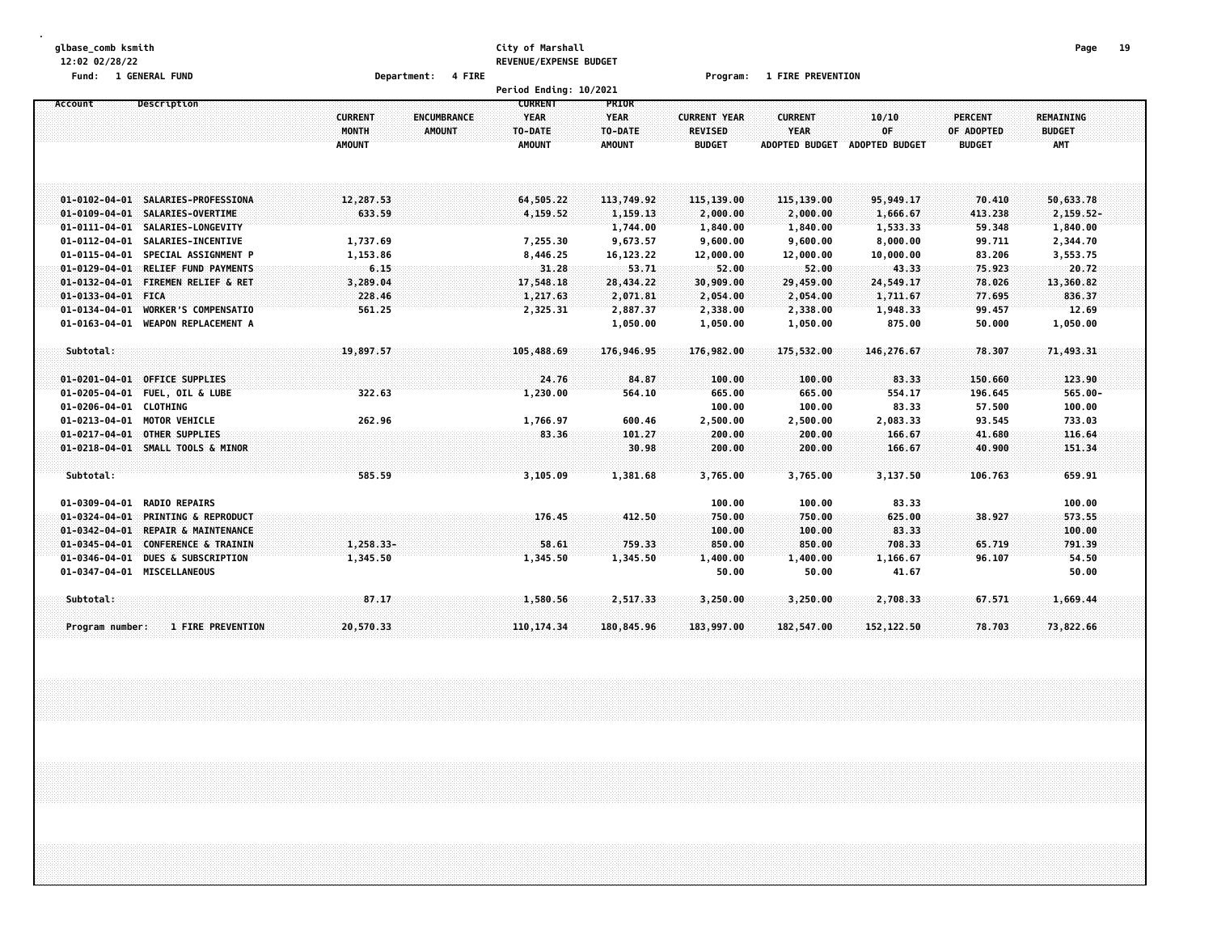#### **glbase\_comb ksmith City of Marshall Page 19 12:02 02/28/22 REVENUE/EXPENSE BUDGET**

**Fund: 1 GENERAL FUND Department: 4 FIRE Program: 1 FIRE PREVENTION**

|                       |                                    |                | Period Ending: 10/2021            |               |                     |                       |                       |                |                  |  |
|-----------------------|------------------------------------|----------------|-----------------------------------|---------------|---------------------|-----------------------|-----------------------|----------------|------------------|--|
| Account               | Description                        |                | <b>CURRENT</b>                    | PRIOR         |                     |                       |                       |                |                  |  |
|                       |                                    | <b>CURRENT</b> | <b>YEAR</b><br><b>ENCUMBRANCE</b> | <b>YEAR</b>   | <b>CURRENT YEAR</b> | <b>CURRENT</b>        | 10/10                 | <b>PERCENT</b> | <b>REMAINING</b> |  |
|                       |                                    | MONTH          | AMOUNT<br>TO-DATE                 | TO-DATE       | <b>REVISED</b>      | <b>YEAR</b>           | OF                    | OF ADOPTED     | <b>BUDGET</b>    |  |
|                       |                                    | <b>AMOUNT</b>  | <b>AMOUNT</b>                     | <b>AMOUNT</b> | <b>BUDGET</b>       | <b>ADOPTED BUDGET</b> | <b>ADOPTED BUDGET</b> | <b>BUDGET</b>  | AMT              |  |
|                       |                                    |                |                                   |               |                     |                       |                       |                |                  |  |
|                       |                                    |                |                                   |               |                     |                       |                       |                |                  |  |
|                       | 01-0102-04-01 SALARIES-PROFESSIONA | 12,287.53      | 64,505.22                         | 113,749.92    | 115,139.00          | 115,139.00            | 95,949.17             | 70.410         | 50,633.78        |  |
|                       | 01-0109-04-01 SALARIES-OVERTIME    | 633.59         | 4,159.52                          | 1,159.13      | 2,000.00            | 2,000.00              | 1,666.67              | 413.238        | $2, 159.52 -$    |  |
|                       | 01-0111-04-01 SALARIES-LONGEVITY   |                |                                   | 1,744.00      | 1,840.00            | 1,840.00              | 1,533.33              | 59.348         | 1,840.00         |  |
| $01 - 0112 - 04 - 01$ | SALARIES-INCENTIVE                 | 1,737.69       | 7,255.30                          | 9,673.57      | 9,600.00            | 9,600.00              | 8,000.00              | 99.711         | 2,344.70         |  |
| $01 - 0115 - 04 - 01$ | SPECIAL ASSIGNMENT P               | 1,153.86       | 8,446.25                          | 16, 123. 22   | 12,000.00           | 12,000.00             | 10,000.00             | 83.206         | 3,553.75         |  |
| $01 - 0129 - 04 - 01$ | <b>RELIEF FUND PAYMENTS</b>        | 6.15           | 31.28                             | 53.71         | 52.00               | 52.00                 | 43.33                 | 75.923         | 20.72            |  |
| $01 - 0132 - 04 - 01$ | <b>FIREMEN RELIEF &amp; RET</b>    | 3,289.04       | 17,548.18                         | 28,434.22     | 30,909.00           | 29,459.00             | 24,549.17             | 78.026         | 13,360.82        |  |
| $01 - 0133 - 04 - 01$ | <b>FICA</b>                        | 228.46         | 1,217.63                          | 2,071.81      | 2,054.00            | 2,054.00              | 1,711.67              | 77.695         | 836.37           |  |
| $01 - 0134 - 04 - 01$ | <b>WORKER'S COMPENSATIO</b>        | 561.25         | 2,325.31                          | 2,887.37      | 2,338.00            | 2,338.00              | 1,948.33              | 99.457         | 12.69            |  |
| $01 - 0163 - 04 - 01$ | <b>WEAPON REPLACEMENT A</b>        |                |                                   | 1,050.00      | 1,050.00            | 1,050.00              | 875.00                | 50.000         | 1,050.00         |  |
| Subtotal:             |                                    | 19,897.57      | 105,488.69                        | 176,946.95    | 176,982.00          | 175,532.00            | 146,276.67            | 78.307         | 71,493.31        |  |
|                       |                                    |                |                                   |               |                     |                       |                       |                |                  |  |
| $01 - 0201 - 04 - 01$ | <b>OFFICE SUPPLIES</b>             |                | 24.76                             | 84.87         | 100.00              | 100.00                | 83.33                 | 150.660        | 123.90           |  |
| $01 - 0205 - 04 - 01$ | <b>FUEL, OIL &amp; LUBE</b>        | 322.63         | 1,230.00                          | 564.10        | 665.00              | 665.00                | 554.17                | 196.645        | $565.00 -$       |  |
| $01 - 0206 - 04 - 01$ | <b>CLOTHING</b>                    |                |                                   |               | 100.00              | 100.00                | 83.33                 | 57.500         | 100.00           |  |
| $01 - 0213 - 04 - 01$ | <b>MOTOR VEHICLE</b>               | 262.96         | 1,766.97                          | 600.46        | 2,500.00            | 2,500.00              | 2,083.33              | 93.545         | 733.03           |  |
| $01 - 0217 - 04 - 01$ | <b>OTHER SUPPLIES</b>              |                | 83.36                             | 101.27        | 200.00              | 200.00                | 166.67                | 41.680         | 116.64           |  |
|                       | 01-0218-04-01 SMALL TOOLS & MINOR  |                |                                   | 30.98         | 200.00              | 200.00                | 166.67                | 40.900         | 151,34           |  |
| Subtotal:             |                                    | 585.59         | 3,105.09                          | 1,381.68      | 3,765.00            | 3,765.00              | 3,137.50              | 106.763        | 659.91           |  |
|                       |                                    |                |                                   |               |                     |                       |                       |                |                  |  |
| $01 - 0309 - 04 - 01$ | <b>RADIO REPAIRS</b>               |                |                                   |               | 100.00              | 100.00                | 83.33                 |                | 100.00           |  |
| $01 - 0324 - 04 - 01$ | <b>PRINTING &amp; REPRODUCT</b>    |                | 176.45                            | 412.50        | 750.00              | 750.00                | 625.00                | 38.927         | 573.55           |  |
| $01 - 0342 - 04 - 01$ | REPAIR & MAINTENANCE               |                |                                   |               | 100.00              | 100.00                | 83.33                 |                | 100.00           |  |
| $01 - 0345 - 04 - 01$ | CONFERENCE & TRAININ               | 1,258.33-      | 58.61                             | 759.33        | 850.00              | 850.00                | 708.33                | 65.719         | 791.39           |  |
| $01 - 0346 - 04 - 01$ | <b>DUES &amp; SUBSCRIPTION</b>     | 1,345.50       | 1,345.50                          | 1,345.50      | 1,400.00            | 1,400.00              | 1,166.67              | 96.107         | 54.50            |  |
|                       | 01-0347-04-01 MISCELLANEOUS        |                |                                   |               | 50.00               | 50.00                 | 41.67                 |                | 50.00            |  |
| Subtotal:             |                                    | 87.17          | 1,580.56                          | 2,517.33      | 3,250.00            | 3,250.00              | 2,708.33              | 67.571         | 1,669.44         |  |
| Program number:       | <b>1 FIRE PREVENTION</b>           | 20,570.33      | 110, 174, 34                      | 180,845.96    | 183,997.00          | 182,547.00            | 152, 122.50           | 78.703         | 73,822.66        |  |
|                       |                                    |                |                                   |               |                     |                       |                       |                |                  |  |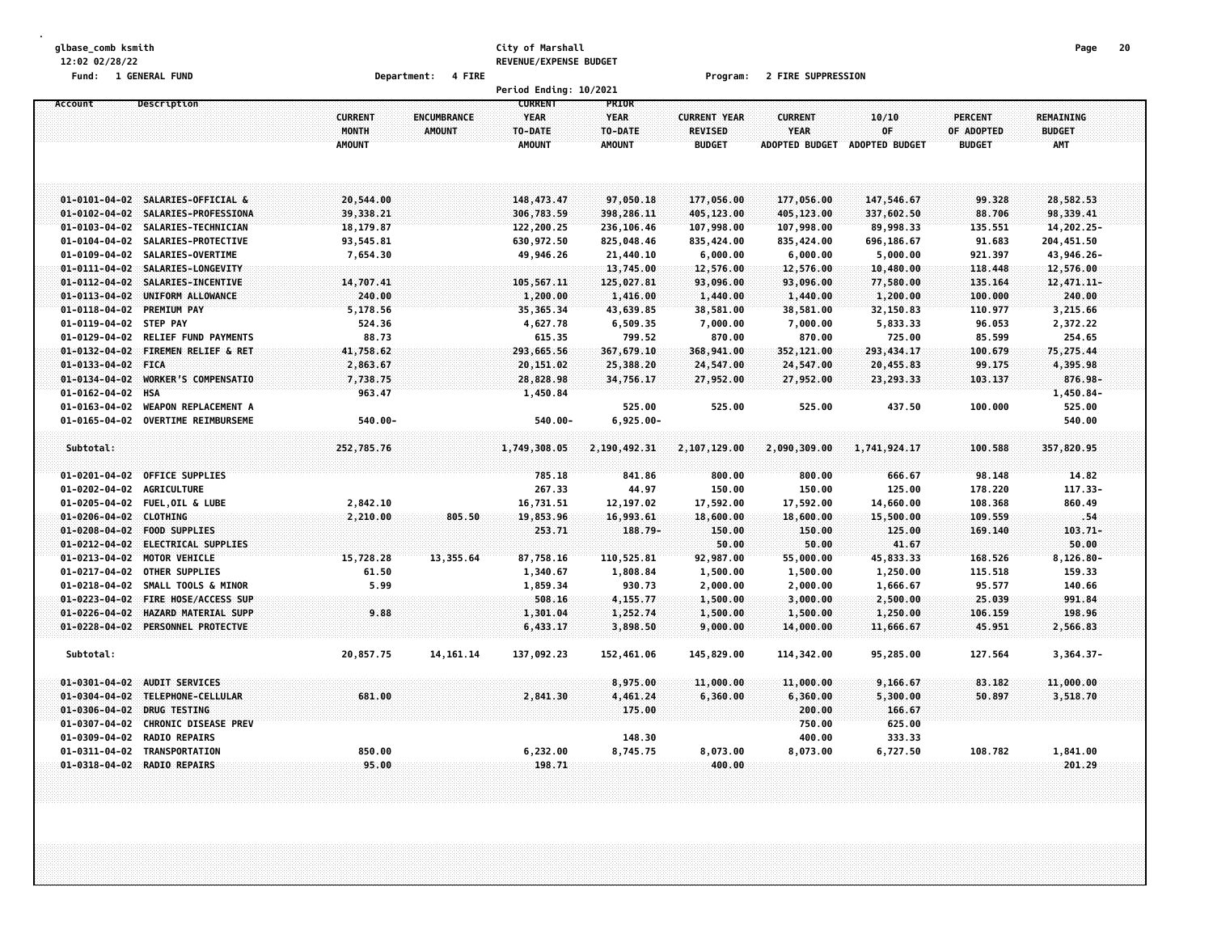#### **glbase\_comb ksmith City of Marshall Page 20 12:02 02/28/22 REVENUE/EXPENSE BUDGET**

**Fund: 1 GENERAL FUND Department: 4 FIRE Program: 2 FIRE SUPPRESSION**

|                        |                             |                |                    | Period Ending: 10/2021 |               |                     |                       |                |                |                  |  |
|------------------------|-----------------------------|----------------|--------------------|------------------------|---------------|---------------------|-----------------------|----------------|----------------|------------------|--|
| Account                | Description                 |                |                    | <b>CURRENT</b>         | PRIOR         |                     |                       |                |                |                  |  |
|                        |                             | <b>CURRENT</b> | <b>ENCUMBRANCE</b> | <b>YEAR</b>            | <b>YEAR</b>   | <b>CURRENT YEAR</b> | <b>CURRENT</b>        | 10/10          | <b>PERCENT</b> | <b>REMAINING</b> |  |
|                        |                             | MONTH          | <b>AMOUNT</b>      | TO-DATE                | TO-DATE       | <b>REVISED</b>      | <b>YEAR</b>           | OF             | OF ADOPTED     | <b>BUDGET</b>    |  |
|                        |                             | <b>AMOUNT</b>  |                    | <b>AMOUNT</b>          | <b>AMOUNT</b> | <b>BUDGET</b>       | <b>ADOPTED BUDGET</b> | ADOPTED BUDGET | <b>BUDGET</b>  | <b>AMT</b>       |  |
|                        |                             |                |                    |                        |               |                     |                       |                |                |                  |  |
|                        |                             |                |                    |                        |               |                     |                       |                |                |                  |  |
|                        |                             |                |                    |                        |               |                     |                       |                |                |                  |  |
| $01 - 0101 - 04 - 02$  | SALARIES-OFFICIAL &         | 20,544.00      |                    | 148, 473.47            | 97,050.18     | 177,056.00          | 177,056.00            | 147,546.67     | 99.328         | 28,582.53        |  |
| $01 - 0102 - 04 - 02$  | SALARIES-PROFESSIONA        | 39,338.21      |                    | 306,783.59             | 398,286.11    | 405,123.00          | 405,123.00            | 337,602.50     | 88.706         | 98,339.41        |  |
| $01 - 0103 - 04 - 02$  | SALARIES-TECHNICIAN         | 18,179.87      |                    | 122,200.25             | 236,106.46    | 107,998.00          | 107,998.00            | 89,998.33      | 135.551        | 14,202.25-       |  |
| $01 - 0104 - 04 - 02$  | SALARIES-PROTECTIVE         | 93,545.81      |                    | 630,972.50             | 825,048.46    | 835,424.00          | 835,424.00            | 696,186.67     | 91.683         | 204,451.50       |  |
| $01 - 0109 - 04 - 02$  | SALARIES-OVERTIME           | 7,654.30       |                    | 49,946.26              | 21,440.10     | 6,000.00            | 6,000.00              | 5,000.00       | 921.397        | 43,946.26-       |  |
| $01 - 0111 - 04 - 02$  | SALARIES-LONGEVITY          |                |                    |                        | 13,745.00     | 12,576.00           | 12,576.00             | 10,480.00      | 118.448        | 12,576.00        |  |
| $01 - 0112 - 04 - 02$  | SALARIES-INCENTIVE          | 14,707.41      |                    | 105,567.11             | 125,027.81    | 93,096.00           | 93,096.00             | 77,580.00      | 135.164        | 12,471.11-       |  |
| $01 - 0113 - 04 - 02$  | UNIFORM ALLOWANCE           | 240.00         |                    | 1,200.00               | 1,416.00      | 1,440.00            | 1,440.00              | 1,200.00       | 100.000        | 240.00           |  |
| $01 - 0118 - 04 - 02$  | <b>PREMIUM PAY</b>          | 5,178.56       |                    | 35, 365. 34            | 43,639.85     | 38,581.00           | 38,581.00             | 32,150.83      | 110.977        | 3,215.66         |  |
| $01 - 0119 - 04 - 02$  | <b>STEP PAY</b>             | 524.36         |                    | 4,627.78               | 6,509.35      | 7,000.00            | 7,000.00              | 5,833.33       | 96.053         | 2,372.22         |  |
| $01 - 0129 - 04 - 02$  | <b>RELIEF FUND PAYMENTS</b> | 88.73          |                    | 615.35                 | 799.52        | 870.00              | 870.00                | 725.00         | 85.599         | 254.65           |  |
| $01 - 0132 - 04 - 02$  | FIREMEN RELIEF & RET        | 41,758.62      |                    | 293,665.56             | 367,679.10    | 368,941.00          | 352,121.00            | 293,434.17     | 100.679        | 75,275.44        |  |
| $01 - 0133 - 04 - 02$  | <b>FICA</b>                 | 2,863.67       |                    | 20,151.02              | 25,388.20     | 24,547.00           | 24,547.00             | 20,455.83      | 99.175         | 4,395.98         |  |
| $01 - 0134 - 04 - 02$  | WORKER'S COMPENSATIO        | 7,738.75       |                    | 28,828.98              | 34,756.17     | 27,952.00           | 27,952.00             | 23, 293.33     | 103.137        | 876.98-          |  |
| $01 - 0162 - 04 - 02$  | <b>HSA</b>                  | 963.47         |                    | 1,450.84               |               |                     |                       |                |                | 1,450.84-        |  |
| $01 - 0163 - 04 - 02$  | WEAPON REPLACEMENT A        |                |                    |                        | 525.00        | 525.00              | 525.00                | 437.50         | 100.000        | 525.00           |  |
| $01 - 0165 - 04 - 02$  | <b>OVERTIME REIMBURSEME</b> | $540.00 -$     |                    | $540.00 -$             | $6,925.00 -$  |                     |                       |                |                | 540.00           |  |
|                        |                             |                |                    |                        |               |                     |                       |                |                |                  |  |
| Subtotal:              |                             | 252,785.76     |                    | 1,749,308.05           | 2,190,492.31  | 2,107,129.00        | 2,090,309.00          | 1,741,924.17   | 100.588        | 357,820.95       |  |
|                        |                             |                |                    |                        |               |                     |                       |                |                |                  |  |
| $01 - 0201 - 04 - 02$  | <b>OFFICE SUPPLIES</b>      |                |                    | 785.18                 | 841.86        | 800.00              | 800.00                | 666.67         | 98.148         | 14.82            |  |
| $01 - 0202 - 04 - 02$  | <b>AGRICULTURE</b>          |                |                    | 267.33                 | 44.97         | 150.00              | 150.00                | 125.00         | 178.220        | 117.33-          |  |
| $01 - 0205 - 04 - 02$  | <b>FUEL, OIL &amp; LUBE</b> | 2,842.10       |                    | 16,731.51              | 12, 197.02    | 17,592.00           | 17,592.00             | 14,660.00      | 108.368        | 860.49           |  |
| 01-0206-04-02 CLOTHING |                             | 2,210.00       | 805.50             | 19,853.96              | 16,993.61     | 18,600.00           | 18,600.00             | 15,500.00      | 109.559        | .54              |  |
| $01 - 0208 - 04 - 02$  | <b>FOOD SUPPLIES</b>        |                |                    | 253.71                 | 188.79-       | 150.00              | 150.00                | 125.00         | 169.140        | 103.71-          |  |
| $01 - 0212 - 04 - 02$  | <b>ELECTRICAL SUPPLIES</b>  |                |                    |                        |               | 50.00               | 50.00                 | 41.67          |                | 50.00            |  |
| $01 - 0213 - 04 - 02$  | MOTOR VEHICLE               | 15,728.28      | 13,355.64          | 87,758.16              | 110,525.81    | 92,987.00           | 55,000.00             | 45,833.33      | 168.526        | 8,126.80-        |  |
| $01 - 0217 - 04 - 02$  | OTHER SUPPLIES              | 61.50          |                    | 1,340.67               | 1,808.84      | 1,500.00            | 1,500.00              | 1,250.00       | 115.518        | 159.33           |  |
| $01 - 0218 - 04 - 02$  | SMALL TOOLS & MINOR         | 5.99           |                    | 1,859.34               | 930.73        | 2,000.00            | 2,000.00              | 1,666.67       | 95.577         | 140.66           |  |
| $01 - 0223 - 04 - 02$  | <b>FIRE HOSE/ACCESS SUP</b> |                |                    | 508.16                 | 4,155.77      | 1,500.00            | 3,000.00              | 2,500.00       | 25.039         | 991,84           |  |
| $01 - 0226 - 04 - 02$  | HAZARD MATERIAL SUPP        | 9.88           |                    | 1,301.04               | 1,252.74      | 1,500.00            | 1,500.00              | 1,250.00       | 106.159        | 198.96           |  |
| $01 - 0228 - 04 - 02$  | PERSONNEL PROTECTVE         |                |                    | 6,433.17               | 3,898.50      | 9,000.00            | 14,000.00             | 11,666.67      | 45.951         | 2,566.83         |  |
|                        |                             |                |                    |                        |               |                     |                       |                |                |                  |  |
| Subtotal:              |                             | 20,857.75      | 14, 161. 14        | 137,092.23             | 152,461.06    | 145,829.00          | 114,342.00            | 95,285.00      | 127.564        | $3,364.37-$      |  |
|                        |                             |                |                    |                        |               |                     |                       |                |                |                  |  |
| $01 - 0301 - 04 - 02$  | AUDIT SERVICES              |                |                    |                        | 8,975.00      | 11,000.00           | 11,000.00             | 9,166.67       | 83.182         | 11,000.00        |  |
| $01 - 0304 - 04 - 02$  | TELEPHONE-CELLULAR          | 681.00         |                    | 2,841.30               | 4,461.24      | 6,360.00            | 6,360.00              | 5,300.00       | 50.897         | 3,518.70         |  |
| $01 - 0306 - 04 - 02$  | DRUG TESTING                |                |                    |                        | 175.00        |                     | 200.00                | 166.67         |                |                  |  |
| $01 - 0307 - 04 - 02$  | <b>CHRONIC DISEASE PREV</b> |                |                    |                        |               |                     | 750.00                | 625.00         |                |                  |  |
| $01 - 0309 - 04 - 02$  | <b>RADIO REPAIRS</b>        |                |                    |                        | 148.30        |                     | 400.00                | 333.33         |                |                  |  |
| $01 - 0311 - 04 - 02$  | TRANSPORTATION              | 850.00         |                    | 6,232.00               | 8,745.75      | 8,073.00            | 8,073.00              | 6,727.50       | 108.782        | 1,841.00         |  |
| $01 - 0318 - 04 - 02$  | <b>RADIO REPAIRS</b>        | 95.00          |                    | 198.71                 |               | 400.00              |                       |                |                | 201.29           |  |
|                        |                             |                |                    |                        |               |                     |                       |                |                |                  |  |
|                        |                             |                |                    |                        |               |                     |                       |                |                |                  |  |
|                        |                             |                |                    |                        |               |                     |                       |                |                |                  |  |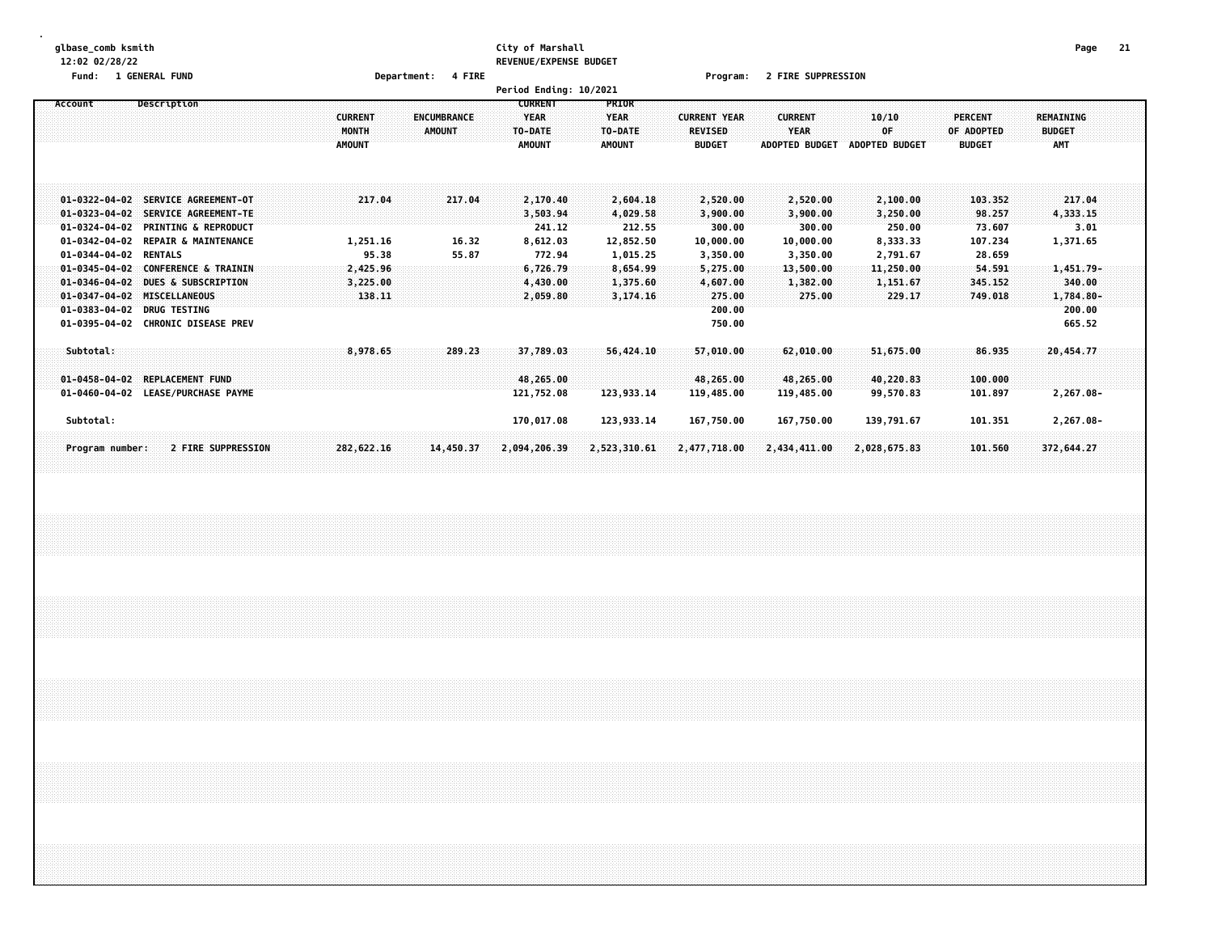#### **glbase\_comb ksmith City of Marshall Page 21 12:02 02/28/22 REVENUE/EXPENSE BUDGET**

**Fund: 1 GENERAL FUND Department: 4 FIRE Program: 2 FIRE SUPPRESSION**

|                                                                                                                                            |                                                               |                                                                                                      |                                                     |                              | Period Ending: 10/2021                                    |                                                           |                                                                   |                                                          |                                                         |                                                   |                                                          |  |
|--------------------------------------------------------------------------------------------------------------------------------------------|---------------------------------------------------------------|------------------------------------------------------------------------------------------------------|-----------------------------------------------------|------------------------------|-----------------------------------------------------------|-----------------------------------------------------------|-------------------------------------------------------------------|----------------------------------------------------------|---------------------------------------------------------|---------------------------------------------------|----------------------------------------------------------|--|
| Account                                                                                                                                    | Description                                                   |                                                                                                      | <b>CURRENT</b><br>MONTH<br><b>AMOUNT</b>            | <b>ENCUMBRANCE</b><br>AMOUNT | <b>CURRENT</b><br><b>YEAR</b><br>TO-DATE<br><b>AMOUNT</b> | PRIOR<br><b>YEAR</b><br>TO-DATE<br>AMOUNT                 | <b>CURRENT YEAR</b><br><b>REVISED</b><br><b>BUDGET</b>            | <b>CURRENT</b><br><b>YEAR</b><br><b>ADOPTED BUDGET</b>   | 10/10<br>OF<br><b>ADOPTED BUDGET</b>                    | <b>PERCENT</b><br>OF ADOPTED<br><b>BUDGET</b>     | <b>REMAINING</b><br><b>BUDGET</b><br>AMT                 |  |
| $01 - 0322 - 04 - 02$<br>$01 - 0323 - 04 - 02$<br>$01 - 0324 - 04 - 02$                                                                    |                                                               | SERVICE AGREEMENT-OT<br>SERVICE AGREEMENT-TE<br><b>PRINTING &amp; REPRODUCT</b>                      | 217.04                                              | 217.04                       | 2,170.40<br>3,503.94<br>241.12                            | 2,604.18<br>4,029.58<br>212.55                            | 2,520.00<br>3,900.00<br>300.00                                    | 2,520.00<br>3,900.00<br>300.00                           | 2,100.00<br>3,250.00<br>250.00                          | 103.352<br>98.257<br>73.607                       | 217.04<br>4,333.15<br>3.01                               |  |
| 01-0342-04-02<br>$01 - 0344 - 04 - 02$<br>$01 - 0345 - 04 - 02$<br>$01 - 0346 - 04 - 02$<br>$01 - 0347 - 04 - 02$<br>$01 - 0383 - 04 - 02$ | <b>RENTALS</b><br><b>MISCELLANEOUS</b><br><b>DRUG TESTING</b> | <b>REPAIR &amp; MAINTENANCE</b><br><b>CONFERENCE &amp; TRAININ</b><br><b>DUES &amp; SUBSCRIPTION</b> | 1,251.16<br>95.38<br>2,425.96<br>3,225.00<br>138.11 | 16.32<br>55.87               | 8,612.03<br>772.94<br>6,726.79<br>4,430.00<br>2,059.80    | 12,852.50<br>1,015.25<br>8,654.99<br>1,375.60<br>3,174.16 | 10,000.00<br>3,350.00<br>5,275.00<br>4,607.00<br>275.00<br>200.00 | 10,000.00<br>3,350.00<br>13,500.00<br>1,382.00<br>275.00 | 8,333.33<br>2,791.67<br>11,250.00<br>1,151.67<br>229.17 | 107.234<br>28.659<br>54.591<br>345.152<br>749.018 | 1,371.65<br>$1,451.79-$<br>340.00<br>1,784.80-<br>200.00 |  |
| 01-0395-04-02 CHRONIC DISEASE PREV<br>Subtotal:<br>$01 - 0458 - 04 - 02$                                                                   | <b>REPLACEMENT FUND</b>                                       |                                                                                                      | 8,978.65                                            | 289.23                       | 37,789.03<br>48,265.00                                    | 56,424.10                                                 | 750.00<br>57,010.00<br>48,265.00                                  | 62,010,00<br>48,265.00                                   | 51,675.00<br>40,220.83                                  | 86.935<br>100.000                                 | 665.52<br>20,454.77                                      |  |
| 01-0460-04-02 LEASE/PURCHASE PAYME<br>Subtotal:                                                                                            |                                                               |                                                                                                      |                                                     |                              | 121,752.08<br>170,017.08                                  | 123,933.14<br>123,933.14                                  | 119,485.00<br>167,750.00                                          | 119,485.00<br>167,750.00                                 | 99,570.83<br>139,791.67                                 | 101.897<br>101.351                                | 2,267.08-<br>2,267.08-                                   |  |
| Program number:                                                                                                                            |                                                               | 2 FIRE SUPPRESSION                                                                                   | 282,622.16                                          | 14,450.37                    | 2,094,206.39                                              | 2,523,310.61                                              | 2,477,718.00                                                      | 2,434,411.00                                             | 2,028,675.83                                            | 101.560                                           | 372,644,27                                               |  |
|                                                                                                                                            |                                                               |                                                                                                      |                                                     |                              |                                                           |                                                           |                                                                   |                                                          |                                                         |                                                   |                                                          |  |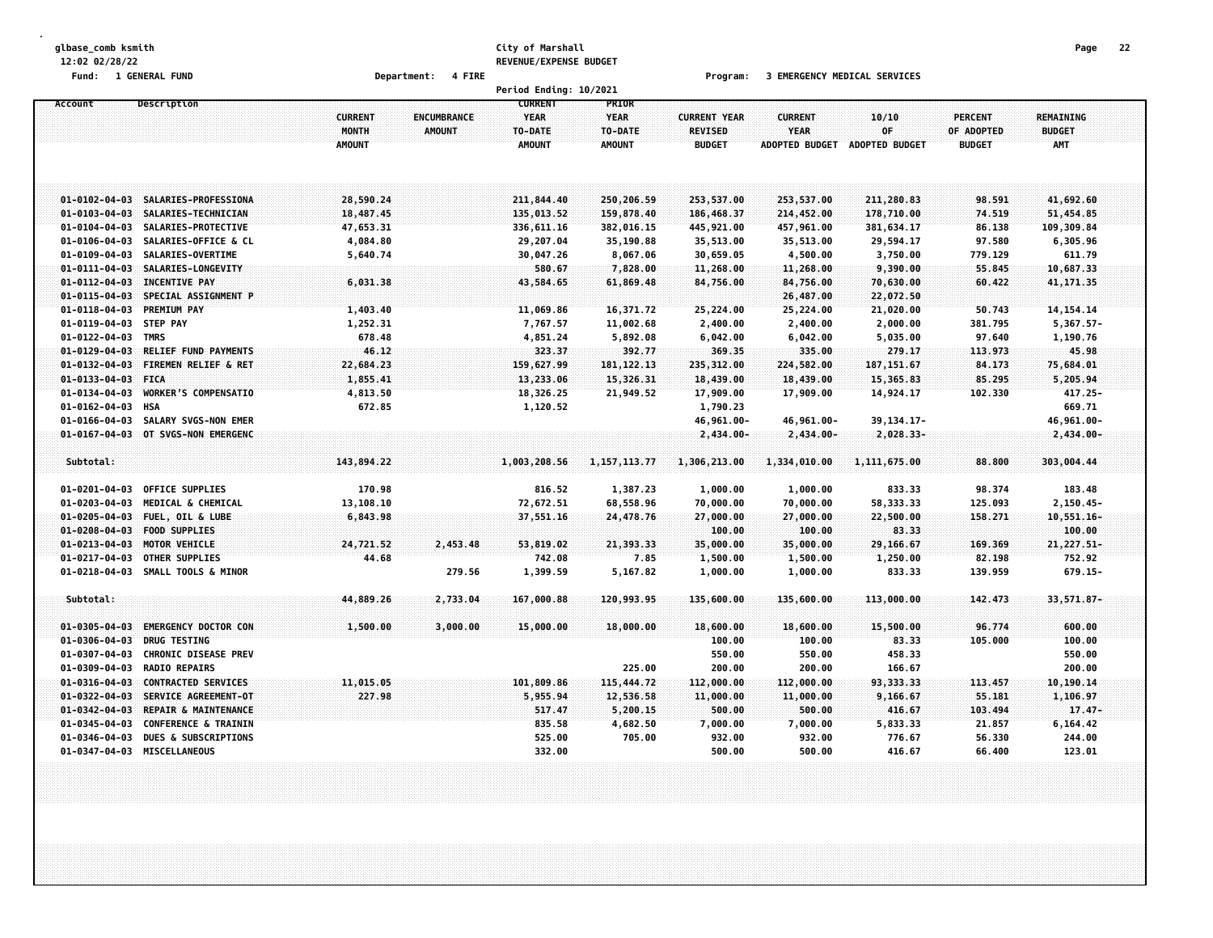#### **glbase\_comb ksmith City of Marshall Page 22 12:02 02/28/22 REVENUE/EXPENSE BUDGET**

**Fund: 1 GENERAL FUND Department: 4 FIRE Program: 3 EMERGENCY MEDICAL SERVICES**

|                       |                                 |                         |                              | Period Ending: 10/2021                   |                                 |                                       |                               |                |                              |                            |  |
|-----------------------|---------------------------------|-------------------------|------------------------------|------------------------------------------|---------------------------------|---------------------------------------|-------------------------------|----------------|------------------------------|----------------------------|--|
| Account               | <b>Description</b>              | <b>CURRENT</b><br>MONTH | <b>ENCUMBRANCE</b><br>AMOUNT | <b>CURRENT</b><br><b>YEAR</b><br>TO-DATE | PRIOR<br><b>YEAR</b><br>TO-DATE | <b>CURRENT YEAR</b><br><b>REVISED</b> | <b>CURRENT</b><br><b>YEAR</b> | 10/10<br>OF    | <b>PERCENT</b><br>OF ADOPTED | REMAINING<br><b>BUDGET</b> |  |
|                       |                                 | <b>AMOUNT</b>           |                              | <b>AMOUNT</b>                            | <b>AMOUNT</b>                   | <b>BUDGET</b>                         | <b>ADOPTED BUDGET</b>         | ADOPTED BUDGET | <b>BUDGET</b>                | <b>AMT</b>                 |  |
| $01 - 0102 - 04 - 03$ | SALARIES-PROFESSIONA            | 28,590.24               |                              | 211,844.40                               | 250,206.59                      | 253,537.00                            | 253,537.00                    | 211,280.83     | 98.591                       | 41,692.60                  |  |
| $01 - 0103 - 04 - 03$ | SALARIES-TECHNICIAN             | 18,487.45               |                              | 135,013.52                               | 159,878.40                      | 186,468.37                            | 214,452.00                    | 178,710.00     | 74.519                       | 51,454.85                  |  |
| $01 - 0104 - 04 - 03$ | SALARIES-PROTECTIVE             | 47,653.31               |                              | 336,611.16                               | 382,016.15                      | 445,921.00                            | 457,961.00                    | 381,634.17     | 86.138                       | 109,309.84                 |  |
| $01 - 0106 - 04 - 03$ | SALARIES-OFFICE & CL            | 4,084.80                |                              | 29,207.04                                | 35,190.88                       | 35,513.00                             | 35,513.00                     | 29,594.17      | 97.580                       | 6,305.96                   |  |
| 01-0109-04-03         | SALARIES-OVERTIME               | 5,640.74                |                              | 30,047.26                                | 8,067.06                        | 30,659.05                             | 4,500.00                      | 3,750.00       | 779.129                      | 611.79                     |  |
| $01 - 0111 - 04 - 03$ | SALARIES-LONGEVITY              |                         |                              | 580.67                                   | 7,828.00                        | 11,268.00                             | 11,268.00                     | 9,390.00       | 55.845                       | 10,687.33                  |  |
| $01 - 0112 - 04 - 03$ | <b>INCENTIVE PAY</b>            | 6,031.38                |                              | 43,584.65                                | 61,869.48                       | 84,756.00                             | 84,756.00                     | 70,630.00      | 60.422                       | 41, 171.35                 |  |
| $01 - 0115 - 04 - 03$ | SPECIAL ASSIGNMENT P            |                         |                              |                                          |                                 |                                       | 26,487.00                     | 22,072.50      |                              |                            |  |
| $01 - 0118 - 04 - 03$ | <b>PREMIUM PAY</b>              | 1,403.40                |                              | 11,069.86                                | 16,371.72                       | 25,224.00                             | 25,224.00                     | 21,020.00      | 50.743                       | 14, 154. 14                |  |
| $01 - 0119 - 04 - 03$ | <b>STEP PAY</b>                 | 1,252.31                |                              | 7,767.57                                 | 11,002.68                       | 2,400.00                              | 2,400.00                      | 2,000.00       | 381.795                      | $5,367.57-$                |  |
| $01 - 0122 - 04 - 03$ | <b>TMRS</b>                     | 678.48                  |                              | 4,851.24                                 | 5,892.08                        | 6,042.00                              | 6,042.00                      | 5,035.00       | 97.640                       | 1,190.76                   |  |
| $01 - 0129 - 04 - 03$ | <b>RELIEF FUND PAYMENTS</b>     | 46.12                   |                              | 323.37                                   | 392.77                          | 369.35                                | 335.00                        | 279.17         | 113.973                      | 45.98                      |  |
| $01 - 0132 - 04 - 03$ | FIREMEN RELIEF & RET            | 22,684.23               |                              | 159,627.99                               | 181, 122. 13                    | 235,312.00                            | 224,582.00                    | 187, 151.67    | 84.173                       | 75,684.01                  |  |
| $01 - 0133 - 04 - 03$ | <b>FICA</b>                     | 1,855.41                |                              | 13,233.06                                | 15,326.31                       | 18,439.00                             | 18,439.00                     | 15,365.83      | 85.295                       | 5,205.94                   |  |
| $01 - 0134 - 04 - 03$ | <b>WORKER'S COMPENSATIO</b>     | 4,813.50                |                              | 18,326.25                                | 21,949.52                       | 17,909.00                             | 17,909.00                     | 14,924.17      | 102.330                      | 417.25-                    |  |
| $01 - 0162 - 04 - 03$ | <b>HSA</b>                      | 672.85                  |                              | 1,120.52                                 |                                 | 1,790.23                              |                               |                |                              | 669.71                     |  |
| $01 - 0166 - 04 - 03$ | SALARY SVGS-NON EMER            |                         |                              |                                          |                                 | 46,961.00-                            | 46,961.00-                    | 39, 134. 17-   |                              | 46,961.00-                 |  |
| $01 - 0167 - 04 - 03$ | OT SVGS-NON EMERGENC            |                         |                              |                                          |                                 | 2,434.00-                             | $2,434.00 -$                  | $2,028.33-$    |                              | 2,434.00-                  |  |
|                       |                                 |                         |                              |                                          |                                 |                                       |                               |                |                              |                            |  |
| Subtotal:             |                                 | 143,894.22              |                              | 1,003,208.56                             | 1, 157, 113.77                  | 1,306,213.00                          | 1,334,010.00                  | 1, 111, 675.00 | 88.800                       | 303,004.44                 |  |
| $01 - 0201 - 04 - 03$ | OFFICE SUPPLIES                 | 170.98                  |                              | 816.52                                   | 1,387.23                        | 1,000.00                              | 1,000.00                      | 833.33         | 98.374                       | 183.48                     |  |
| $01 - 0203 - 04 - 03$ | MEDICAL & CHEMICAL              | 13,108.10               |                              | 72,672.51                                | 68,558.96                       | 70,000.00                             | 70,000.00                     | 58,333.33      | 125.093                      | $2,150.45-$                |  |
| $01 - 0205 - 04 - 03$ | FUEL, OIL & LUBE                | 6,843.98                |                              | 37,551.16                                | 24,478.76                       | 27,000.00                             | 27,000.00                     | 22,500.00      | 158.271                      | $10,551.16 -$              |  |
| $01 - 0208 - 04 - 03$ | <b>FOOD SUPPLIES</b>            |                         |                              |                                          |                                 | 100.00                                | 100.00                        | 83.33          |                              | 100.00                     |  |
| $01 - 0213 - 04 - 03$ | MOTOR VEHICLE                   | 24,721.52               | 2,453.48                     | 53,819.02                                | 21,393.33                       | 35,000.00                             | 35,000.00                     | 29,166.67      | 169.369                      | $21,227.51-$               |  |
| $01 - 0217 - 04 - 03$ | <b>OTHER SUPPLIES</b>           | 44.68                   |                              | 742.08                                   | 7.85                            | 1,500.00                              | 1,500.00                      | 1,250.00       | 82.198                       | 752.92                     |  |
| $01 - 0218 - 04 - 03$ | SMALL TOOLS & MINOR             |                         | 279.56                       | 1,399.59                                 | 5,167.82                        | 1,000.00                              | 1,000.00                      | 833.33         | 139.959                      | 679.15-                    |  |
| Subtotal:             |                                 | 44,889.26               | 2,733.04                     | 167,000.88                               | 120,993.95                      | 135,600.00                            | 135,600.00                    | 113,000.00     | 142,473                      | 33, 571, 87-               |  |
| $01 - 0305 - 04 - 03$ | <b>EMERGENCY DOCTOR CON</b>     | 1,500.00                | 3,000.00                     | 15,000.00                                | 18,000.00                       | 18,600.00                             | 18,600.00                     | 15,500.00      | 96.774                       | 600.00                     |  |
| $01 - 0306 - 04 - 03$ | <b>DRUG TESTING</b>             |                         |                              |                                          |                                 | 100.00                                | 100.00                        | 83.33          | 105.000                      | 100.00                     |  |
| $01 - 0307 - 04 - 03$ | <b>CHRONIC DISEASE PREV</b>     |                         |                              |                                          |                                 | 550.00                                | 550.00                        | 458.33         |                              | 550.00                     |  |
| $01 - 0309 - 04 - 03$ | <b>RADIO REPAIRS</b>            |                         |                              |                                          | 225.00                          | 200.00                                | 200.00                        | 166.67         |                              | 200.00                     |  |
| $01 - 0316 - 04 - 03$ | <b>CONTRACTED SERVICES</b>      | 11,015.05               |                              | 101,809.86                               | 115,444.72                      | 112,000.00                            | 112,000.00                    | 93,333.33      | 113.457                      | 10,190.14                  |  |
| $01 - 0322 - 04 - 03$ | SERVICE AGREEMENT-OT            | 227.98                  |                              | 5,955.94                                 | 12,536.58                       | 11,000.00                             | 11,000.00                     | 9,166.67       | 55,181                       | 1,106.97                   |  |
| $01 - 0342 - 04 - 03$ | REPAIR & MAINTENANCE            |                         |                              | 517.47                                   | 5,200.15                        | 500.00                                | 500.00                        | 416.67         | 103.494                      | $17.47 -$                  |  |
| $01 - 0345 - 04 - 03$ | <b>CONFERENCE &amp; TRAININ</b> |                         |                              | 835.58                                   | 4,682.50                        | 7,000.00                              | 7,000.00                      | 5,833.33       | 21.857                       | 6,164.42                   |  |
| $01 - 0346 - 04 - 03$ | <b>DUES &amp; SUBSCRIPTIONS</b> |                         |                              | 525.00                                   | 705.00                          | 932.00                                | 932.00                        | 776.67         | 56.330                       | 244.00                     |  |
| $01 - 0347 - 04 - 03$ | <b>MISCELLANEOUS</b>            |                         |                              | 332.00                                   |                                 | 500.00                                | 500.00                        | 416.67         | 66.400                       | 123.01                     |  |
|                       |                                 |                         |                              |                                          |                                 |                                       |                               |                |                              |                            |  |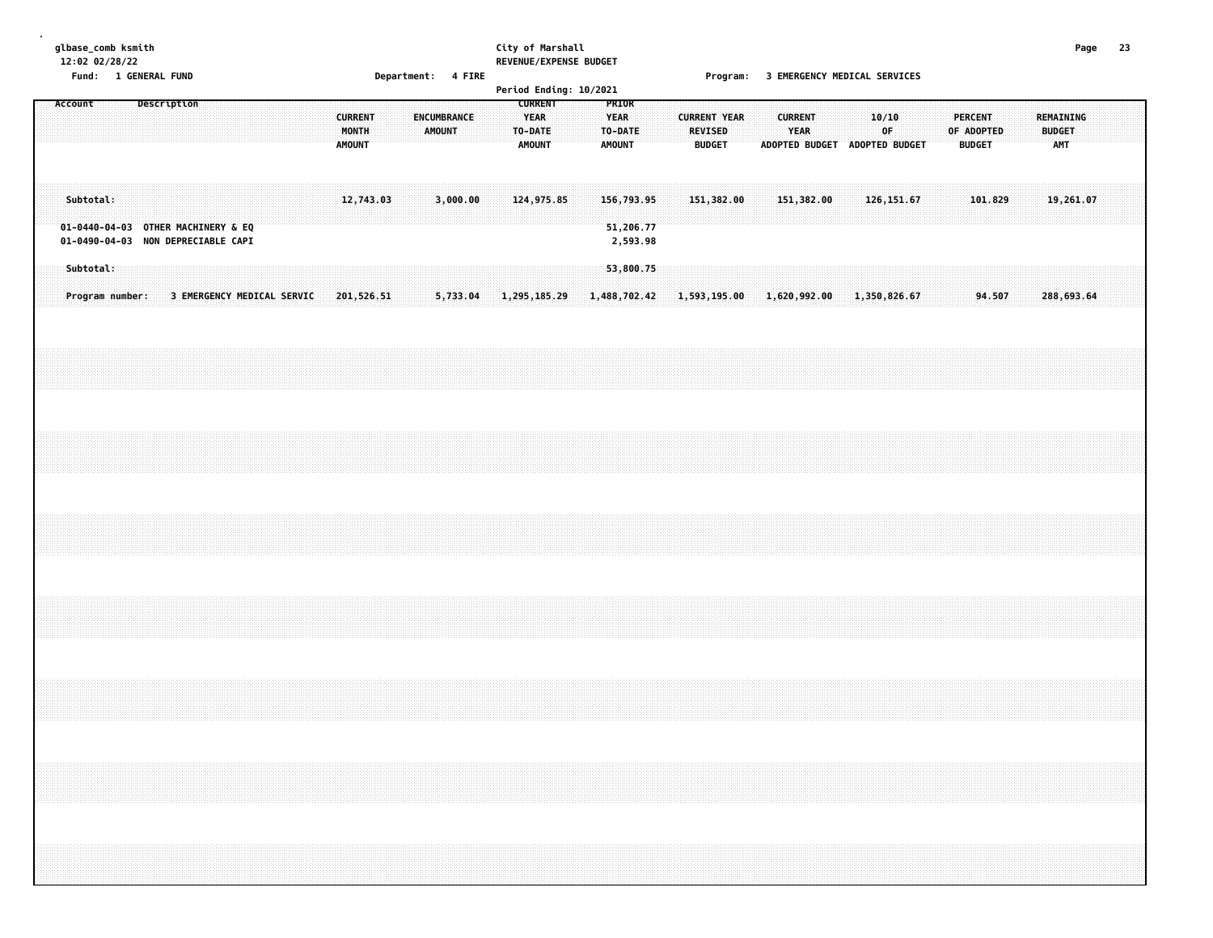# **glbase\_comb ksmith City of Marshall Page 23 12:02 02/28/22 REVENUE/EXPENSE BUDGET**

**Fund: 1 GENERAL FUND Department: 4 FIRE Program: 3 EMERGENCY MEDICAL SERVICES**

|         | . <b>unu</b> .               | <b>THE ANNUAL PROPERTY</b>                                               |             |                            |  |  |                                          |  | $\nu$ epartments $\tau$ range |                              |  | <b>CURRENT</b>                          | Period Ending: 10/2021 |  |                                                  |  |                     |                          |                                              |                                                         | Trogram. 3 ENERGENCE NEDICAL SERVICES |             |  |            |                                 |  |                                          |           |  |  |
|---------|------------------------------|--------------------------------------------------------------------------|-------------|----------------------------|--|--|------------------------------------------|--|-------------------------------|------------------------------|--|-----------------------------------------|------------------------|--|--------------------------------------------------|--|---------------------|--------------------------|----------------------------------------------|---------------------------------------------------------|---------------------------------------|-------------|--|------------|---------------------------------|--|------------------------------------------|-----------|--|--|
| Account |                              |                                                                          | Description |                            |  |  | <b>CURRENT</b><br>MONTH<br><b>AMOUNT</b> |  |                               | ENCUMBRANCE<br><b>AMOUNT</b> |  | <b>YEAR</b><br>TO-DATE<br><b>AMOUNT</b> |                        |  | PRIOR<br><b>YEAR</b><br>TO-DATE<br><b>AMOUNT</b> |  | <b>CURRENT YEAR</b> | REVISED<br><b>BUDGET</b> |                                              | <b>CURRENT</b><br>YEAR<br>ADOPTED BUDGET ADOPTED BUDGET |                                       | 10/10<br>0F |  | OF ADOPTED | <b>PERCENT</b><br><b>BUDGET</b> |  | REMAINING<br><b>BUDGET</b><br><b>AMT</b> |           |  |  |
|         | Subtotal:                    | 01-0440-04-03 OTHER MACHINERY & EQ<br>01-0490-04-03 NON DEPRECIABLE CAPI |             |                            |  |  | 12,743.03                                |  |                               | 3,000.00                     |  |                                         | 124,975.85             |  | 156,793.95<br>51,206.77<br>2,593.98              |  |                     | 151,382.00               |                                              | 151,382.00                                              |                                       | 126, 151.67 |  |            | 101.829                         |  |                                          | 19,261.07 |  |  |
|         | Subtotal:<br>Program number: |                                                                          |             | 3 EMERGENCY MEDICAL SERVIC |  |  | 201,526.51                               |  |                               | 5,733.04                     |  |                                         | 1,295,185.29           |  | 53,800.75<br>1,488,702.42                        |  |                     |                          | $1,593,195.00$ $1,620,992.00$ $1,350,826.67$ |                                                         |                                       |             |  |            | 94.507                          |  | 288,693.64                               |           |  |  |
|         |                              |                                                                          |             |                            |  |  |                                          |  |                               |                              |  |                                         |                        |  |                                                  |  |                     |                          |                                              |                                                         |                                       |             |  |            |                                 |  |                                          |           |  |  |
|         |                              |                                                                          |             |                            |  |  |                                          |  |                               |                              |  |                                         |                        |  |                                                  |  |                     |                          |                                              |                                                         |                                       |             |  |            |                                 |  |                                          |           |  |  |
|         |                              |                                                                          |             |                            |  |  |                                          |  |                               |                              |  |                                         |                        |  |                                                  |  |                     |                          |                                              |                                                         |                                       |             |  |            |                                 |  |                                          |           |  |  |
|         |                              |                                                                          |             |                            |  |  |                                          |  |                               |                              |  |                                         |                        |  |                                                  |  |                     |                          |                                              |                                                         |                                       |             |  |            |                                 |  |                                          |           |  |  |
|         |                              |                                                                          |             |                            |  |  |                                          |  |                               |                              |  |                                         |                        |  |                                                  |  |                     |                          |                                              |                                                         |                                       |             |  |            |                                 |  |                                          |           |  |  |
|         |                              |                                                                          |             |                            |  |  |                                          |  |                               |                              |  |                                         |                        |  |                                                  |  |                     |                          |                                              |                                                         |                                       |             |  |            |                                 |  |                                          |           |  |  |
|         |                              |                                                                          |             |                            |  |  |                                          |  |                               |                              |  |                                         |                        |  |                                                  |  |                     |                          |                                              |                                                         |                                       |             |  |            |                                 |  |                                          |           |  |  |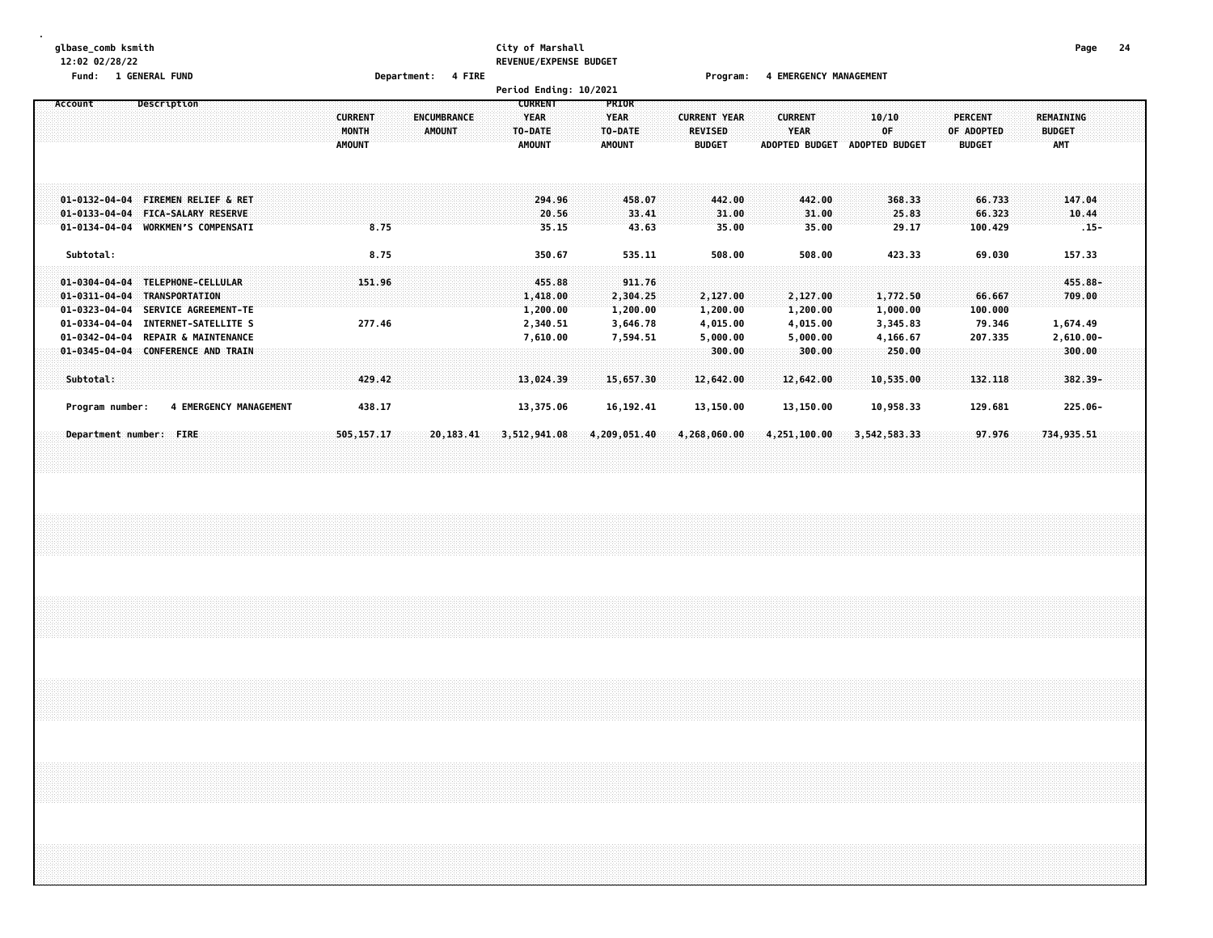#### **glbase\_comb ksmith City of Marshall Page 24 12:02 02/28/22 REVENUE/EXPENSE BUDGET**

**Fund: 1 GENERAL FUND Department: 4 FIRE Program: 4 EMERGENCY MANAGEMENT**

|                                                                                                                                                                                                                                                                                                                     |                                                                                 | Period Ending: 10/2021                                                                                 |                                                                                                                  |                                                        |                                                        |                                               |                                                         |
|---------------------------------------------------------------------------------------------------------------------------------------------------------------------------------------------------------------------------------------------------------------------------------------------------------------------|---------------------------------------------------------------------------------|--------------------------------------------------------------------------------------------------------|------------------------------------------------------------------------------------------------------------------|--------------------------------------------------------|--------------------------------------------------------|-----------------------------------------------|---------------------------------------------------------|
| Description<br>Account                                                                                                                                                                                                                                                                                              | <b>CURRENT</b><br><b>ENCUMBRANCE</b><br>MONTH<br><b>AMOUNT</b><br><b>AMOUNT</b> | <b>CURRENT</b><br><b>PRIOR</b><br>YEAR<br><b>YEAR</b><br>TO-DATE<br>TO-DATE<br><b>AMOUNT</b><br>AMOUNT | <b>CURRENT YEAR</b><br><b>REVISED</b><br><b>BUDGET</b>                                                           | <b>CURRENT</b><br><b>YEAR</b><br><b>ADOPTED BUDGET</b> | 10/10<br>0F<br>ADOPTED BUDGET                          | <b>PERCENT</b><br>OF ADOPTED<br><b>BUDGET</b> | <b>REMAINING</b><br><b>BUDGET</b><br>AMT                |
| $01 - 0132 - 04 - 04$<br><b>FIREMEN RELIEF &amp; RET</b><br><b>FICA-SALARY RESERVE</b><br>$01 - 0133 - 04 - 04$<br><b>WORKMEN'S COMPENSATI</b><br>$01 - 0134 - 04 - 04$                                                                                                                                             | 8.75                                                                            | 294.96<br>20.56<br>35.15                                                                               | 458.07<br>442.00<br>33.41<br>31.00<br>43.63<br>35.00                                                             | 442.00<br>31.00<br>35.00                               | 368.33<br>25.83<br>29.17                               | 66.733<br>66.323<br>100.429                   | 147.04<br>10.44<br>$.15-$                               |
| Subtotal:                                                                                                                                                                                                                                                                                                           | 8.75                                                                            | 350.67                                                                                                 | 535.11<br>508.00                                                                                                 | 508.00                                                 | 423.33                                                 | 69.030                                        | 157.33                                                  |
| TELEPHONE-CELLULAR<br>$01 - 0304 - 04 - 04$<br>$01 - 0311 - 04 - 04$<br>TRANSPORTATION<br>SERVICE AGREEMENT-TE<br>$01 - 0323 - 04 - 04$<br>$01 - 0334 - 04 - 04$<br><b>INTERNET-SATELLITE S</b><br>$01 - 0342 - 04 - 04$<br><b>REPAIR &amp; MAINTENANCE</b><br>$01 - 0345 - 04 - 04$<br><b>CONFERENCE AND TRAIN</b> | 151.96<br>277.46                                                                | 455.88<br>1,418.00<br>1,200.00<br>2,340.51<br>7,610.00                                                 | 911.76<br>2,304.25<br>2,127.00<br>1,200.00<br>1,200.00<br>3,646.78<br>4,015.00<br>7,594.51<br>5,000.00<br>300.00 | 2,127.00<br>1,200.00<br>4,015.00<br>5,000.00<br>300.00 | 1,772.50<br>1,000.00<br>3,345.83<br>4,166.67<br>250.00 | 66.667<br>100.000<br>79.346<br>207.335        | 455.88-<br>709.00<br>1,674.49<br>$2,610.00 -$<br>300.00 |
| Subtotal:                                                                                                                                                                                                                                                                                                           | 429.42                                                                          | 13,024.39                                                                                              | 15,657.30<br>12,642.00                                                                                           | 12,642.00                                              | 10,535.00                                              | 132.118                                       | 382.39-                                                 |
| <b>4 EMERGENCY MANAGEMENT</b><br>Program number:<br>Department number: FIRE                                                                                                                                                                                                                                         | 438.17<br>505, 157.17<br>20, 183.41                                             | 13,375.06<br>3,512,941.08<br>4,209,051.40                                                              | 16,192.41<br>13,150.00<br>4,268,060.00                                                                           | 13,150.00<br>4,251,100.00                              | 10,958.33<br>3,542,583.33                              | 129.681<br>97.976                             | $225.06 -$<br>734,935.51                                |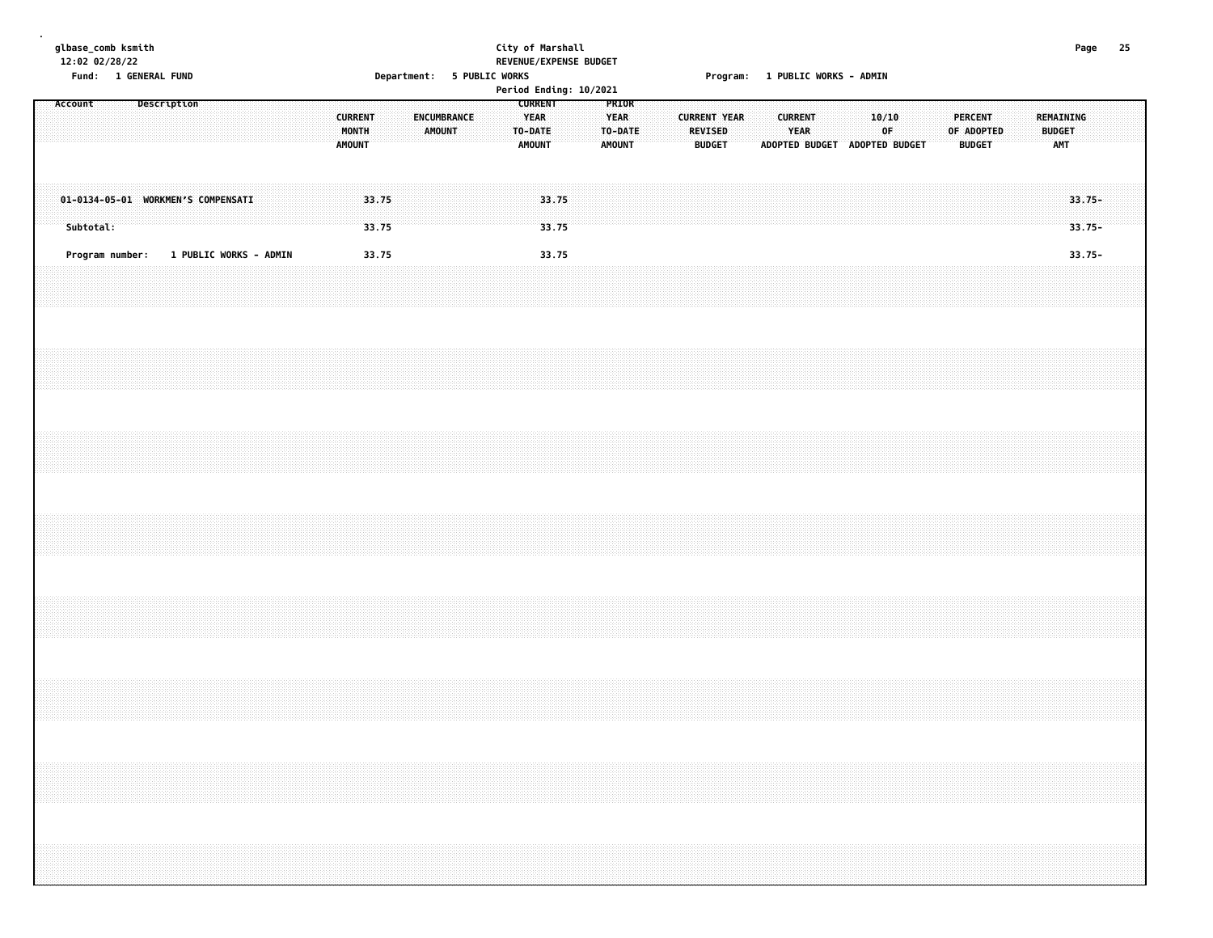| 25                                                           |                                                           |                                    |                        |  |  |  |  |
|--------------------------------------------------------------|-----------------------------------------------------------|------------------------------------|------------------------|--|--|--|--|
|                                                              |                                                           |                                    |                        |  |  |  |  |
| Page                                                         |                                                           | $33.75 -$<br>$33.75 -$             | $33.75 -$              |  |  |  |  |
|                                                              | REMAINING<br><b>BUDGET</b><br><b>AMT</b>                  |                                    |                        |  |  |  |  |
|                                                              |                                                           |                                    |                        |  |  |  |  |
|                                                              |                                                           |                                    |                        |  |  |  |  |
|                                                              |                                                           |                                    |                        |  |  |  |  |
|                                                              | <b>PERCENT</b><br>OF ADOPTED<br><b>BUDGET</b>             |                                    |                        |  |  |  |  |
|                                                              |                                                           |                                    |                        |  |  |  |  |
|                                                              |                                                           |                                    |                        |  |  |  |  |
|                                                              |                                                           |                                    |                        |  |  |  |  |
|                                                              | 0F.                                                       |                                    |                        |  |  |  |  |
|                                                              | 10/10                                                     |                                    |                        |  |  |  |  |
| Program: 1 PUBLIC WORKS - ADMIN                              | ADOPTED BUDGET ADOPTED BUDGET                             |                                    |                        |  |  |  |  |
|                                                              |                                                           |                                    |                        |  |  |  |  |
|                                                              |                                                           |                                    |                        |  |  |  |  |
|                                                              | <b>CURRENT</b><br>YEAR                                    |                                    |                        |  |  |  |  |
|                                                              |                                                           |                                    |                        |  |  |  |  |
|                                                              |                                                           |                                    |                        |  |  |  |  |
|                                                              |                                                           |                                    |                        |  |  |  |  |
|                                                              | <b>CURRENT YEAR</b>                                       |                                    |                        |  |  |  |  |
|                                                              | <b>REVISED</b><br><b>BUDGET</b>                           |                                    |                        |  |  |  |  |
|                                                              |                                                           |                                    |                        |  |  |  |  |
|                                                              |                                                           |                                    |                        |  |  |  |  |
|                                                              |                                                           |                                    |                        |  |  |  |  |
|                                                              | PRIOR<br><b>YEAR</b><br>TO-DATE<br><b>AMOUNT</b>          |                                    |                        |  |  |  |  |
|                                                              |                                                           |                                    |                        |  |  |  |  |
|                                                              |                                                           |                                    |                        |  |  |  |  |
|                                                              |                                                           | 33.75<br>33.75                     | 33.75                  |  |  |  |  |
| REVENUE/EXPENSE BUDGET<br>Period Ending: 10/2021             | <b>CURRENT</b><br><b>YEAR</b><br>TO-DATE<br><b>AMOUNT</b> |                                    |                        |  |  |  |  |
| City of Marshall<br>Department: 5 PUBLIC WORKS               |                                                           |                                    |                        |  |  |  |  |
|                                                              |                                                           |                                    |                        |  |  |  |  |
|                                                              |                                                           |                                    |                        |  |  |  |  |
|                                                              |                                                           |                                    |                        |  |  |  |  |
|                                                              | ENCUMBRANCE<br>AMOUNT                                     |                                    |                        |  |  |  |  |
|                                                              |                                                           |                                    |                        |  |  |  |  |
|                                                              |                                                           |                                    |                        |  |  |  |  |
|                                                              |                                                           | 33.75<br>33.75                     | 33.75                  |  |  |  |  |
|                                                              | <b>CURRENT</b><br>MONTH<br><b>AMOUNT</b>                  |                                    |                        |  |  |  |  |
|                                                              |                                                           |                                    |                        |  |  |  |  |
|                                                              |                                                           |                                    |                        |  |  |  |  |
|                                                              |                                                           |                                    |                        |  |  |  |  |
|                                                              |                                                           |                                    |                        |  |  |  |  |
|                                                              |                                                           |                                    | 1 PUBLIC WORKS - ADMIN |  |  |  |  |
|                                                              |                                                           | 01-0134-05-01 WORKMEN'S COMPENSATI |                        |  |  |  |  |
|                                                              |                                                           |                                    |                        |  |  |  |  |
|                                                              |                                                           |                                    |                        |  |  |  |  |
|                                                              | Description                                               |                                    |                        |  |  |  |  |
|                                                              |                                                           |                                    |                        |  |  |  |  |
|                                                              |                                                           |                                    |                        |  |  |  |  |
|                                                              |                                                           |                                    |                        |  |  |  |  |
| glbase_comb ksmith<br>12:02 02/28/22<br>Fund: 1 GENERAL FUND |                                                           | Subtotal:                          | Program number:        |  |  |  |  |
|                                                              | Account                                                   |                                    |                        |  |  |  |  |
|                                                              |                                                           |                                    |                        |  |  |  |  |
|                                                              |                                                           |                                    |                        |  |  |  |  |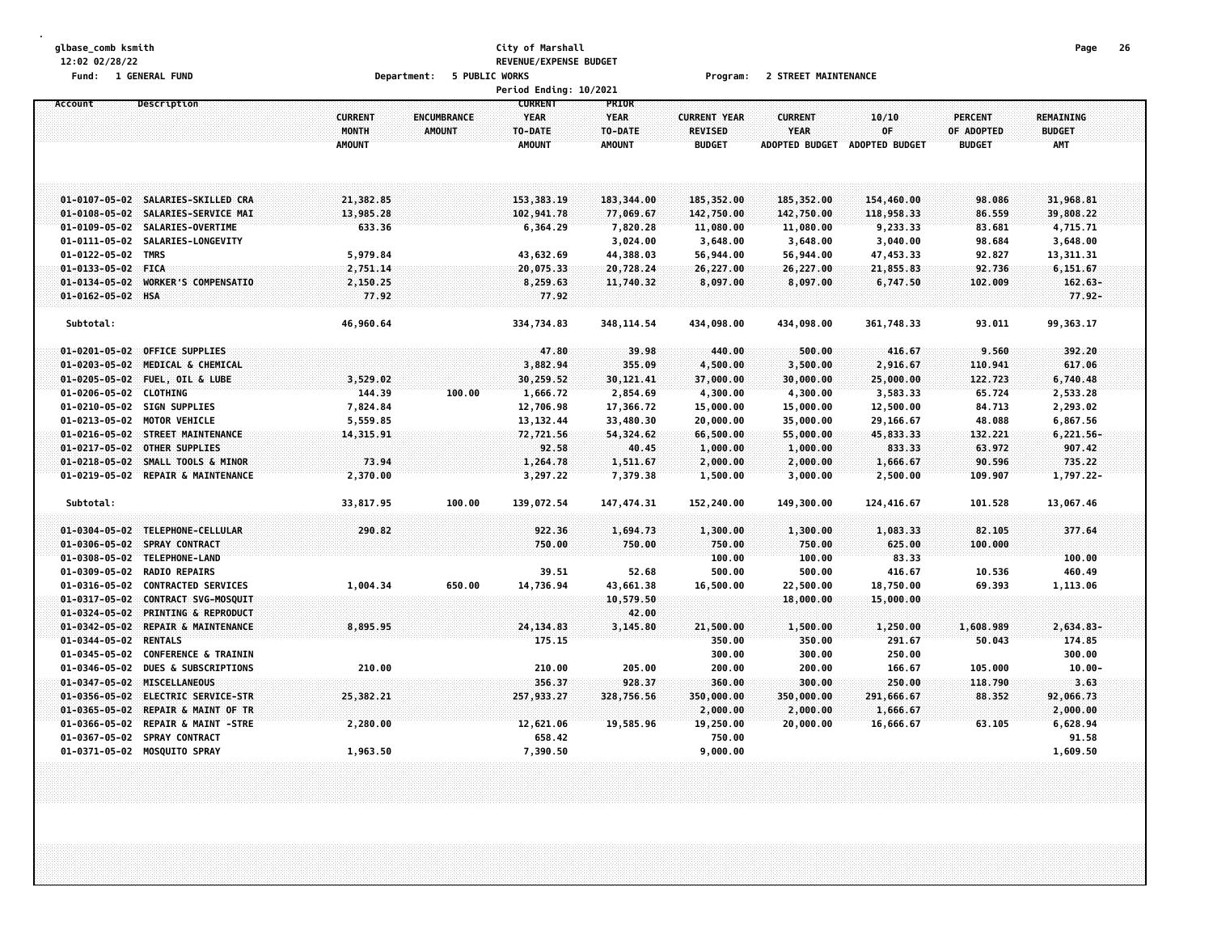#### **glbase\_comb ksmith City of Marshall Page 26 12:02 02/28/22 REVENUE/EXPENSE BUDGET Fund: 1 GENERAL FUND Department: 5 PUBLIC WORKS Program: 2 STREET MAINTENANCE**

|                                                          |                                          |                              | Period Ending: 10/2021                                    |                                                  |                                                        |                                                        |                                      |                                               |                                          |  |
|----------------------------------------------------------|------------------------------------------|------------------------------|-----------------------------------------------------------|--------------------------------------------------|--------------------------------------------------------|--------------------------------------------------------|--------------------------------------|-----------------------------------------------|------------------------------------------|--|
| Description<br>Account                                   | <b>CURRENT</b><br>MONTH<br><b>AMOUNT</b> | ENCUMBRANCE<br><b>AMOUNT</b> | <b>CURRENT</b><br><b>YEAR</b><br>TO-DATE<br><b>AMOUNT</b> | PRIOR<br><b>YEAR</b><br>TO-DATE<br><b>AMOUNT</b> | <b>CURRENT YEAR</b><br><b>REVISED</b><br><b>BUDGET</b> | <b>CURRENT</b><br><b>YEAR</b><br><b>ADOPTED BUDGET</b> | 10/10<br>0F<br><b>ADOPTED BUDGET</b> | <b>PERCENT</b><br>OF ADOPTED<br><b>BUDGET</b> | REMAINING<br><b>BUDGET</b><br><b>AMT</b> |  |
| 01-0107-05-02 SALARIES-SKILLED CRA                       | 21,382.85                                |                              | 153, 383, 19                                              | 183,344.00                                       | 185,352.00                                             | 185,352.00                                             | 154,460.00                           | 98.086                                        | 31,968.81                                |  |
| 01-0108-05-02 SALARIES-SERVICE MAI                       | 13,985.28                                |                              | 102,941.78                                                | 77,069.67                                        | 142,750.00                                             | 142,750.00                                             | 118,958.33                           | 86.559                                        | 39,808.22                                |  |
| 01-0109-05-02 SALARIES-OVERTIME                          | 633.36                                   |                              | 6,364.29                                                  | 7,820.28                                         | 11,080.00                                              | 11,080.00                                              | 9,233.33                             | 83.681                                        | 4,715.71                                 |  |
| 01-0111-05-02 SALARIES-LONGEVITY                         |                                          |                              |                                                           | 3,024.00                                         | 3,648.00                                               | 3,648.00                                               | 3,040.00                             | 98.684                                        | 3,648.00                                 |  |
| 01-0122-05-02 TMRS                                       | 5,979.84                                 |                              | 43,632.69                                                 | 44,388.03                                        | 56,944.00                                              | 56,944.00                                              | 47,453.33                            | 92.827                                        | 13,311.31                                |  |
| 01-0133-05-02 FICA                                       | 2,751.14                                 |                              | 20,075.33                                                 | 20,728.24                                        | 26,227.00                                              | 26,227.00                                              | 21,855.83                            | 92.736                                        | 6,151.67                                 |  |
| $01 - 0134 - 05 - 02$<br>WORKER'S COMPENSATIO            | 2,150.25                                 |                              | 8,259.63                                                  | 11,740.32                                        | 8,097.00                                               | 8,097.00                                               | 6,747.50                             | 102.009                                       | $162.63 -$                               |  |
| 01-0162-05-02 HSA                                        | 77.92                                    |                              | 77.92                                                     |                                                  |                                                        |                                                        |                                      |                                               | $77.92 -$                                |  |
| Subtotal:                                                | 46,960.64                                |                              | 334,734.83                                                | 348, 114.54                                      | 434,098.00                                             | 434,098.00                                             | 361,748.33                           | 93.011                                        | 99,363.17                                |  |
| 01-0201-05-02 OFFICE SUPPLIES                            |                                          |                              | 47.80                                                     | 39.98                                            | 440.00                                                 | 500.00                                                 | 416.67                               | 9.560                                         | 392.20                                   |  |
| 01-0203-05-02 MEDICAL & CHEMICAL                         |                                          |                              | 3,882.94                                                  | 355.09                                           | 4,500.00                                               | 3,500.00                                               | 2,916.67                             | 110.941                                       | 617.06                                   |  |
| 01-0205-05-02 FUEL, OIL & LUBE                           | 3,529.02                                 |                              | 30,259.52                                                 | 30, 121.41                                       | 37,000.00                                              | 30,000.00                                              | 25,000.00                            | 122.723                                       | 6,740.48                                 |  |
| 01-0206-05-02 CLOTHING                                   | 144.39                                   | 100.00                       | 1,666.72                                                  | 2,854.69                                         | 4,300.00                                               | 4,300.00                                               | 3,583.33                             | 65.724                                        | 2,533.28                                 |  |
| 01-0210-05-02 SIGN SUPPLIES                              | 7,824.84                                 |                              | 12,706.98                                                 | 17,366.72                                        | 15,000.00                                              | 15,000.00                                              | 12,500.00                            | 84.713                                        | 2,293.02                                 |  |
| 01-0213-05-02 MOTOR VEHICLE                              | 5,559.85                                 |                              | 13, 132.44                                                | 33,480.30                                        | 20,000.00                                              | 35,000.00                                              | 29,166.67                            | 48.088                                        | 6,867.56                                 |  |
| 01-0216-05-02 STREET MAINTENANCE                         | 14,315.91                                |                              | 72,721.56                                                 | 54,324.62                                        | 66,500.00                                              | 55,000.00                                              | 45,833.33                            | 132.221                                       | $6,221.56-$                              |  |
| 01-0217-05-02 OTHER SUPPLIES                             |                                          |                              | 92.58                                                     | 40.45                                            | 1,000.00                                               | 1,000.00                                               | 833.33                               | 63.972                                        | 907.42                                   |  |
| $01 - 0218 - 05 - 02$<br>SMALL TOOLS & MINOR             | 73.94                                    |                              | 1,264.78                                                  | 1,511.67                                         | 2,000.00                                               | 2,000.00                                               | 1,666.67                             | 90.596                                        | 735.22                                   |  |
| 01-0219-05-02 REPAIR & MAINTENANCE                       | 2,370.00                                 |                              | 3,297.22                                                  | 7,379.38                                         | 1,500.00                                               | 3,000.00                                               | 2,500.00                             | 109.907                                       | 1,797.22-                                |  |
| Subtotal:                                                | 33,817.95                                | 100.00                       | 139,072.54                                                | 147, 474.31                                      | 152,240.00                                             | 149,300.00                                             | 124,416.67                           | 101.528                                       | 13,067.46                                |  |
| 01-0304-05-02 TELEPHONE-CELLULAR                         | 290.82                                   |                              | 922.36                                                    | 1,694.73                                         | 1,300.00                                               | 1,300.00                                               | 1,083.33                             | 82.105                                        | 377.64                                   |  |
| 01-0306-05-02 SPRAY CONTRACT                             |                                          |                              | 750,00                                                    | 750.00                                           | 750.00                                                 | 750.00                                                 | 625.00                               | 100.000                                       |                                          |  |
| 01-0308-05-02 TELEPHONE-LAND                             |                                          |                              |                                                           |                                                  | 100.00                                                 | 100.00                                                 | 83.33                                |                                               | 100.00                                   |  |
| 01-0309-05-02<br><b>RADIO REPAIRS</b>                    |                                          |                              | 39.51                                                     | 52.68                                            | 500.00                                                 | 500.00                                                 | 416.67                               | 10.536                                        | 460.49                                   |  |
| 01-0316-05-02 CONTRACTED SERVICES                        | 1,004.34                                 | 650.00                       | 14,736.94                                                 | 43,661.38                                        | 16,500.00                                              | 22,500.00                                              | 18,750.00                            | 69.393                                        | 1,113.06                                 |  |
| $01 - 0317 - 05 - 02$<br>CONTRACT SVG-MOSQUIT            |                                          |                              |                                                           | 10,579.50                                        |                                                        | 18,000.00                                              | 15,000.00                            |                                               |                                          |  |
| $01 - 0324 - 05 - 02$<br><b>PRINTING &amp; REPRODUCT</b> |                                          |                              |                                                           | 42.00                                            |                                                        |                                                        |                                      |                                               |                                          |  |
| $01 - 0342 - 05 - 02$<br>REPAIR & MAINTENANCE            | 8,895.95                                 |                              | 24, 134.83                                                | 3,145.80                                         | 21,500.00                                              | 1,500.00                                               | 1,250.00                             | 1,608.989                                     | $2,634.83-$                              |  |
| 01-0344-05-02 RENTALS                                    |                                          |                              | 175.15                                                    |                                                  | 350.00                                                 | 350.00                                                 | 291.67                               | 50.043                                        | 174.85                                   |  |
| 01-0345-05-02<br><b>CONFERENCE &amp; TRAININ</b>         |                                          |                              |                                                           |                                                  | 300.00                                                 | 300.00                                                 | 250.00                               |                                               | 300.00                                   |  |
| $01 - 0346 - 05 - 02$<br><b>DUES &amp; SUBSCRIPTIONS</b> | 210.00                                   |                              | 210.00                                                    | 205.00                                           | 200.00                                                 | 200.00                                                 | 166.67                               | 105.000                                       | $10.00 -$                                |  |
| 01-0347-05-02 MISCELLANEOUS                              |                                          |                              | 356.37                                                    | 928.37                                           | 360.00                                                 | 300.00                                                 | 250.00                               | 118.790                                       | 3.63                                     |  |
| 01-0356-05-02 ELECTRIC SERVICE-STR                       | 25,382.21                                |                              | 257,933.27                                                | 328,756.56                                       | 350,000.00                                             | 350,000.00                                             | 291,666.67                           | 88.352                                        | 92,066.73                                |  |
| REPAIR & MAINT OF TR<br>$01 - 0365 - 05 - 02$            |                                          |                              |                                                           |                                                  | 2,000.00                                               | 2,000.00                                               | 1,666.67                             |                                               | 2,000.00                                 |  |
| 01-0366-05-02<br><b>REPAIR &amp; MAINT -STRE</b>         | 2,280.00                                 |                              | 12,621.06                                                 | 19,585.96                                        | 19,250.00                                              | 20,000.00                                              | 16,666.67                            | 63.105                                        | 6,628.94                                 |  |
| 01-0367-05-02 SPRAY CONTRACT                             |                                          |                              | 658.42                                                    |                                                  | 750.00                                                 |                                                        |                                      |                                               | 91.58                                    |  |
| 01-0371-05-02 MOSQUITO SPRAY                             | 1,963.50                                 |                              | 7,390.50                                                  |                                                  | 9,000.00                                               |                                                        |                                      |                                               | 1,609.50                                 |  |
|                                                          |                                          |                              |                                                           |                                                  |                                                        |                                                        |                                      |                                               |                                          |  |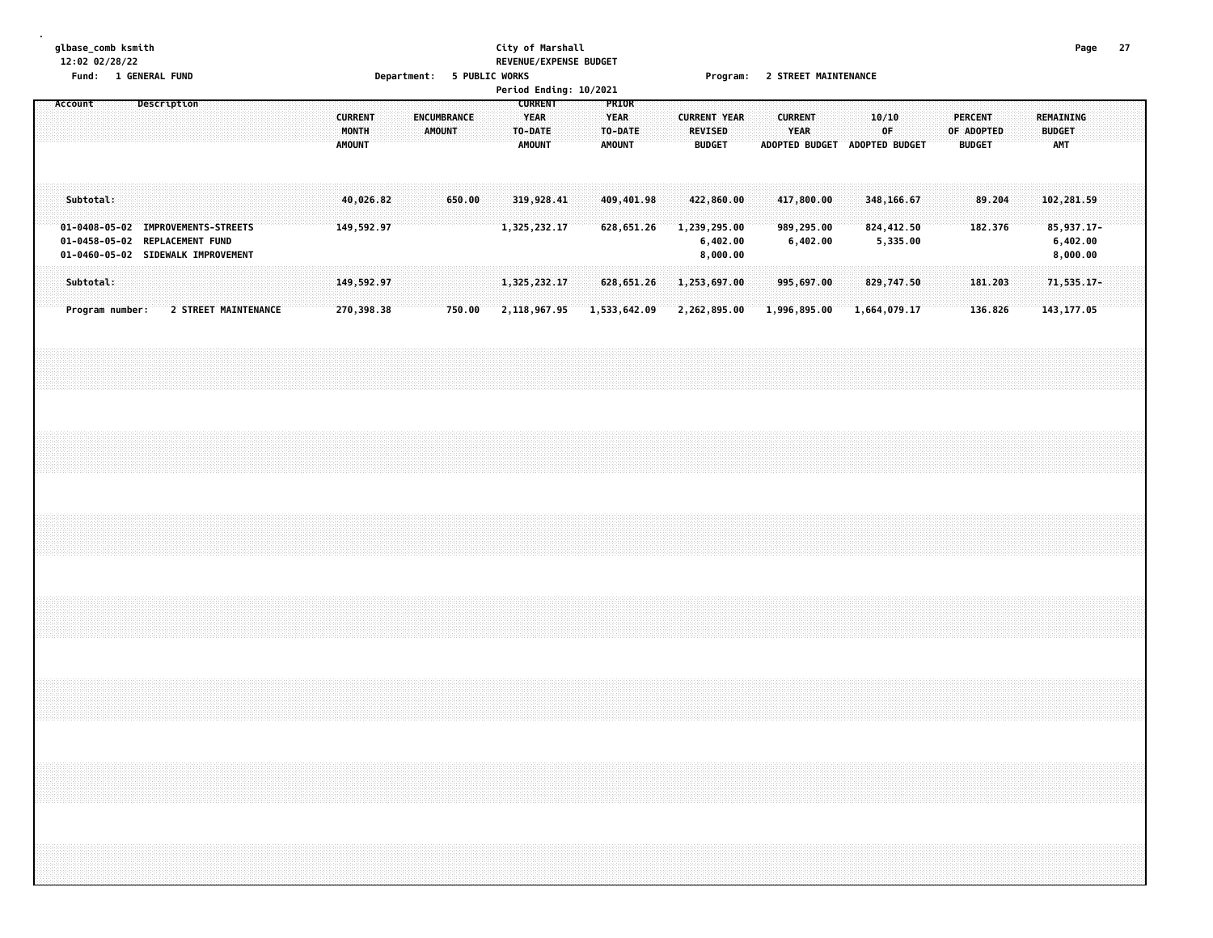#### **glbase\_comb ksmith City of Marshall Page 27 12:02 02/28/22 REVENUE/EXPENSE BUDGET Fund: 1 GENERAL FUND Department: 5 PUBLIC WORKS Program: 2 STREET MAINTENANCE**

|                                                                                                            |                 |             |  |                      |  |                                          |  |                                     |        |  |                                                           | Period Ending: 10/2021 |                                                  |                     |                                 |  |                               |                               |              |          |  |                                               |         |                                          |                                    |  |
|------------------------------------------------------------------------------------------------------------|-----------------|-------------|--|----------------------|--|------------------------------------------|--|-------------------------------------|--------|--|-----------------------------------------------------------|------------------------|--------------------------------------------------|---------------------|---------------------------------|--|-------------------------------|-------------------------------|--------------|----------|--|-----------------------------------------------|---------|------------------------------------------|------------------------------------|--|
| Account                                                                                                    |                 | Description |  |                      |  | <b>CURRENT</b><br>MONTH<br><b>AMOUNT</b> |  | <b>ENCUMBRANCE</b><br><b>AMOUNT</b> |        |  | <b>CURRENT</b><br><b>YEAR</b><br>TO-DATE<br><b>AMOUNT</b> |                        | PRIOR<br><b>YEAR</b><br>TO-DATE<br><b>AMOUNT</b> | <b>CURRENT YEAR</b> | <b>REVISED</b><br><b>BUDGET</b> |  | <b>CURRENT</b><br><b>YEAR</b> | ADOPTED BUDGET ADOPTED BUDGET | 10/10        | OF       |  | <b>PERCENT</b><br>OF ADOPTED<br><b>BUDGET</b> |         | REMAINING<br><b>BUDGET</b><br><b>AMT</b> |                                    |  |
| Subtotal:                                                                                                  |                 |             |  |                      |  | 40,026.82                                |  |                                     | 650.00 |  | 319,928.41                                                |                        | 409,401.98                                       |                     | 422,860.00                      |  |                               | 417,800.00                    | 348,166.67   |          |  |                                               | 89.204  |                                          | 102,281.59                         |  |
| 01-0408-05-02 IMPROVEMENTS-STREETS<br>01-0458-05-02 REPLACEMENT FUND<br>01-0460-05-02 SIDEWALK IMPROVEMENT |                 |             |  |                      |  | 149,592.97                               |  |                                     |        |  | 1,325,232.17                                              |                        | 628,651.26                                       | 1,239,295.00        | 6,402.00<br>8,000.00            |  |                               | 989,295.00<br>6,402.00        | 824,412.50   | 5,335.00 |  |                                               | 182.376 |                                          | 85,937.17-<br>6,402.00<br>8,000.00 |  |
| Subtotal:                                                                                                  |                 |             |  |                      |  | 149,592.97                               |  |                                     |        |  | 1,325,232.17                                              |                        | 628,651.26                                       | 1,253,697.00        |                                 |  |                               | 995,697.00                    | 829,747.50   |          |  | 181.203                                       |         |                                          | 71,535.17-                         |  |
|                                                                                                            | Program number: |             |  | 2 STREET MAINTENANCE |  | 270,398.38                               |  |                                     | 750.00 |  | 2,118,967.95                                              |                        | 1,533,642.09                                     | 2,262,895.00        |                                 |  |                               | 1,996,895.00                  | 1,664,079.17 |          |  |                                               | 136.826 |                                          | 143, 177.05                        |  |
|                                                                                                            |                 |             |  |                      |  |                                          |  |                                     |        |  |                                                           |                        |                                                  |                     |                                 |  |                               |                               |              |          |  |                                               |         |                                          |                                    |  |
|                                                                                                            |                 |             |  |                      |  |                                          |  |                                     |        |  |                                                           |                        |                                                  |                     |                                 |  |                               |                               |              |          |  |                                               |         |                                          |                                    |  |
|                                                                                                            |                 |             |  |                      |  |                                          |  |                                     |        |  |                                                           |                        |                                                  |                     |                                 |  |                               |                               |              |          |  |                                               |         |                                          |                                    |  |
|                                                                                                            |                 |             |  |                      |  |                                          |  |                                     |        |  |                                                           |                        |                                                  |                     |                                 |  |                               |                               |              |          |  |                                               |         |                                          |                                    |  |
|                                                                                                            |                 |             |  |                      |  |                                          |  |                                     |        |  |                                                           |                        |                                                  |                     |                                 |  |                               |                               |              |          |  |                                               |         |                                          |                                    |  |
|                                                                                                            |                 |             |  |                      |  |                                          |  |                                     |        |  |                                                           |                        |                                                  |                     |                                 |  |                               |                               |              |          |  |                                               |         |                                          |                                    |  |
|                                                                                                            |                 |             |  |                      |  |                                          |  |                                     |        |  |                                                           |                        |                                                  |                     |                                 |  |                               |                               |              |          |  |                                               |         |                                          |                                    |  |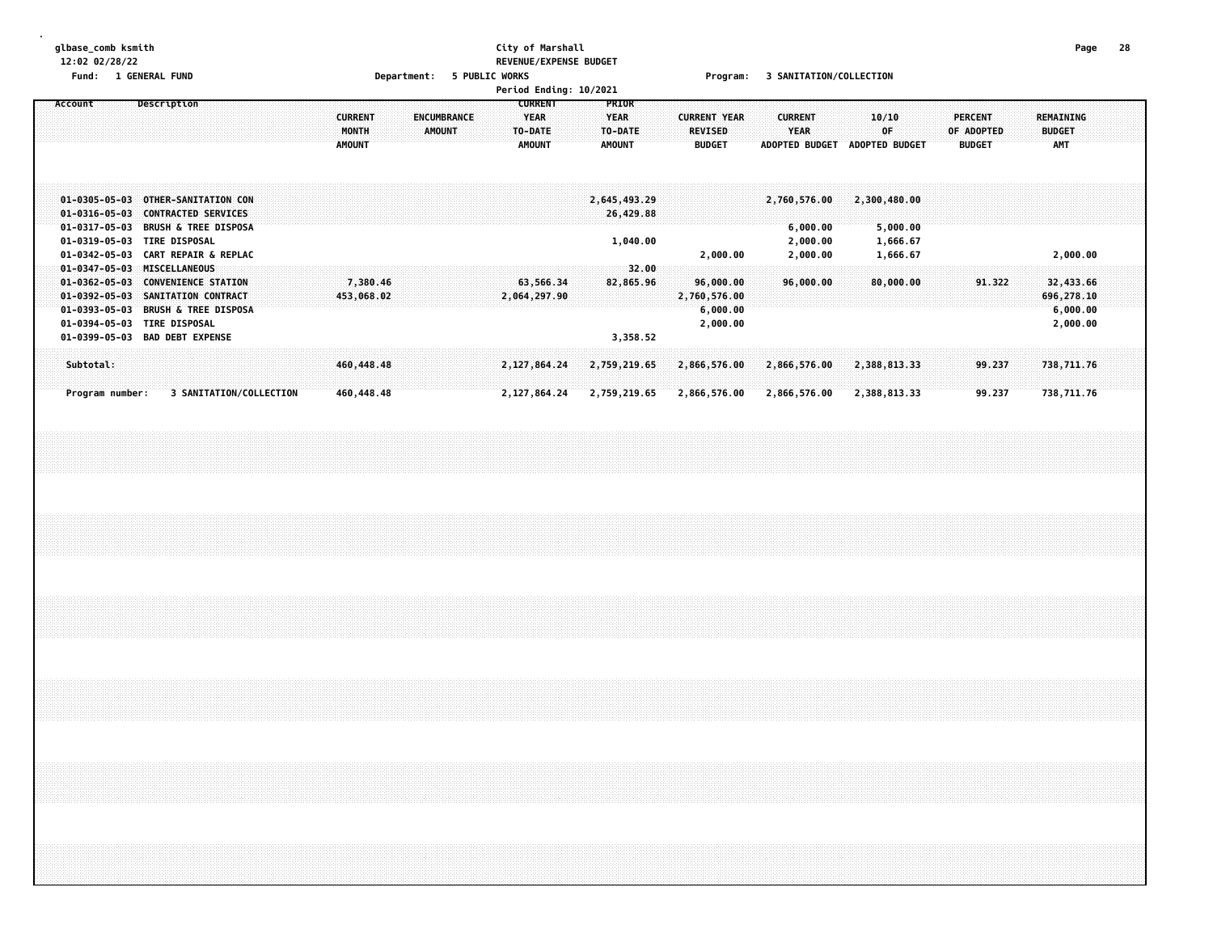# **glbase\_comb ksmith City of Marshall Page 28 12:02 02/28/22 REVENUE/EXPENSE BUDGET**

|  | Fund:<br>Account |                              |  | 1 GENERAL FUND<br>Description                                                                                                                                          |  |                                                                                                                |                         |  |  |                                          |                          |  |                                     |  | Department: 5 PUBLIC WORKS |             | <b>CURRENT</b>            | Period Ending: 10/2021 | PRIOR                                   |                                       |  |                                 | Program:                                          |  |                |                                                  |  | 3 SANITATION/COLLECTION      |                                  |                               |  |                                               |                  |  |                                                 |  |  |
|--|------------------|------------------------------|--|------------------------------------------------------------------------------------------------------------------------------------------------------------------------|--|----------------------------------------------------------------------------------------------------------------|-------------------------|--|--|------------------------------------------|--------------------------|--|-------------------------------------|--|----------------------------|-------------|---------------------------|------------------------|-----------------------------------------|---------------------------------------|--|---------------------------------|---------------------------------------------------|--|----------------|--------------------------------------------------|--|------------------------------|----------------------------------|-------------------------------|--|-----------------------------------------------|------------------|--|-------------------------------------------------|--|--|
|  |                  |                              |  |                                                                                                                                                                        |  |                                                                                                                |                         |  |  | <b>CURRENT</b><br>MONTH<br><b>AMOUNT</b> |                          |  | <b>ENCUMBRANCE</b><br><b>AMOUNT</b> |  |                            | <b>YEAR</b> | TO-DATE<br><b>AMOUNT</b>  |                        | <b>YEAR</b><br>TO-DATE<br><b>AMOUNT</b> |                                       |  | <b>REVISED</b><br><b>BUDGET</b> | <b>CURRENT YEAR</b>                               |  | <b>CURRENT</b> | YEAR                                             |  | 10/10                        | 0F                               | ADOPTED BUDGET ADOPTED BUDGET |  | <b>PERCENT</b><br>OF ADOPTED<br><b>BUDGET</b> |                  |  | <b>REMAINING</b><br><b>BUDGET</b><br><b>AMT</b> |  |  |
|  |                  |                              |  | 01-0316-05-03 CONTRACTED SERVICES<br>01-0319-05-03 TIRE DISPOSAL                                                                                                       |  | 01-0305-05-03 OTHER-SANITATION CON<br>01-0317-05-03 BRUSH & TREE DISPOSA<br>01-0342-05-03 CART REPAIR & REPLAC |                         |  |  |                                          |                          |  |                                     |  |                            |             |                           |                        |                                         | 2,645,493.29<br>26,429.88<br>1,040.00 |  |                                 | 2,000.00                                          |  |                | 2,760,576.00<br>6,000.00<br>2,000.00<br>2,000.00 |  | 2,300,480.00                 | 5,000.00<br>1,666.67<br>1,666.67 |                               |  |                                               |                  |  | 2,000.00                                        |  |  |
|  |                  |                              |  | 01-0347-05-03 MISCELLANEOUS<br>01-0362-05-03 CONVENIENCE STATION<br>01-0392-05-03 SANITATION CONTRACT<br>01-0394-05-03 TIRE DISPOSAL<br>01-0399-05-03 BAD DEBT EXPENSE |  | 01-0393-05-03 BRUSH & TREE DISPOSA                                                                             |                         |  |  |                                          | 7,380.46<br>453,068.02   |  |                                     |  |                            |             | 63,566.34<br>2,064,297.90 |                        |                                         | 32.00<br>82,865.96<br>3,358.52        |  |                                 | 96,000.00<br>2,760,576.00<br>6,000.00<br>2,000.00 |  |                | 96,000.00                                        |  |                              | 80,000.00                        |                               |  |                                               | 91.322           |  | 32,433.66<br>696,278.10<br>6,000.00<br>2,000.00 |  |  |
|  |                  | Subtotal:<br>Program number: |  |                                                                                                                                                                        |  |                                                                                                                | 3 SANITATION/COLLECTION |  |  |                                          | 460,448.48<br>460,448.48 |  |                                     |  | 2,127,864.24               |             | 2,127,864.24              |                        |                                         | 2,759,219.65<br>2,759,219.65          |  |                                 | 2,866,576.00<br>2,866,576.00                      |  |                | 2,866,576.00<br>2,866,576.00                     |  | 2,388,813.33<br>2,388,813.33 |                                  |                               |  |                                               | 99.237<br>99.237 |  | 738,711.76<br>738,711.76                        |  |  |
|  |                  |                              |  |                                                                                                                                                                        |  |                                                                                                                |                         |  |  |                                          |                          |  |                                     |  |                            |             |                           |                        |                                         |                                       |  |                                 |                                                   |  |                |                                                  |  |                              |                                  |                               |  |                                               |                  |  |                                                 |  |  |
|  |                  |                              |  |                                                                                                                                                                        |  |                                                                                                                |                         |  |  |                                          |                          |  |                                     |  |                            |             |                           |                        |                                         |                                       |  |                                 |                                                   |  |                |                                                  |  |                              |                                  |                               |  |                                               |                  |  |                                                 |  |  |
|  |                  |                              |  |                                                                                                                                                                        |  |                                                                                                                |                         |  |  |                                          |                          |  |                                     |  |                            |             |                           |                        |                                         |                                       |  |                                 |                                                   |  |                |                                                  |  |                              |                                  |                               |  |                                               |                  |  |                                                 |  |  |
|  |                  |                              |  |                                                                                                                                                                        |  |                                                                                                                |                         |  |  |                                          |                          |  |                                     |  |                            |             |                           |                        |                                         |                                       |  |                                 |                                                   |  |                |                                                  |  |                              |                                  |                               |  |                                               |                  |  |                                                 |  |  |
|  |                  |                              |  |                                                                                                                                                                        |  |                                                                                                                |                         |  |  |                                          |                          |  |                                     |  |                            |             |                           |                        |                                         |                                       |  |                                 |                                                   |  |                |                                                  |  |                              |                                  |                               |  |                                               |                  |  |                                                 |  |  |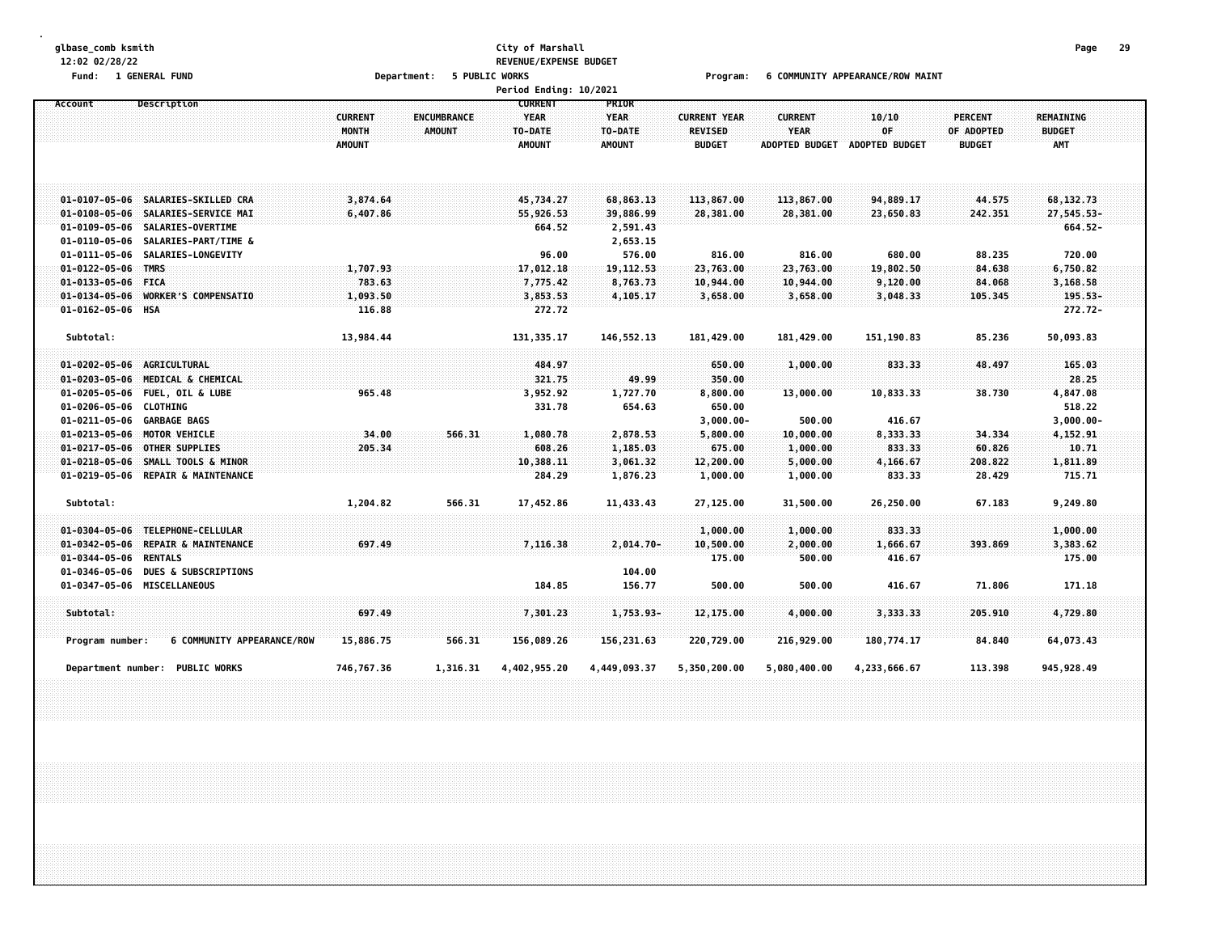# **glbase\_comb ksmith City of Marshall Page 29 12:02 02/28/22 REVENUE/EXPENSE BUDGET**

Fund: 1 GENERAL FUND CONDUCT MARINT CONDUCT AND RESPONDENT TO A DEPARTMENT COMMUNITY APPEARANCE/ROW MAINT

|                                                                                                                                         |                                                 |                                     | Period Ending: 10/2021                                    |                                                  |                                                        |                                                        |                                 |                                               |                                    |  |
|-----------------------------------------------------------------------------------------------------------------------------------------|-------------------------------------------------|-------------------------------------|-----------------------------------------------------------|--------------------------------------------------|--------------------------------------------------------|--------------------------------------------------------|---------------------------------|-----------------------------------------------|------------------------------------|--|
| <b>Description</b><br>Account                                                                                                           | <b>CURRENT</b><br><b>MONTH</b><br><b>AMOUNT</b> | <b>ENCUMBRANCE</b><br><b>AMOUNT</b> | <b>CURRENT</b><br><b>YEAR</b><br>TO-DATE<br><b>AMOUNT</b> | PRIOR<br><b>YEAR</b><br>TO-DATE<br><b>AMOUNT</b> | <b>CURRENT YEAR</b><br><b>REVISED</b><br><b>BUDGET</b> | <b>CURRENT</b><br><b>YEAR</b><br><b>ADOPTED BUDGET</b> | 10/10<br>OF<br>ADOPTED BUDGET   | <b>PERCENT</b><br>OF ADOPTED<br><b>BUDGET</b> | REMAINING<br><b>BUDGET</b><br>AMT  |  |
| 01-0107-05-06 SALARIES-SKILLED CRA<br>01-0108-05-06 SALARIES-SERVICE MAI                                                                | 3,874.64<br>6,407.86                            |                                     | 45,734.27<br>55,926.53                                    | 68,863.13<br>39,886.99                           | 113,867.00<br>28,381.00                                | 113,867.00<br>28,381.00                                | 94,889.17<br>23,650.83          | 44.575<br>242.351                             | 68, 132. 73<br>27,545.53-          |  |
| 01-0109-05-06 SALARIES-OVERTIME<br>SALARIES-PART/TIME &<br>01-0110-05-06                                                                |                                                 |                                     | 664.52                                                    | 2,591.43<br>2,653.15                             |                                                        |                                                        |                                 |                                               | 664.52-                            |  |
| SALARIES-LONGEVITY<br>01-0111-05-06<br>01-0122-05-06 TMRS<br>01-0133-05-06 FICA                                                         | 1,707.93<br>783.63                              |                                     | 96.00<br>17,012.18<br>7,775.42                            | 576.00<br>19, 112.53<br>8,763.73                 | 816.00<br>23,763.00<br>10,944.00                       | 816.00<br>23,763.00<br>10,944.00                       | 680.00<br>19,802.50<br>9,120.00 | 88.235<br>84.638<br>84.068                    | 720.00<br>6,750.82<br>3,168.58     |  |
| $01 - 0134 - 05 - 06$<br><b>WORKER'S COMPENSATIO</b><br>01-0162-05-06 HSA                                                               | 1,093.50<br>116.88                              |                                     | 3,853.53<br>272.72                                        | 4,105.17                                         | 3,658.00                                               | 3,658.00                                               | 3,048.33                        | 105.345                                       | $195.53 -$<br>$272.72 -$           |  |
| Subtotal:                                                                                                                               | 13,984.44                                       |                                     | 131, 335.17                                               | 146,552.13                                       | 181,429.00                                             | 181,429.00                                             | 151,190.83                      | 85.236                                        | 50,093.83                          |  |
| 01-0202-05-06 AGRICULTURAL<br>01-0203-05-06 MEDICAL & CHEMICAL                                                                          |                                                 |                                     | 484.97<br>321.75                                          | 49.99                                            | 650.00<br>350.00                                       | 1,000.00                                               | 833.33                          | 48.497                                        | 165.03<br>28.25                    |  |
| 01-0205-05-06 FUEL, OIL & LUBE<br>01-0206-05-06 CLOTHING<br>01-0211-05-06 GARBAGE BAGS                                                  | 965.48                                          |                                     | 3,952.92<br>331.78                                        | 1,727.70<br>654.63                               | 8,800.00<br>650.00<br>$3,000.00 -$                     | 13,000.00<br>500.00                                    | 10,833.33<br>416.67             | 38.730                                        | 4,847.08<br>518.22<br>$3,000.00 -$ |  |
| 01-0213-05-06 MOTOR VEHICLE<br>01-0217-05-06 OTHER SUPPLIES                                                                             | 34.00<br>205.34                                 | 566.31                              | 1,080.78<br>608.26                                        | 2,878.53<br>1,185.03                             | 5,800.00<br>675.00                                     | 10,000.00<br>1,000.00                                  | 8,333.33<br>833.33              | 34.334<br>60.826                              | 4,152.91<br>10.71                  |  |
| 01-0218-05-06 SMALL TOOLS & MINOR<br>01-0219-05-06 REPAIR & MAINTENANCE                                                                 |                                                 |                                     | 10,388.11<br>284.29                                       | 3,061.32<br>1,876.23                             | 12,200.00<br>1,000.00                                  | 5,000.00<br>1,000.00                                   | 4,166.67<br>833.33              | 208.822<br>28.429                             | 1,811.89<br>715.71                 |  |
| Subtotal:                                                                                                                               | 1,204.82                                        | 566.31                              | 17,452.86                                                 | 11,433.43                                        | 27,125.00                                              | 31,500.00                                              | 26,250.00                       | 67.183                                        | 9,249.80                           |  |
| 01-0304-05-06 TELEPHONE-CELLULAR<br><b>REPAIR &amp; MAINTENANCE</b><br>$01 - 0342 - 05 - 06$<br>$01 - 0344 - 05 - 06$<br><b>RENTALS</b> | 697.49                                          |                                     | 7,116.38                                                  | $2,014.70-$                                      | 1,000.00<br>10,500.00<br>175.00                        | 1,000.00<br>2,000.00<br>500.00                         | 833.33<br>1,666.67<br>416.67    | 393.869                                       | 1,000.00<br>3,383.62<br>175.00     |  |
| $01 - 0346 - 05 - 06$<br><b>DUES &amp; SUBSCRIPTIONS</b><br>01-0347-05-06<br><b>MISCELLANEOUS</b>                                       |                                                 |                                     | 184.85                                                    | 104.00<br>156.77                                 | 500.00                                                 | 500.00                                                 | 416.67                          | 71.806                                        | 171.18                             |  |
| Subtotal:                                                                                                                               | 697.49                                          |                                     | 7,301.23                                                  | 1,753.93-                                        | 12,175.00                                              | 4,000.00                                               | 3,333.33                        | 205.910                                       | 4,729.80                           |  |
| 6 COMMUNITY APPEARANCE/ROW<br>Program number:                                                                                           | 15,886.75                                       | 566.31                              | 156,089.26                                                | 156, 231.63                                      | 220,729.00                                             | 216,929.00                                             | 180,774.17                      | 84.840                                        | 64,073.43                          |  |
| Department number: PUBLIC WORKS                                                                                                         | 746,767.36                                      | 1,316.31                            | 4,402,955.20                                              | 4,449,093.37                                     | 5,350,200.00                                           | 5,080,400.00                                           | 4,233,666.67                    | 113.398                                       | 945, 928.49                        |  |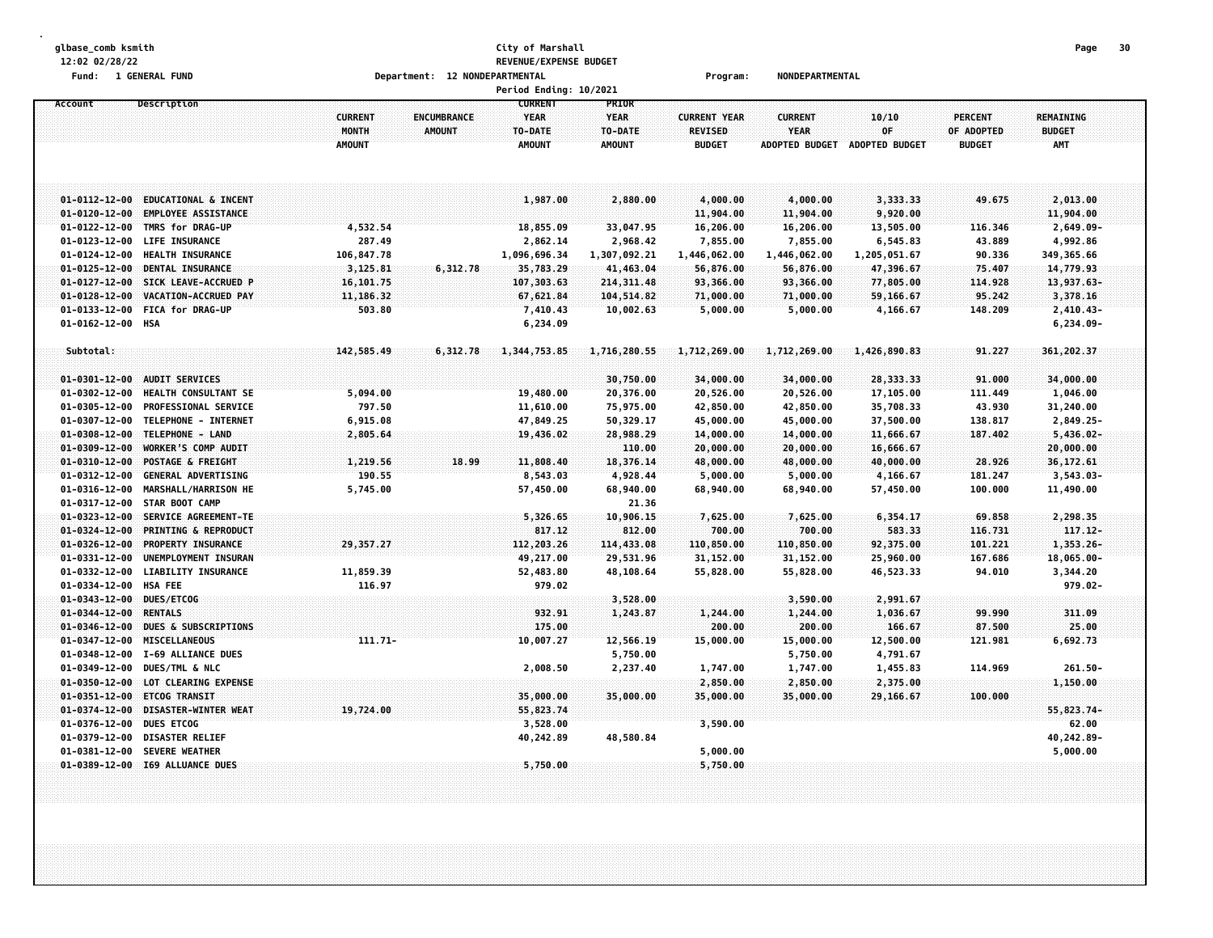#### **glbase\_comb ksmith City of Marshall Page 30 12:02 02/28/22 REVENUE/EXPENSE BUDGET Fund: 1 GENERAL FUND Department: 12 NONDEPARTMENTAL Program: NONDEPARTMENTAL**

|                                            |                                 |                                          |                              | Period Ending: 10/2021                                    |                                                  |                                                        |                                                        |                                      |                                               |                                          |  |
|--------------------------------------------|---------------------------------|------------------------------------------|------------------------------|-----------------------------------------------------------|--------------------------------------------------|--------------------------------------------------------|--------------------------------------------------------|--------------------------------------|-----------------------------------------------|------------------------------------------|--|
| Account                                    | Description                     | <b>CURRENT</b><br>MONTH<br><b>AMOUNT</b> | ENCUMBRANCE<br><b>AMOUNT</b> | <b>CURRENT</b><br><b>YEAR</b><br>TO-DATE<br><b>AMOUNT</b> | PRIOR<br><b>YEAR</b><br>TO-DATE<br><b>AMOUNT</b> | <b>CURRENT YEAR</b><br><b>REVISED</b><br><b>BUDGET</b> | <b>CURRENT</b><br><b>YEAR</b><br><b>ADOPTED BUDGET</b> | 10/10<br>0F<br><b>ADOPTED BUDGET</b> | <b>PERCENT</b><br>OF ADOPTED<br><b>BUDGET</b> | REMAINING<br><b>BUDGET</b><br><b>AMT</b> |  |
| $01 - 0112 - 12 - 00$                      | <b>EDUCATIONAL &amp; INCENT</b> |                                          |                              | 1,987.00                                                  | 2,880.00                                         | 4,000.00                                               | 4,000.00                                               | 3,333.33                             | 49.675                                        | 2,013.00                                 |  |
| $01 - 0120 - 12 - 00$                      | <b>EMPLOYEE ASSISTANCE</b>      |                                          |                              |                                                           |                                                  | 11,904.00                                              | 11,904.00                                              | 9,920.00                             |                                               | 11,904.00                                |  |
| $01 - 0122 - 12 - 00$                      | TMRS for DRAG-UP                | 4,532.54                                 |                              | 18,855.09                                                 | 33,047.95                                        | 16,206.00                                              | 16,206.00                                              | 13,505.00                            | 116.346                                       | 2,649.09-                                |  |
| $01 - 0123 - 12 - 00$                      | <b>LIFE INSURANCE</b>           | 287.49                                   |                              | 2,862.14                                                  | 2,968.42                                         | 7,855.00                                               | 7,855.00                                               | 6,545.83                             | 43.889                                        | 4,992.86                                 |  |
| $01 - 0124 - 12 - 00$                      | <b>HEALTH INSURANCE</b>         | 106,847.78                               |                              | 1,096,696.34                                              | 1,307,092.21                                     | 1,446,062.00                                           | 1,446,062.00                                           | 1,205,051.67                         | 90.336                                        | 349, 365.66                              |  |
| $01 - 0125 - 12 - 00$                      | DENTAL INSURANCE                | 3,125.81                                 | 6,312.78                     | 35,783.29                                                 | 41,463.04                                        | 56,876.00                                              | 56,876.00                                              | 47,396.67                            | 75.407                                        | 14,779.93                                |  |
| $01 - 0127 - 12 - 00$                      | SICK LEAVE-ACCRUED P            | 16,101.75                                |                              | 107,303.63                                                | 214, 311.48                                      | 93,366.00                                              | 93,366.00                                              | 77,805.00                            | 114.928                                       | 13,937.63-                               |  |
| $01 - 0128 - 12 - 00$                      | VACATION-ACCRUED PAY            | 11,186.32                                |                              | 67,621.84                                                 | 104,514.82                                       | 71,000.00                                              | 71,000.00                                              | 59,166.67                            | 95.242                                        | 3,378.16                                 |  |
| $01 - 0133 - 12 - 00$<br>01-0162-12-00 HSA | <b>FICA for DRAG-UP</b>         | 503.80                                   |                              | 7,410.43<br>6,234.09                                      | 10,002.63                                        | 5,000.00                                               | 5,000.00                                               | 4,166.67                             | 148.209                                       | $2,410.43-$<br>$6,234.09-$               |  |
| Subtotal:                                  |                                 | 142,585.49                               | 6,312.78                     | 1,344,753.85                                              | 1,716,280.55                                     | 1,712,269.00                                           | 1,712,269.00                                           | 1,426,890.83                         | 91,227                                        | 361,202.37                               |  |
|                                            |                                 |                                          |                              |                                                           |                                                  |                                                        |                                                        |                                      |                                               |                                          |  |
| $01 - 0301 - 12 - 00$                      | <b>AUDIT SERVICES</b>           |                                          |                              |                                                           | 30,750.00                                        | 34,000.00                                              | 34,000.00                                              | 28,333.33                            | 91.000                                        | 34,000.00                                |  |
| $01 - 0302 - 12 - 00$                      | <b>HEALTH CONSULTANT SE</b>     | 5,094.00                                 |                              | 19,480.00                                                 | 20,376.00                                        | 20,526.00                                              | 20,526.00                                              | 17,105.00                            | 111.449                                       | 1,046.00                                 |  |
| $01 - 0305 - 12 - 00$                      | PROFESSIONAL SERVICE            | 797.50                                   |                              | 11,610.00                                                 | 75,975.00                                        | 42,850.00                                              | 42,850.00                                              | 35,708.33                            | 43.930                                        | 31,240.00                                |  |
| $01 - 0307 - 12 - 00$                      | TELEPHONE - INTERNET            | 6,915.08                                 |                              | 47,849.25                                                 | 50,329.17                                        | 45,000.00                                              | 45,000.00                                              | 37,500.00                            | 138.817                                       | 2,849.25-                                |  |
| $01 - 0308 - 12 - 00$                      | TELEPHONE - LAND                | 2,805.64                                 |                              | 19,436.02                                                 | 28,988.29                                        | 14,000.00                                              | 14,000.00                                              | 11,666.67                            | 187.402                                       | $5,436.02 -$                             |  |
| $01 - 0309 - 12 - 00$                      | <b>WORKER'S COMP AUDIT</b>      |                                          |                              |                                                           | 110.00                                           | 20,000.00                                              | 20,000.00                                              | 16,666.67                            |                                               | 20,000.00                                |  |
| $01 - 0310 - 12 - 00$                      | POSTAGE & FREIGHT               | 1,219.56                                 | 18.99                        | 11,808.40                                                 | 18,376.14                                        | 48,000.00                                              | 48,000.00                                              | 40,000.00                            | 28.926                                        | 36, 172.61                               |  |
| $01 - 0312 - 12 - 00$                      | <b>GENERAL ADVERTISING</b>      | 190.55                                   |                              | 8,543.03                                                  | 4,928.44                                         | 5,000.00                                               | 5,000.00                                               | 4,166.67                             | 181.247                                       | $3,543.03-$                              |  |
| $01 - 0316 - 12 - 00$                      | MARSHALL/HARRISON HE            | 5,745.00                                 |                              | 57,450.00                                                 | 68,940.00                                        | 68,940.00                                              | 68,940.00                                              | 57,450.00                            | 100.000                                       | 11,490.00                                |  |
| $01 - 0317 - 12 - 00$                      | <b>STAR BOOT CAMP</b>           |                                          |                              |                                                           | 21.36                                            |                                                        |                                                        |                                      |                                               |                                          |  |
| $01 - 0323 - 12 - 00$                      | SERVICE AGREEMENT-TE            |                                          |                              | 5,326.65                                                  | 10,906.15                                        | 7,625.00                                               | 7,625.00                                               | 6,354.17                             | 69.858                                        | 2,298.35                                 |  |
| $01 - 0324 - 12 - 00$                      | <b>PRINTING &amp; REPRODUCT</b> |                                          |                              | 817.12                                                    | 812.00                                           | 700.00                                                 | 700.00                                                 | 583.33                               | 116.731                                       | 117.12-                                  |  |
| $01 - 0326 - 12 - 00$                      | PROPERTY INSURANCE              | 29,357.27                                |                              | 112,203.26                                                | 114,433.08                                       | 110,850.00                                             | 110,850.00                                             | 92,375.00                            | 101.221                                       | 1,353.26-                                |  |
| $01 - 0331 - 12 - 00$                      | UNEMPLOYMENT INSURAN            |                                          |                              | 49,217.00                                                 | 29,531.96                                        | 31,152.00                                              | 31,152.00                                              | 25,960.00                            | 167.686                                       | 18,065.00-                               |  |
| $01 - 0332 - 12 - 00$                      | <b>LIABILITY INSURANCE</b>      | 11,859.39                                |                              | 52,483.80                                                 | 48,108.64                                        | 55,828.00                                              | 55,828.00                                              | 46,523.33                            | 94.010                                        | 3,344.20                                 |  |
| $01 - 0334 - 12 - 00$                      | <b>HSA FEE</b>                  | 116.97                                   |                              | 979.02                                                    |                                                  |                                                        |                                                        |                                      |                                               | $979.02 -$                               |  |
| $01 - 0343 - 12 - 00$                      | DUES/ETCOG                      |                                          |                              |                                                           | 3,528.00                                         |                                                        | 3,590.00                                               | 2,991.67                             |                                               |                                          |  |
| $01 - 0344 - 12 - 00$                      | <b>RENTALS</b>                  |                                          |                              | 932.91                                                    | 1,243.87                                         | 1,244.00                                               | 1,244.00                                               | 1,036.67                             | 99.990                                        | 311.09                                   |  |
| $01 - 0346 - 12 - 00$                      | DUES & SUBSCRIPTIONS            |                                          |                              | 175.00                                                    |                                                  | 200.00                                                 | 200.00                                                 | 166.67                               | 87.500                                        | 25.00                                    |  |
| $01 - 0347 - 12 - 00$                      | <b>MISCELLANEOUS</b>            | 111.71-                                  |                              | 10,007.27                                                 | 12,566.19                                        | 15,000.00                                              | 15,000.00                                              | 12,500.00                            | 121.981                                       | 6,692.73                                 |  |
| $01 - 0348 - 12 - 00$                      | I-69 ALLIANCE DUES              |                                          |                              |                                                           | 5,750.00                                         |                                                        | 5,750.00                                               | 4,791.67                             |                                               |                                          |  |
| $01 - 0349 - 12 - 00$                      | DUES/TML & NLC                  |                                          |                              | 2,008.50                                                  | 2,237.40                                         | 1,747.00                                               | 1,747.00                                               | 1,455.83                             | 114.969                                       | $261.50 -$                               |  |
| $01 - 0350 - 12 - 00$                      | LOT CLEARING EXPENSE            |                                          |                              |                                                           |                                                  | 2,850.00                                               | 2,850.00                                               | 2,375.00                             |                                               | 1,150.00                                 |  |
| $01 - 0351 - 12 - 00$                      | <b>ETCOG TRANSIT</b>            |                                          |                              | 35,000.00                                                 | 35,000.00                                        | 35,000.00                                              | 35,000.00                                              | 29,166.67                            | 100,000                                       |                                          |  |
| $01 - 0374 - 12 - 00$                      | DISASTER-WINTER WEAT            | 19,724.00                                |                              | 55,823.74                                                 |                                                  |                                                        |                                                        |                                      |                                               | 55,823.74-                               |  |
| $01 - 0376 - 12 - 00$                      | <b>DUES ETCOG</b>               |                                          |                              | 3,528.00                                                  |                                                  | 3,590.00                                               |                                                        |                                      |                                               | 62.00                                    |  |
| $01 - 0379 - 12 - 00$                      | <b>DISASTER RELIEF</b>          |                                          |                              | 40,242.89                                                 | 48,580.84                                        |                                                        |                                                        |                                      |                                               | 40,242.89-                               |  |
| $01 - 0381 - 12 - 00$                      | <b>SEVERE WEATHER</b>           |                                          |                              |                                                           |                                                  | 5,000.00                                               |                                                        |                                      |                                               | 5,000.00                                 |  |
|                                            | 01-0389-12-00 I69 ALLUANCE DUES |                                          |                              | 5,750.00                                                  |                                                  | 5,750.00                                               |                                                        |                                      |                                               |                                          |  |
|                                            |                                 |                                          |                              |                                                           |                                                  |                                                        |                                                        |                                      |                                               |                                          |  |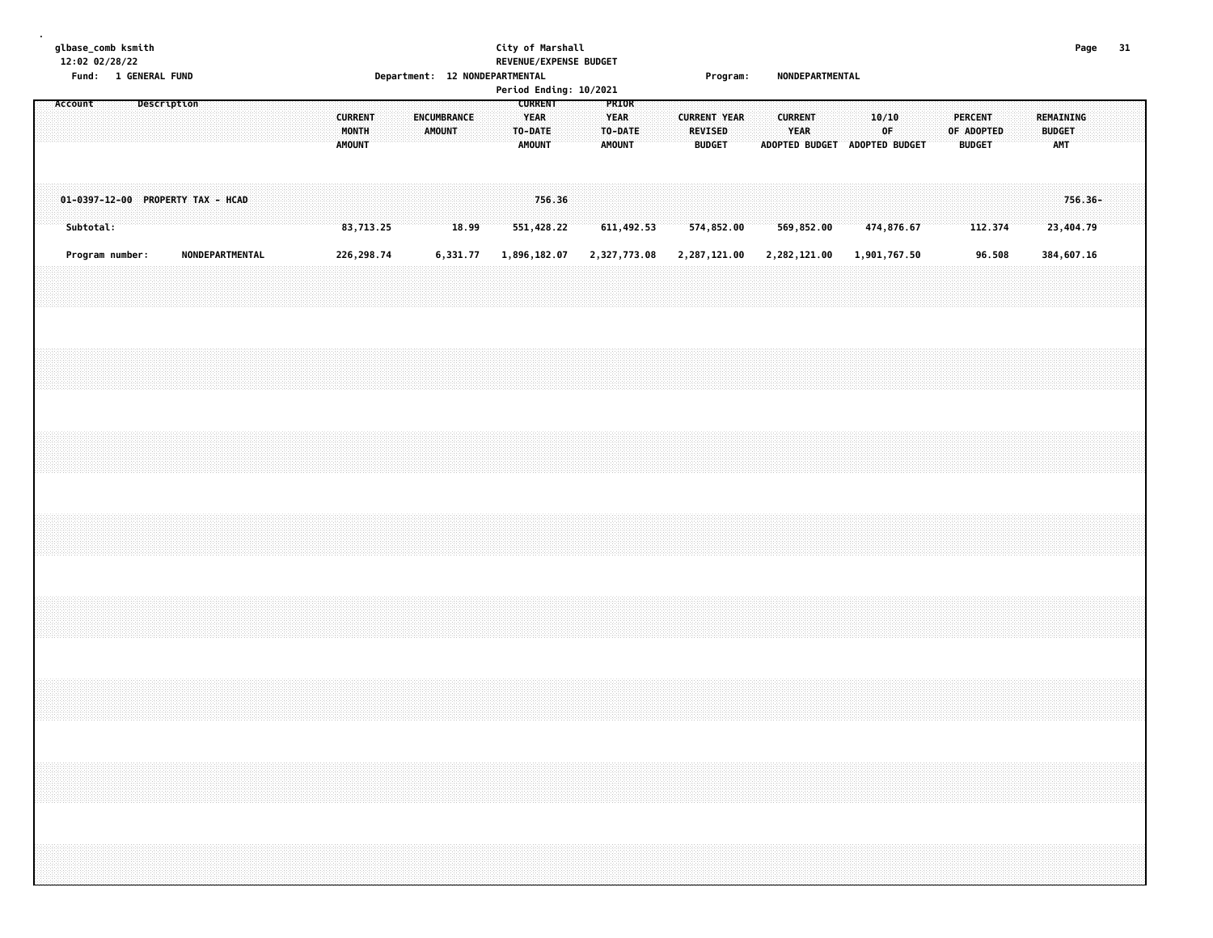#### **glbase\_comb ksmith City of Marshall Page 31 12:02 02/28/22 REVENUE/EXPENSE BUDGET Fund: 1 GENERAL FUND Department: 12 NONDEPARTMENTAL Program: NONDEPARTMENTAL**

|         |           |                 |             |  |                                   |  |  |                                          |  |                       |       |  |                                                    | Period Ending: 10/2021 |  |                                    |  |                                                        | . . <b>. .</b> . <b>.</b> |  |                        |              |  |                                              |  |                                 |            |  |                                   |         |  |
|---------|-----------|-----------------|-------------|--|-----------------------------------|--|--|------------------------------------------|--|-----------------------|-------|--|----------------------------------------------------|------------------------|--|------------------------------------|--|--------------------------------------------------------|---------------------------|--|------------------------|--------------|--|----------------------------------------------|--|---------------------------------|------------|--|-----------------------------------|---------|--|
| Account |           |                 | Description |  |                                   |  |  | <b>CURRENT</b><br>MONTH<br><b>AMOUNT</b> |  | ENCUMBRANCE<br>AMOUNT |       |  | <b>CURRENT</b><br>YEAR<br>TO-DATE<br><b>AMOUNT</b> |                        |  | PRIOR<br>YEAR<br>TO-DATE<br>AMOUNT |  | <b>CURRENT YEAR</b><br><b>REVISED</b><br><b>BUDGET</b> |                           |  | <b>CURRENT</b><br>YEAR |              |  | 10/10<br>OF<br>ADOPTED BUDGET ADOPTED BUDGET |  | <b>PERCENT</b><br><b>BUDGET</b> | OF ADOPTED |  | REMAINING<br><b>BUDGET</b><br>AMT |         |  |
|         | Subtotal: |                 |             |  | 01-0397-12-00 PROPERTY TAX - HCAD |  |  | 83,713.25                                |  |                       | 18.99 |  |                                                    | 756.36<br>551,428.22   |  | 611,492.53                         |  | 574,852.00                                             |                           |  |                        | 569,852.00   |  | 474,876.67                                   |  |                                 | 112.374    |  | 23,404.79                         | 756.36- |  |
|         |           | Program number: |             |  | NONDEPARTMENTAL                   |  |  | 226, 298.74                              |  | 6,331.77              |       |  |                                                    | 1,896,182.07           |  | 2,327,773.08                       |  | 2,287,121.00                                           |                           |  |                        | 2,282,121.00 |  | 1,901,767.50                                 |  |                                 | 96.508     |  | 384,607.16                        |         |  |
|         |           |                 |             |  |                                   |  |  |                                          |  |                       |       |  |                                                    |                        |  |                                    |  |                                                        |                           |  |                        |              |  |                                              |  |                                 |            |  |                                   |         |  |
|         |           |                 |             |  |                                   |  |  |                                          |  |                       |       |  |                                                    |                        |  |                                    |  |                                                        |                           |  |                        |              |  |                                              |  |                                 |            |  |                                   |         |  |
|         |           |                 |             |  |                                   |  |  |                                          |  |                       |       |  |                                                    |                        |  |                                    |  |                                                        |                           |  |                        |              |  |                                              |  |                                 |            |  |                                   |         |  |
|         |           |                 |             |  |                                   |  |  |                                          |  |                       |       |  |                                                    |                        |  |                                    |  |                                                        |                           |  |                        |              |  |                                              |  |                                 |            |  |                                   |         |  |
|         |           |                 |             |  |                                   |  |  |                                          |  |                       |       |  |                                                    |                        |  |                                    |  |                                                        |                           |  |                        |              |  |                                              |  |                                 |            |  |                                   |         |  |
|         |           |                 |             |  |                                   |  |  |                                          |  |                       |       |  |                                                    |                        |  |                                    |  |                                                        |                           |  |                        |              |  |                                              |  |                                 |            |  |                                   |         |  |
|         |           |                 |             |  |                                   |  |  |                                          |  |                       |       |  |                                                    |                        |  |                                    |  |                                                        |                           |  |                        |              |  |                                              |  |                                 |            |  |                                   |         |  |
|         |           |                 |             |  |                                   |  |  |                                          |  |                       |       |  |                                                    |                        |  |                                    |  |                                                        |                           |  |                        |              |  |                                              |  |                                 |            |  |                                   |         |  |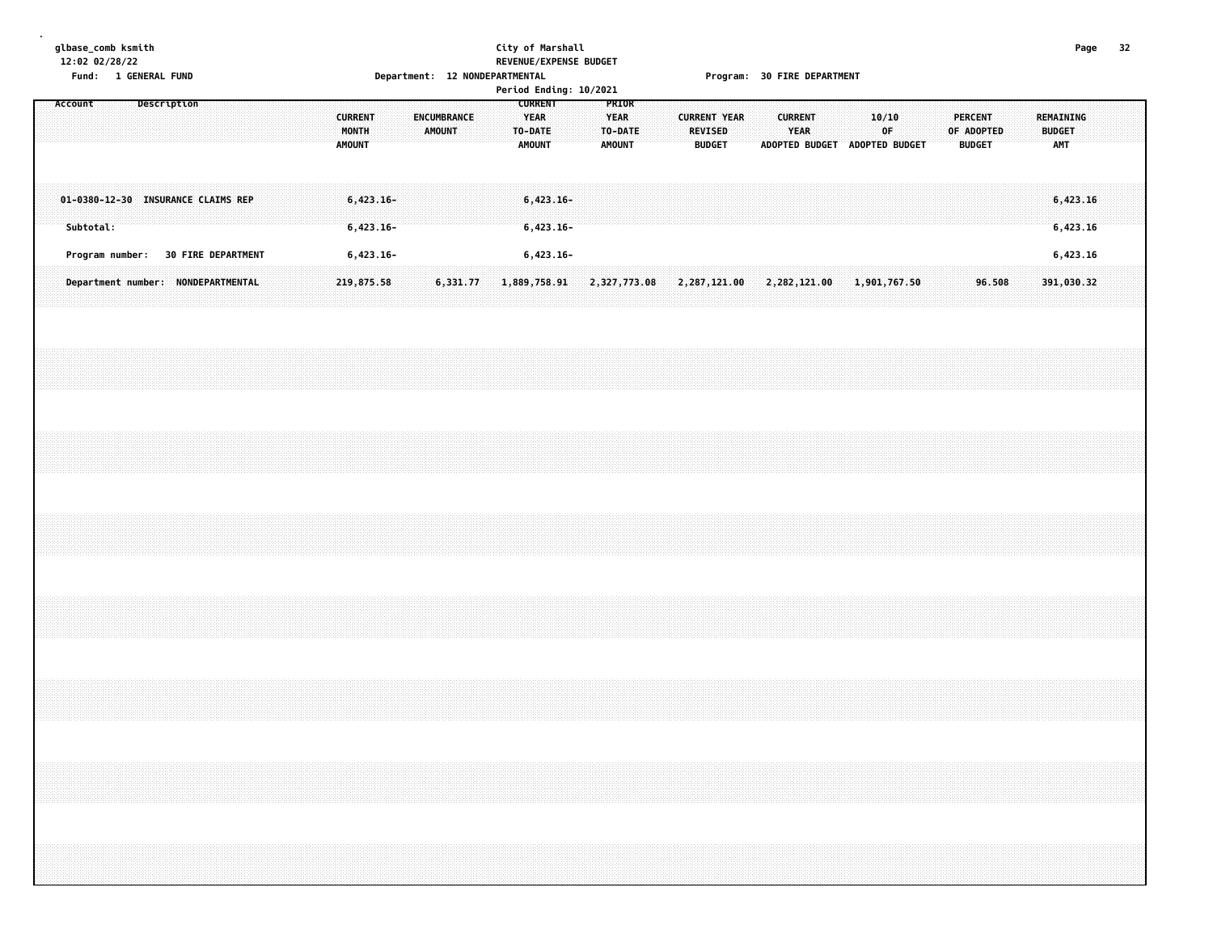#### **glbase\_comb ksmith City of Marshall Page 32 12:02 02/28/22 REVENUE/EXPENSE BUDGET Fund: 1 GENERAL FUND Department: 12 NONDEPARTMENTAL Program: 30 FIRE DEPARTMENT**

|  | Account |           |                                    |             |  |  |  |                                          |             |  |        |             |  | Period Ending: 10/2021<br><b>CURRENT</b> |  | PRIOR                                   |                                                                                       |                                       |               |  |                                                 |             |  |             |  |  |                                               |  |                      |            |  |  |
|--|---------|-----------|------------------------------------|-------------|--|--|--|------------------------------------------|-------------|--|--------|-------------|--|------------------------------------------|--|-----------------------------------------|---------------------------------------------------------------------------------------|---------------------------------------|---------------|--|-------------------------------------------------|-------------|--|-------------|--|--|-----------------------------------------------|--|----------------------|------------|--|--|
|  |         |           |                                    | Description |  |  |  | <b>CURRENT</b><br>MONTH<br><b>AMOUNT</b> |             |  | AMOUNT | ENCUMBRANCE |  | <b>YEAR</b><br>TO-DATE<br><b>AMOUNT</b>  |  | <b>YEAR</b><br>TO-DATE<br><b>AMOUNT</b> |                                                                                       | <b>CURRENT YEAR</b><br><b>REVISED</b> | <b>BUDGET</b> |  | <b>CURRENT</b><br>ADOPTED BUDGET ADOPTED BUDGET | <b>YEAR</b> |  | 10/10<br>0F |  |  | <b>PERCENT</b><br>OF ADOPTED<br><b>BUDGET</b> |  | <b>BUDGET</b><br>AMT | REMAINING  |  |  |
|  |         |           | 01-0380-12-30 INSURANCE CLAIMS REP |             |  |  |  |                                          | $6,423.16-$ |  |        |             |  | $6,423.16-$                              |  |                                         |                                                                                       |                                       |               |  |                                                 |             |  |             |  |  |                                               |  |                      | 6,423.16   |  |  |
|  |         | Subtotal: |                                    |             |  |  |  |                                          | $6,423.16-$ |  |        |             |  | $6,423.16-$                              |  |                                         |                                                                                       |                                       |               |  |                                                 |             |  |             |  |  |                                               |  |                      | 6,423.16   |  |  |
|  |         |           | Program number: 30 FIRE DEPARTMENT |             |  |  |  |                                          | $6,423.16-$ |  |        |             |  | $6,423.16-$                              |  |                                         |                                                                                       |                                       |               |  |                                                 |             |  |             |  |  |                                               |  |                      | 6,423.16   |  |  |
|  |         |           | Department number: NONDEPARTMENTAL |             |  |  |  | 219,875.58                               |             |  |        |             |  |                                          |  |                                         | $6,331.77$ $1,889,758.91$ $2,327,773.08$ $2,287,121.00$ $2,282,121.00$ $1,901,767.50$ |                                       |               |  |                                                 |             |  |             |  |  | 96.508                                        |  |                      | 391,030.32 |  |  |
|  |         |           |                                    |             |  |  |  |                                          |             |  |        |             |  |                                          |  |                                         |                                                                                       |                                       |               |  |                                                 |             |  |             |  |  |                                               |  |                      |            |  |  |
|  |         |           |                                    |             |  |  |  |                                          |             |  |        |             |  |                                          |  |                                         |                                                                                       |                                       |               |  |                                                 |             |  |             |  |  |                                               |  |                      |            |  |  |
|  |         |           |                                    |             |  |  |  |                                          |             |  |        |             |  |                                          |  |                                         |                                                                                       |                                       |               |  |                                                 |             |  |             |  |  |                                               |  |                      |            |  |  |
|  |         |           |                                    |             |  |  |  |                                          |             |  |        |             |  |                                          |  |                                         |                                                                                       |                                       |               |  |                                                 |             |  |             |  |  |                                               |  |                      |            |  |  |
|  |         |           |                                    |             |  |  |  |                                          |             |  |        |             |  |                                          |  |                                         |                                                                                       |                                       |               |  |                                                 |             |  |             |  |  |                                               |  |                      |            |  |  |
|  |         |           |                                    |             |  |  |  |                                          |             |  |        |             |  |                                          |  |                                         |                                                                                       |                                       |               |  |                                                 |             |  |             |  |  |                                               |  |                      |            |  |  |
|  |         |           |                                    |             |  |  |  |                                          |             |  |        |             |  |                                          |  |                                         |                                                                                       |                                       |               |  |                                                 |             |  |             |  |  |                                               |  |                      |            |  |  |
|  |         |           |                                    |             |  |  |  |                                          |             |  |        |             |  |                                          |  |                                         |                                                                                       |                                       |               |  |                                                 |             |  |             |  |  |                                               |  |                      |            |  |  |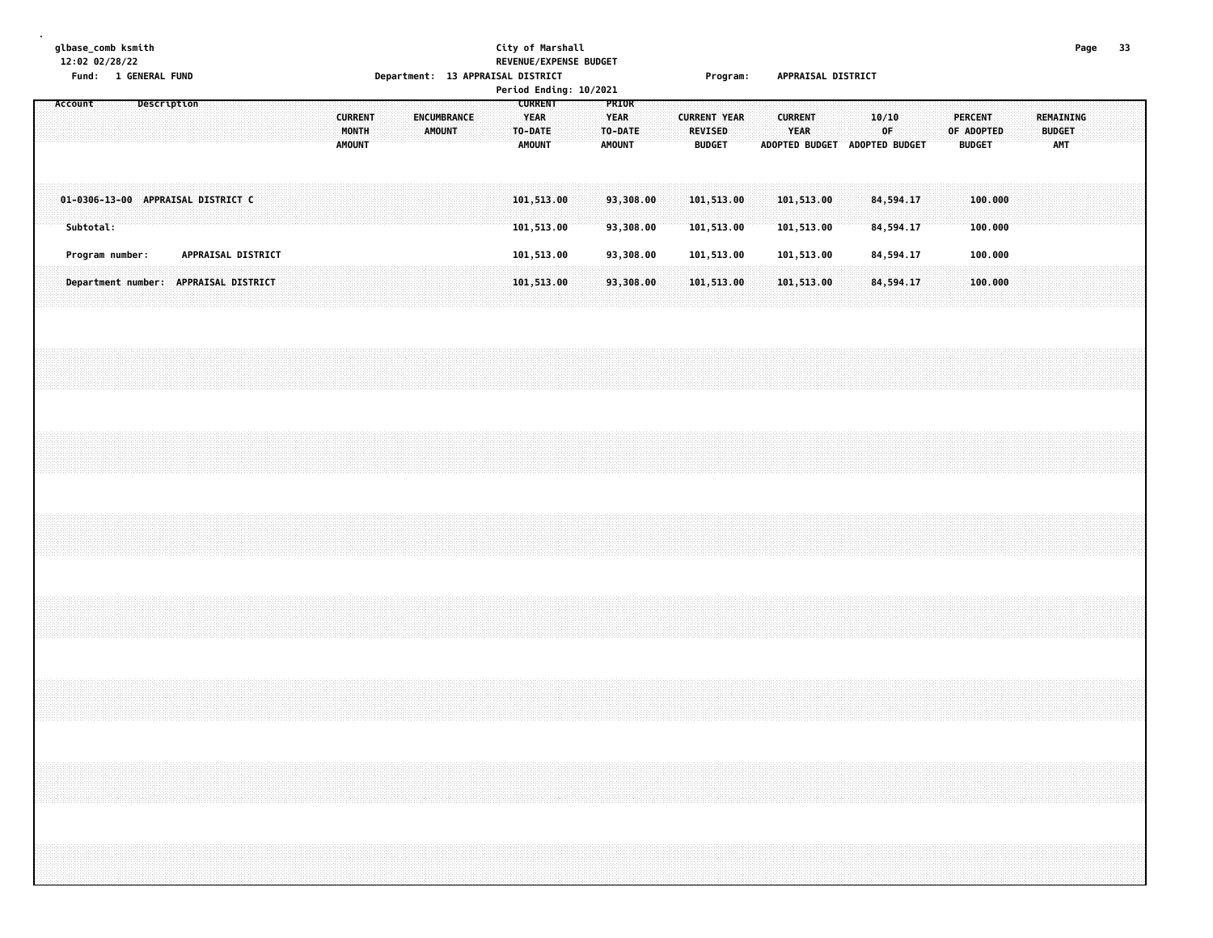**glbase\_comb ksmith City of Marshall Page 33 12:02 02/28/22 REVENUE/EXPENSE BUDGET**

**.**

# **Fund: 1 GENERAL FUND Department: 13 APPRAISAL DISTRICT Program: APPRAISAL DISTRICT**

|                                                 |  |             |                    |  |  |                                          |  |                       |  |                                                           |  | Period Ending: 10/2021 |                                   |  |                |                                      |  |                                                                |  |                        |  |                                               |  |                             |           |  |  |
|-------------------------------------------------|--|-------------|--------------------|--|--|------------------------------------------|--|-----------------------|--|-----------------------------------------------------------|--|------------------------|-----------------------------------|--|----------------|--------------------------------------|--|----------------------------------------------------------------|--|------------------------|--|-----------------------------------------------|--|-----------------------------|-----------|--|--|
| Account                                         |  | Description |                    |  |  | <b>CURRENT</b><br>MONTH<br><b>AMOUNT</b> |  | ENCUMBRANCE<br>AMOUNT |  | <b>CURRENT</b><br><b>YEAR</b><br>TO-DATE<br><b>AMOUNT</b> |  | <b>YEAR</b>            | PRIOR<br>TO-DATE<br><b>AMOUNT</b> |  | <b>REVISED</b> | <b>CURRENT YEAR</b><br><b>BUDGET</b> |  | <b>CURRENT</b><br><b>YEAR</b><br>ADOPTED BUDGET ADOPTED BUDGET |  | 10/10<br>0F            |  | <b>PERCENT</b><br>OF ADOPTED<br><b>BUDGET</b> |  | <b>BUDGET</b><br><b>AMT</b> | REMAINING |  |  |
| 01-0306-13-00 APPRAISAL DISTRICT C<br>Subtotal: |  |             |                    |  |  |                                          |  |                       |  | 101,513.00<br>101,513.00                                  |  |                        | 93,308.00<br>93,308.00            |  |                | 101,513.00<br>101,513.00             |  | 101,513.00<br>101,513.00                                       |  | 84,594.17<br>84,594.17 |  | 100,000<br>100.000                            |  |                             |           |  |  |
| Program number:                                 |  |             | APPRAISAL DISTRICT |  |  |                                          |  |                       |  | 101,513.00                                                |  |                        | 93,308.00                         |  |                | 101,513.00                           |  | 101,513.00                                                     |  | 84,594.17              |  | 100.000                                       |  |                             |           |  |  |
| Department number: APPRAISAL DISTRICT           |  |             |                    |  |  |                                          |  |                       |  | 101,513.00                                                |  |                        | 93,308.00                         |  |                | 101,513.00                           |  | 101,513.00                                                     |  | 84,594.17              |  | 100.000                                       |  |                             |           |  |  |
|                                                 |  |             |                    |  |  |                                          |  |                       |  |                                                           |  |                        |                                   |  |                |                                      |  |                                                                |  |                        |  |                                               |  |                             |           |  |  |
|                                                 |  |             |                    |  |  |                                          |  |                       |  |                                                           |  |                        |                                   |  |                |                                      |  |                                                                |  |                        |  |                                               |  |                             |           |  |  |
|                                                 |  |             |                    |  |  |                                          |  |                       |  |                                                           |  |                        |                                   |  |                |                                      |  |                                                                |  |                        |  |                                               |  |                             |           |  |  |
|                                                 |  |             |                    |  |  |                                          |  |                       |  |                                                           |  |                        |                                   |  |                |                                      |  |                                                                |  |                        |  |                                               |  |                             |           |  |  |
|                                                 |  |             |                    |  |  |                                          |  |                       |  |                                                           |  |                        |                                   |  |                |                                      |  |                                                                |  |                        |  |                                               |  |                             |           |  |  |
|                                                 |  |             |                    |  |  |                                          |  |                       |  |                                                           |  |                        |                                   |  |                |                                      |  |                                                                |  |                        |  |                                               |  |                             |           |  |  |
|                                                 |  |             |                    |  |  |                                          |  |                       |  |                                                           |  |                        |                                   |  |                |                                      |  |                                                                |  |                        |  |                                               |  |                             |           |  |  |
|                                                 |  |             |                    |  |  |                                          |  |                       |  |                                                           |  |                        |                                   |  |                |                                      |  |                                                                |  |                        |  |                                               |  |                             |           |  |  |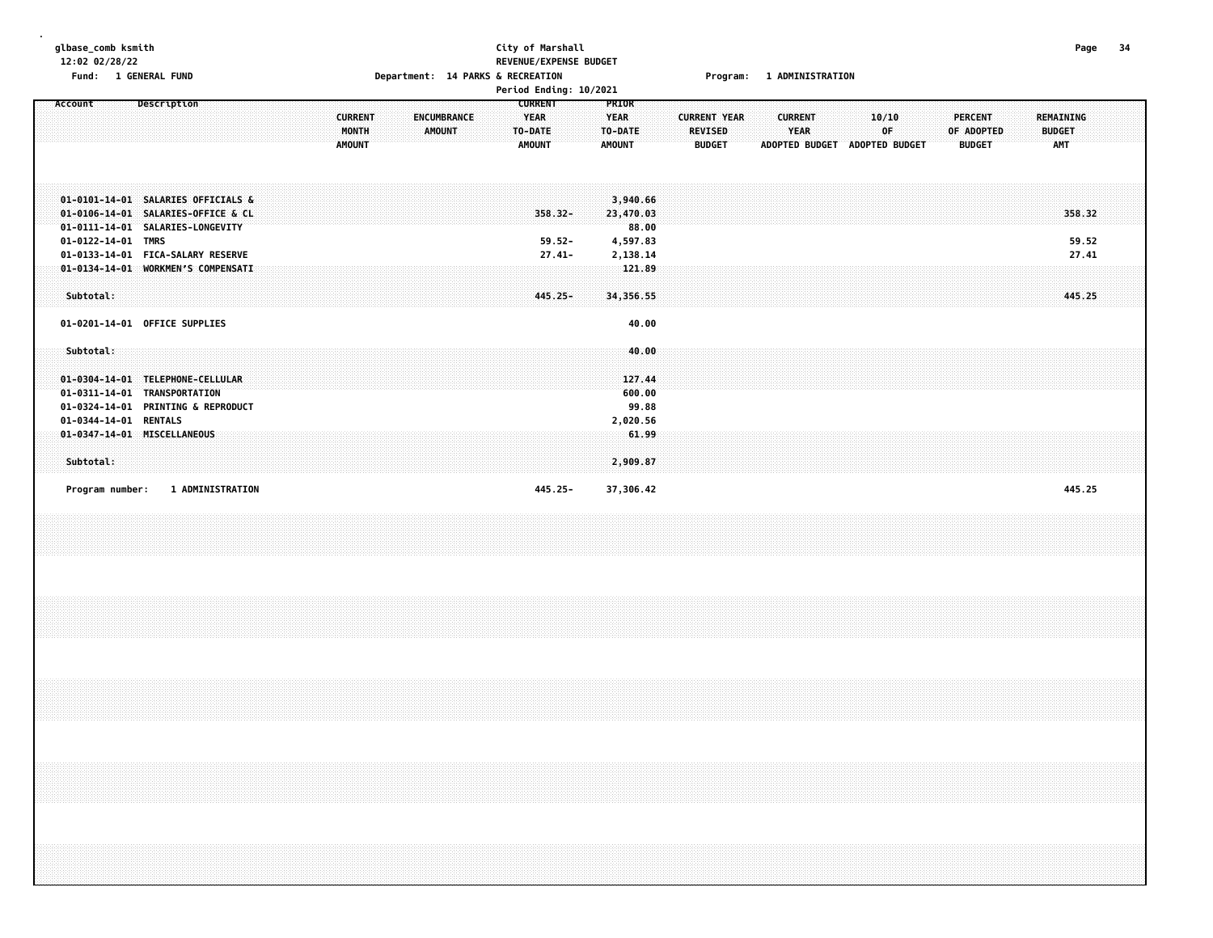| glbase_comb ksmith<br>12:02 02/28/22<br>Fund: 1 GENERAL FUND                                                                                                                                                  |             |                         |  |  |                                          | Department: 14 PARKS & RECREATION |                       |  | City of Marshall<br>REVENUE/EXPENSE BUDGET |                                                           |                                   |                                                  |                                                                  |  |                                                        |  |                | Program: 1 ADMINISTRATION |                               |             |  |                                 |            |  |                                          | Page                     | -34 |  |
|---------------------------------------------------------------------------------------------------------------------------------------------------------------------------------------------------------------|-------------|-------------------------|--|--|------------------------------------------|-----------------------------------|-----------------------|--|--------------------------------------------|-----------------------------------------------------------|-----------------------------------|--------------------------------------------------|------------------------------------------------------------------|--|--------------------------------------------------------|--|----------------|---------------------------|-------------------------------|-------------|--|---------------------------------|------------|--|------------------------------------------|--------------------------|-----|--|
| Account                                                                                                                                                                                                       | Description |                         |  |  | <b>CURRENT</b><br>MONTH<br><b>AMOUNT</b> |                                   | ENCUMBRANCE<br>AMOUNT |  | Period Ending: 10/2021                     | <b>CURRENT</b><br><b>YEAR</b><br>TO-DATE<br><b>AMOUNT</b> |                                   | PRIOR<br><b>YEAR</b><br>TO-DATE<br><b>AMOUNT</b> |                                                                  |  | <b>CURRENT YEAR</b><br><b>REVISED</b><br><b>BUDGET</b> |  | <b>CURRENT</b> | YEAR                      | ADOPTED BUDGET ADOPTED BUDGET | 10/10<br>0F |  | <b>PERCENT</b><br><b>BUDGET</b> | OF ADOPTED |  | <b>REMAINING</b><br><b>BUDGET</b><br>AMT |                          |     |  |
| 01-0101-14-01 SALARIES OFFICIALS &<br>01-0106-14-01 SALARIES-OFFICE & CL<br>01-0111-14-01 SALARIES-LONGEVITY<br>01-0122-14-01 TMRS<br>01-0133-14-01 FICA-SALARY RESERVE<br>01-0134-14-01 WORKMEN'S COMPENSATI |             |                         |  |  |                                          |                                   |                       |  |                                            |                                                           | 358.32-<br>$59.52 -$<br>$27.41 -$ |                                                  | 3,940.66<br>23,470.03<br>88.00<br>4,597.83<br>2,138.14<br>121.89 |  |                                                        |  |                |                           |                               |             |  |                                 |            |  |                                          | 358.32<br>59.52<br>27.41 |     |  |
| Subtotal:<br>01-0201-14-01 OFFICE SUPPLIES                                                                                                                                                                    |             |                         |  |  |                                          |                                   |                       |  |                                            |                                                           | 445.25-                           |                                                  | 34,356.55<br>40.00                                               |  |                                                        |  |                |                           |                               |             |  |                                 |            |  |                                          | 445.25                   |     |  |
| Subtotal:<br>01-0304-14-01 TELEPHONE-CELLULAR<br>01-0311-14-01 TRANSPORTATION<br>01-0324-14-01 PRINTING & REPRODUCT                                                                                           |             |                         |  |  |                                          |                                   |                       |  |                                            |                                                           |                                   |                                                  | 40.00<br>127.44<br>600.00<br>99.88                               |  |                                                        |  |                |                           |                               |             |  |                                 |            |  |                                          |                          |     |  |
| 01-0344-14-01 RENTALS<br>01-0347-14-01 MISCELLANEOUS<br>Subtotal:                                                                                                                                             |             |                         |  |  |                                          |                                   |                       |  |                                            |                                                           |                                   |                                                  | 2,020.56<br>61.99<br>2,909.87                                    |  |                                                        |  |                |                           |                               |             |  |                                 |            |  |                                          |                          |     |  |
| Program number:                                                                                                                                                                                               |             | <b>1 ADMINISTRATION</b> |  |  |                                          |                                   |                       |  |                                            |                                                           | 445.25-                           |                                                  | 37,306.42                                                        |  |                                                        |  |                |                           |                               |             |  |                                 |            |  |                                          | 445.25                   |     |  |
|                                                                                                                                                                                                               |             |                         |  |  |                                          |                                   |                       |  |                                            |                                                           |                                   |                                                  |                                                                  |  |                                                        |  |                |                           |                               |             |  |                                 |            |  |                                          |                          |     |  |
|                                                                                                                                                                                                               |             |                         |  |  |                                          |                                   |                       |  |                                            |                                                           |                                   |                                                  |                                                                  |  |                                                        |  |                |                           |                               |             |  |                                 |            |  |                                          |                          |     |  |
|                                                                                                                                                                                                               |             |                         |  |  |                                          |                                   |                       |  |                                            |                                                           |                                   |                                                  |                                                                  |  |                                                        |  |                |                           |                               |             |  |                                 |            |  |                                          |                          |     |  |
|                                                                                                                                                                                                               |             |                         |  |  |                                          |                                   |                       |  |                                            |                                                           |                                   |                                                  |                                                                  |  |                                                        |  |                |                           |                               |             |  |                                 |            |  |                                          |                          |     |  |
|                                                                                                                                                                                                               |             |                         |  |  |                                          |                                   |                       |  |                                            |                                                           |                                   |                                                  |                                                                  |  |                                                        |  |                |                           |                               |             |  |                                 |            |  |                                          |                          |     |  |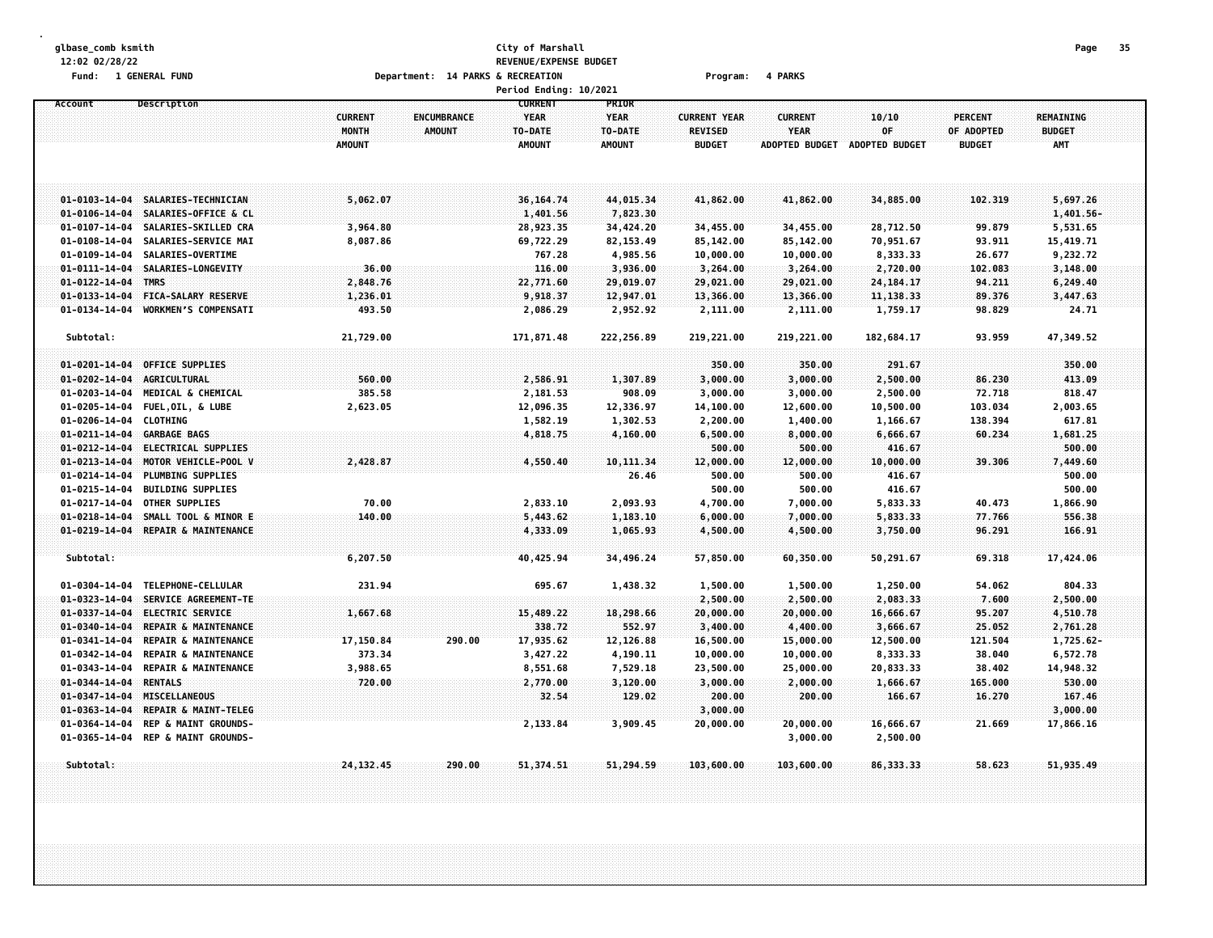#### **glbase\_comb ksmith City of Marshall Page 35 12:02 02/28/22 REVENUE/EXPENSE BUDGET Fund: 1 GENERAL FUND Department: 14 PARKS & RECREATION Program: 4 PARKS**

|                                                |                                               |                |                    | Period Ending: 10/2021        |                      |                     |                       |                  |                |                  |  |
|------------------------------------------------|-----------------------------------------------|----------------|--------------------|-------------------------------|----------------------|---------------------|-----------------------|------------------|----------------|------------------|--|
| Account                                        | <b>Description</b>                            | <b>CURRENT</b> | <b>ENCUMBRANCE</b> | <b>CURRENT</b><br><b>YEAR</b> | PRIOR<br><b>YEAR</b> | <b>CURRENT YEAR</b> | <b>CURRENT</b>        | 10/10            | <b>PERCENT</b> | <b>REMAINING</b> |  |
|                                                |                                               | MONTH          | <b>AMOUNT</b>      | TO-DATE                       | TO-DATE              | <b>REVISED</b>      | <b>YEAR</b>           | 0F               | OF ADOPTED     | <b>BUDGET</b>    |  |
|                                                |                                               | <b>AMOUNT</b>  |                    | <b>AMOUNT</b>                 | <b>AMOUNT</b>        | <b>BUDGET</b>       | <b>ADOPTED BUDGET</b> | ADOPTED BUDGET   | <b>BUDGET</b>  | <b>AMT</b>       |  |
|                                                |                                               |                |                    |                               |                      |                     |                       |                  |                |                  |  |
|                                                |                                               |                |                    |                               |                      |                     |                       |                  |                |                  |  |
| $01 - 0103 - 14 - 04$                          | SALARIES-TECHNICIAN                           | 5,062.07       |                    | 36, 164, 74                   | 44,015.34            | 41,862.00           | 41,862.00             | 34,885.00        | 102,319        | 5,697.26         |  |
| $01 - 0106 - 14 - 04$                          | SALARIES-OFFICE & CL                          |                |                    | 1,401.56                      | 7,823.30             |                     |                       |                  |                | $1,401.56 -$     |  |
| $01 - 0107 - 14 - 04$                          | SALARIES-SKILLED CRA                          | 3,964.80       |                    | 28,923.35                     | 34,424.20            | 34,455.00           | 34,455.00             | 28,712.50        | 99.879         | 5,531.65         |  |
| $01 - 0108 - 14 - 04$                          | SALARIES-SERVICE MAI                          | 8,087.86       |                    | 69,722.29                     | 82, 153.49           | 85,142.00           | 85,142.00             | 70,951.67        | 93.911         | 15,419.71        |  |
| $01 - 0109 - 14 - 04$                          | SALARIES-OVERTIME                             |                |                    | 767.28                        | 4,985.56             | 10,000.00           | 10,000.00             | 8,333.33         | 26.677         | 9,232.72         |  |
| $01 - 0111 - 14 - 04$                          | SALARIES-LONGEVITY                            | 36.00          |                    | 116.00                        | 3,936.00             | 3,264.00            | 3,264.00              | 2,720.00         | 102.083        | 3,148.00         |  |
| $01 - 0122 - 14 - 04$                          | <b>TMRS</b>                                   | 2,848.76       |                    | 22,771.60                     | 29,019.07            | 29,021.00           | 29,021.00             | 24, 184. 17      | 94.211         | 6,249.40         |  |
| $01 - 0133 - 14 - 04$                          | <b>FICA-SALARY RESERVE</b>                    | 1,236.01       |                    | 9,918.37                      | 12,947.01            | 13,366.00           | 13,366.00             | 11, 138.33       | 89.376         | 3,447.63         |  |
| $01 - 0134 - 14 - 04$                          | <b>WORKMEN'S COMPENSATI</b>                   | 493.50         |                    | 2,086.29                      | 2,952.92             | 2,111.00            | 2,111.00              | 1,759.17         | 98.829         | 24.71            |  |
| Subtotal:                                      |                                               | 21,729.00      |                    | 171,871.48                    | 222,256.89           | 219,221.00          | 219,221.00            | 182,684.17       | 93.959         | 47,349.52        |  |
|                                                |                                               |                |                    |                               |                      |                     |                       |                  |                |                  |  |
| $01 - 0201 - 14 - 04$                          | <b>OFFICE SUPPLIES</b>                        |                |                    |                               |                      | 350.00              | 350.00                | 291.67           |                | 350.00           |  |
| $01 - 0202 - 14 - 04$                          | AGRICULTURAL                                  | 560.00         |                    | 2,586.91                      | 1,307.89             | 3,000.00            | 3,000.00              | 2,500.00         | 86.230         | 413.09           |  |
| $01 - 0203 - 14 - 04$                          | MEDICAL & CHEMICAL                            | 385.58         |                    | 2,181.53                      | 908.09               | 3,000.00            | 3,000.00              | 2,500.00         | 72.718         | 818.47           |  |
| 01-0205-14-04                                  | <b>FUEL, OIL, &amp; LUBE</b>                  | 2,623.05       |                    | 12,096.35                     | 12,336.97            | 14,100.00           | 12,600.00             | 10,500.00        | 103.034        | 2,003.65         |  |
| $01 - 0206 - 14 - 04$                          | <b>CLOTHING</b>                               |                |                    | 1,582.19                      | 1,302.53             | 2,200.00            | 1,400.00              | 1,166.67         | 138.394        | 617.81           |  |
| $01 - 0211 - 14 - 04$                          | <b>GARBAGE BAGS</b>                           |                |                    | 4,818.75                      | 4,160.00             | 6,500.00            | 8,000.00              | 6,666.67         | 60.234         | 1,681.25         |  |
| $01 - 0212 - 14 - 04$                          | <b>ELECTRICAL SUPPLIES</b>                    |                |                    |                               |                      | 500.00              | 500.00                | 416.67           |                | 500.00           |  |
| $01 - 0213 - 14 - 04$                          | MOTOR VEHICLE-POOL V                          | 2,428.87       |                    | 4,550.40                      | 10, 111, 34          | 12,000.00           | 12,000.00             | 10,000.00        | 39.306         | 7,449.60         |  |
| $01 - 0214 - 14 - 04$<br>$01 - 0215 - 14 - 04$ | PLUMBING SUPPLIES<br><b>BUILDING SUPPLIES</b> |                |                    |                               | 26.46                | 500.00              | 500.00<br>500.00      | 416.67<br>416.67 |                | 500.00<br>500.00 |  |
| $01 - 0217 - 14 - 04$                          | <b>OTHER SUPPLIES</b>                         | 70.00          |                    | 2,833.10                      | 2,093.93             | 500.00<br>4,700.00  | 7,000.00              | 5,833.33         | 40.473         | 1,866.90         |  |
| $01 - 0218 - 14 - 04$                          | SMALL TOOL & MINOR E                          | 140.00         |                    | 5,443.62                      | 1,183.10             | 6,000.00            | 7,000.00              | 5,833.33         | 77.766         | 556.38           |  |
| $01 - 0219 - 14 - 04$                          | REPAIR & MAINTENANCE                          |                |                    | 4,333.09                      | 1,065.93             | 4,500.00            | 4,500.00              | 3,750.00         | 96.291         | 166.91           |  |
|                                                |                                               |                |                    |                               |                      |                     |                       |                  |                |                  |  |
| Subtotal:                                      |                                               | 6,207.50       |                    | 40,425.94                     | 34,496.24            | 57,850.00           | 60,350.00             | 50,291.67        | 69.318         | 17,424.06        |  |
|                                                |                                               |                |                    |                               |                      |                     |                       |                  |                |                  |  |
| $01 - 0304 - 14 - 04$                          | TELEPHONE-CELLULAR                            | 231.94         |                    | 695.67                        | 1,438.32             | 1,500.00            | 1,500.00              | 1,250.00         | 54.062         | 804.33           |  |
| $01 - 0323 - 14 - 04$                          | SERVICE AGREEMENT-TE                          |                |                    |                               |                      | 2,500.00            | 2,500.00              | 2,083.33         | 7.600          | 2,500.00         |  |
| $01 - 0337 - 14 - 04$                          | <b>ELECTRIC SERVICE</b>                       | 1,667.68       |                    | 15,489.22                     | 18,298.66            | 20,000.00           | 20,000.00             | 16,666.67        | 95.207         | 4,510.78         |  |
| $01 - 0340 - 14 - 04$                          | REPAIR & MAINTENANCE                          |                |                    | 338.72                        | 552.97               | 3,400.00            | 4,400.00              | 3,666.67         | 25.052         | 2,761.28         |  |
| $01 - 0341 - 14 - 04$                          | <b>REPAIR &amp; MAINTENANCE</b>               | 17,150.84      | 290.00             | 17,935.62                     | 12,126.88            | 16,500.00           | 15,000.00             | 12,500.00        | 121.504        | $1,725.62 -$     |  |
| $01 - 0342 - 14 - 04$                          | <b>REPAIR &amp; MAINTENANCE</b>               | 373.34         |                    | 3,427.22                      | 4,190.11             | 10,000.00           | 10,000.00             | 8,333.33         | 38.040         | 6,572.78         |  |
| $01 - 0343 - 14 - 04$                          | REPAIR & MAINTENANCE                          | 3,988.65       |                    | 8,551.68                      | 7,529.18             | 23,500.00           | 25,000.00             | 20,833.33        | 38.402         | 14,948.32        |  |
| 01-0344-14-04 RENTALS                          |                                               | 720.00         |                    | 2,770.00                      | 3,120.00             | 3,000.00            | 2,000.00              | 1,666.67         | 165.000        | 530.00           |  |
| $01 - 0347 - 14 - 04$                          | <b>MISCELLANEOUS</b>                          |                |                    | 32.54                         | 129.02               | 200.00              | 200.00                | 166.67           | 16,270         | 167.46           |  |
| $01 - 0363 - 14 - 04$                          | <b>REPAIR &amp; MAINT-TELEG</b>               |                |                    |                               |                      | 3,000.00            |                       |                  |                | 3,000.00         |  |
| $01 - 0364 - 14 - 04$                          | <b>REP &amp; MAINT GROUNDS-</b>               |                |                    | 2,133.84                      | 3,909.45             | 20,000.00           | 20,000.00             | 16,666.67        | 21.669         | 17,866.16        |  |
| $01 - 0365 - 14 - 04$                          | REP & MAINT GROUNDS-                          |                |                    |                               |                      |                     | 3,000.00              | 2,500.00         |                |                  |  |
| Subtotal:                                      |                                               | 24,132.45      | 290.00             | 51,374.51                     | 51,294.59            | 103,600.00          | 103,600.00            | 86,333.33        | 58.623         | 51,935.49        |  |
|                                                |                                               |                |                    |                               |                      |                     |                       |                  |                |                  |  |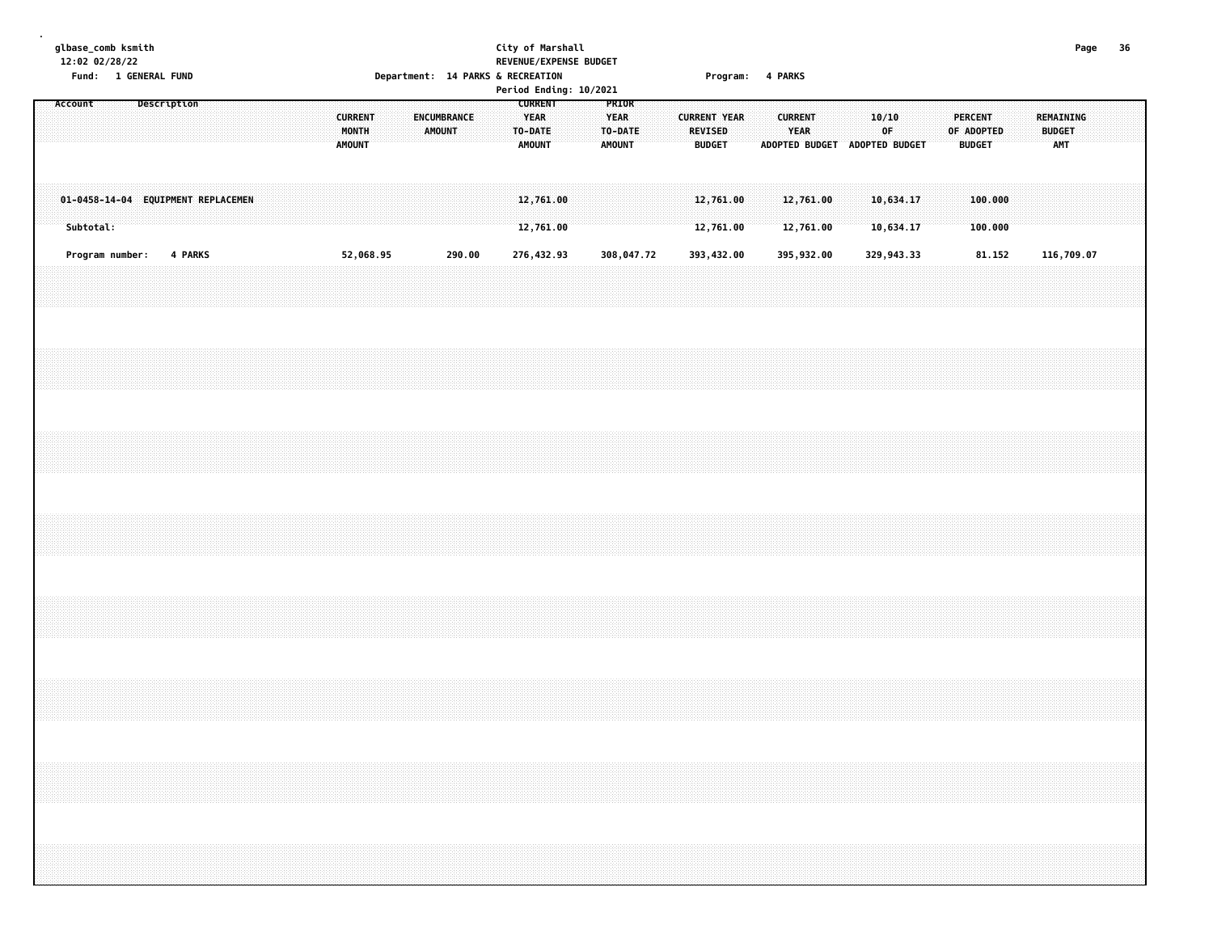|         | 12:02 02/28/22 | glbase_comb ksmith<br>Fund: 1 GENERAL FUND |             |         |  |  |  |                                          | Department: 14 PARKS & RECREATION |                       |        |  |                                                           | City of Marshall | REVENUE/EXPENSE BUDGET<br>Period Ending: 10/2021 |                              |                  |  |                          |                        |  | Program: 4 PARKS       |  |             |                               |                                               |                    |  |                                   | Page | - 36 |  |
|---------|----------------|--------------------------------------------|-------------|---------|--|--|--|------------------------------------------|-----------------------------------|-----------------------|--------|--|-----------------------------------------------------------|------------------|--------------------------------------------------|------------------------------|------------------|--|--------------------------|------------------------|--|------------------------|--|-------------|-------------------------------|-----------------------------------------------|--------------------|--|-----------------------------------|------|------|--|
| Account |                |                                            | Description |         |  |  |  | <b>CURRENT</b><br>MONTH<br><b>AMOUNT</b> |                                   | ENCUMBRANCE<br>AMOUNT |        |  | <b>CURRENT</b><br><b>YEAR</b><br>TO-DATE<br><b>AMOUNT</b> |                  |                                                  | <b>YEAR</b><br><b>AMOUNT</b> | PRIOR<br>TO-DATE |  | REVISED<br><b>BUDGET</b> | <b>CURRENT YEAR</b>    |  | <b>CURRENT</b><br>YEAR |  | 10/10<br>0F | ADOPTED BUDGET ADOPTED BUDGET | <b>PERCENT</b><br>OF ADOPTED<br><b>BUDGET</b> |                    |  | REMAINING<br><b>BUDGET</b><br>AMT |      |      |  |
|         | Subtotal:      | 01-0458-14-04 EQUIPMENT REPLACEMEN         |             |         |  |  |  |                                          |                                   |                       |        |  | 12,761.00                                                 | 12,761.00        |                                                  |                              |                  |  |                          | 12,761.00<br>12,761.00 |  | 12,761.00<br>12,761.00 |  |             | 10,634.17<br>10,634.17        |                                               | 100.000<br>100.000 |  |                                   |      |      |  |
|         |                | Program number:                            |             | 4 PARKS |  |  |  | 52,068.95                                |                                   |                       | 290.00 |  | 276,432.93                                                |                  |                                                  |                              | 308,047.72       |  |                          | 393,432.00             |  | 395,932.00             |  |             | 329,943.33                    |                                               | 81.152             |  | 116,709.07                        |      |      |  |
|         |                |                                            |             |         |  |  |  |                                          |                                   |                       |        |  |                                                           |                  |                                                  |                              |                  |  |                          |                        |  |                        |  |             |                               |                                               |                    |  |                                   |      |      |  |
|         |                |                                            |             |         |  |  |  |                                          |                                   |                       |        |  |                                                           |                  |                                                  |                              |                  |  |                          |                        |  |                        |  |             |                               |                                               |                    |  |                                   |      |      |  |
|         |                |                                            |             |         |  |  |  |                                          |                                   |                       |        |  |                                                           |                  |                                                  |                              |                  |  |                          |                        |  |                        |  |             |                               |                                               |                    |  |                                   |      |      |  |
|         |                |                                            |             |         |  |  |  |                                          |                                   |                       |        |  |                                                           |                  |                                                  |                              |                  |  |                          |                        |  |                        |  |             |                               |                                               |                    |  |                                   |      |      |  |
|         |                |                                            |             |         |  |  |  |                                          |                                   |                       |        |  |                                                           |                  |                                                  |                              |                  |  |                          |                        |  |                        |  |             |                               |                                               |                    |  |                                   |      |      |  |
|         |                |                                            |             |         |  |  |  |                                          |                                   |                       |        |  |                                                           |                  |                                                  |                              |                  |  |                          |                        |  |                        |  |             |                               |                                               |                    |  |                                   |      |      |  |
|         |                |                                            |             |         |  |  |  |                                          |                                   |                       |        |  |                                                           |                  |                                                  |                              |                  |  |                          |                        |  |                        |  |             |                               |                                               |                    |  |                                   |      |      |  |
|         |                |                                            |             |         |  |  |  |                                          |                                   |                       |        |  |                                                           |                  |                                                  |                              |                  |  |                          |                        |  |                        |  |             |                               |                                               |                    |  |                                   |      |      |  |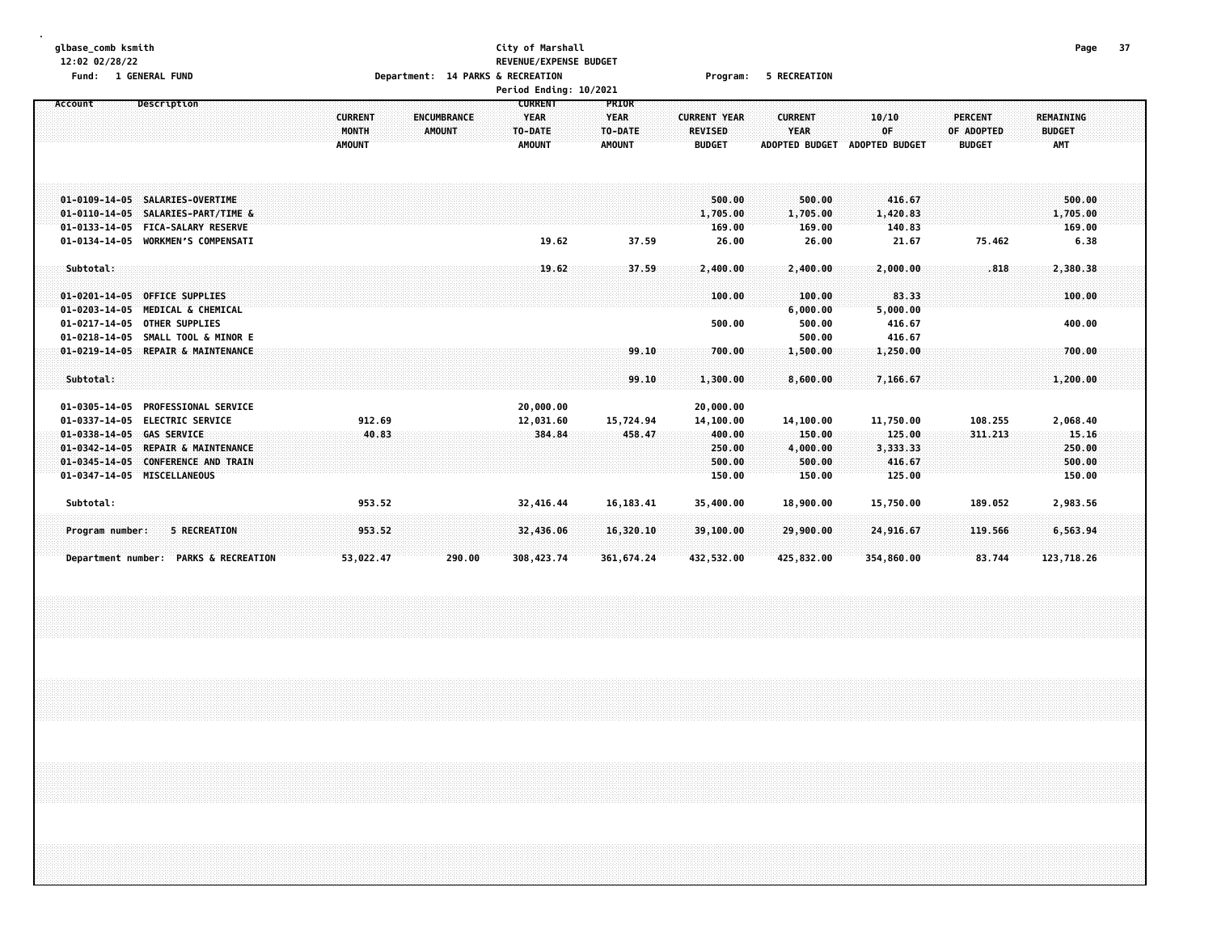## **glbase\_comb ksmith City of Marshall Page 37 12:02 02/28/22 REVENUE/EXPENSE BUDGET** Fund: 1 GENERAL FUND CONTENTS OPERATOR CONTENTS OPERATOR DEPRITS ON THE RECREATION CONTENTS OF PROGRAMS OF RECREATION

|                                                                                                                                                                                                              |                                          | Period Ending: 10/2021                                                                           |                                                  |                                                                |                                                                                                            |                                                                                                  |  |
|--------------------------------------------------------------------------------------------------------------------------------------------------------------------------------------------------------------|------------------------------------------|--------------------------------------------------------------------------------------------------|--------------------------------------------------|----------------------------------------------------------------|------------------------------------------------------------------------------------------------------------|--------------------------------------------------------------------------------------------------|--|
| Description<br>Account                                                                                                                                                                                       | <b>CURRENT</b><br>MONTH<br><b>AMOUNT</b> | <b>CURRENT</b><br><b>YEAR</b><br><b>ENCUMBRANCE</b><br><b>AMOUNT</b><br>TO-DATE<br><b>AMOUNT</b> | PRIOR<br><b>YEAR</b><br>TO-DATE<br><b>AMOUNT</b> | <b>CURRENT YEAR</b><br><b>REVISED</b><br><b>BUDGET</b>         | <b>CURRENT</b><br>10/10<br><b>YEAR</b><br>0F<br><b>ADOPTED BUDGET</b><br><b>ADOPTED BUDGET</b>             | <b>PERCENT</b><br><b>REMAINING</b><br>OF ADOPTED<br><b>BUDGET</b><br><b>BUDGET</b><br><b>AMT</b> |  |
| 01-0109-14-05 SALARIES-OVERTIME<br>01-0110-14-05 SALARIES-PART/TIME &<br>01-0133-14-05 FICA-SALARY RESERVE<br>01-0134-14-05 WORKMEN'S COMPENSATI                                                             |                                          | 19.62                                                                                            | 37.59                                            | 500.00<br>1,705.00<br>169.00<br>26.00                          | 416.67<br>500.00<br>1,705.00<br>1,420.83<br>169.00<br>140.83<br>26.00<br>21.67                             | 500.00<br>1,705.00<br>169.00<br>75.462<br>6.38                                                   |  |
| Subtotal:<br>01-0201-14-05 OFFICE SUPPLIES<br>01-0203-14-05 MEDICAL & CHEMICAL<br>01-0217-14-05 OTHER SUPPLIES<br>01-0218-14-05 SMALL TOOL & MINOR E                                                         |                                          | 19.62                                                                                            | 37.59                                            | 2,400.00<br>100.00<br>500.00                                   | 2,400.00<br>2,000.00<br>83.33<br>100.00<br>6,000.00<br>5,000.00<br>500.00<br>416.67<br>500.00<br>416.67    | .818<br>2,380.38<br>100.00<br>400.00                                                             |  |
| 01-0219-14-05 REPAIR & MAINTENANCE<br>Subtotal:                                                                                                                                                              |                                          |                                                                                                  | 99.10<br>99.10                                   | 700.00<br>1,300.00                                             | 1,500.00<br>1,250.00<br>8,600.00<br>7,166.67                                                               | 700.00<br>1,200.00                                                                               |  |
| 01-0305-14-05 PROFESSIONAL SERVICE<br>01-0337-14-05 ELECTRIC SERVICE<br>01-0338-14-05 GAS SERVICE<br>01-0342-14-05 REPAIR & MAINTENANCE<br>01-0345-14-05 CONFERENCE AND TRAIN<br>01-0347-14-05 MISCELLANEOUS | 912.69<br>40.83                          | 20,000.00<br>12,031.60<br>384.84                                                                 | 15,724.94<br>458.47                              | 20,000.00<br>14,100.00<br>400.00<br>250.00<br>500.00<br>150.00 | 11,750.00<br>14,100.00<br>150.00<br>125.00<br>4,000.00<br>3,333.33<br>500.00<br>416.67<br>125.00<br>150.00 | 108.255<br>2,068.40<br>311.213<br>15.16<br>250.00<br>500.00<br>150.00                            |  |
| Subtotal:                                                                                                                                                                                                    | 953.52                                   | 32,416.44                                                                                        | 16, 183.41                                       | 35,400.00                                                      | 18,900.00<br>15,750.00                                                                                     | 189.052<br>2,983.56                                                                              |  |
| 5 RECREATION<br>Program number:<br>Department number: PARKS & RECREATION                                                                                                                                     | 953.52<br>53,022.47                      | 32,436.06<br>308,423.74<br>290.00                                                                | 16,320.10<br>361, 674.24                         | 39,100.00<br>432,532.00                                        | 24,916.67<br>29,900.00<br>425,832.00<br>354,860.00                                                         | 119.566<br>6,563.94<br>83.744<br>123,718.26                                                      |  |
|                                                                                                                                                                                                              |                                          |                                                                                                  |                                                  |                                                                |                                                                                                            |                                                                                                  |  |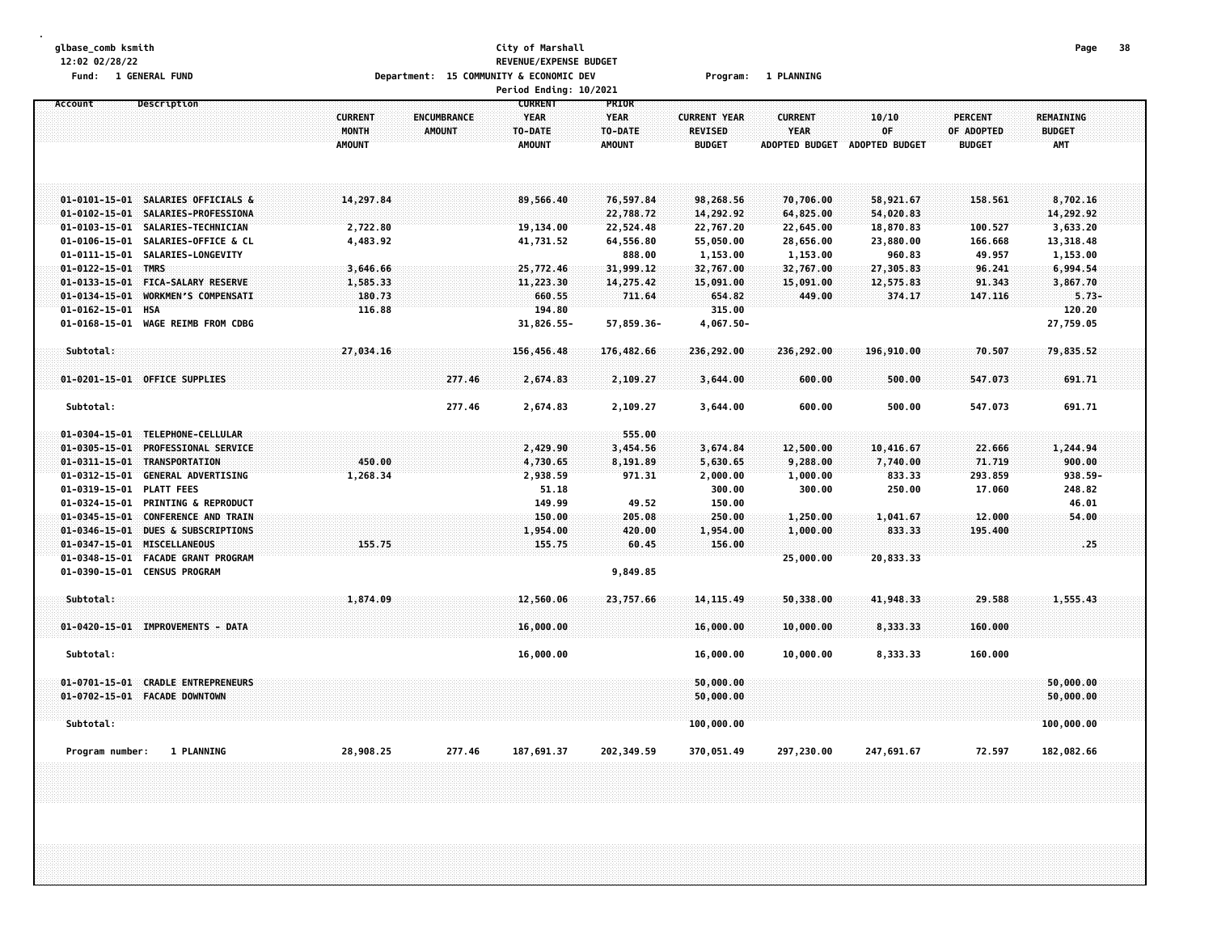| glbase_comb ksmith                                       |                         |                                         | City of Marshall       |                        |                                |                |                               |                | Page             | 38 |
|----------------------------------------------------------|-------------------------|-----------------------------------------|------------------------|------------------------|--------------------------------|----------------|-------------------------------|----------------|------------------|----|
| 12:02 02/28/22                                           |                         |                                         | REVENUE/EXPENSE BUDGET |                        |                                |                |                               |                |                  |    |
| Fund: 1 GENERAL FUND                                     |                         | Department: 15 COMMUNITY & ECONOMIC DEV |                        |                        | Program:                       | 1 PLANNING     |                               |                |                  |    |
|                                                          |                         |                                         | Period Ending: 10/2021 |                        |                                |                |                               |                |                  |    |
| Account<br>Description                                   |                         |                                         | <b>CURRENT</b>         | PRIOR                  |                                | <b>CURRENT</b> |                               | <b>PERCENT</b> | <b>REMAINING</b> |    |
|                                                          | <b>CURRENT</b><br>MONTH | <b>ENCUMBRANCE</b><br><b>AMOUNT</b>     | <b>YEAR</b><br>TO-DATE | <b>YEAR</b><br>TO-DATE | <b>CURRENT YEAR</b><br>REVISED | <b>YEAR</b>    | 10/10<br>OF                   | OF ADOPTED     | <b>BUDGET</b>    |    |
|                                                          | <b>AMOUNT</b>           |                                         | <b>AMOUNT</b>          | <b>AMOUNT</b>          | <b>BUDGET</b>                  |                | ADOPTED BUDGET ADOPTED BUDGET | <b>BUDGET</b>  | <b>AMT</b>       |    |
|                                                          |                         |                                         |                        |                        |                                |                |                               |                |                  |    |
|                                                          |                         |                                         |                        |                        |                                |                |                               |                |                  |    |
|                                                          |                         |                                         |                        |                        |                                |                |                               |                |                  |    |
| 01-0101-15-01 SALARIES OFFICIALS &                       | 14,297.84               |                                         | 89,566.40              | 76,597.84              | 98,268.56                      | 70,706.00      | 58,921.67                     | 158.561        | 8,702.16         |    |
| $01 - 0102 - 15 - 01$<br>SALARIES-PROFESSIONA            |                         |                                         |                        | 22,788.72              | 14,292.92                      | 64,825.00      | 54,020.83                     |                | 14,292.92        |    |
| $01 - 0103 - 15 - 01$<br>SALARIES-TECHNICIAN             | 2,722.80                |                                         | 19,134.00              | 22,524.48              | 22,767.20                      | 22,645.00      | 18,870.83                     | 100.527        | 3,633.20         |    |
| $01 - 0106 - 15 - 01$<br>SALARIES-OFFICE & CL            | 4,483.92                |                                         | 41,731.52              | 64,556.80              | 55,050.00                      | 28,656.00      | 23,880.00                     | 166.668        | 13,318.48        |    |
| $01 - 0111 - 15 - 01$<br>SALARIES-LONGEVITY              |                         |                                         |                        | 888.00                 | 1,153.00                       | 1,153.00       | 960.83                        | 49.957         | 1,153.00         |    |
| $01 - 0122 - 15 - 01$<br><b>TMRS</b>                     | 3,646.66                |                                         | 25,772.46              | 31,999.12              | 32,767.00                      | 32,767.00      | 27,305.83                     | 96.241         | 6,994.54         |    |
| $01 - 0133 - 15 - 01$<br><b>FICA-SALARY RESERVE</b>      | 1,585.33                |                                         | 11,223.30              | 14,275.42              | 15,091.00                      | 15,091.00      | 12,575.83                     | 91.343         | 3,867.70         |    |
| $01 - 0134 - 15 - 01$<br>WORKMEN'S COMPENSATI            | 180.73                  |                                         | 660.55                 | 711.64                 | 654.82                         | 449.00         | 374.17                        | 147.116        | $5.73-$          |    |
| $01 - 0162 - 15 - 01$<br><b>HSA</b>                      | 116.88                  |                                         | 194.80                 |                        | 315.00                         |                |                               |                | 120.20           |    |
| $01 - 0168 - 15 - 01$<br>WAGE REIMB FROM CDBG            |                         |                                         | 31,826.55-             | 57,859.36-             | 4,067.50-                      |                |                               |                | 27,759.05        |    |
|                                                          |                         |                                         |                        |                        |                                |                |                               |                |                  |    |
| Subtotal:                                                | 27,034.16               |                                         | 156,456.48             | 176,482.66             | 236,292.00                     | 236,292.00     | 196,910.00                    | 70.507         | 79,835.52        |    |
|                                                          |                         |                                         |                        |                        |                                |                |                               |                |                  |    |
| 01-0201-15-01 OFFICE SUPPLIES                            |                         | 277.46                                  | 2,674.83               | 2,109.27               | 3,644.00                       | 600.00         | 500.00                        | 547.073        | 691.71           |    |
| Subtotal:                                                |                         | 277.46                                  | 2,674.83               | 2,109.27               | 3,644.00                       | 600.00         | 500.00                        | 547.073        | 691.71           |    |
|                                                          |                         |                                         |                        |                        |                                |                |                               |                |                  |    |
| 01-0304-15-01 TELEPHONE-CELLULAR                         |                         |                                         |                        | 555.00                 |                                |                |                               |                |                  |    |
| PROFESSIONAL SERVICE<br>$01 - 0305 - 15 - 01$            |                         |                                         | 2,429.90               | 3,454.56               | 3,674.84                       | 12,500.00      | 10,416.67                     | 22.666         | 1,244.94         |    |
| $01 - 0311 - 15 - 01$<br>TRANSPORTATION                  | 450.00                  |                                         | 4,730.65               | 8,191.89               | 5,630.65                       | 9,288.00       | 7,740.00                      | 71.719         | 900.00           |    |
| $01 - 0312 - 15 - 01$<br><b>GENERAL ADVERTISING</b>      | 1,268.34                |                                         | 2,938.59               | 971.31                 | 2,000.00                       | 1,000.00       | 833.33                        | 293.859        | 938.59-          |    |
| 01-0319-15-01<br><b>PLATT FEES</b>                       |                         |                                         | 51.18                  |                        | 300.00                         | 300.00         | 250.00                        | 17.060         | 248.82           |    |
| 01-0324-15-01<br><b>PRINTING &amp; REPRODUCT</b>         |                         |                                         | 149.99                 | 49.52                  | 150.00                         |                |                               |                | 46.01            |    |
| $01 - 0345 - 15 - 01$<br><b>CONFERENCE AND TRAIN</b>     |                         |                                         | 150.00                 | 205.08                 | 250.00                         | 1,250.00       | 1,041.67                      | 12.000         | 54.00            |    |
| $01 - 0346 - 15 - 01$<br><b>DUES &amp; SUBSCRIPTIONS</b> |                         |                                         | 1,954.00               | 420.00                 | 1,954.00                       | 1,000.00       | 833.33                        | 195.400        |                  |    |
| $01 - 0347 - 15 - 01$<br><b>MISCELLANEOUS</b>            | 155.75                  |                                         | 155.75                 | 60.45                  | 156.00                         |                |                               |                | .25.             |    |
| $01 - 0348 - 15 - 01$<br>FACADE GRANT PROGRAM            |                         |                                         |                        |                        |                                | 25,000.00      | 20,833.33                     |                |                  |    |
| 01-0390-15-01 CENSUS PROGRAM                             |                         |                                         |                        | 9,849.85               |                                |                |                               |                |                  |    |
|                                                          |                         |                                         |                        |                        |                                |                |                               |                |                  |    |
| Subtotal:                                                | 1,874.09                |                                         | 12,560.06              | 23,757.66              | 14, 115, 49                    | 50,338.00      | 41,948.33                     | 29.588         | 1,555.43         |    |
|                                                          |                         |                                         |                        |                        |                                |                |                               |                |                  |    |
| 01-0420-15-01 IMPROVEMENTS - DATA                        |                         |                                         | 16,000.00              |                        | 16,000.00                      | 10,000.00      | 8,333.33                      | 160.000        |                  |    |
| Subtotal:                                                |                         |                                         |                        |                        |                                |                |                               |                |                  |    |
|                                                          |                         |                                         | 16,000.00              |                        | 16,000.00                      | 10,000.00      | 8,333.33                      | 160.000        |                  |    |
| $01 - 0701 - 15 - 01$<br><b>CRADLE ENTREPRENEURS</b>     |                         |                                         |                        |                        | 50,000.00                      |                |                               |                | 50,000.00        |    |
| 01-0702-15-01 FACADE DOWNTOWN                            |                         |                                         |                        |                        | 50,000.00                      |                |                               |                | 50,000.00        |    |
|                                                          |                         |                                         |                        |                        |                                |                |                               |                |                  |    |
| Subtotal:                                                |                         |                                         |                        |                        | 100,000.00                     |                |                               |                | 100,000.00       |    |
|                                                          |                         |                                         |                        |                        |                                |                |                               |                |                  |    |
| Program number:<br>1 PLANNING                            | 28,908.25               | 277.46                                  | 187,691.37             | 202,349.59             | 370,051.49                     | 297,230.00     | 247,691.67                    | 72.597         | 182,082.66       |    |
|                                                          |                         |                                         |                        |                        |                                |                |                               |                |                  |    |
|                                                          |                         |                                         |                        |                        |                                |                |                               |                |                  |    |
|                                                          |                         |                                         |                        |                        |                                |                |                               |                |                  |    |
|                                                          |                         |                                         |                        |                        |                                |                |                               |                |                  |    |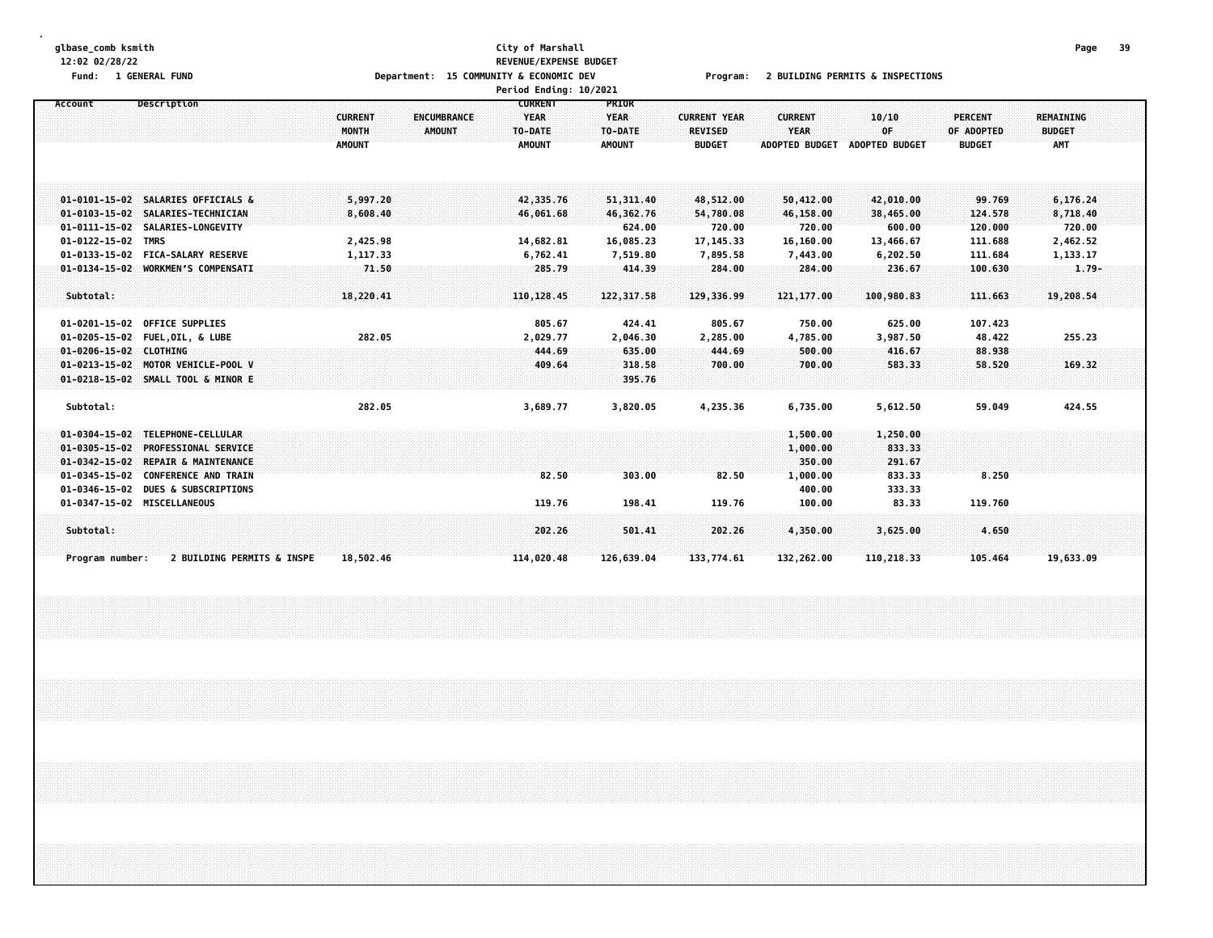#### **glbase\_comb ksmith City of Marshall Page 39 12:02 02/28/22 REVENUE/EXPENSE BUDGET** Fund: 1 GENERAL FUND CONNECTIONS COMMUNITY & COMMUNITY & ECONOMIC DEV Program: 2 BUILDING PERMITS & INSPECTIONS **Period Ending: 10/2021**

| Account                                  | Description                                                                                                                | <b>CURRENT</b><br>MONTH<br><b>AMOUNT</b> | <b>CURRENT</b><br><b>YEAR</b><br>ENCUMBRANCE<br>TO-DATE<br>AMOUNT<br><b>AMOUNT</b> | <b>PRIOR</b><br><b>YEAR</b><br>TO-DATE<br><b>AMOUNT</b> | <b>CURRENT YEAR</b><br><b>REVISED</b><br><b>BUDGET</b> | <b>CURRENT</b><br><b>YEAR</b><br><b>ADOPTED BUDGET</b> | 10/10<br>OF<br><b>ADOPTED BUDGET</b>          | <b>PERCENT</b><br>OF ADOPTED<br><b>BUDGET</b> | REMAINING<br><b>BUDGET</b><br><b>AMT</b>   |  |
|------------------------------------------|----------------------------------------------------------------------------------------------------------------------------|------------------------------------------|------------------------------------------------------------------------------------|---------------------------------------------------------|--------------------------------------------------------|--------------------------------------------------------|-----------------------------------------------|-----------------------------------------------|--------------------------------------------|--|
| $01 - 0122 - 15 - 02$                    | 01-0101-15-02 SALARIES OFFICIALS &<br>01-0103-15-02 SALARIES-TECHNICIAN<br>01-0111-15-02 SALARIES-LONGEVITY<br><b>TMRS</b> | 5,997.20<br>8,608.40<br>2,425.98         | 42,335.76<br>46,061.68<br>14,682.81                                                | 51, 311, 40<br>46,362.76<br>624.00<br>16,085.23         | 48,512.00<br>54,780.08<br>720.00<br>17, 145.33         | 50,412.00<br>46,158.00<br>720.00<br>16,160.00          | 42,010.00<br>38,465.00<br>600.00<br>13,466.67 | 99.769<br>124.578<br>120.000<br>111.688       | 6,176.24<br>8,718.40<br>720.00<br>2,462.52 |  |
| Subtotal:                                | 01-0133-15-02 FICA-SALARY RESERVE<br>01-0134-15-02 WORKMEN'S COMPENSATI<br>01-0201-15-02 OFFICE SUPPLIES                   | 1,117.33<br>71.50<br>18,220.41           | 6,762.41<br>285.79<br>110, 128.45<br>805.67                                        | 7,519.80<br>414.39<br>122, 317.58<br>424.41             | 7,895.58<br>284.00<br>129,336.99<br>805.67             | 7,443.00<br>284.00<br>121,177.00<br>750.00             | 6,202.50<br>236.67<br>100,980.83<br>625.00    | 111.684<br>100.630<br>111.663<br>107.423      | 1,133.17<br>$1.79 -$<br>19,208.54          |  |
| 01-0206-15-02 CLOTHING                   | 01-0205-15-02 FUEL, OIL, & LUBE<br>01-0213-15-02 MOTOR VEHICLE-POOL V<br>01-0218-15-02 SMALL TOOL & MINOR E                | 282.05                                   | 2,029.77<br>444.69<br>409.64                                                       | 2,046.30<br>635.00<br>318.58<br>395.76                  | 2,285.00<br>444.69<br>700.00                           | 4,785.00<br>500.00<br>700.00                           | 3,987.50<br>416.67<br>583.33                  | 48.422<br>88.938<br>58.520                    | 255.23<br>169.32                           |  |
| Subtotal:                                | 01-0304-15-02 TELEPHONE-CELLULAR<br>01-0305-15-02 PROFESSIONAL SERVICE<br>01-0342-15-02 REPAIR & MAINTENANCE               | 282.05                                   | 3,689.77                                                                           | 3,820.05                                                | 4,235.36                                               | 6,735.00<br>1,500.00<br>1,000.00<br>350.00             | 5,612.50<br>1,250.00<br>833.33<br>291.67      | 59.049                                        | 424.55                                     |  |
| 01-0347-15-02 MISCELLANEOUS<br>Subtotal: | 01-0345-15-02 CONFERENCE AND TRAIN<br>01-0346-15-02 DUES & SUBSCRIPTIONS                                                   |                                          | 82.50<br>119.76<br>202.26                                                          | 303.00<br>198.41<br>501.41                              | 82.50<br>119.76<br>202.26                              | 1,000.00<br>400.00<br>100.00<br>4,350.00               | 833.33<br>333.33<br>83.33<br>3,625.00         | 8.250<br>119.760<br>4.650                     |                                            |  |
| Program number:                          | <b>2 BUILDING PERMITS &amp; INSPE</b>                                                                                      | 18,502.46                                | 114,020.48                                                                         | 126,639.04                                              | 133,774.61                                             | 132,262.00                                             | 110,218.33                                    | 105.464                                       | 19,633.09                                  |  |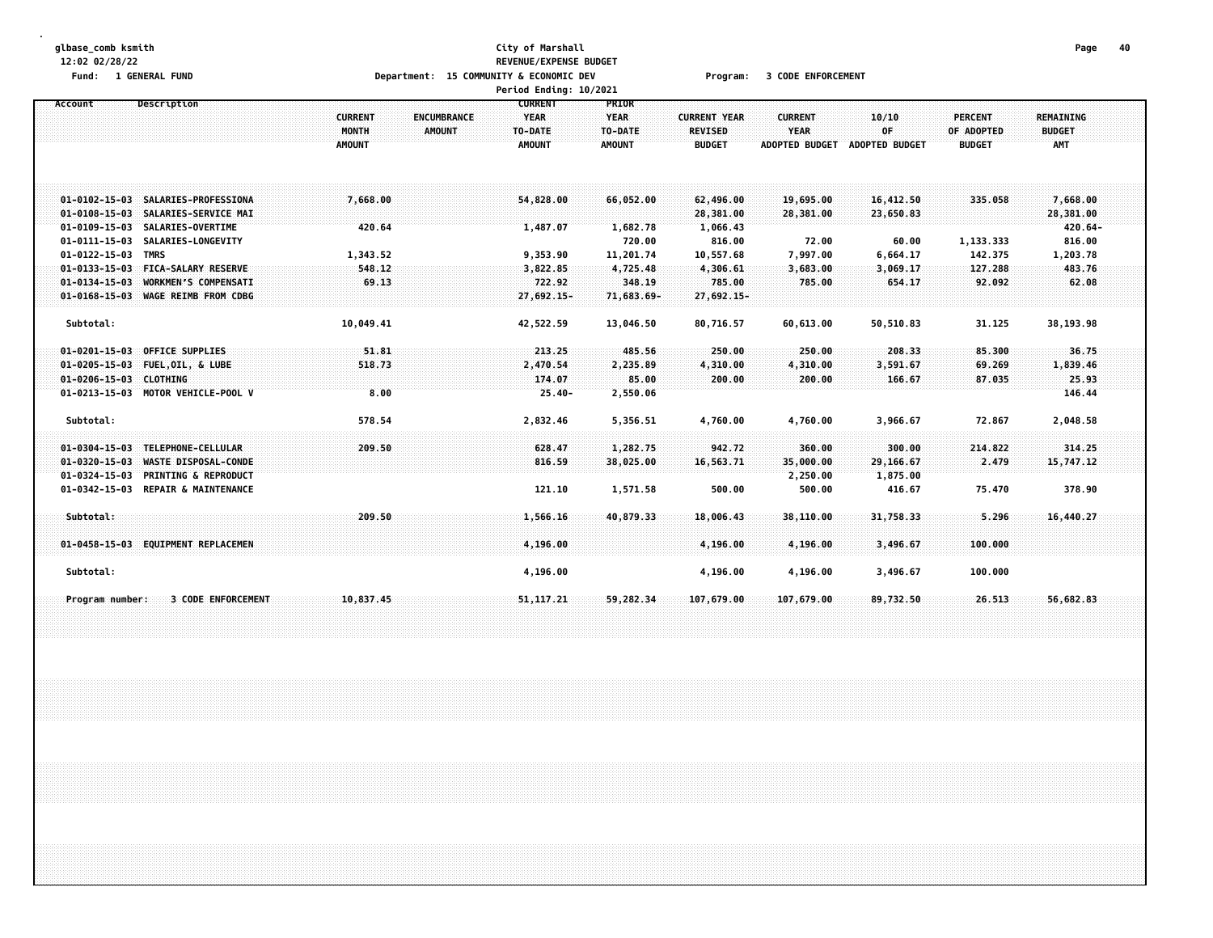#### **glbase\_comb ksmith City of Marshall Page 40 12:02 02/28/22 REVENUE/EXPENSE BUDGET** Fund: 1 GENERAL FUND CODE CONTROLLER THE SECONDUCT OF SECONOMIC DEV PROGRAM: 1 SODE ENFORCEMENT **Period Ending: 10/2021**

|                                                                                                                        |                                                                                                                                                                    |                                                   |                                     | rertuu Liiutiig. 10/2021                                             |                                                                    |                                                                                 |                                                                   |                                                                   |                                                      |                                                                              |  |
|------------------------------------------------------------------------------------------------------------------------|--------------------------------------------------------------------------------------------------------------------------------------------------------------------|---------------------------------------------------|-------------------------------------|----------------------------------------------------------------------|--------------------------------------------------------------------|---------------------------------------------------------------------------------|-------------------------------------------------------------------|-------------------------------------------------------------------|------------------------------------------------------|------------------------------------------------------------------------------|--|
| Account                                                                                                                | Description                                                                                                                                                        | <b>CURRENT</b><br>MONTH<br><b>AMOUNT</b>          | <b>ENCUMBRANCE</b><br><b>AMOUNT</b> | <b>CURRENT</b><br><b>YEAR</b><br>TO-DATE<br><b>AMOUNT</b>            | PRIOR<br><b>YEAR</b><br>TO-DATE<br><b>AMOUNT</b>                   | <b>CURRENT YEAR</b><br><b>REVISED</b><br><b>BUDGET</b>                          | <b>CURRENT</b><br>YEAR<br><b>ADOPTED BUDGET</b>                   | 10/10<br>0F<br>ADOPTED BUDGET                                     | <b>PERCENT</b><br>OF ADOPTED<br><b>BUDGET</b>        | <b>REMAINING</b><br><b>BUDGET</b><br>AMT                                     |  |
| $01 - 0108 - 15 - 03$<br>$01 - 0109 - 15 - 03$<br>$01 - 0111 - 15 - 03$<br>01-0122-15-03 TMRS<br>$01 - 0134 - 15 - 03$ | 01-0102-15-03 SALARIES-PROFESSIONA<br>SALARIES-SERVICE MAI<br>SALARIES-OVERTIME<br>SALARIES-LONGEVITY<br>01-0133-15-03 FICA-SALARY RESERVE<br>WORKMEN'S COMPENSATI | 7,668.00<br>420.64<br>1,343.52<br>548.12<br>69.13 |                                     | 54,828,00<br>1,487.07<br>9,353.90<br>3,822.85<br>722.92              | 66,052.00<br>1,682.78<br>720.00<br>11,201.74<br>4,725.48<br>348.19 | 62,496.00<br>28,381.00<br>1,066.43<br>816.00<br>10,557.68<br>4,306.61<br>785.00 | 19,695.00<br>28,381.00<br>72.00<br>7,997.00<br>3,683.00<br>785.00 | 16,412.50<br>23,650.83<br>60.00<br>6,664.17<br>3,069.17<br>654.17 | 335.058<br>1,133.333<br>142.375<br>127.288<br>92.092 | 7,668.00<br>28,381.00<br>$420.64 -$<br>816.00<br>1,203.78<br>483.76<br>62.08 |  |
| Subtotal:<br>$01 - 0201 - 15 - 03$<br>01-0206-15-03 CLOTHING                                                           | 01-0168-15-03 WAGE REIMB FROM CDBG<br><b>OFFICE SUPPLIES</b><br>01-0205-15-03 FUEL, OIL, & LUBE<br>01-0213-15-03 MOTOR VEHICLE-POOL V                              | 10,049.41<br>51.81<br>518.73<br>8.00              |                                     | 27,692.15-<br>42,522.59<br>213.25<br>2,470.54<br>174.07<br>$25.40 -$ | 71,683.69-<br>13,046.50<br>485.56<br>2,235.89<br>85.00<br>2,550.06 | 27,692.15-<br>80,716.57<br>250.00<br>4,310.00<br>200.00                         | 60,613.00<br>250.00<br>4,310.00<br>200.00                         | 50,510.83<br>208.33<br>3,591.67<br>166.67                         | 31.125<br>85.300<br>69.269<br>87.035                 | 38,193.98<br>36.75<br>1,839.46<br>25.93<br>146.44                            |  |
| Subtotal:<br>$01 - 0304 - 15 - 03$<br>$01 - 0320 - 15 - 03$                                                            | TELEPHONE-CELLULAR<br>WASTE DISPOSAL-CONDE<br>01-0324-15-03 PRINTING & REPRODUCT<br>01-0342-15-03 REPAIR & MAINTENANCE                                             | 578.54<br>209.50                                  |                                     | 2,832.46<br>628.47<br>816.59<br>121.10                               | 5,356.51<br>1,282.75<br>38,025.00<br>1,571.58                      | 4,760.00<br>942.72<br>16,563.71<br>500.00                                       | 4,760.00<br>360.00<br>35,000.00<br>2,250.00<br>500.00             | 3,966.67<br>300.00<br>29,166.67<br>1,875.00<br>416.67             | 72.867<br>214.822<br>2.479<br>75.470                 | 2,048.58<br>314,25<br>15,747.12<br>378.90                                    |  |
| Subtotal:<br>Subtotal:                                                                                                 | 01-0458-15-03 EQUIPMENT REPLACEMEN                                                                                                                                 | 209.50                                            |                                     | 1,566.16<br>4,196.00<br>4,196.00                                     | 40,879.33                                                          | 18,006.43<br>4,196.00<br>4,196.00                                               | 38,110.00<br>4,196.00<br>4,196.00                                 | 31,758.33<br>3,496.67<br>3,496.67                                 | 5.296<br>100,000<br>100.000                          | 16,440.27                                                                    |  |
| Program number:                                                                                                        | <b>3 CODE ENFORCEMENT</b>                                                                                                                                          | 10,837.45                                         |                                     | 51, 117. 21                                                          | 59,282.34                                                          | 107,679.00                                                                      | 107,679.00                                                        | 89,732.50                                                         | 26.513                                               | 56,682,83                                                                    |  |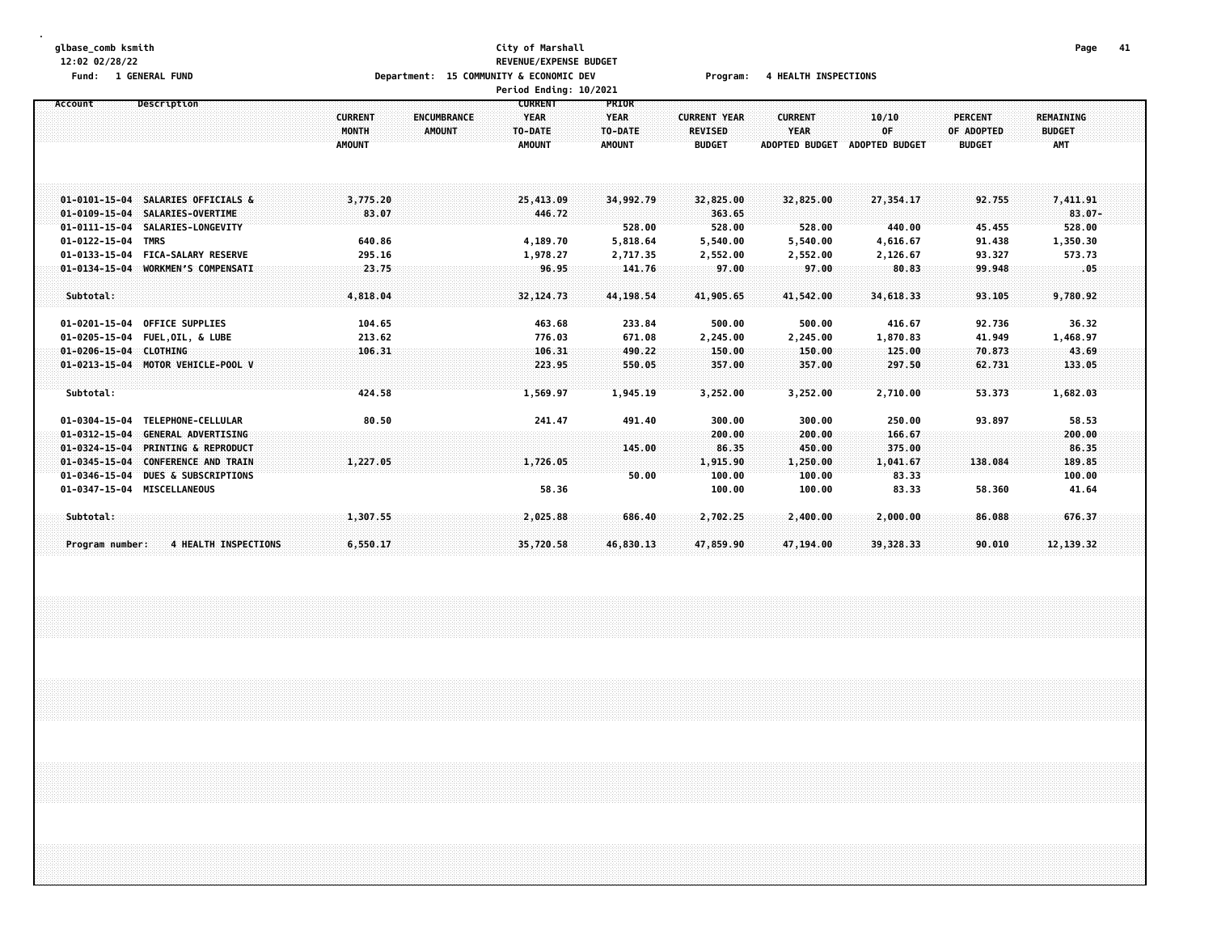#### **glbase\_comb ksmith City of Marshall Page 41 12:02 02/28/22 REVENUE/EXPENSE BUDGET** Fund: 1 GENERAL FUND CONNECTIONS Department: 15 COMMUNITY & ECONOMIC DEV Program: 4 HEALTH INSPECTIONS **Period Ending: 10/2021**

| <b>PERCENT</b><br>REMAINING<br>OF ADOPTED<br><b>BUDGET</b><br>AMT<br>7,411.91<br>92.755<br>$83.07 -$<br>528.00<br>45.455 |
|--------------------------------------------------------------------------------------------------------------------------|
|                                                                                                                          |
|                                                                                                                          |
|                                                                                                                          |
|                                                                                                                          |
|                                                                                                                          |
|                                                                                                                          |
|                                                                                                                          |
|                                                                                                                          |
|                                                                                                                          |
| 91.438<br>1,350.30                                                                                                       |
| 93.327<br>573.73                                                                                                         |
| .05<br>99.948                                                                                                            |
|                                                                                                                          |
| 9,780.92<br>93.105                                                                                                       |
|                                                                                                                          |
| 36.32<br>92.736                                                                                                          |
| 41.949<br>1,468.97                                                                                                       |
| 43.69<br>70.873                                                                                                          |
| 62.731<br>133.05                                                                                                         |
|                                                                                                                          |
| 53.373<br>1,682.03                                                                                                       |
| 93.897<br>58.53                                                                                                          |
| 200.00                                                                                                                   |
| 86,35                                                                                                                    |
| 138.084<br>189.85                                                                                                        |
| 100.00                                                                                                                   |
| 58.360<br>41.64                                                                                                          |
|                                                                                                                          |
| 676.37<br>86.088                                                                                                         |
|                                                                                                                          |
| 12, 139.32<br>90.010                                                                                                     |
|                                                                                                                          |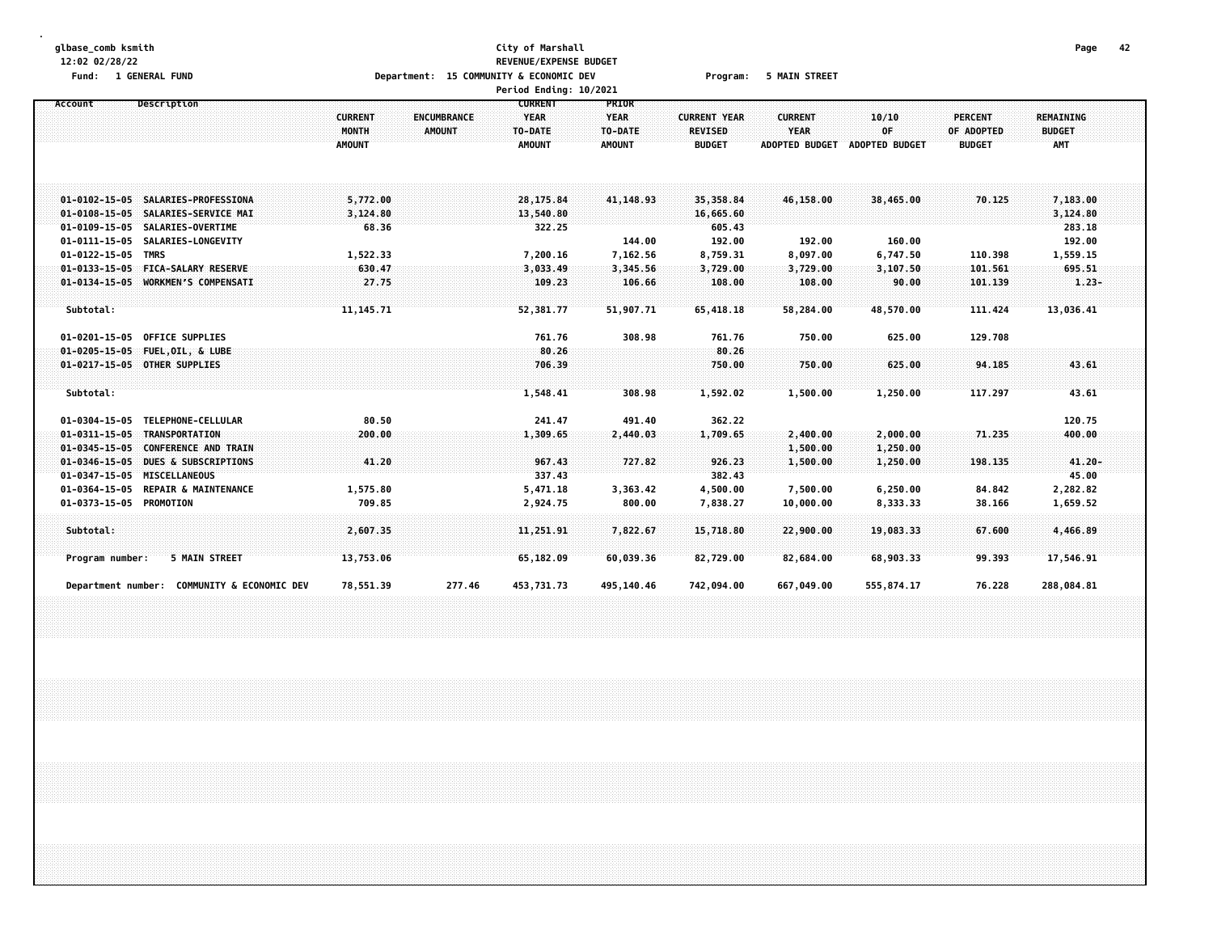#### **glbase\_comb ksmith City of Marshall Page 42 12:02 02/28/22 REVENUE/EXPENSE BUDGET** Fund: 1 GENERAL FUND CONDITION TO A Department: 15 COMMUNITY & ECONOMIC DEV Program: 5 MAIN STREET **Period Ending: 10/2021**

|                                                                          |                                      | Pertod Endthy: IV/ZVZI |               |                        |                       |                       |                |                    |  |
|--------------------------------------------------------------------------|--------------------------------------|------------------------|---------------|------------------------|-----------------------|-----------------------|----------------|--------------------|--|
| Account<br>Description                                                   |                                      | <b>CURRENT</b>         | <b>PRIOR</b>  |                        |                       |                       |                |                    |  |
|                                                                          | <b>CURRENT</b><br><b>ENCUMBRANCE</b> | <b>YEAR</b>            | <b>YEAR</b>   | <b>CURRENT YEAR</b>    | <b>CURRENT</b>        | 10/10                 | <b>PERCENT</b> | <b>REMAINING</b>   |  |
|                                                                          | MONTH<br><b>AMOUNT</b>               | TO-DATE                | TO-DATE       | <b>REVISED</b>         | <b>YEAR</b>           | OF                    | OF ADOPTED     | <b>BUDGET</b>      |  |
|                                                                          | <b>AMOUNT</b>                        | <b>AMOUNT</b>          | <b>AMOUNT</b> | <b>BUDGET</b>          | <b>ADOPTED BUDGET</b> | <b>ADOPTED BUDGET</b> | <b>BUDGET</b>  | AMT                |  |
|                                                                          |                                      |                        |               |                        |                       |                       |                |                    |  |
|                                                                          |                                      |                        |               |                        |                       |                       |                |                    |  |
|                                                                          |                                      |                        |               |                        |                       |                       |                |                    |  |
| 01-0102-15-05 SALARIES-PROFESSIONA<br>01-0108-15-05 SALARIES-SERVICE MAI | 5,772.00<br>3,124.80                 | 28,175.84              | 41, 148.93    | 35,358.84<br>16,665.60 | 46,158.00             | 38,465.00             | 70.125         | 7,183.00           |  |
| 01-0109-15-05 SALARIES-OVERTIME                                          | 68.36                                | 13,540.80<br>322.25    |               | 605.43                 |                       |                       |                | 3,124.80<br>283.18 |  |
| 01-0111-15-05 SALARIES-LONGEVITY                                         |                                      |                        | 144.00        | 192.00                 | 192.00                | 160.00                |                | 192.00             |  |
| 01-0122-15-05 TMRS                                                       | 1,522.33                             | 7,200.16               | 7,162.56      | 8,759.31               | 8,097.00              | 6,747.50              | 110.398        | 1,559.15           |  |
| $01 - 0133 - 15 - 05$<br><b>FICA-SALARY RESERVE</b>                      | 630.47                               | 3,033.49               | 3,345.56      | 3,729.00               | 3,729.00              | 3,107.50              | 101.561        | 695.51             |  |
| 01-0134-15-05 WORKMEN'S COMPENSATI                                       | 27.75                                | 109.23                 | 106.66        | 108.00                 | 108.00                | 90.00                 | 101.139        | $1.23 -$           |  |
|                                                                          |                                      |                        |               |                        |                       |                       |                |                    |  |
| Subtotal:                                                                | 11, 145. 71                          | 52,381.77              | 51,907.71     | 65,418.18              | 58,284.00             | 48,570.00             | 111.424        | 13,036.41          |  |
|                                                                          |                                      |                        |               |                        |                       |                       |                |                    |  |
| <b>OFFICE SUPPLIES</b><br>01-0201-15-05                                  |                                      | 761.76                 | 308.98        | 761.76                 | 750.00                | 625.00                | 129.708        |                    |  |
| 01-0205-15-05 FUEL, OIL, & LUBE                                          |                                      | 80.26                  |               | 80.26                  |                       |                       |                |                    |  |
| 01-0217-15-05 OTHER SUPPLIES                                             |                                      | 706.39                 |               | 750.00                 | 750.00                | 625.00                | 94.185         | 43.61              |  |
|                                                                          |                                      |                        |               |                        |                       |                       |                |                    |  |
| Subtotal:                                                                |                                      | 1,548.41               | 308.98        | 1,592.02               | 1,500.00              | 1,250.00              | 117.297        | 43.61              |  |
|                                                                          |                                      |                        |               |                        |                       |                       |                |                    |  |
| TELEPHONE-CELLULAR<br>01-0304-15-05                                      | 80.50                                | 241.47                 | 491.40        | 362.22                 |                       |                       |                | 120.75             |  |
| 01-0311-15-05 TRANSPORTATION                                             | 200.00                               | 1,309.65               | 2,440.03      | 1,709.65               | 2,400.00              | 2,000.00              | 71.235         | 400.00             |  |
| $01 - 0345 - 15 - 05$<br><b>CONFERENCE AND TRAIN</b>                     |                                      |                        |               |                        | 1,500.00              | 1,250.00              |                |                    |  |
| $01 - 0346 - 15 - 05$<br>DUES & SUBSCRIPTIONS                            | 41.20                                | 967.43                 | 727.82        | 926.23                 | 1,500.00              | 1,250.00              | 198.135        | $41.20 -$          |  |
| 01-0347-15-05 MISCELLANEOUS                                              |                                      | 337.43                 |               | 382.43                 |                       |                       |                | 45.00              |  |
| 01-0364-15-05 REPAIR & MAINTENANCE                                       | 1,575.80                             | 5,471.18               | 3,363.42      | 4,500.00               | 7,500.00              | 6,250.00              | 84.842         | 2,282.82           |  |
| 01-0373-15-05 PROMOTION                                                  | 709.85                               | 2,924.75               | 800.00        | 7,838.27               | 10,000.00             | 8,333.33              | 38.166         | 1,659.52           |  |
|                                                                          |                                      |                        |               |                        |                       |                       |                |                    |  |
| Subtotal:                                                                | 2,607.35                             | 11,251.91              | 7,822.67      | 15,718.80              | 22,900.00             | 19,083.33             | 67.600         | 4,466.89           |  |
| 5 MAIN STREET<br>Program number:                                         | 13,753.06                            | 65,182.09              | 60,039.36     | 82,729.00              | 82,684.00             | 68,903.33             | 99.393         | 17,546.91          |  |
|                                                                          |                                      |                        |               |                        |                       |                       |                |                    |  |
| COMMUNITY & ECONOMIC DEV<br>Department number:                           | 78,551.39                            | 277.46<br>453,731.73   | 495,140.46    | 742,094.00             | 667,049.00            | 555,874.17            | 76.228         | 288,084.81         |  |
|                                                                          |                                      |                        |               |                        |                       |                       |                |                    |  |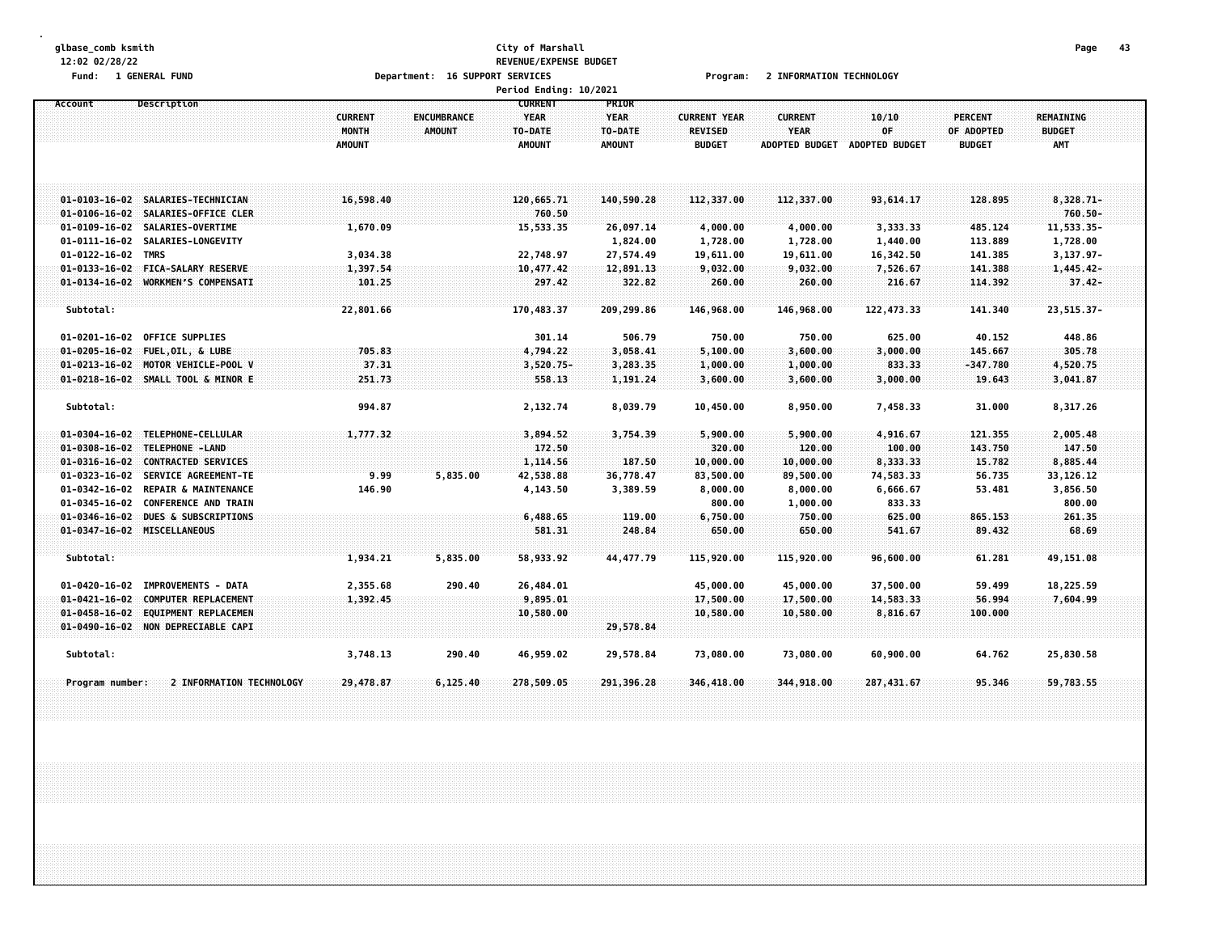#### **glbase\_comb ksmith City of Marshall Page 43 12:02 02/28/22 REVENUE/EXPENSE BUDGET** Fund: 1 GENERAL FUND CONTEXT SERVICES TO POPORT SERVICES TO PROGRAMS PROGRAMS PROGRAMS PROGRAMS TO PROMATION TECHNOLOGY **Period Ending: 10/2021**

|                       |                                    |                                                 |                              | <b>Fel Luu Liluliig. 10/2021</b>                          |                                                  |                                                        |                                                        |                                      |                                        |                                                 |  |
|-----------------------|------------------------------------|-------------------------------------------------|------------------------------|-----------------------------------------------------------|--------------------------------------------------|--------------------------------------------------------|--------------------------------------------------------|--------------------------------------|----------------------------------------|-------------------------------------------------|--|
| Account               | Description                        | <b>CURRENT</b><br><b>MONTH</b><br><b>AMOUNT</b> | ENCUMBRANCE<br><b>AMOUNT</b> | <b>CURRENT</b><br><b>YEAR</b><br>TO-DATE<br><b>AMOUNT</b> | PRIOR<br><b>YEAR</b><br>TO-DATE<br><b>AMOUNT</b> | <b>CURRENT YEAR</b><br><b>REVISED</b><br><b>BUDGET</b> | <b>CURRENT</b><br><b>YEAR</b><br><b>ADOPTED BUDGET</b> | 10/10<br>0F<br><b>ADOPTED BUDGET</b> | PERCENT<br>OF ADOPTED<br><b>BUDGET</b> | <b>REMAINING</b><br><b>BUDGET</b><br><b>AMT</b> |  |
|                       | 01-0103-16-02 SALARIES-TECHNICIAN  | 16,598.40                                       |                              | 120,665.71                                                | 140,590.28                                       | 112,337.00                                             | 112,337.00                                             | 93,614.17                            | 128.895                                | 8,328.71-                                       |  |
| $01 - 0106 - 16 - 02$ | SALARIES-OFFICE CLER               |                                                 |                              | 760.50                                                    |                                                  |                                                        |                                                        |                                      |                                        | $760.50 -$                                      |  |
|                       | 01-0109-16-02 SALARIES-OVERTIME    | 1,670.09                                        |                              | 15,533.35                                                 | 26,097.14                                        | 4,000.00                                               | 4,000.00                                               | 3,333.33                             | 485.124                                | 11,533.35-                                      |  |
| $01 - 0111 - 16 - 02$ | SALARIES-LONGEVITY                 |                                                 |                              |                                                           | 1,824.00                                         | 1,728.00                                               | 1,728.00                                               | 1,440.00                             | 113.889                                | 1,728.00                                        |  |
| $01 - 0122 - 16 - 02$ | TMRS                               | 3,034.38                                        |                              | 22,748.97                                                 | 27,574.49                                        | 19,611.00                                              | 19,611.00                                              | 16,342.50                            | 141.385                                | $3,137.97-$                                     |  |
| $01 - 0133 - 16 - 02$ | <b>FICA-SALARY RESERVE</b>         | 1,397.54                                        |                              | 10,477.42                                                 | 12,891.13                                        | 9,032.00                                               | 9,032.00                                               | 7,526.67                             | 141.388                                | $1,445,42-$                                     |  |
|                       | 01-0134-16-02 WORKMEN'S COMPENSATI | 101.25                                          |                              | 297.42                                                    | 322.82                                           | 260.00                                                 | 260.00                                                 | 216.67                               | 114.392                                | $37.42 -$                                       |  |
| Subtotal:             |                                    | 22,801.66                                       |                              | 170,483.37                                                | 209,299.86                                       | 146,968.00                                             | 146,968.00                                             | 122,473.33                           | 141.340                                | $23,515.37 -$                                   |  |
| $01 - 0201 - 16 - 02$ | <b>OFFICE SUPPLIES</b>             |                                                 |                              | 301.14                                                    | 506.79                                           | 750.00                                                 | 750.00                                                 | 625.00                               | 40.152                                 | 448.86                                          |  |
| $01 - 0205 - 16 - 02$ | <b>FUEL, OIL, &amp; LUBE</b>       | 705.83                                          |                              | 4,794,22                                                  | 3,058.41                                         | 5,100.00                                               | 3,600.00                                               | 3,000.00                             | 145,667                                | 305.78                                          |  |
| $01 - 0213 - 16 - 02$ | MOTOR VEHICLE-POOL V               | 37.31                                           |                              | $3,520.75-$                                               | 3,283.35                                         | 1,000.00                                               | 1,000.00                                               | 833.33                               | $-347.780$                             | 4,520.75                                        |  |
|                       | 01-0218-16-02 SMALL TOOL & MINOR E | 251.73                                          |                              | 558.13                                                    | 1,191.24                                         | 3,600.00                                               | 3,600.00                                               | 3,000.00                             | 19.643                                 | 3,041.87                                        |  |
| Subtotal:             |                                    | 994.87                                          |                              | 2,132.74                                                  | 8,039.79                                         | 10,450.00                                              | 8,950.00                                               | 7,458.33                             | 31.000                                 | 8,317.26                                        |  |
| $01 - 0304 - 16 - 02$ | TELEPHONE-CELLULAR                 | 1,777.32                                        |                              | 3,894.52                                                  | 3,754.39                                         | 5,900.00                                               | 5,900.00                                               | 4,916.67                             | 121.355                                | 2,005.48                                        |  |
| $01 - 0308 - 16 - 02$ | TELEPHONE -LAND                    |                                                 |                              | 172.50                                                    |                                                  | 320.00                                                 | 120.00                                                 | 100.00                               | 143.750                                | 147.50                                          |  |
| $01 - 0316 - 16 - 02$ | <b>CONTRACTED SERVICES</b>         |                                                 |                              | 1,114.56                                                  | 187.50                                           | 10,000.00                                              | 10,000.00                                              | 8,333.33                             | 15.782                                 | 8,885.44                                        |  |
| $01 - 0323 - 16 - 02$ | SERVICE AGREEMENT-TE               | 9.99                                            | 5,835.00                     | 42,538.88                                                 | 36,778.47                                        | 83,500.00                                              | 89,500.00                                              | 74,583.33                            | 56.735                                 | 33,126.12                                       |  |
| $01 - 0342 - 16 - 02$ | <b>REPAIR &amp; MAINTENANCE</b>    | 146.90                                          |                              | 4,143.50                                                  | 3,389.59                                         | 8,000.00                                               | 8,000.00                                               | 6,666.67                             | 53.481                                 | 3,856.50                                        |  |
| $01 - 0345 - 16 - 02$ | <b>CONFERENCE AND TRAIN</b>        |                                                 |                              |                                                           |                                                  | 800.00                                                 | 1,000.00                                               | 833.33                               |                                        | 800.00                                          |  |
| $01 - 0346 - 16 - 02$ | DUES & SUBSCRIPTIONS               |                                                 |                              | 6,488.65                                                  | 119.00                                           | 6,750.00                                               | 750.00                                                 | 625.00                               | 865.153                                | 261.35                                          |  |
|                       | 01-0347-16-02 MISCELLANEOUS        |                                                 |                              | 581.31                                                    | 248.84                                           | 650.00                                                 | 650.00                                                 | 541.67                               | 89.432                                 | 68.69                                           |  |
| Subtotal:             |                                    | 1,934.21                                        | 5,835.00                     | 58,933.92                                                 | 44, 477.79                                       | 115,920.00                                             | 115,920.00                                             | 96,600.00                            | 61.281                                 | 49,151.08                                       |  |
| $01 - 0420 - 16 - 02$ | IMPROVEMENTS - DATA                | 2,355.68                                        | 290.40                       | 26,484.01                                                 |                                                  | 45,000.00                                              | 45,000.00                                              | 37,500.00                            | 59.499                                 | 18,225.59                                       |  |
| $01 - 0421 - 16 - 02$ | <b>COMPUTER REPLACEMENT</b>        | 1,392.45                                        |                              | 9,895.01                                                  |                                                  | 17,500.00                                              | 17,500.00                                              | 14,583.33                            | 56.994                                 | 7,604.99                                        |  |
| $01 - 0458 - 16 - 02$ | EQUIPMENT REPLACEMEN               |                                                 |                              | 10,580.00                                                 |                                                  | 10,580.00                                              | 10,580.00                                              | 8,816.67                             | 100.000                                |                                                 |  |
|                       | 01-0490-16-02 NON DEPRECIABLE CAPI |                                                 |                              |                                                           | 29,578.84                                        |                                                        |                                                        |                                      |                                        |                                                 |  |
| Subtotal:             |                                    | 3,748.13                                        | 290.40                       | 46,959.02                                                 | 29,578.84                                        | 73,080.00                                              | 73,080.00                                              | 60,900.00                            | 64.762                                 | 25,830.58                                       |  |
| Program number:       | 2 INFORMATION TECHNOLOGY           | 29,478.87                                       | 6,125.40                     | 278,509.05                                                | 291,396.28                                       | 346,418.00                                             | 344,918.00                                             | 287,431.67                           | 95.346                                 | 59,783.55                                       |  |
|                       |                                    |                                                 |                              |                                                           |                                                  |                                                        |                                                        |                                      |                                        |                                                 |  |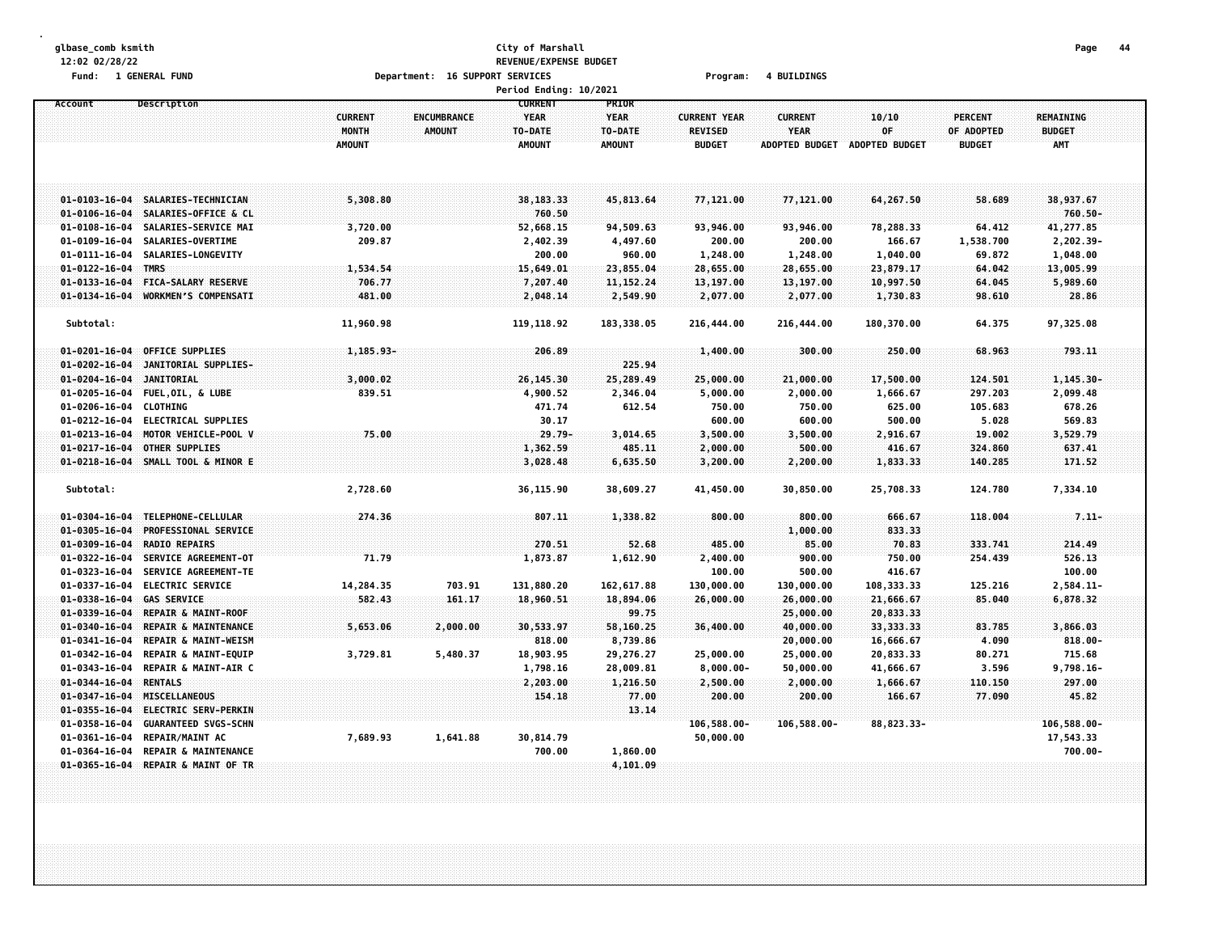## **glbase\_comb ksmith City of Marshall Page 44 12:02 02/28/22 REVENUE/EXPENSE BUDGET Fund: 1 GENERAL FUND Department: 16 SUPPORT SERVICES Program: 4 BUILDINGS**

|                       |                                 |                |                    | Period Ending: 10/2021 |               |                     |                       |                       |                |                  |  |
|-----------------------|---------------------------------|----------------|--------------------|------------------------|---------------|---------------------|-----------------------|-----------------------|----------------|------------------|--|
| Account               | Description                     |                |                    | <b>CURRENT</b>         | PRIOR         |                     |                       |                       |                |                  |  |
|                       |                                 | <b>CURRENT</b> | <b>ENCUMBRANCE</b> | <b>YEAR</b>            | <b>YEAR</b>   | <b>CURRENT YEAR</b> | <b>CURRENT</b>        | 10/10                 | <b>PERCENT</b> | <b>REMAINING</b> |  |
|                       |                                 | MONTH          | <b>AMOUNT</b>      | TO-DATE                | TO-DATE       | <b>REVISED</b>      | <b>YEAR</b>           | 0F                    | OF ADOPTED     | <b>BUDGET</b>    |  |
|                       |                                 | <b>AMOUNT</b>  |                    | <b>AMOUNT</b>          | <b>AMOUNT</b> | <b>BUDGET</b>       | <b>ADOPTED BUDGET</b> | <b>ADOPTED BUDGET</b> | <b>BUDGET</b>  | <b>AMT</b>       |  |
|                       |                                 |                |                    |                        |               |                     |                       |                       |                |                  |  |
|                       |                                 |                |                    |                        |               |                     |                       |                       |                |                  |  |
|                       |                                 |                |                    |                        |               |                     |                       |                       |                |                  |  |
| $01 - 0103 - 16 - 04$ | SALARIES-TECHNICIAN             | 5,308.80       |                    | 38,183.33              | 45,813.64     | 77,121.00           | 77,121.00             | 64,267.50             | 58.689         | 38,937.67        |  |
| $01 - 0106 - 16 - 04$ | SALARIES-OFFICE & CL            |                |                    | 760.50                 |               |                     |                       |                       |                | $760.50 -$       |  |
| $01 - 0108 - 16 - 04$ | SALARIES-SERVICE MAI            | 3,720.00       |                    | 52,668.15              | 94,509.63     | 93,946.00           | 93,946.00             | 78,288.33             | 64.412         | 41,277.85        |  |
| $01 - 0109 - 16 - 04$ | SALARIES-OVERTIME               | 209.87         |                    | 2,402.39               | 4,497.60      | 200.00              | 200.00                | 166.67                | 1,538.700      | 2,202.39-        |  |
| $01 - 0111 - 16 - 04$ | SALARIES-LONGEVITY              |                |                    | 200.00                 | 960.00        | 1,248.00            | 1,248.00              | 1,040.00              | 69.872         | 1,048.00         |  |
| $01 - 0122 - 16 - 04$ | <b>TMRS</b>                     | 1,534.54       |                    | 15,649.01              | 23,855.04     | 28,655.00           | 28,655.00             | 23,879.17             | 64.042         | 13,005.99        |  |
| $01 - 0133 - 16 - 04$ | FICA-SALARY RESERVE             | 706.77         |                    | 7,207.40               | 11, 152. 24   | 13,197.00           | 13,197.00             | 10,997.50             | 64.045         | 5,989.60         |  |
| $01 - 0134 - 16 - 04$ | <b>WORKMEN'S COMPENSATT</b>     | 481.00         |                    | 2,048.14               | 2,549.90      | 2,077.00            | 2,077.00              | 1,730.83              | 98.610         | 28.86            |  |
|                       |                                 |                |                    |                        |               |                     |                       |                       |                |                  |  |
| Subtotal:             |                                 | 11,960.98      |                    | 119, 118.92            | 183, 338.05   | 216,444.00          | 216,444.00            | 180,370.00            | 64.375         | 97,325.08        |  |
|                       |                                 |                |                    |                        |               |                     |                       |                       |                |                  |  |
| $01 - 0201 - 16 - 04$ | OFFICE SUPPLIES                 | 1,185.93-      |                    | 206.89                 |               | 1,400.00            | 300.00                | 250.00                | 68.963         | 793.11           |  |
| $01 - 0202 - 16 - 04$ | JANITORIAL SUPPLIES-            |                |                    |                        | 225.94        |                     |                       |                       |                |                  |  |
| $01 - 0204 - 16 - 04$ | <b>JANITORIAL</b>               | 3,000.02       |                    | 26,145.30              | 25,289.49     | 25,000.00           | 21,000.00             | 17,500.00             | 124.501        | $1,145.30 -$     |  |
| $01 - 0205 - 16 - 04$ | FUEL, OIL, & LUBE               | 839.51         |                    | 4,900.52               | 2,346.04      | 5,000.00            | 2,000.00              | 1,666.67              | 297.203        | 2,099.48         |  |
| $01 - 0206 - 16 - 04$ | <b>CLOTHING</b>                 |                |                    | 471.74                 | 612.54        | 750.00              | 750.00                | 625.00                | 105.683        | 678.26           |  |
| $01 - 0212 - 16 - 04$ | <b>ELECTRICAL SUPPLIES</b>      |                |                    | 30.17                  |               | 600.00              | 600.00                | 500.00                | 5.028          | 569.83           |  |
| $01 - 0213 - 16 - 04$ | MOTOR VEHICLE-POOL V            | 75.00          |                    | $29.79 -$              | 3,014.65      | 3,500.00            | 3,500.00              | 2,916.67              | 19.002         | 3,529.79         |  |
| $01 - 0217 - 16 - 04$ | <b>OTHER SUPPLIES</b>           |                |                    | 1,362.59               | 485.11        | 2,000.00            | 500.00                | 416.67                | 324.860        | 637.41           |  |
| $01 - 0218 - 16 - 04$ | SMALL TOOL & MINOR E            |                |                    | 3,028.48               | 6,635.50      | 3,200.00            | 2,200.00              | 1,833.33              | 140.285        | 171.52           |  |
|                       |                                 |                |                    |                        |               |                     |                       |                       |                |                  |  |
| Subtotal:             |                                 | 2,728.60       |                    | 36,115.90              | 38,609.27     | 41,450.00           | 30,850.00             | 25,708.33             | 124.780        | 7,334.10         |  |
|                       |                                 |                |                    |                        |               |                     |                       |                       |                |                  |  |
| $01 - 0304 - 16 - 04$ | TELEPHONE-CELLULAR              | 274.36         |                    | 807.11                 | 1,338.82      | 800.00              | 800.00                | 666.67                | 118.004        | $7.11 -$         |  |
| $01 - 0305 - 16 - 04$ | <b>PROFESSIONAL SERVICE</b>     |                |                    |                        |               |                     | 1,000.00              | 833.33                |                |                  |  |
| $01 - 0309 - 16 - 04$ | <b>RADIO REPAIRS</b>            |                |                    | 270.51                 | 52.68         | 485.00              | 85.00                 | 70.83                 | 333.741        | 214.49           |  |
| $01 - 0322 - 16 - 04$ | SERVICE AGREEMENT-OT            | 71.79          |                    | 1,873.87               | 1,612.90      | 2,400.00            | 900.00                | 750.00                | 254.439        | 526.13           |  |
| $01 - 0323 - 16 - 04$ | SERVICE AGREEMENT-TE            |                |                    |                        |               | 100.00              | 500.00                | 416.67                |                | 100.00           |  |
| $01 - 0337 - 16 - 04$ | <b>ELECTRIC SERVICE</b>         | 14,284.35      | 703.91             | 131,880.20             | 162, 617.88   | 130,000.00          | 130,000.00            | 108,333.33            | 125.216        | 2,584.11-        |  |
| $01 - 0338 - 16 - 04$ | <b>GAS SERVICE</b>              | 582.43         | 161.17             | 18,960.51              | 18,894.06     | 26,000.00           | 26,000,00             | 21,666.67             | 85.040         | 6,878.32         |  |
| $01 - 0339 - 16 - 04$ | REPAIR & MAINT-ROOF             |                |                    |                        | 99.75         |                     | 25,000.00             | 20,833.33             |                |                  |  |
| $01 - 0340 - 16 - 04$ | REPAIR & MAINTENANCE            | 5,653.06       | 2,000.00           | 30,533.97              | 58,160.25     | 36,400.00           | 40,000.00             | 33, 333.33            | 83.785         | 3,866.03         |  |
| $01 - 0341 - 16 - 04$ | <b>REPAIR &amp; MAINT-WEISM</b> |                |                    | 818.00                 | 8,739.86      |                     | 20,000.00             | 16,666.67             | 4.090          | $818.00 -$       |  |
| $01 - 0342 - 16 - 04$ | REPAIR & MAINT-EQUIP            | 3,729.81       | 5,480.37           | 18,903.95              | 29,276.27     | 25,000.00           | 25,000.00             | 20,833.33             | 80.271         | 715.68           |  |
| 01-0343-16-04         | REPAIR & MAINT-AIR C            |                |                    | 1,798.16               | 28,009.81     | $8,000.00 -$        | 50,000.00             | 41,666.67             | 3.596          | $9,798.16 -$     |  |
| $01 - 0344 - 16 - 04$ | <b>RENTALS</b>                  |                |                    | 2,203.00               | 1,216.50      | 2,500.00            | 2,000.00              | 1,666.67              | 110.150        | 297.00           |  |
| $01 - 0347 - 16 - 04$ | <b>MISCELLANEOUS</b>            |                |                    | 154.18                 | 77.00         | 200.00              | 200.00                | 166.67                | 77.090         | 45.82            |  |
| $01 - 0355 - 16 - 04$ | <b>ELECTRIC SERV-PERKIN</b>     |                |                    |                        | 13.14         |                     |                       |                       |                |                  |  |
| $01 - 0358 - 16 - 04$ | <b>GUARANTEED SVGS-SCHN</b>     |                |                    |                        |               | 106,588.00-         | 106,588.00-           | 88,823.33-            |                | 106,588.00-      |  |
| 01-0361-16-04         | REPAIR/MAINT AC                 | 7,689.93       | 1,641.88           | 30,814.79              |               | 50,000.00           |                       |                       |                | 17,543.33        |  |
| $01 - 0364 - 16 - 04$ | REPAIR & MAINTENANCE            |                |                    | 700.00                 | 1,860.00      |                     |                       |                       |                | $700.00 -$       |  |
| $01 - 0365 - 16 - 04$ | REPAIR & MAINT OF TR            |                |                    |                        | 4,101.09      |                     |                       |                       |                |                  |  |
|                       |                                 |                |                    |                        |               |                     |                       |                       |                |                  |  |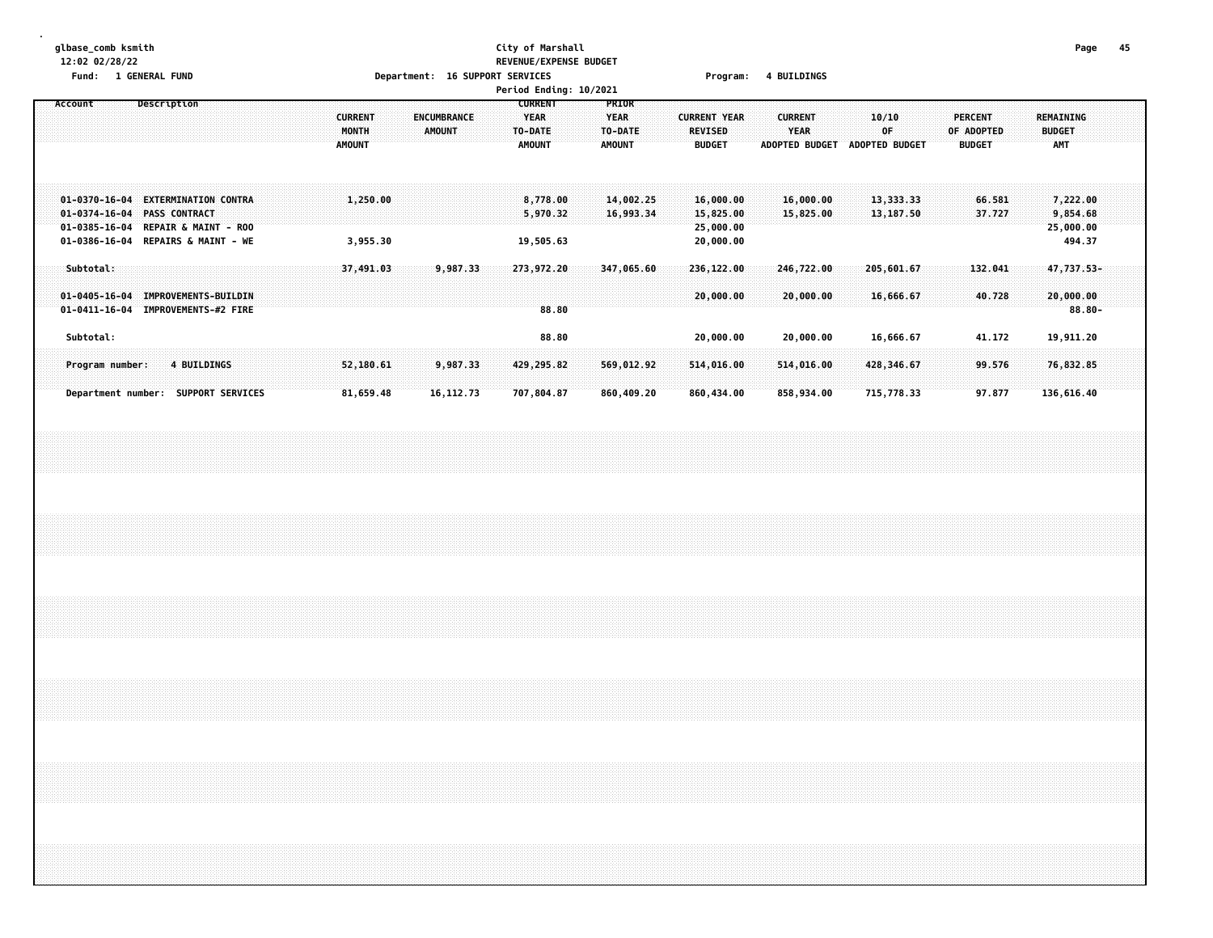# **glbase\_comb ksmith City of Marshall Page 45 12:02 02/28/22 REVENUE/EXPENSE BUDGET**

| Fund:                                                                                                                                   | 1 GENERAL FUND |               |  |                                          |                      |  |                              |  | Department: 16 SUPPORT SERVICES                           |       |                                                  |                        |  | Program:                                               |  | <b>4 BUILDINGS</b>            |                               |             |                         |  |                                               |  |                                                 |           |  |
|-----------------------------------------------------------------------------------------------------------------------------------------|----------------|---------------|--|------------------------------------------|----------------------|--|------------------------------|--|-----------------------------------------------------------|-------|--------------------------------------------------|------------------------|--|--------------------------------------------------------|--|-------------------------------|-------------------------------|-------------|-------------------------|--|-----------------------------------------------|--|-------------------------------------------------|-----------|--|
|                                                                                                                                         |                |               |  |                                          |                      |  |                              |  | Period Ending: 10/2021                                    |       |                                                  |                        |  |                                                        |  |                               |                               |             |                         |  |                                               |  |                                                 |           |  |
| Account                                                                                                                                 | Description    |               |  | <b>CURRENT</b><br>MONTH<br><b>AMOUNT</b> |                      |  | ENCUMBRANCE<br><b>AMOUNT</b> |  | <b>CURRENT</b><br><b>YEAR</b><br>TO-DATE<br><b>AMOUNT</b> |       | PRIOR<br><b>YEAR</b><br>TO-DATE<br><b>AMOUNT</b> |                        |  | <b>CURRENT YEAR</b><br><b>REVISED</b><br><b>BUDGET</b> |  | <b>CURRENT</b><br><b>YEAR</b> | ADOPTED BUDGET ADOPTED BUDGET | 10/10<br>OF |                         |  | <b>PERCENT</b><br>OF ADOPTED<br><b>BUDGET</b> |  | <b>REMAINING</b><br><b>BUDGET</b><br><b>AMT</b> |           |  |
| 01-0370-16-04 EXTERMINATION CONTRA<br>$01 - 0374 - 16 - 04$<br>01-0385-16-04 REPAIR & MAINT - ROO<br>01-0386-16-04 REPAIRS & MAINT - WE |                | PASS CONTRACT |  |                                          | 1,250.00<br>3,955.30 |  |                              |  | 8,778.00<br>5,970.32<br>19,505.63                         |       |                                                  | 14,002.25<br>16,993.34 |  | 16,000.00<br>15,825.00<br>25,000.00<br>20,000.00       |  | 16,000.00<br>15,825.00        |                               |             | 13,333.33<br>13, 187.50 |  | 66.581<br>37.727                              |  | 7,222.00<br>9,854.68<br>25,000.00<br>494.37     |           |  |
| Subtotal:                                                                                                                               |                |               |  |                                          | 37,491.03            |  | 9,987.33                     |  | 273,972.20                                                |       |                                                  | 347,065.60             |  | 236, 122.00                                            |  | 246,722.00                    |                               |             | 205,601.67              |  | 132.041                                       |  | 47,737.53-                                      |           |  |
| 01-0405-16-04 IMPROVEMENTS-BUILDIN                                                                                                      |                |               |  |                                          |                      |  |                              |  |                                                           |       |                                                  |                        |  | 20,000.00                                              |  | 20,000.00                     |                               |             | 16,666.67               |  | 40.728                                        |  | 20,000.00                                       |           |  |
| 01-0411-16-04 IMPROVEMENTS-#2 FIRE                                                                                                      |                |               |  |                                          |                      |  |                              |  |                                                           | 88.80 |                                                  |                        |  |                                                        |  |                               |                               |             |                         |  |                                               |  |                                                 | $88.80 -$ |  |
| Subtotal:                                                                                                                               |                |               |  |                                          |                      |  |                              |  |                                                           | 88.80 |                                                  |                        |  | 20,000.00                                              |  | 20,000.00                     |                               |             | 16,666.67               |  | 41.172                                        |  | 19,911.20                                       |           |  |
| Program number:                                                                                                                         |                | 4 BUILDINGS   |  |                                          | 52,180.61            |  | 9,987.33                     |  | 429,295.82                                                |       |                                                  | 569,012.92             |  | 514,016.00                                             |  | 514,016.00                    |                               |             | 428,346.67              |  | 99.576                                        |  | 76,832.85                                       |           |  |
| Department number: SUPPORT SERVICES                                                                                                     |                |               |  |                                          | 81,659.48            |  | 16, 112. 73                  |  | 707,804.87                                                |       |                                                  | 860,409.20             |  | 860,434.00                                             |  | 858,934.00                    |                               |             | 715,778.33              |  | 97.877                                        |  | 136,616.40                                      |           |  |
|                                                                                                                                         |                |               |  |                                          |                      |  |                              |  |                                                           |       |                                                  |                        |  |                                                        |  |                               |                               |             |                         |  |                                               |  |                                                 |           |  |
|                                                                                                                                         |                |               |  |                                          |                      |  |                              |  |                                                           |       |                                                  |                        |  |                                                        |  |                               |                               |             |                         |  |                                               |  |                                                 |           |  |
|                                                                                                                                         |                |               |  |                                          |                      |  |                              |  |                                                           |       |                                                  |                        |  |                                                        |  |                               |                               |             |                         |  |                                               |  |                                                 |           |  |
|                                                                                                                                         |                |               |  |                                          |                      |  |                              |  |                                                           |       |                                                  |                        |  |                                                        |  |                               |                               |             |                         |  |                                               |  |                                                 |           |  |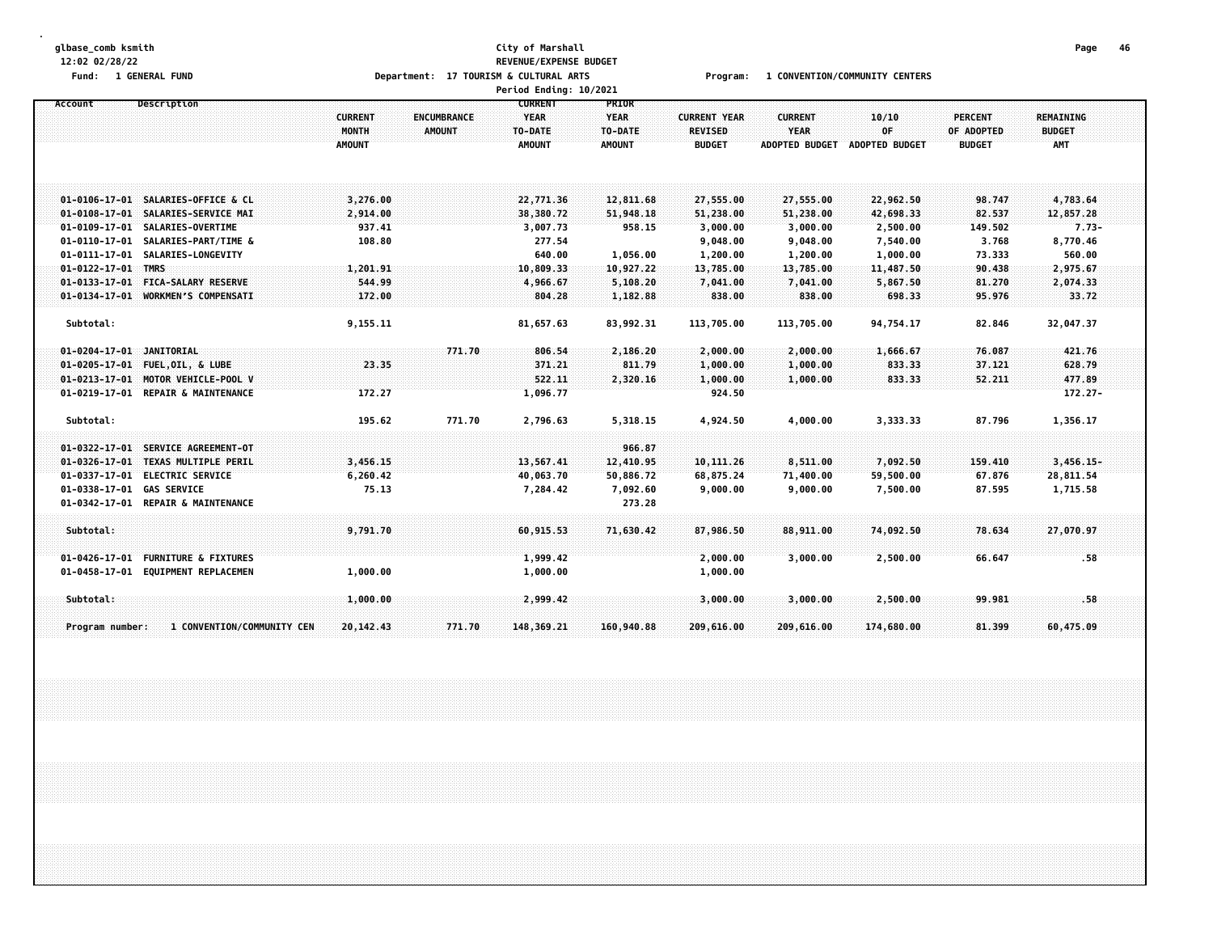#### **glbase\_comb ksmith City of Marshall Page 46 12:02 02/28/22 REVENUE/EXPENSE BUDGET** Fund: 1 GENERAL FUND<br>
Department: 17 TOURISM & CULTURAL ARTS Program: 1 CONVENTION/COMMUNITY CENTERS **Department: 17 TOURISM & CULTURAL ARTS<br>Period Ending: 10/**

|                            |                                    |                                                 |                                     | Period Ending: IV/ZUZI                                    |                                                  |                                                        |                                                        |                                      |                                               |                                                 |  |
|----------------------------|------------------------------------|-------------------------------------------------|-------------------------------------|-----------------------------------------------------------|--------------------------------------------------|--------------------------------------------------------|--------------------------------------------------------|--------------------------------------|-----------------------------------------------|-------------------------------------------------|--|
| Account                    | Description                        | <b>CURRENT</b><br><b>MONTH</b><br><b>AMOUNT</b> | <b>ENCUMBRANCE</b><br><b>AMOUNT</b> | <b>CURRENT</b><br><b>YEAR</b><br>TO-DATE<br><b>AMOUNT</b> | PRIOR<br><b>YEAR</b><br>TO-DATE<br><b>AMOUNT</b> | <b>CURRENT YEAR</b><br><b>REVISED</b><br><b>BUDGET</b> | <b>CURRENT</b><br><b>YEAR</b><br><b>ADOPTED BUDGET</b> | 10/10<br>OF<br><b>ADOPTED BUDGET</b> | <b>PERCENT</b><br>OF ADOPTED<br><b>BUDGET</b> | <b>REMAINING</b><br><b>BUDGET</b><br><b>AMT</b> |  |
|                            | 01-0106-17-01 SALARIES-OFFICE & CL | 3,276.00                                        |                                     | 22,771.36                                                 | 12,811.68                                        | 27,555.00                                              | 27,555.00                                              | 22,962.50                            | 98.747                                        | 4,783.64                                        |  |
|                            | 01-0108-17-01 SALARIES-SERVICE MAI | 2,914.00                                        |                                     | 38,380.72                                                 | 51,948.18                                        | 51,238.00                                              | 51,238.00                                              | 42,698.33                            | 82.537                                        | 12,857.28                                       |  |
|                            | 01-0109-17-01 SALARIES-OVERTIME    | 937.41                                          |                                     | 3,007.73                                                  | 958.15                                           | 3,000.00                                               | 3,000.00                                               | 2,500.00                             | 149.502                                       | $7.73-$                                         |  |
|                            | 01-0110-17-01 SALARIES-PART/TIME & | 108.80                                          |                                     | 277.54                                                    |                                                  | 9,048.00                                               | 9,048.00                                               | 7,540.00                             | 3.768                                         | 8,770.46                                        |  |
| $01 - 0122 - 17 - 01$ TMRS | 01-0111-17-01 SALARIES-LONGEVITY   | 1,201.91                                        |                                     | 640.00<br>10,809.33                                       | 1,056.00<br>10,927.22                            | 1,200.00<br>13,785.00                                  | 1,200.00<br>13,785.00                                  | 1,000.00<br>11,487.50                | 73.333<br>90.438                              | 560.00<br>2,975.67                              |  |
|                            | 01-0133-17-01 FICA-SALARY RESERVE  | 544.99                                          |                                     | 4,966.67                                                  | 5,108.20                                         | 7,041.00                                               | 7,041.00                                               | 5,867.50                             | 81.270                                        | 2,074.33                                        |  |
|                            | 01-0134-17-01 WORKMEN'S COMPENSATI | 172.00                                          |                                     | 804.28                                                    | 1,182.88                                         | 838.00                                                 | 838.00                                                 | 698.33                               | 95.976                                        | 33.72                                           |  |
|                            |                                    |                                                 |                                     |                                                           |                                                  |                                                        |                                                        |                                      |                                               |                                                 |  |
| Subtotal:                  |                                    | 9,155.11                                        |                                     | 81,657.63                                                 | 83,992.31                                        | 113,705.00                                             | 113,705.00                                             | 94,754.17                            | 82.846                                        | 32,047.37                                       |  |
| 01-0204-17-01 JANITORIAL   |                                    |                                                 | 771.70                              | 806.54                                                    | 2,186.20                                         | 2,000.00                                               | 2,000.00                                               | 1,666.67                             | 76.087                                        | 421.76                                          |  |
|                            | 01-0205-17-01 FUEL, OIL, & LUBE    | 23.35                                           |                                     | 371.21                                                    | 811.79                                           | 1,000.00                                               | 1,000.00                                               | 833.33                               | 37.121                                        | 628.79                                          |  |
|                            | 01-0213-17-01 MOTOR VEHICLE-POOL V |                                                 |                                     | 522.11                                                    | 2,320.16                                         | 1,000.00                                               | 1,000.00                                               | 833.33                               | 52.211                                        | 477.89                                          |  |
|                            | 01-0219-17-01 REPAIR & MAINTENANCE | 172.27                                          |                                     | 1,096.77                                                  |                                                  | 924.50                                                 |                                                        |                                      |                                               | $172.27 -$                                      |  |
| Subtotal:                  |                                    | 195.62                                          | 771.70                              | 2,796.63                                                  | 5,318.15                                         | 4,924.50                                               | 4,000.00                                               | 3,333.33                             | 87.796                                        | 1,356.17                                        |  |
|                            | 01-0322-17-01 SERVICE AGREEMENT-0T |                                                 |                                     |                                                           | 966.87                                           |                                                        |                                                        |                                      |                                               |                                                 |  |
|                            | 01-0326-17-01 TEXAS MULTIPLE PERIL | 3,456.15                                        |                                     | 13,567.41                                                 | 12,410.95                                        | 10, 111.26                                             | 8,511.00                                               | 7,092.50                             | 159.410                                       | $3,456.15-$                                     |  |
|                            | 01-0337-17-01 ELECTRIC SERVICE     | 6,260.42                                        |                                     | 40,063.70                                                 | 50,886.72                                        | 68,875.24                                              | 71,400.00                                              | 59,500.00                            | 67.876                                        | 28,811.54                                       |  |
| 01-0338-17-01 GAS SERVICE  |                                    | 75.13                                           |                                     | 7,284.42                                                  | 7,092.60                                         | 9,000.00                                               | 9,000.00                                               | 7,500.00                             | 87.595                                        | 1,715.58                                        |  |
|                            | 01-0342-17-01 REPAIR & MAINTENANCE |                                                 |                                     |                                                           | 273.28                                           |                                                        |                                                        |                                      |                                               |                                                 |  |
| Subtotal:                  |                                    | 9,791.70                                        |                                     | 60,915.53                                                 | 71,630.42                                        | 87,986.50                                              | 88,911.00                                              | 74,092.50                            | 78.634                                        | 27,070.97                                       |  |
| $01 - 0426 - 17 - 01$      | <b>FURNITURE &amp; FIXTURES</b>    |                                                 |                                     | 1,999.42                                                  |                                                  | 2,000.00                                               | 3,000.00                                               | 2,500.00                             | 66.647                                        | .58                                             |  |
|                            | 01-0458-17-01 EQUIPMENT REPLACEMEN | 1,000.00                                        |                                     | 1,000.00                                                  |                                                  | 1,000.00                                               |                                                        |                                      |                                               |                                                 |  |
| Subtotal:                  |                                    | 1,000.00                                        |                                     | 2,999.42                                                  |                                                  | 3,000.00                                               | 3,000.00                                               | 2,500.00                             | 99.981                                        | .58                                             |  |
|                            |                                    |                                                 |                                     |                                                           |                                                  |                                                        |                                                        |                                      |                                               |                                                 |  |
| Program number:            | 1 CONVENTION/COMMUNITY CEN         | 20,142.43                                       | 771.70                              | 148,369.21                                                | 160,940.88                                       | 209,616.00                                             | 209,616.00                                             | 174,680.00                           | 81.399                                        | 60,475.09                                       |  |
|                            |                                    |                                                 |                                     |                                                           |                                                  |                                                        |                                                        |                                      |                                               |                                                 |  |
|                            |                                    |                                                 |                                     |                                                           |                                                  |                                                        |                                                        |                                      |                                               |                                                 |  |
|                            |                                    |                                                 |                                     |                                                           |                                                  |                                                        |                                                        |                                      |                                               |                                                 |  |
|                            |                                    |                                                 |                                     |                                                           |                                                  |                                                        |                                                        |                                      |                                               |                                                 |  |
|                            |                                    |                                                 |                                     |                                                           |                                                  |                                                        |                                                        |                                      |                                               |                                                 |  |
|                            |                                    |                                                 |                                     |                                                           |                                                  |                                                        |                                                        |                                      |                                               |                                                 |  |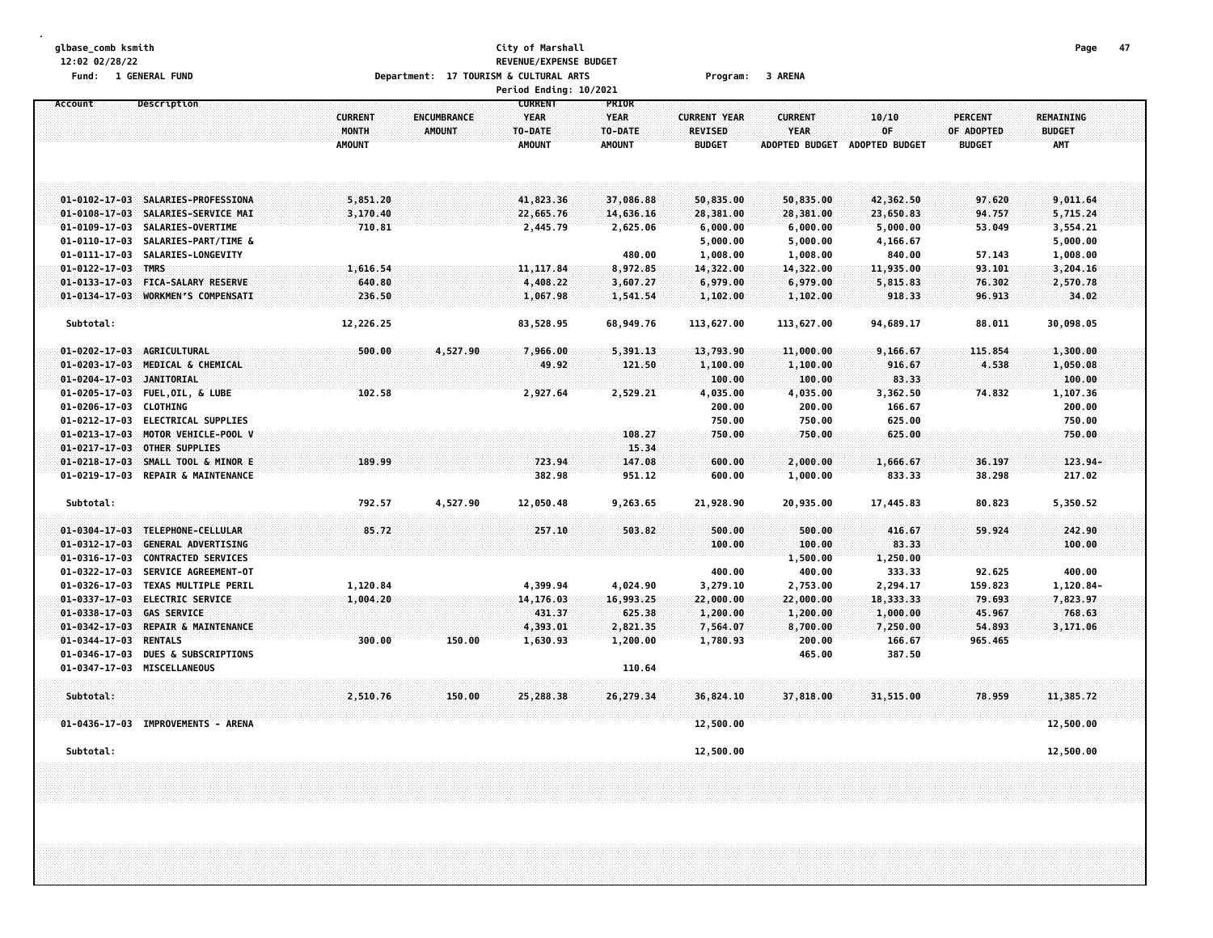## **glbase\_comb ksmith City of Marshall Page 47 12:02 02/28/22 REVENUE/EXPENSE BUDGET** Fund: 1 GENERAL FUND CONTEXT SARENA CONTEXT Department: 17 TOURISM & CULTURAL ARTS CONTEXT Program: 3 ARENA

|                                                                                                            |                                          |                              | Period Ending: 10/2021                                    |                                                         |                                                        |                                                        |                                      |                                               |                                                 |  |
|------------------------------------------------------------------------------------------------------------|------------------------------------------|------------------------------|-----------------------------------------------------------|---------------------------------------------------------|--------------------------------------------------------|--------------------------------------------------------|--------------------------------------|-----------------------------------------------|-------------------------------------------------|--|
| Account<br>Description                                                                                     | <b>CURRENT</b><br>MONTH<br><b>AMOUNT</b> | ENCUMBRANCE<br><b>AMOUNT</b> | <b>CURRENT</b><br><b>YEAR</b><br>TO-DATE<br><b>AMOUNT</b> | <b>PRIOR</b><br><b>YEAR</b><br>TO-DATE<br><b>AMOUNT</b> | <b>CURRENT YEAR</b><br><b>REVISED</b><br><b>BUDGET</b> | <b>CURRENT</b><br><b>YEAR</b><br><b>ADOPTED BUDGET</b> | 10/10<br>0F<br><b>ADOPTED BUDGET</b> | <b>PERCENT</b><br>OF ADOPTED<br><b>BUDGET</b> | <b>REMAINING</b><br><b>BUDGET</b><br><b>AMT</b> |  |
| 01-0102-17-03 SALARIES-PROFESSIONA                                                                         | 5,851.20                                 |                              | 41,823.36                                                 | 37,086.88                                               | 50,835.00                                              | 50,835.00                                              | 42,362.50                            | 97.620                                        | 9,011.64                                        |  |
| $01 - 0108 - 17 - 03$<br>SALARIES-SERVICE MAI                                                              | 3,170.40                                 |                              | 22,665.76                                                 | 14,636.16                                               | 28,381.00                                              | 28,381.00                                              | 23,650.83                            | 94.757                                        | 5,715.24                                        |  |
| $01 - 0109 - 17 - 03$<br>SALARIES-OVERTIME                                                                 | 710.81                                   |                              | 2,445.79                                                  | 2,625.06                                                | 6,000.00                                               | 6,000.00                                               | 5,000.00                             | 53.049                                        | 3,554.21                                        |  |
| $01 - 0110 - 17 - 03$<br>SALARIES-PART/TIME &                                                              |                                          |                              |                                                           |                                                         | 5,000.00                                               | 5,000.00                                               | 4,166.67                             |                                               | 5,000.00                                        |  |
| 01-0111-17-03<br>SALARIES-LONGEVITY                                                                        |                                          |                              |                                                           | 480.00                                                  | 1,008.00                                               | 1,008.00                                               | 840.00                               | 57.143                                        | 1,008.00                                        |  |
| 01-0122-17-03 TMRS                                                                                         | 1,616.54                                 |                              | 11, 117.84                                                | 8,972.85                                                | 14,322.00                                              | 14,322.00                                              | 11,935.00                            | 93.101                                        | 3,204.16                                        |  |
| $01 - 0133 - 17 - 03$<br><b>FICA-SALARY RESERVE</b>                                                        | 640.80                                   |                              | 4,408.22                                                  | 3,607.27                                                | 6,979.00                                               | 6,979.00                                               | 5,815.83                             | 76.302                                        | 2,570.78                                        |  |
| $01 - 0134 - 17 - 03$<br><b>WORKMEN'S COMPENSATT</b>                                                       | 236.50                                   |                              | 1,067.98                                                  | 1,541.54                                                | 1,102.00                                               | 1,102.00                                               | 918.33                               | 96.913                                        | 34.02                                           |  |
|                                                                                                            |                                          |                              |                                                           |                                                         |                                                        |                                                        |                                      |                                               |                                                 |  |
| Subtotal:                                                                                                  | 12,226.25                                |                              | 83,528.95                                                 | 68,949.76                                               | 113,627.00                                             | 113,627.00                                             | 94,689.17                            | 88.011                                        | 30,098.05                                       |  |
| AGRICULTURAL<br>$01 - 0202 - 17 - 03$                                                                      | 500.00                                   | 4,527.90                     | 7,966.00                                                  | 5,391.13                                                | 13,793.90                                              | 11,000.00                                              | 9,166.67                             | 115,854                                       | 1,300.00                                        |  |
| $01 - 0203 - 17 - 03$<br>MEDICAL & CHEMICAL                                                                |                                          |                              | 49.92                                                     | 121.50                                                  | 1,100.00                                               | 1,100.00                                               | 916.67                               | 4.538                                         | 1,050.08                                        |  |
| 01-0204-17-03 JANITORIAL                                                                                   |                                          |                              |                                                           |                                                         | 100.00                                                 | 100.00                                                 | 83.33                                |                                               | 100.00                                          |  |
| 01-0205-17-03 FUEL, OIL, & LUBE                                                                            | 102.58                                   |                              | 2,927.64                                                  | 2,529.21                                                | 4,035.00                                               | 4,035.00                                               | 3,362.50                             | 74.832                                        | 1,107.36                                        |  |
| 01-0206-17-03 CLOTHING                                                                                     |                                          |                              |                                                           |                                                         | 200.00                                                 | 200.00                                                 | 166.67                               |                                               | 200.00                                          |  |
| $01 - 0212 - 17 - 03$<br><b>ELECTRICAL SUPPLIES</b>                                                        |                                          |                              |                                                           |                                                         | 750.00                                                 | 750.00                                                 | 625.00                               |                                               | 750.00                                          |  |
| $01 - 0213 - 17 - 03$<br>MOTOR VEHICLE-POOL V                                                              |                                          |                              |                                                           | 108.27                                                  | 750.00                                                 | 750.00                                                 | 625.00                               |                                               | 750.00                                          |  |
| $01 - 0217 - 17 - 03$<br><b>OTHER SUPPLIES</b>                                                             |                                          |                              |                                                           | 15.34                                                   |                                                        |                                                        |                                      |                                               |                                                 |  |
| $01 - 0218 - 17 - 03$<br>SMALL TOOL & MINOR E                                                              | 189.99                                   |                              | 723.94                                                    | 147.08                                                  | 600.00                                                 | 2,000.00                                               | 1,666.67                             | 36.197                                        | 123.94-                                         |  |
| $01 - 0219 - 17 - 03$<br>REPAIR & MAINTENANCE                                                              |                                          |                              | 382.98                                                    | 951.12                                                  | 600.00                                                 | 1,000.00                                               | 833.33                               | 38.298                                        | 217.02                                          |  |
| Subtotal:                                                                                                  | 792.57                                   | 4,527.90                     | 12,050.48                                                 | 9,263.65                                                | 21,928.90                                              | 20,935.00                                              | 17,445.83                            | 80.823                                        | 5,350.52                                        |  |
|                                                                                                            |                                          |                              |                                                           |                                                         |                                                        |                                                        |                                      |                                               |                                                 |  |
| 01-0304-17-03 TELEPHONE-CELLULAR                                                                           | 85.72                                    |                              | 257.10                                                    | 503.82                                                  | 500.00                                                 | 500.00                                                 | 416.67                               | 59.924                                        | 242.90                                          |  |
| <b>GENERAL ADVERTISING</b><br>$01 - 0312 - 17 - 03$<br>$01 - 0316 - 17 - 03$<br><b>CONTRACTED SERVICES</b> |                                          |                              |                                                           |                                                         | 100.00                                                 | 100.00                                                 | 83.33                                |                                               | 100.00                                          |  |
| $01 - 0322 - 17 - 03$<br>SERVICE AGREEMENT-OT                                                              |                                          |                              |                                                           |                                                         | 400.00                                                 | 1,500.00<br>400.00                                     | 1,250.00<br>333.33                   | 92.625                                        | 400.00                                          |  |
| $01 - 0326 - 17 - 03$<br>TEXAS MULTIPLE PERIL                                                              | 1,120.84                                 |                              | 4,399.94                                                  | 4,024.90                                                | 3,279.10                                               | 2,753.00                                               | 2,294.17                             | 159.823                                       | 1,120.84-                                       |  |
| 01-0337-17-03 ELECTRIC SERVICE                                                                             | 1,004.20                                 |                              | 14,176.03                                                 | 16,993.25                                               | 22,000.00                                              | 22,000.00                                              | 18,333.33                            | 79.693                                        | 7,823.97                                        |  |
| 01-0338-17-03 GAS SERVICE                                                                                  |                                          |                              | 431.37                                                    | 625.38                                                  | 1,200.00                                               | 1,200.00                                               | 1,000.00                             | 45.967                                        | 768.63                                          |  |
| $01 - 0342 - 17 - 03$<br>REPAIR & MAINTENANCE                                                              |                                          |                              | 4,393.01                                                  | 2,821.35                                                | 7,564.07                                               | 8,700.00                                               | 7,250.00                             | 54.893                                        | 3,171.06                                        |  |
| 01-0344-17-03<br><b>RENTALS</b>                                                                            | 300.00                                   | 150.00                       | 1,630.93                                                  | 1,200.00                                                | 1,780.93                                               | 200.00                                                 | 166.67                               | 965.465                                       |                                                 |  |
| 01-0346-17-03<br><b>DUES &amp; SUBSCRIPTIONS</b>                                                           |                                          |                              |                                                           |                                                         |                                                        | 465.00                                                 | 387.50                               |                                               |                                                 |  |
| 01-0347-17-03 MISCELLANEOUS                                                                                |                                          |                              |                                                           | 110.64                                                  |                                                        |                                                        |                                      |                                               |                                                 |  |
|                                                                                                            |                                          |                              |                                                           |                                                         |                                                        |                                                        |                                      |                                               |                                                 |  |
| Subtotal:                                                                                                  | 2,510.76                                 | 150.00                       | 25,288.38                                                 | 26,279.34                                               | 36,824.10                                              | 37,818.00                                              | 31,515.00                            | 78,959                                        | 11,385.72                                       |  |
| 01-0436-17-03 IMPROVEMENTS - ARENA                                                                         |                                          |                              |                                                           |                                                         | 12,500.00                                              |                                                        |                                      |                                               | 12,500.00                                       |  |
|                                                                                                            |                                          |                              |                                                           |                                                         |                                                        |                                                        |                                      |                                               |                                                 |  |
| Subtotal:                                                                                                  |                                          |                              |                                                           |                                                         | 12,500.00                                              |                                                        |                                      |                                               | 12,500.00                                       |  |
|                                                                                                            |                                          |                              |                                                           |                                                         |                                                        |                                                        |                                      |                                               |                                                 |  |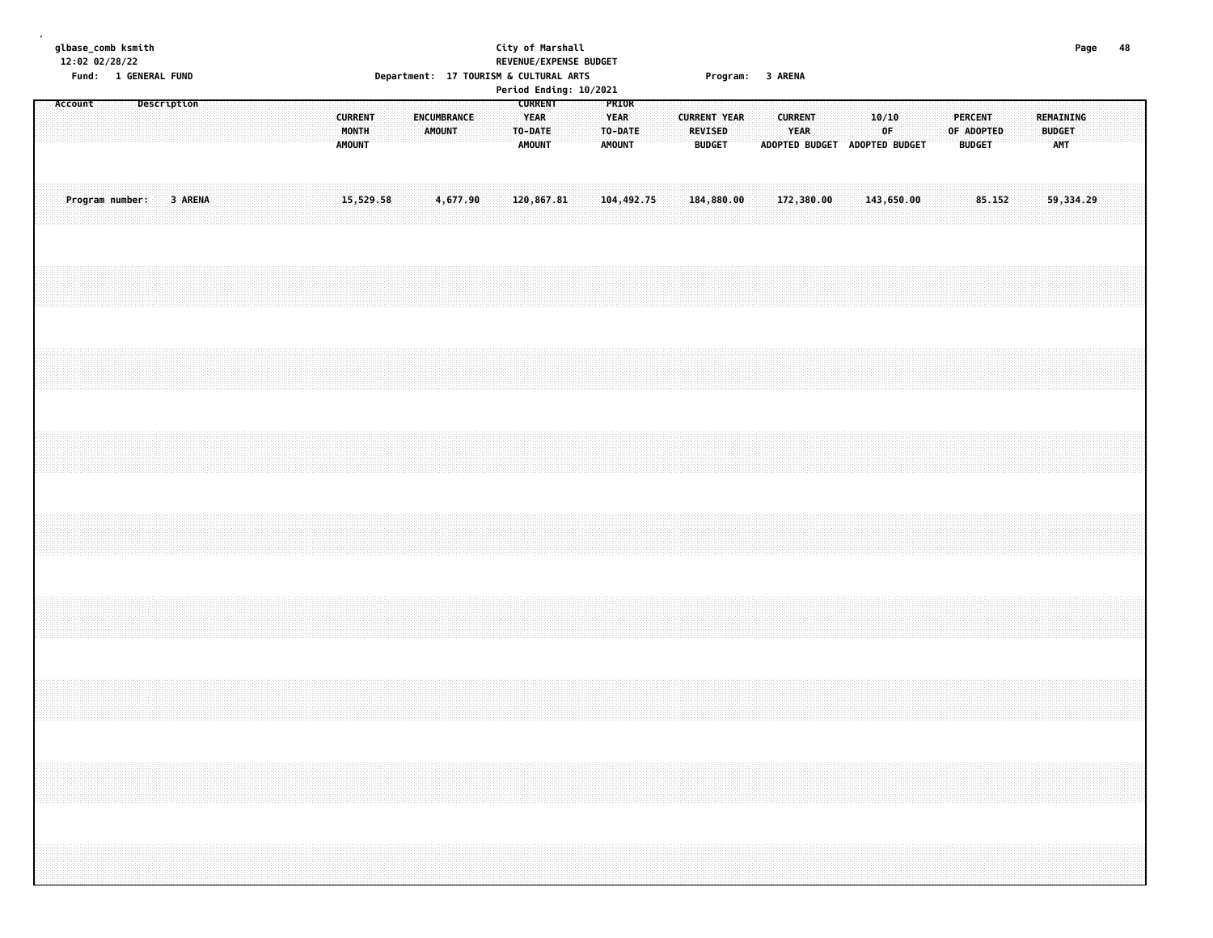| glbase_comb ksmith<br>12:02 02/28/22<br>Fund: 1 GENERAL FUND       | City of Marshall<br>REVENUE/EXPENSE BUDGET<br>Department: 17 TOURISM & CULTURAL ARTS                                                                                    | Program: 3 ARENA                                                                                                                  | 48<br>Page                                                                         |
|--------------------------------------------------------------------|-------------------------------------------------------------------------------------------------------------------------------------------------------------------------|-----------------------------------------------------------------------------------------------------------------------------------|------------------------------------------------------------------------------------|
| <b>Description</b><br>Account<br><b>CURRENT</b><br>MONTH<br>AMOUNT | Period Ending: 10/2021<br><b>CURRENT</b><br>PRIOR<br>ENCUMBRANCE<br><b>YEAR</b><br><b>YEAR</b><br><b>AMOUNT</b><br>TO-DATE<br>TO-DATE<br><b>AMOUNT</b><br><b>AMOUNT</b> | <b>CURRENT</b><br>10/10<br><b>CURRENT YEAR</b><br><b>REVISED</b><br>YEAR<br>0F.<br><b>BUDGET</b><br>ADOPTED BUDGET ADOPTED BUDGET | <b>PERCENT</b><br>REMAINING<br>OF ADOPTED<br><b>BUDGET</b><br><b>BUDGET</b><br>AMT |
| 3 ARENA<br>Program number:<br>15,529.58                            | 120,867.81<br>104, 492.75<br>4,677.90                                                                                                                                   | 172,380.00<br>143,650.00<br>184,880.00                                                                                            | 85.152<br>59,334.29                                                                |
|                                                                    |                                                                                                                                                                         |                                                                                                                                   |                                                                                    |
|                                                                    |                                                                                                                                                                         |                                                                                                                                   |                                                                                    |
|                                                                    |                                                                                                                                                                         |                                                                                                                                   |                                                                                    |
|                                                                    |                                                                                                                                                                         |                                                                                                                                   |                                                                                    |
|                                                                    |                                                                                                                                                                         |                                                                                                                                   |                                                                                    |
|                                                                    |                                                                                                                                                                         |                                                                                                                                   |                                                                                    |
|                                                                    |                                                                                                                                                                         |                                                                                                                                   |                                                                                    |
|                                                                    |                                                                                                                                                                         |                                                                                                                                   |                                                                                    |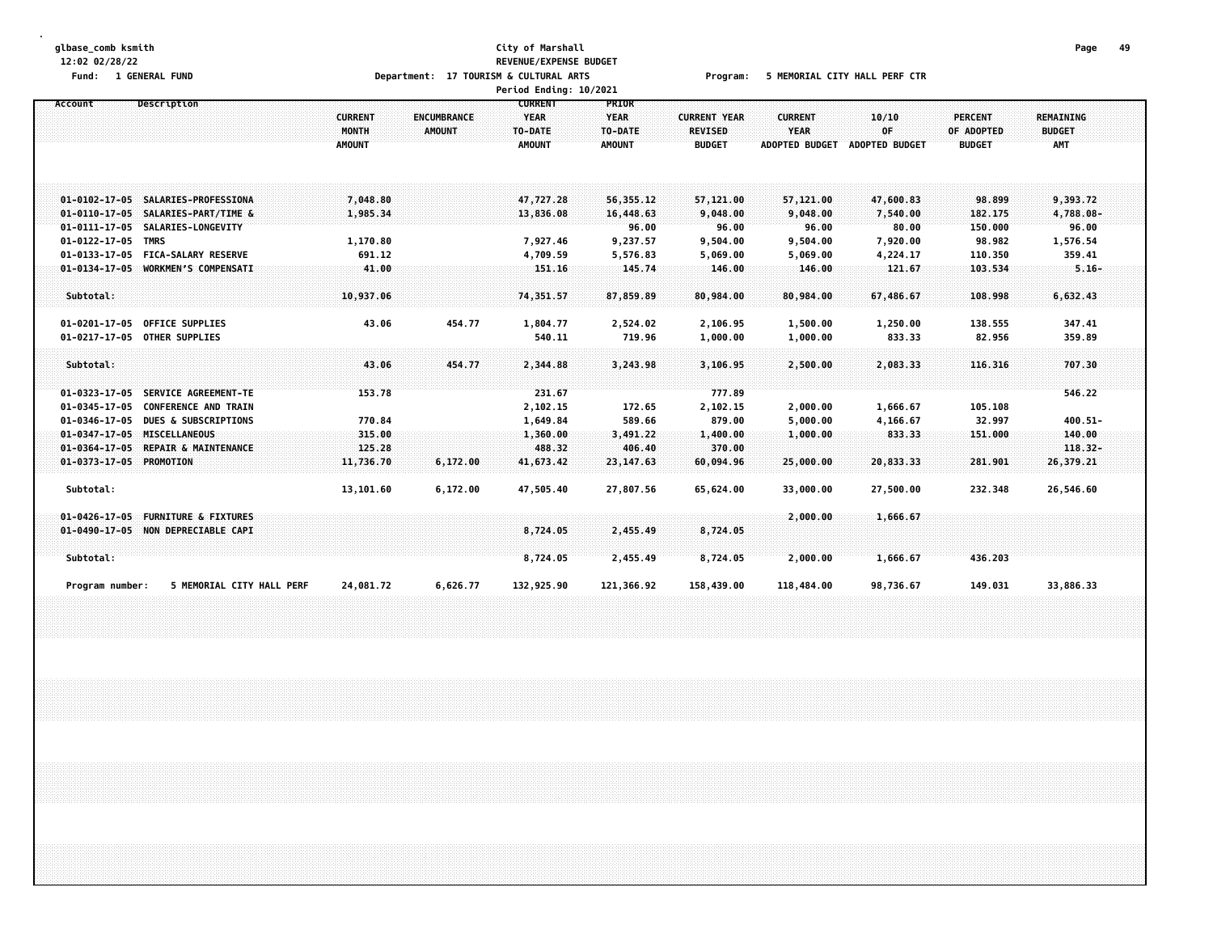#### **glbase\_comb ksmith City of Marshall Page 49 12:02 02/28/22 REVENUE/EXPENSE BUDGET** Fund: 1 GENERAL FUND CORPORT THE SERVICE OF DEPARTMENT: 17 TOURISM & CULTURAL ARTS Program: 5 MEMORIAL CITY HALL PERF CTR **Period Ending: 10/2021**

| Account                 | Description                        |                |               | <b>CURRENT</b> | <b>PRIOR</b>  |                     |                       |                       |                |               |  |
|-------------------------|------------------------------------|----------------|---------------|----------------|---------------|---------------------|-----------------------|-----------------------|----------------|---------------|--|
|                         |                                    | <b>CURRENT</b> | ENCUMBRANCE   | <b>YEAR</b>    | <b>YEAR</b>   | <b>CURRENT YEAR</b> | <b>CURRENT</b>        | 10/10                 | <b>PERCENT</b> | REMAINING     |  |
|                         |                                    | MONTH          | <b>AMOUNT</b> | TO-DATE        | TO-DATE       | <b>REVISED</b>      | <b>YEAR</b>           | OF                    | OF ADOPTED     | <b>BUDGET</b> |  |
|                         |                                    | <b>AMOUNT</b>  |               | <b>AMOUNT</b>  | <b>AMOUNT</b> | <b>BUDGET</b>       | <b>ADOPTED BUDGET</b> | <b>ADOPTED BUDGET</b> | <b>BUDGET</b>  | <b>AMT</b>    |  |
|                         |                                    |                |               |                |               |                     |                       |                       |                |               |  |
|                         |                                    |                |               |                |               |                     |                       |                       |                |               |  |
|                         | 01-0102-17-05 SALARIES-PROFESSIONA | 7,048.80       |               | 47,727.28      | 56,355.12     | 57,121.00           | 57,121.00             | 47,600.83             | 98.899         | 9,393.72      |  |
| $01 - 0110 - 17 - 05$   | SALARIES-PART/TIME &               | 1,985.34       |               | 13,836.08      | 16,448.63     | 9,048.00            | 9,048.00              | 7,540.00              | 182.175        | 4,788.08-     |  |
| $01 - 0111 - 17 - 05$   | SALARIES-LONGEVITY                 |                |               |                | 96.00         | 96.00               | 96.00                 | 80.00                 | 150.000        | 96.00         |  |
| $01 - 0122 - 17 - 05$   | <b>TMRS</b>                        | 1,170.80       |               | 7,927.46       | 9,237.57      | 9,504.00            | 9,504.00              | 7,920.00              | 98.982         | 1,576.54      |  |
| 01-0133-17-05           | <b>FICA-SALARY RESERVE</b>         | 691.12         |               | 4,709.59       | 5,576.83      | 5,069.00            | 5,069.00              | 4,224.17              | 110.350        | 359.41        |  |
|                         | 01-0134-17-05 WORKMEN'S COMPENSATI | 41.00          |               | 151.16         | 145.74        | 146.00              | 146.00                | 121.67                | 103.534        | $5.16 -$      |  |
|                         |                                    |                |               |                |               |                     |                       |                       |                |               |  |
| Subtotal:               |                                    | 10,937.06      |               | 74,351.57      | 87,859.89     | 80,984.00           | 80,984.00             | 67,486.67             | 108.998        | 6,632,43      |  |
|                         | 01-0201-17-05 OFFICE SUPPLIES      | 43.06          | 454.77        | 1,804.77       | 2,524.02      | 2,106.95            | 1,500.00              | 1,250.00              | 138.555        | 347.41        |  |
|                         | 01-0217-17-05 OTHER SUPPLIES       |                |               | 540.11         | 719.96        | 1,000.00            | 1,000.00              | 833.33                | 82.956         | 359.89        |  |
|                         |                                    |                |               |                |               |                     |                       |                       |                |               |  |
| Subtotal:               |                                    | 43.06          | 454.77        | 2,344.88       | 3,243.98      | 3,106.95            | 2,500.00              | 2,083.33              | 116.316        | 707.30        |  |
|                         |                                    |                |               |                |               |                     |                       |                       |                |               |  |
|                         | 01-0323-17-05 SERVICE AGREEMENT-TE | 153.78         |               | 231.67         |               | 777.89              |                       |                       |                | 546.22        |  |
|                         | 01-0345-17-05 CONFERENCE AND TRAIN |                |               | 2,102.15       | 172.65        | 2,102.15            | 2,000.00              | 1,666.67              | 105.108        |               |  |
|                         | 01-0346-17-05 DUES & SUBSCRIPTIONS | 770.84         |               | 1,649.84       | 589.66        | 879.00              | 5,000.00              | 4,166.67              | 32.997         | $400.51 -$    |  |
|                         | 01-0347-17-05 MISCELLANEOUS        | 315.00         |               | 1,360.00       | 3,491.22      | 1,400.00            | 1,000.00              | 833.33                | 151.000        | 140.00        |  |
|                         | 01-0364-17-05 REPAIR & MAINTENANCE | 125.28         |               | 488.32         | 406.40        | 370.00              |                       |                       |                | $118.32 -$    |  |
| 01-0373-17-05 PROMOTION |                                    | 11,736.70      | 6,172.00      | 41,673.42      | 23, 147.63    | 60,094.96           | 25,000.00             | 20,833.33             | 281.901        | 26,379.21     |  |
|                         |                                    |                |               |                |               |                     |                       |                       |                |               |  |
| Subtotal:               |                                    | 13,101.60      | 6,172.00      | 47,505.40      | 27,807.56     | 65,624.00           | 33,000.00             | 27,500.00             | 232.348        | 26,546.60     |  |
| $01 - 0426 - 17 - 05$   | <b>FURNITURE &amp; FIXTURES</b>    |                |               |                |               |                     | 2,000.00              | 1,666.67              |                |               |  |
|                         | 01-0490-17-05 NON DEPRECIABLE CAPI |                |               | 8,724.05       | 2,455.49      | 8,724.05            |                       |                       |                |               |  |
|                         |                                    |                |               |                |               |                     |                       |                       |                |               |  |
| Subtotal:               |                                    |                |               | 8,724.05       | 2,455.49      | 8,724.05            | 2,000.00              | 1,666.67              | 436.203        |               |  |
| Program number:         | 5 MEMORIAL CITY HALL PERF          | 24,081.72      | 6,626.77      | 132,925.90     | 121,366.92    | 158,439.00          | 118,484.00            | 98,736.67             | 149.031        | 33,886.33     |  |
|                         |                                    |                |               |                |               |                     |                       |                       |                |               |  |
|                         |                                    |                |               |                |               |                     |                       |                       |                |               |  |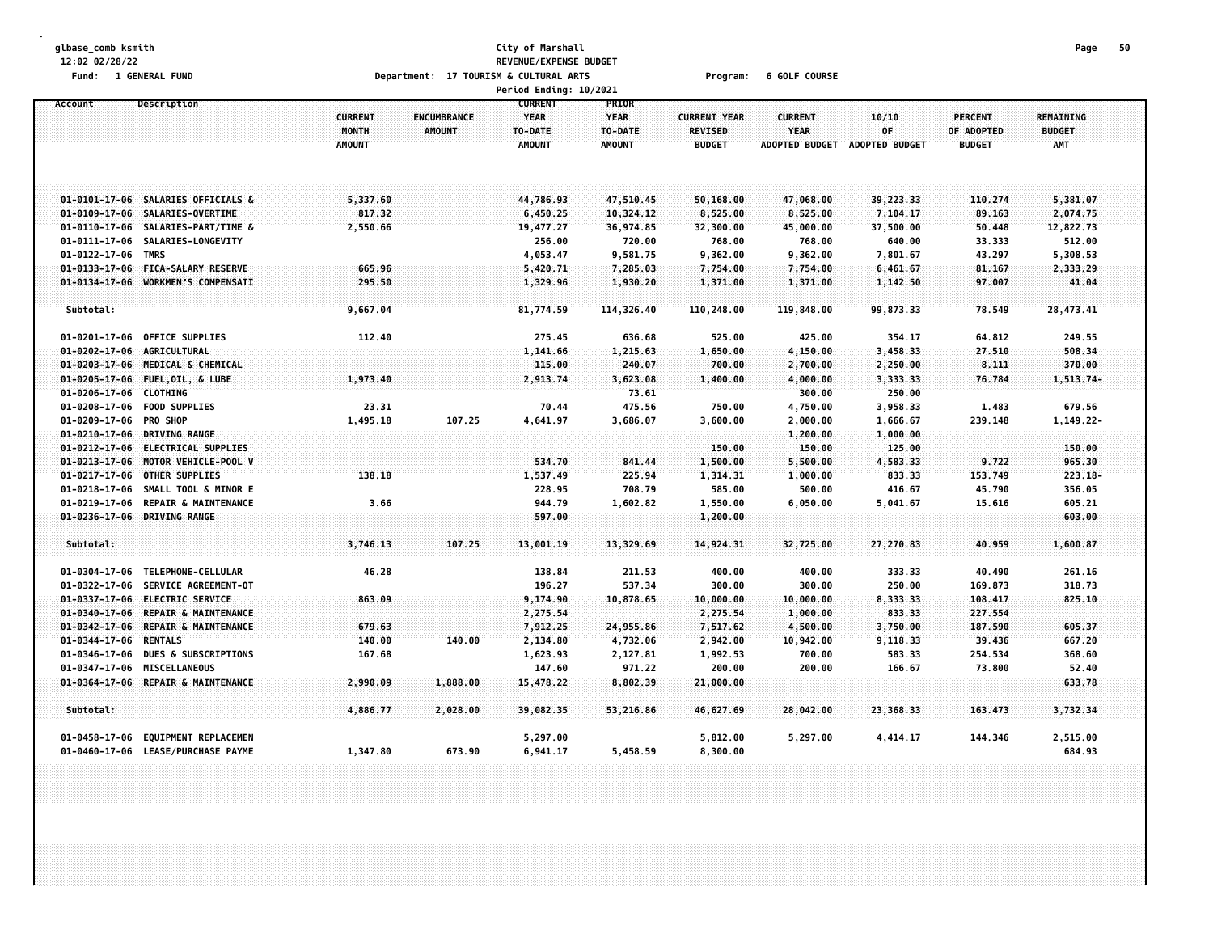#### **glbase\_comb ksmith City of Marshall Page 50 12:02 02/28/22 REVENUE/EXPENSE BUDGET** Fund: 1 GENERAL FUND COURSE COURSE Department: 17 TOURISM & CULTURAL ARTS Program: 6 GOLF COURSE

|                        |                                    |                |               | Period Ending: 10/2021 |               |                     |                       |                |                |               |  |
|------------------------|------------------------------------|----------------|---------------|------------------------|---------------|---------------------|-----------------------|----------------|----------------|---------------|--|
| Account                | Description                        |                |               | <b>CURRENT</b>         | PRIOR         |                     |                       |                |                |               |  |
|                        |                                    | <b>CURRENT</b> | ENCUMBRANCE   | <b>YEAR</b>            | <b>YEAR</b>   | <b>CURRENT YEAR</b> | <b>CURRENT</b>        | 10/10          | <b>PERCENT</b> | REMAINING     |  |
|                        |                                    | MONTH          | <b>AMOUNT</b> | TO-DATE                | TO-DATE       | <b>REVISED</b>      | YEAR                  | OF             | OF ADOPTED     | <b>BUDGET</b> |  |
|                        |                                    | <b>AMOUNT</b>  |               | <b>AMOUNT</b>          | <b>AMOUNT</b> | <b>BUDGET</b>       | <b>ADOPTED BUDGET</b> | ADOPTED BUDGET | <b>BUDGET</b>  | <b>AMT</b>    |  |
|                        |                                    |                |               |                        |               |                     |                       |                |                |               |  |
|                        | 01-0101-17-06 SALARIES OFFICIALS & | 5,337.60       |               | 44,786.93              | 47,510.45     | 50,168.00           | 47,068.00             | 39,223.33      | 110.274        | 5,381.07      |  |
|                        | 01-0109-17-06 SALARIES-OVERTIME    | 817.32         |               | 6,450.25               | 10,324.12     | 8,525.00            | 8,525.00              | 7,104.17       | 89.163         | 2,074.75      |  |
|                        | 01-0110-17-06 SALARIES-PART/TIME & | 2,550.66       |               | 19,477.27              | 36,974.85     | 32,300.00           | 45,000.00             | 37,500.00      | 50.448         | 12,822.73     |  |
|                        | 01-0111-17-06 SALARIES-LONGEVITY   |                |               | 256.00                 | 720.00        | 768.00              | 768.00                | 640.00         | 33.333         | 512.00        |  |
| $01 - 0122 - 17 - 06$  | <b>TMRS</b>                        |                |               | 4,053.47               | 9,581.75      | 9,362.00            | 9,362.00              | 7,801.67       | 43.297         | 5,308.53      |  |
|                        | 01-0133-17-06 FICA-SALARY RESERVE  | 665.96         |               | 5,420.71               | 7,285.03      | 7,754.00            | 7,754.00              | 6,461.67       | 81.167         | 2,333.29      |  |
|                        | 01-0134-17-06 WORKMEN'S COMPENSATI | 295.50         |               | 1,329.96               | 1,930.20      | 1,371.00            | 1,371.00              | 1,142.50       | 97.007         | 41.04         |  |
|                        |                                    |                |               |                        |               |                     |                       |                |                |               |  |
| Subtotal:              |                                    | 9.667.04       |               | 81,774.59              | 114,326.40    | 110,248.00          | 119,848.00            | 99,873.33      | 78.549         | 28,473.41     |  |
|                        | 01-0201-17-06 OFFICE SUPPLIES      | 112.40         |               | 275.45                 | 636.68        | 525.00              | 425.00                | 354.17         | 64.812         | 249.55        |  |
|                        | 01-0202-17-06 AGRICULTURAL         |                |               | 1,141.66               | 1,215.63      | 1,650.00            | 4,150.00              | 3,458.33       | 27.510         | 508.34        |  |
|                        | 01-0203-17-06 MEDICAL & CHEMICAL   |                |               | 115.00                 | 240.07        | 700.00              | 2,700.00              | 2,250.00       | 8.111          | 370.00        |  |
|                        | 01-0205-17-06 FUEL, OIL, & LUBE    | 1,973.40       |               | 2,913.74               | 3,623.08      | 1,400.00            | 4,000.00              | 3,333.33       | 76.784         | 1,513.74-     |  |
| 01-0206-17-06 CLOTHING |                                    |                |               |                        | 73.61         |                     | 300.00                | 250.00         |                |               |  |
|                        | 01-0208-17-06 FOOD SUPPLIES        | 23.31          |               | 70.44                  | 475.56        | 750.00              | 4,750.00              | 3,958.33       | 1.483          | 679.56        |  |
| 01-0209-17-06 PRO SHOP |                                    | 1,495.18       | 107.25        | 4,641.97               | 3,686.07      | 3,600.00            | 2,000.00              | 1,666.67       | 239.148        | $1,149.22-$   |  |
|                        | 01-0210-17-06 DRIVING RANGE        |                |               |                        |               |                     | 1,200.00              | 1,000.00       |                |               |  |
| $01 - 0212 - 17 - 06$  | <b>ELECTRICAL SUPPLIES</b>         |                |               |                        |               | 150.00              | 150.00                | 125.00         |                | 150.00        |  |
| $01 - 0213 - 17 - 06$  | MOTOR VEHICLE-POOL V               |                |               | 534.70                 | 841.44        | 1,500.00            | 5,500.00              | 4,583.33       | 9.722          | 965.30        |  |
|                        | 01-0217-17-06 OTHER SUPPLIES       | 138.18         |               | 1,537.49               | 225.94        | 1,314.31            | 1,000.00              | 833.33         | 153.749        | $223.18 -$    |  |
| $01 - 0218 - 17 - 06$  | SMALL TOOL & MINOR E               |                |               | 228.95                 | 708.79        | 585.00              | 500.00                | 416.67         | 45.790         | 356.05        |  |
| $01 - 0219 - 17 - 06$  | <b>REPAIR &amp; MAINTENANCE</b>    | 3.66           |               | 944.79                 | 1,602.82      | 1,550.00            | 6,050.00              | 5,041.67       | 15.616         | 605.21        |  |
|                        | 01-0236-17-06 DRIVING RANGE        |                |               | 597.00                 |               | 1,200.00            |                       |                |                | 0.60300       |  |
| Subtotal:              |                                    | 3,746.13       | 107.25        | 13,001.19              | 13,329.69     | 14,924.31           | 32,725.00             | 27,270.83      | 40.959         | 1,600.87      |  |
| 01-0304-17-06          | TELEPHONE-CELLULAR                 | 46.28          |               | 138.84                 | 211.53        | 400.00              | 400.00                | 333.33         | 40.490         | 261.16        |  |
| $01 - 0322 - 17 - 06$  | <b>SERVICE AGREEMENT-OT</b>        |                |               | 196.27                 | 537.34        | 300.00              | 300.00                | 250.00         | 169.873        | 318.73        |  |
| $01 - 0337 - 17 - 06$  | <b>ELECTRIC SERVICE</b>            | 863.09         |               | 9,174.90               | 10,878.65     | 10,000.00           | 10,000.00             | 8,333.33       | 108.417        | 825.10        |  |
| $01 - 0340 - 17 - 06$  | <b>REPAIR &amp; MAINTENANCE</b>    |                |               | 2,275.54               |               | 2,275.54            | 1,000.00              | 833.33         | 227.554        |               |  |
| $01 - 0342 - 17 - 06$  | REPAIR & MAINTENANCE               | 679.63         |               | 7,912.25               | 24,955.86     | 7,517.62            | 4,500.00              | 3,750.00       | 187.590        | 605.37        |  |
| $01 - 0344 - 17 - 06$  | <b>RENTALS</b>                     | 140.00         | 140.00        | 2,134.80               | 4,732.06      | 2,942.00            | 10,942.00             | 9,118.33       | 39.436         | 667.20        |  |
| 01-0346-17-06          | <b>DUES &amp; SUBSCRIPTIONS</b>    | 167.68         |               | 1,623.93               | 2,127.81      | 1,992.53            | 700.00                | 583.33         | 254.534        | 368.60        |  |
| 01-0347-17-06          | <b>MISCELLANEOUS</b>               |                |               | 147.60                 | 971.22        | 200.00              | 200.00                | 166.67         | 73.800         | 52.40         |  |
| $01 - 0364 - 17 - 06$  | REPAIR & MAINTENANCE               | 2,990.09       | 1,888.00      | 15,478.22              | 8,802.39      | 21,000.00           |                       |                |                | 633.78        |  |
|                        |                                    |                |               |                        |               |                     |                       |                |                |               |  |
| Subtotal:              |                                    | 4,886.77       | 2,028.00      | 39,082.35              | 53,216.86     | 46,627.69           | 28,042.00             | 23,368.33      | 163.473        | 3,732.34      |  |
| $01 - 0458 - 17 - 06$  | <b>EQUIPMENT REPLACEMEN</b>        |                |               | 5,297.00               |               | 5,812.00            | 5,297.00              | 4,414.17       | 144.346        | 2,515.00      |  |
|                        | 01-0460-17-06 LEASE/PURCHASE PAYME | 1,347.80       | 673.90        | 6,941.17               | 5,458.59      | 8,300.00            |                       |                |                | 684.93        |  |
|                        |                                    |                |               |                        |               |                     |                       |                |                |               |  |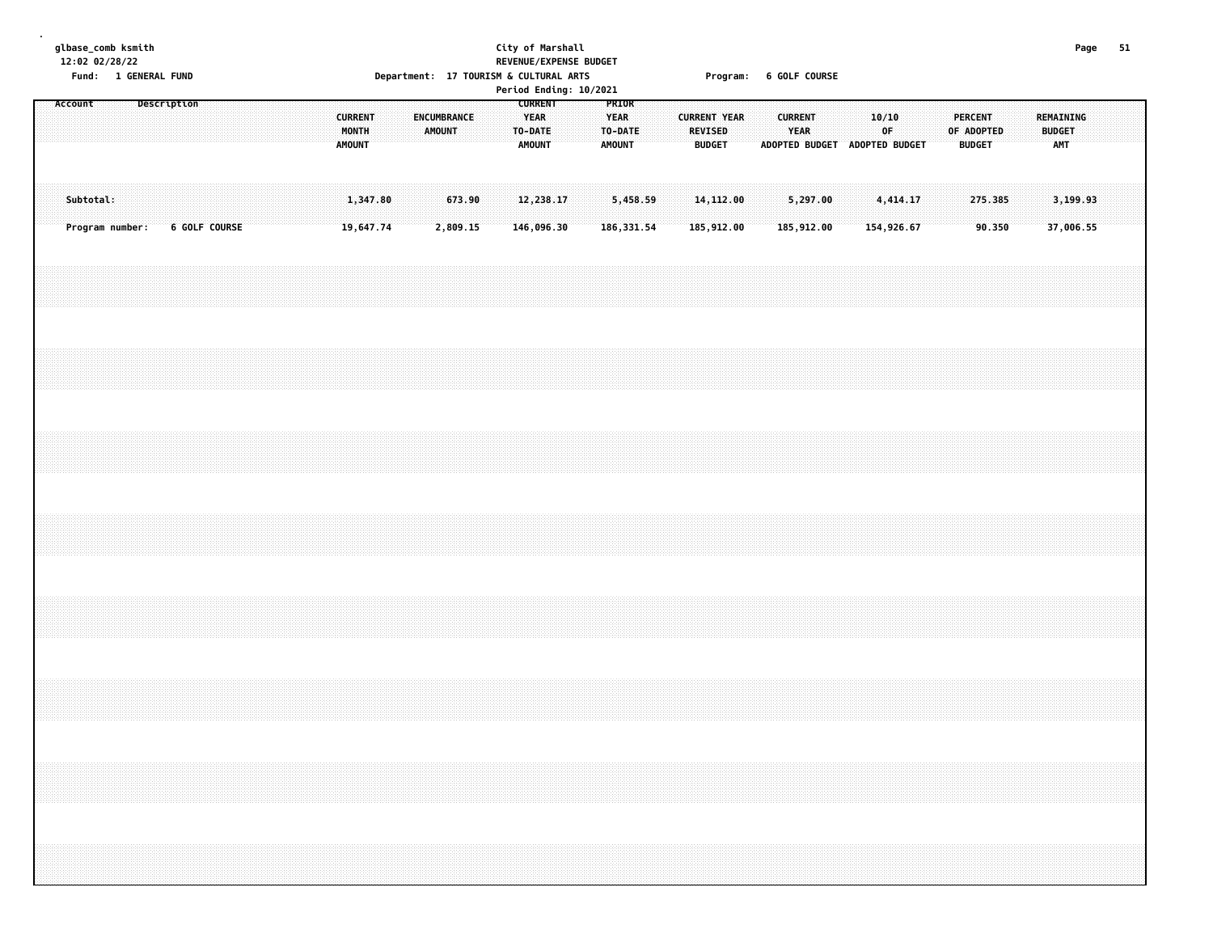|  |           | glbase_comb ksmith<br>12:02 02/28/22<br>Fund: 1 GENERAL FUND |             |                                                                                  |  |  |                                          |                       |  |        | Department: 17 TOURISM & CULTURAL ARTS |  | City of Marshall                        |                         | REVENUE/EXPENSE BUDGET<br>Period Ending: 10/2021 |                                                  |                         |  |                                 |                          | Program: 6 GOLF COURSE |                |                                              |  |       |                        |  |                                        |  |                                   | Page | 51 |
|--|-----------|--------------------------------------------------------------|-------------|----------------------------------------------------------------------------------|--|--|------------------------------------------|-----------------------|--|--------|----------------------------------------|--|-----------------------------------------|-------------------------|--------------------------------------------------|--------------------------------------------------|-------------------------|--|---------------------------------|--------------------------|------------------------|----------------|----------------------------------------------|--|-------|------------------------|--|----------------------------------------|--|-----------------------------------|------|----|
|  | Account   |                                                              | Description |                                                                                  |  |  | <b>CURRENT</b><br>MONTH<br><b>AMOUNT</b> |                       |  | AMOUNT | ENCUMBRANCE                            |  | <b>YEAR</b><br>TO-DATE<br><b>AMOUNT</b> | <b>CURRENT</b>          |                                                  | PRIOR<br><b>YEAR</b><br>TO-DATE<br><b>AMOUNT</b> |                         |  | <b>REVISED</b><br><b>BUDGET</b> | <b>CURRENT YEAR</b>      |                        | <b>CURRENT</b> | <b>YEAR</b><br>ADOPTED BUDGET ADOPTED BUDGET |  | 10/10 | 0F                     |  | PERCENT<br>OF ADOPTED<br><b>BUDGET</b> |  | REMAINING<br><b>BUDGET</b><br>AMT |      |    |
|  | Subtotal: | Program number:                                              |             | 6 GOLF COURSE                                                                    |  |  |                                          | 1,347.80<br>19,647.74 |  |        | 673.90<br>2,809.15                     |  |                                         | 12,238.17<br>146,096.30 |                                                  |                                                  | 5,458.59<br>186, 331.54 |  |                                 | 14, 112.00<br>185,912.00 |                        |                | 5,297.00<br>185,912.00                       |  |       | 4,414.17<br>154,926.67 |  | 275.385<br>90.350                      |  | 3,199.93<br>37,006.55             |      |    |
|  |           |                                                              |             |                                                                                  |  |  |                                          |                       |  |        |                                        |  |                                         |                         |                                                  |                                                  |                         |  |                                 |                          |                        |                |                                              |  |       |                        |  |                                        |  |                                   |      |    |
|  |           |                                                              |             |                                                                                  |  |  |                                          |                       |  |        |                                        |  |                                         |                         |                                                  |                                                  |                         |  |                                 |                          |                        |                |                                              |  |       |                        |  |                                        |  |                                   |      |    |
|  |           |                                                              |             |                                                                                  |  |  |                                          |                       |  |        |                                        |  |                                         |                         |                                                  |                                                  |                         |  |                                 |                          |                        |                |                                              |  |       |                        |  |                                        |  |                                   |      |    |
|  |           |                                                              |             |                                                                                  |  |  |                                          |                       |  |        |                                        |  |                                         |                         |                                                  |                                                  |                         |  |                                 |                          |                        |                |                                              |  |       |                        |  |                                        |  |                                   |      |    |
|  |           |                                                              |             |                                                                                  |  |  |                                          |                       |  |        |                                        |  |                                         |                         |                                                  |                                                  |                         |  |                                 |                          |                        |                |                                              |  |       |                        |  |                                        |  |                                   |      |    |
|  |           |                                                              |             |                                                                                  |  |  |                                          |                       |  |        |                                        |  |                                         |                         |                                                  |                                                  |                         |  |                                 |                          |                        |                |                                              |  |       |                        |  |                                        |  |                                   |      |    |
|  |           |                                                              |             |                                                                                  |  |  |                                          |                       |  |        |                                        |  |                                         |                         |                                                  |                                                  |                         |  |                                 |                          |                        |                |                                              |  |       |                        |  |                                        |  |                                   |      |    |
|  |           |                                                              |             | ,我们的时候,我们的时候,我们的时候,我们的时候,我们的时候,我们的时候,我们的时候,我们的时候,我们的时候,我们的时候,我们的时候,我们的时候,我们的时候,我 |  |  |                                          |                       |  |        |                                        |  |                                         |                         |                                                  |                                                  |                         |  |                                 |                          |                        |                |                                              |  |       |                        |  |                                        |  |                                   |      |    |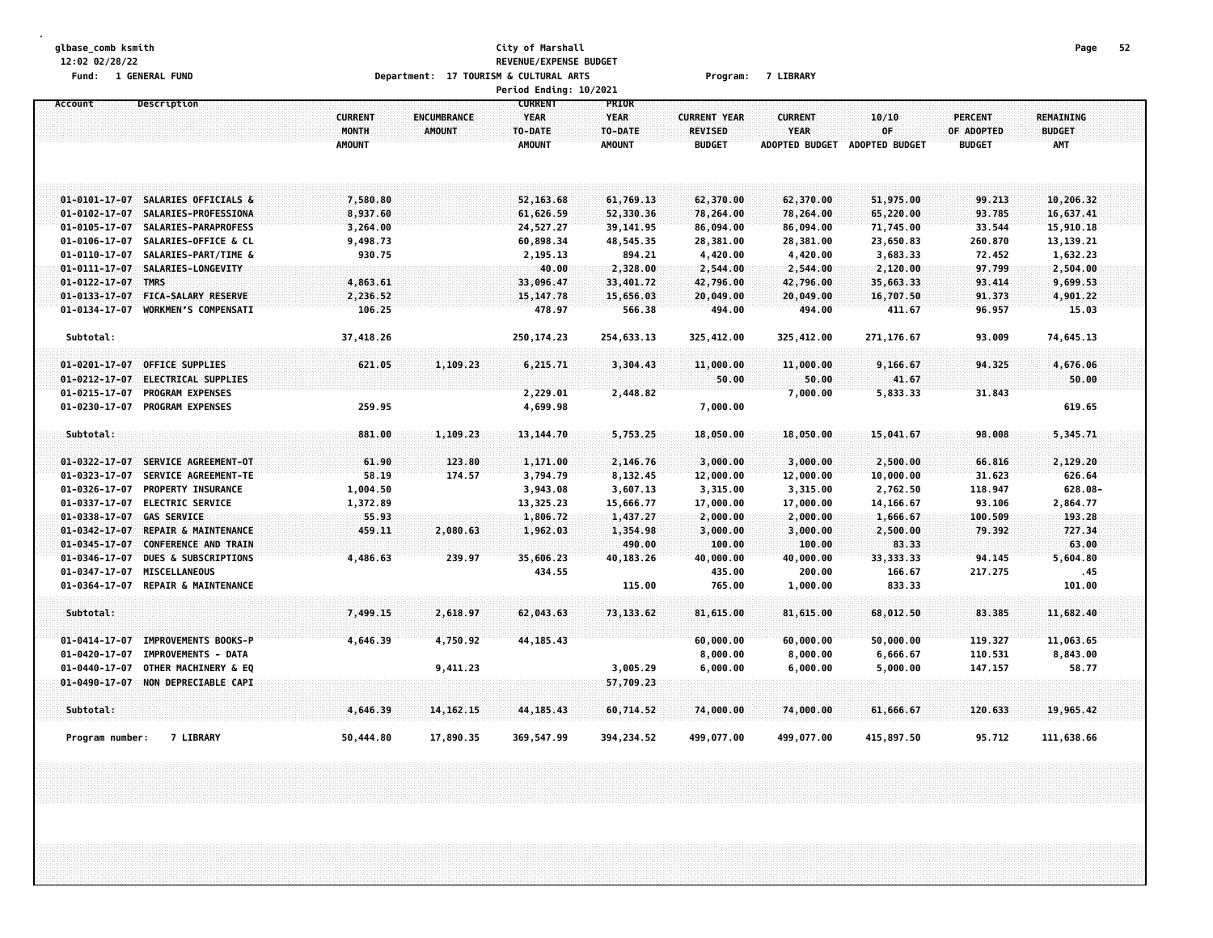## **glbase\_comb ksmith City of Marshall Page 52 12:02 02/28/22 REVENUE/EXPENSE BUDGET** Fund: 1 GENERAL FUND CONTENT CONTENTS OPPORTMENT: 17 TOURISM & CULTURAL ARTS CONTENTS Program: 7 LIBRARY

**Period Ending: 10/2021 Account Description CURRENT PRIOR CURRENT ENCUMBRANCE YEAR YEAR CURRENT YEAR CURRENT 10/10 PERCENT REMAINING MONTH AMOUNT TO-DATE TO-DATE REVISED YEAR OF OF ADOPTED BUDGET AMOUNT AMOUNT AMOUNT BUDGET ADOPTED BUDGET ADOPTED BUDGET BUDGET AMT** 01-0101-17-07 SALARIES OFFICIALS & 7,580.80 7,580.80 52,163.68 61,769.13 62,370.00 62,370.00 51,975.00 99.213 10,206.32 01-0102-17-07 SALARIES-PROFESSIONA 8.937.60 637.41 6.626.59 52.330.36 78.264.00 65.220.00 65.220.00 93.785 16.637.41 01-0105-17-07 SALARIES-PARAPROFESS 3.264.00 24.527.27 39.141.95 86.094.00 86.094.00 71.745.00 33.544 15.910.18 01-0106-17-07 SALARIES-OFFICE & CL 9.498.73 60.898.34 48.545.35 28.381.00 28.381.00 23.650.83 260.870 13.139.21 01-0110-17-07 SALARIES-PART/TIME & 330.75 30.75 313 32,195.13 34.21 4,420.00 4,420.00 3,683.33 72.452 1,632.23 **01-0111-17-07 SALARIES-LONGEVITY 40.00 2,328.00 2,544.00 2,544.00 2,120.00 97.799 2,504.00 01-0122-17-07 TMRS 4,863.61 33,096.47 33,401.72 42,796.00 42,796.00 35,663.33 93.414 9,699.53** 01-0133-17-07 FICA-SALARY RESERVE 2,236.52 15,147.78 15,656.03 20,049.00 20,049.00 16,707.50 91.373 4,901.22 **01-0134-17-07 WORKMENS COMPENSATI 106.25 478.97 566.38 494.00 494.00 411.67 96.957 15.03 Subtotal: 37,418.26 250,174.23 254,633.13 325,412.00 325,412.00 271,176.67 93.009 74,645.13** 01-0201-17-07 OFFICE SUPPLIES 676.06 621.05 1,109.23 6,215.71 3,304.43 11,000.00 11,000.00 9,166.67 94.325 4,676.06 **01-0212-17-07 ELECTRICAL SUPPLIES 50.00 50.00 41.67 50.00 01-0215-17-07 PROGRAM EXPENSES 2,229.01 2,448.82 7,000.00 5,833.33 31.843 01-0230-17-07 PROGRAM EXPENSES 259.95 4,699.98 7,000.00 619.65**  $881.00$   $1,109.23$   $13,144.70$   $5,753.25$   $18,050.00$   $18,050.00$   $15,041.67$   $98.008$   $5,754.71$ 01-0322-17-07 SERVICE AGREEMENT-0T 61.90 123.80 1.171.00 2.146.76 3.000.00 3.000.00 2.500.00 66.816 2.129.20 01-0323-17-07 SERVICE AGREEMENT-TE 58.19 174.57 3.794.79 8.132.45 12.000.00 12.000.00 10.000.00 31.623 626.64 01-0326-17-07 PROPERTY\_INSURANCE 1,004.50 3,943.08 3,607.13 3,315.00 3,315.00 2,762.50 118.947 628.08-01-0337-17-07 ELECTRIC SERVICE 1,372.89 13,325.23 15,666.77 17,000.00 17,000.00 14,166.67 93.106 2,864.77 **01-0338-17-07 GAS SERVICE 55.93 1,806.72 1,437.27 2,000.00 2,000.00 1,666.67 100.509 193.28** 01-0342-17-07 REPAIR & MAINTENANCE 459.11 2,080.63 1,962.03 1,354.98 3,000.00 3,000.00 2,500.00 79.392 727.34 **01-0345-17-07 CONFERENCE AND TRAIN 490.00 100.00 100.00 83.33 63.00** 01-0346-17-07 DUES & SUBSCRIPTIONS 4,486.63 239.97 35,606.23 40,183.26 40,000.00 40,000.00 33,333.33 94.145 5,604.80 **01-0347-17-07 MISCELLANEOUS 434.55 435.00 200.00 166.67 217.275 .45 01-0364-17-07 REPAIR & MAINTENANCE 115.00 765.00 1,000.00 833.33 101.00** 7,499.15 2,618.97 62,043.63 73,133.62 81,615.00 81,615.00 68,012.50 83.385 11,682.40 83.385 11,682.40 01-0414-17-07 IMPROVEMENTS BOOKS-P 4.646.39 4.750.92 44.185.43 60.000.00 60.000.00 50.000.00 119.327 11.063.65 **01-0420-17-07 IMPROVEMENTS - DATA 8,000.00 8,000.00 6,666.67 110.531 8,843.00** 01-0440-17-07 OTHER MACHINERY & EQ 9,411.23 3,005.29 6,000.00 6,000.00 5,000.00 147.157 58.77 **01-0490-17-07 NON DEPRECIABLE CAPI 57,709.23 Subtotal: 4,646.39 14,162.15 44,185.43 60,714.52 74,000.00 74,000.00 61,666.67 120.633 19,965.42** Program number: 7 LIBRARY 50,444.80 17,890.35 369,547.99 394,234.52 499,077.00 499,077.00 415,897.50 95.712 111,638.66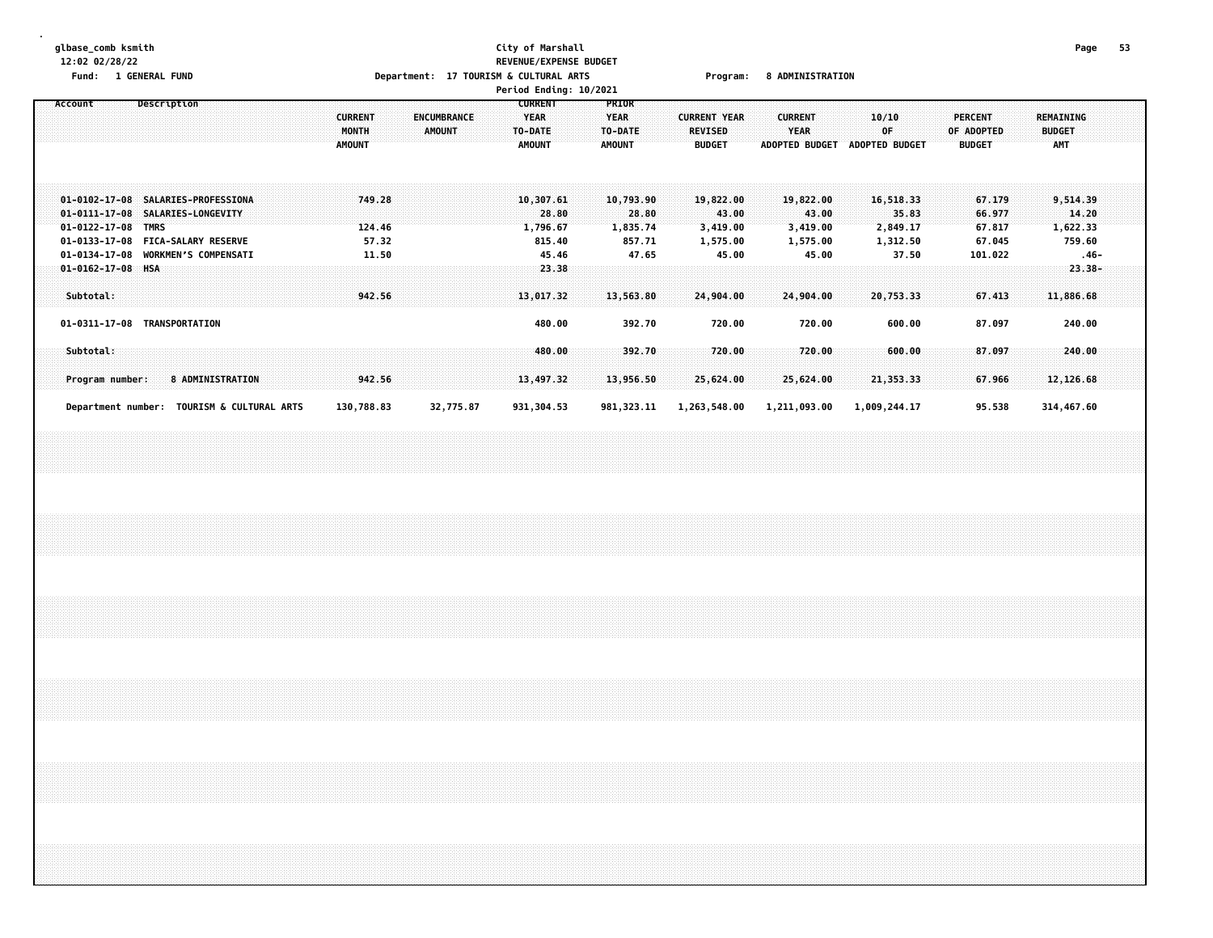### **glbase\_comb ksmith City of Marshall Page 53 12:02 02/28/22 REVENUE/EXPENSE BUDGET** Fund: 1 GENERAL FUND CONTENTS TO Department: 17 TOURISM & CULTURAL ARTS Program: 8 ADMINISTRATION

|                                                                                      |                                                                                                                                                                                                                                                                                                                                                                                                                                          |             |             |                           |  |  |  |                                          |                  |  |               |                    |  |                                         | Period Ending: 10/2021         |                                           |                                |                                                        |                                |                                                        |       |                                      |       |                                               |  |                                                 |       |  |
|--------------------------------------------------------------------------------------|------------------------------------------------------------------------------------------------------------------------------------------------------------------------------------------------------------------------------------------------------------------------------------------------------------------------------------------------------------------------------------------------------------------------------------------|-------------|-------------|---------------------------|--|--|--|------------------------------------------|------------------|--|---------------|--------------------|--|-----------------------------------------|--------------------------------|-------------------------------------------|--------------------------------|--------------------------------------------------------|--------------------------------|--------------------------------------------------------|-------|--------------------------------------|-------|-----------------------------------------------|--|-------------------------------------------------|-------|--|
| Account                                                                              |                                                                                                                                                                                                                                                                                                                                                                                                                                          |             | Description |                           |  |  |  | <b>CURRENT</b><br>MONTH<br><b>AMOUNT</b> |                  |  | <b>AMOUNT</b> | <b>ENCUMBRANCE</b> |  | <b>YEAR</b><br>TO-DATE<br><b>AMOUNT</b> | <b>CURRENT</b>                 | PRIOR<br><b>YEAR</b><br>TO-DATE<br>AMOUNT |                                | <b>CURRENT YEAR</b><br><b>REVISED</b><br><b>BUDGET</b> |                                | <b>CURRENT</b><br><b>YEAR</b><br><b>ADOPTED BUDGET</b> |       | 10/10<br>0F<br><b>ADOPTED BUDGET</b> |       | <b>PERCENT</b><br>OF ADOPTED<br><b>BUDGET</b> |  | <b>REMAINING</b><br><b>BUDGET</b><br><b>AMT</b> |       |  |
| 01-0102-17-08 SALARIES-PROFESSIONA<br>$01 - 0111 - 17 - 08$<br>$01 - 0122 - 17 - 08$ |                                                                                                                                                                                                                                                                                                                                                                                                                                          | <b>TMRS</b> |             | <b>SALARIES-LONGEVITY</b> |  |  |  |                                          | 749.28<br>124.46 |  |               |                    |  |                                         | 10,307.61<br>28.80<br>1,796.67 |                                           | 10,793.90<br>28.80<br>1,835.74 |                                                        | 19,822.00<br>43.00<br>3,419.00 | 19,822.00<br>3,419.00                                  | 43.00 | 16,518.33<br>2,849.17                | 35.83 | 67.179<br>66.977<br>67.817                    |  | 9,514.39<br>1,622.33                            | 14.20 |  |
|                                                                                      | 57.32<br>01-0133-17-08<br><b>FICA-SALARY RESERVE</b><br>815.40<br>857.71<br>67.045<br>759.60<br>1,575.00<br>1,575.00<br>1,312.50<br><b>WORKMEN'S COMPENSATI</b><br>47.65<br>45.00<br>45.00<br>37.50<br>101.022<br>01-0134-17-08<br>11.50<br>45.46<br>$.46 -$<br><b>HSA</b><br>$23.38 -$<br>$01 - 0162 - 17 - 08$<br>23.38<br>Subtotal:<br>942.56<br>13,017.32<br>13,563.80<br>24,904.00<br>24,904.00<br>20,753.33<br>67.413<br>11,886.68 |             |             |                           |  |  |  |                                          |                  |  |               |                    |  |                                         |                                |                                           |                                |                                                        |                                |                                                        |       |                                      |       |                                               |  |                                                 |       |  |
|                                                                                      | 240.00<br>01-0311-17-08 TRANSPORTATION<br>392.70<br>720.00<br>720.00<br>600.00<br>87.097<br>480.00<br>Subtotal:<br>392.70<br>720.00<br>720.00<br>600.00<br>87.097<br>480.00<br>240.00<br><b>8 ADMINISTRATION</b><br>13,497.32<br>25,624.00<br>25,624.00<br>12,126.68<br>Program number:<br>942.56<br>13,956.50<br>21, 353.33<br>67.966                                                                                                   |             |             |                           |  |  |  |                                          |                  |  |               |                    |  |                                         |                                |                                           |                                |                                                        |                                |                                                        |       |                                      |       |                                               |  |                                                 |       |  |
|                                                                                      | Department number:                                                                                                                                                                                                                                                                                                                                                                                                                       |             |             | TOURISM & CULTURAL ARTS   |  |  |  | 130,788.83                               |                  |  |               | 32,775.87          |  |                                         | 931,304.53                     |                                           | 981, 323.11                    | 1,263,548.00                                           |                                | 1,211,093.00                                           |       | 1,009,244.17                         |       | 95.538                                        |  | 314,467.60                                      |       |  |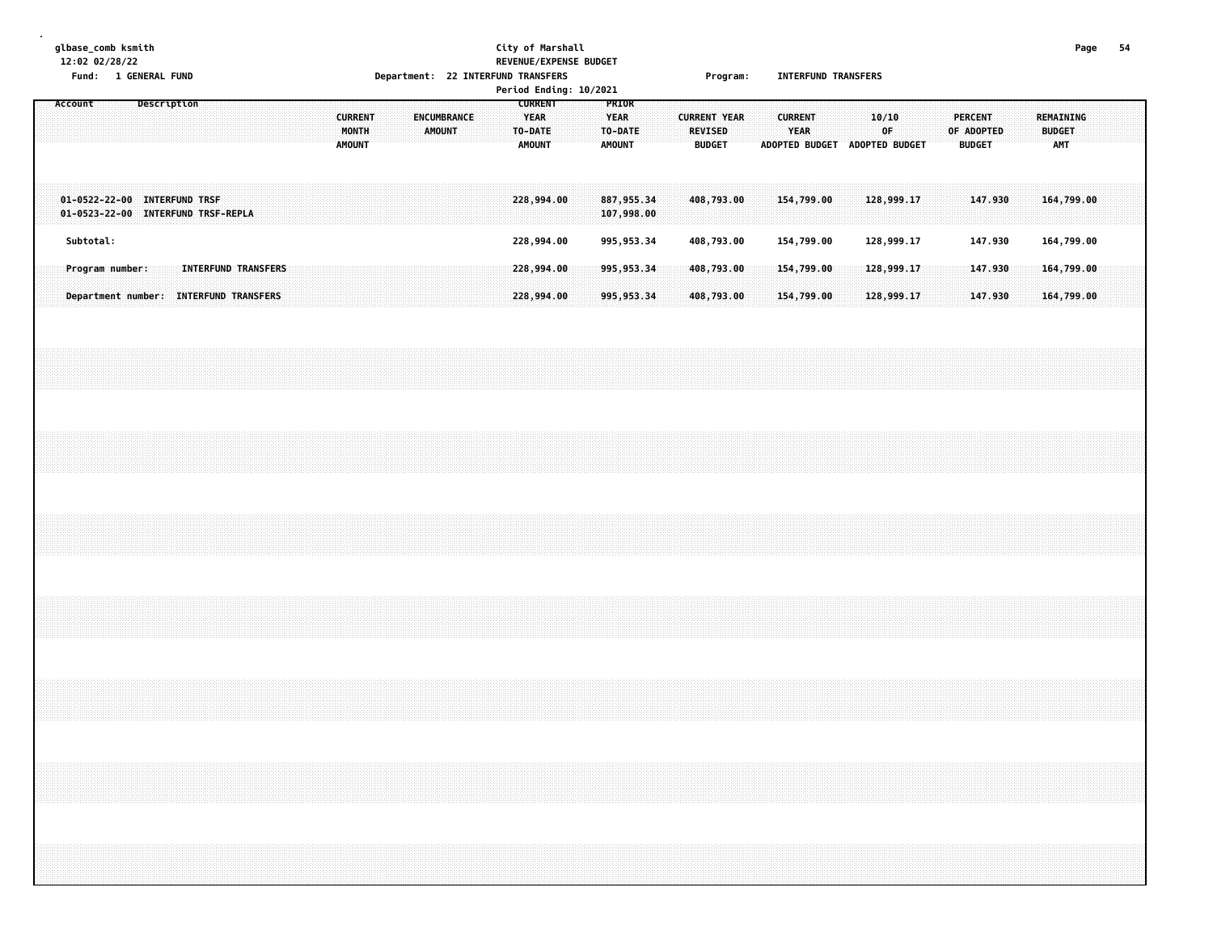## **glbase\_comb ksmith City of Marshall Page 54 12:02 02/28/22 REVENUE/EXPENSE BUDGET Fund: 1 GENERAL FUND Department: 22 INTERFUND TRANSFERS Program: INTERFUND TRANSFERS**

|                                                                    |                                        |  |             |  |                            |  |  |  |  |  |                                          |  |  |  |                       |  |                                                           | Period Ending: 10/2021 |                                                  |  |                                                        |  |                        |                               |  |             |  |                                               |  |                             |            |  |  |
|--------------------------------------------------------------------|----------------------------------------|--|-------------|--|----------------------------|--|--|--|--|--|------------------------------------------|--|--|--|-----------------------|--|-----------------------------------------------------------|------------------------|--------------------------------------------------|--|--------------------------------------------------------|--|------------------------|-------------------------------|--|-------------|--|-----------------------------------------------|--|-----------------------------|------------|--|--|
| Account                                                            |                                        |  | Description |  |                            |  |  |  |  |  | <b>CURRENT</b><br>MONTH<br><b>AMOUNT</b> |  |  |  | ENCUMBRANCE<br>AMOUNT |  | <b>CURRENT</b><br><b>YEAR</b><br>TO-DATE<br><b>AMOUNT</b> |                        | PRIOR<br><b>YEAR</b><br>TO-DATE<br><b>AMOUNT</b> |  | <b>CURRENT YEAR</b><br><b>REVISED</b><br><b>BUDGET</b> |  | <b>CURRENT</b><br>YEAR | ADOPTED BUDGET ADOPTED BUDGET |  | 10/10<br>0F |  | <b>PERCENT</b><br>OF ADOPTED<br><b>BUDGET</b> |  | <b>BUDGET</b><br><b>AMT</b> | REMAINING  |  |  |
| 01-0522-22-00 INTERFUND TRSF<br>01-0523-22-00 INTERFUND TRSF-REPLA |                                        |  |             |  |                            |  |  |  |  |  |                                          |  |  |  |                       |  | 228,994.00                                                |                        | 887, 955.34<br>107,998.00                        |  | 408,793.00                                             |  |                        | 154,799.00                    |  | 128,999.17  |  | 147.930                                       |  |                             | 164,799.00 |  |  |
|                                                                    | Subtotal:                              |  |             |  |                            |  |  |  |  |  |                                          |  |  |  |                       |  | 228,994.00                                                |                        | 995, 953.34                                      |  | 408,793.00                                             |  |                        | 154,799.00                    |  | 128,999.17  |  | 147.930                                       |  |                             | 164,799.00 |  |  |
|                                                                    | Program number:                        |  |             |  | <b>INTERFUND TRANSFERS</b> |  |  |  |  |  |                                          |  |  |  |                       |  | 228,994.00                                                |                        | 995,953.34                                       |  | 408,793.00                                             |  |                        | 154,799.00                    |  | 128,999.17  |  | 147.930                                       |  |                             | 164,799.00 |  |  |
|                                                                    | Department number: INTERFUND TRANSFERS |  |             |  |                            |  |  |  |  |  |                                          |  |  |  |                       |  | 228,994.00                                                |                        | 995, 953.34                                      |  | 408,793.00                                             |  |                        | 154,799.00                    |  | 128,999.17  |  | 147.930                                       |  |                             | 164,799.00 |  |  |
|                                                                    |                                        |  |             |  |                            |  |  |  |  |  |                                          |  |  |  |                       |  |                                                           |                        |                                                  |  |                                                        |  |                        |                               |  |             |  |                                               |  |                             |            |  |  |
|                                                                    |                                        |  |             |  |                            |  |  |  |  |  |                                          |  |  |  |                       |  |                                                           |                        |                                                  |  |                                                        |  |                        |                               |  |             |  |                                               |  |                             |            |  |  |
|                                                                    |                                        |  |             |  |                            |  |  |  |  |  |                                          |  |  |  |                       |  |                                                           |                        |                                                  |  |                                                        |  |                        |                               |  |             |  |                                               |  |                             |            |  |  |
|                                                                    |                                        |  |             |  |                            |  |  |  |  |  |                                          |  |  |  |                       |  |                                                           |                        |                                                  |  |                                                        |  |                        |                               |  |             |  |                                               |  |                             |            |  |  |
|                                                                    |                                        |  |             |  |                            |  |  |  |  |  |                                          |  |  |  |                       |  |                                                           |                        |                                                  |  |                                                        |  |                        |                               |  |             |  |                                               |  |                             |            |  |  |
|                                                                    |                                        |  |             |  |                            |  |  |  |  |  |                                          |  |  |  |                       |  |                                                           |                        |                                                  |  |                                                        |  |                        |                               |  |             |  |                                               |  |                             |            |  |  |
|                                                                    |                                        |  |             |  |                            |  |  |  |  |  |                                          |  |  |  |                       |  |                                                           |                        |                                                  |  |                                                        |  |                        |                               |  |             |  |                                               |  |                             |            |  |  |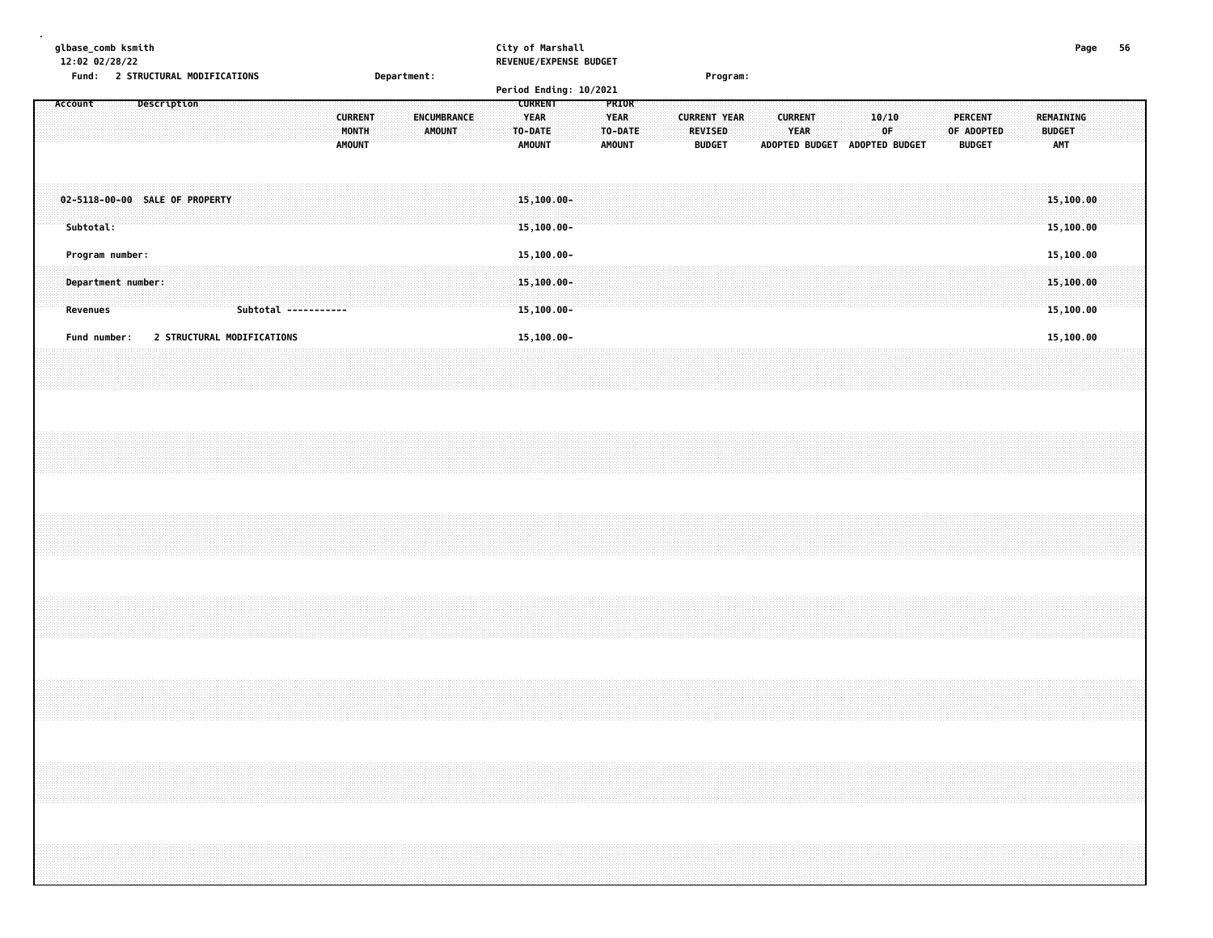| glbase_comb ksmith<br>12:02 02/28/22                     | Fund: 2 STRUCTURAL MODIFICATIONS |  |             |  |  |                            |                      |                                          | Department: |  |                                     |  |  |                                                           |                                           | City of Marshall<br>REVENUE/EXPENSE BUDGET<br>Period Ending: 10/2021 |                                                  |  |  | Program:                                        |  |                        |                               |                        |  |            |                                 |  |                      | Page                                | 56 |  |
|----------------------------------------------------------|----------------------------------|--|-------------|--|--|----------------------------|----------------------|------------------------------------------|-------------|--|-------------------------------------|--|--|-----------------------------------------------------------|-------------------------------------------|----------------------------------------------------------------------|--------------------------------------------------|--|--|-------------------------------------------------|--|------------------------|-------------------------------|------------------------|--|------------|---------------------------------|--|----------------------|-------------------------------------|----|--|
| Account                                                  |                                  |  | Description |  |  |                            |                      | <b>CURRENT</b><br>MONTH<br><b>AMOUNT</b> |             |  | <b>ENCUMBRANCE</b><br><b>AMOUNT</b> |  |  | <b>CURRENT</b><br><b>YEAR</b><br>TO-DATE<br><b>AMOUNT</b> |                                           |                                                                      | PRIOR<br><b>YEAR</b><br>TO-DATE<br><b>AMOUNT</b> |  |  | <b>CURRENT YEAR</b><br>REVISED<br><b>BUDGET</b> |  | <b>CURRENT</b><br>YEAR | ADOPTED BUDGET ADOPTED BUDGET | 10/10<br>$0\mathsf{F}$ |  | OF ADOPTED | <b>PERCENT</b><br><b>BUDGET</b> |  | <b>BUDGET</b><br>AMT | REMAINING                           |    |  |
| 02-5118-00-00 SALE OF PROPERTY<br>Subtotal:              |                                  |  |             |  |  |                            |                      |                                          |             |  |                                     |  |  |                                                           | $15, 100.00 -$<br>$15, 100.00 -$          |                                                                      |                                                  |  |  |                                                 |  |                        |                               |                        |  |            |                                 |  |                      | 15,100.00<br>15,100.00              |    |  |
| Program number:<br>Department number:<br><b>Revenues</b> |                                  |  |             |  |  |                            | Subtotal ----------- |                                          |             |  |                                     |  |  |                                                           | 15,100.00-<br>$15,100.00 -$<br>15,100.00- |                                                                      |                                                  |  |  |                                                 |  |                        |                               |                        |  |            |                                 |  |                      | 15,100.00<br>15,100.00<br>15,100.00 |    |  |
| Fund number:                                             |                                  |  |             |  |  | 2 STRUCTURAL MODIFICATIONS |                      |                                          |             |  |                                     |  |  |                                                           | 15,100.00-                                |                                                                      |                                                  |  |  |                                                 |  |                        |                               |                        |  |            |                                 |  |                      | 15,100.00                           |    |  |
|                                                          |                                  |  |             |  |  |                            |                      |                                          |             |  |                                     |  |  |                                                           |                                           |                                                                      |                                                  |  |  |                                                 |  |                        |                               |                        |  |            |                                 |  |                      |                                     |    |  |
|                                                          |                                  |  |             |  |  |                            |                      |                                          |             |  |                                     |  |  |                                                           |                                           |                                                                      |                                                  |  |  |                                                 |  |                        |                               |                        |  |            |                                 |  |                      |                                     |    |  |
|                                                          |                                  |  |             |  |  |                            |                      |                                          |             |  |                                     |  |  |                                                           |                                           |                                                                      |                                                  |  |  |                                                 |  |                        |                               |                        |  |            |                                 |  |                      |                                     |    |  |
|                                                          |                                  |  |             |  |  |                            |                      |                                          |             |  |                                     |  |  |                                                           |                                           |                                                                      |                                                  |  |  |                                                 |  |                        |                               |                        |  |            |                                 |  |                      |                                     |    |  |
|                                                          |                                  |  |             |  |  |                            |                      |                                          |             |  |                                     |  |  |                                                           |                                           |                                                                      |                                                  |  |  |                                                 |  |                        |                               |                        |  |            |                                 |  |                      |                                     |    |  |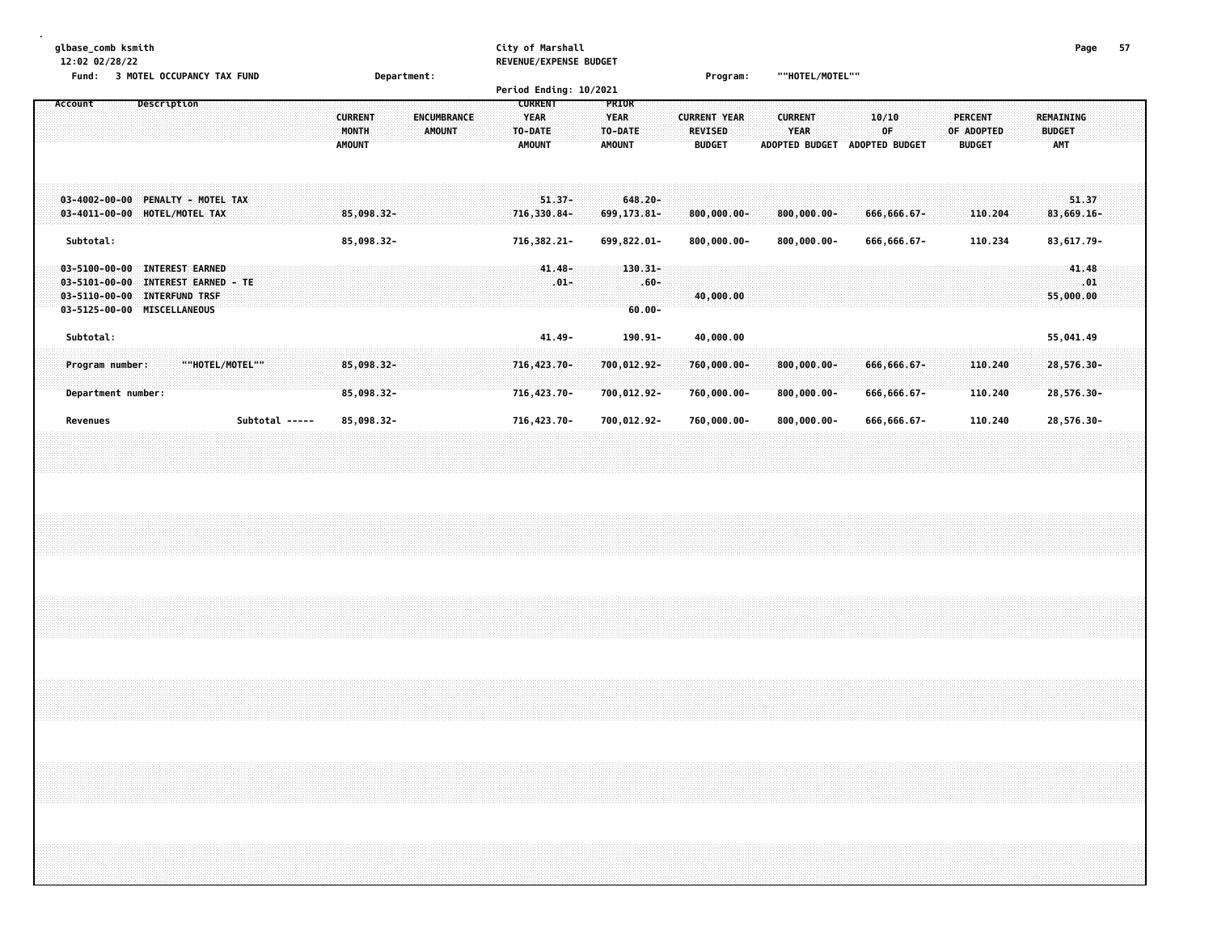| glbase comb ksmith<br>12:02 02/28/22<br>3 MOTEL OCCUPANCY TAX FUND<br><b>Fund:</b>                                                                                                                         | Department:                                                                            | City of Marshall<br>REVENUE/EXPENSE BUDGET<br>Period Ending: 10/2021 |                                                         | Program:                                               | ""HOTEL/MOTEL""                                        |                                      |                                               | Page                                     | 57 |
|------------------------------------------------------------------------------------------------------------------------------------------------------------------------------------------------------------|----------------------------------------------------------------------------------------|----------------------------------------------------------------------|---------------------------------------------------------|--------------------------------------------------------|--------------------------------------------------------|--------------------------------------|-----------------------------------------------|------------------------------------------|----|
| Description<br>Account                                                                                                                                                                                     | <b>CURRENT</b><br><b>ENCUMBRANCE</b><br><b>MONTH</b><br><b>AMOUNT</b><br><b>AMOUNT</b> | <b>CURRENT</b><br><b>YEAR</b><br>TO-DATE<br><b>AMOUNT</b>            | <b>PRIOR</b><br><b>YEAR</b><br>TO-DATE<br><b>AMOUNT</b> | <b>CURRENT YEAR</b><br><b>REVISED</b><br><b>BUDGET</b> | <b>CURRENT</b><br><b>YEAR</b><br><b>ADOPTED BUDGET</b> | 10/10<br>OF<br><b>ADOPTED BUDGET</b> | <b>PERCENT</b><br>OF ADOPTED<br><b>BUDGET</b> | <b>REMAINING</b><br><b>BUDGET</b><br>AMT |    |
| PENALTY - MOTEL TAX<br>$03 - 4002 - 00 - 00$<br>$03 - 4011 - 00 - 00$<br>HOTEL/MOTEL TAX                                                                                                                   | 85,098.32-                                                                             | $51.37 -$<br>716,330.84-                                             | $648.20 -$<br>699,173.81-                               | $800,000.00 -$                                         | $800,000.00 -$                                         | 666,666.67-                          | 110.204                                       | 51.37<br>83,669.16-                      |    |
| Subtotal:                                                                                                                                                                                                  | 85,098.32-                                                                             | 716,382.21-                                                          | 699,822.01-                                             | $800,000.00 -$                                         | $800,000.00 -$                                         | 666,666.67-                          | 110.234                                       | 83,617.79-                               |    |
| <b>INTEREST EARNED</b><br>$03 - 5100 - 00 - 00$<br>$03 - 5101 - 00 - 00$<br><b>INTEREST EARNED - TE</b><br>$03 - 5110 - 00 - 00$<br><b>INTERFUND TRSF</b><br>$03 - 5125 - 00 - 00$<br><b>MISCELLANEOUS</b> |                                                                                        | $41.48 -$<br>$.01 -$                                                 | $130.31 -$<br>$.60 -$<br>$60.00 -$                      | 40,000.00                                              |                                                        |                                      |                                               | 41.48<br>$\sim 0.1$<br>55,000.00         |    |
| Subtotal:                                                                                                                                                                                                  |                                                                                        | $41.49 -$                                                            | 190.91-                                                 | 40,000.00                                              |                                                        |                                      |                                               | 55,041.49                                |    |
| ""HOTEL/MOTEL""<br>Program number:<br>Department number:                                                                                                                                                   | 85,098.32-<br>$85,098.32 -$                                                            | $716, 423.70 -$<br>716,423.70-                                       | 700,012.92-<br>700,012.92-                              | 760,000.00-<br>760,000.00-                             | $800,000.00 -$<br>$800,000.00 -$                       | 666,666.67-<br>666,666.67-           | 110.240<br>110.240                            | 28,576.30-<br>28,576.30-                 |    |
| Revenues<br>Subtotal -----                                                                                                                                                                                 | 85,098.32-                                                                             | 716,423.70-                                                          | 700,012.92-                                             | 760,000.00-                                            | $800,000.00 -$                                         | 666,666.67-                          | 110.240                                       | 28,576.30-                               |    |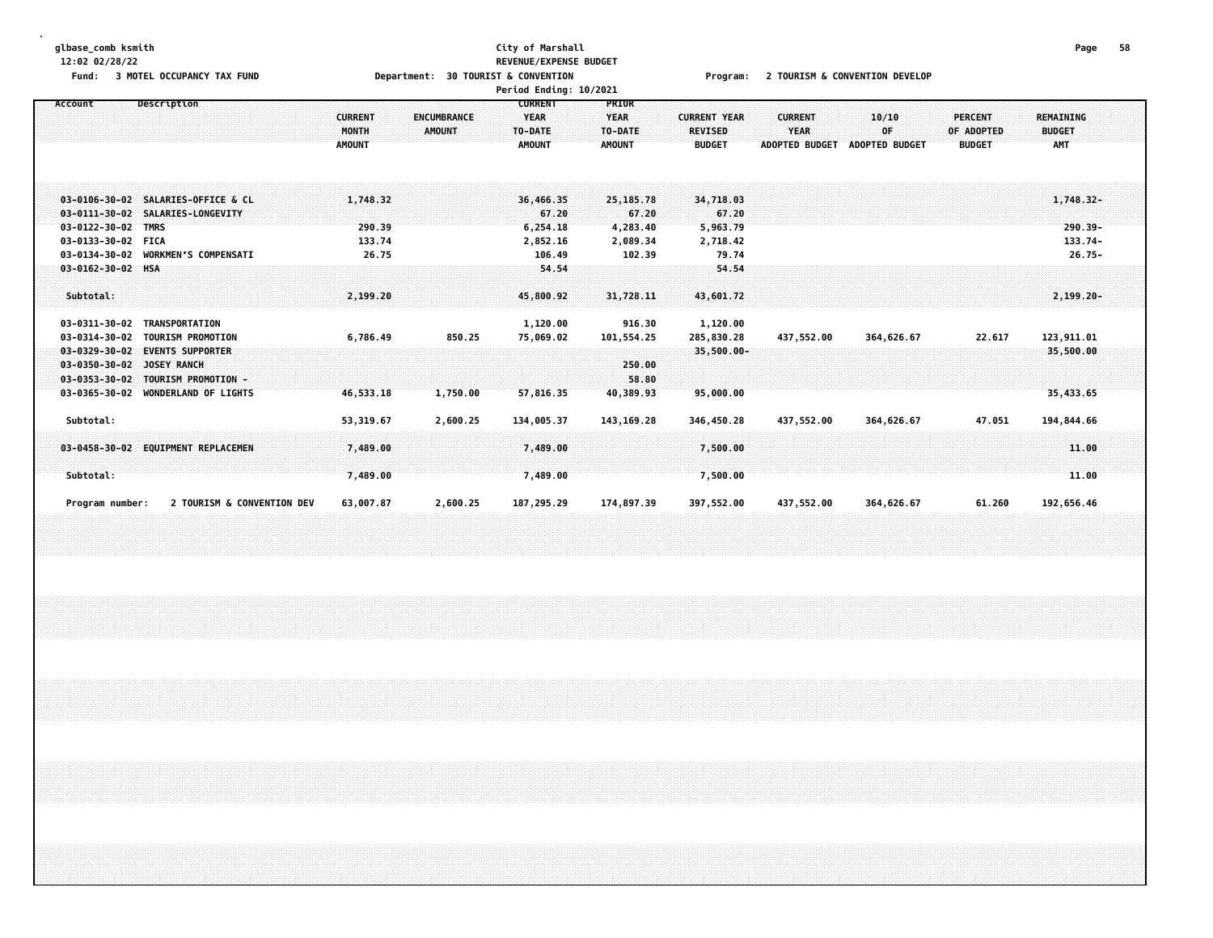## **glbase\_comb ksmith City of Marshall Page 58 12:02 02/28/22 REVENUE/EXPENSE BUDGET**

Fund: 3 MOTEL OCCUPANCY TAX FUND **Department: 30 TOURIST & CONVENTION** Program: 2 TOURISM & CONVENTION DEVELOP

|                                                                               |                                                                                                        |                                          |                              | Period Ending: 10/2021                                    |                                                         |                                                        |                                                        |                                      |                                        |                                                |  |
|-------------------------------------------------------------------------------|--------------------------------------------------------------------------------------------------------|------------------------------------------|------------------------------|-----------------------------------------------------------|---------------------------------------------------------|--------------------------------------------------------|--------------------------------------------------------|--------------------------------------|----------------------------------------|------------------------------------------------|--|
| Account                                                                       | Description                                                                                            | <b>CURRENT</b><br>MONTH<br><b>AMOUNT</b> | ENCUMBRANCE<br><b>AMOUNT</b> | <b>CURRENT</b><br><b>YEAR</b><br>TO-DATE<br><b>AMOUNT</b> | <b>PRIOR</b><br><b>YEAR</b><br>TO-DATE<br><b>AMOUNT</b> | <b>CURRENT YEAR</b><br><b>REVISED</b><br><b>BUDGET</b> | <b>CURRENT</b><br><b>YEAR</b><br><b>ADOPTED BUDGET</b> | 10/10<br>0F<br><b>ADOPTED BUDGET</b> | PERCENT<br>OF ADOPTED<br><b>BUDGET</b> | REMAINING<br><b>BUDGET</b><br><b>AMT</b>       |  |
| $03 - 0111 - 30 - 02$<br>03-0122-30-02<br>03-0133-30-02 FICA<br>03-0134-30-02 | 03-0106-30-02 SALARIES-OFFICE & CL<br>SALARIES-LONGEVITY<br><b>TMRS</b><br><b>WORKMEN'S COMPENSATI</b> | 1,748.32<br>290.39<br>133.74<br>26.75    |                              | 36,466.35<br>67.20<br>6,254.18<br>2,852.16<br>106.49      | 25,185.78<br>67.20<br>4,283.40<br>2,089.34<br>102.39    | 34,718.03<br>67.20<br>5,963.79<br>2,718.42<br>79.74    |                                                        |                                      |                                        | $1,748.32-$<br>290.39-<br>133.74-<br>$26.75 -$ |  |
| $03 - 0162 - 30 - 02$ HSA<br>Subtotal:<br>03-0311-30-02                       | TRANSPORTATION                                                                                         | 2,199.20                                 |                              | 54.54<br>45,800.92                                        | 31,728.11<br>916.30                                     | 54.54<br>43,601.72                                     |                                                        |                                      |                                        | $2, 199, 20 -$                                 |  |
| 03-0314-30-02<br>$03 - 0329 - 30 - 02$                                        | <b>TOURISM PROMOTION</b><br><b>EVENTS SUPPORTER</b>                                                    | 6,786.49                                 | 850.25                       | 1,120.00<br>75,069.02                                     | 101,554.25                                              | 1,120.00<br>285,830.28<br>$35,500.00 -$                | 437,552.00                                             | 364,626.67                           | 22.617                                 | 123,911.01<br>35,500.00                        |  |
| $03 - 0350 - 30 - 02$<br>$03 - 0353 - 30 - 02$<br>$03 - 0365 - 30 - 02$       | JOSEY RANCH<br><b>TOURISM PROMOTION -</b><br><b>WONDERLAND OF LIGHTS</b>                               | 46,533.18                                | 1,750.00                     | 57,816.35                                                 | 250.00<br>58.80<br>40,389.93                            | 95,000.00                                              |                                                        |                                      |                                        | 35,433.65                                      |  |
| Subtotal:                                                                     |                                                                                                        | 53,319.67                                | 2,600.25                     | 134,005.37                                                | 143, 169. 28                                            | 346,450.28                                             | 437,552.00                                             | 364,626.67                           | 47.051                                 | 194,844.66                                     |  |
| Subtotal:                                                                     | 03-0458-30-02 EQUIPMENT REPLACEMEN                                                                     | 7,489.00<br>7,489.00                     |                              | 7,489.00<br>7,489.00                                      |                                                         | 7,500.00<br>7,500.00                                   |                                                        |                                      |                                        | 11,00<br>11.00                                 |  |
| Program number:                                                               | 2 TOURISM & CONVENTION DEV                                                                             | 63,007.87                                | 2,600.25                     | 187,295.29                                                | 174,897.39                                              | 397,552.00                                             | 437,552.00                                             | 364,626.67                           | 61.260                                 | 192,656.46                                     |  |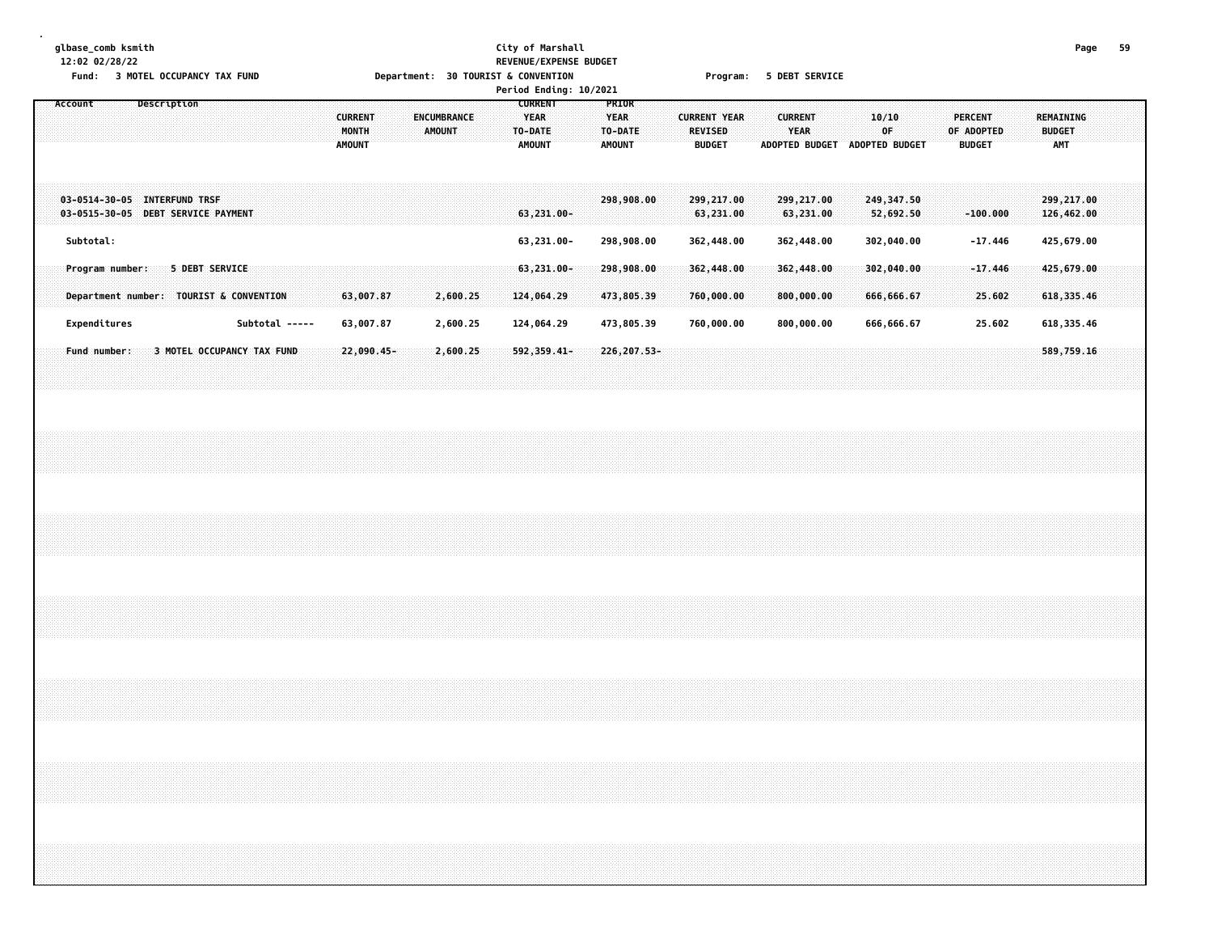## **glbase\_comb ksmith City of Marshall Page 59 12:02 02/28/22 REVENUE/EXPENSE BUDGET**

| Fund:                        | <b>3 MOTEL OCCUPANCY TAX FUND</b>       |                | Department: 30 TOURIST & CONVENTION                               | Period Ending: 10/2021                                    |                                                                                                                    | Program: 5 DEBT SERVICE                                                          |                                               |                                   |
|------------------------------|-----------------------------------------|----------------|-------------------------------------------------------------------|-----------------------------------------------------------|--------------------------------------------------------------------------------------------------------------------|----------------------------------------------------------------------------------|-----------------------------------------------|-----------------------------------|
| Account                      | Description                             |                | <b>CURRENT</b><br>ENCUMBRANCE<br>MONTH<br>AMOUNT<br><b>AMOUNT</b> | <b>CURRENT</b><br><b>YEAR</b><br>TO-DATE<br><b>AMOUNT</b> | <b>PRIOR</b><br><b>YEAR</b><br><b>CURRENT YEAR</b><br>TO-DATE:<br><b>REVISED</b><br><b>AMOUNT</b><br><b>BUDGET</b> | 10/10<br><b>CURRENT</b><br><b>YEAR</b><br>0F<br>ADOPTED BUDGET<br>ADOPTED BUDGET | <b>PERCENT</b><br>OF ADOPTED<br><b>BUDGET</b> | REMAINING<br><b>BUDGET</b><br>AMT |
| 03-0514-30-05 INTERFUND TRSF | 03-0515-30-05 DEBT SERVICE PAYMENT      |                |                                                                   | 63,231.00-                                                | 298,908.00<br>299,217.00<br>63,231.00                                                                              | 299,217.00<br>249,347.50<br>63,231.00<br>52,692.50                               | $-100.000$                                    | 299,217.00<br>126,462.00          |
| Subtotal:<br>Program number: | 5 DEBT SERVICE                          |                |                                                                   | 63,231.00-<br>$63,231.00 -$                               | 298,908.00<br>362,448.00<br>298,908.00<br>362,448.00                                                               | 362,448.00<br>302,040.00<br>362,448.00<br>302,040.00                             | $-17.446$<br>$-17.446$                        | 425,679.00<br>425,679.00          |
|                              | Department number: TOURIST & CONVENTION |                | 63,007.87<br>2,600.25                                             | 124,064.29                                                | 473,805.39<br>760,000.00                                                                                           | 800,000.00<br>666,666.67                                                         | 25.602                                        | 618,335.46                        |
| Expenditures                 |                                         | Subtotal ----- | 2,600.25<br>63,007.87                                             | 124,064.29                                                | 473,805.39<br>760,000.00                                                                                           | 800,000.00<br>666,666.67                                                         | 25.602                                        | 618, 335.46                       |
| Fund number:                 | 3 MOTEL OCCUPANCY TAX FUND              |                | $22,090.45 -$<br>2,600.25                                         | 592,359.41-                                               | 226, 207.53-                                                                                                       |                                                                                  |                                               | 589,759.16                        |
|                              |                                         |                |                                                                   |                                                           |                                                                                                                    |                                                                                  |                                               |                                   |
|                              |                                         |                |                                                                   |                                                           |                                                                                                                    |                                                                                  |                                               |                                   |
|                              |                                         |                |                                                                   |                                                           |                                                                                                                    |                                                                                  |                                               |                                   |
|                              |                                         |                |                                                                   |                                                           |                                                                                                                    |                                                                                  |                                               |                                   |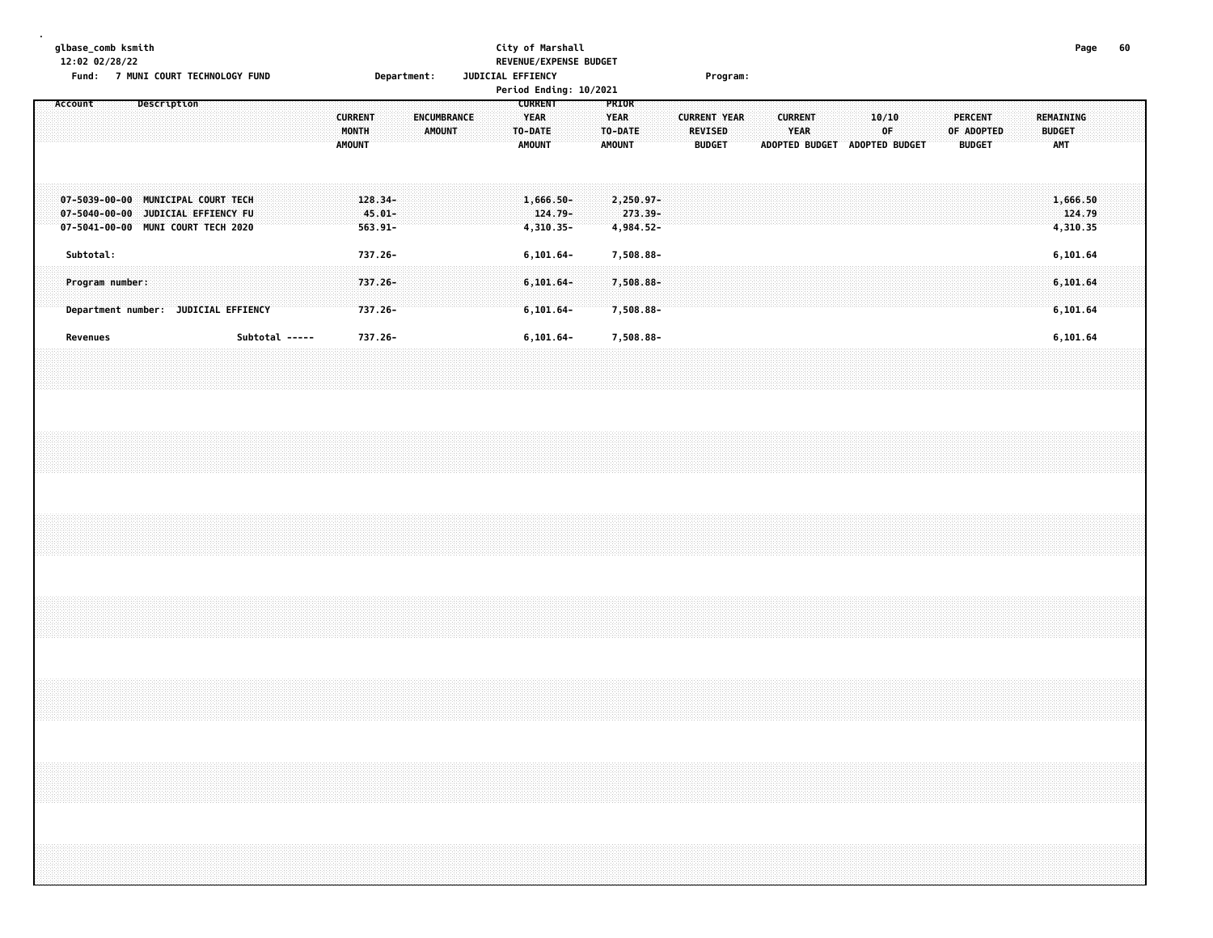|  |         | 12:02 02/28/22 | glbase_comb ksmith | Fund: 7 MUNI COURT TECHNOLOGY FUND                                                                             |  |  |                |  |  |                                          |                                    | Department: |               |             |  | JUDICIAL EFFIENCY |                                                           | City of Marshall                                | REVENUE/EXPENSE BUDGET<br>Period Ending: 10/2021 |                                                  |                                     |  |                                                 | Program: |  |                        |  |                                               |  |  |                                               |  |                                          | Page   | 60 |
|--|---------|----------------|--------------------|----------------------------------------------------------------------------------------------------------------|--|--|----------------|--|--|------------------------------------------|------------------------------------|-------------|---------------|-------------|--|-------------------|-----------------------------------------------------------|-------------------------------------------------|--------------------------------------------------|--------------------------------------------------|-------------------------------------|--|-------------------------------------------------|----------|--|------------------------|--|-----------------------------------------------|--|--|-----------------------------------------------|--|------------------------------------------|--------|----|
|  | Account |                |                    | Description                                                                                                    |  |  |                |  |  | <b>CURRENT</b><br>MONTH<br><b>AMOUNT</b> |                                    |             | <b>AMOUNT</b> | ENCUMBRANCE |  |                   | <b>CURRENT</b><br><b>YEAR</b><br>TO-DATE<br><b>AMOUNT</b> |                                                 |                                                  | PRIOR<br><b>YEAR</b><br>TO-DATE<br><b>AMOUNT</b> |                                     |  | <b>CURRENT YEAR</b><br>REVISED<br><b>BUDGET</b> |          |  | <b>CURRENT</b><br>YEAR |  | 10/10<br>0F.<br>ADOPTED BUDGET ADOPTED BUDGET |  |  | <b>PERCENT</b><br>OF ADOPTED<br><b>BUDGET</b> |  | REMAINING<br><b>BUDGET</b><br><b>AMT</b> |        |    |
|  |         |                |                    | 07-5039-00-00 MUNICIPAL COURT TECH<br>07-5040-00-00 JUDICIAL EFFIENCY FU<br>07-5041-00-00 MUNI COURT TECH 2020 |  |  |                |  |  |                                          | 128.34-<br>$45.01 -$<br>$563.91 -$ |             |               |             |  |                   |                                                           | $1,666.50 -$<br>124.79-<br>4,310.35-            |                                                  |                                                  | 2,250.97-<br>273.39-<br>4,984.52-   |  |                                                 |          |  |                        |  |                                               |  |  |                                               |  | 1,666.50<br>4,310.35                     | 124.79 |    |
|  |         | Subtotal:      | Program number:    | Department number: JUDICIAL EFFIENCY                                                                           |  |  |                |  |  |                                          | 737.26-<br>737.26-<br>737.26-      |             |               |             |  |                   |                                                           | $6, 101.64 -$<br>$6, 101.64 -$<br>$6, 101.64 -$ |                                                  |                                                  | 7,508.88-<br>7,508.88-<br>7,508.88- |  |                                                 |          |  |                        |  |                                               |  |  |                                               |  | 6,101.64<br>6,101.64<br>6,101.64         |        |    |
|  |         | Revenues       |                    |                                                                                                                |  |  | Subtotal ----- |  |  |                                          | 737.26-                            |             |               |             |  |                   |                                                           | $6, 101.64 -$                                   |                                                  |                                                  | 7,508.88-                           |  |                                                 |          |  |                        |  |                                               |  |  |                                               |  | 6,101.64                                 |        |    |
|  |         |                |                    |                                                                                                                |  |  |                |  |  |                                          |                                    |             |               |             |  |                   |                                                           |                                                 |                                                  |                                                  |                                     |  |                                                 |          |  |                        |  |                                               |  |  |                                               |  |                                          |        |    |
|  |         |                |                    |                                                                                                                |  |  |                |  |  |                                          |                                    |             |               |             |  |                   |                                                           |                                                 |                                                  |                                                  |                                     |  |                                                 |          |  |                        |  |                                               |  |  |                                               |  |                                          |        |    |
|  |         |                |                    |                                                                                                                |  |  |                |  |  |                                          |                                    |             |               |             |  |                   |                                                           |                                                 |                                                  |                                                  |                                     |  |                                                 |          |  |                        |  |                                               |  |  |                                               |  |                                          |        |    |
|  |         |                |                    |                                                                                                                |  |  |                |  |  |                                          |                                    |             |               |             |  |                   |                                                           |                                                 |                                                  |                                                  |                                     |  |                                                 |          |  |                        |  |                                               |  |  |                                               |  |                                          |        |    |
|  |         |                |                    |                                                                                                                |  |  |                |  |  |                                          |                                    |             |               |             |  |                   |                                                           |                                                 |                                                  |                                                  |                                     |  |                                                 |          |  |                        |  |                                               |  |  |                                               |  |                                          |        |    |
|  |         |                |                    |                                                                                                                |  |  |                |  |  |                                          |                                    |             |               |             |  |                   |                                                           |                                                 |                                                  |                                                  |                                     |  |                                                 |          |  |                        |  |                                               |  |  |                                               |  |                                          |        |    |
|  |         |                |                    |                                                                                                                |  |  |                |  |  |                                          |                                    |             |               |             |  |                   |                                                           |                                                 |                                                  |                                                  |                                     |  |                                                 |          |  |                        |  |                                               |  |  |                                               |  |                                          |        |    |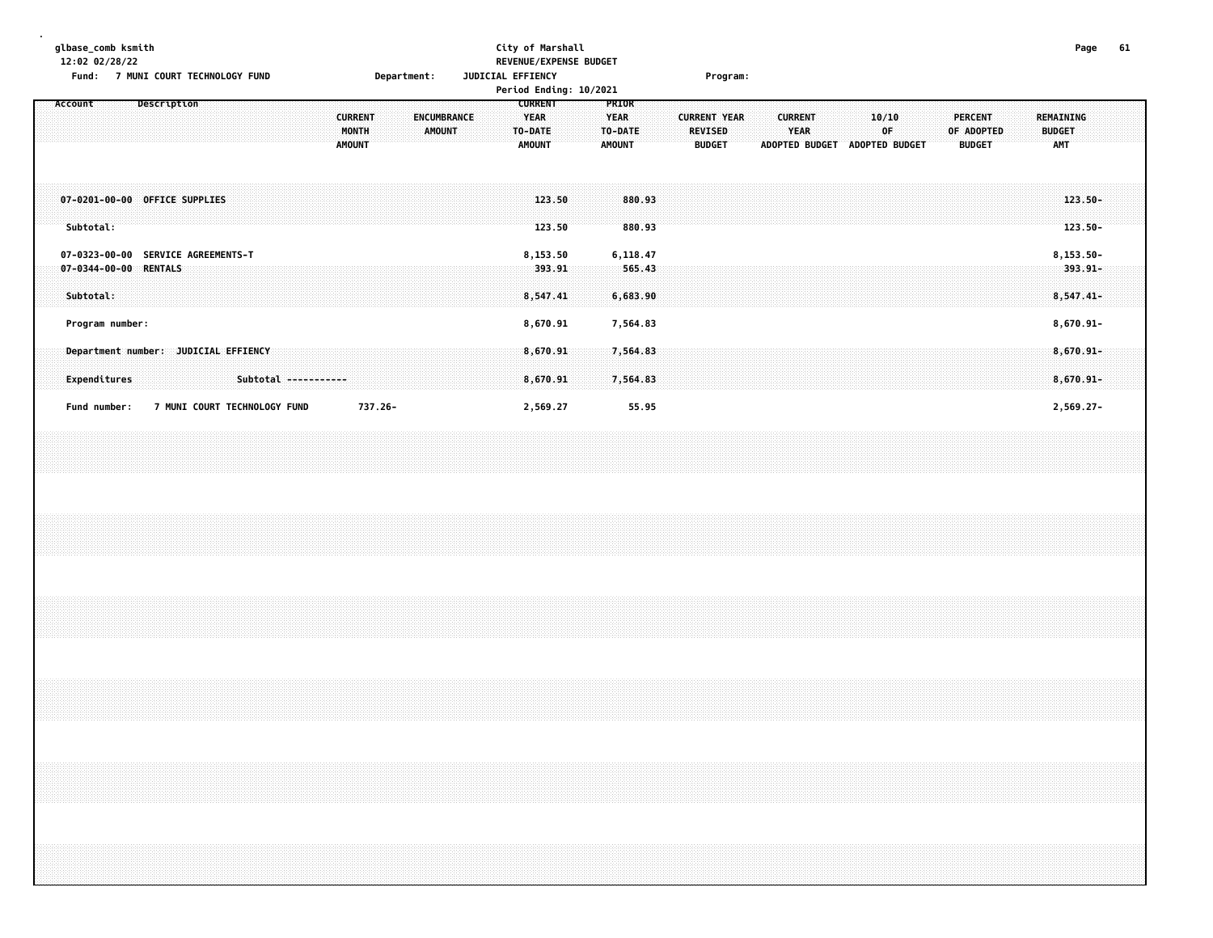| glbase_comb ksmith<br>12:02 02/28/22<br>Fund: 7 MUNI COURT TECHNOLOGY FUND   | Department:                                                              | City of Marshall<br>REVENUE/EXPENSE BUDGET<br>JUDICIAL EFFIENCY<br>Period Ending: 10/2021                     | Program:                                                                                                                                | 61<br>Page                                                                                |
|------------------------------------------------------------------------------|--------------------------------------------------------------------------|---------------------------------------------------------------------------------------------------------------|-----------------------------------------------------------------------------------------------------------------------------------------|-------------------------------------------------------------------------------------------|
| Account<br>Description                                                       | <b>CURRENT</b><br><b>ENCUMBRANCE</b><br>MONTH<br>AMOUNT<br><b>AMOUNT</b> | <b>CURRENT</b><br>PRIOR<br><b>YEAR</b><br><b>YEAR</b><br>TO-DATE<br>TO-DATE<br><b>AMOUNT</b><br><b>AMOUNT</b> | <b>CURRENT YEAR</b><br><b>CURRENT</b><br>10/10<br><b>YEAR</b><br><b>REVISED</b><br>OF<br><b>BUDGET</b><br>ADOPTED BUDGET ADOPTED BUDGET | <b>PERCENT</b><br>REMAINING<br>OF ADOPTED<br><b>BUDGET</b><br><b>BUDGET</b><br><b>AMT</b> |
| 07-0201-00-00 OFFICE SUPPLIES<br>Subtotal:                                   |                                                                          | 123.50<br>880.93<br>123.50<br>880.93                                                                          |                                                                                                                                         | $123.50 -$<br>$123.50 -$                                                                  |
| 07-0323-00-00 SERVICE AGREEMENTS-T<br>07-0344-00-00 RENTALS<br>Subtotal:     |                                                                          | 8,153.50<br>6,118.47<br>393.91<br>565.43<br>6,683.90<br>8,547.41                                              |                                                                                                                                         | 8,153.50-<br>393.91-<br>$8,547.41-$                                                       |
| Program number:                                                              |                                                                          | 8,670.91<br>7,564.83                                                                                          |                                                                                                                                         | 8,670.91-                                                                                 |
| Department number: JUDICIAL EFFIENCY<br>Expenditures<br>Subtotal ----------- |                                                                          | 8,670.91<br>7,564.83<br>7,564.83<br>8,670.91                                                                  |                                                                                                                                         | $8,670.91 -$<br>$8,670.91 -$                                                              |
| 7 MUNI COURT TECHNOLOGY FUND<br>Fund number:                                 | 737.26-                                                                  | 2,569.27<br>55.95                                                                                             |                                                                                                                                         | 2,569.27-                                                                                 |
|                                                                              |                                                                          |                                                                                                               |                                                                                                                                         |                                                                                           |
|                                                                              |                                                                          |                                                                                                               |                                                                                                                                         |                                                                                           |
|                                                                              |                                                                          |                                                                                                               |                                                                                                                                         |                                                                                           |
|                                                                              |                                                                          |                                                                                                               |                                                                                                                                         |                                                                                           |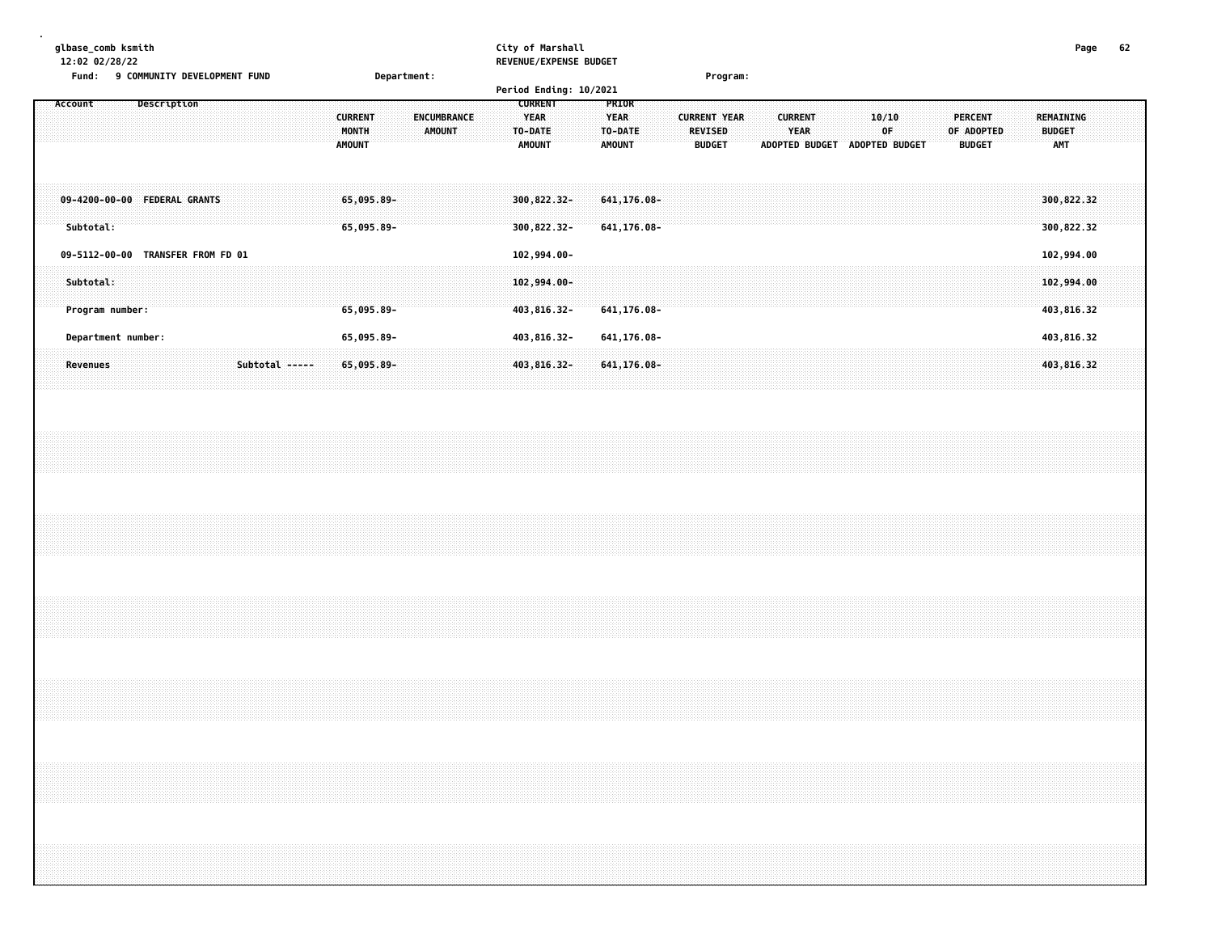| glbase_comb ksmith                           |             | City of Marshall       |          | Page | 62 |
|----------------------------------------------|-------------|------------------------|----------|------|----|
| 12:02 02/28/22                               |             | REVENUE/EXPENSE BUDGET |          |      |    |
| Fund:<br><b>9 COMMUNITY DEVELOPMENT FUND</b> | Department: |                        | Program: |      |    |
|                                              |             | Period Ending: 10/2021 |          |      |    |

|         |           |                                   |             |  |                |  |  |                                          |  |  |                              |  | $1.31$ code Enderly: 20, 2022 |                                         |  |                                              |         |                            |  |                                 |                     |  |                               |                       |  |             |                |  |            |                          |  |                                          |  |  |
|---------|-----------|-----------------------------------|-------------|--|----------------|--|--|------------------------------------------|--|--|------------------------------|--|-------------------------------|-----------------------------------------|--|----------------------------------------------|---------|----------------------------|--|---------------------------------|---------------------|--|-------------------------------|-----------------------|--|-------------|----------------|--|------------|--------------------------|--|------------------------------------------|--|--|
| Account |           |                                   | Description |  |                |  |  | <b>CURRENT</b><br>MONTH<br><b>AMOUNT</b> |  |  | ENCUMBRANCE<br><b>AMOUNT</b> |  | TO-DATE                       | <b>CURRENT</b><br>YEAR<br><b>AMOUNT</b> |  | <b>PRIOR</b><br><b>YEAR</b><br><b>AMOUNT</b> | TO-DATE |                            |  | <b>REVISED</b><br><b>BUDGET</b> | <b>CURRENT YEAR</b> |  | <b>CURRENT</b><br><b>YEAR</b> | <b>ADOPTED BUDGET</b> |  | 10/10<br>0F | ADOPTED BUDGET |  | OF ADOPTED | PERCENT<br><b>BUDGET</b> |  | REMAINING<br><b>BUDGET</b><br><b>AMT</b> |  |  |
|         | Subtotal: | 09-4200-00-00 FEDERAL GRANTS      |             |  |                |  |  | $65,095.89 -$<br>$65,095.89 -$           |  |  |                              |  | 300,822,32-<br>300,822.32-    |                                         |  |                                              |         | 641,176.08-<br>641,176.08- |  |                                 |                     |  |                               |                       |  |             |                |  |            |                          |  | 300,822.32<br>300,822.32                 |  |  |
|         |           | 09-5112-00-00 TRANSFER FROM FD 01 |             |  |                |  |  |                                          |  |  |                              |  | 102,994.00-                   |                                         |  |                                              |         |                            |  |                                 |                     |  |                               |                       |  |             |                |  |            |                          |  | 102,994.00                               |  |  |
|         | Subtotal: | Program number:                   |             |  |                |  |  | 65,095.89-                               |  |  |                              |  | $102,994.00 -$<br>403,816.32- |                                         |  |                                              |         | 641,176.08-                |  |                                 |                     |  |                               |                       |  |             |                |  |            |                          |  | 102,994.00<br>403,816.32                 |  |  |
|         |           | Department number:                |             |  |                |  |  | 65,095.89-                               |  |  |                              |  | 403,816.32-                   |                                         |  |                                              |         | 641,176.08-                |  |                                 |                     |  |                               |                       |  |             |                |  |            |                          |  | 403,816.32                               |  |  |
|         | Revenues  |                                   |             |  | Subtotal ----- |  |  | $65,095.89 -$                            |  |  |                              |  | 403,816.32-                   |                                         |  |                                              |         | $641, 176.08 -$            |  |                                 |                     |  |                               |                       |  |             |                |  |            |                          |  | 403,816.32                               |  |  |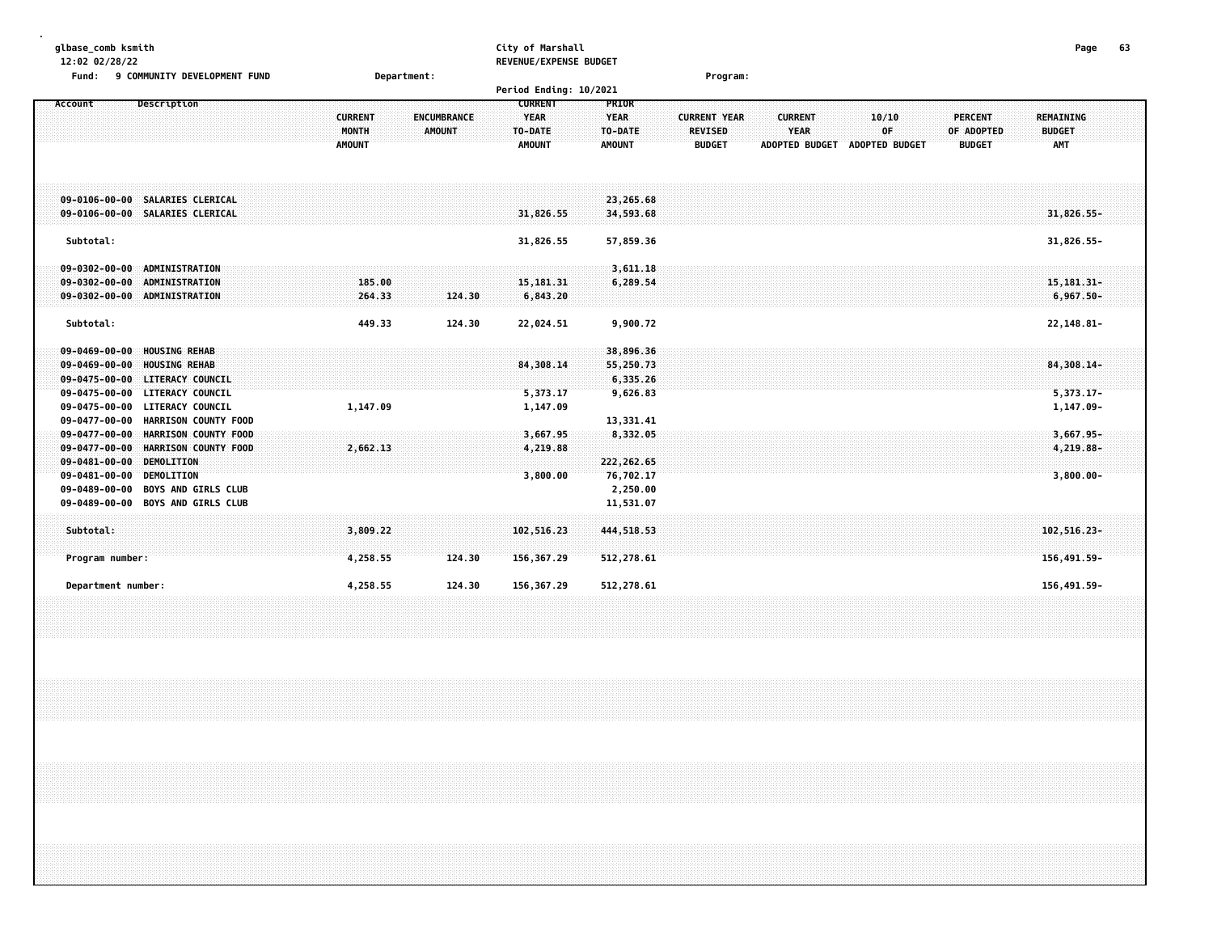| glbase_comb ksmith<br>12:02 02/28/22<br>9 COMMUNITY DEVELOPMENT FUND<br>Fund:                                                                                                                                                                              | Department:                              |                                     | City of Marshall<br>REVENUE/EXPENSE BUDGET<br>Period Ending: 10/2021 |                                                  | Program:                                               |                                                        |                                      |                                               | 63<br>Page                                      |  |
|------------------------------------------------------------------------------------------------------------------------------------------------------------------------------------------------------------------------------------------------------------|------------------------------------------|-------------------------------------|----------------------------------------------------------------------|--------------------------------------------------|--------------------------------------------------------|--------------------------------------------------------|--------------------------------------|-----------------------------------------------|-------------------------------------------------|--|
| Description<br>Account                                                                                                                                                                                                                                     | <b>CURRENT</b><br>MONTH<br><b>AMOUNT</b> | <b>ENCUMBRANCE</b><br><b>AMOUNT</b> | <b>CURRENT</b><br><b>YEAR</b><br>TO-DATE<br><b>AMOUNT</b>            | PRIOR<br><b>YEAR</b><br>TO-DATE<br>AMOUNT        | <b>CURRENT YEAR</b><br><b>REVISED</b><br><b>BUDGET</b> | <b>CURRENT</b><br><b>YEAR</b><br><b>ADOPTED BUDGET</b> | 10/10<br>OF<br><b>ADOPTED BUDGET</b> | <b>PERCENT</b><br>OF ADOPTED<br><b>BUDGET</b> | <b>REMAINING</b><br><b>BUDGET</b><br><b>AMT</b> |  |
| 09-0106-00-00 SALARIES CLERICAL<br>09-0106-00-00 SALARIES CLERICAL                                                                                                                                                                                         |                                          |                                     | 31,826.55                                                            | 23,265.68<br>34,593.68                           |                                                        |                                                        |                                      |                                               | 31,826.55-                                      |  |
| Subtotal:                                                                                                                                                                                                                                                  |                                          |                                     | 31,826.55                                                            | 57,859.36                                        |                                                        |                                                        |                                      |                                               | 31,826.55-                                      |  |
| $09 - 0302 - 00 - 00$<br><b>ADMINISTRATION</b><br>$09 - 0302 - 00 - 00$<br><b>ADMINISTRATION</b><br>09-0302-00-00 ADMINISTRATION                                                                                                                           | 185.00<br>264.33                         | 124.30                              | 15, 181.31<br>6,843.20                                               | 3,611.18<br>6,289.54                             |                                                        |                                                        |                                      |                                               | 15, 181. 31-<br>$6,967,50-$                     |  |
| Subtotal:                                                                                                                                                                                                                                                  | 449.33                                   | 124.30                              | 22,024.51                                                            | 9,900.72                                         |                                                        |                                                        |                                      |                                               | 22,148.81-                                      |  |
| <b>HOUSING REHAB</b><br>$09 - 0469 - 00 - 00$<br><b>HOUSING REHAB</b><br>$09 - 0469 - 00 - 00$<br>$09 - 0475 - 00 - 00$<br><b>LITERACY COUNCIL</b><br>$09 - 0475 - 00 - 00$<br><b>LITERACY COUNCIL</b><br>$09 - 0475 - 00 - 00$<br><b>LITERACY COUNCIL</b> | 1,147.09                                 |                                     | 84,308.14<br>5,373.17<br>1,147.09                                    | 38,896.36<br>55,250.73<br>6,335.26<br>9,626.83   |                                                        |                                                        |                                      |                                               | 84,308.14-<br>$5,373.17-$<br>1,147.09-          |  |
| $09 - 0477 - 00 - 00$<br><b>HARRISON COUNTY FOOD</b><br>$09 - 0477 - 00 - 00$<br>HARRISON COUNTY FOOD<br>$09 - 0477 - 00 - 00$<br><b>HARRISON COUNTY FOOD</b><br>$09 - 0481 - 00 - 00$<br>DEMOLITION<br>$09 - 0481 - 00 - 00$<br>DEMOLITION                | 2,662.13                                 |                                     | 3,667.95<br>4,219.88<br>3,800.00                                     | 13,331.41<br>8,332.05<br>222,262.65<br>76,702.17 |                                                        |                                                        |                                      |                                               | $3,667.95 -$<br>4,219.88-<br>$3,800.00 -$       |  |
| $09 - 0489 - 00 - 00$<br><b>BOYS AND GIRLS CLUB</b><br>09-0489-00-00<br><b>BOYS AND GIRLS CLUB</b>                                                                                                                                                         |                                          |                                     |                                                                      | 2,250.00<br>11,531.07                            |                                                        |                                                        |                                      |                                               |                                                 |  |
| Subtotal:                                                                                                                                                                                                                                                  | 3,809.22                                 |                                     | 102,516.23                                                           | 444,518.53                                       |                                                        |                                                        |                                      |                                               | 102,516.23-                                     |  |
| Program number:                                                                                                                                                                                                                                            | 4,258.55                                 | 124.30                              | 156,367.29                                                           | 512,278.61                                       |                                                        |                                                        |                                      |                                               | 156,491.59-                                     |  |

 **Department number: 4,258.55 124.30 156,367.29 512,278.61 156,491.59-**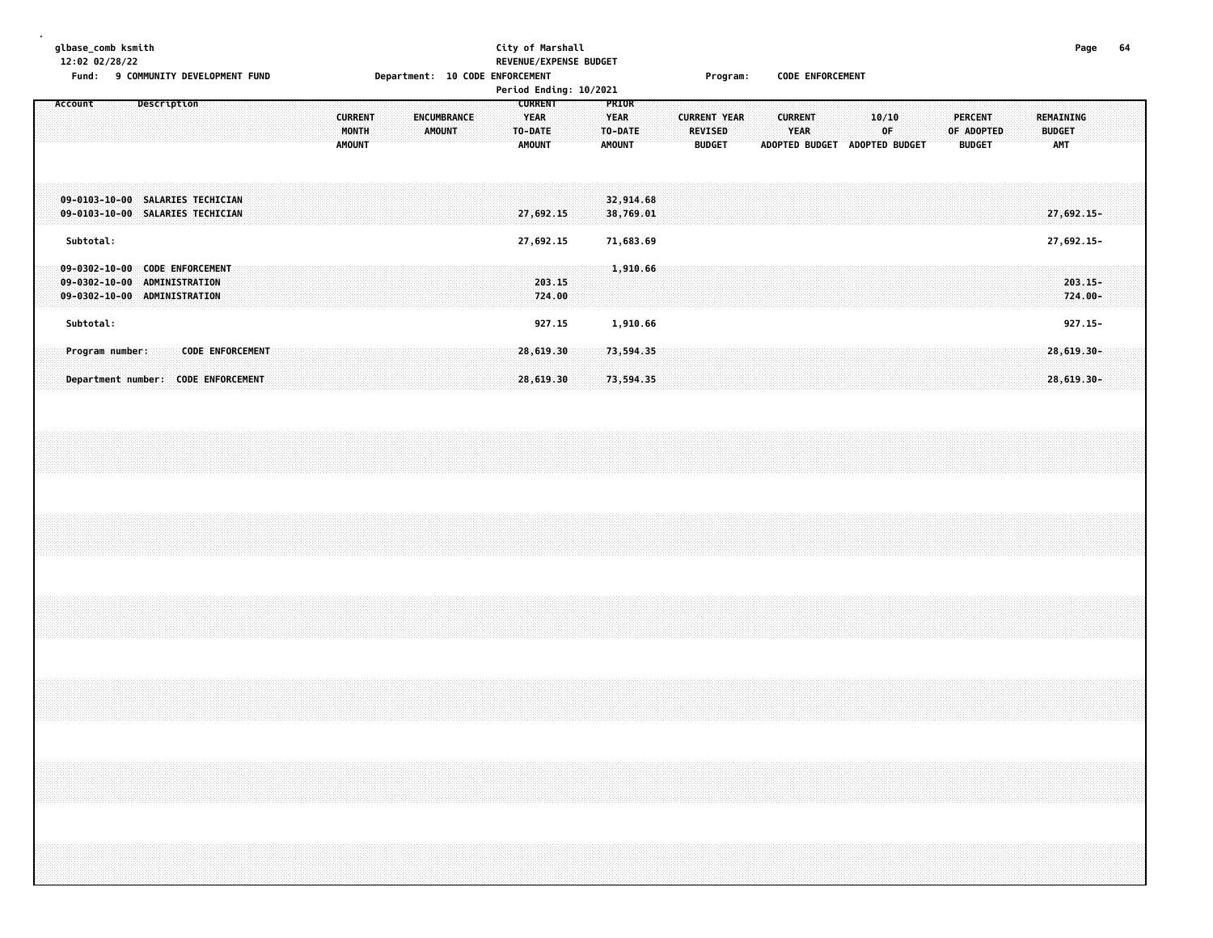#### **glbase\_comb ksmith City of Marshall Page 64 12:02 02/28/22 REVENUE/EXPENSE BUDGET**

Fund: 9 COMMUNITY DEVELOPMENT FUND **Department: 10 CODE ENFORCEMENT** Frogram: CODE ENFORCEMENT

|                                                                                                                  | Period Ending: 10/2021                                                                                                                        |                                                                                                                                                                                                    |                                          |
|------------------------------------------------------------------------------------------------------------------|-----------------------------------------------------------------------------------------------------------------------------------------------|----------------------------------------------------------------------------------------------------------------------------------------------------------------------------------------------------|------------------------------------------|
| Description<br>Account<br><b>CURRENT</b><br><b>MONTH</b><br><b>AMOUNT</b>                                        | PRIOR<br><b>CURRENT</b><br><b>YEAR</b><br><b>YEAR</b><br>ENCUMBRANCE<br><b>AMOUNT</b><br>TO-DATE<br>TO-DATE<br><b>AMOUNT</b><br><b>AMOUNT</b> | <b>CURRENT YEAR</b><br><b>CURRENT</b><br>10/10<br><b>PERCENT</b><br>0F<br>OF ADOPTED<br><b>REVISED</b><br><b>YEAR</b><br><b>ADOPTED BUDGET</b><br>ADOPTED BUDGET<br><b>BUDGET</b><br><b>BUDGET</b> | REMAINING<br><b>BUDGET</b><br><b>AMT</b> |
| 09-0103-10-00 SALARIES TECHICIAN<br>09-0103-10-00 SALARIES TECHICIAN                                             | 32,914.68<br>38,769.01<br>27,692.15                                                                                                           |                                                                                                                                                                                                    | $27,692.15-$                             |
| Subtotal:                                                                                                        | 27,692.15<br>71,683.69                                                                                                                        |                                                                                                                                                                                                    | 27,692.15-                               |
| 09-0302-10-00 CODE ENFORCEMENT<br>$09 - 0302 - 10 - 00$<br><b>ADMINISTRATION</b><br>09-0302-10-00 ADMINISTRATION | 1,910.66<br>203.15<br>724.00                                                                                                                  |                                                                                                                                                                                                    | $203.15 -$<br>724.00-                    |
| Subtotal:                                                                                                        | 927.15<br>1,910.66                                                                                                                            |                                                                                                                                                                                                    | $927.15 -$                               |
| <b>CODE ENFORCEMENT</b><br>Program number:<br>Department number: CODE ENFORCEMENT                                | 73,594.35<br>28,619.30<br>73,594.35<br>28,619.30                                                                                              |                                                                                                                                                                                                    | 28,619.30-<br>$28,619.30 -$              |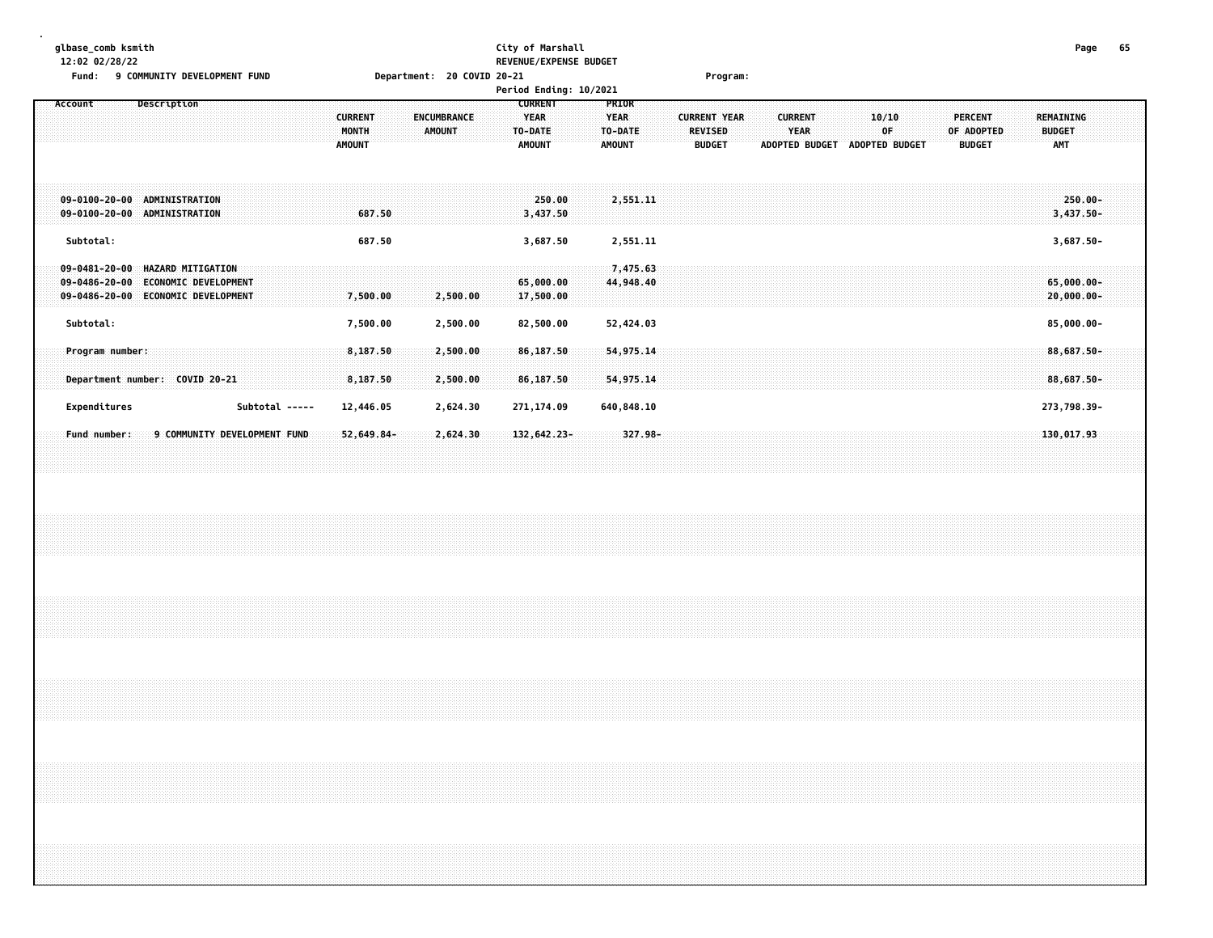#### **glbase\_comb ksmith City of Marshall Page 65 12:02 02/28/22 REVENUE/EXPENSE BUDGET**

| Page | п. |
|------|----|
|      |    |

| <b>Fund:</b><br><b>9 COMMUNITY DEVELOPMENT FUND</b>                     |                             | Department: 20 COVID 20-21 |                        |               | Program:            |                       |                |                |                  |
|-------------------------------------------------------------------------|-----------------------------|----------------------------|------------------------|---------------|---------------------|-----------------------|----------------|----------------|------------------|
|                                                                         |                             |                            | Period Ending: 10/2021 |               |                     |                       |                |                |                  |
| Description<br>Account                                                  |                             |                            | <b>CURRENT</b>         | PRIOR         |                     |                       |                |                |                  |
|                                                                         | <b>CURRENT</b>              | ENCUMBRANCE                | <b>YEAR</b>            | <b>YEAR</b>   | <b>CURRENT YEAR</b> | <b>CURRENT</b>        | 10/10          | <b>PERCENT</b> | <b>REMAINING</b> |
|                                                                         | MONTH                       | <b>AMOUNT</b>              | TO-DATE                | TO-DATE       | <b>REVISED</b>      | <b>YEAR</b>           | 0F             | OF ADOPTED     | <b>BUDGET</b>    |
|                                                                         | <b>AMOUNT</b>               |                            | <b>AMOUNT</b>          | <b>AMOUNT</b> | <b>BUDGET</b>       | <b>ADOPTED BUDGET</b> | ADOPTED BUDGET | <b>BUDGET</b>  | <b>AMT</b>       |
|                                                                         |                             |                            |                        |               |                     |                       |                |                |                  |
|                                                                         |                             |                            |                        |               |                     |                       |                |                |                  |
| $09 - 0100 - 20 - 00$<br>ADMINISTRATION<br>09-0100-20-00 ADMINISTRATION |                             |                            | 250.00                 | 2,551.11      |                     |                       |                |                | $250.00 -$       |
|                                                                         | 687.50                      |                            | 3,437.50               |               |                     |                       |                |                | $3,437.50 -$     |
| Subtotal:                                                               | 687.50                      |                            | 3,687.50               | 2,551.11      |                     |                       |                |                | $3,687.50 -$     |
|                                                                         |                             |                            |                        |               |                     |                       |                |                |                  |
| $09 - 0481 - 20 - 00$<br><b>HAZARD MITIGATION</b>                       |                             |                            |                        | 7,475.63      |                     |                       |                |                |                  |
| $09 - 0486 - 20 - 00$<br>ECONOMIC DEVELOPMENT                           |                             |                            | 65,000.00              | 44,948.40     |                     |                       |                |                | $65,000.00 -$    |
| $09 - 0486 - 20 - 00$<br><b>ECONOMIC DEVELOPMENT</b>                    | 7,500.00                    | 2,500.00                   | 17,500.00              |               |                     |                       |                |                | $20,000.00 -$    |
| Subtotal:                                                               | 7,500.00                    | 2,500.00                   | 82,500.00              | 52,424.03     |                     |                       |                |                | 85,000.00-       |
|                                                                         |                             |                            |                        |               |                     |                       |                |                |                  |
| Program number:                                                         | 8,187.50                    | 2,500.00                   | 86,187.50              | 54,975.14     |                     |                       |                |                | 88,687.50-       |
|                                                                         |                             |                            |                        |               |                     |                       |                |                |                  |
| Department number: COVID 20-21                                          | 8,187.50                    | 2,500.00                   | 86,187.50              | 54,975.14     |                     |                       |                |                | 88,687.50-       |
| Expenditures                                                            | Subtotal -----<br>12,446.05 | 2,624.30                   | 271,174.09             | 640,848.10    |                     |                       |                |                | 273,798.39-      |
|                                                                         |                             |                            |                        |               |                     |                       |                |                |                  |
| 9 COMMUNITY DEVELOPMENT FUND<br>Fund number:                            | $52,649.84-$                | 2,624.30                   | $132,642.23-$          | $327.98 -$    |                     |                       |                |                | 130,017.93       |
|                                                                         |                             |                            |                        |               |                     |                       |                |                |                  |
|                                                                         |                             |                            |                        |               |                     |                       |                |                |                  |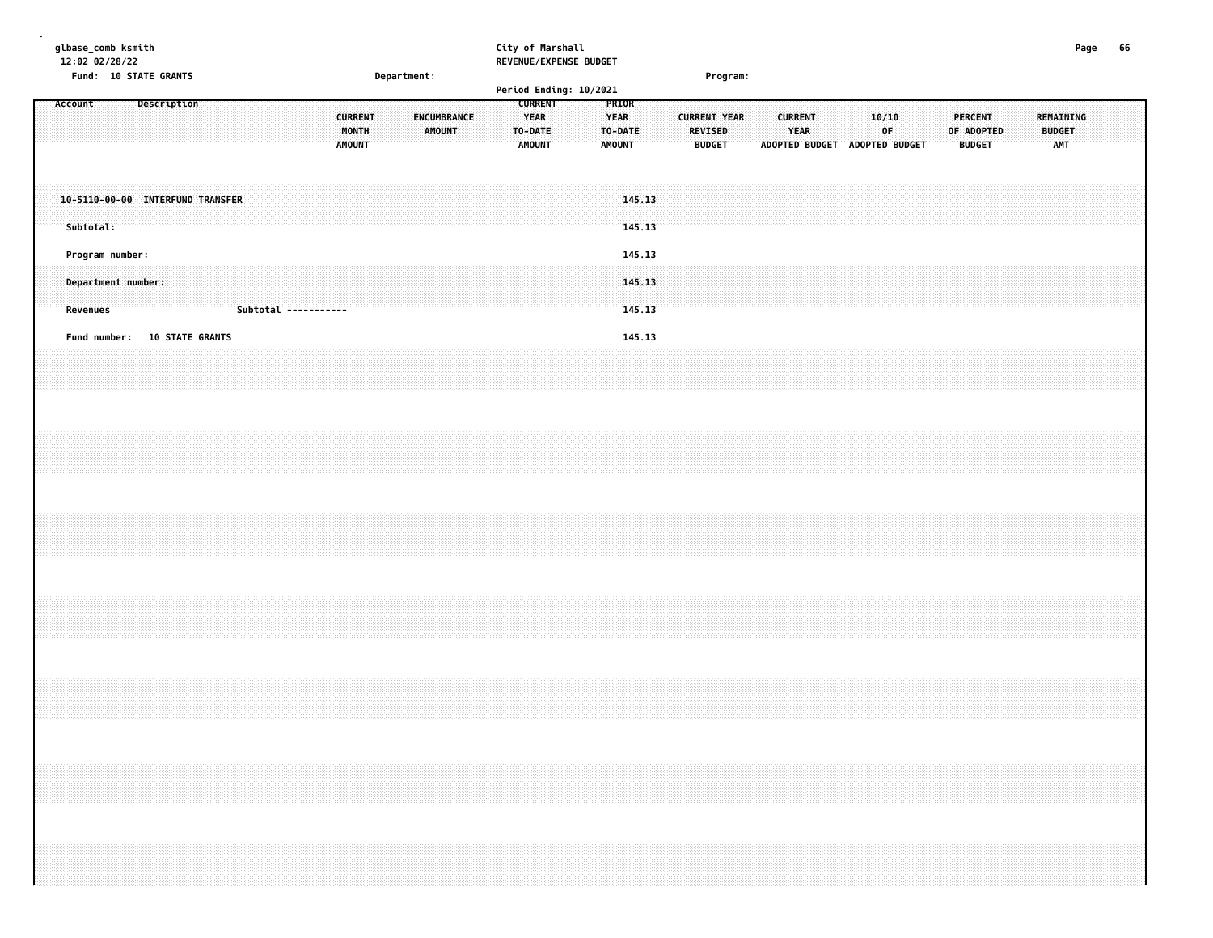| glbase_comb ksmith<br>12:02 02/28/22                                             | City of Marshall<br>REVENUE/EXPENSE BUDGET                                                                                                    |                                                                                                                                  | Page<br>66                                                                                |
|----------------------------------------------------------------------------------|-----------------------------------------------------------------------------------------------------------------------------------------------|----------------------------------------------------------------------------------------------------------------------------------|-------------------------------------------------------------------------------------------|
| Fund: 10 STATE GRANTS<br>Department:                                             | Period Ending: 10/2021                                                                                                                        | Program:                                                                                                                         |                                                                                           |
| <b>Description</b><br>Account<br><b>CURRENT</b><br>MONTH<br><b>AMOUNT</b>        | <b>CURRENT</b><br>PRIOR<br><b>YEAR</b><br>ENCUMBRANCE<br><b>YEAR</b><br><b>AMOUNT</b><br>TO-DATE<br>TO-DATE<br><b>AMOUNT</b><br><b>AMOUNT</b> | <b>CURRENT YEAR</b><br><b>CURRENT</b><br>10/10<br><b>REVISED</b><br>YEAR<br>0F<br><b>BUDGET</b><br>ADOPTED BUDGET ADOPTED BUDGET | <b>REMAINING</b><br><b>PERCENT</b><br><b>BUDGET</b><br>OF ADOPTED<br>AMT<br><b>BUDGET</b> |
| 10-5110-00-00 INTERFUND TRANSFER<br>Subtotal:                                    | 145.13<br>145.13                                                                                                                              |                                                                                                                                  |                                                                                           |
| Program number:<br>Department number:<br><b>Revenues</b><br>Subtotal ----------- | 145.13<br>145.13<br>145.13                                                                                                                    |                                                                                                                                  |                                                                                           |
| <b>10 STATE GRANTS</b><br>Fund number:                                           | 145.13                                                                                                                                        |                                                                                                                                  |                                                                                           |
|                                                                                  |                                                                                                                                               |                                                                                                                                  |                                                                                           |
|                                                                                  |                                                                                                                                               |                                                                                                                                  |                                                                                           |
|                                                                                  |                                                                                                                                               |                                                                                                                                  |                                                                                           |
|                                                                                  |                                                                                                                                               |                                                                                                                                  |                                                                                           |
|                                                                                  |                                                                                                                                               |                                                                                                                                  |                                                                                           |
|                                                                                  |                                                                                                                                               |                                                                                                                                  |                                                                                           |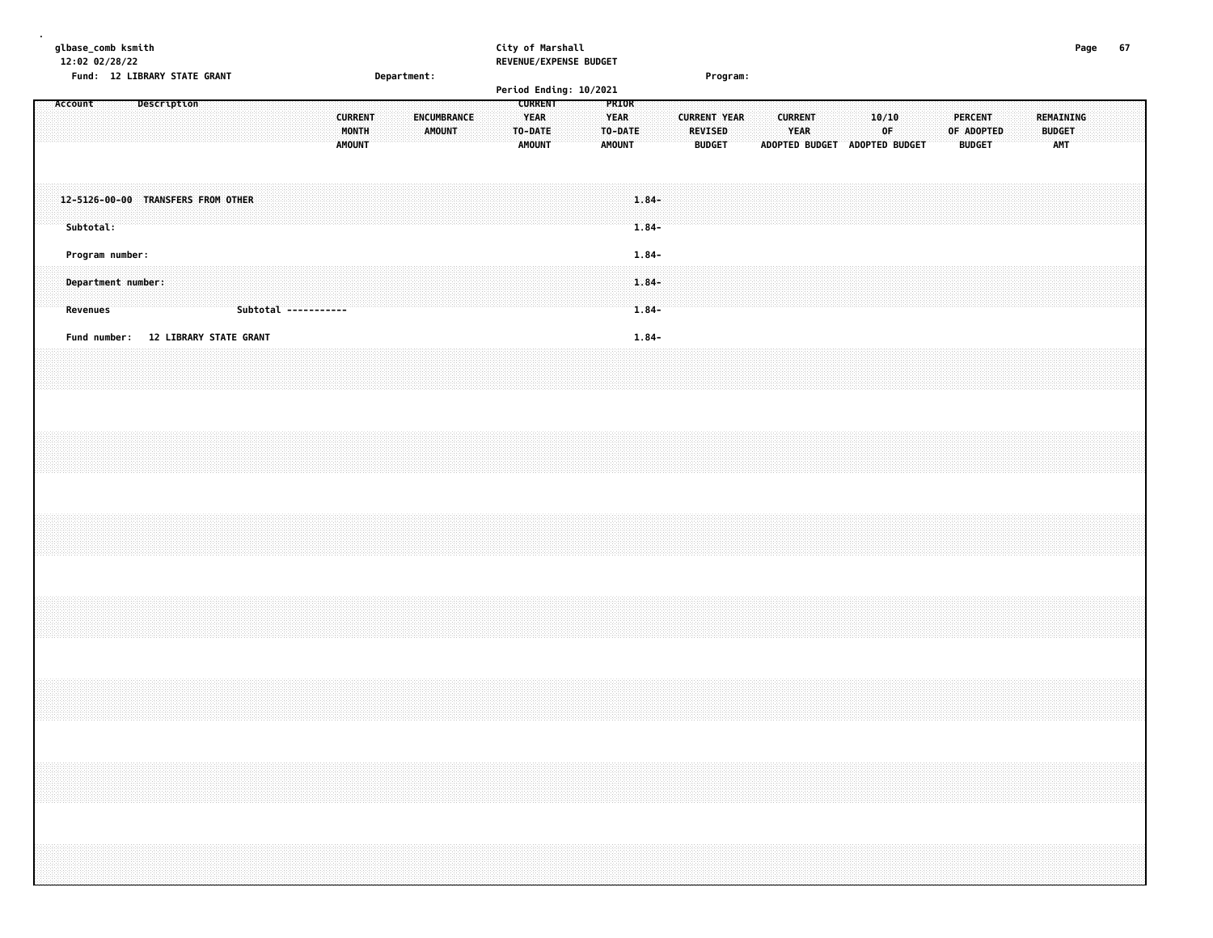| glbase_comb ksmith |           | 12:02 02/28/22<br>Fund: 12 LIBRARY STATE GRANT |  |             |  |                                     |  |  |                                          | Department: |               |                    | City of Marshall |                                         |                | REVENUE/EXPENSE BUDGET |                                         |                                  |  |                                 | Program:            |                               |                               |  |             |  |  |                                                                                                                                                                                                                                                                                                                                                                                                                                                             |  |                                   | Page | 67 |
|--------------------|-----------|------------------------------------------------|--|-------------|--|-------------------------------------|--|--|------------------------------------------|-------------|---------------|--------------------|------------------|-----------------------------------------|----------------|------------------------|-----------------------------------------|----------------------------------|--|---------------------------------|---------------------|-------------------------------|-------------------------------|--|-------------|--|--|-------------------------------------------------------------------------------------------------------------------------------------------------------------------------------------------------------------------------------------------------------------------------------------------------------------------------------------------------------------------------------------------------------------------------------------------------------------|--|-----------------------------------|------|----|
| Account            |           |                                                |  | Description |  |                                     |  |  |                                          |             |               |                    |                  |                                         | <b>CURRENT</b> | Period Ending: 10/2021 | PRIOR                                   |                                  |  |                                 |                     |                               |                               |  |             |  |  |                                                                                                                                                                                                                                                                                                                                                                                                                                                             |  |                                   |      |    |
|                    |           |                                                |  |             |  |                                     |  |  | <b>CURRENT</b><br>MONTH<br><b>AMOUNT</b> |             | <b>AMOUNT</b> | <b>ENCUMBRANCE</b> |                  | <b>YEAR</b><br>TO-DATE<br><b>AMOUNT</b> |                |                        | <b>YEAR</b><br>TO-DATE<br><b>AMOUNT</b> |                                  |  | <b>REVISED</b><br><b>BUDGET</b> | <b>CURRENT YEAR</b> | ADOPTED BUDGET ADOPTED BUDGET | <b>CURRENT</b><br><b>YEAR</b> |  | 10/10<br>0F |  |  | <b>PERCENT</b><br>OF ADOPTED<br><b>BUDGET</b>                                                                                                                                                                                                                                                                                                                                                                                                               |  | REMAINING<br><b>BUDGET</b><br>AMT |      |    |
|                    | Subtotal: | 12-5126-00-00 TRANSFERS FROM OTHER             |  |             |  |                                     |  |  |                                          |             |               |                    |                  |                                         |                |                        |                                         | $1.84 -$<br>$1.84 -$             |  |                                 |                     |                               |                               |  |             |  |  |                                                                                                                                                                                                                                                                                                                                                                                                                                                             |  |                                   |      |    |
|                    | Revenues  | Program number:<br>Department number:          |  |             |  | Subtotal -----------                |  |  |                                          |             |               |                    |                  |                                         |                |                        |                                         | $1.84 -$<br>$1.84 -$<br>$1.84 -$ |  |                                 |                     |                               |                               |  |             |  |  |                                                                                                                                                                                                                                                                                                                                                                                                                                                             |  |                                   |      |    |
|                    |           |                                                |  |             |  | Fund number: 12 LIBRARY STATE GRANT |  |  |                                          |             |               |                    |                  |                                         |                |                        |                                         | $1.84 -$                         |  |                                 |                     |                               |                               |  |             |  |  |                                                                                                                                                                                                                                                                                                                                                                                                                                                             |  |                                   |      |    |
|                    |           |                                                |  |             |  |                                     |  |  |                                          |             |               |                    |                  |                                         |                |                        |                                         |                                  |  |                                 |                     |                               |                               |  |             |  |  |                                                                                                                                                                                                                                                                                                                                                                                                                                                             |  |                                   |      |    |
|                    |           |                                                |  |             |  |                                     |  |  |                                          |             |               |                    |                  |                                         |                |                        |                                         |                                  |  |                                 |                     |                               |                               |  |             |  |  |                                                                                                                                                                                                                                                                                                                                                                                                                                                             |  |                                   |      |    |
|                    |           |                                                |  |             |  |                                     |  |  |                                          |             |               |                    |                  |                                         |                |                        |                                         |                                  |  |                                 |                     |                               |                               |  |             |  |  |                                                                                                                                                                                                                                                                                                                                                                                                                                                             |  |                                   |      |    |
|                    |           |                                                |  |             |  |                                     |  |  |                                          |             |               |                    |                  |                                         |                |                        |                                         |                                  |  |                                 |                     |                               |                               |  |             |  |  |                                                                                                                                                                                                                                                                                                                                                                                                                                                             |  |                                   |      |    |
|                    |           |                                                |  |             |  |                                     |  |  |                                          |             |               |                    |                  |                                         |                |                        |                                         |                                  |  |                                 |                     |                               |                               |  |             |  |  | $\mathcal{L}(\mathcal{L}(\mathcal{L}(\mathcal{L}(\mathcal{L}(\mathcal{L}(\mathcal{L}(\mathcal{L}(\mathcal{L}(\mathcal{L}(\mathcal{L}(\mathcal{L}(\mathcal{L}(\mathcal{L}(\mathcal{L}(\mathcal{L}(\mathcal{L}(\mathcal{L}(\mathcal{L}(\mathcal{L}(\mathcal{L}(\mathcal{L}(\mathcal{L}(\mathcal{L}(\mathcal{L}(\mathcal{L}(\mathcal{L}(\mathcal{L}(\mathcal{L}(\mathcal{L}(\mathcal{L}(\mathcal{L}(\mathcal{L}(\mathcal{L}(\mathcal{L}(\mathcal{L}(\mathcal{$ |  |                                   |      |    |
|                    |           |                                                |  |             |  |                                     |  |  |                                          |             |               |                    |                  |                                         |                |                        |                                         |                                  |  |                                 |                     |                               |                               |  |             |  |  |                                                                                                                                                                                                                                                                                                                                                                                                                                                             |  |                                   |      |    |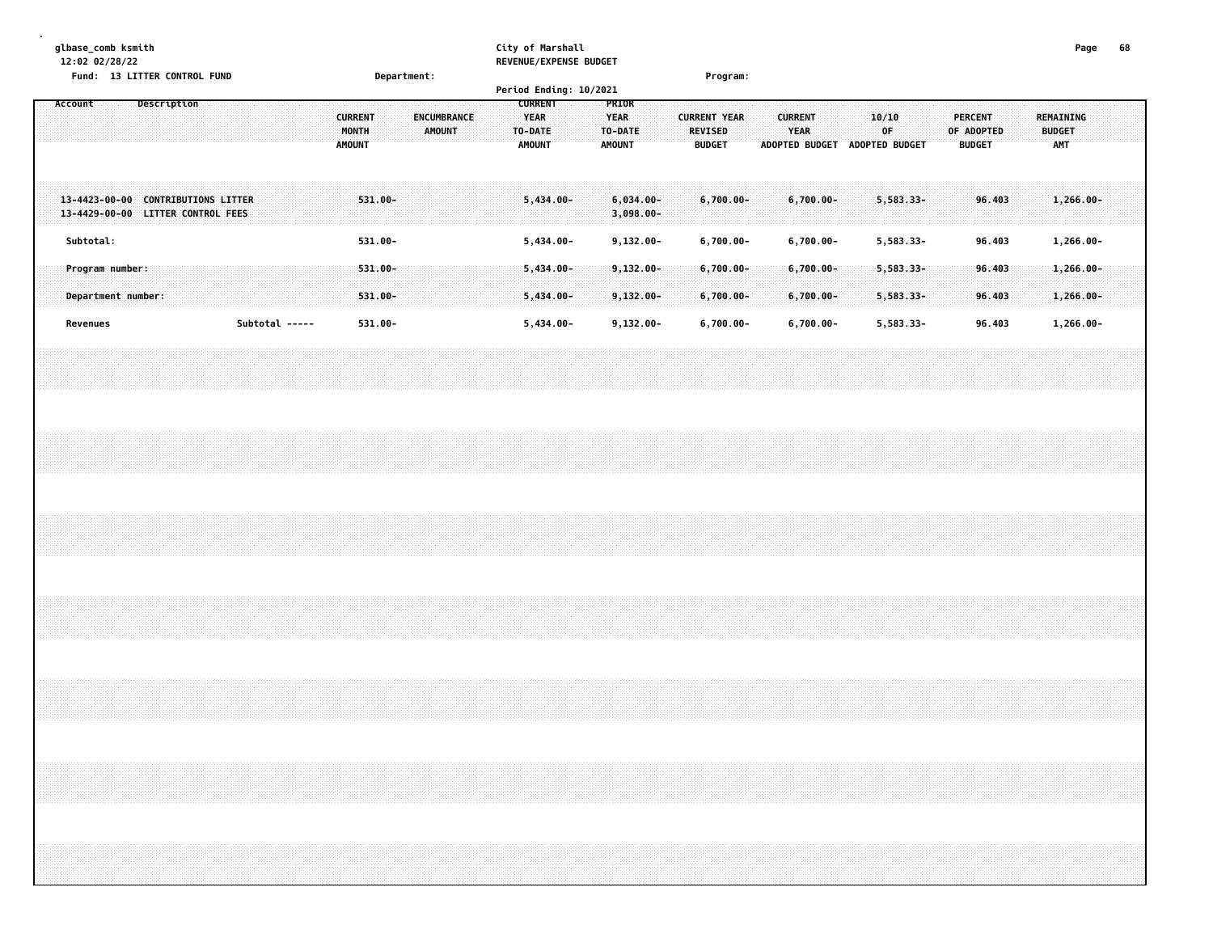| glbase_comb ksmith<br>12:02 02/28/22<br>Fund: 13 LITTER CONTROL FUND<br>Department: | City of Marshall<br>REVENUE/EXPENSE BUDGET<br>Period Ending: 10/2021                                                                   | Program:                                                                                                          |                                                              | Page<br>68                        |
|-------------------------------------------------------------------------------------|----------------------------------------------------------------------------------------------------------------------------------------|-------------------------------------------------------------------------------------------------------------------|--------------------------------------------------------------|-----------------------------------|
| Account<br><b>Description</b><br><b>CURRENT</b><br>MONTH<br><b>AMOUNT</b>           | <b>CURRENT</b><br>PRIOR<br>ENCUMBRANCE<br><b>YEAR</b><br><b>YEAR</b><br><b>AMOUNT</b><br>TO-DATE<br>TO-DATE<br>AMOUNT<br><b>AMOUNT</b> | <b>CURRENT</b><br><b>CURRENT YEAR</b><br><b>REVISED</b><br>YEAR<br><b>BUDGET</b><br>ADOPTED BUDGET ADOPTED BUDGET | 10/10<br><b>PERCENT</b><br>0F<br>OF ADOPTED<br><b>BUDGET</b> | REMAINING<br><b>BUDGET</b><br>AMT |
| 531.00-<br>13-4423-00-00 CONTRIBUTIONS LITTER<br>13-4429-00-00 LITTER CONTROL FEES  | 5,434.00-<br>$6,034.00 -$<br>$3,098.00 -$                                                                                              | $6,700.00 -$<br>6,700.00-                                                                                         | 5,583.33-<br>96.403                                          | $1,266.00 -$                      |
| Subtotal:<br>531.00-<br>Program number:<br>$531.00 -$                               | 5,434.00-<br>$9,132.00 -$<br>$5,434.00 -$<br>$9,132.00 -$                                                                              | $6,700.00 -$<br>6,700.00-<br>$6,700.00 -$<br>6,700.00-                                                            | 5,583.33-<br>96.403<br>5,583.33-<br>96.403                   | 1,266.00-<br>$1,266.00 -$         |
| Department number:<br>531.00-                                                       | $5,434.00 -$<br>$9,132.00 -$                                                                                                           | $6,700.00 -$<br>$6,700.00 -$                                                                                      | 5,583.33-<br>96.403                                          | $1,266.00 -$                      |
| Subtotal -----<br>531.00-<br>Revenues                                               | $5,434.00 -$<br>$9,132.00 -$                                                                                                           | $6,700.00 -$<br>$6,700.00 -$                                                                                      | 5,583.33-<br>96.403                                          | 1,266.00-                         |
|                                                                                     |                                                                                                                                        |                                                                                                                   |                                                              |                                   |
|                                                                                     |                                                                                                                                        |                                                                                                                   |                                                              |                                   |
|                                                                                     |                                                                                                                                        |                                                                                                                   |                                                              |                                   |
|                                                                                     |                                                                                                                                        |                                                                                                                   |                                                              |                                   |
|                                                                                     |                                                                                                                                        |                                                                                                                   |                                                              |                                   |
|                                                                                     |                                                                                                                                        |                                                                                                                   |                                                              |                                   |
|                                                                                     |                                                                                                                                        |                                                                                                                   |                                                              |                                   |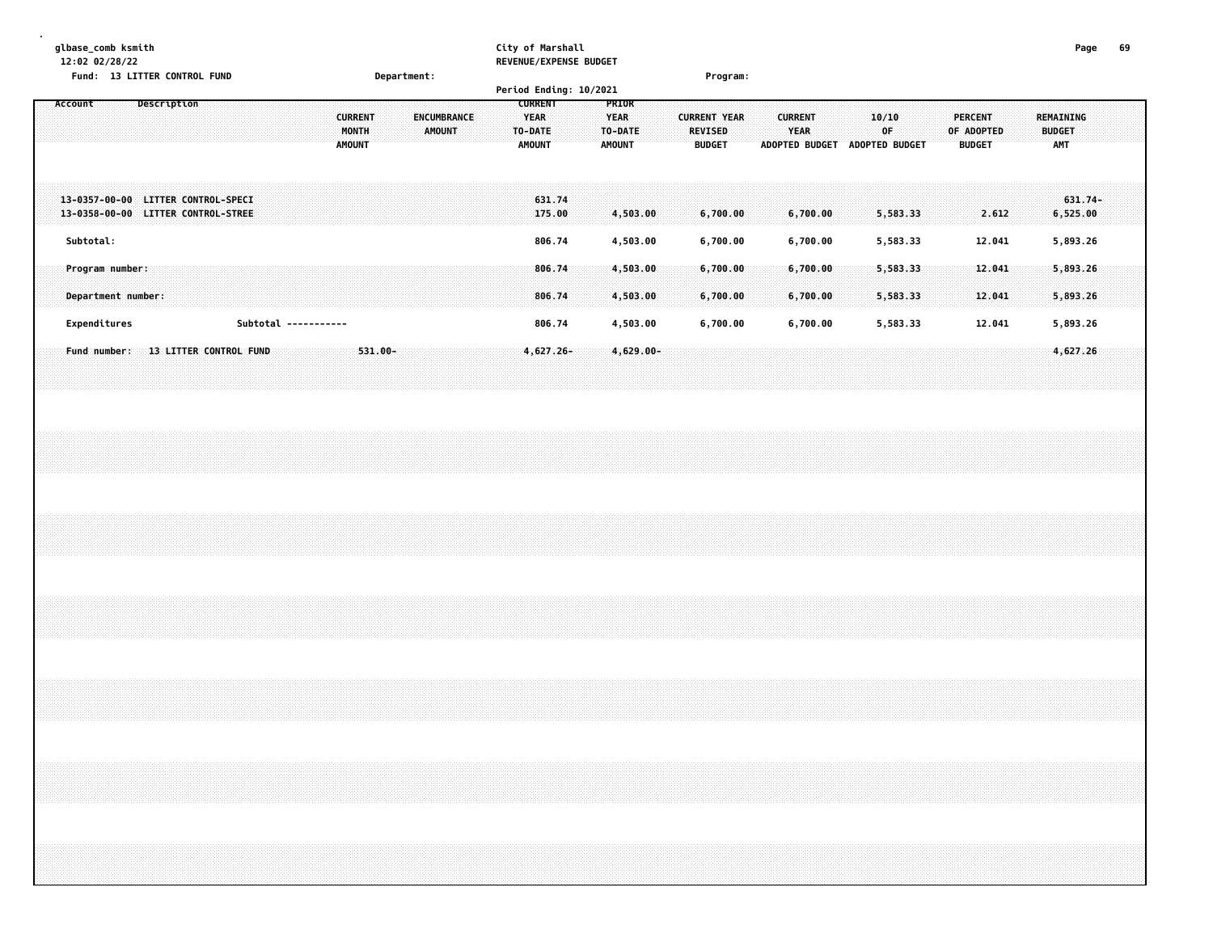| glbase_comb ksmith<br>12:02 02/28/22<br>Fund: 13 LITTER CONTROL FUND                  | Department:                                                                     | City of Marshall<br>REVENUE/EXPENSE BUDGET                                                                                              | Program:                                                                                                                  | Page<br>69                                                                                       |
|---------------------------------------------------------------------------------------|---------------------------------------------------------------------------------|-----------------------------------------------------------------------------------------------------------------------------------------|---------------------------------------------------------------------------------------------------------------------------|--------------------------------------------------------------------------------------------------|
| Description<br>Account                                                                | <b>CURRENT</b><br><b>ENCUMBRANCE</b><br>MONTH<br><b>AMOUNT</b><br><b>AMOUNT</b> | Period Ending: 10/2021<br><b>CURRENT</b><br>PRIOR<br><b>YEAR</b><br><b>YEAR</b><br>TO-DATE<br>TO-DATE<br><b>AMOUNT</b><br><b>AMOUNT</b> | <b>CURRENT YEAR</b><br><b>CURRENT</b><br>10/10<br>YEAR<br>OF<br>REVISED<br><b>BUDGET</b><br>ADOPTED BUDGET ADOPTED BUDGET | <b>PERCENT</b><br><b>REMAINING</b><br>OF ADOPTED<br><b>BUDGET</b><br><b>AMT</b><br><b>BUDGET</b> |
| 13-0357-00-00 LITTER CONTROL-SPECI<br>13-0358-00-00 LITTER CONTROL-STREE<br>Subtotal: |                                                                                 | 631.74<br>175.00<br>4,503.00<br>806.74                                                                                                  | 6,700.00<br>6,700.00<br>5,583.33                                                                                          | $631.74-$<br>6,525.00<br>2.612                                                                   |
| Program number:<br>Department number:                                                 |                                                                                 | 4,503.00<br>806.74<br>4,503.00<br>806.74<br>4,503.00                                                                                    | 5,583.33<br>6,700.00<br>6,700.00<br>6,700.00<br>6,700.00<br>5,583.33<br>6,700.00<br>6,700.00<br>5,583.33                  | 12.041<br>5,893.26<br>12.041<br>5,893.26<br>5,893.26<br>12.041                                   |
| Expenditures<br>Subtotal -----------<br>Fund number: 13 LITTER CONTROL FUND           | $531.00 -$                                                                      | 806.74<br>4,503.00<br>$4,627.26 -$<br>$4,629.00 -$                                                                                      | 6,700.00<br>6,700.00<br>5,583.33                                                                                          | 12.041<br>5,893.26<br>4,627.26                                                                   |
|                                                                                       |                                                                                 |                                                                                                                                         |                                                                                                                           |                                                                                                  |
|                                                                                       |                                                                                 |                                                                                                                                         |                                                                                                                           |                                                                                                  |
|                                                                                       |                                                                                 |                                                                                                                                         |                                                                                                                           |                                                                                                  |
|                                                                                       |                                                                                 |                                                                                                                                         |                                                                                                                           |                                                                                                  |
|                                                                                       |                                                                                 |                                                                                                                                         |                                                                                                                           |                                                                                                  |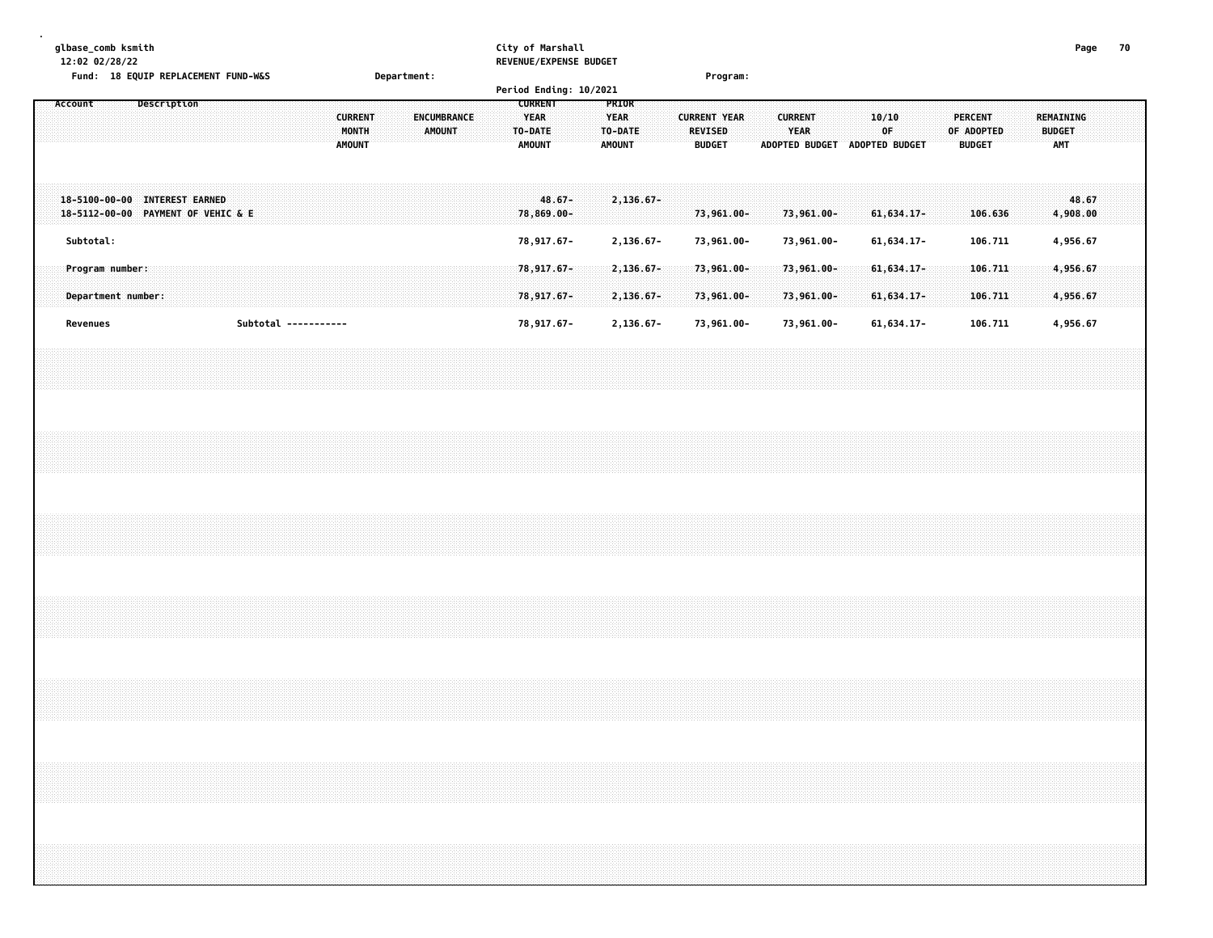| glbase_comb ksmith<br>12:02 02/28/22 |           | Fund: 18 EQUIP REPLACEMENT FUND-W&S                                 |             |  |                      |  |                                          | Department: |               |             |  |                                                           | City of Marshall        | REVENUE/EXPENSE BUDGET |                                                  |           |  |                                 | Program:            |  |                        |            |                               |             |              |  |                                               |         |                  |                             | Page              | 70 |  |
|--------------------------------------|-----------|---------------------------------------------------------------------|-------------|--|----------------------|--|------------------------------------------|-------------|---------------|-------------|--|-----------------------------------------------------------|-------------------------|------------------------|--------------------------------------------------|-----------|--|---------------------------------|---------------------|--|------------------------|------------|-------------------------------|-------------|--------------|--|-----------------------------------------------|---------|------------------|-----------------------------|-------------------|----|--|
|                                      |           |                                                                     |             |  |                      |  |                                          |             |               |             |  |                                                           |                         | Period Ending: 10/2021 |                                                  |           |  |                                 |                     |  |                        |            |                               |             |              |  |                                               |         |                  |                             |                   |    |  |
| Account                              |           |                                                                     | Description |  |                      |  | <b>CURRENT</b><br>MONTH<br><b>AMOUNT</b> |             | <b>AMOUNT</b> | ENCUMBRANCE |  | <b>CURRENT</b><br><b>YEAR</b><br>TO-DATE<br><b>AMOUNT</b> |                         |                        | PRIOR<br><b>YEAR</b><br>TO-DATE<br><b>AMOUNT</b> |           |  | <b>REVISED</b><br><b>BUDGET</b> | <b>CURRENT YEAR</b> |  | <b>CURRENT</b><br>YEAR |            | ADOPTED BUDGET ADOPTED BUDGET | 10/10<br>OF |              |  | <b>PERCENT</b><br>OF ADOPTED<br><b>BUDGET</b> |         | <b>REMAINING</b> | <b>BUDGET</b><br><b>AMT</b> |                   |    |  |
|                                      |           | 18-5100-00-00 INTEREST EARNED<br>18-5112-00-00 PAYMENT OF VEHIC & E |             |  |                      |  |                                          |             |               |             |  |                                                           | $48.67 -$<br>78,869.00- |                        |                                                  | 2,136.67- |  |                                 | 73,961.00-          |  |                        | 73,961.00- |                               |             | $61,634.17-$ |  |                                               | 106.636 |                  |                             | 48.67<br>4,908.00 |    |  |
|                                      | Subtotal: |                                                                     |             |  |                      |  |                                          |             |               |             |  |                                                           | 78,917.67-              |                        |                                                  | 2,136.67- |  |                                 | 73,961.00-          |  |                        | 73,961.00- |                               |             | 61, 634.17-  |  |                                               | 106.711 |                  |                             | 4,956.67          |    |  |
|                                      |           | Program number:                                                     |             |  |                      |  |                                          |             |               |             |  |                                                           | 78,917.67-              |                        |                                                  | 2,136.67- |  |                                 | 73,961.00-          |  |                        | 73,961.00- |                               |             | $61,634.17-$ |  | 106.711                                       |         |                  |                             | 4,956.67          |    |  |
|                                      |           | Department number:                                                  |             |  |                      |  |                                          |             |               |             |  |                                                           | 78,917.67-              |                        |                                                  | 2,136.67- |  |                                 | 73,961.00-          |  |                        | 73,961.00- |                               |             | 61, 634.17-  |  |                                               | 106.711 |                  |                             | 4,956.67          |    |  |
|                                      | Revenues  |                                                                     |             |  | Subtotal ----------- |  |                                          |             |               |             |  |                                                           | 78,917.67-              |                        |                                                  | 2,136.67- |  |                                 | 73,961.00-          |  |                        | 73,961.00- |                               |             | 61, 634.17-  |  |                                               | 106.711 |                  |                             | 4,956.67          |    |  |
|                                      |           |                                                                     |             |  |                      |  |                                          |             |               |             |  |                                                           |                         |                        |                                                  |           |  |                                 |                     |  |                        |            |                               |             |              |  |                                               |         |                  |                             |                   |    |  |
|                                      |           |                                                                     |             |  |                      |  |                                          |             |               |             |  |                                                           |                         |                        |                                                  |           |  |                                 |                     |  |                        |            |                               |             |              |  |                                               |         |                  |                             |                   |    |  |
|                                      |           |                                                                     |             |  |                      |  |                                          |             |               |             |  |                                                           |                         |                        |                                                  |           |  |                                 |                     |  |                        |            |                               |             |              |  |                                               |         |                  |                             |                   |    |  |
|                                      |           |                                                                     |             |  |                      |  |                                          |             |               |             |  |                                                           |                         |                        |                                                  |           |  |                                 |                     |  |                        |            |                               |             |              |  |                                               |         |                  |                             |                   |    |  |
|                                      |           |                                                                     |             |  |                      |  |                                          |             |               |             |  |                                                           |                         |                        |                                                  |           |  |                                 |                     |  |                        |            |                               |             |              |  |                                               |         |                  |                             |                   |    |  |
|                                      |           |                                                                     |             |  |                      |  |                                          |             |               |             |  |                                                           |                         |                        |                                                  |           |  |                                 |                     |  |                        |            |                               |             |              |  |                                               |         |                  |                             |                   |    |  |
|                                      |           |                                                                     |             |  |                      |  |                                          |             |               |             |  |                                                           |                         |                        |                                                  |           |  |                                 |                     |  |                        |            |                               |             |              |  |                                               |         |                  |                             |                   |    |  |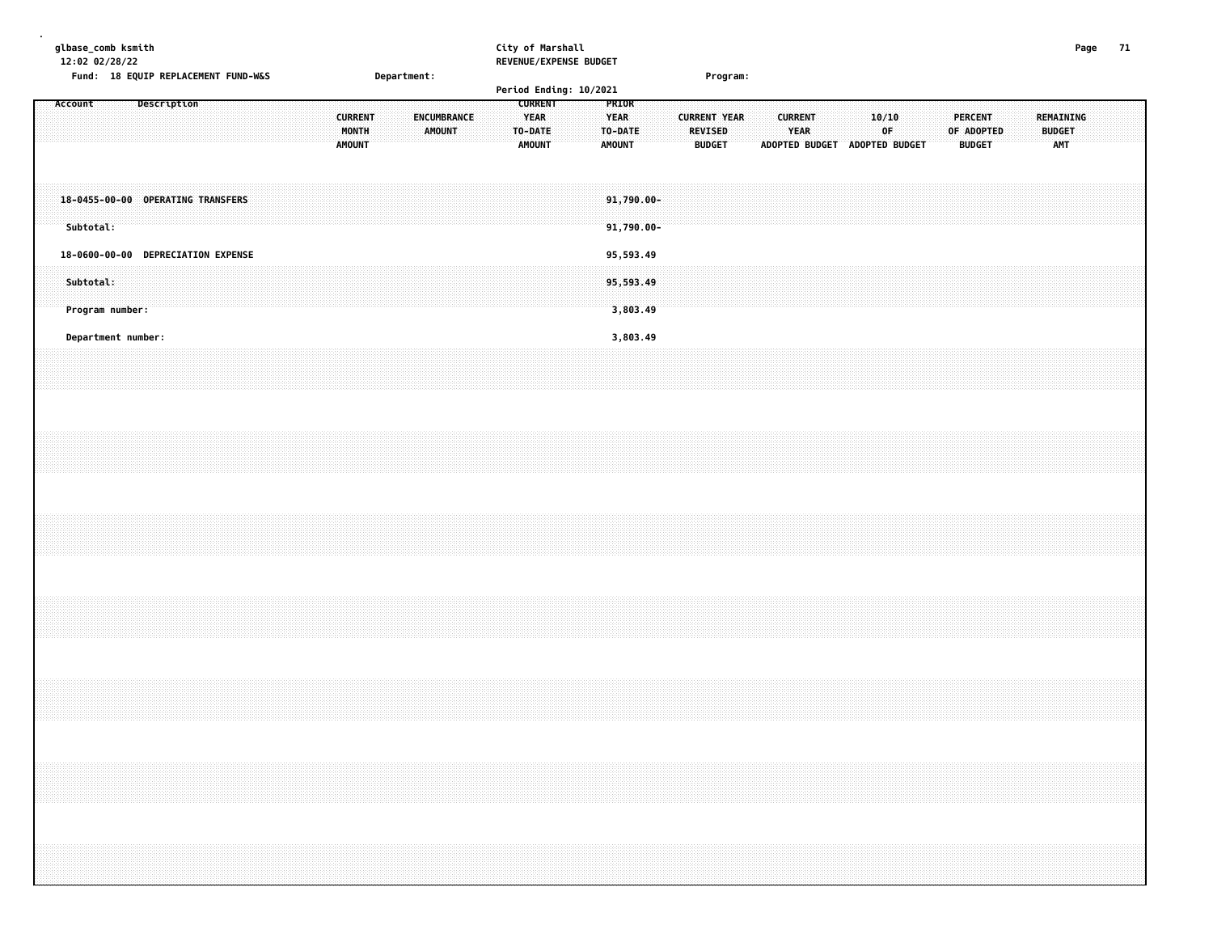| glbase_comb ksmith<br>12:02 02/28/22<br>Fund: 18 EQUIP REPLACEMENT FUND-W&S |             |  |  |  |                                          | Department: |        |             |  | City of Marshall                                          | REVENUE/EXPENSE BUDGET<br>Period Ending: 10/2021 |                                                  |  | Program:                                               |  |                |                                      |                |             |  |                                               |  |                                          | Page | 71 |
|-----------------------------------------------------------------------------|-------------|--|--|--|------------------------------------------|-------------|--------|-------------|--|-----------------------------------------------------------|--------------------------------------------------|--------------------------------------------------|--|--------------------------------------------------------|--|----------------|--------------------------------------|----------------|-------------|--|-----------------------------------------------|--|------------------------------------------|------|----|
| Account                                                                     | Description |  |  |  | <b>CURRENT</b><br>MONTH<br><b>AMOUNT</b> |             | AMOUNT | ENCUMBRANCE |  | <b>CURRENT</b><br><b>YEAR</b><br>TO-DATE<br><b>AMOUNT</b> |                                                  | PRIOR<br><b>YEAR</b><br>TO-DATE<br><b>AMOUNT</b> |  | <b>CURRENT YEAR</b><br><b>REVISED</b><br><b>BUDGET</b> |  | <b>CURRENT</b> | <b>YEAR</b><br><b>ADOPTED BUDGET</b> | ADOPTED BUDGET | 10/10<br>0F |  | <b>PERCENT</b><br>OF ADOPTED<br><b>BUDGET</b> |  | REMAINING<br><b>BUDGET</b><br><b>AMT</b> |      |    |
| 18-0455-00-00 OPERATING TRANSFERS<br>Subtotal:                              |             |  |  |  |                                          |             |        |             |  |                                                           |                                                  | 91,790.00-<br>$91,790.00 -$                      |  |                                                        |  |                |                                      |                |             |  |                                               |  |                                          |      |    |
| 18-0600-00-00 DEPRECIATION EXPENSE<br>Subtotal:<br>Program number:          |             |  |  |  |                                          |             |        |             |  |                                                           |                                                  | 95,593.49<br>95,593.49<br>3,803.49               |  |                                                        |  |                |                                      |                |             |  |                                               |  |                                          |      |    |
| Department number:                                                          |             |  |  |  |                                          |             |        |             |  |                                                           |                                                  | 3,803.49                                         |  |                                                        |  |                |                                      |                |             |  |                                               |  |                                          |      |    |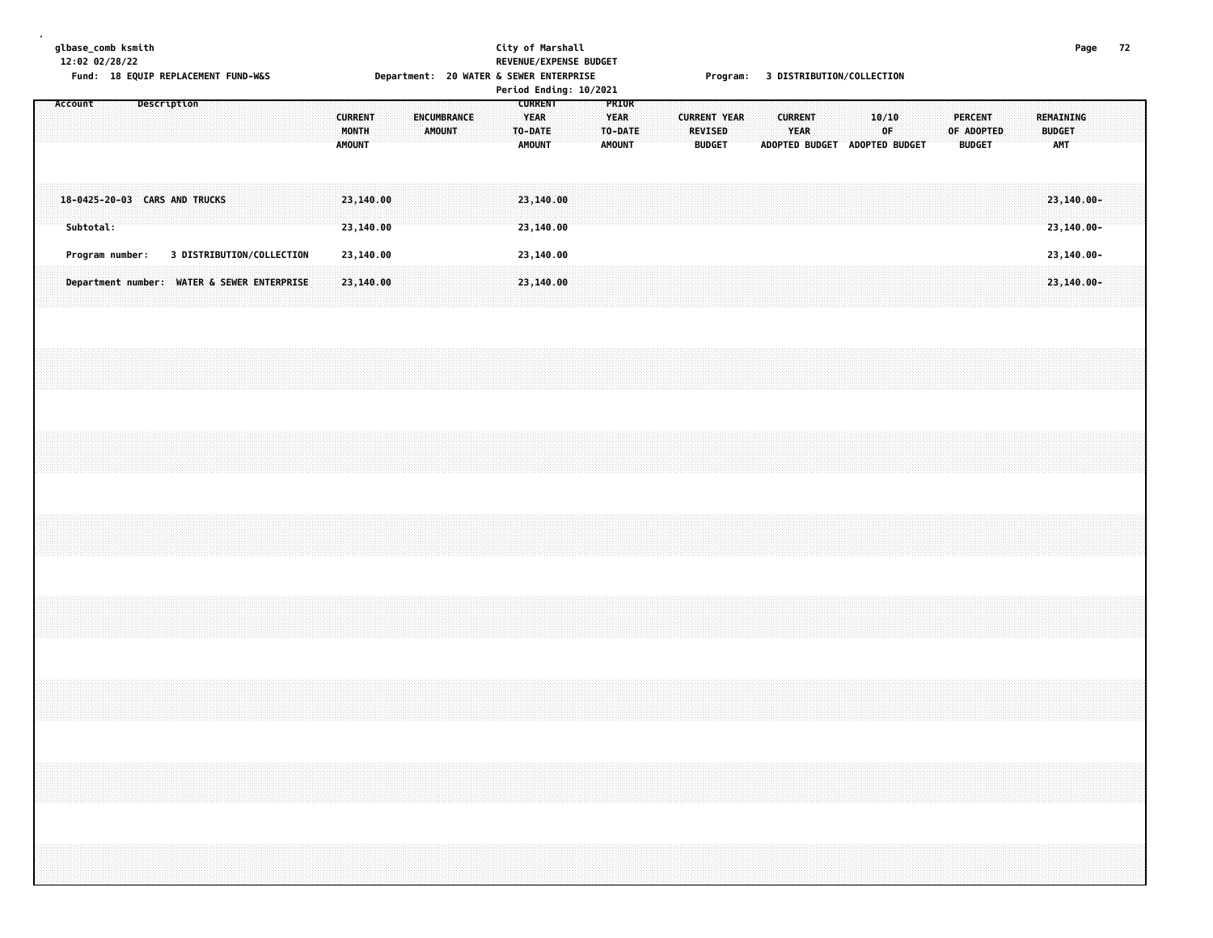| glbase_comb ksmith | 12:02 02/28/22<br>Fund: 18 EQUIP REPLACEMENT FUND-W&S |  |             |                           |  |  |                                          |  | Department: 20 WATER & SEWER ENTERPRISE |  |         | City of Marshall                               | REVENUE/EXPENSE BUDGET<br>Period Ending: 10/2021 |                                                  |  |                     |                                 |  |                        | Program: 3 DISTRIBUTION/COLLECTION |       |    |  |                              |               |  |                             | Page                         | 72 |  |
|--------------------|-------------------------------------------------------|--|-------------|---------------------------|--|--|------------------------------------------|--|-----------------------------------------|--|---------|------------------------------------------------|--------------------------------------------------|--------------------------------------------------|--|---------------------|---------------------------------|--|------------------------|------------------------------------|-------|----|--|------------------------------|---------------|--|-----------------------------|------------------------------|----|--|
| Account            |                                                       |  | Description |                           |  |  | <b>CURRENT</b><br>MONTH<br><b>AMOUNT</b> |  | ENCUMBRANCE<br><b>AMOUNT</b>            |  | TO-DATE | <b>CURRENT</b><br><b>YEAR</b><br><b>AMOUNT</b> |                                                  | PRIOR<br><b>YEAR</b><br>TO-DATE<br><b>AMOUNT</b> |  | <b>CURRENT YEAR</b> | <b>REVISED</b><br><b>BUDGET</b> |  | <b>CURRENT</b><br>YEAR | ADOPTED BUDGET ADOPTED BUDGET      | 10/10 | 0F |  | <b>PERCENT</b><br>OF ADOPTED | <b>BUDGET</b> |  | <b>BUDGET</b><br><b>AMT</b> | <b>REMAINING</b>             |    |  |
|                    | 18-0425-20-03 CARS AND TRUCKS<br>Subtotal:            |  |             |                           |  |  | 23,140.00<br>23,140.00                   |  |                                         |  |         | 23,140.00<br>23,140.00                         |                                                  |                                                  |  |                     |                                 |  |                        |                                    |       |    |  |                              |               |  |                             | 23,140.00-<br>$23, 140.00 -$ |    |  |
|                    | Program number:                                       |  |             | 3 DISTRIBUTION/COLLECTION |  |  | 23,140.00                                |  |                                         |  |         | 23,140.00                                      |                                                  |                                                  |  |                     |                                 |  |                        |                                    |       |    |  |                              |               |  |                             | 23,140.00-                   |    |  |
|                    | Department number: WATER & SEWER ENTERPRISE           |  |             |                           |  |  | 23,140.00                                |  |                                         |  |         | 23,140.00                                      |                                                  |                                                  |  |                     |                                 |  |                        |                                    |       |    |  |                              |               |  |                             | 23,140.00-                   |    |  |
|                    |                                                       |  |             |                           |  |  |                                          |  |                                         |  |         |                                                |                                                  |                                                  |  |                     |                                 |  |                        |                                    |       |    |  |                              |               |  |                             |                              |    |  |
|                    |                                                       |  |             |                           |  |  |                                          |  |                                         |  |         |                                                |                                                  |                                                  |  |                     |                                 |  |                        |                                    |       |    |  |                              |               |  |                             |                              |    |  |
|                    |                                                       |  |             |                           |  |  |                                          |  |                                         |  |         |                                                |                                                  |                                                  |  |                     |                                 |  |                        |                                    |       |    |  |                              |               |  |                             |                              |    |  |
|                    |                                                       |  |             |                           |  |  |                                          |  |                                         |  |         |                                                |                                                  |                                                  |  |                     |                                 |  |                        |                                    |       |    |  |                              |               |  |                             |                              |    |  |
|                    |                                                       |  |             |                           |  |  |                                          |  |                                         |  |         |                                                |                                                  |                                                  |  |                     |                                 |  |                        |                                    |       |    |  |                              |               |  |                             |                              |    |  |
|                    |                                                       |  |             |                           |  |  |                                          |  |                                         |  |         |                                                |                                                  |                                                  |  |                     |                                 |  |                        |                                    |       |    |  |                              |               |  |                             |                              |    |  |
|                    |                                                       |  |             |                           |  |  |                                          |  |                                         |  |         |                                                |                                                  |                                                  |  |                     |                                 |  |                        |                                    |       |    |  |                              |               |  |                             |                              |    |  |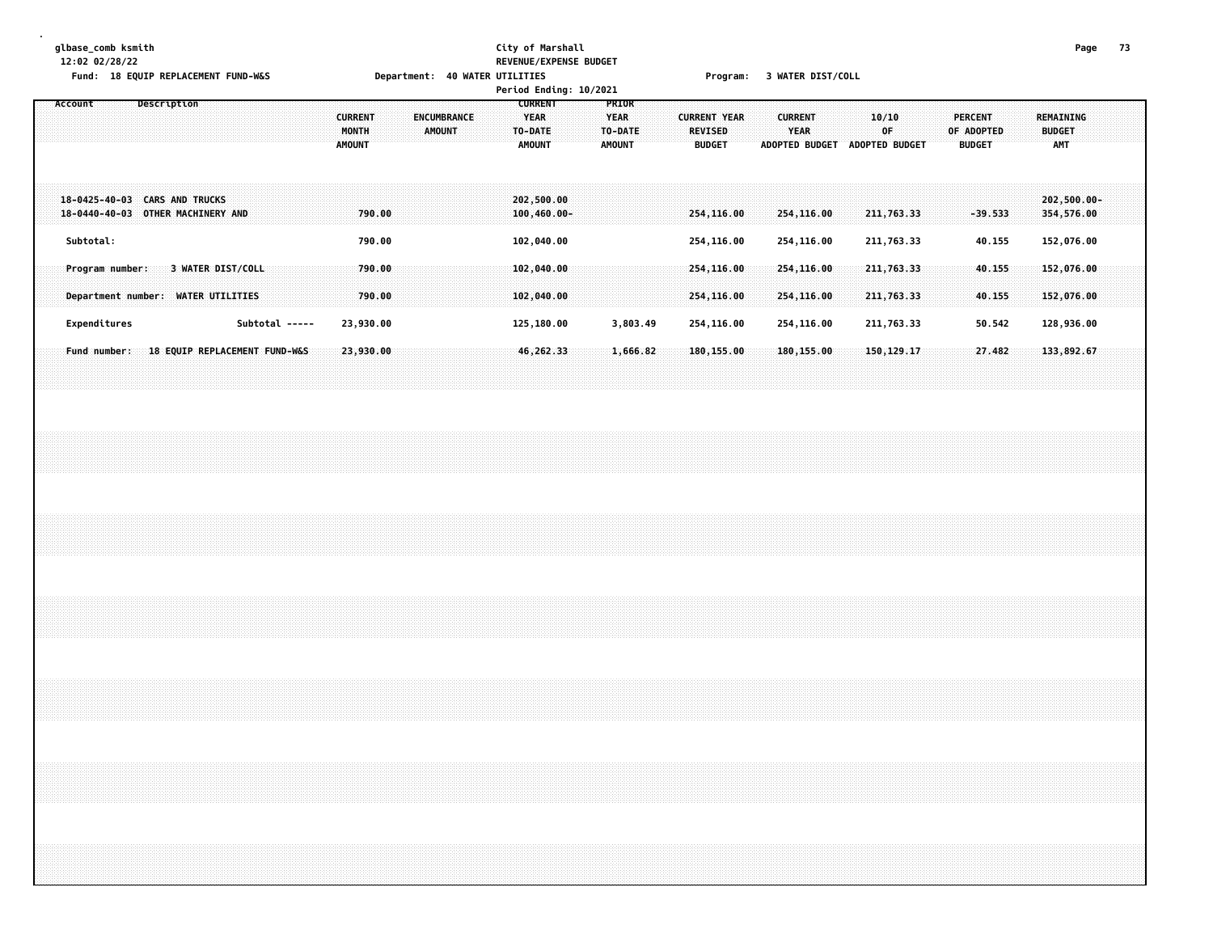#### **glbase\_comb ksmith City of Marshall Page 73 12:02 02/28/22 REVENUE/EXPENSE BUDGET**

Fund: 18 EQUIP REPLACEMENT FUND-W&S Department: 40 WATER UTILITIES Program: 3 WATER DIST/COLL

|                                                                                                              |                                          | Period Ending: 10/2021                                                                    |                                                                                                                                                                      |                                                                                                                                          |
|--------------------------------------------------------------------------------------------------------------|------------------------------------------|-------------------------------------------------------------------------------------------|----------------------------------------------------------------------------------------------------------------------------------------------------------------------|------------------------------------------------------------------------------------------------------------------------------------------|
| Description<br>Account                                                                                       | <b>CURRENT</b><br>MONTH<br><b>AMOUNT</b> | <b>CURRENT</b><br>ENCUMBRANCE<br><b>YEAR</b><br><b>AMOUNT</b><br>TO-DATE<br><b>AMOUNT</b> | PRIOR<br><b>YEAR</b><br><b>CURRENT</b><br><b>CURRENT YEAR</b><br>TO-DATE<br><b>REVISED</b><br><b>YEAR</b><br><b>AMOUNT</b><br><b>BUDGET</b><br><b>ADOPTED BUDGET</b> | <b>PERCENT</b><br><b>REMAINING</b><br>10/10<br>0F<br>OF ADOPTED<br><b>BUDGET</b><br><b>AMT</b><br><b>ADOPTED BUDGET</b><br><b>BUDGET</b> |
| <b>CARS AND TRUCKS</b><br>$18 - 0425 - 40 - 03$<br>$18 - 0440 - 40 - 03$<br>OTHER MACHINERY AND<br>Subtotal: | 790.00<br>790.00                         | 202,500.00<br>$100, 460.00 -$<br>102,040.00                                               | 254,116.00<br>254,116.00<br>254,116.00<br>254,116.00                                                                                                                 | $202,500.00 -$<br>211,763.33<br>$-39.533$<br>354,576.00<br>211,763.33<br>152,076.00<br>40.155                                            |
| <b>3 WATER DIST/COLL</b><br>Program number:<br><b>WATER UTILITIES</b><br>Department number:                  | 790.00<br>790.00                         | 102,040.00<br>102,040.00                                                                  | 254,116.00<br>254,116.00<br>254,116.00<br>254,116.00                                                                                                                 | 211, 763.33<br>40.155<br>152,076.00<br>211,763.33<br>152,076,00<br>40.155                                                                |
| Expenditures                                                                                                 | Subtotal -----<br>23,930.00              | 125,180.00                                                                                | 3,803.49<br>254,116.00<br>254,116.00                                                                                                                                 | 211,763.33<br>50.542<br>128,936.00                                                                                                       |
| 18 EQUIP REPLACEMENT FUND-W&S<br>Fund number:                                                                | 23,930.00                                | 46,262,33                                                                                 | 1,666,82<br>180, 155, 00<br>180,155.00                                                                                                                               | 150,129.17<br>27.482<br>133,892.67                                                                                                       |
|                                                                                                              |                                          |                                                                                           |                                                                                                                                                                      |                                                                                                                                          |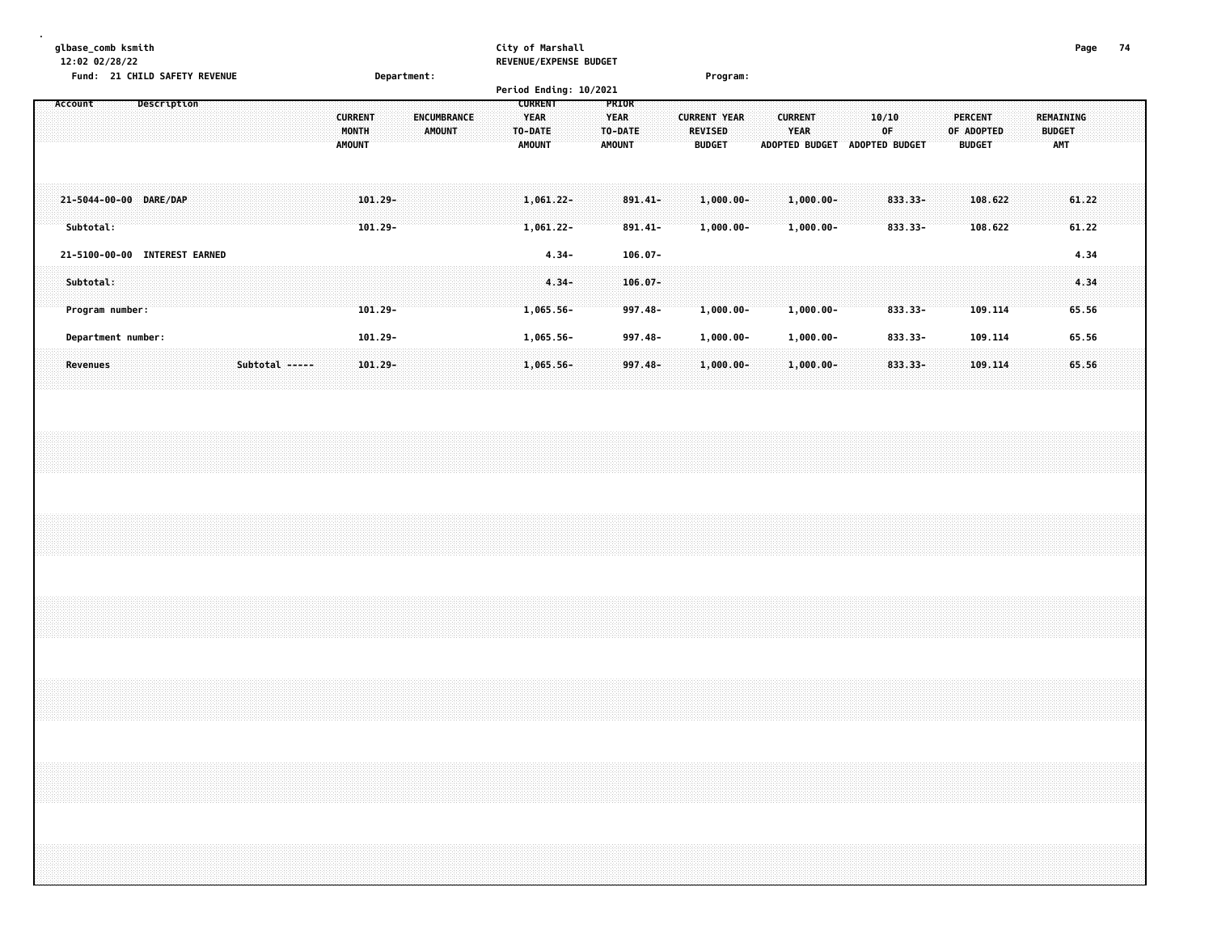|           | glbase_comb ksmith<br>12:02 02/28/22<br>Fund: 21 CHILD SAFETY REVENUE |             |  |  |                                          | Department: |                              |  | City of Marshall                                   | REVENUE/EXPENSE BUDGET<br>Period Ending: 10/2021 |                                       |                       |                                                        | Program:                    |                                                        |  |                                |                                        |                    |                                          | Page           | -74 |
|-----------|-----------------------------------------------------------------------|-------------|--|--|------------------------------------------|-------------|------------------------------|--|----------------------------------------------------|--------------------------------------------------|---------------------------------------|-----------------------|--------------------------------------------------------|-----------------------------|--------------------------------------------------------|--|--------------------------------|----------------------------------------|--------------------|------------------------------------------|----------------|-----|
| Account   |                                                                       | Description |  |  | <b>CURRENT</b><br>MONTH<br><b>AMOUNT</b> |             | <b>ENCUMBRANCE</b><br>AMOUNT |  | <b>CURRENT</b><br>YEAR<br>TO-DATE<br><b>AMOUNT</b> |                                                  | <b>PRIOR</b><br><b>YEAR</b><br>AMOUNT | TO-DATE               | <b>CURRENT YEAR</b><br><b>REVISED</b><br><b>BUDGET</b> |                             | <b>CURRENT</b><br><b>YEAR</b><br><b>ADOPTED BUDGET</b> |  | 10/10<br>0F.<br>ADOPTED BUDGET | PERCENT<br>OF ADOPTED<br><b>BUDGET</b> |                    | REMAINING<br><b>BUDGET</b><br><b>AMT</b> |                |     |
| Subtotal: | 21-5044-00-00 DARE/DAP                                                |             |  |  |                                          | $101.29 -$  |                              |  | .061.22-<br>1,061.22-                              |                                                  |                                       | 891.41-<br>$891.41 -$ |                                                        | $.000.00 -$<br>$1,000.00 -$ | L.000.00-<br>$1,000.00 -$                              |  | 833.33-<br>$833.33 -$          |                                        | 108.622<br>108.622 |                                          | 61.22<br>61.22 |     |

| <b>21-5100-00-00 INTEREST EARNED</b>                                                                                                                                 |                | 4.34-    |         |          |           |         |  |
|----------------------------------------------------------------------------------------------------------------------------------------------------------------------|----------------|----------|---------|----------|-----------|---------|--|
|                                                                                                                                                                      |                |          |         |          |           |         |  |
| ,我们就会在这里的时候,我们的时候,我们就会在这里的时候,我们就会在这里的时候,我们就会在这里的时候,我们就会在这里的时候,我们就会在这里的时候,我们就会在这里<br>第一百一十一章 我们的时候,我们就会在这里的时候,我们的时候,我们的时候,我们的时候,我们的时候,我们的时候,我们的时候,我们的时候,我们的时候,我们的时候,我 | $4.34-106.07-$ |          |         |          |           |         |  |
| roaram number:                   101.29-         1.065.56-    997.48-   1.000.00-    1.000.00-    833.33-    1<br><b>Program number:</b>                             |                |          |         |          |           | 109.114 |  |
| Department number:                                                                                                                                                   |                | .065.56- | 997.48– | .000.00- | 1.000.00- | 109.114 |  |
|                                                                                                                                                                      |                |          |         |          |           |         |  |
|                                                                                                                                                                      |                |          |         |          |           | .       |  |
|                                                                                                                                                                      |                |          |         |          |           |         |  |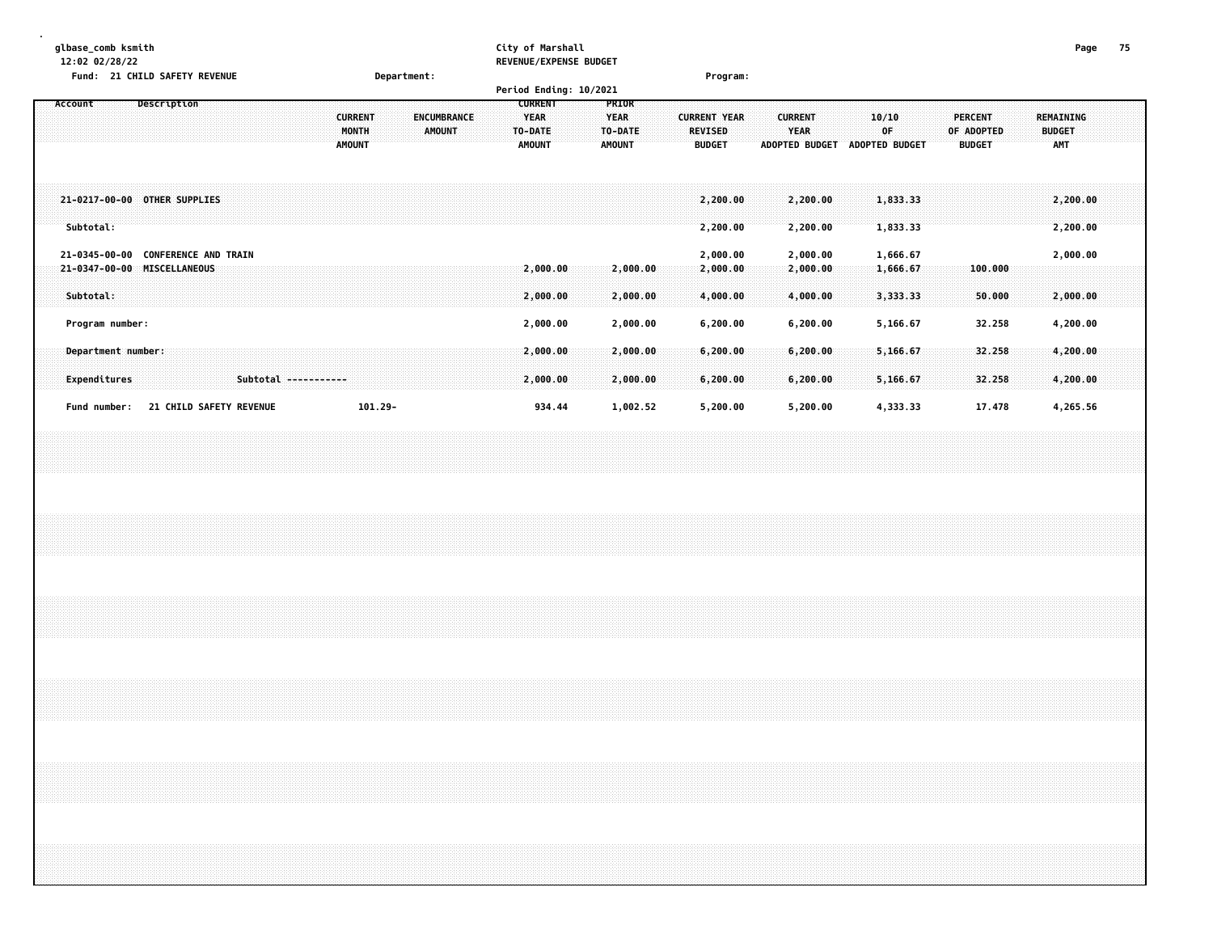| glbase_comb ksmith<br>12:02 02/28/22                         | Fund: 21 CHILD SAFETY REVENUE                       |                      |                                                 | Department: |                                     |  | City of Marshall<br><b>REVENUE/EXPENSE BUDGET</b><br>Period Ending: 10/2021 |                                                         | Program:                                               |                                                        |                                   |                                      |                                        | Page                                            | 75 |
|--------------------------------------------------------------|-----------------------------------------------------|----------------------|-------------------------------------------------|-------------|-------------------------------------|--|-----------------------------------------------------------------------------|---------------------------------------------------------|--------------------------------------------------------|--------------------------------------------------------|-----------------------------------|--------------------------------------|----------------------------------------|-------------------------------------------------|----|
| Account                                                      | Description                                         |                      | <b>CURRENT</b><br><b>MONTH</b><br><b>AMOUNT</b> |             | <b>ENCUMBRANCE</b><br><b>AMOUNT</b> |  | <b>CURRENT</b><br><b>YEAR</b><br>TO-DATE<br><b>AMOUNT</b>                   | <b>PRIOR</b><br><b>YEAR</b><br>TO-DATE<br><b>AMOUNT</b> | <b>CURRENT YEAR</b><br><b>REVISED</b><br><b>BUDGET</b> | <b>CURRENT</b><br><b>YEAR</b><br><b>ADOPTED BUDGET</b> |                                   | 10/10<br>OF<br><b>ADOPTED BUDGET</b> | PERCENT<br>OF ADOPTED<br><b>BUDGET</b> | <b>REMAINING</b><br><b>BUDGET</b><br><b>AMT</b> |    |
| 21-0217-00-00 OTHER SUPPLIES<br>Subtotal:                    |                                                     |                      |                                                 |             |                                     |  |                                                                             |                                                         | 2,200.00<br>2,200.00                                   |                                                        | 2,200.00<br>2,200.00              | 1,833.33<br>1,833.33                 |                                        | 2,200.00<br>2,200.00                            |    |
| 21-0345-00-00<br>21-0347-00-00<br>Subtotal:                  | <b>CONFERENCE AND TRAIN</b><br><b>MISCELLANEOUS</b> |                      |                                                 |             |                                     |  | 2,000.00<br>2,000.00                                                        | 2,000.00<br>2,000.00                                    | 2,000.00<br>2,000.00<br>4,000.00                       |                                                        | 2,000.00<br>2,000.00<br>4,000.00  | 1,666.67<br>1,666.67<br>3,333.33     | 100.000<br>50.000                      | 2,000.00<br>2,000.00                            |    |
| Program number:<br>Department number:<br><b>Expenditures</b> |                                                     | Subtotal ----------- |                                                 |             |                                     |  | 2,000.00<br>2,000.00<br>2,000.00                                            | 2,000.00<br>2,000.00<br>2,000.00                        | 6,200.00<br>6,200.00<br>6,200.00                       |                                                        | 6, 200.00<br>6,200.00<br>6,200.00 | 5,166.67<br>5,166.67<br>5,166.67     | 32.258<br>32.258<br>32.258             | 4,200.00<br>4,200.00<br>4,200.00                |    |
| Fund number:                                                 | <b>21 CHILD SAFETY REVENUE</b>                      |                      |                                                 | $101.29 -$  |                                     |  | 934.44                                                                      | 1,002.52                                                | 5,200.00                                               |                                                        | 5,200.00                          | 4,333.33                             | 17.478                                 | 4,265.56                                        |    |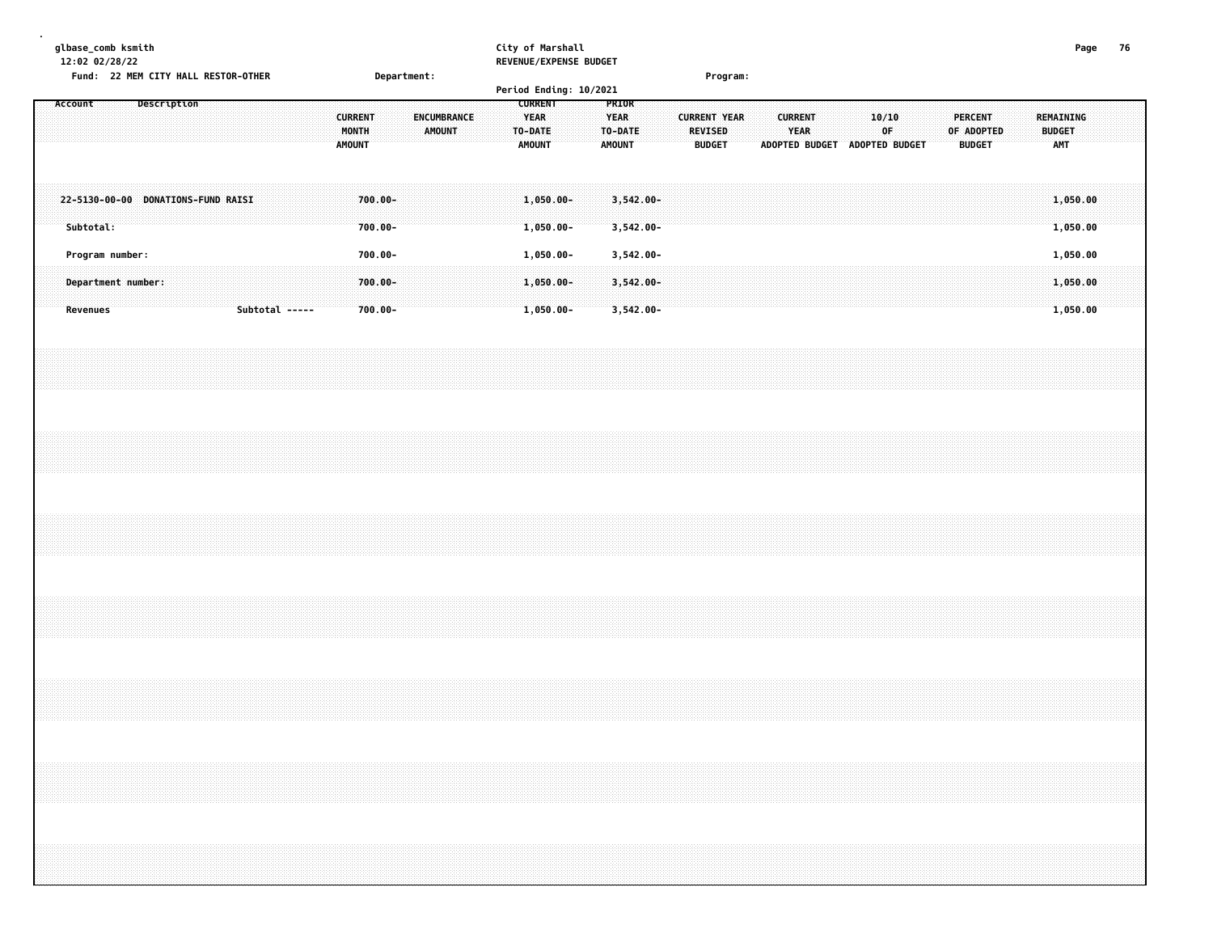| glbase_comb ksmith<br>12:02 02/28/22<br>Fund: 22 MEM CITY HALL RESTOR-OTHER<br>Department:                     | City of Marshall<br>REVENUE/EXPENSE BUDGET<br>Program:                                                                                                                                     | Page<br>76                                                                                                                                                          |
|----------------------------------------------------------------------------------------------------------------|--------------------------------------------------------------------------------------------------------------------------------------------------------------------------------------------|---------------------------------------------------------------------------------------------------------------------------------------------------------------------|
| Account<br>Description<br><b>CURRENT</b><br>ENCUMBRANCE<br>MONTH<br><b>AMOUNT</b><br><b>AMOUNT</b>             | Period Ending: 10/2021<br><b>CURRENT</b><br>PRIOR<br>YEAR<br><b>YEAR</b><br><b>CURRENT YEAR</b><br><b>REVISED</b><br>TO-DATE<br>TO-DATE<br><b>AMOUNT</b><br><b>AMOUNT</b><br><b>BUDGET</b> | <b>CURRENT</b><br>10/10<br><b>PERCENT</b><br>REMAINING<br><b>YEAR</b><br>0F<br>OF ADOPTED<br><b>BUDGET</b><br>ADOPTED BUDGET ADOPTED BUDGET<br><b>BUDGET</b><br>AMT |
| 22-5130-00-00 DONATIONS-FUND RAISI<br>$700.00 -$<br>Subtotal:<br>$700.00 -$                                    | $1,050.00 -$<br>$3,542.00 -$<br>1,050.00-<br>$3,542.00 -$                                                                                                                                  | 1,050.00<br>1,050.00                                                                                                                                                |
| 700.00-<br>Program number:<br>700.00-<br>Department number:<br>Subtotal -----<br>$700.00 -$<br><b>Revenues</b> | $1,050.00 -$<br>3,542.00-<br>$1,050.00 -$<br>$3,542.00 -$<br>$1,050.00 -$<br>$3,542.00 -$                                                                                                  | 1,050.00<br>1,050.00<br>1,050.00                                                                                                                                    |
|                                                                                                                |                                                                                                                                                                                            |                                                                                                                                                                     |
|                                                                                                                |                                                                                                                                                                                            |                                                                                                                                                                     |
|                                                                                                                |                                                                                                                                                                                            |                                                                                                                                                                     |
|                                                                                                                |                                                                                                                                                                                            |                                                                                                                                                                     |
|                                                                                                                |                                                                                                                                                                                            |                                                                                                                                                                     |
|                                                                                                                |                                                                                                                                                                                            |                                                                                                                                                                     |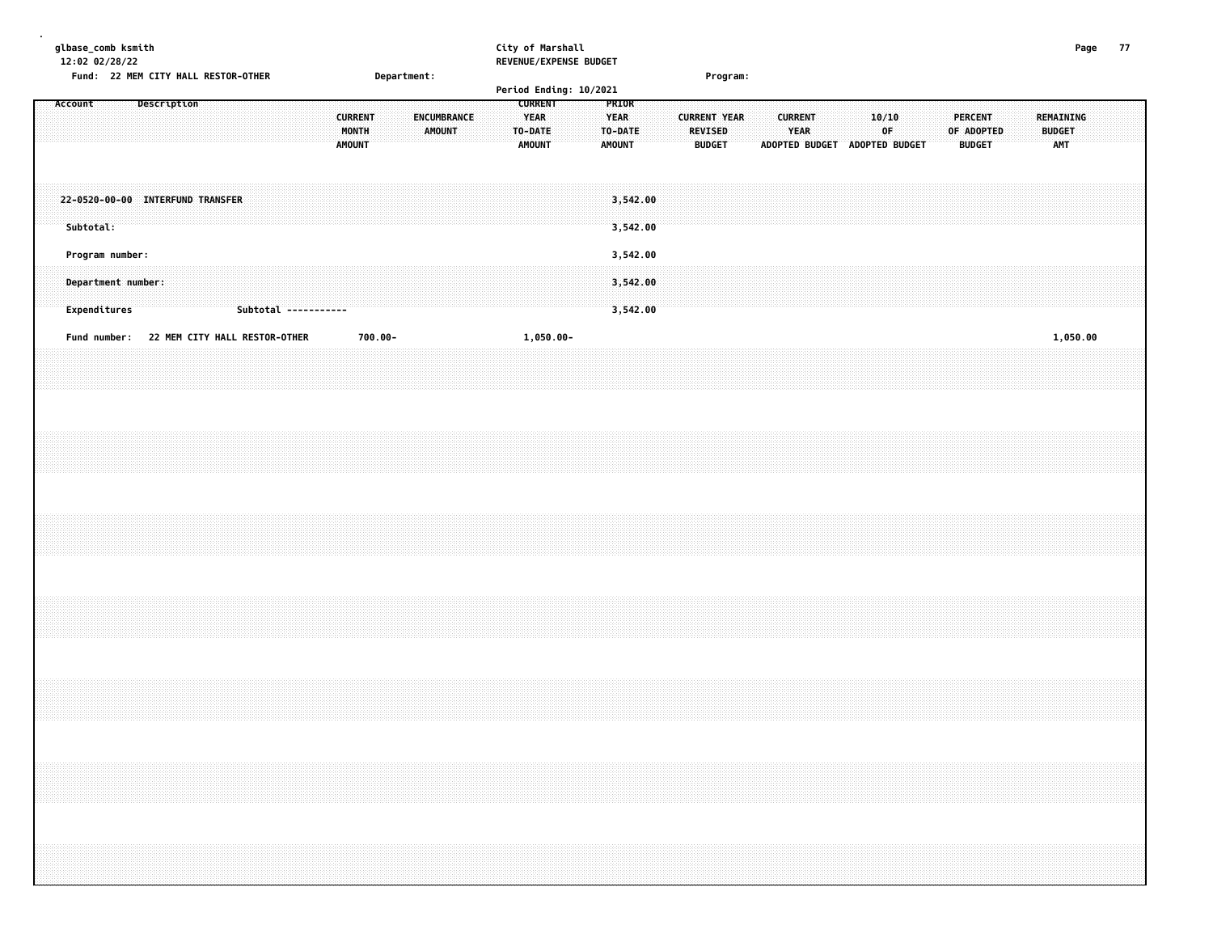| glbase_comb ksmith<br>12:02 02/28/22 | Fund: 22 MEM CITY HALL RESTOR-OTHER           |  |             |  |                               |  |  |                      |  |                                          |         |             |                              |  |                                                           |           | City of Marshall<br>REVENUE/EXPENSE BUDGET |                                       |                      |  |                                                        |  |                        |                               |       |    |  |                                               |  |                                          | Page | 77 |  |
|--------------------------------------|-----------------------------------------------|--|-------------|--|-------------------------------|--|--|----------------------|--|------------------------------------------|---------|-------------|------------------------------|--|-----------------------------------------------------------|-----------|--------------------------------------------|---------------------------------------|----------------------|--|--------------------------------------------------------|--|------------------------|-------------------------------|-------|----|--|-----------------------------------------------|--|------------------------------------------|------|----|--|
|                                      |                                               |  |             |  |                               |  |  |                      |  |                                          |         | Department: |                              |  |                                                           |           | Period Ending: 10/2021                     |                                       |                      |  | Program:                                               |  |                        |                               |       |    |  |                                               |  |                                          |      |    |  |
| Account                              |                                               |  | Description |  |                               |  |  |                      |  | <b>CURRENT</b><br>MONTH<br><b>AMOUNT</b> |         |             | ENCUMBRANCE<br><b>AMOUNT</b> |  | <b>CURRENT</b><br><b>YEAR</b><br>TO-DATE<br><b>AMOUNT</b> |           |                                            | PRIOR<br><b>YEAR</b><br><b>AMOUNT</b> | TO-DATE              |  | <b>CURRENT YEAR</b><br><b>REVISED</b><br><b>BUDGET</b> |  | <b>CURRENT</b><br>YEAR | ADOPTED BUDGET ADOPTED BUDGET | 10/10 | OF |  | <b>PERCENT</b><br>OF ADOPTED<br><b>BUDGET</b> |  | REMAINING<br><b>BUDGET</b><br><b>AMT</b> |      |    |  |
|                                      | 22-0520-00-00 INTERFUND TRANSFER<br>Subtotal: |  |             |  |                               |  |  |                      |  |                                          |         |             |                              |  |                                                           |           |                                            |                                       | 3,542.00<br>3,542.00 |  |                                                        |  |                        |                               |       |    |  |                                               |  |                                          |      |    |  |
|                                      | Program number:                               |  |             |  |                               |  |  |                      |  |                                          |         |             |                              |  |                                                           |           |                                            |                                       | 3,542.00             |  |                                                        |  |                        |                               |       |    |  |                                               |  |                                          |      |    |  |
|                                      | Department number:<br>Expenditures            |  |             |  |                               |  |  | Subtotal ----------- |  |                                          |         |             |                              |  |                                                           |           |                                            |                                       | 3,542.00<br>3,542.00 |  |                                                        |  |                        |                               |       |    |  |                                               |  |                                          |      |    |  |
|                                      | Fund number:                                  |  |             |  | 22 MEM CITY HALL RESTOR-OTHER |  |  |                      |  |                                          | 700.00- |             |                              |  |                                                           | 1,050.00- |                                            |                                       |                      |  |                                                        |  |                        |                               |       |    |  |                                               |  | 1,050.00                                 |      |    |  |
|                                      |                                               |  |             |  |                               |  |  |                      |  |                                          |         |             |                              |  |                                                           |           |                                            |                                       |                      |  |                                                        |  |                        |                               |       |    |  |                                               |  |                                          |      |    |  |
|                                      |                                               |  |             |  |                               |  |  |                      |  |                                          |         |             |                              |  |                                                           |           |                                            |                                       |                      |  |                                                        |  |                        |                               |       |    |  |                                               |  |                                          |      |    |  |
|                                      |                                               |  |             |  |                               |  |  |                      |  |                                          |         |             |                              |  |                                                           |           |                                            |                                       |                      |  |                                                        |  |                        |                               |       |    |  |                                               |  |                                          |      |    |  |
|                                      |                                               |  |             |  |                               |  |  |                      |  |                                          |         |             |                              |  |                                                           |           |                                            |                                       |                      |  |                                                        |  |                        |                               |       |    |  |                                               |  |                                          |      |    |  |
|                                      |                                               |  |             |  |                               |  |  |                      |  |                                          |         |             |                              |  |                                                           |           |                                            |                                       |                      |  |                                                        |  |                        |                               |       |    |  |                                               |  |                                          |      |    |  |
|                                      |                                               |  |             |  |                               |  |  |                      |  |                                          |         |             |                              |  |                                                           |           |                                            |                                       |                      |  |                                                        |  |                        |                               |       |    |  |                                               |  |                                          |      |    |  |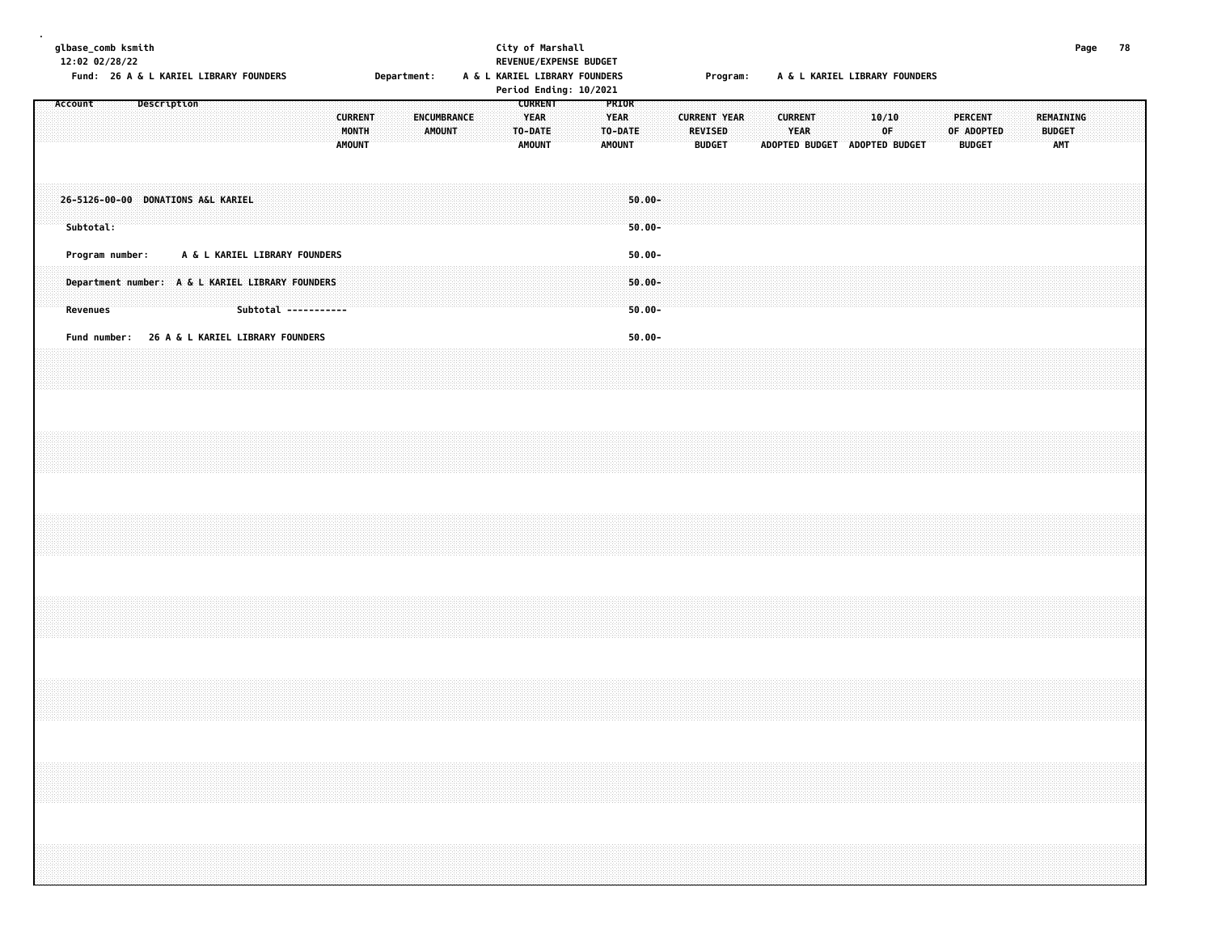| glbase_comb ksmith | 12:02 02/28/22              |  |                    |  |                                    | Fund: 26 A & L KARIEL LIBRARY FOUNDERS |                                                                                                           |                                          | Department: |        |             |  | City of Marshall<br>REVENUE/EXPENSE BUDGET<br>A & L KARIEL LIBRARY FOUNDERS<br>Period Ending: 10/2021 |  |                              |                  |                                     |                     |                                 | Program: |  |                        | A & L KARIEL LIBRARY FOUNDERS |       |    |  |                                               |  |           |                             | Page | 78 |
|--------------------|-----------------------------|--|--------------------|--|------------------------------------|----------------------------------------|-----------------------------------------------------------------------------------------------------------|------------------------------------------|-------------|--------|-------------|--|-------------------------------------------------------------------------------------------------------|--|------------------------------|------------------|-------------------------------------|---------------------|---------------------------------|----------|--|------------------------|-------------------------------|-------|----|--|-----------------------------------------------|--|-----------|-----------------------------|------|----|
| Account            |                             |  | <b>Description</b> |  |                                    |                                        |                                                                                                           | <b>CURRENT</b><br>MONTH<br><b>AMOUNT</b> |             | AMOUNT | ENCUMBRANCE |  | <b>CURRENT</b><br><b>YEAR</b><br>TO-DATE<br><b>AMOUNT</b>                                             |  | <b>YEAR</b><br><b>AMOUNT</b> | PRIOR<br>TO-DATE |                                     | <b>CURRENT YEAR</b> | <b>REVISED</b><br><b>BUDGET</b> |          |  | <b>CURRENT</b><br>YEAR | ADOPTED BUDGET ADOPTED BUDGET | 10/10 | 0F |  | <b>PERCENT</b><br>OF ADOPTED<br><b>BUDGET</b> |  | REMAINING | <b>BUDGET</b><br><b>AMT</b> |      |    |
|                    | Subtotal:                   |  |                    |  | 26-5126-00-00 DONATIONS A&L KARIEL |                                        |                                                                                                           |                                          |             |        |             |  |                                                                                                       |  |                              |                  | $50.00 -$<br>$50.00 -$              |                     |                                 |          |  |                        |                               |       |    |  |                                               |  |           |                             |      |    |
|                    | Program number:<br>Revenues |  |                    |  |                                    |                                        | A & L KARIEL LIBRARY FOUNDERS<br>Department number: A & L KARIEL LIBRARY FOUNDERS<br>Subtotal ----------- |                                          |             |        |             |  |                                                                                                       |  |                              |                  | $50.00 -$<br>$50.00 -$<br>$50.00 -$ |                     |                                 |          |  |                        |                               |       |    |  |                                               |  |           |                             |      |    |
|                    |                             |  |                    |  |                                    |                                        | Fund number: 26 A & L KARIEL LIBRARY FOUNDERS                                                             |                                          |             |        |             |  |                                                                                                       |  |                              |                  | $50.00 -$                           |                     |                                 |          |  |                        |                               |       |    |  |                                               |  |           |                             |      |    |
|                    |                             |  |                    |  |                                    |                                        |                                                                                                           |                                          |             |        |             |  |                                                                                                       |  |                              |                  |                                     |                     |                                 |          |  |                        |                               |       |    |  |                                               |  |           |                             |      |    |
|                    |                             |  |                    |  |                                    |                                        |                                                                                                           |                                          |             |        |             |  |                                                                                                       |  |                              |                  |                                     |                     |                                 |          |  |                        |                               |       |    |  |                                               |  |           |                             |      |    |
|                    |                             |  |                    |  |                                    |                                        |                                                                                                           |                                          |             |        |             |  |                                                                                                       |  |                              |                  |                                     |                     |                                 |          |  |                        |                               |       |    |  |                                               |  |           |                             |      |    |
|                    |                             |  |                    |  |                                    |                                        |                                                                                                           |                                          |             |        |             |  |                                                                                                       |  |                              |                  |                                     |                     |                                 |          |  |                        |                               |       |    |  |                                               |  |           |                             |      |    |
|                    |                             |  |                    |  |                                    |                                        |                                                                                                           |                                          |             |        |             |  |                                                                                                       |  |                              |                  |                                     |                     |                                 |          |  |                        |                               |       |    |  |                                               |  |           |                             |      |    |
|                    |                             |  |                    |  |                                    |                                        |                                                                                                           |                                          |             |        |             |  |                                                                                                       |  |                              |                  |                                     |                     |                                 |          |  |                        |                               |       |    |  |                                               |  |           |                             |      |    |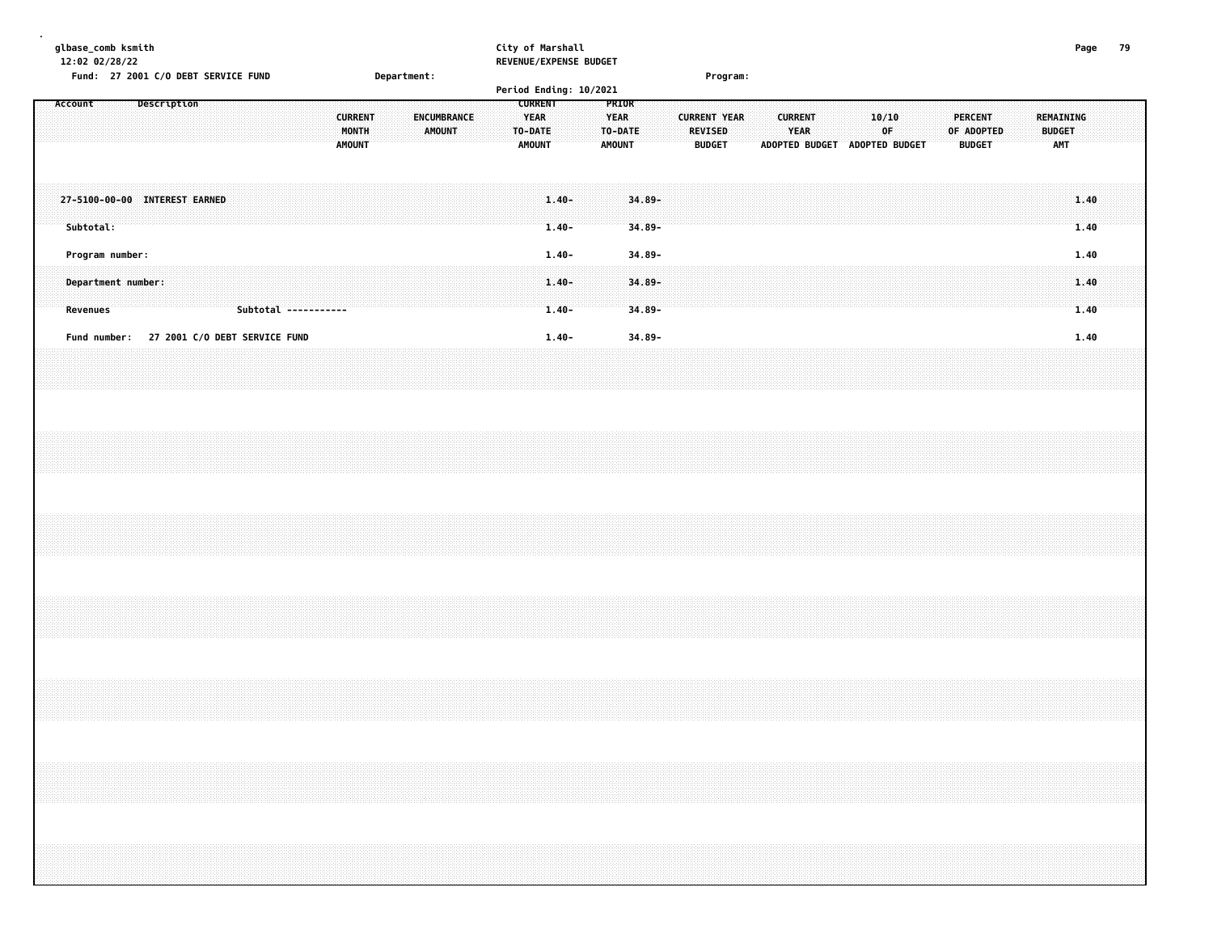| glbase_comb ksmith<br>12:02 02/28/22 |                |                    | City of Marshall<br><b>REVENUE/EXPENSE BUDGET</b> |                               |                                                                                                                                                                                                                                                                       | Page |  |
|--------------------------------------|----------------|--------------------|---------------------------------------------------|-------------------------------|-----------------------------------------------------------------------------------------------------------------------------------------------------------------------------------------------------------------------------------------------------------------------|------|--|
| Fund: 27 2001 C/O DEBT SERVICE FUND  |                | <b>Department:</b> |                                                   | Program:                      |                                                                                                                                                                                                                                                                       |      |  |
|                                      |                |                    | Period Ending: 10/2021                            |                               |                                                                                                                                                                                                                                                                       |      |  |
| Description<br>Account               |                |                    |                                                   |                               |                                                                                                                                                                                                                                                                       |      |  |
|                                      |                |                    |                                                   |                               |                                                                                                                                                                                                                                                                       |      |  |
|                                      | <b>CURRENT</b> |                    | <b>EXAMPLE AND YEAR WEAR</b><br>.                 | .                             | .                                                                                                                                                                                                                                                                     |      |  |
|                                      |                |                    |                                                   |                               |                                                                                                                                                                                                                                                                       |      |  |
|                                      | <b>MONTH</b>   | .                  | AMOUNT TO-DATE TO-DATE<br>.                       | <b>YEAR</b><br><b>REVISED</b> | <b>BUDGET</b><br><u>of the of the community of the community of the community of the community of the community of the community of the community of the community of the community of the community of the community of the community of the com</u><br>una na nashr |      |  |

| ADOPTED BUDGET ADOPTED BUDGET<br><b>AMOUNT</b><br><b>BUDGET</b><br><b>AMOUNT</b><br><b>BUDGET</b><br><b>AMT</b><br><b>AMOUNT</b><br>27-5100-00-00 INTEREST EARNED 1.40-34.89-<br>$34.89 -$<br>$1.40 -$<br>1.40<br>34.89-<br>Program number:<br>$1.40 -$<br>1.40<br>Department number:<br>$1.40 -$<br>$34.89 -$<br>$34.89 -$<br>1.40<br>Subtotal -----------<br>$1.40 -$<br>Fund number: 27 2001 C/O DEBT SERVICE FUND<br>$34.89 -$<br>1.40-<br>1.40 |                 |           |  |
|-----------------------------------------------------------------------------------------------------------------------------------------------------------------------------------------------------------------------------------------------------------------------------------------------------------------------------------------------------------------------------------------------------------------------------------------------------|-----------------|-----------|--|
|                                                                                                                                                                                                                                                                                                                                                                                                                                                     | <b>Revenues</b> | Subtotal: |  |
|                                                                                                                                                                                                                                                                                                                                                                                                                                                     |                 |           |  |
|                                                                                                                                                                                                                                                                                                                                                                                                                                                     |                 |           |  |
|                                                                                                                                                                                                                                                                                                                                                                                                                                                     |                 |           |  |
|                                                                                                                                                                                                                                                                                                                                                                                                                                                     |                 |           |  |
|                                                                                                                                                                                                                                                                                                                                                                                                                                                     |                 |           |  |
|                                                                                                                                                                                                                                                                                                                                                                                                                                                     |                 |           |  |
|                                                                                                                                                                                                                                                                                                                                                                                                                                                     |                 |           |  |
|                                                                                                                                                                                                                                                                                                                                                                                                                                                     |                 |           |  |
|                                                                                                                                                                                                                                                                                                                                                                                                                                                     |                 |           |  |
|                                                                                                                                                                                                                                                                                                                                                                                                                                                     |                 |           |  |
|                                                                                                                                                                                                                                                                                                                                                                                                                                                     |                 |           |  |
|                                                                                                                                                                                                                                                                                                                                                                                                                                                     |                 |           |  |
|                                                                                                                                                                                                                                                                                                                                                                                                                                                     |                 |           |  |
|                                                                                                                                                                                                                                                                                                                                                                                                                                                     |                 |           |  |
|                                                                                                                                                                                                                                                                                                                                                                                                                                                     |                 |           |  |
|                                                                                                                                                                                                                                                                                                                                                                                                                                                     |                 |           |  |
|                                                                                                                                                                                                                                                                                                                                                                                                                                                     |                 |           |  |
|                                                                                                                                                                                                                                                                                                                                                                                                                                                     |                 |           |  |
|                                                                                                                                                                                                                                                                                                                                                                                                                                                     |                 |           |  |
|                                                                                                                                                                                                                                                                                                                                                                                                                                                     |                 |           |  |
|                                                                                                                                                                                                                                                                                                                                                                                                                                                     |                 |           |  |
|                                                                                                                                                                                                                                                                                                                                                                                                                                                     |                 |           |  |
|                                                                                                                                                                                                                                                                                                                                                                                                                                                     |                 |           |  |
|                                                                                                                                                                                                                                                                                                                                                                                                                                                     |                 |           |  |
|                                                                                                                                                                                                                                                                                                                                                                                                                                                     |                 |           |  |
|                                                                                                                                                                                                                                                                                                                                                                                                                                                     |                 |           |  |
|                                                                                                                                                                                                                                                                                                                                                                                                                                                     |                 |           |  |
|                                                                                                                                                                                                                                                                                                                                                                                                                                                     |                 |           |  |
|                                                                                                                                                                                                                                                                                                                                                                                                                                                     |                 |           |  |
|                                                                                                                                                                                                                                                                                                                                                                                                                                                     |                 |           |  |
|                                                                                                                                                                                                                                                                                                                                                                                                                                                     |                 |           |  |
|                                                                                                                                                                                                                                                                                                                                                                                                                                                     |                 |           |  |
|                                                                                                                                                                                                                                                                                                                                                                                                                                                     |                 |           |  |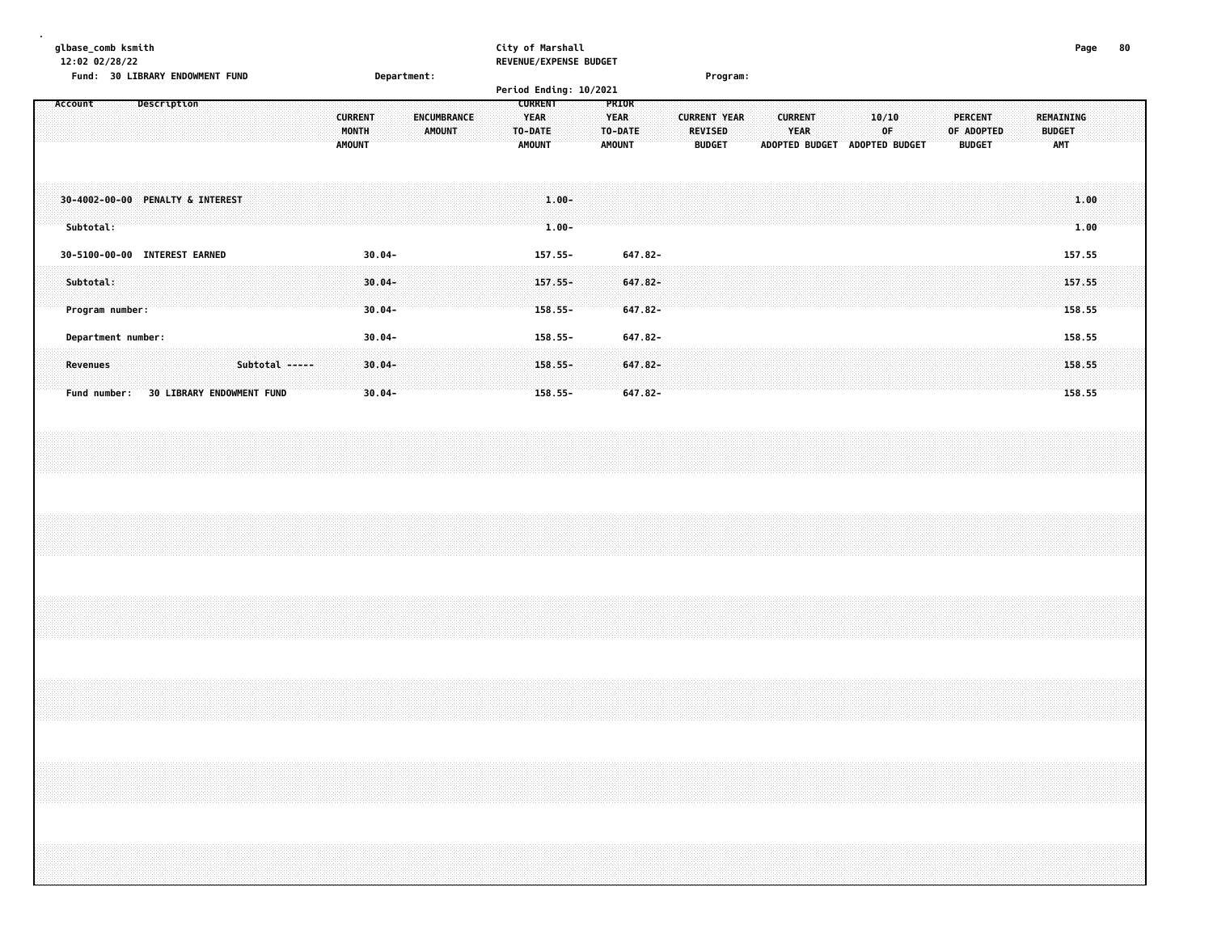| glbase_comb ksmith<br>12:02 02/28/22<br>Fund: 30 LIBRARY ENDOWMENT FUND | Department:                                                              | City of Marshall<br>REVENUE/EXPENSE BUDGET<br>Program:                                                                                                                                                                            | 80<br>Page                                                                                       |
|-------------------------------------------------------------------------|--------------------------------------------------------------------------|-----------------------------------------------------------------------------------------------------------------------------------------------------------------------------------------------------------------------------------|--------------------------------------------------------------------------------------------------|
|                                                                         |                                                                          | Period Ending: 10/2021                                                                                                                                                                                                            |                                                                                                  |
| Description<br>Account                                                  |                                                                          | <b>CURRENT</b><br><b>PRIOR</b>                                                                                                                                                                                                    |                                                                                                  |
|                                                                         | ENCUMBRANCE<br><b>CURRENT</b><br>MONTH<br><b>AMOUNT</b><br><b>AMOUNT</b> | <b>YEAR</b><br><b>YEAR</b><br><b>CURRENT YEAR</b><br><b>CURRENT</b><br>10/10<br>TO-DATE<br><b>REVISED</b><br>YEAR<br>0F<br>TO-DATE:<br><b>AMOUNT</b><br><b>BUDGET</b><br><b>ADOPTED BUDGET</b><br><b>AMOUNT</b><br>ADOPTED BUDGET | <b>PERCENT</b><br><b>REMAINING</b><br>OF ADOPTED<br><b>BUDGET</b><br><b>AMT</b><br><b>BUDGET</b> |
| 30-4002-00-00 PENALTY & INTEREST<br>Subtotal:                           |                                                                          | $1.00 -$<br>$1.00 -$                                                                                                                                                                                                              | 1.00<br>1.00                                                                                     |
| 30-5100-00-00 INTEREST EARNED                                           | $30.04 -$                                                                | $157.55 -$<br>647.82-                                                                                                                                                                                                             | 157.55                                                                                           |
| Subtotal:<br>Program number:                                            | $30.04 -$<br>$30.04 -$                                                   | $157.55 -$<br>$647.82 -$<br>647.82-<br>158.55-                                                                                                                                                                                    | 157.55<br>158.55                                                                                 |
| Department number:                                                      | $30.04 -$                                                                | 647.82-<br>158.55-                                                                                                                                                                                                                | 158.55                                                                                           |
| Revenues<br>Subtotal -----                                              | $30.04 -$                                                                | $647.82 -$<br>$158.55 -$                                                                                                                                                                                                          | 158.55                                                                                           |

 **Fund number: 30 LIBRARY ENDOWMENT FUND 30.04- 158.55- 647.82- 158.55**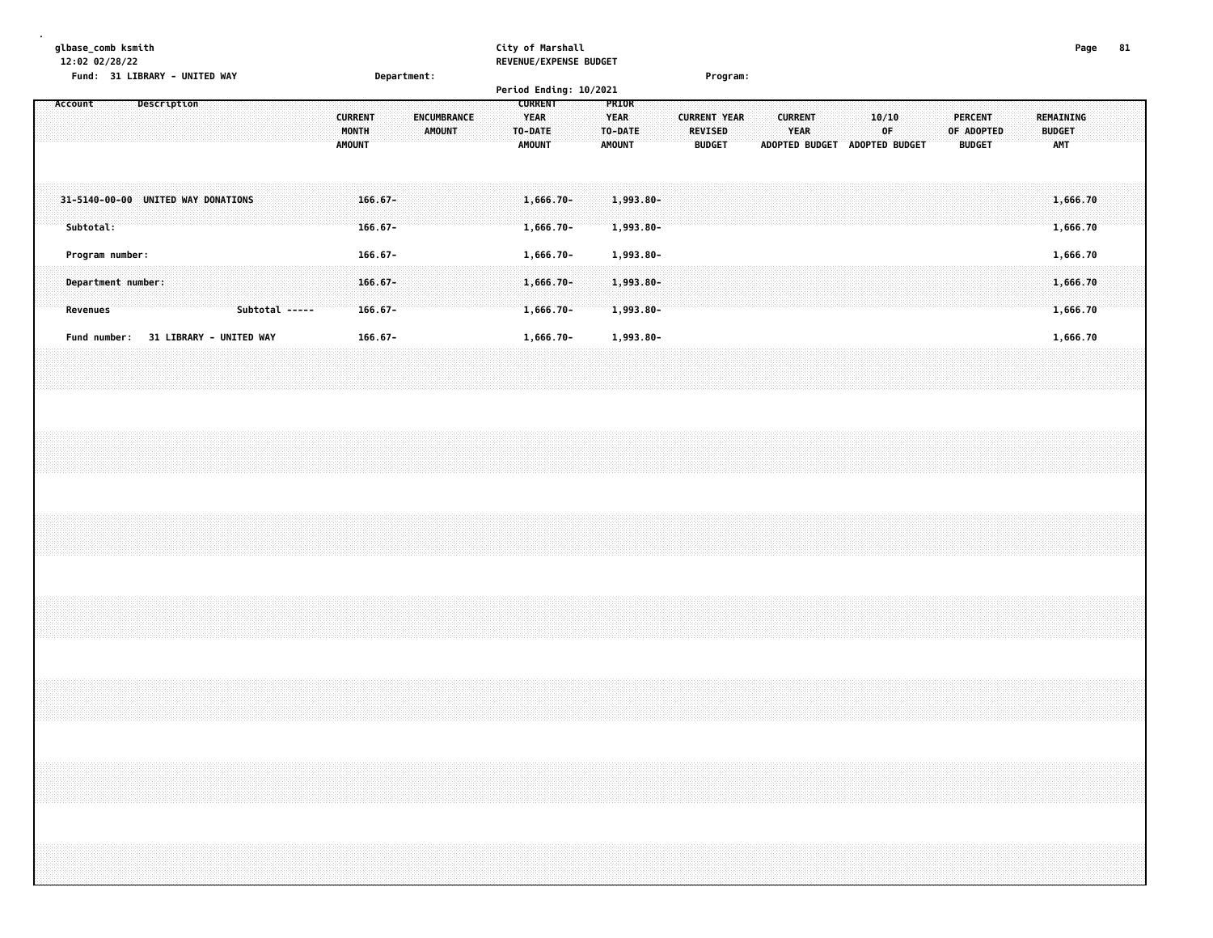**glbase\_comb ksmith City of Marshall Page 81 12:02 02/28/22 REVENUE/EXPENSE BUDGET Fund: 31 LIBRARY - UNITED WAY Department: Program: Period Ending: 10/2021 Account Description CURRENT PRIOR CURRENT ENCUMBRANCE YEAR YEAR CURRENT YEAR CURRENT 10/10 PERCENT REMAINING MONTH AMOUNT TO-DATE TO-DATE REVISED YEAR OF OF ADOPTED BUDGET AMOUNT AMOUNT AMOUNT BUDGET ADOPTED BUDGET ADOPTED BUDGET BUDGET AMT**

| $31 - 5140 - 00 - 00$<br>Subtotal | UNITED WAY DONATIONS           | $166.67 -$                   | $166.67 -$                   | $1,666.70 - 1,993.80 -$ | $1,993,80-$                                                                                            |  | 1,666.70 |
|-----------------------------------|--------------------------------|------------------------------|------------------------------|-------------------------|--------------------------------------------------------------------------------------------------------|--|----------|
| Program number:                   |                                | $166.67 -$                   |                              | 1,666.70-               | 1,993.80-                                                                                              |  | 1.666.70 |
| Revenues                          |                                | $166.67 -$<br>Subtotal ----- | Department number: 166.67- 1 | .<br>.<br>$1,666.70 -$  | $\mathbf{1.1993.80}$ . The constraint of the constraint of the constraint $\mathbf{0.11}$<br>1,993.80- |  | .666.70  |
|                                   | <b>31 LIBRARY - UNITED WAY</b> | 166.67-                      |                              | 1,666.70-               | 1,993.80-                                                                                              |  | . 666.   |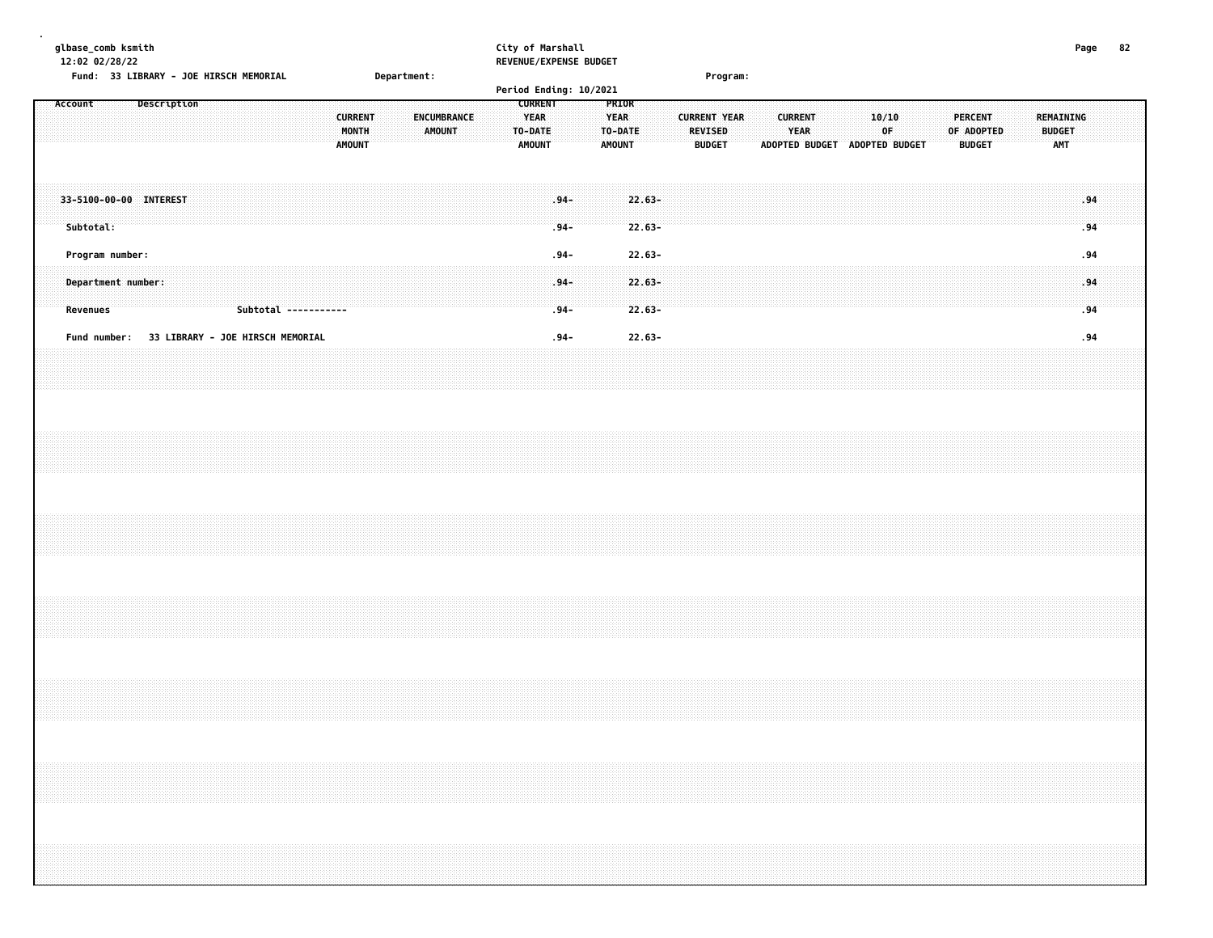| glbase_comb ksmith<br>12:02 02/28/22<br>Fund: 33 LIBRARY - JOE HIRSCH MEMORIAL |                                               | Department:                  | City of Marshall<br>REVENUE/EXPENSE BUDGET<br>Period Ending: 10/2021                                          | Program:                                               |                                                                                                                         | 82<br>Page                               |
|--------------------------------------------------------------------------------|-----------------------------------------------|------------------------------|---------------------------------------------------------------------------------------------------------------|--------------------------------------------------------|-------------------------------------------------------------------------------------------------------------------------|------------------------------------------|
| Description<br>Account                                                         | <b>CURRENT</b><br>MONTH<br><b>AMOUNT</b>      | <b>ENCUMBRANCE</b><br>AMOUNT | <b>CURRENT</b><br>PRIOR<br><b>YEAR</b><br><b>YEAR</b><br>TO-DATE<br>TO-DATE<br><b>AMOUNT</b><br><b>AMOUNT</b> | <b>CURRENT YEAR</b><br><b>REVISED</b><br><b>BUDGET</b> | <b>CURRENT</b><br>10/10<br><b>PERCENT</b><br>YEAR<br>0F<br>OF ADOPTED<br>ADOPTED BUDGET ADOPTED BUDGET<br><b>BUDGET</b> | REMAINING<br><b>BUDGET</b><br><b>AMT</b> |
| 33-5100-00-00 INTEREST<br>Subtotal:                                            |                                               |                              | $.94 -$<br>$22.63 -$<br>$.94 -$<br>$22.63 -$                                                                  |                                                        |                                                                                                                         | .94<br>.94                               |
| Program number:<br>Department number:<br>Revenues                              | Subtotal -----------                          |                              | $22.63 -$<br>$.94 -$<br>$22.63 -$<br>$.94 -$<br>$22.63 -$<br>$.94-$                                           |                                                        |                                                                                                                         | .94<br>.94<br>.94                        |
|                                                                                | Fund number: 33 LIBRARY - JOE HIRSCH MEMORIAL |                              | $22.63 -$<br>$.94 -$                                                                                          |                                                        |                                                                                                                         | .94                                      |
|                                                                                |                                               |                              |                                                                                                               |                                                        |                                                                                                                         |                                          |
|                                                                                |                                               |                              |                                                                                                               |                                                        |                                                                                                                         |                                          |
|                                                                                |                                               |                              |                                                                                                               |                                                        |                                                                                                                         |                                          |
|                                                                                |                                               |                              |                                                                                                               |                                                        |                                                                                                                         |                                          |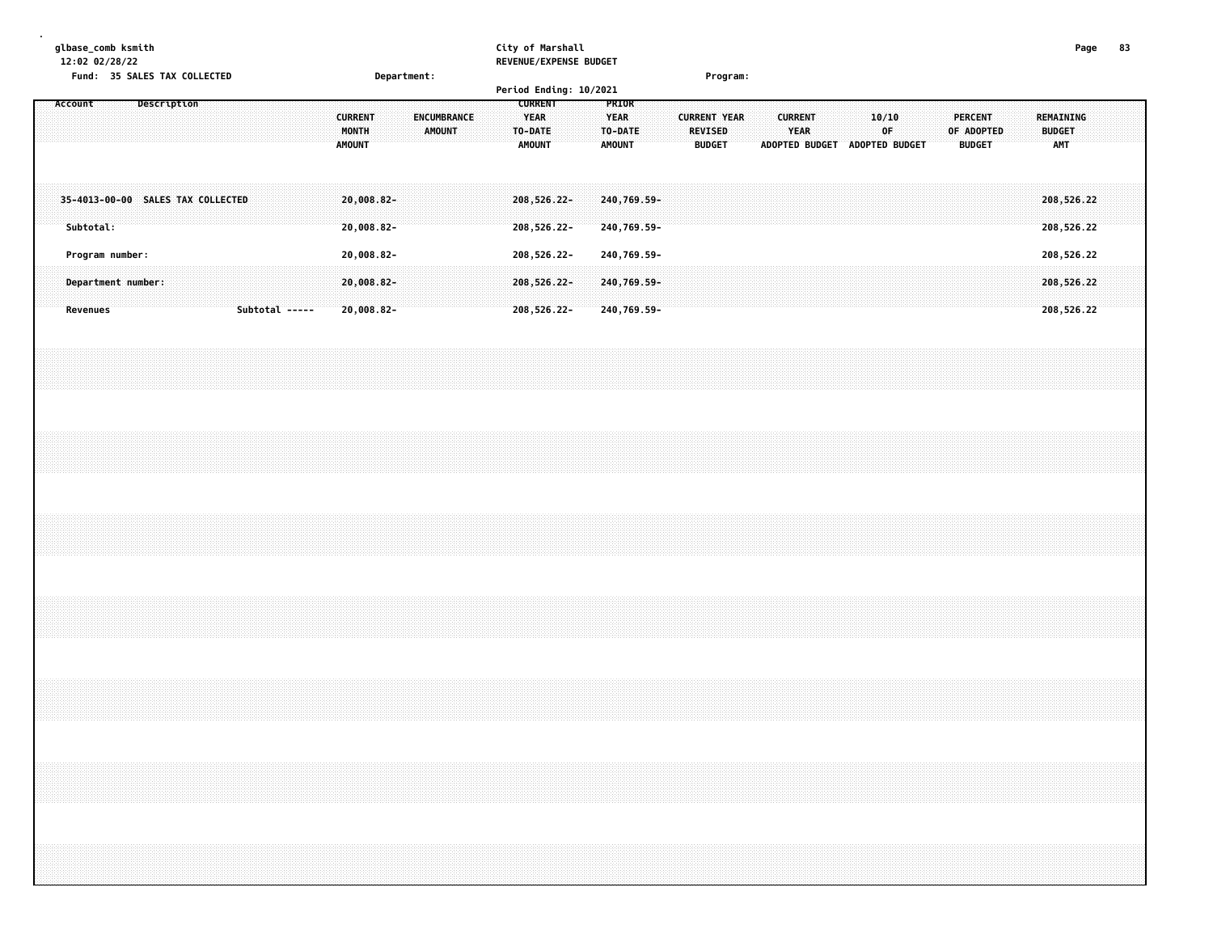|  |                 | 12:02 02/28/22  | glbase_comb ksmith<br>Fund: 35 SALES TAX COLLECTED                                                                                                                   |             |  |  |                |  |                                          | Department:                 |  |               |             |  | City of Marshall |                                                    |                            | REVENUE/EXPENSE BUDGET<br>Period Ending: 10/2021 |                                |                            |  |                     |                                 | Program: |                               |                        |  |             |  |                              |               |  |                                          | Page                     | 83 |  |
|--|-----------------|-----------------|----------------------------------------------------------------------------------------------------------------------------------------------------------------------|-------------|--|--|----------------|--|------------------------------------------|-----------------------------|--|---------------|-------------|--|------------------|----------------------------------------------------|----------------------------|--------------------------------------------------|--------------------------------|----------------------------|--|---------------------|---------------------------------|----------|-------------------------------|------------------------|--|-------------|--|------------------------------|---------------|--|------------------------------------------|--------------------------|----|--|
|  | Account         |                 |                                                                                                                                                                      | Description |  |  |                |  | <b>CURRENT</b><br>MONTH<br><b>AMOUNT</b> |                             |  | <b>AMOUNT</b> | ENCUMBRANCE |  |                  | <b>CURRENT</b><br><b>YEAR</b><br>TO-DATE<br>AMOUNT |                            |                                                  | PRIOR<br><b>YEAR</b><br>AMOUNT | TO-DATE                    |  | <b>CURRENT YEAR</b> | <b>REVISED</b><br><b>BUDGET</b> |          | ADOPTED BUDGET ADOPTED BUDGET | <b>CURRENT</b><br>YEAR |  | 10/10<br>0F |  | <b>PERCENT</b><br>OF ADOPTED | <b>BUDGET</b> |  | <b>REMAINING</b><br><b>BUDGET</b><br>AMT |                          |    |  |
|  | Subtotal:       |                 | 35-4013-00-00 SALES TAX COLLECTED                                                                                                                                    |             |  |  |                |  |                                          | $20,008.82 -$<br>20,008.82- |  |               |             |  |                  |                                                    | 208,526.22-<br>208,526.22- |                                                  |                                | 240,769.59-<br>240,769.59- |  |                     |                                 |          |                               |                        |  |             |  |                              |               |  |                                          | 208,526.22<br>208,526.22 |    |  |
|  |                 | Program number: |                                                                                                                                                                      |             |  |  |                |  |                                          | 20,008.82-                  |  |               |             |  |                  |                                                    | 208,526.22-                |                                                  |                                | 240,769.59-                |  |                     |                                 |          |                               |                        |  |             |  |                              |               |  |                                          | 208,526.22               |    |  |
|  | <b>Revenues</b> |                 | Department number:                                                                                                                                                   |             |  |  | Subtotal ----- |  |                                          | 20,008.82-<br>20,008.82-    |  |               |             |  |                  |                                                    | 208,526.22-<br>208,526.22- |                                                  |                                | 240,769.59-<br>240,769.59- |  |                     |                                 |          |                               |                        |  |             |  |                              |               |  |                                          | 208,526.22<br>208,526.22 |    |  |
|  |                 |                 |                                                                                                                                                                      |             |  |  |                |  |                                          |                             |  |               |             |  |                  |                                                    |                            |                                                  |                                |                            |  |                     |                                 |          |                               |                        |  |             |  |                              |               |  |                                          |                          |    |  |
|  |                 |                 |                                                                                                                                                                      |             |  |  |                |  |                                          |                             |  |               |             |  |                  |                                                    |                            |                                                  |                                |                            |  |                     |                                 |          |                               |                        |  |             |  |                              |               |  |                                          |                          |    |  |
|  |                 |                 |                                                                                                                                                                      |             |  |  |                |  |                                          |                             |  |               |             |  |                  |                                                    |                            |                                                  |                                |                            |  |                     |                                 |          |                               |                        |  |             |  |                              |               |  |                                          |                          |    |  |
|  |                 |                 |                                                                                                                                                                      |             |  |  |                |  |                                          |                             |  |               |             |  |                  |                                                    |                            |                                                  |                                |                            |  |                     |                                 |          |                               |                        |  |             |  |                              |               |  |                                          |                          |    |  |
|  |                 |                 |                                                                                                                                                                      |             |  |  |                |  |                                          |                             |  |               |             |  |                  |                                                    |                            |                                                  |                                |                            |  |                     |                                 |          |                               |                        |  |             |  |                              |               |  |                                          |                          |    |  |
|  |                 |                 | ,我们就会在这里,我们就会在这里的时候,我们就会在这里,我们就会在这里,我们就会在这里,我们就会在这里,我们就会在这里,我们就会在这里,我们就会在这里,我们就会<br>第25章 我们的时候,我们就会在这里,我们就会在这里,我们就会在这里,我们就会在这里,我们就会在这里,我们就会在这里,我们就会在这里,我们就会在这里,我们就会在 |             |  |  |                |  |                                          |                             |  |               |             |  |                  |                                                    |                            |                                                  |                                |                            |  |                     |                                 |          |                               |                        |  |             |  |                              |               |  |                                          |                          |    |  |
|  |                 |                 |                                                                                                                                                                      |             |  |  |                |  |                                          |                             |  |               |             |  |                  |                                                    |                            |                                                  |                                |                            |  |                     |                                 |          |                               |                        |  |             |  |                              |               |  |                                          |                          |    |  |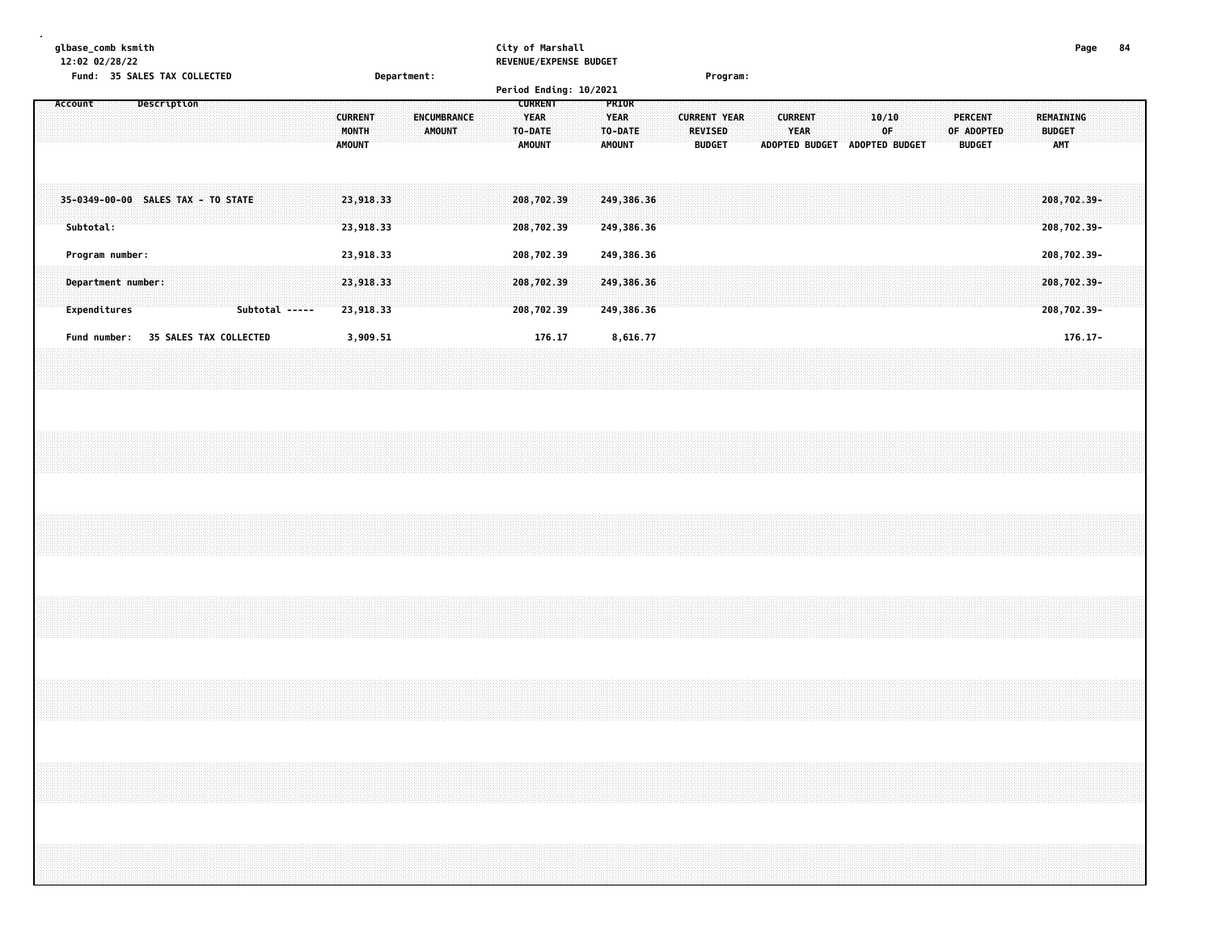|  |           | glbase_comb ksmith<br>12:02 02/28/22 |                    |             | Fund: 35 SALES TAX COLLECTED |                                    |                               |  |  |                                          | Department: |        |             |  | City of Marshall                       |                                                | REVENUE/EXPENSE BUDGET |                                                  |  |                     | Program:                        |  |                               |  |             |                               |  |                                               |  |                                          | Page                                      | 84 |  |
|--|-----------|--------------------------------------|--------------------|-------------|------------------------------|------------------------------------|-------------------------------|--|--|------------------------------------------|-------------|--------|-------------|--|----------------------------------------|------------------------------------------------|------------------------|--------------------------------------------------|--|---------------------|---------------------------------|--|-------------------------------|--|-------------|-------------------------------|--|-----------------------------------------------|--|------------------------------------------|-------------------------------------------|----|--|
|  | Account   |                                      |                    | Description |                              |                                    |                               |  |  | <b>CURRENT</b><br>MONTH<br><b>AMOUNT</b> |             | AMOUNT | ENCUMBRANCE |  | TO-DATE                                | <b>CURRENT</b><br><b>YEAR</b><br><b>AMOUNT</b> | Period Ending: 10/2021 | PRIOR<br><b>YEAR</b><br>TO-DATE<br><b>AMOUNT</b> |  | <b>CURRENT YEAR</b> | <b>REVISED</b><br><b>BUDGET</b> |  | <b>CURRENT</b><br><b>YEAR</b> |  | 10/10<br>0F | ADOPTED BUDGET ADOPTED BUDGET |  | <b>PERCENT</b><br>OF ADOPTED<br><b>BUDGET</b> |  | REMAINING<br><b>BUDGET</b><br><b>AMT</b> |                                           |    |  |
|  | Subtotal: |                                      |                    |             |                              | 35-0349-00-00 SALES TAX - TO STATE |                               |  |  | 23,918.33<br>23,918.33                   |             |        |             |  | 208,702.39<br>208,702.39               |                                                |                        | 249,386.36<br>249,386.36                         |  |                     |                                 |  |                               |  |             |                               |  |                                               |  |                                          | 208,702.39-<br>208,702.39-                |    |  |
|  |           | Program number:<br>Expenditures      | Department number: |             |                              |                                    | Subtotal -----                |  |  | 23,918.33<br>23,918.33<br>23,918.33      |             |        |             |  | 208,702.39<br>208,702.39<br>208,702.39 |                                                |                        | 249,386.36<br>249,386.36<br>249,386.36           |  |                     |                                 |  |                               |  |             |                               |  |                                               |  |                                          | 208,702.39-<br>208,702.39-<br>208,702.39- |    |  |
|  |           | Fund number:                         |                    |             |                              |                                    | <b>35 SALES TAX COLLECTED</b> |  |  | 3,909.51                                 |             |        |             |  |                                        | 176.17                                         |                        | 8,616.77                                         |  |                     |                                 |  |                               |  |             |                               |  |                                               |  |                                          | $176.17 -$                                |    |  |
|  |           |                                      |                    |             |                              |                                    |                               |  |  |                                          |             |        |             |  |                                        |                                                |                        |                                                  |  |                     |                                 |  |                               |  |             |                               |  |                                               |  |                                          |                                           |    |  |
|  |           |                                      |                    |             |                              |                                    |                               |  |  |                                          |             |        |             |  |                                        |                                                |                        |                                                  |  |                     |                                 |  |                               |  |             |                               |  |                                               |  |                                          |                                           |    |  |
|  |           |                                      |                    |             |                              |                                    |                               |  |  |                                          |             |        |             |  |                                        |                                                |                        |                                                  |  |                     |                                 |  |                               |  |             |                               |  |                                               |  |                                          |                                           |    |  |
|  |           |                                      |                    |             |                              |                                    |                               |  |  |                                          |             |        |             |  |                                        |                                                |                        |                                                  |  |                     |                                 |  |                               |  |             |                               |  |                                               |  |                                          |                                           |    |  |
|  |           |                                      |                    |             |                              |                                    |                               |  |  |                                          |             |        |             |  |                                        |                                                |                        |                                                  |  |                     |                                 |  |                               |  |             |                               |  |                                               |  |                                          |                                           |    |  |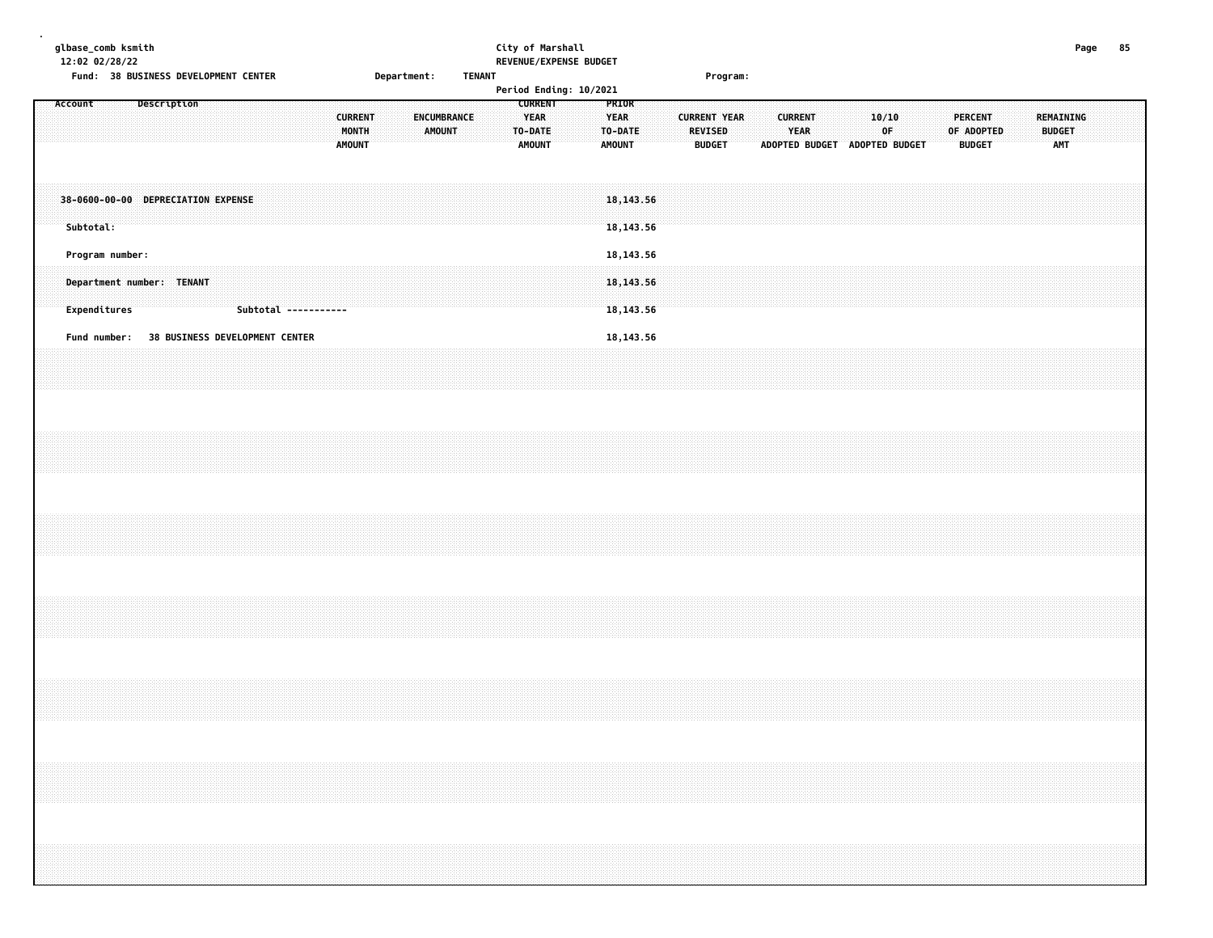|  |         |              | glbase_comb ksmith<br>12:02 02/28/22 |                           |  | Fund: 38 BUSINESS DEVELOPMENT CENTER |  |                      |               |                         |  | Department: |               |             | <b>TENANT</b> |  | City of Marshall                                   |  | REVENUE/EXPENSE BUDGET<br>Period Ending: 10/2021 |                                                  |  |                                 | Program:            |  |                        |                               |  |              |  |                                               |  |                                          | Page |                                                                                                                                                                      | 85 |  |
|--|---------|--------------|--------------------------------------|---------------------------|--|--------------------------------------|--|----------------------|---------------|-------------------------|--|-------------|---------------|-------------|---------------|--|----------------------------------------------------|--|--------------------------------------------------|--------------------------------------------------|--|---------------------------------|---------------------|--|------------------------|-------------------------------|--|--------------|--|-----------------------------------------------|--|------------------------------------------|------|----------------------------------------------------------------------------------------------------------------------------------------------------------------------|----|--|
|  | Account |              |                                      | Description               |  |                                      |  |                      | <b>AMOUNT</b> | <b>CURRENT</b><br>MONTH |  |             | <b>AMOUNT</b> | ENCUMBRANCE |               |  | <b>CURRENT</b><br><b>YEAR</b><br>TO-DATE<br>AMOUNT |  |                                                  | PRIOR<br><b>YEAR</b><br>TO-DATE<br><b>AMOUNT</b> |  | <b>REVISED</b><br><b>BUDGET</b> | <b>CURRENT YEAR</b> |  | <b>CURRENT</b><br>YEAR | ADOPTED BUDGET ADOPTED BUDGET |  | 10/10<br>0F. |  | <b>PERCENT</b><br>OF ADOPTED<br><b>BUDGET</b> |  | REMAINING<br><b>BUDGET</b><br><b>AMT</b> |      |                                                                                                                                                                      |    |  |
|  |         | Subtotal:    |                                      |                           |  | 38-0600-00-00 DEPRECIATION EXPENSE   |  |                      |               |                         |  |             |               |             |               |  |                                                    |  |                                                  | 18, 143.56<br>18, 143.56                         |  |                                 |                     |  |                        |                               |  |              |  |                                               |  |                                          |      |                                                                                                                                                                      |    |  |
|  |         | Expenditures | Program number:                      | Department number: TENANT |  |                                      |  | Subtotal ----------- |               |                         |  |             |               |             |               |  |                                                    |  |                                                  | 18, 143.56<br>18, 143.56<br>18, 143.56           |  |                                 |                     |  |                        |                               |  |              |  |                                               |  |                                          |      |                                                                                                                                                                      |    |  |
|  |         | Fund number: |                                      |                           |  | 38 BUSINESS DEVELOPMENT CENTER       |  |                      |               |                         |  |             |               |             |               |  |                                                    |  |                                                  | 18, 143.56                                       |  |                                 |                     |  |                        |                               |  |              |  |                                               |  |                                          |      |                                                                                                                                                                      |    |  |
|  |         |              |                                      |                           |  |                                      |  |                      |               |                         |  |             |               |             |               |  |                                                    |  |                                                  |                                                  |  |                                 |                     |  |                        |                               |  |              |  |                                               |  |                                          |      |                                                                                                                                                                      |    |  |
|  |         |              |                                      |                           |  |                                      |  |                      |               |                         |  |             |               |             |               |  |                                                    |  |                                                  |                                                  |  |                                 |                     |  |                        |                               |  |              |  |                                               |  |                                          |      |                                                                                                                                                                      |    |  |
|  |         |              |                                      |                           |  |                                      |  |                      |               |                         |  |             |               |             |               |  |                                                    |  |                                                  |                                                  |  |                                 |                     |  |                        |                               |  |              |  |                                               |  |                                          |      |                                                                                                                                                                      |    |  |
|  |         |              |                                      |                           |  |                                      |  |                      |               |                         |  |             |               |             |               |  |                                                    |  |                                                  |                                                  |  |                                 |                     |  |                        |                               |  |              |  |                                               |  |                                          |      |                                                                                                                                                                      |    |  |
|  |         |              |                                      |                           |  |                                      |  |                      |               |                         |  |             |               |             |               |  |                                                    |  |                                                  |                                                  |  |                                 |                     |  |                        |                               |  |              |  |                                               |  |                                          |      | ,我们就会在这里,我们就会在这里的时候,我们就会在这里,我们就会在这里,我们就会在这里,我们就会在这里,我们就会在这里,我们就会在这里,我们就会在这里,我们就会<br>第25章 我们的时候,我们就会在这里,我们就会在这里,我们就会在这里,我们就会在这里,我们就会在这里,我们就会在这里,我们就会在这里,我们就会在这里,我们就会在 |    |  |
|  |         |              |                                      |                           |  |                                      |  |                      |               |                         |  |             |               |             |               |  |                                                    |  |                                                  |                                                  |  |                                 |                     |  |                        |                               |  |              |  |                                               |  |                                          |      |                                                                                                                                                                      |    |  |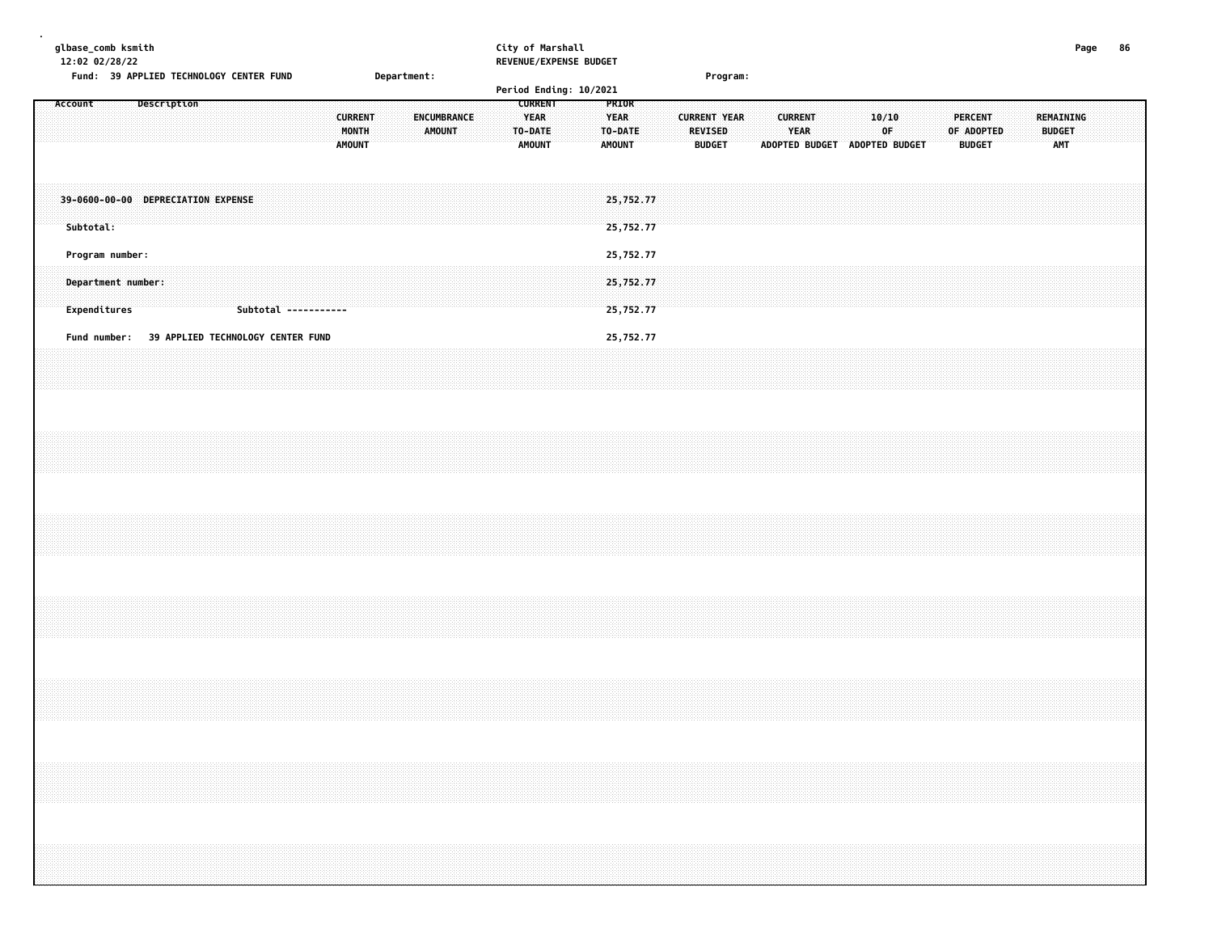| glbase_comb ksmith<br>12:02 02/28/22                  | Fund: 39 APPLIED TECHNOLOGY CENTER FUND                 | Department:                  | City of Marshall<br>REVENUE/EXPENSE BUDGET<br>Period Ending: 10/2021                                   | Program:                                                                                                                                                                   | 86<br>Page                               |
|-------------------------------------------------------|---------------------------------------------------------|------------------------------|--------------------------------------------------------------------------------------------------------|----------------------------------------------------------------------------------------------------------------------------------------------------------------------------|------------------------------------------|
| Account                                               | Description<br><b>CURRENT</b><br>MONTH<br><b>AMOUNT</b> | ENCUMBRANCE<br><b>AMOUNT</b> | <b>CURRENT</b><br>PRIOR<br><b>YEAR</b><br><b>YEAR</b><br>TO-DATE<br>TO-DATE<br>AMOUNT<br><b>AMOUNT</b> | 10/10<br><b>CURRENT</b><br><b>PERCENT</b><br><b>CURRENT YEAR</b><br>REVISED<br>YEAR<br>0F<br>OF ADOPTED<br><b>BUDGET</b><br><b>BUDGET</b><br>ADOPTED BUDGET ADOPTED BUDGET | REMAINING<br><b>BUDGET</b><br><b>AMT</b> |
| Subtotal:                                             | 39-0600-00-00 DEPRECIATION EXPENSE                      |                              | 25,752.77<br>25,752.77                                                                                 |                                                                                                                                                                            |                                          |
| Program number:<br>Department number:<br>Expenditures | Subtotal -----------                                    |                              | 25,752.77<br>25,752.77<br>25,752.77                                                                    |                                                                                                                                                                            |                                          |
| Fund number:                                          | 39 APPLIED TECHNOLOGY CENTER FUND                       |                              | 25,752.77                                                                                              |                                                                                                                                                                            |                                          |
|                                                       |                                                         |                              |                                                                                                        |                                                                                                                                                                            |                                          |
|                                                       |                                                         |                              |                                                                                                        |                                                                                                                                                                            |                                          |
|                                                       |                                                         |                              |                                                                                                        |                                                                                                                                                                            |                                          |
|                                                       |                                                         |                              |                                                                                                        |                                                                                                                                                                            |                                          |
|                                                       |                                                         |                              |                                                                                                        |                                                                                                                                                                            |                                          |
|                                                       |                                                         |                              |                                                                                                        |                                                                                                                                                                            |                                          |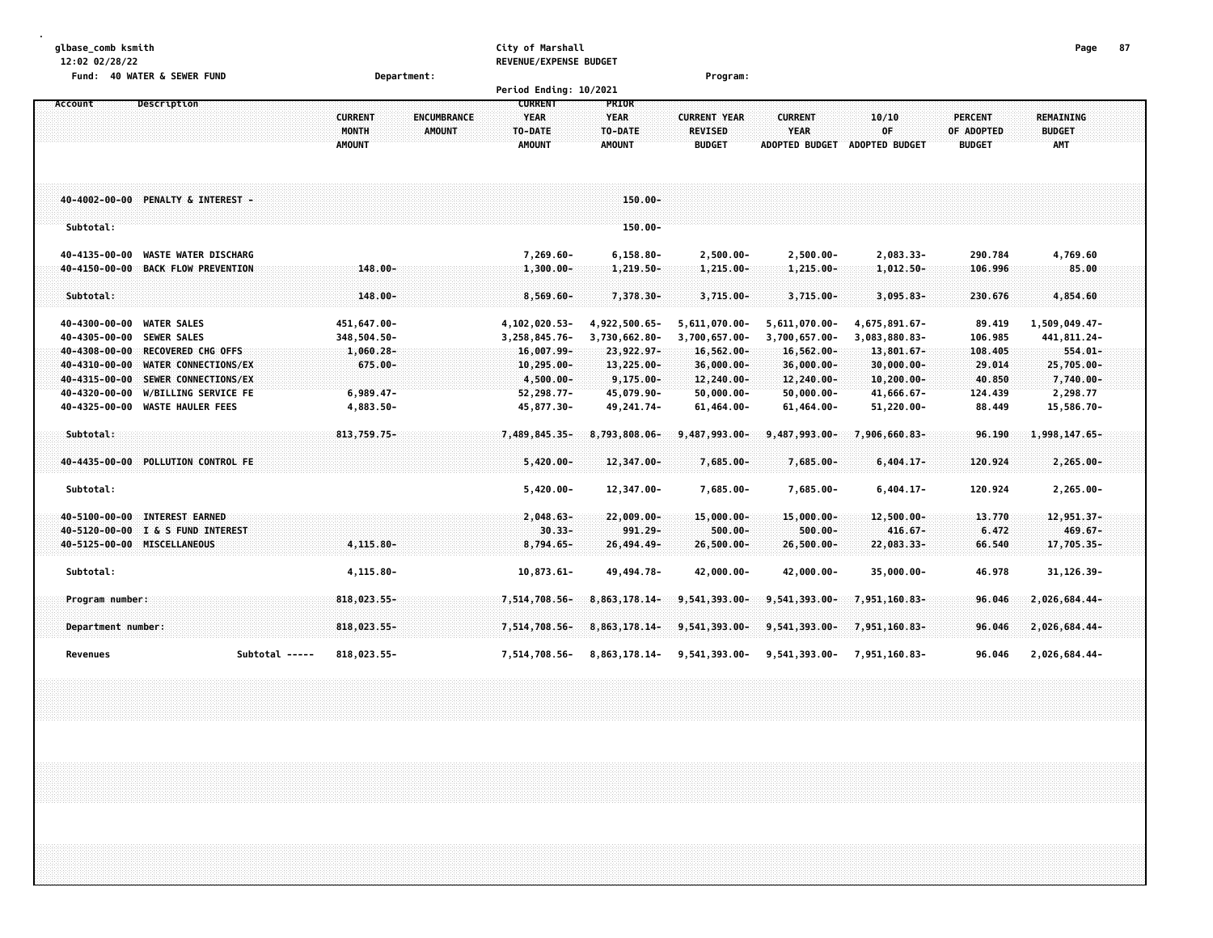| glbase comb ksmith |  |
|--------------------|--|
|--------------------|--|

#### **glbase\_comb ksmith City of Marshall Page 87 12:02 02/28/22 REVENUE/EXPENSE BUDGET**

| 40 WATER & SEWER FUND<br>Fund:               | Department:                          |                                 | Program:                               |                                        |                  |
|----------------------------------------------|--------------------------------------|---------------------------------|----------------------------------------|----------------------------------------|------------------|
|                                              |                                      | Period Ending: 10/2021          |                                        |                                        |                  |
| Account<br><b>Description</b>                |                                      | <b>CURRENT</b><br><b>PRIOR</b>  |                                        |                                        |                  |
|                                              | <b>CURRENT</b><br><b>ENCUMBRANCE</b> | <b>YEAR</b><br><b>YEAR</b>      | <b>CURRENT</b><br><b>CURRENT YEAR</b>  | 10/10<br><b>PERCENT</b>                | <b>REMAINING</b> |
|                                              | <b>MONTH</b><br><b>AMOUNT</b>        | <b>TO-DATE</b><br>TO-DATE       | <b>YEAR</b><br><b>REVISED</b>          | 0F<br>OF ADOPTED                       | <b>BUDGET</b>    |
|                                              | <b>AMOUNT</b>                        | <b>AMOUNT</b><br><b>AMOUNT</b>  | <b>BUDGET</b><br><b>ADOPTED BUDGET</b> | <b>ADOPTED BUDGET</b><br><b>BUDGET</b> | <b>AMT</b>       |
|                                              |                                      |                                 |                                        |                                        |                  |
|                                              |                                      |                                 |                                        |                                        |                  |
| 40-4002-00-00 PENALTY & INTEREST -           |                                      | $150.00 -$                      |                                        |                                        |                  |
|                                              |                                      |                                 |                                        |                                        |                  |
| Subtotal:                                    |                                      | $150.00 -$                      |                                        |                                        |                  |
|                                              |                                      |                                 |                                        |                                        |                  |
| <b>WASTE WATER DISCHARG</b><br>40-4135-00-00 |                                      | 7,269.60-<br>$6, 158.80 -$      | $2,500.00 -$<br>$2,500.00 -$           | 2,083.33-<br>290.784                   | 4,769.60         |
| 40-4150-00-00 BACK FLOW PREVENTION           | $148.00 -$                           | $1,300.00 -$<br>$1,219.50 -$    | $1,215.00 -$<br>$1,215.00 -$           | $1,012.50 -$<br>106.996                | 85.00            |
| Subtotal:                                    | $148.00 -$                           |                                 |                                        |                                        |                  |
|                                              |                                      | $8,569.60 -$<br>7,378.30-       | $3,715.00 -$<br>$3,715.00 -$           | $3,095.83-$<br>230.676                 | 4,854.60         |
| 40-4300-00-00 WATER SALES                    | 451,647.00-                          | 4,102,020.53-<br>4,922,500.65-  | 5,611,070.00-<br>5,611,070.00-         | 4,675,891.67-<br>89.419                | 1,509,049.47-    |
| 40-4305-00-00 SEWER SALES                    | 348,504.50-                          | 3,730,662.80-<br>3,258,845.76-  | 3,700,657.00-<br>3,700,657.00-         | 3,083,880.83-<br>106.985               | 441,811.24-      |
| 40-4308-00-00 RECOVERED CHG OFFS             | $1,060.28 -$                         | 16,007.99-<br>23,922.97-        | 16,562.00-<br>16,562.00-               | 13,801.67-<br>108,405                  | $554.01 -$       |
| 40-4310-00-00<br>WATER CONNECTIONS/EX        | $675.00 -$                           | $10, 295.00 -$<br>$13,225.00 -$ | 36,000.00-<br>36,000.00-               | $30,000.00 -$<br>29.014                | 25,705.00-       |
| 40-4315-00-00 SEWER CONNECTIONS/EX           |                                      | 4,500.00-<br>$9,175.00 -$       | 12,240.00-<br>12,240.00-               | $10, 200.00 -$<br>40.850               | 7,740.00-        |
| 40-4320-00-00<br><b>W/BILLING SERVICE FE</b> | $6,989.47-$                          | 45,079.90-<br>52,298.77-        | $50,000.00 -$<br>$50,000.00 -$         | 41,666.67-<br>124.439                  | 2,298.77         |
| 40-4325-00-00 WASTE HAULER FEES              | 4,883.50-                            | 49, 241. 74-<br>45,877.30-      | 61,464.00-<br>$61,464.00 -$            | 51,220.00-<br>88.449                   | 15,586.70-       |
|                                              |                                      |                                 |                                        |                                        |                  |
| Subtotal:                                    | 813,759.75-                          | 7,489,845.35-<br>8,793,808.06-  | 9,487,993.00-<br>9,487,993.00-         | 7,906,660.83-<br>96.190                | 1,998,147.65-    |
| 40-4435-00-00 POLLUTION CONTROL FE           |                                      | $5,420.00 -$<br>12,347.00-      | 7,685.00-<br>7,685.00-                 | $6,404.17-$<br>120.924                 | $2,265.00 -$     |
|                                              |                                      |                                 |                                        |                                        |                  |
| Subtotal:                                    |                                      | $5,420.00 -$<br>12,347.00-      | 7,685.00-<br>7,685.00-                 | $6,404.17-$<br>120.924                 | $2,265.00 -$     |
|                                              |                                      |                                 |                                        |                                        |                  |
| 40-5100-00-00 INTEREST EARNED                |                                      | $2,048.63-$<br>$22,009.00 -$    | $15,000.00 -$<br>$15,000.00 -$         | $12,500.00 -$<br>13.770                | 12,951.37-       |
| 40-5120-00-00 I & S FUND INTEREST            |                                      | $30.33 -$<br>$991.29 -$         | $500.00 -$<br>$500.00 -$               | $416.67 -$<br>6.472                    | $469.67 -$       |
| 40-5125-00-00 MISCELLANEOUS                  | 4,115.80-                            | 26,494.49-<br>$8,794.65-$       | $26,500.00 -$<br>26,500.00-            | 22,083.33-<br>66.540                   | 17,705.35-       |
|                                              |                                      |                                 |                                        |                                        |                  |
| Subtotal:                                    | 4,115.80-                            | $10,873.61-$<br>49, 494. 78-    | 42,000.00-<br>42,000.00-               | 35,000.00-<br>46.978                   | 31, 126.39-      |
| Program number:                              | 818,023.55-                          | 7,514,708.56-<br>8,863,178.14-  | 9,541,393.00-<br>9,541,393.00-         | 7,951,160.83-<br>96.046                | 2,026,684.44-    |
|                                              |                                      |                                 |                                        |                                        |                  |
| Department number:                           | 818,023.55-                          | 7,514,708.56-<br>8,863,178.14-  | 9,541,393.00-<br>9,541,393.00-         | 7,951,160.83-<br>96.046                | 2,026,684.44-    |
|                                              |                                      |                                 |                                        |                                        |                  |
| Revenues<br>Subtotal -----                   | 818,023.55-                          | 7,514,708.56-<br>8,863,178.14-  | 9,541,393.00-<br>9,541,393.00-         | 96.046<br>7,951,160.83-                | 2,026,684.44-    |
|                                              |                                      |                                 |                                        |                                        |                  |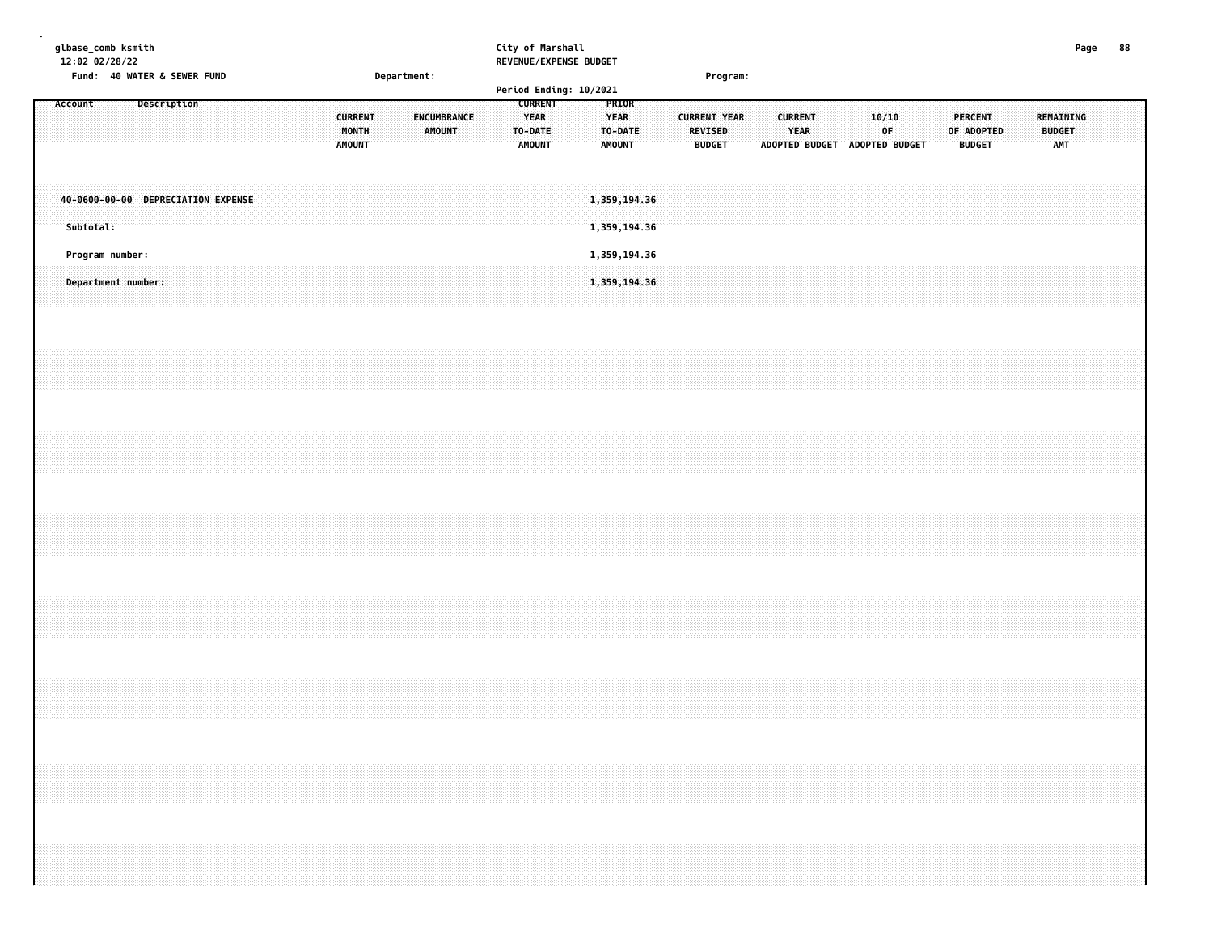| glbase_comb ksmith<br>12:02 02/28/22 |                    |  | Fund: 40 WATER & SEWER FUND        |  |  |  |  |                                          | Department: |               |                    |  |                                                           | City of Marshall<br>REVENUE/EXPENSE BUDGET |  |                                                  |  |  |                                                        | Program: |  |                               |                               |             |  |  |                                               |  |                                   | Page | 88 |  |
|--------------------------------------|--------------------|--|------------------------------------|--|--|--|--|------------------------------------------|-------------|---------------|--------------------|--|-----------------------------------------------------------|--------------------------------------------|--|--------------------------------------------------|--|--|--------------------------------------------------------|----------|--|-------------------------------|-------------------------------|-------------|--|--|-----------------------------------------------|--|-----------------------------------|------|----|--|
|                                      |                    |  |                                    |  |  |  |  |                                          |             |               |                    |  |                                                           |                                            |  | Period Ending: 10/2021                           |  |  |                                                        |          |  |                               |                               |             |  |  |                                               |  |                                   |      |    |  |
| Account                              |                    |  | Description                        |  |  |  |  | <b>CURRENT</b><br>MONTH<br><b>AMOUNT</b> |             | <b>AMOUNT</b> | <b>ENCUMBRANCE</b> |  | <b>CURRENT</b><br><b>YEAR</b><br>TO-DATE<br><b>AMOUNT</b> |                                            |  | PRIOR<br><b>YEAR</b><br>TO-DATE<br><b>AMOUNT</b> |  |  | <b>CURRENT YEAR</b><br><b>REVISED</b><br><b>BUDGET</b> |          |  | <b>CURRENT</b><br><b>YEAR</b> | ADOPTED BUDGET ADOPTED BUDGET | 10/10<br>0F |  |  | <b>PERCENT</b><br>OF ADOPTED<br><b>BUDGET</b> |  | REMAINING<br><b>BUDGET</b><br>AMT |      |    |  |
|                                      | Subtotal:          |  | 40-0600-00-00 DEPRECIATION EXPENSE |  |  |  |  |                                          |             |               |                    |  |                                                           |                                            |  | 1,359,194.36<br>1,359,194.36                     |  |  |                                                        |          |  |                               |                               |             |  |  |                                               |  |                                   |      |    |  |
|                                      | Program number:    |  |                                    |  |  |  |  |                                          |             |               |                    |  |                                                           |                                            |  | 1,359,194.36                                     |  |  |                                                        |          |  |                               |                               |             |  |  |                                               |  |                                   |      |    |  |
|                                      | Department number: |  |                                    |  |  |  |  |                                          |             |               |                    |  |                                                           |                                            |  | 1,359,194.36                                     |  |  |                                                        |          |  |                               |                               |             |  |  |                                               |  |                                   |      |    |  |
|                                      |                    |  |                                    |  |  |  |  |                                          |             |               |                    |  |                                                           |                                            |  |                                                  |  |  |                                                        |          |  |                               |                               |             |  |  |                                               |  |                                   |      |    |  |
|                                      |                    |  |                                    |  |  |  |  |                                          |             |               |                    |  |                                                           |                                            |  |                                                  |  |  |                                                        |          |  |                               |                               |             |  |  |                                               |  |                                   |      |    |  |
|                                      |                    |  |                                    |  |  |  |  |                                          |             |               |                    |  |                                                           |                                            |  |                                                  |  |  |                                                        |          |  |                               |                               |             |  |  |                                               |  |                                   |      |    |  |
|                                      |                    |  |                                    |  |  |  |  |                                          |             |               |                    |  |                                                           |                                            |  |                                                  |  |  |                                                        |          |  |                               |                               |             |  |  |                                               |  |                                   |      |    |  |
|                                      |                    |  |                                    |  |  |  |  |                                          |             |               |                    |  |                                                           |                                            |  |                                                  |  |  |                                                        |          |  |                               |                               |             |  |  |                                               |  |                                   |      |    |  |
|                                      |                    |  |                                    |  |  |  |  |                                          |             |               |                    |  |                                                           |                                            |  |                                                  |  |  |                                                        |          |  |                               |                               |             |  |  |                                               |  |                                   |      |    |  |
|                                      |                    |  |                                    |  |  |  |  |                                          |             |               |                    |  |                                                           |                                            |  |                                                  |  |  |                                                        |          |  |                               |                               |             |  |  |                                               |  |                                   |      |    |  |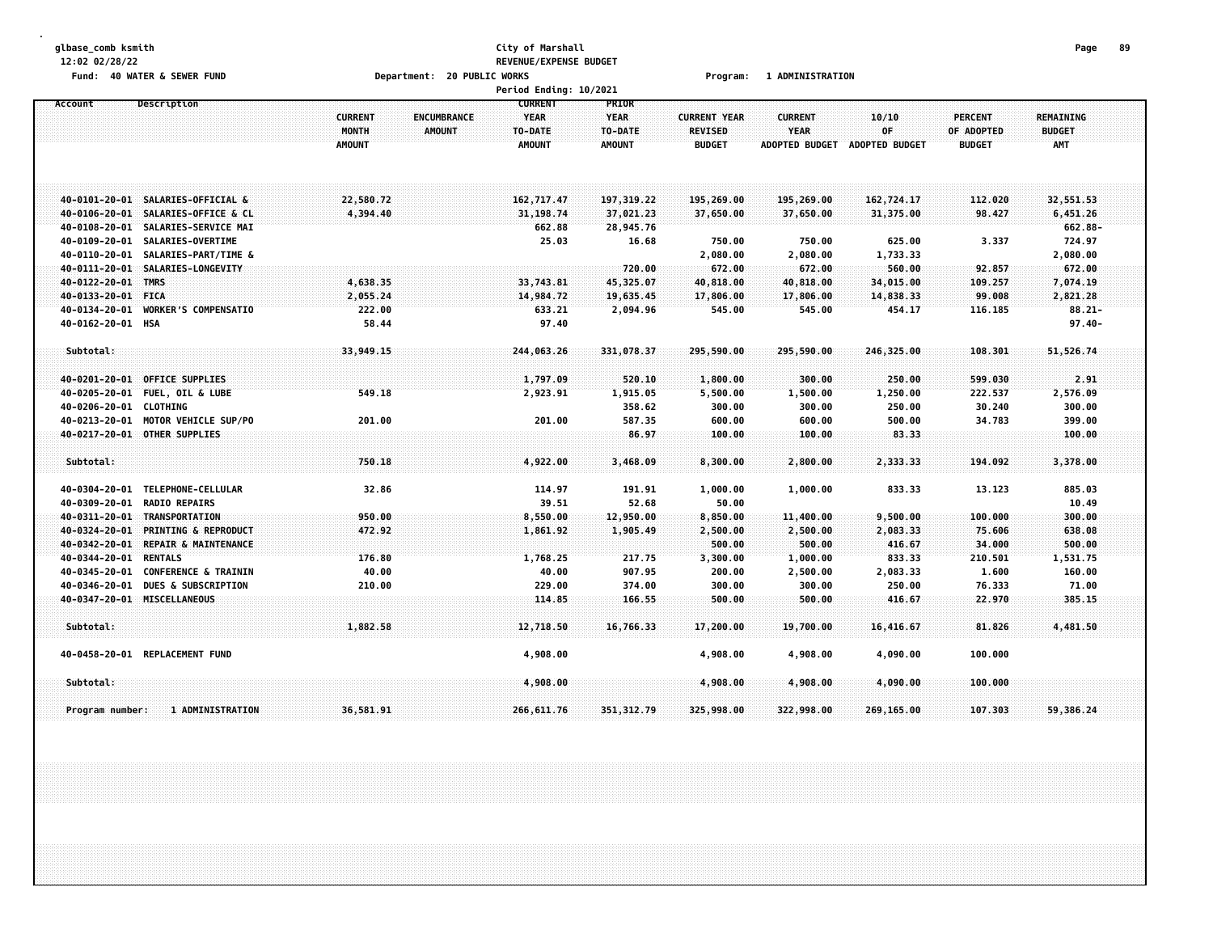#### **glbase\_comb ksmith City of Marshall Page 89 12:02 02/28/22 REVENUE/EXPENSE BUDGET** Fund: 40 WATER & SEWER FUND **Department: 20 PUBLIC WORKS Film Construct Program: 1 ADMINISTRATION**

|                       |                                    |                               | <b>Period Ending: 10/2021</b> |               |                     |                       |                       |                |                  |  |
|-----------------------|------------------------------------|-------------------------------|-------------------------------|---------------|---------------------|-----------------------|-----------------------|----------------|------------------|--|
| Account               | <b>Description</b>                 |                               | <b>CURRENT</b>                | PRIOR         |                     |                       |                       |                |                  |  |
|                       |                                    | <b>CURRENT</b><br>ENCUMBRANCE | <b>YEAR</b>                   | <b>YEAR</b>   | <b>CURRENT YEAR</b> | <b>CURRENT</b>        | 10/10                 | <b>PERCENT</b> | <b>REMAINING</b> |  |
|                       |                                    | MONTH<br><b>AMOUNT</b>        | TO-DATE                       | TO-DATE       | <b>REVISED</b>      | YEAR                  | OF                    | OF ADOPTED     | <b>BUDGET</b>    |  |
|                       |                                    | <b>AMOUNT</b>                 | <b>AMOUNT</b>                 | <b>AMOUNT</b> | <b>BUDGET</b>       | <b>ADOPTED BUDGET</b> | <b>ADOPTED BUDGET</b> | <b>BUDGET</b>  | <b>AMT</b>       |  |
|                       |                                    |                               |                               |               |                     |                       |                       |                |                  |  |
|                       |                                    |                               |                               |               |                     |                       |                       |                |                  |  |
|                       |                                    |                               |                               |               |                     |                       |                       |                |                  |  |
|                       | 40-0101-20-01 SALARIES-OFFICIAL &  | 22,580.72                     | 162,717.47                    | 197, 319, 22  | 195,269.00          | 195,269.00            | 162,724.17            | 112.020        | 32,551.53        |  |
|                       | 40-0106-20-01 SALARIES-OFFICE & CL | 4,394.40                      | 31, 198.74                    | 37,021.23     | 37,650.00           | 37,650.00             | 31,375.00             | 98.427         | 6,451.26         |  |
| $40 - 0108 - 20 - 01$ | SALARIES-SERVICE MAI               |                               | 662.88                        | 28,945.76     |                     |                       |                       |                | 662.88-          |  |
| 40-0109-20-01         | SALARIES-OVERTIME                  |                               | 25.03                         | 16.68         | 750.00              | 750.00                | 625.00                | 3.337          | 724.97           |  |
| 40-0110-20-01         |                                    |                               |                               |               |                     |                       |                       |                |                  |  |
|                       | SALARIES-PART/TIME &               |                               |                               |               | 2,080.00            | 2,080.00              | 1,733.33              |                | 2,080.00         |  |
|                       | 40-0111-20-01 SALARIES-LONGEVITY   |                               |                               | 720.00        | 672.00              | 672.00                | 560.00                | 92.857         | 672.00           |  |
| 40-0122-20-01         | <b>TMRS</b>                        | 4,638.35                      | 33,743.81                     | 45,325.07     | 40,818.00           | 40,818.00             | 34,015.00             | 109.257        | 7,074.19         |  |
| 40-0133-20-01         | <b>FICA</b>                        | 2,055.24                      | 14,984.72                     | 19,635.45     | 17,806.00           | 17,806.00             | 14,838.33             | 99.008         | 2,821.28         |  |
| 40-0134-20-01         | <b>WORKER'S COMPENSATIO</b>        | 222.00                        | 633.21                        | 2,094.96      | 545.00              | 545.00                | 454.17                | 116.185        | $88.21 -$        |  |
| 40-0162-20-01 HSA     |                                    | 58.44                         | 97.40                         |               |                     |                       |                       |                | $97.40 -$        |  |
|                       |                                    |                               |                               |               |                     |                       |                       |                |                  |  |
| Subtotal:             |                                    | 33,949.15                     | 244,063.26                    | 331,078.37    | 295,590.00          | 295,590.00            | 246,325.00            | 108,301        | 51,526.74        |  |
|                       |                                    |                               |                               |               |                     |                       |                       |                |                  |  |
| 40-0201-20-01         | <b>OFFICE SUPPLIES</b>             |                               | 1,797.09                      | 520.10        | 1,800.00            | 300.00                | 250.00                | 599.030        | 2.91             |  |
| $40 - 0205 - 20 - 01$ | <b>FUEL, OIL &amp; LUBE</b>        | 549.18                        | 2,923.91                      | 1,915.05      | 5,500.00            | 1,500.00              | 1,250.00              | 222.537        | 2,576.09         |  |
| 40-0206-20-01         | <b>CLOTHING</b>                    |                               |                               | 358.62        | 300.00              | 300.00                | 250.00                | 30.240         | 300.00           |  |
| 40-0213-20-01         | <b>MOTOR VEHICLE SUP/PO</b>        | 201.00                        | 201.00                        | 587.35        | 600.00              | 600.00                | 500.00                | 34.783         | 399.00           |  |
|                       | 40-0217-20-01 OTHER SUPPLIES       |                               |                               | 86.97         | 100.00              | 100.00                | 83.33                 |                | 100.00           |  |
|                       |                                    |                               |                               |               |                     |                       |                       |                |                  |  |
| Subtotal:             |                                    | 750.18                        | 4,922.00                      | 3,468.09      | 8,300.00            | 2,800.00              | 2,333.33              | 194.092        | 3,378.00         |  |
|                       |                                    |                               |                               |               |                     |                       |                       |                |                  |  |
| 40-0304-20-01         | TELEPHONE-CELLULAR                 | 32.86                         | 114.97                        | 191.91        | 1,000.00            | 1,000.00              | 833.33                | 13.123         | 885.03           |  |
| 40-0309-20-01         | <b>RADIO REPAIRS</b>               |                               | 39.51                         | 52.68         | 50.00               |                       |                       |                | 10.49            |  |
| 40-0311-20-01         | TRANSPORTATION                     | 950.00                        | 8,550.00                      | 12,950.00     | 8,850.00            | 11,400.00             | 9,500.00              | 100.000        | 300.00           |  |
| 40-0324-20-01         | <b>PRINTING &amp; REPRODUCT</b>    | 472.92                        | 1,861.92                      | 1,905.49      | 2,500.00            | 2,500.00              | 2,083.33              | 75.606         | 638.08           |  |
| 40-0342-20-01         | REPAIR & MAINTENANCE               |                               |                               |               | 500.00              | 500.00                | 416.67                | 34,000         | 500.00           |  |
| 40-0344-20-01         | <b>RENTALS</b>                     | 176.80                        | 1,768.25                      | 217.75        | 3,300.00            | 1,000.00              | 833.33                | 210.501        | 1,531.75         |  |
| 40-0345-20-01         | <b>CONFERENCE &amp; TRAININ</b>    | 40.00                         | 40.00                         | 907.95        | 200.00              | 2,500.00              | 2,083.33              | 1.600          | 160.00           |  |
| 40-0346-20-01         | <b>DUES &amp; SUBSCRIPTION</b>     | 210.00                        | 229.00                        | 374.00        |                     |                       | 250.00                | 76.333         | 71.00            |  |
|                       |                                    |                               |                               |               | 300.00              | 300.00                |                       |                |                  |  |
|                       | 40-0347-20-01 MISCELLANEOUS        |                               | 114.85                        | 166.55        | 500.00              | 500.00                | 416.67                | 22.970         | 385,15           |  |
|                       |                                    |                               |                               |               |                     |                       |                       |                |                  |  |
| Subtotal:             |                                    | 1,882.58                      | 12,718.50                     | 16,766.33     | 17,200.00           | 19,700.00             | 16,416.67             | 81.826         | 4,481.50         |  |
|                       | 40-0458-20-01 REPLACEMENT FUND     |                               | 4,908.00                      |               | 4,908.00            | 4,908.00              | 4,090.00              | 100.000        |                  |  |
|                       |                                    |                               |                               |               |                     |                       |                       |                |                  |  |
| Subtotal:             |                                    |                               | 4,908.00                      |               | 4,908.00            | 4,908.00              | 4,090.00              | 100.000        |                  |  |
|                       |                                    |                               |                               |               |                     |                       |                       |                |                  |  |
| Program number:       | 1 ADMINISTRATION                   | 36,581.91                     | 266, 611.76                   | 351, 312.79   | 325,998.00          | 322,998.00            | 269,165.00            | 107.303        | 59,386.24        |  |
|                       |                                    |                               |                               |               |                     |                       |                       |                |                  |  |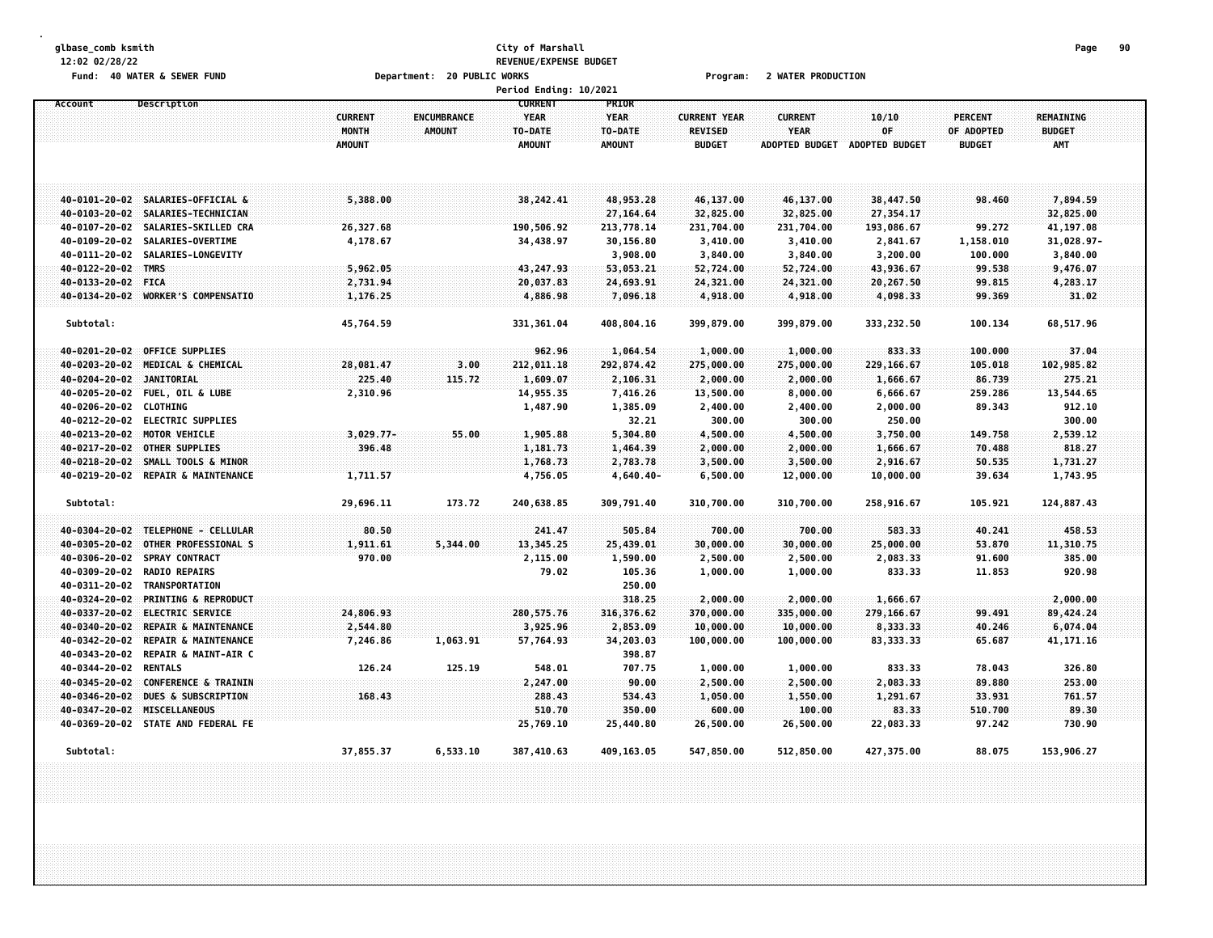#### **glbase\_comb ksmith City of Marshall Page 90 12:02 02/28/22 REVENUE/EXPENSE BUDGET Fund: 40 WATER & SEWER FUND Department: 20 PUBLIC WORKS Program: 2 WATER PRODUCTION**

|                        |                                    |                                          |                              | <b>Period Ending: 10/2021</b>                             |                                                  |                                                        |                                                 |                                      |                                               |                                                 |  |
|------------------------|------------------------------------|------------------------------------------|------------------------------|-----------------------------------------------------------|--------------------------------------------------|--------------------------------------------------------|-------------------------------------------------|--------------------------------------|-----------------------------------------------|-------------------------------------------------|--|
| Account                | Description                        | <b>CURRENT</b><br>MONTH<br><b>AMOUNT</b> | ENCUMBRANCE<br><b>AMOUNT</b> | <b>CURRENT</b><br><b>YEAR</b><br>TO-DATE<br><b>AMOUNT</b> | PRIOR<br><b>YEAR</b><br>TO-DATE<br><b>AMOUNT</b> | <b>CURRENT YEAR</b><br><b>REVISED</b><br><b>BUDGET</b> | <b>CURRENT</b><br>YEAR<br><b>ADOPTED BUDGET</b> | 10/10<br>OF<br><b>ADOPTED BUDGET</b> | <b>PERCENT</b><br>OF ADOPTED<br><b>BUDGET</b> | <b>REMAINING</b><br><b>BUDGET</b><br><b>AMT</b> |  |
| 40-0101-20-02          | SALARIES-OFFICIAL &                | 5,388.00                                 |                              | 38,242.41                                                 | 48,953.28                                        | 46,137.00                                              | 46,137.00                                       | 38,447.50                            | 98.460                                        | 7,894.59                                        |  |
| 40-0103-20-02          | SALARIES-TECHNICIAN                |                                          |                              |                                                           | 27,164.64                                        | 32,825.00                                              | 32,825.00                                       | 27,354.17                            |                                               | 32,825.00                                       |  |
| 40-0107-20-02          | SALARIES-SKILLED CRA               | 26,327.68                                |                              | 190,506.92                                                | 213,778.14                                       | 231,704.00                                             | 231,704.00                                      | 193,086.67                           | 99.272                                        | 41,197.08                                       |  |
| 40-0109-20-02          | SALARIES-OVERTIME                  | 4,178.67                                 |                              | 34,438.97                                                 | 30,156.80                                        | 3,410.00                                               | 3,410.00                                        | 2,841.67                             | 1,158.010                                     | 31,028.97-                                      |  |
| 40-0111-20-02          | SALARIES-LONGEVITY                 |                                          |                              |                                                           | 3,908.00                                         | 3,840.00                                               | 3,840.00                                        | 3,200.00                             | 100.000                                       | 3,840.00                                        |  |
| 40-0122-20-02          | <b>TMRS</b>                        | 5,962.05                                 |                              | 43,247.93                                                 | 53,053.21                                        | 52,724.00                                              | 52,724.00                                       | 43,936.67                            | 99.538                                        | 9,476.07                                        |  |
| 40-0133-20-02          | <b>FICA</b>                        | 2,731.94                                 |                              | 20,037.83                                                 | 24,693.91                                        | 24,321.00                                              | 24,321.00                                       | 20,267.50                            | 99.815                                        | 4,283.17                                        |  |
|                        | 40-0134-20-02 WORKER'S COMPENSATIO | 1,176.25                                 |                              | 4,886.98                                                  | 7,096.18                                         | 4,918.00                                               | 4,918.00                                        | 4,098.33                             | 99.369                                        | 31.02                                           |  |
| Subtotal:              |                                    | 45,764.59                                |                              | 331,361.04                                                | 408,804.16                                       | 399,879.00                                             | 399,879.00                                      | 333,232.50                           | 100.134                                       | 68,517.96                                       |  |
| 40-0201-20-02          | <b>OFFICE SUPPLIES</b>             |                                          |                              | 962.96                                                    | 1,064.54                                         | 1,000.00                                               | 1,000.00                                        | 833.33                               | 100.000                                       | 37.04                                           |  |
| 40-0203-20-02          | MEDICAL & CHEMICAL                 | 28,081.47                                | 3.00                         | 212,011.18                                                | 292,874.42                                       | 275,000.00                                             | 275,000.00                                      | 229,166.67                           | 105.018                                       | 102,985.82                                      |  |
| 40-0204-20-02          | <b>JANITORIAL</b>                  | 225.40                                   | 115.72                       | 1,609.07                                                  | 2,106.31                                         | 2,000.00                                               | 2,000.00                                        | 1,666.67                             | 86.739                                        | 275.21                                          |  |
| 40-0205-20-02          | <b>FUEL, OIL &amp; LUBE</b>        | 2,310.96                                 |                              | 14,955.35                                                 | 7,416.26                                         | 13,500.00                                              | 8,000.00                                        | 6,666.67                             | 259.286                                       | 13,544.65                                       |  |
| 40-0206-20-02 CLOTHING |                                    |                                          |                              | 1,487.90                                                  | 1,385.09                                         | 2,400.00                                               | 2,400.00                                        | 2,000.00                             | 89.343                                        | 912.10                                          |  |
|                        | 40-0212-20-02 ELECTRIC SUPPLIES    |                                          |                              |                                                           | 32.21                                            | 300.00                                                 | 300.00                                          | 250.00                               |                                               | 300.00                                          |  |
|                        | 40-0213-20-02 MOTOR VEHICLE        | $3,029.77-$                              | 55.00                        | 1,905.88                                                  | 5,304.80                                         | 4,500.00                                               | 4,500.00                                        | 3,750.00                             | 149.758                                       | 2,539.12                                        |  |
| 40-0217-20-02          | <b>OTHER SUPPLIES</b>              | 396.48                                   |                              | 1,181.73                                                  | 1,464.39                                         | 2,000.00                                               | 2,000.00                                        | 1,666.67                             | 70.488                                        | 818,27                                          |  |
| 40-0218-20-02          | SMALL TOOLS & MINOR                |                                          |                              | 1,768.73                                                  | 2,783.78                                         | 3,500.00                                               | 3,500.00                                        | 2,916.67                             | 50.535                                        | 1,731.27                                        |  |
| 40-0219-20-02          | <b>REPAIR &amp; MAINTENANCE</b>    | 1,711.57                                 |                              | 4,756.05                                                  | 4,640.40-                                        | 6,500.00                                               | 12,000.00                                       | 10,000.00                            | 39.634                                        | 1,743.95                                        |  |
| Subtotal:              |                                    | 29,696.11                                | 173.72                       | 240,638.85                                                | 309,791.40                                       | 310,700.00                                             | 310,700.00                                      | 258,916.67                           | 105.921                                       | 124,887.43                                      |  |
| 40-0304-20-02          | TELEPHONE - CELLULAR               | 80.50                                    |                              | 241.47                                                    | 505.84                                           | 700.00                                                 | 700.00                                          | 583.33                               | 40.241                                        | 458.53                                          |  |
| 40-0305-20-02          | OTHER PROFESSIONAL S               | 1,911.61                                 | 5,344.00                     | 13,345.25                                                 | 25,439.01                                        | 30,000.00                                              | 30,000.00                                       | 25,000.00                            | 53.870                                        | 11,310.75                                       |  |
| 40-0306-20-02          | SPRAY CONTRACT                     | 970.00                                   |                              | 2,115.00                                                  | 1,590.00                                         | 2,500.00                                               | 2,500.00                                        | 2,083.33                             | 91.600                                        | 385.00                                          |  |
| 40-0309-20-02          | <b>RADIO REPAIRS</b>               |                                          |                              | 79.02                                                     | 105.36                                           | 1,000.00                                               | 1,000.00                                        | 833.33                               | 11.853                                        | 920.98                                          |  |
| 40-0311-20-02          | TRANSPORTATION                     |                                          |                              |                                                           | 250.00                                           |                                                        |                                                 |                                      |                                               |                                                 |  |
| 40-0324-20-02          | <b>PRINTING &amp; REPRODUCT</b>    |                                          |                              |                                                           | 318.25                                           | 2,000.00                                               | 2,000.00                                        | 1,666.67                             |                                               | 2,000.00                                        |  |
| 40-0337-20-02          | <b>ELECTRIC SERVICE</b>            | 24,806.93                                |                              | 280, 575. 76                                              | 316, 376.62                                      | 370,000.00                                             | 335,000.00                                      | 279,166.67                           | 99.491                                        | 89,424.24                                       |  |
| 40-0340-20-02          | REPAIR & MAINTENANCE               | 2,544.80                                 |                              | 3,925.96                                                  | 2,853.09                                         | 10,000.00                                              | 10,000.00                                       | 8,333.33                             | 40.246                                        | 6,074.04                                        |  |
| 40-0342-20-02          | REPAIR & MAINTENANCE               | 7,246.86                                 | 1,063.91                     | 57,764.93                                                 | 34,203.03                                        | 100,000.00                                             | 100,000.00                                      | 83, 333.33                           | 65.687                                        | 41, 171.16                                      |  |
| 40-0343-20-02          | REPAIR & MAINT-AIR C               |                                          |                              |                                                           | 398.87                                           |                                                        |                                                 |                                      |                                               |                                                 |  |
| 40-0344-20-02          | <b>RENTALS</b>                     | 126.24                                   | 125.19                       | 548.01                                                    | 707.75                                           | 1,000.00                                               | 1,000.00                                        | 833.33                               | 78.043                                        | 326.80                                          |  |
| 40-0345-20-02          | CONFERENCE & TRAININ               |                                          |                              | 2,247.00                                                  | 90.00                                            | 2,500.00                                               | 2,500.00                                        | 2,083.33                             | 89.880                                        | 253.00                                          |  |
| 40-0346-20-02          | <b>DUES &amp; SUBSCRIPTION</b>     | 168.43                                   |                              | 288,43                                                    | 534.43                                           | 1,050.00                                               | 1,550.00                                        | 1,291.67                             | 33.931                                        | 761.57                                          |  |
| 40-0347-20-02          | MISCELLANEOUS                      |                                          |                              | 510.70                                                    | 350.00                                           | 600.00                                                 | 100.00                                          | 83.33                                | 510.700                                       | 89.30                                           |  |
|                        | 40-0369-20-02 STATE AND FEDERAL FE |                                          |                              | 25,769.10                                                 | 25,440.80                                        | 26,500.00                                              | 26,500.00                                       | 22,083.33                            | 97.242                                        | 730.90                                          |  |
| Subtotal:              |                                    | 37,855.37                                | 6,533.10                     | 387,410.63                                                | 409, 163.05                                      | 547,850.00                                             | 512,850.00                                      | 427,375.00                           | 88.075                                        | 153,906.27                                      |  |
|                        |                                    |                                          |                              |                                                           |                                                  |                                                        |                                                 |                                      |                                               |                                                 |  |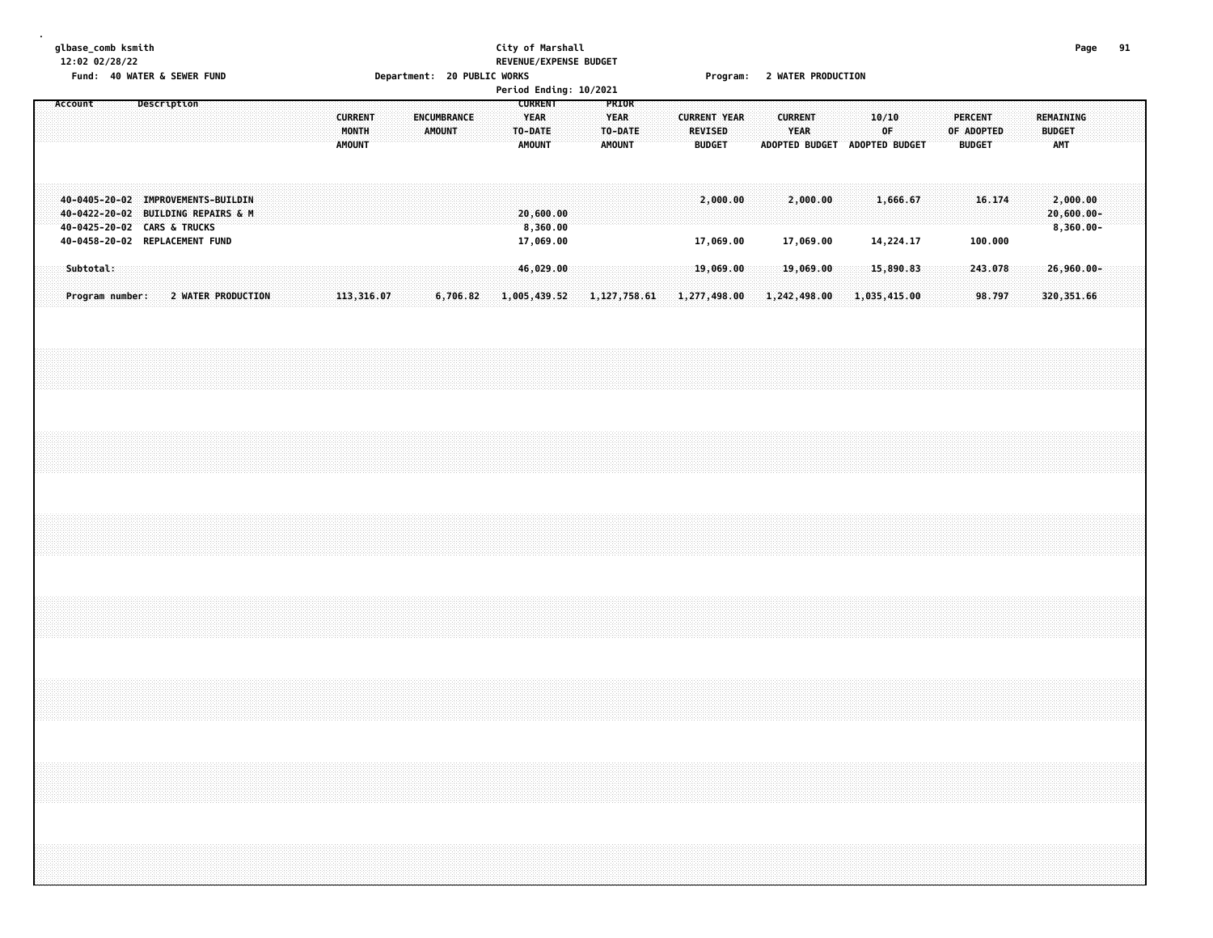### **glbase\_comb ksmith City of Marshall Page 91 12:02 02/28/22 REVENUE/EXPENSE BUDGET** Fund: 40 WATER & SEWER FUND **Department: 20 PUBLIC WORKS Film Contain Constru**ent: 20 Mater PRODUCTION

|         |           |                                                                                                         |             |                    |  |  |                                          |  |        |                    |  | Period Ending: 10/2021                             |  |                                                  |                |                     |                                 |  |                |                                              |              |             |  |            |                                 |         |                                   |                                        |  |  |
|---------|-----------|---------------------------------------------------------------------------------------------------------|-------------|--------------------|--|--|------------------------------------------|--|--------|--------------------|--|----------------------------------------------------|--|--------------------------------------------------|----------------|---------------------|---------------------------------|--|----------------|----------------------------------------------|--------------|-------------|--|------------|---------------------------------|---------|-----------------------------------|----------------------------------------|--|--|
| Account |           |                                                                                                         | Description |                    |  |  | <b>CURRENT</b><br>MONTH<br><b>AMOUNT</b> |  | AMOUNT | <b>ENCUMBRANCE</b> |  | <b>CURRENT</b><br><b>YEAR</b><br>TO-DATE<br>AMOUNT |  | PRIOR<br><b>YEAR</b><br>TO-DATE<br><b>AMOUNT</b> |                | <b>CURRENT YEAR</b> | <b>REVISED</b><br><b>BUDGET</b> |  | <b>CURRENT</b> | <b>YEAR</b><br>ADOPTED BUDGET ADOPTED BUDGET |              | 10/10<br>0F |  | OF ADOPTED | <b>PERCENT</b><br><b>BUDGET</b> |         | <b>REMAINING</b><br><b>BUDGET</b> | AMT                                    |  |  |
|         |           | 40-0405-20-02 IMPROVEMENTS-BUILDIN<br>40-0422-20-02 BUILDING REPAIRS & M<br>40-0425-20-02 CARS & TRUCKS |             |                    |  |  |                                          |  |        |                    |  | 20,600.00<br>8,360.00                              |  |                                                  |                |                     | 2,000.00                        |  |                | 2,000.00                                     |              | 1,666.67    |  |            |                                 | 16.174  |                                   | 2,000.00<br>20,600.00-<br>$8,360.00 -$ |  |  |
|         |           | 40-0458-20-02 REPLACEMENT FUND                                                                          |             |                    |  |  |                                          |  |        |                    |  | 17,069.00                                          |  |                                                  |                |                     | 17,069.00                       |  |                | 17,069.00                                    |              | 14,224.17   |  |            |                                 | 100.000 |                                   |                                        |  |  |
|         | Subtotal: |                                                                                                         |             |                    |  |  |                                          |  |        |                    |  | 46,029.00                                          |  |                                                  |                |                     | 19,069.00                       |  |                | 19,069.00                                    |              | 15,890.83   |  |            |                                 | 243.078 |                                   | $26,960.00 -$                          |  |  |
|         |           | Program number:                                                                                         |             | 2 WATER PRODUCTION |  |  | 113,316.07                               |  |        | 6,706.82           |  | 1,005,439.52                                       |  |                                                  | 1, 127, 758.61 | 1,277,498.00        |                                 |  |                | 1,242,498.00                                 | 1,035,415.00 |             |  |            |                                 | 98.797  |                                   | 320, 351.66                            |  |  |
|         |           |                                                                                                         |             |                    |  |  |                                          |  |        |                    |  |                                                    |  |                                                  |                |                     |                                 |  |                |                                              |              |             |  |            |                                 |         |                                   |                                        |  |  |
|         |           |                                                                                                         |             |                    |  |  |                                          |  |        |                    |  |                                                    |  |                                                  |                |                     |                                 |  |                |                                              |              |             |  |            |                                 |         |                                   |                                        |  |  |
|         |           |                                                                                                         |             |                    |  |  |                                          |  |        |                    |  |                                                    |  |                                                  |                |                     |                                 |  |                |                                              |              |             |  |            |                                 |         |                                   |                                        |  |  |
|         |           |                                                                                                         |             |                    |  |  |                                          |  |        |                    |  |                                                    |  |                                                  |                |                     |                                 |  |                |                                              |              |             |  |            |                                 |         |                                   |                                        |  |  |
|         |           |                                                                                                         |             |                    |  |  |                                          |  |        |                    |  |                                                    |  |                                                  |                |                     |                                 |  |                |                                              |              |             |  |            |                                 |         |                                   |                                        |  |  |
|         |           |                                                                                                         |             |                    |  |  |                                          |  |        |                    |  |                                                    |  |                                                  |                |                     |                                 |  |                |                                              |              |             |  |            |                                 |         |                                   |                                        |  |  |
|         |           |                                                                                                         |             |                    |  |  |                                          |  |        |                    |  |                                                    |  |                                                  |                |                     |                                 |  |                |                                              |              |             |  |            |                                 |         |                                   |                                        |  |  |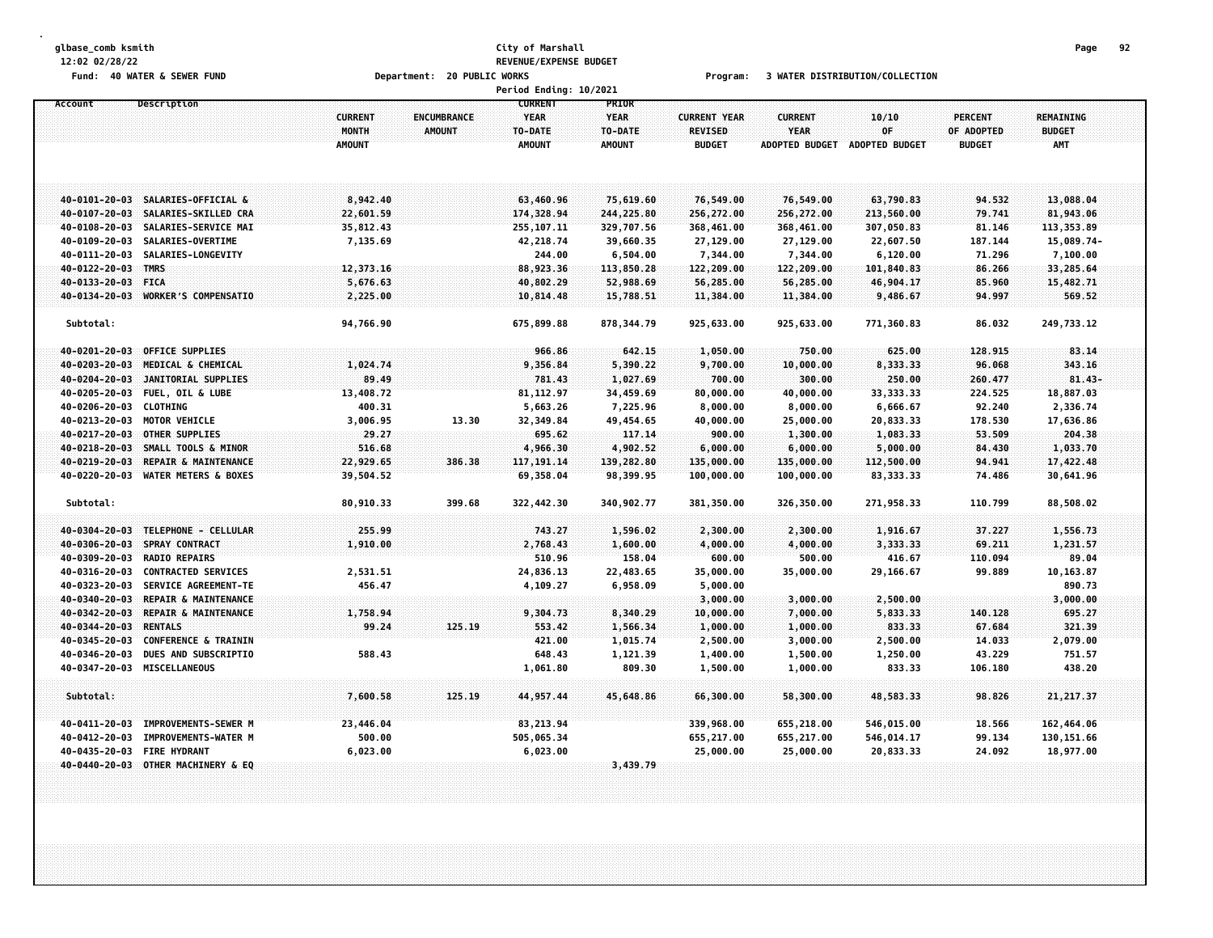# **glbase\_comb ksmith City of Marshall Page 92 12:02 02/28/22 REVENUE/EXPENSE BUDGET**

Fund: 40 WATER & SEWER FUND **Department: 20 PUBLIC WORKS** For the Second Program: 3 WATER DISTRIBUTION/COLLECTION

|                        |                                    |                |                    | Period Ending: 10/2021 |               |                     |                       |                       |                |                  |  |
|------------------------|------------------------------------|----------------|--------------------|------------------------|---------------|---------------------|-----------------------|-----------------------|----------------|------------------|--|
| Account                | Description                        |                |                    | <b>CURRENT</b>         | PRIOR         |                     |                       |                       |                |                  |  |
|                        |                                    | <b>CURRENT</b> | <b>ENCUMBRANCE</b> | <b>YEAR</b>            | <b>YEAR</b>   | <b>CURRENT YEAR</b> | <b>CURRENT</b>        | 10/10                 | <b>PERCENT</b> | <b>REMAINING</b> |  |
|                        |                                    | MONTH          | <b>AMOUNT</b>      | TO-DATE                | TO-DATE       | REVISED             | <b>YEAR</b>           | OF                    | OF ADOPTED     | <b>BUDGET</b>    |  |
|                        |                                    | <b>AMOUNT</b>  |                    | <b>AMOUNT</b>          | <b>AMOUNT</b> | <b>BUDGET</b>       | <b>ADOPTED BUDGET</b> | <b>ADOPTED BUDGET</b> | <b>BUDGET</b>  | <b>AMT</b>       |  |
|                        |                                    |                |                    |                        |               |                     |                       |                       |                |                  |  |
|                        |                                    |                |                    |                        |               |                     |                       |                       |                |                  |  |
|                        |                                    |                |                    |                        |               |                     |                       |                       |                |                  |  |
|                        | 40-0101-20-03 SALARIES-OFFICIAL &  | 8,942.40       |                    | 63,460.96              | 75,619.60     | 76,549.00           | 76,549.00             | 63,790.83             | 94.532         | 13,088.04        |  |
| 40-0107-20-03          | SALARIES-SKILLED CRA               | 22,601.59      |                    | 174,328.94             | 244,225.80    | 256,272.00          | 256,272.00            | 213,560.00            | 79.741         | 81,943.06        |  |
| 40-0108-20-03          | SALARIES-SERVICE MAI               | 35,812.43      |                    | 255, 107.11            | 329,707.56    | 368,461.00          | 368,461.00            | 307,050.83            | 81.146         | 113,353.89       |  |
| 40-0109-20-03          | SALARIES-OVERTIME                  | 7,135.69       |                    | 42,218.74              | 39,660.35     | 27,129.00           | 27,129.00             | 22,607.50             | 187.144        | 15,089.74-       |  |
| 40-0111-20-03          | SALARIES-LONGEVITY                 |                |                    | 244.00                 | 6,504.00      | 7,344.00            | 7,344.00              | 6,120.00              | 71.296         | 7,100.00         |  |
| 40-0122-20-03          | <b>TMRS</b>                        | 12,373.16      |                    | 88,923.36              | 113,850.28    | 122,209.00          | 122,209.00            | 101,840.83            | 86.266         | 33,285.64        |  |
| 40-0133-20-03          | FICA                               | 5,676.63       |                    | 40,802.29              | 52,988.69     | 56,285.00           | 56,285.00             | 46,904.17             | 85.960         | 15,482.71        |  |
| 40-0134-20-03          | <b>WORKER'S COMPENSATIO</b>        | 2,225.00       |                    | 10,814.48              | 15,788.51     | 11,384.00           | 11,384.00             | 9,486.67              | 94.997         | 569.52           |  |
| Subtotal:              |                                    | 94,766.90      |                    | 675,899.88             | 878, 344.79   | 925,633.00          | 925,633.00            | 771,360.83            | 86.032         | 249,733.12       |  |
|                        |                                    |                |                    |                        |               |                     |                       |                       |                |                  |  |
| 40-0201-20-03          | <b>OFFICE SUPPLIES</b>             |                |                    | 966.86                 | 642.15        | 1,050.00            | 750.00                | 625.00                | 128.915        | 83.14            |  |
| 40-0203-20-03          | MEDICAL & CHEMICAL                 | 1,024.74       |                    | 9,356.84               | 5,390.22      | 9,700.00            | 10,000.00             | 8,333.33              | 96.068         | 343.16           |  |
| 40-0204-20-03          | JANITORIAL SUPPLIES                | 89.49          |                    | 781.43                 | 1,027.69      | 700.00              | 300.00                | 250.00                | 260.477        | $81.43 -$        |  |
| 40-0205-20-03          | <b>FUEL, OIL &amp; LUBE</b>        | 13,408.72      |                    | 81, 112.97             | 34,459.69     | 80,000.00           | 40,000.00             | 33, 333. 33           | 224.525        | 18,887.03        |  |
| 40-0206-20-03 CLOTHING |                                    | 400.31         |                    | 5,663.26               | 7,225.96      | 8,000.00            | 8,000.00              | 6,666.67              | 92.240         | 2,336.74         |  |
|                        | 40-0213-20-03 MOTOR VEHICLE        | 3,006.95       | 13.30              | 32,349.84              | 49,454.65     | 40,000.00           | 25,000.00             | 20,833.33             | 178.530        | 17,636.86        |  |
|                        | 40-0217-20-03 OTHER SUPPLIES       | 29.27          |                    | 695.62                 | 117.14        | 900.00              | 1,300.00              | 1,083.33              | 53.509         | 204.38           |  |
| $40 - 0218 - 20 - 03$  | SMALL TOOLS & MINOR                | 516.68         |                    | 4,966.30               | 4,902.52      | 6,000.00            | 6,000.00              | 5,000.00              | 84.430         | 1,033.70         |  |
| 40-0219-20-03          | REPAIR & MAINTENANCE               | 22,929.65      | 386.38             | 117, 191.14            | 139,282.80    | 135,000.00          | 135,000.00            | 112,500.00            | 94.941         | 17,422.48        |  |
| 40-0220-20-03          | <b>WATER METERS &amp; BOXES</b>    | 39,504.52      |                    | 69,358.04              | 98,399.95     | 100,000.00          | 100,000.00            | 83, 333. 33           | 74.486         | 30,641.96        |  |
|                        |                                    |                |                    |                        |               |                     |                       |                       |                |                  |  |
| Subtotal:              |                                    | 80,910.33      | 399.68             | 322,442.30             | 340,902.77    | 381,350.00          | 326,350.00            | 271,958.33            | 110.799        | 88,508.02        |  |
|                        |                                    |                |                    |                        |               |                     |                       |                       |                |                  |  |
| 40-0304-20-03          | TELEPHONE - CELLULAR               | 255.99         |                    | 743.27                 | 1,596.02      | 2,300.00            | 2,300.00              | 1,916.67              | 37.227         | 1,556.73         |  |
| 40-0306-20-03          | <b>SPRAY CONTRACT</b>              | 1,910.00       |                    | 2,768.43               | 1,600.00      | 4,000.00            | 4,000.00              | 3,333.33              | 69.211         | 1,231.57         |  |
| 40-0309-20-03          | <b>RADIO REPAIRS</b>               |                |                    | 510.96                 | 158.04        | 600.00              | 500.00                | 416.67                | 110.094        | 89.04            |  |
| 40-0316-20-03          | <b>CONTRACTED SERVICES</b>         | 2,531.51       |                    | 24,836.13              | 22,483.65     | 35,000.00           | 35,000.00             | 29,166.67             | 99.889         | 10, 163.87       |  |
| 40-0323-20-03          | <b>SERVICE AGREEMENT-TE</b>        | 456.47         |                    | 4,109.27               | 6,958.09      | 5,000.00            |                       |                       |                | 890.73           |  |
| 40-0340-20-03          | REPAIR & MAINTENANCE               |                |                    |                        |               | 3,000.00            | 3,000.00              | 2,500.00              |                | 3,000.00         |  |
| 40-0342-20-03          | REPAIR & MAINTENANCE               | 1,758.94       |                    | 9,304.73               | 8,340.29      | 10,000.00           | 7,000.00              | 5,833.33              | 140.128        | 695.27           |  |
| 40-0344-20-03          | <b>RENTALS</b>                     | 99.24          | 125.19             | 553.42                 | 1,566.34      | 1,000.00            | 1,000.00              | 833.33                | 67.684         | 321.39           |  |
| 40-0345-20-03          | <b>CONFERENCE &amp; TRAININ</b>    |                |                    | 421.00                 | 1,015.74      | 2,500.00            | 3,000.00              | 2,500.00              | 14.033         | 2,079.00         |  |
| 40-0346-20-03          | DUES AND SUBSCRIPTIO               | 588.43         |                    | 648.43                 | 1,121.39      | 1,400.00            | 1,500.00              | 1,250.00              | 43.229         | 751.57           |  |
| 40-0347-20-03          | <b>MISCELLANEOUS</b>               |                |                    | 1,061.80               | 809.30        | 1,500.00            | 1,000.00              | 833.33                | 106.180        | 438.20           |  |
|                        |                                    |                |                    |                        |               |                     |                       |                       |                |                  |  |
| Subtotal:              |                                    | 7,600.58       | 125.19             | 44, 957, 44            | 45,648.86     | 66,300.00           | 58,300.00             | 48,583.33             | 98.826         | 21, 217.37       |  |
|                        |                                    |                |                    |                        |               |                     |                       |                       |                |                  |  |
| 40-0411-20-03          | IMPROVEMENTS-SEWER M               | 23,446.04      |                    | 83, 213.94             |               | 339,968.00          | 655,218.00            | 546,015.00            | 18.566         | 162,464.06       |  |
| 40-0412-20-03          | IMPROVEMENTS-WATER M               | 500.00         |                    | 505,065.34             |               | 655,217.00          | 655,217.00            | 546,014.17            | 99.134         | 130, 151.66      |  |
| 40-0435-20-03          | <b>FIRE HYDRANT</b>                | 6,023.00       |                    | 6,023.00               |               | 25,000.00           | 25,000.00             | 20,833.33             | 24.092         | 18,977.00        |  |
|                        | 40-0440-20-03 OTHER MACHINERY & EQ |                |                    |                        | 3,439.79      |                     |                       |                       |                |                  |  |
|                        |                                    |                |                    |                        |               |                     |                       |                       |                |                  |  |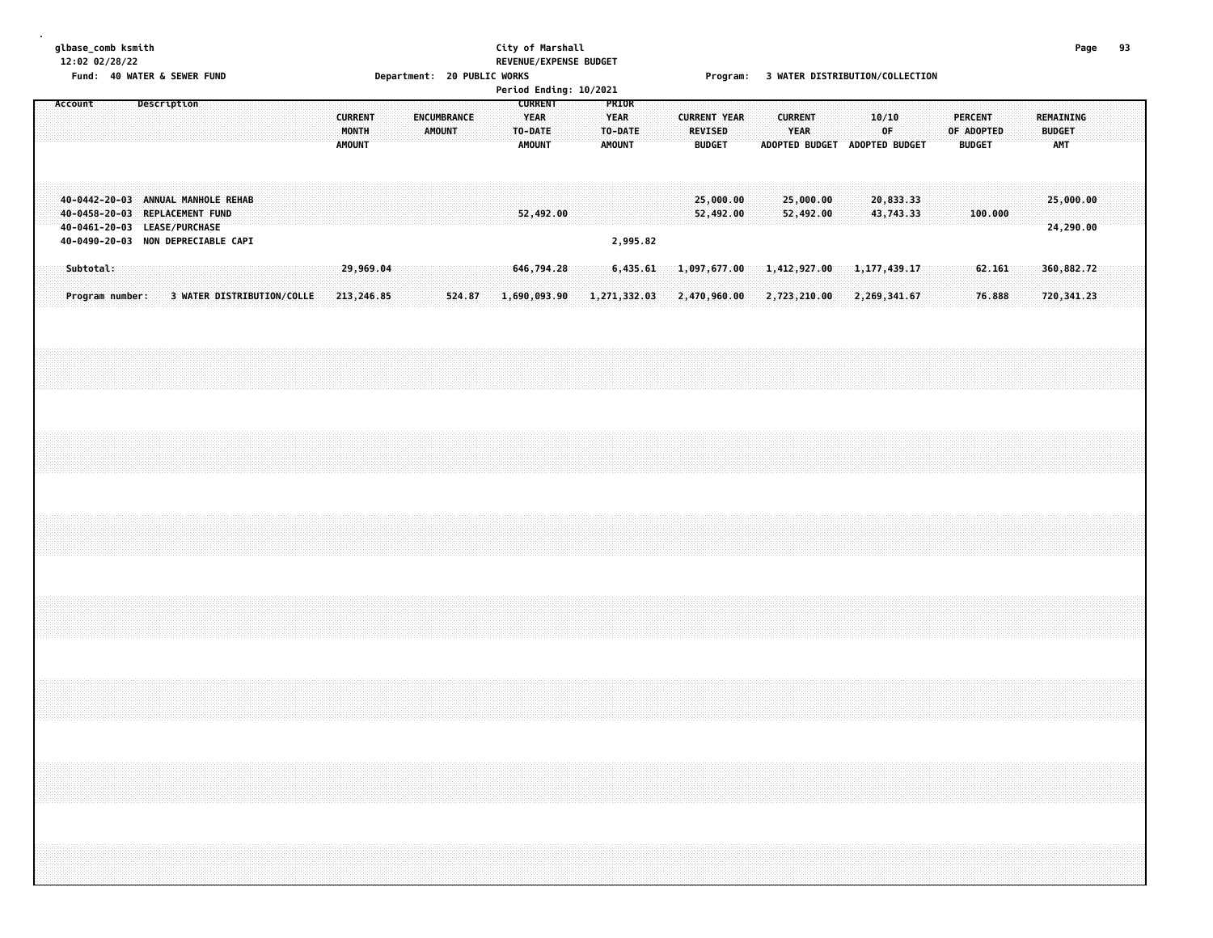# **glbase\_comb ksmith City of Marshall Page 93 12:02 02/28/22 REVENUE/EXPENSE BUDGET**

Fund: 40 WATER & SEWER FUND<br>Department: 20 PUBLIC WORKS [1] The Second Program: 3 WATER DISTRIBUTION/COLLECTION

|         |                                                                                                                                            |  |                            |  |  |  |                                   |  |                    |        |        |  |                                                           | Period Ending: 10/2021 |                                                  |          |  |                                 |                              |  |                              |                               |                                |  |  |                                               |  |               |                            |  |  |
|---------|--------------------------------------------------------------------------------------------------------------------------------------------|--|----------------------------|--|--|--|-----------------------------------|--|--------------------|--------|--------|--|-----------------------------------------------------------|------------------------|--------------------------------------------------|----------|--|---------------------------------|------------------------------|--|------------------------------|-------------------------------|--------------------------------|--|--|-----------------------------------------------|--|---------------|----------------------------|--|--|
| Account |                                                                                                                                            |  | Description                |  |  |  | <b>CURRENT</b><br>MONTH<br>AMOUNT |  | <b>ENCUMBRANCE</b> | AMOUNT |        |  | <b>CURRENT</b><br><b>YEAR</b><br>TO-DATE<br><b>AMOUNT</b> |                        | PRIOR<br><b>YEAR</b><br>TO-DATE<br><b>AMOUNT</b> |          |  | <b>REVISED</b><br><b>BUDGET</b> | <b>CURRENT YEAR</b>          |  | <b>CURRENT</b><br>YEAR       | ADOPTED BUDGET ADOPTED BUDGET | 10/10<br>0F                    |  |  | <b>PERCENT</b><br>OF ADOPTED<br><b>BUDGET</b> |  | <b>BUDGET</b> | REMAINING<br>AMT           |  |  |
|         | 40-0442-20-03 ANNUAL MANHOLE REHAB<br>40-0458-20-03 REPLACEMENT FUND<br>40-0461-20-03 LEASE/PURCHASE<br>40-0490-20-03 NON DEPRECIABLE CAPI |  |                            |  |  |  |                                   |  |                    |        |        |  | 52,492.00                                                 |                        | 2,995.82                                         |          |  |                                 | 25,000.00<br>52,492.00       |  | 25,000.00<br>52,492.00       |                               | 20,833.33<br>43,743.33         |  |  | 100.000                                       |  |               | 25,000.00<br>24,290.00     |  |  |
|         | Subtotal:<br>Program number:                                                                                                               |  | 3 WATER DISTRIBUTION/COLLE |  |  |  | 29,969.04<br>213,246.85           |  |                    |        | 524.87 |  | 646,794.28<br>1,690,093.90                                |                        | 1,271,332.03                                     | 6,435.61 |  |                                 | 1,097,677.00<br>2,470,960.00 |  | 1,412,927.00<br>2,723,210.00 |                               | 1, 177, 439.17<br>2,269,341.67 |  |  | 62.161<br>76.888                              |  |               | 360,882.72<br>720, 341, 23 |  |  |
|         |                                                                                                                                            |  |                            |  |  |  |                                   |  |                    |        |        |  |                                                           |                        |                                                  |          |  |                                 |                              |  |                              |                               |                                |  |  |                                               |  |               |                            |  |  |
|         |                                                                                                                                            |  |                            |  |  |  |                                   |  |                    |        |        |  |                                                           |                        |                                                  |          |  |                                 |                              |  |                              |                               |                                |  |  |                                               |  |               |                            |  |  |
|         |                                                                                                                                            |  |                            |  |  |  |                                   |  |                    |        |        |  |                                                           |                        |                                                  |          |  |                                 |                              |  |                              |                               |                                |  |  |                                               |  |               |                            |  |  |
|         |                                                                                                                                            |  |                            |  |  |  |                                   |  |                    |        |        |  |                                                           |                        |                                                  |          |  |                                 |                              |  |                              |                               |                                |  |  |                                               |  |               |                            |  |  |
|         |                                                                                                                                            |  |                            |  |  |  |                                   |  |                    |        |        |  |                                                           |                        |                                                  |          |  |                                 |                              |  |                              |                               |                                |  |  |                                               |  |               |                            |  |  |
|         |                                                                                                                                            |  |                            |  |  |  |                                   |  |                    |        |        |  |                                                           |                        |                                                  |          |  |                                 |                              |  |                              |                               |                                |  |  |                                               |  |               |                            |  |  |
|         |                                                                                                                                            |  |                            |  |  |  |                                   |  |                    |        |        |  |                                                           |                        |                                                  |          |  |                                 |                              |  |                              |                               |                                |  |  |                                               |  |               |                            |  |  |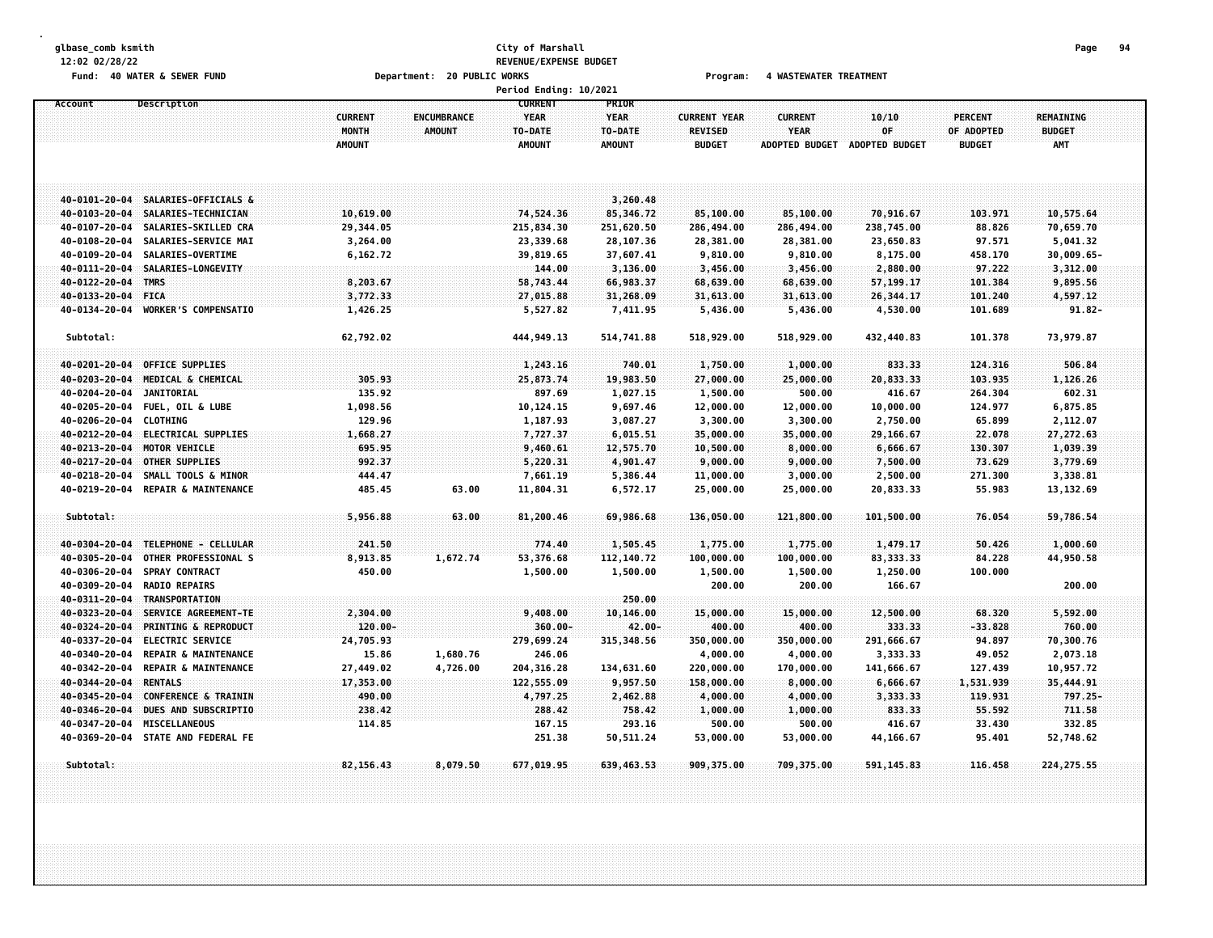### **glbase\_comb ksmith City of Marshall Page 94 12:02 02/28/22 REVENUE/EXPENSE BUDGET** Fund: 40 WATER & SEWER FUND **Department: 20 PUBLIC WORKS Film Construct Program:** 4 WASTEWATER TREATMENT

|                        |                                    |                                          |                                     | Period Ending: 10/2021                                    |                                                  |                                                        |                               |                                              |                                               |                                                 |  |
|------------------------|------------------------------------|------------------------------------------|-------------------------------------|-----------------------------------------------------------|--------------------------------------------------|--------------------------------------------------------|-------------------------------|----------------------------------------------|-----------------------------------------------|-------------------------------------------------|--|
| Account                | Description                        | <b>CURRENT</b><br>MONTH<br><b>AMOUNT</b> | <b>ENCUMBRANCE</b><br><b>AMOUNT</b> | <b>CURRENT</b><br><b>YEAR</b><br>TO-DATE<br><b>AMOUNT</b> | PRIOR<br><b>YEAR</b><br>TO-DATE<br><b>AMOUNT</b> | <b>CURRENT YEAR</b><br><b>REVISED</b><br><b>BUDGET</b> | <b>CURRENT</b><br><b>YEAR</b> | 10/10<br>OF<br>ADOPTED BUDGET ADOPTED BUDGET | <b>PERCENT</b><br>OF ADOPTED<br><b>BUDGET</b> | <b>REMAINING</b><br><b>BUDGET</b><br><b>AMT</b> |  |
|                        | 40-0101-20-04 SALARIES-OFFICIALS & |                                          |                                     |                                                           | 3,260.48                                         |                                                        |                               |                                              |                                               |                                                 |  |
|                        | 40-0103-20-04 SALARIES-TECHNICIAN  | 10,619.00                                |                                     | 74,524.36                                                 | 85,346.72                                        | 85,100.00                                              | 85,100.00                     | 70,916.67                                    | 103.971                                       | 10,575.64                                       |  |
|                        | 40-0107-20-04 SALARIES-SKILLED CRA | 29,344.05                                |                                     | 215,834.30                                                | 251,620.50                                       | 286,494.00                                             | 286,494.00                    | 238,745.00                                   | 88.826                                        | 70,659.70                                       |  |
| 40-0108-20-04          | SALARIES-SERVICE MAI               | 3,264.00                                 |                                     | 23,339.68                                                 | 28,107.36                                        | 28,381.00                                              | 28,381.00                     | 23,650.83                                    | 97.571                                        | 5,041.32                                        |  |
| 40-0109-20-04          | SALARIES-OVERTIME                  | 6,162.72                                 |                                     | 39,819.65                                                 | 37,607.41                                        | 9,810.00                                               | 9,810.00                      | 8,175.00                                     | 458.170                                       | 30,009.65-                                      |  |
| 40-0111-20-04          | SALARIES-LONGEVITY                 |                                          |                                     | 144.00                                                    | 3,136.00                                         | 3,456.00                                               | 3,456.00                      | 2,880.00                                     | 97.222                                        | 3,312.00                                        |  |
| 40-0122-20-04 TMRS     |                                    | 8,203.67                                 |                                     | 58,743.44                                                 | 66,983.37                                        | 68,639.00                                              | 68,639.00                     | 57,199.17                                    | 101.384                                       | 9,895.56                                        |  |
| 40-0133-20-04          | <b>FICA</b>                        | 3,772.33                                 |                                     | 27,015.88                                                 | 31,268.09                                        | 31,613.00                                              | 31,613.00                     | 26,344.17                                    | 101.240                                       | 4,597.12                                        |  |
| 40-0134-20-04          | <b>WORKER'S COMPENSATIO</b>        | 1,426.25                                 |                                     | 5,527.82                                                  | 7,411.95                                         | 5,436.00                                               | 5,436.00                      | 4,530.00                                     | 101.689                                       | $91.82 -$                                       |  |
| Subtotal:              |                                    | 62,792.02                                |                                     | 444, 949.13                                               | 514,741.88                                       | 518,929.00                                             | 518,929.00                    | 432,440.83                                   | 101.378                                       | 73,979.87                                       |  |
| 40-0201-20-04          | <b>OFFICE SUPPLIES</b>             |                                          |                                     | 1,243.16                                                  | 740.01                                           | 1,750.00                                               | 1,000.00                      | 833.33                                       | 124.316                                       | 506.84                                          |  |
|                        | 40-0203-20-04 MEDICAL & CHEMICAL   | 305.93                                   |                                     | 25,873.74                                                 | 19,983.50                                        | 27,000.00                                              | 25,000.00                     | 20,833.33                                    | 103.935                                       | 1,126.26                                        |  |
| $40 - 0204 - 20 - 04$  | <b>JANITORIAL</b>                  | 135.92                                   |                                     | 897.69                                                    | 1,027.15                                         | 1,500.00                                               | 500.00                        | 416.67                                       | 264.304                                       | 602.31                                          |  |
|                        | 40-0205-20-04 FUEL, OIL & LUBE     | 1,098.56                                 |                                     | 10,124.15                                                 | 9,697.46                                         | 12,000.00                                              | 12,000.00                     | 10,000.00                                    | 124.977                                       | 6,875.85                                        |  |
| 40-0206-20-04 CLOTHING |                                    | 129.96                                   |                                     | 1,187.93                                                  | 3,087.27                                         | 3,300.00                                               | 3,300.00                      | 2,750.00                                     | 65.899                                        | 2,112.07                                        |  |
|                        | 40-0212-20-04 ELECTRICAL SUPPLIES  | 1,668.27                                 |                                     | 7,727.37                                                  | 6,015.51                                         | 35,000.00                                              | 35,000.00                     | 29,166.67                                    | 22.078                                        | 27,272.63                                       |  |
| 40-0213-20-04          | MOTOR VEHICLE                      | 695.95                                   |                                     | 9,460.61                                                  | 12,575.70                                        | 10,500.00                                              | 8,000.00                      | 6,666.67                                     | 130.307                                       | 1,039.39                                        |  |
| 40-0217-20-04          | <b>OTHER SUPPLIES</b>              | 992.37                                   |                                     | 5,220.31                                                  | 4,901.47                                         | 9,000.00                                               | 9,000.00                      | 7,500.00                                     | 73.629                                        | 3,779.69                                        |  |
| 40-0218-20-04          | SMALL TOOLS & MINOR                | 444.47                                   |                                     | 7,661.19                                                  | 5,386.44                                         | 11,000.00                                              | 3,000.00                      | 2,500.00                                     | 271.300                                       | 3,338.81                                        |  |
|                        | 40-0219-20-04 REPAIR & MAINTENANCE | 485.45                                   | 63.00                               | 11,804.31                                                 | 6,572.17                                         | 25,000.00                                              | 25,000.00                     | 20,833.33                                    | 55.983                                        | 13, 132.69                                      |  |
| Subtotal:              |                                    | 5,956.88                                 | 63.00                               | 81,200.46                                                 | 69,986.68                                        | 136,050.00                                             | 121,800.00                    | 101,500.00                                   | 76.054                                        | 59,786.54                                       |  |
|                        | 40-0304-20-04 TELEPHONE - CELLULAR | 241.50                                   |                                     | 774.40                                                    | 1,505.45                                         | 1,775.00                                               | 1,775.00                      | 1,479.17                                     | 50.426                                        | 1,000.60                                        |  |
| 40-0305-20-04          | OTHER PROFESSIONAL S               | 8,913.85                                 | 1,672.74                            | 53,376.68                                                 | 112, 140. 72                                     | 100,000.00                                             | 100,000.00                    | 83, 333.33                                   | 84.228                                        | 44,950.58                                       |  |
|                        | 40-0306-20-04 SPRAY CONTRACT       | 450.00                                   |                                     | 1,500.00                                                  | 1,500.00                                         | 1,500.00                                               | 1,500.00                      | 1,250.00                                     | 100.000                                       |                                                 |  |
| 40-0309-20-04          | <b>RADIO REPAIRS</b>               |                                          |                                     |                                                           |                                                  | 200.00                                                 | 200.00                        | 166.67                                       |                                               | 200.00                                          |  |
| 40-0311-20-04          | TRANSPORTATION                     |                                          |                                     |                                                           | 250.00                                           |                                                        |                               |                                              |                                               |                                                 |  |
| 40-0323-20-04          | SERVICE AGREEMENT-TE               | 2,304.00                                 |                                     | 9,408.00                                                  | 10,146.00                                        | 15,000.00                                              | 15,000.00                     | 12,500.00                                    | 68.320                                        | 5,592.00                                        |  |
| 40-0324-20-04          | <b>PRINTING &amp; REPRODUCT</b>    | $120.00 -$                               |                                     | $360.00 -$                                                | 42.00-                                           | 400.00                                                 | 400.00                        | 333.33                                       | $-33.828$                                     | 760.00                                          |  |
|                        | 40-0337-20-04 ELECTRIC SERVICE     | 24,705.93                                |                                     | 279,699.24                                                | 315, 348.56                                      | 350,000.00                                             | 350,000.00                    | 291,666.67                                   | 94.897                                        | 70,300.76                                       |  |
| 40-0340-20-04          | <b>REPAIR &amp; MAINTENANCE</b>    | 15.86                                    | 1,680.76                            | 246.06                                                    |                                                  | 4,000.00                                               | 4,000.00                      | 3,333.33                                     | 49.052                                        | 2,073.18                                        |  |
| 40-0342-20-04          | REPAIR & MAINTENANCE               | 27,449.02                                | 4,726.00                            | 204, 316.28                                               | 134,631.60                                       | 220,000.00                                             | 170,000.00                    | 141,666.67                                   | 127.439                                       | 10,957.72                                       |  |
| 40-0344-20-04 RENTALS  |                                    | 17,353.00                                |                                     | 122,555.09                                                | 9,957.50                                         | 158,000.00                                             | 8,000.00                      | 6,666.67                                     | 1,531.939                                     | 35,444.91                                       |  |
| 40-0345-20-04          | <b>CONFERENCE &amp; TRAININ</b>    | 490.00                                   |                                     | 4,797.25                                                  | 2,462.88                                         | 4,000.00                                               | 4,000.00                      | 3,333.33                                     | 119.931                                       | $797.25 -$                                      |  |
| 40-0346-20-04          | DUES AND SUBSCRIPTIO               | 238.42                                   |                                     | 288.42                                                    | 758.42                                           | 1,000.00                                               | 1,000.00                      | 833.33                                       | 55.592                                        | 711.58                                          |  |
| 40-0347-20-04          | <b>MISCELLANEOUS</b>               | 114.85                                   |                                     | 167.15                                                    | 293.16                                           | 500.00                                                 | 500.00                        | 416.67                                       | 33.430                                        | 332.85                                          |  |
|                        | 40-0369-20-04 STATE AND FEDERAL FE |                                          |                                     | 251.38                                                    | 50,511.24                                        | 53,000.00                                              | 53,000.00                     | 44,166.67                                    | 95.401                                        | 52,748.62                                       |  |
| Subtotal:              |                                    | 82,156.43                                | 8,079.50                            | 677,019.95                                                | 639,463.53                                       | 909,375.00                                             | 709,375.00                    | 591, 145.83                                  | 116.458                                       | 224, 275.55                                     |  |
|                        |                                    |                                          |                                     |                                                           |                                                  |                                                        |                               |                                              |                                               |                                                 |  |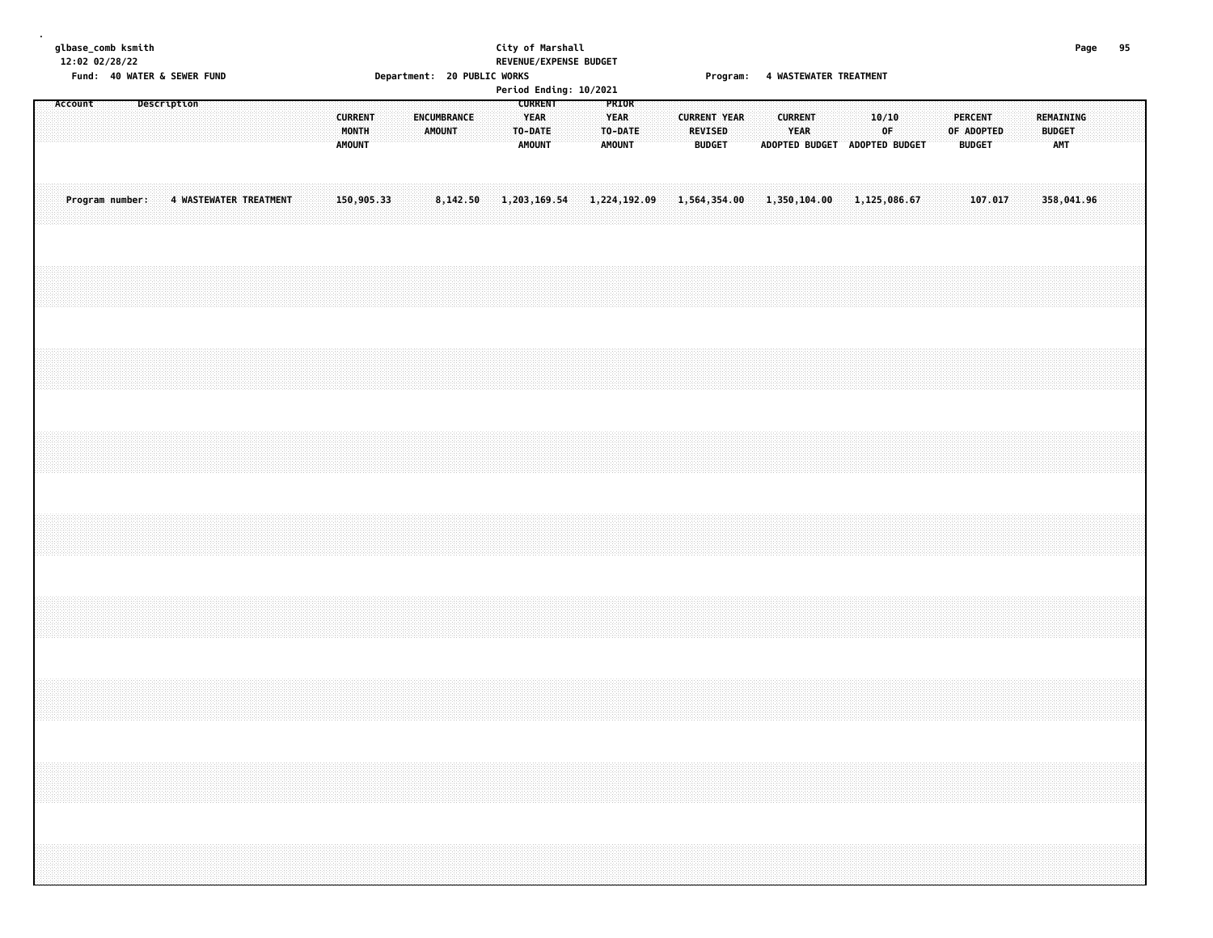#### **glbase\_comb ksmith City of Marshall Page 95 12:02 02/28/22 REVENUE/EXPENSE BUDGET** Fund: 40 WATER & SEWER FUND **STAR EXECUTE: 20 PUBLIC WORKS** The Second of Program: 4 WASTEWATER TREATMENT

|  |         |                 |             |  |                        |  |  |  |                                          |  |        |             |  |                                                    | Period Ending: 10/2021 |                         |              |              |                                                 | . . <b>. .</b> . <b>.</b> |              |                                                         |  |              |             |  |  |                                               |  |                                   |  |  |
|--|---------|-----------------|-------------|--|------------------------|--|--|--|------------------------------------------|--|--------|-------------|--|----------------------------------------------------|------------------------|-------------------------|--------------|--------------|-------------------------------------------------|---------------------------|--------------|---------------------------------------------------------|--|--------------|-------------|--|--|-----------------------------------------------|--|-----------------------------------|--|--|
|  | Account |                 | Description |  |                        |  |  |  | <b>CURRENT</b><br>MONTH<br><b>AMOUNT</b> |  | AMOUNT | ENCUMBRANCE |  | <b>CURRENT</b><br><b>YEAR</b><br>TO-DATE<br>AMOUNT |                        | PRIOR<br>YEAR<br>AMOUNT | TO-DATE      |              | <b>CURRENT YEAR</b><br>REVISED<br><b>BUDGET</b> |                           |              | <b>CURRENT</b><br>YEAR<br>ADOPTED BUDGET ADOPTED BUDGET |  |              | 10/10<br>OF |  |  | <b>PERCENT</b><br>OF ADOPTED<br><b>BUDGET</b> |  | REMAINING<br><b>BUDGET</b><br>AMT |  |  |
|  |         | Program number: |             |  | 4 WASTEWATER TREATMENT |  |  |  | 150,905.33                               |  |        | 8,142.50    |  | 1,203,169.54                                       |                        |                         | 1,224,192.09 | 1,564,354.00 |                                                 |                           | 1,350,104.00 |                                                         |  | 1,125,086.67 |             |  |  | 107.017                                       |  | 358,041.96                        |  |  |
|  |         |                 |             |  |                        |  |  |  |                                          |  |        |             |  |                                                    |                        |                         |              |              |                                                 |                           |              |                                                         |  |              |             |  |  |                                               |  |                                   |  |  |
|  |         |                 |             |  |                        |  |  |  |                                          |  |        |             |  |                                                    |                        |                         |              |              |                                                 |                           |              |                                                         |  |              |             |  |  |                                               |  |                                   |  |  |
|  |         |                 |             |  |                        |  |  |  |                                          |  |        |             |  |                                                    |                        |                         |              |              |                                                 |                           |              |                                                         |  |              |             |  |  |                                               |  |                                   |  |  |
|  |         |                 |             |  |                        |  |  |  |                                          |  |        |             |  |                                                    |                        |                         |              |              |                                                 |                           |              |                                                         |  |              |             |  |  |                                               |  |                                   |  |  |
|  |         |                 |             |  |                        |  |  |  |                                          |  |        |             |  |                                                    |                        |                         |              |              |                                                 |                           |              |                                                         |  |              |             |  |  |                                               |  |                                   |  |  |
|  |         |                 |             |  |                        |  |  |  |                                          |  |        |             |  |                                                    |                        |                         |              |              |                                                 |                           |              |                                                         |  |              |             |  |  |                                               |  |                                   |  |  |
|  |         |                 |             |  |                        |  |  |  |                                          |  |        |             |  |                                                    |                        |                         |              |              |                                                 |                           |              |                                                         |  |              |             |  |  |                                               |  |                                   |  |  |
|  |         |                 |             |  |                        |  |  |  |                                          |  |        |             |  |                                                    |                        |                         |              |              |                                                 |                           |              |                                                         |  |              |             |  |  |                                               |  |                                   |  |  |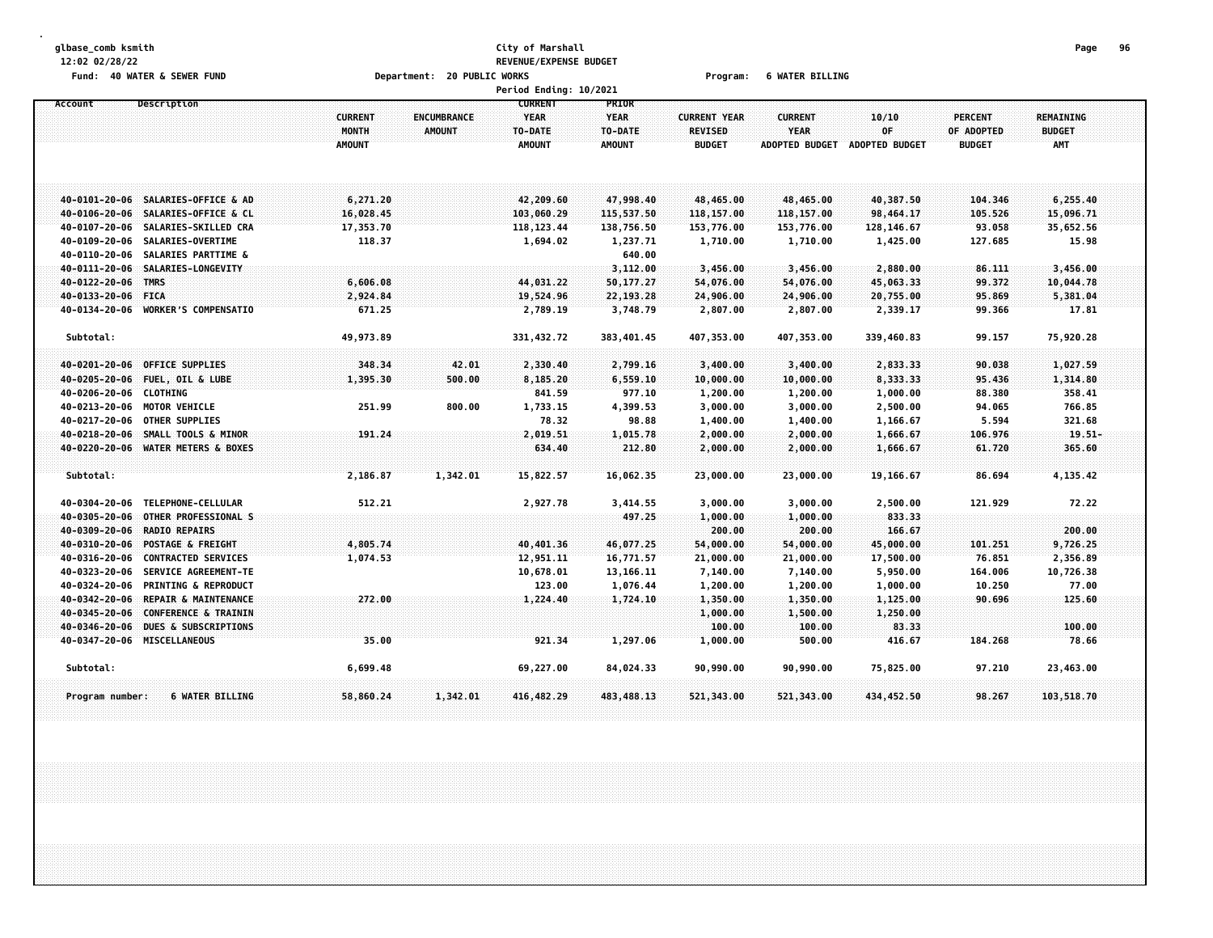#### **glbase\_comb ksmith City of Marshall Page 96 12:02 02/28/22 REVENUE/EXPENSE BUDGET Fund: 40 WATER & SEWER FUND Department: 20 PUBLIC WORKS Program: 6 WATER BILLING**

|                    |                                    |                |                    | Period Ending: 10/2021        |                             |                     |                       |                |               |                  |  |
|--------------------|------------------------------------|----------------|--------------------|-------------------------------|-----------------------------|---------------------|-----------------------|----------------|---------------|------------------|--|
| Account            | Description                        | <b>CURRENT</b> | <b>ENCUMBRANCE</b> | <b>CURRENT</b><br><b>YEAR</b> | <b>PRIOR</b><br><b>YEAR</b> | <b>CURRENT YEAR</b> | <b>CURRENT</b>        | 10/10          | PERCENT       | <b>REMAINING</b> |  |
|                    |                                    | MONTH          | <b>AMOUNT</b>      | TO-DATE                       | TO-DATE                     | <b>REVISED</b>      | <b>YEAR</b>           | OF             | OF ADOPTED    | <b>BUDGET</b>    |  |
|                    |                                    | <b>AMOUNT</b>  |                    | <b>AMOUNT</b>                 | <b>AMOUNT</b>               | <b>BUDGET</b>       | <b>ADOPTED BUDGET</b> | ADOPTED BUDGET | <b>BUDGET</b> | AMT              |  |
|                    |                                    |                |                    |                               |                             |                     |                       |                |               |                  |  |
|                    | 40-0101-20-06 SALARIES-OFFICE & AD | 6,271.20       |                    | 42,209.60                     | 47,998.40                   | 48,465.00           | 48,465.00             | 40,387.50      | 104,346       | 6,255.40         |  |
|                    | 40-0106-20-06 SALARIES-OFFICE & CL | 16,028.45      |                    | 103,060.29                    | 115,537.50                  | 118, 157.00         | 118,157.00            | 98,464.17      | 105.526       | 15,096.71        |  |
|                    | 40-0107-20-06 SALARIES-SKILLED CRA | 17,353.70      |                    | 118, 123.44                   | 138,756.50                  | 153,776.00          | 153,776.00            | 128,146.67     | 93.058        | 35,652.56        |  |
| 40-0109-20-06      | <b>SALARIES-OVERTIME</b>           | 118.37         |                    | 1,694.02                      | 1,237.71                    | 1,710.00            | 1,710.00              | 1,425.00       | 127.685       | 15.98            |  |
|                    | 40-0110-20-06 SALARIES PARTTIME &  |                |                    |                               | 640.00                      |                     |                       |                |               |                  |  |
| 40-0111-20-06      | SALARIES-LONGEVITY                 |                |                    |                               | 3,112.00                    | 3,456.00            | 3,456.00              | 2,880.00       | 86.111        | 3,456.00         |  |
| 40-0122-20-06      | <b>TMRS</b>                        | 6,606.08       |                    | 44,031.22                     | 50,177.27                   | 54,076.00           | 54,076.00             | 45,063.33      | 99.372        | 10,044.78        |  |
| 40-0133-20-06 FICA |                                    | 2,924.84       |                    | 19,524.96                     | 22,193.28                   | 24,906.00           | 24,906.00             | 20,755.00      | 95.869        | 5,381.04         |  |
|                    | 40-0134-20-06 WORKER'S COMPENSATIO | 671.25         |                    | 2,789.19                      | 3,748.79                    | 2,807.00            | 2,807.00              | 2,339.17       | 99.366        | 17.81            |  |
| Subtotal:          |                                    | 49,973.89      |                    | 331,432.72                    | 383,401.45                  | 407,353.00          | 407,353.00            | 339,460.83     | 99.157        | 75,920.28        |  |
| 40-0201-20-06      | <b>OFFICE SUPPLIES</b>             | 348.34         | 42.01              | 2,330.40                      | 2,799.16                    | 3,400.00            | 3,400.00              | 2,833.33       | 90.038        | 1,027.59         |  |
| 40-0205-20-06      | FUEL, OIL & LUBE                   | 1,395.30       | 500.00             | 8,185.20                      | 6,559.10                    | 10,000.00           | 10,000.00             | 8,333.33       | 95.436        | 1,314.80         |  |
| 40-0206-20-06      | <b>CLOTHING</b>                    |                |                    | 841.59                        | 977.10                      | 1,200.00            | 1,200.00              | 1,000.00       | 88.380        | 358.41           |  |
| 40-0213-20-06      | <b>MOTOR VEHICLE</b>               | 251.99         | 800.00             | 1,733.15                      | 4,399.53                    | 3,000.00            | 3,000.00              | 2,500.00       | 94.065        | 766.85           |  |
| 40-0217-20-06      | OTHER SUPPLIES                     |                |                    | 78.32                         | 98.88                       | 1,400.00            | 1,400.00              | 1,166.67       | 5.594         | 321.68           |  |
| 40-0218-20-06      | SMALL TOOLS & MINOR                | 191.24         |                    | 2,019.51                      | 1,015.78                    | 2,000.00            | 2,000.00              | 1,666.67       | 106.976       | $19.51 -$        |  |
| 40-0220-20-06      | <b>WATER METERS &amp; BOXES</b>    |                |                    | 634.40                        | 212.80                      | 2,000.00            | 2,000.00              | 1,666.67       | 61.720        | 365.60           |  |
|                    |                                    |                |                    |                               |                             |                     |                       |                |               |                  |  |
| Subtotal:          |                                    | 2,186.87       | 1,342.01           | 15,822.57                     | 16,062.35                   | 23,000.00           | 23,000.00             | 19,166.67      | 86.694        | 4,135.42         |  |
| 40-0304-20-06      | TELEPHONE-CELLULAR                 | 512.21         |                    | 2,927.78                      | 3,414.55                    | 3,000.00            | 3,000.00              | 2,500.00       | 121.929       | 72.22            |  |
| 40-0305-20-06      | OTHER PROFESSIONAL S               |                |                    |                               | 497.25                      | 1,000.00            | 1,000.00              | 833.33         |               |                  |  |
| 40-0309-20-06      | <b>RADIO REPAIRS</b>               |                |                    |                               |                             | 200.00              | 200.00                | 166.67         |               | 200.00           |  |
| 40-0310-20-06      | POSTAGE & FREIGHT                  | 4,805.74       |                    | 40,401.36                     | 46,077.25                   | 54,000.00           | 54,000.00             | 45,000.00      | 101,251       | 9,726.25         |  |
| 40-0316-20-06      | <b>CONTRACTED SERVICES</b>         | 1,074.53       |                    | 12,951.11                     | 16,771.57                   | 21,000.00           | 21,000.00             | 17,500.00      | 76.851        | 2,356.89         |  |
| 40-0323-20-06      | SERVICE AGREEMENT-TE               |                |                    | 10,678.01                     | 13,166.11                   | 7,140.00            | 7,140.00              | 5,950.00       | 164.006       | 10,726.38        |  |
| 40-0324-20-06      | <b>PRINTING &amp; REPRODUCT</b>    |                |                    | 123.00                        | 1,076.44                    | 1,200.00            | 1,200.00              | 1,000.00       | 10.250        | 77.00            |  |
| 40-0342-20-06      | <b>REPAIR &amp; MAINTENANCE</b>    | 272.00         |                    | 1,224.40                      | 1,724.10                    | 1,350.00            | 1,350.00              | 1,125.00       | 90.696        | 125,60           |  |
| 40-0345-20-06      | CONFERENCE & TRAININ               |                |                    |                               |                             | 1,000.00            | 1,500.00              | 1,250.00       |               |                  |  |
| 40-0346-20-06      | <b>DUES &amp; SUBSCRIPTIONS</b>    |                |                    |                               |                             | 100.00              | 100.00                | 83.33          |               | 100.00           |  |
|                    | 40-0347-20-06 MISCELLANEOUS        | 35.00          |                    | 921.34                        | 1,297.06                    | 1,000.00            | 500.00                | 416.67         | 184.268       | 78.66            |  |
| Subtotal:          |                                    | 6,699.48       |                    | 69,227.00                     | 84,024.33                   | 90,990.00           | 90,990.00             | 75,825.00      | 97.210        | 23,463.00        |  |
| Program number:    | <b>6 WATER BILLING</b>             | 58,860.24      | 1,342.01           | 416, 482, 29                  | 483, 488.13                 | 521,343.00          | 521,343.00            | 434,452.50     | 98,267        | 103,518.70       |  |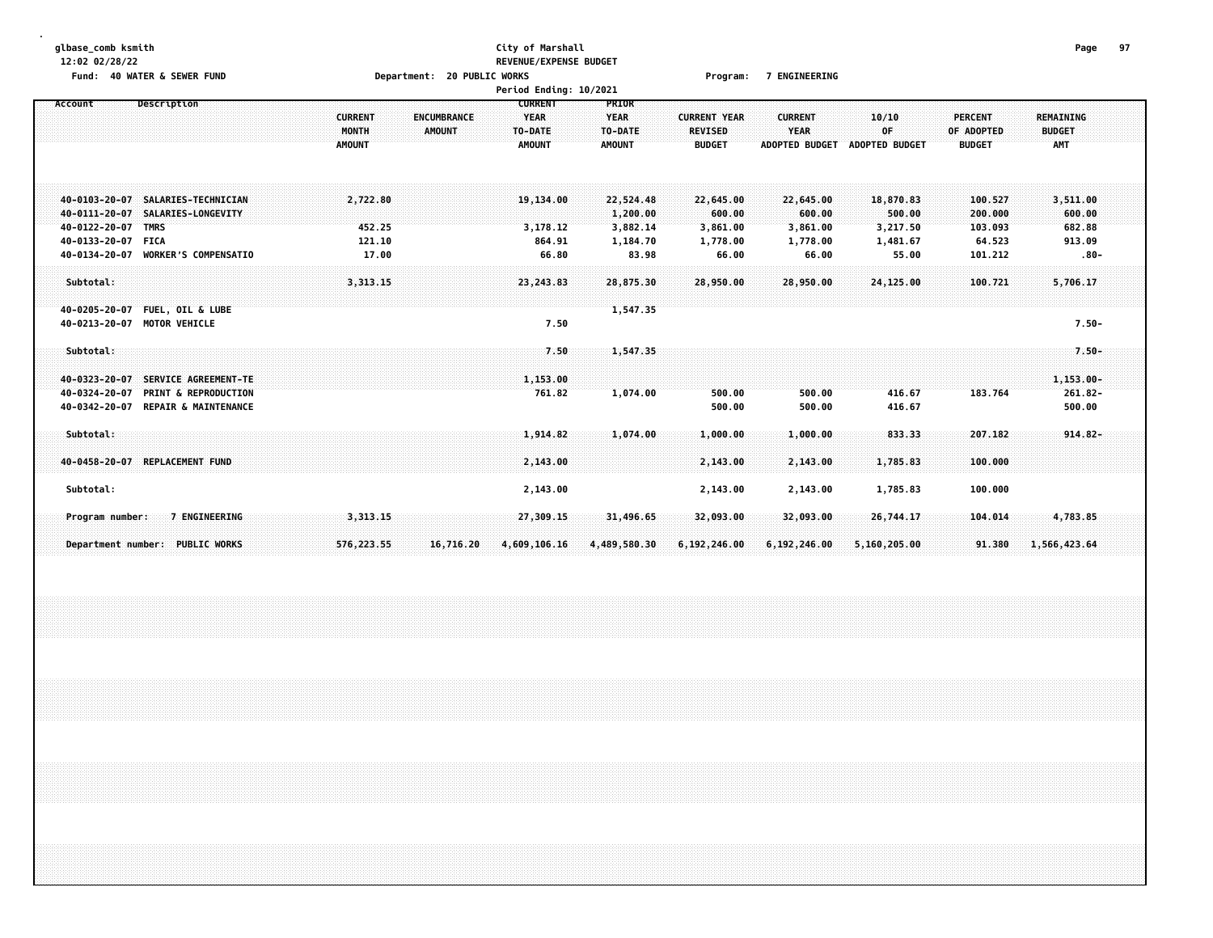| glbase_comb ksmith<br>12:02 02/28/22<br>Fund: 40 WATER & SEWER FUND                                                                                                                                        | Department: 20 PUBLIC WORKS                                              | City of Marshall<br><b>REVENUE/EXPENSE BUDGET</b><br>Period Ending: 10/2021 |                                                        | Program:                                               | <b>7 ENGINEERING</b>                                   |                                                      |                                                    | Page                                              | 97 |
|------------------------------------------------------------------------------------------------------------------------------------------------------------------------------------------------------------|--------------------------------------------------------------------------|-----------------------------------------------------------------------------|--------------------------------------------------------|--------------------------------------------------------|--------------------------------------------------------|------------------------------------------------------|----------------------------------------------------|---------------------------------------------------|----|
| Description<br>Account                                                                                                                                                                                     | <b>CURRENT</b><br><b>ENCUMBRANCE</b><br>MONTH<br>AMOUNT<br><b>AMOUNT</b> | <b>CURRENT</b><br><b>YEAR</b><br>TO-DATE<br><b>AMOUNT</b>                   | PRIOR<br><b>YEAR</b><br>TO-DATE<br><b>AMOUNT</b>       | <b>CURRENT YEAR</b><br><b>REVISED</b><br><b>BUDGET</b> | <b>CURRENT</b><br><b>YEAR</b><br><b>ADOPTED BUDGET</b> | 10/10<br>OF<br><b>ADOPTED BUDGET</b>                 | <b>PERCENT</b><br>OF ADOPTED<br><b>BUDGET</b>      | REMAINING<br><b>BUDGET</b><br>AMT                 |    |
| <b>SALARIES-TECHNICIAN</b><br>40-0103-20-07<br>$40 - 0111 - 20 - 07$<br>SALARIES-LONGEVITY<br>40-0122-20-07<br><b>TMRS</b><br>40-0133-20-07<br><b>FICA</b><br><b>WORKER'S COMPENSATIO</b><br>40-0134-20-07 | 2,722.80<br>452.25<br>121.10<br>17.00                                    | 19,134.00<br>3,178.12<br>864.91<br>66.80                                    | 22,524.48<br>1,200.00<br>3,882.14<br>1,184.70<br>83.98 | 22,645.00<br>600.00<br>3,861.00<br>1,778.00<br>66.00   | 22,645.00<br>600.00<br>3,861.00<br>1,778.00<br>66.00   | 18,870.83<br>500.00<br>3,217.50<br>1,481.67<br>55.00 | 100.527<br>200.000<br>103.093<br>64.523<br>101.212 | 3,511.00<br>600.00<br>682.88<br>913.09<br>$.80 -$ |    |
| Subtotal:                                                                                                                                                                                                  | 3,313.15                                                                 | 23, 243.83                                                                  | 28,875.30                                              | 28,950.00                                              | 28,950.00                                              | 24,125.00                                            | 100.721                                            | 5,706.17                                          |    |
| 40-0205-20-07<br><b>FUEL, OIL &amp; LUBE</b><br>40-0213-20-07 MOTOR VEHICLE                                                                                                                                |                                                                          | 7.50                                                                        | 1,547.35                                               |                                                        |                                                        |                                                      |                                                    | $7.50 -$                                          |    |
| Subtotal:<br>SERVICE AGREEMENT-TE<br>40-0323-20-07                                                                                                                                                         |                                                                          | 7.50<br>1,153.00                                                            | 1,547.35                                               |                                                        |                                                        |                                                      |                                                    | $7.50 -$<br>$1,153.00 -$                          |    |
| 40-0324-20-07<br><b>PRINT &amp; REPRODUCTION</b><br>40-0342-20-07<br><b>REPAIR &amp; MAINTENANCE</b>                                                                                                       |                                                                          | 761.82                                                                      | 1,074.00                                               | 500.00<br>500.00                                       | 500.00<br>500.00                                       | 416.67<br>416.67                                     | 183.764                                            | $261.82 -$<br>500.00                              |    |
| Subtotal:<br>40-0458-20-07 REPLACEMENT FUND                                                                                                                                                                |                                                                          | 1,914.82<br>2,143.00                                                        | 1,074.00                                               | 1,000.00<br>2,143.00                                   | 1,000.00<br>2,143.00                                   | 833.33<br>1,785.83                                   | 207.182<br>100.000                                 | $914.82 -$                                        |    |
| Subtotal:                                                                                                                                                                                                  |                                                                          | 2,143.00                                                                    |                                                        | 2,143.00                                               | 2,143.00                                               | 1,785.83                                             | 100.000                                            |                                                   |    |
| 7 ENGINEERING<br>Program number:                                                                                                                                                                           | 3,313.15                                                                 | 27,309.15                                                                   | 31,496.65                                              | 32,093.00                                              | 32,093.00                                              | 26,744.17                                            | 104.014                                            | 4,783.85                                          |    |
| Department number: PUBLIC WORKS                                                                                                                                                                            | 576,223.55<br>16,716.20                                                  | 4,609,106,16                                                                | 4,489,580.30                                           | 6,192,246.00                                           | 6,192,246.00                                           | 5,160,205.00                                         | 91.380                                             | 1,566,423.64                                      |    |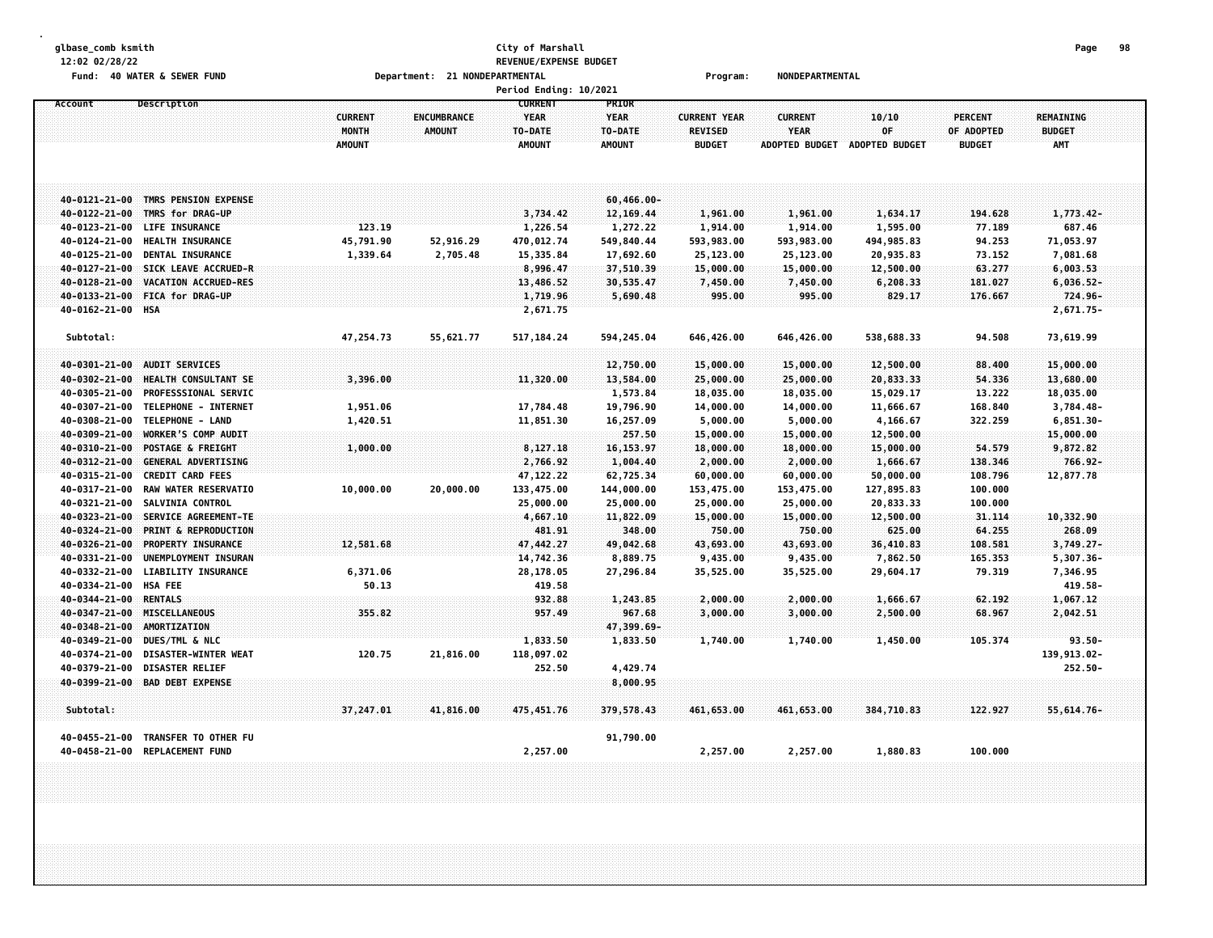#### **glbase\_comb ksmith City of Marshall Page 98 12:02 02/28/22 REVENUE/EXPENSE BUDGET Fund: 40 WATER & SEWER FUND Department: 21 NONDEPARTMENTAL Program: NONDEPARTMENTAL**

|                                        |                                    |                                          |                                     | <b>Period Ending: 10/2021</b>           |                                  |                                                        |                                                 |                                      |                                               |                                          |  |
|----------------------------------------|------------------------------------|------------------------------------------|-------------------------------------|-----------------------------------------|----------------------------------|--------------------------------------------------------|-------------------------------------------------|--------------------------------------|-----------------------------------------------|------------------------------------------|--|
| Account                                | Description                        |                                          |                                     | <b>CURRENT</b>                          | PRIOR                            |                                                        |                                                 |                                      |                                               |                                          |  |
|                                        |                                    | <b>CURRENT</b><br>MONTH<br><b>AMOUNT</b> | <b>ENCUMBRANCE</b><br><b>AMOUNT</b> | <b>YEAR</b><br>TO-DATE<br><b>AMOUNT</b> | YEAR<br>TO-DATE<br><b>AMOUNT</b> | <b>CURRENT YEAR</b><br><b>REVISED</b><br><b>BUDGET</b> | <b>CURRENT</b><br>YEAR<br><b>ADOPTED BUDGET</b> | 10/10<br>OF<br><b>ADOPTED BUDGET</b> | <b>PERCENT</b><br>OF ADOPTED<br><b>BUDGET</b> | REMAINING<br><b>BUDGET</b><br><b>AMT</b> |  |
|                                        |                                    |                                          |                                     |                                         |                                  |                                                        |                                                 |                                      |                                               |                                          |  |
|                                        | 40-0121-21-00 TMRS PENSION EXPENSE |                                          |                                     |                                         | 60,466.00-                       |                                                        |                                                 |                                      |                                               |                                          |  |
| 40-0122-21-00                          | TMRS for DRAG-UP                   |                                          |                                     | 3,734.42                                | 12,169.44                        | 1,961.00                                               | 1,961.00                                        | 1,634.17                             | 194.628                                       | 1,773.42-                                |  |
| 40-0123-21-00                          | <b>LIFE INSURANCE</b>              | 123.19                                   |                                     | 1,226.54                                | 1,272.22                         | 1,914.00                                               | 1,914.00                                        | 1,595.00                             | 77.189                                        | 687.46                                   |  |
| 40-0124-21-00                          | <b>HEALTH INSURANCE</b>            | 45,791.90                                | 52,916.29                           | 470,012.74                              | 549,840.44                       | 593,983.00                                             | 593,983.00                                      | 494, 985.83                          | 94.253                                        | 71,053.97                                |  |
| 40-0125-21-00                          | DENTAL INSURANCE                   | 1,339.64                                 | 2,705.48                            | 15,335.84                               | 17,692.60                        | 25,123.00                                              | 25,123.00                                       | 20,935.83                            | 73.152                                        | 7,081.68                                 |  |
| 40-0127-21-00                          | SICK LEAVE ACCRUED-R               |                                          |                                     | 8,996.47                                | 37,510.39                        | 15,000.00                                              | 15,000.00                                       | 12,500.00                            | 63.277                                        | 6,003.53                                 |  |
| 40-0128-21-00                          | VACATION ACCRUED-RES               |                                          |                                     | 13,486.52                               | 30,535.47                        | 7,450.00                                               | 7,450.00                                        | 6,208.33                             | 181.027                                       | $6,036.52-$                              |  |
| 40-0133-21-00                          | <b>FICA for DRAG-UP</b>            |                                          |                                     | 1,719.96                                | 5,690.48                         | 995.00                                                 | 995.00                                          | 829.17                               | 176.667                                       | 724.96-                                  |  |
| 40-0162-21-00 HSA                      |                                    |                                          |                                     | 2,671.75                                |                                  |                                                        |                                                 |                                      |                                               | 2,671.75-                                |  |
| Subtotal:                              |                                    | 47,254.73                                | 55,621.77                           | 517, 184. 24                            | 594,245.04                       | 646,426.00                                             | 646,426.00                                      | 538,688.33                           | 94.508                                        | 73,619.99                                |  |
| 40-0301-21-00                          | <b>AUDIT SERVICES</b>              |                                          |                                     |                                         | 12,750.00                        | 15,000.00                                              | 15,000.00                                       | 12,500.00                            | 88.400                                        | 15,000.00                                |  |
| 40-0302-21-00                          | HEALTH CONSULTANT SE               | 3,396.00                                 |                                     | 11,320.00                               | 13,584.00                        | 25,000.00                                              | 25,000.00                                       | 20,833.33                            | 54.336                                        | 13,680.00                                |  |
| 40-0305-21-00                          | <b>PROFESSSIONAL SERVIC</b>        |                                          |                                     |                                         | 1,573.84                         | 18,035.00                                              | 18,035.00                                       | 15,029.17                            | 13.222                                        | 18,035.00                                |  |
| 40-0307-21-00                          | TELEPHONE - INTERNET               | 1,951.06                                 |                                     | 17,784.48                               | 19,796.90                        | 14,000.00                                              | 14,000.00                                       | 11,666.67                            | 168.840                                       | 3,784.48-                                |  |
| 40-0308-21-00                          | TELEPHONE - LAND                   | 1,420.51                                 |                                     | 11,851.30                               | 16,257.09                        | 5,000.00                                               | 5,000.00                                        | 4,166.67                             | 322.259                                       | $6,851.30-$                              |  |
| 40-0309-21-00                          | WORKER'S COMP AUDIT                |                                          |                                     |                                         | 257.50                           | 15,000.00                                              | 15,000.00                                       | 12,500.00                            |                                               | 15,000.00                                |  |
| 40-0310-21-00                          | POSTAGE & FREIGHT                  | 1,000.00                                 |                                     | 8,127.18                                | 16, 153.97                       | 18,000.00                                              | 18,000.00                                       | 15,000.00                            | 54.579                                        | 9,872.82                                 |  |
| 40-0312-21-00                          | <b>GENERAL ADVERTISING</b>         |                                          |                                     | 2,766.92                                | 1,004.40                         | 2,000.00                                               | 2,000.00                                        | 1,666.67                             | 138.346                                       | 766.92-                                  |  |
| 40-0315-21-00                          | <b>CREDIT CARD FEES</b>            |                                          |                                     | 47, 122.22                              | 62,725.34                        | 60,000.00                                              | 60,000.00                                       | 50,000.00                            | 108.796                                       | 12,877.78                                |  |
| 40-0317-21-00                          | RAW WATER RESERVATIO               | 10,000.00                                | 20,000.00                           | 133,475.00                              | 144,000.00                       | 153,475.00                                             | 153,475.00                                      | 127,895.83                           | 100.000                                       |                                          |  |
| 40-0321-21-00                          | <b>SALVINIA CONTROL</b>            |                                          |                                     | 25,000.00                               | 25,000.00                        | 25,000.00                                              | 25,000.00                                       | 20,833.33                            | 100.000                                       |                                          |  |
| 40-0323-21-00                          | SERVICE AGREEMENT-TE               |                                          |                                     | 4,667.10                                | 11,822.09                        | 15,000.00                                              | 15,000.00                                       | 12,500.00                            | 31.114                                        | 10,332.90                                |  |
| 40-0324-21-00                          | <b>PRINT &amp; REPRODUCTION</b>    |                                          |                                     | 481.91                                  | 348.00                           | 750.00                                                 | 750.00                                          | 625.00                               | 64.255                                        | 268.09                                   |  |
| 40-0326-21-00                          | PROPERTY INSURANCE                 | 12,581.68                                |                                     | 47,442.27                               | 49,042.68                        | 43,693.00                                              | 43,693.00                                       | 36,410.83                            | 108,581                                       | $3,749.27-$                              |  |
| 40-0331-21-00                          | UNEMPLOYMENT INSURAN               |                                          |                                     | 14,742.36                               | 8,889.75                         | 9,435.00                                               | 9,435.00                                        | 7,862.50                             | 165.353                                       | $5,307.36 -$                             |  |
| 40-0332-21-00                          | <b>LIABILITY INSURANCE</b>         | 6,371.06                                 |                                     | 28,178.05                               | 27,296.84                        | 35,525.00                                              | 35,525.00                                       | 29,604.17                            | 79.319                                        | 7,346.95                                 |  |
| 40-0334-21-00<br>40-0344-21-00 RENTALS | <b>HSA FEE</b>                     | 50.13                                    |                                     | 419.58                                  |                                  |                                                        |                                                 |                                      |                                               | 419.58-                                  |  |
|                                        | 40-0347-21-00 MISCELLANEOUS        | 355.82                                   |                                     | 932.88<br>957.49                        | 1,243.85<br>967.68               | 2,000.00<br>3,000.00                                   | 2,000.00<br>3,000.00                            | 1,666.67<br>2,500.00                 | 62.192<br>68.967                              | 1,067.12<br>2,042.51                     |  |
| 40-0348-21-00                          | AMORTIZATION                       |                                          |                                     |                                         | 47,399.69-                       |                                                        |                                                 |                                      |                                               |                                          |  |
| 40-0349-21-00                          | DUES/TML & NLC                     |                                          |                                     | 1,833.50                                | 1,833.50                         | 1,740.00                                               | 1,740.00                                        | 1,450.00                             | 105.374                                       | $93.50 -$                                |  |
| 40-0374-21-00                          | <b>DISASTER-WINTER WEAT</b>        | 120.75                                   | 21,816.00                           | 118,097.02                              |                                  |                                                        |                                                 |                                      |                                               | 139,913.02-                              |  |
| 40-0379-21-00                          | <b>DISASTER RELIEF</b>             |                                          |                                     | 252.50                                  | 4,429.74                         |                                                        |                                                 |                                      |                                               | 252.50-                                  |  |
|                                        | 40-0399-21-00 BAD DEBT EXPENSE     |                                          |                                     |                                         | 8,000.95                         |                                                        |                                                 |                                      |                                               |                                          |  |
|                                        |                                    |                                          |                                     |                                         |                                  |                                                        |                                                 |                                      |                                               |                                          |  |
| Subtotal:                              |                                    | 37,247.01                                | 41,816.00                           | 475,451.76                              | 379,578.43                       | 461,653.00                                             | 461,653.00                                      | 384,710.83                           | 122.927                                       | $55,614.76-$                             |  |
| 40-0455-21-00                          | TRANSFER TO OTHER FU               |                                          |                                     |                                         | 91,790.00                        |                                                        |                                                 |                                      |                                               |                                          |  |
| 40-0458-21-00                          | <b>REPLACEMENT FUND</b>            |                                          |                                     | 2,257.00                                |                                  | 2,257.00                                               | 2,257.00                                        | 1,880.83                             | 100.000                                       |                                          |  |
|                                        |                                    |                                          |                                     |                                         |                                  |                                                        |                                                 |                                      |                                               |                                          |  |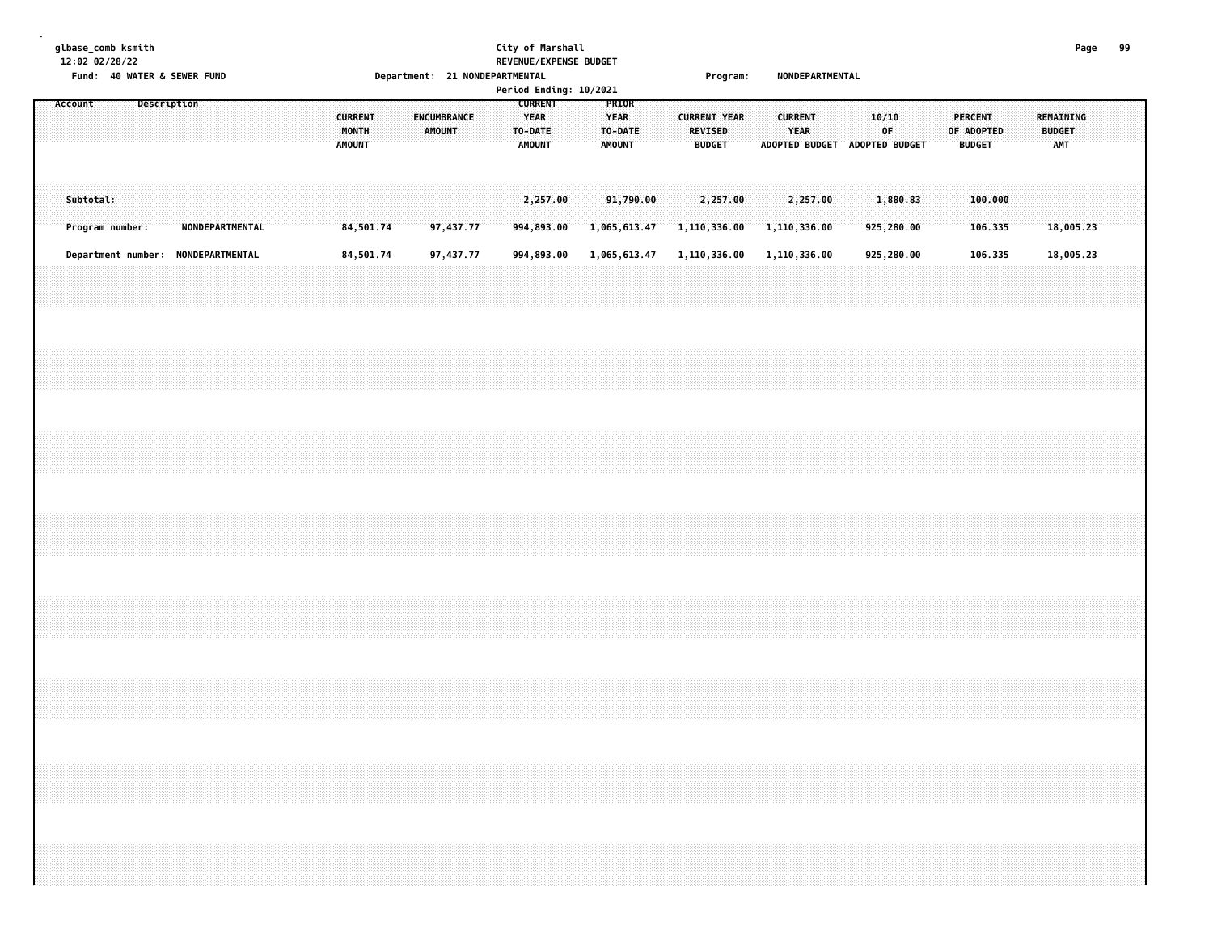#### **glbase\_comb ksmith City of Marshall Page 99 12:02 02/28/22 REVENUE/EXPENSE BUDGET Fund: 40 WATER & SEWER FUND Department: 21 NONDEPARTMENTAL Program: NONDEPARTMENTAL**

|           | TURN . TO WATER & SEWER TURN       |             |                 |  |  |                                   |  |                       |           | neber calcules of Monder Hotel and the | Period Ending: 10/2021                             |  |                                                  |                           |  |                                                 | rı oğlam. |  |                        |          | <b>NUMBER ANTIFICIAL</b> |             |                               |  |                                        |                    |  |                                          |  |  |
|-----------|------------------------------------|-------------|-----------------|--|--|-----------------------------------|--|-----------------------|-----------|----------------------------------------|----------------------------------------------------|--|--------------------------------------------------|---------------------------|--|-------------------------------------------------|-----------|--|------------------------|----------|--------------------------|-------------|-------------------------------|--|----------------------------------------|--------------------|--|------------------------------------------|--|--|
| Account   |                                    | Description |                 |  |  | <b>CURRENT</b><br>MONTH<br>AMOUNT |  | ENCUMBRANCE<br>AMOUNT |           |                                        | <b>CURRENT</b><br>YEAR<br>TO-DATE<br><b>AMOUNT</b> |  | PRIOR<br><b>YEAR</b><br>TO-DATE<br><b>AMOUNT</b> |                           |  | <b>CURRENT YEAR</b><br>REVISED<br><b>BUDGET</b> |           |  | <b>CURRENT</b><br>YEAR |          |                          | 10/10<br>0F | ADOPTED BUDGET ADOPTED BUDGET |  | PERCENT<br>OF ADOPTED<br><b>BUDGET</b> |                    |  | REMAINING<br><b>BUDGET</b><br><b>AMT</b> |  |  |
| Subtotal: | Program number:                    |             | NONDEPARTMENTAL |  |  | 84,501.74                         |  |                       | 97,437.77 |                                        | 2,257.00<br>994,893.00                             |  |                                                  | 91,790.00<br>1,065,613.47 |  | 2,257.00<br>1,110,336.00                        |           |  | 1,110,336.00           | 2,257.00 |                          |             | 1,880.83<br>925,280.00        |  |                                        | 100.000<br>106.335 |  | 18,005.23                                |  |  |
|           | Department number: NONDEPARTMENTAL |             |                 |  |  | 84,501.74                         |  |                       | 97,437.77 |                                        | 994,893.00                                         |  |                                                  | 1,065,613.47              |  | 1,110,336.00                                    |           |  | 1,110,336.00           |          |                          |             | 925,280.00                    |  |                                        | 106.335            |  | 18,005.23                                |  |  |
|           |                                    |             |                 |  |  |                                   |  |                       |           |                                        |                                                    |  |                                                  |                           |  |                                                 |           |  |                        |          |                          |             |                               |  |                                        |                    |  |                                          |  |  |
|           |                                    |             |                 |  |  |                                   |  |                       |           |                                        |                                                    |  |                                                  |                           |  |                                                 |           |  |                        |          |                          |             |                               |  |                                        |                    |  |                                          |  |  |
|           |                                    |             |                 |  |  |                                   |  |                       |           |                                        |                                                    |  |                                                  |                           |  |                                                 |           |  |                        |          |                          |             |                               |  |                                        |                    |  |                                          |  |  |
|           |                                    |             |                 |  |  |                                   |  |                       |           |                                        |                                                    |  |                                                  |                           |  |                                                 |           |  |                        |          |                          |             |                               |  |                                        |                    |  |                                          |  |  |
|           |                                    |             |                 |  |  |                                   |  |                       |           |                                        |                                                    |  |                                                  |                           |  |                                                 |           |  |                        |          |                          |             |                               |  |                                        |                    |  |                                          |  |  |
|           |                                    |             |                 |  |  |                                   |  |                       |           |                                        |                                                    |  |                                                  |                           |  |                                                 |           |  |                        |          |                          |             |                               |  |                                        |                    |  |                                          |  |  |
|           |                                    |             |                 |  |  |                                   |  |                       |           |                                        |                                                    |  |                                                  |                           |  |                                                 |           |  |                        |          |                          |             |                               |  |                                        |                    |  |                                          |  |  |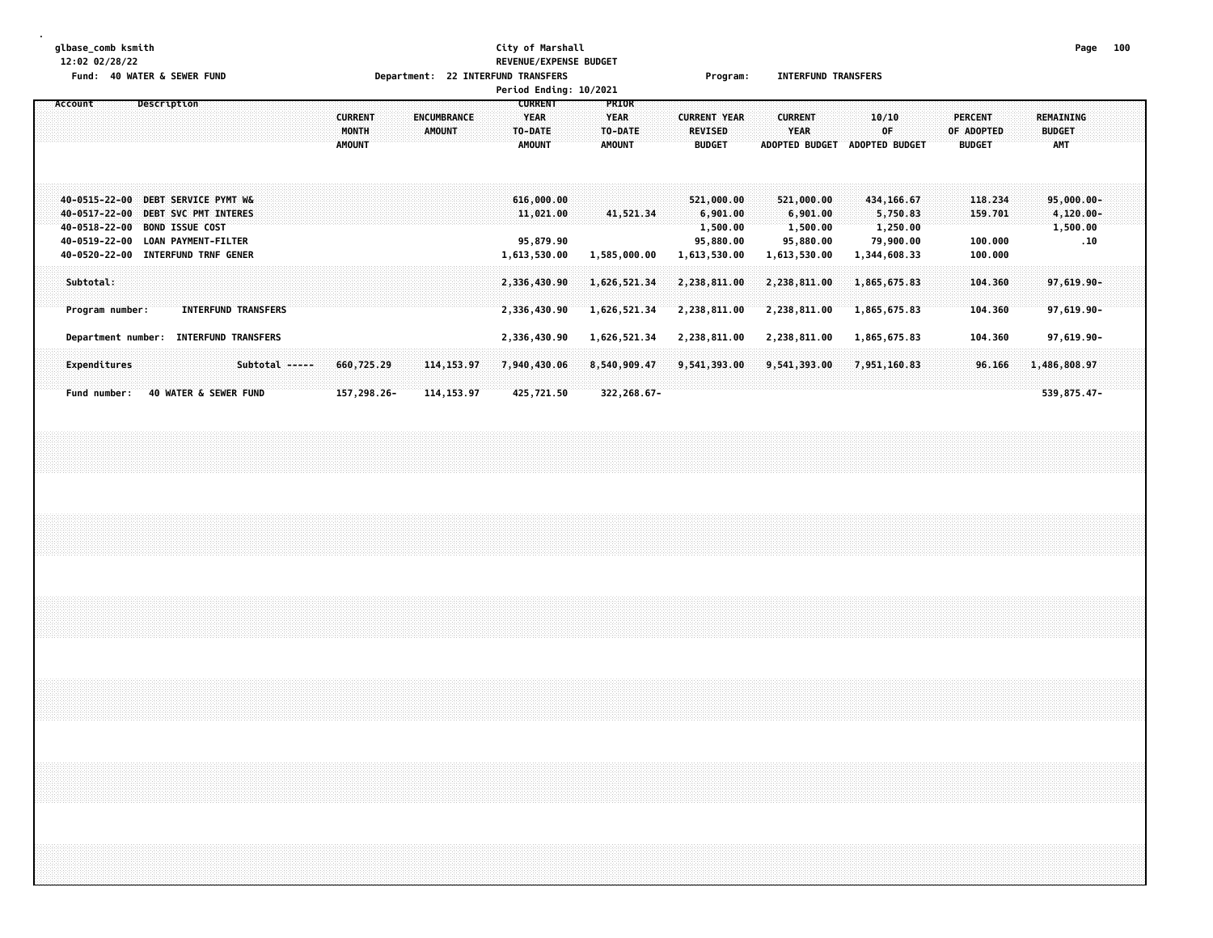#### **glbase\_comb ksmith City of Marshall Page 100 12:02 02/28/22 REVENUE/EXPENSE BUDGET Fund: 40 WATER & SEWER FUND Department: 22 INTERFUND TRANSFERS Program: INTERFUND TRANSFERS Period Ending: 10/2021**

| Account             | Description                      |                            |                |                |             |               |                    | <b>CURRENT</b> | <b>PRIOR</b>    |                     |                       |                |                |                  |     |
|---------------------|----------------------------------|----------------------------|----------------|----------------|-------------|---------------|--------------------|----------------|-----------------|---------------------|-----------------------|----------------|----------------|------------------|-----|
|                     |                                  |                            |                |                |             |               |                    |                |                 |                     |                       |                |                |                  |     |
|                     |                                  |                            |                | <b>CURRENT</b> |             |               | <b>ENCUMBRANCE</b> | YEAR           | <b>YEAR</b>     | <b>CURRENT YEAR</b> | <b>CURRENT</b>        | 10/10          | <b>PERCENT</b> | <b>REMAINING</b> |     |
|                     |                                  |                            |                | MONTH          |             | <b>AMOUNT</b> |                    | TO-DATE        | TO-DATE         | <b>REVISED</b>      | <b>YEAR</b>           | 0F             | OF ADOPTED     | <b>BUDGET</b>    |     |
|                     |                                  |                            |                | <b>AMOUNT</b>  |             |               |                    | <b>AMOUNT</b>  | <b>AMOUNT</b>   | <b>BUDGET</b>       | <b>ADOPTED BUDGET</b> | ADOPTED BUDGET | <b>BUDGET</b>  | <b>AMT</b>       |     |
|                     |                                  |                            |                |                |             |               |                    |                |                 |                     |                       |                |                |                  |     |
|                     |                                  |                            |                |                |             |               |                    |                |                 |                     |                       |                |                |                  |     |
|                     |                                  |                            |                |                |             |               |                    |                |                 |                     |                       |                |                |                  |     |
|                     |                                  |                            |                |                |             |               |                    |                |                 |                     |                       |                |                |                  |     |
| 40-0515-22-00       | DEBT SERVICE PYMT W&             |                            |                |                |             |               |                    | 616,000.00     |                 | 521,000.00          | 521,000.00            | 434, 166.67    | 118.234        | $95,000.00 -$    |     |
| 40-0517-22-00       | DEBT SVC PMT INTERES             |                            |                |                |             |               |                    | 11,021.00      | 41.521.34       | 6,901.00            | 6,901.00              | 5,750.83       | 159.701        | 4,120.00-        |     |
| 40-0518-22-00       | <b>BOND ISSUE COST</b>           |                            |                |                |             |               |                    |                |                 | 1,500.00            | 1,500.00              | 1,250.00       |                | 1,500.00         |     |
| 40-0519-22-00       | <b>LOAN PAYMENT-FILTER</b>       |                            |                |                |             |               |                    | 95,879.90      |                 | 95,880.00           | 95,880.00             | 79,900.00      | 100.000        |                  | .10 |
|                     |                                  |                            |                |                |             |               |                    |                |                 |                     |                       |                |                |                  |     |
| 40-0520-22-00       | <b>INTERFUND TRNF GENER</b>      |                            |                |                |             |               |                    | 1,613,530.00   | 1,585,000.00    | 1,613,530.00        | 1,613,530.00          | 1,344,608.33   | 100.000        |                  |     |
|                     |                                  |                            |                |                |             |               |                    |                |                 |                     |                       |                |                |                  |     |
| Subtotal:           |                                  |                            |                |                |             |               |                    | 2,336,430.90   | 1,626,521.34    | 2,238,811.00        | 2,238,811.00          | 1,865,675.83   | 104.360        | 97,619.90-       |     |
|                     |                                  |                            |                |                |             |               |                    |                |                 |                     |                       |                |                |                  |     |
| Program number:     |                                  | <b>INTERFUND TRANSFERS</b> |                |                |             |               |                    | 2,336,430.90   | 1,626,521.34    | 2,238,811.00        | 2,238,811.00          | 1,865,675.83   | 104.360        | $97,619.90 -$    |     |
|                     |                                  |                            |                |                |             |               |                    |                |                 |                     |                       |                |                |                  |     |
|                     |                                  |                            |                |                |             |               |                    |                |                 |                     |                       |                |                |                  |     |
| Department number:  | <b>INTERFUND TRANSFERS</b>       |                            |                |                |             |               |                    | 2,336,430.90   | 1,626,521.34    | 2,238,811.00        | 2,238,811.00          | 1,865,675.83   | 104.360        | 97,619.90-       |     |
|                     |                                  |                            |                |                |             |               |                    |                |                 |                     |                       |                |                |                  |     |
| Expenditures        |                                  |                            | Subtotal ----- | 660,725.29     |             |               | 114, 153.97        | 7,940,430.06   | 8,540,909.47    | 9,541,393.00        | 9,541,393.00          | 7,951,160.83   | 96.166         | 1,486,808.97     |     |
|                     |                                  |                            |                |                |             |               |                    |                |                 |                     |                       |                |                |                  |     |
| <b>Fund number:</b> | <b>40 WATER &amp; SEWER FUND</b> |                            |                |                | 157,298.26- |               | 114, 153.97        | 425,721.50     | $322, 268.67 -$ |                     |                       |                |                | 539,875.47-      |     |
|                     |                                  |                            |                |                |             |               |                    |                |                 |                     |                       |                |                |                  |     |
|                     |                                  |                            |                |                |             |               |                    |                |                 |                     |                       |                |                |                  |     |
|                     |                                  |                            |                |                |             |               |                    |                |                 |                     |                       |                |                |                  |     |
|                     |                                  |                            |                |                |             |               |                    |                |                 |                     |                       |                |                |                  |     |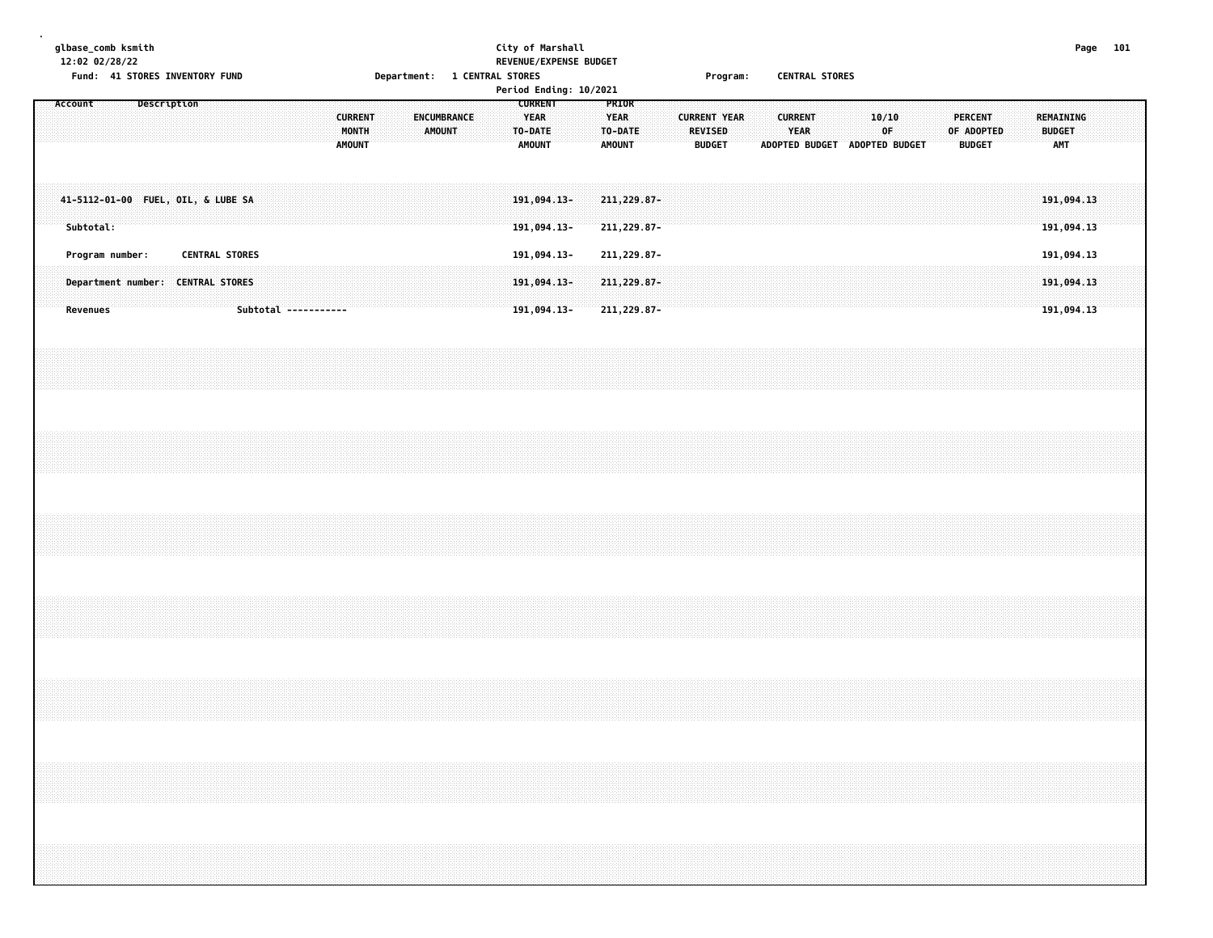| glbase_comb ksmith<br>12:02 02/28/22<br>Fund: 41 STORES INVENTORY FUND | City of Marshall<br>REVENUE/EXPENSE BUDGET<br><b>1 CENTRAL STORES</b><br><b>Department:</b><br>Period Ending: 10/2021 | <b>CENTRAL STORES</b><br>Program:                                                                                                                                                                                              | Page 101 |
|------------------------------------------------------------------------|-----------------------------------------------------------------------------------------------------------------------|--------------------------------------------------------------------------------------------------------------------------------------------------------------------------------------------------------------------------------|----------|
| .<br><b>AMOUNT</b>                                                     | <b>LURRENT</b><br><b>YEAR</b><br><b>TO-DATE</b><br>DATE<br>AMOUNT<br>AMOUNT<br>.<br>.                                 | <b>CURRENT</b><br><b>PERCENT</b><br>REMAINING<br>T YEAR<br><b>YEAR</b><br>OF ADOPTED<br><b>BUDGET</b><br><b>REVISED</b><br>ா<br><b>BUDGET</b><br><b>AMT</b><br><b>ADOPTED BUDGET</b><br><b>BUDGET</b><br><b>ADOPTED BUDGET</b> |          |
|                                                                        |                                                                                                                       |                                                                                                                                                                                                                                |          |

| Subtotal        |                                                                                                                                     | 191<br>-211<br>191.094.13-<br>211,229.87- | .<br>191.094.13                                                                                                                                                                                                                          |
|-----------------|-------------------------------------------------------------------------------------------------------------------------------------|-------------------------------------------|------------------------------------------------------------------------------------------------------------------------------------------------------------------------------------------------------------------------------------------|
| Program number: | <b>CENTRAL STORES</b>                                                                                                               | 211,229.87-<br>191,094.13-                |                                                                                                                                                                                                                                          |
| … Depar⊤        |                                                                                                                                     |                                           | $\sim$ 229.87. The contract of the contract of the contract of the contract of the contract of the contract of the contract of the contract of the contract of the contract of the contract of the contract of the contract of<br>.<br>. |
|                 | <u>a grupo estas estas estas de decembracional de contradores de contradores de construíron de construíron de c</u><br>------------ | ,094.13- 211,229.87- 19                   | .                                                                                                                                                                                                                                        |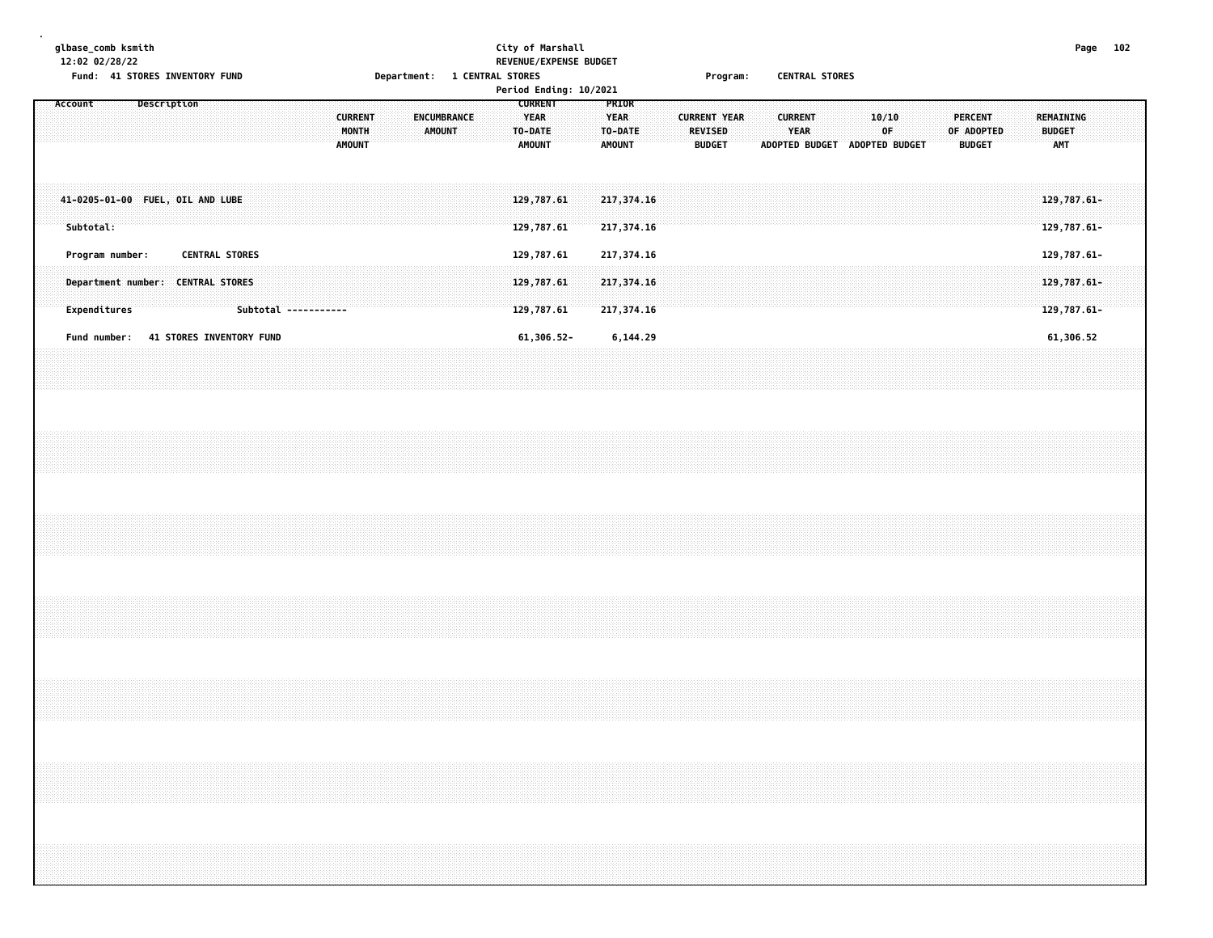## **glbase\_comb ksmith City of Marshall Page 102 12:02 02/28/22 REVENUE/EXPENSE BUDGET** Fund: 41 STORES INVENTORY FUND **Department: 1 CENTRAL STORES** Frogram: CENTRAL STORES

|                                                                                             | Period Ending: 10/2021                             |                                                                                                                   |                                                                                                                                    |                                          |
|---------------------------------------------------------------------------------------------|----------------------------------------------------|-------------------------------------------------------------------------------------------------------------------|------------------------------------------------------------------------------------------------------------------------------------|------------------------------------------|
| Description<br>Account<br>ENCUMBRANCE<br><b>CURRENT</b><br>MONTH<br>AMOUNT<br><b>AMOUNT</b> | <b>CURRENT</b><br>YEAR<br>TO-DATE<br><b>AMOUNT</b> | <b>PRIOR</b><br><b>YEAR</b><br><b>CURRENT YEAR</b><br>TO-DATE<br><b>REVISED</b><br><b>AMOUNT</b><br><b>BUDGET</b> | 10/10<br><b>CURRENT</b><br><b>PERCENT</b><br>∶OF<br>YEAR<br>OF ADOPTED<br><b>ADOPTED BUDGET</b><br>ADOPTED BUDGET<br><b>BUDGET</b> | REMAINING<br><b>BUDGET</b><br><b>AMT</b> |
| 41-0205-01-00 FUEL, OIL AND LUBE<br>Subtotal:                                               | 129,787.61<br>129,787.61                           | 217,374.16<br>217,374.16                                                                                          |                                                                                                                                    | $129,787.61 -$<br>129,787.61-            |
| <b>CENTRAL STORES</b><br>Program number:                                                    | 129,787.61                                         | 217,374.16                                                                                                        |                                                                                                                                    | 129,787.61-                              |
| <b>CENTRAL STORES</b><br>Department number:<br>Expenditures<br>Subtotal -----------         | 129,787.61<br>129,787.61                           | 217,374.16<br>217,374.16                                                                                          |                                                                                                                                    | 129,787.61-<br>129,787.61-               |
| <b>41 STORES INVENTORY FUND</b><br>Fund number:                                             | 61,306.52-                                         | 6,144.29                                                                                                          |                                                                                                                                    | 61,306.52                                |
|                                                                                             |                                                    |                                                                                                                   |                                                                                                                                    |                                          |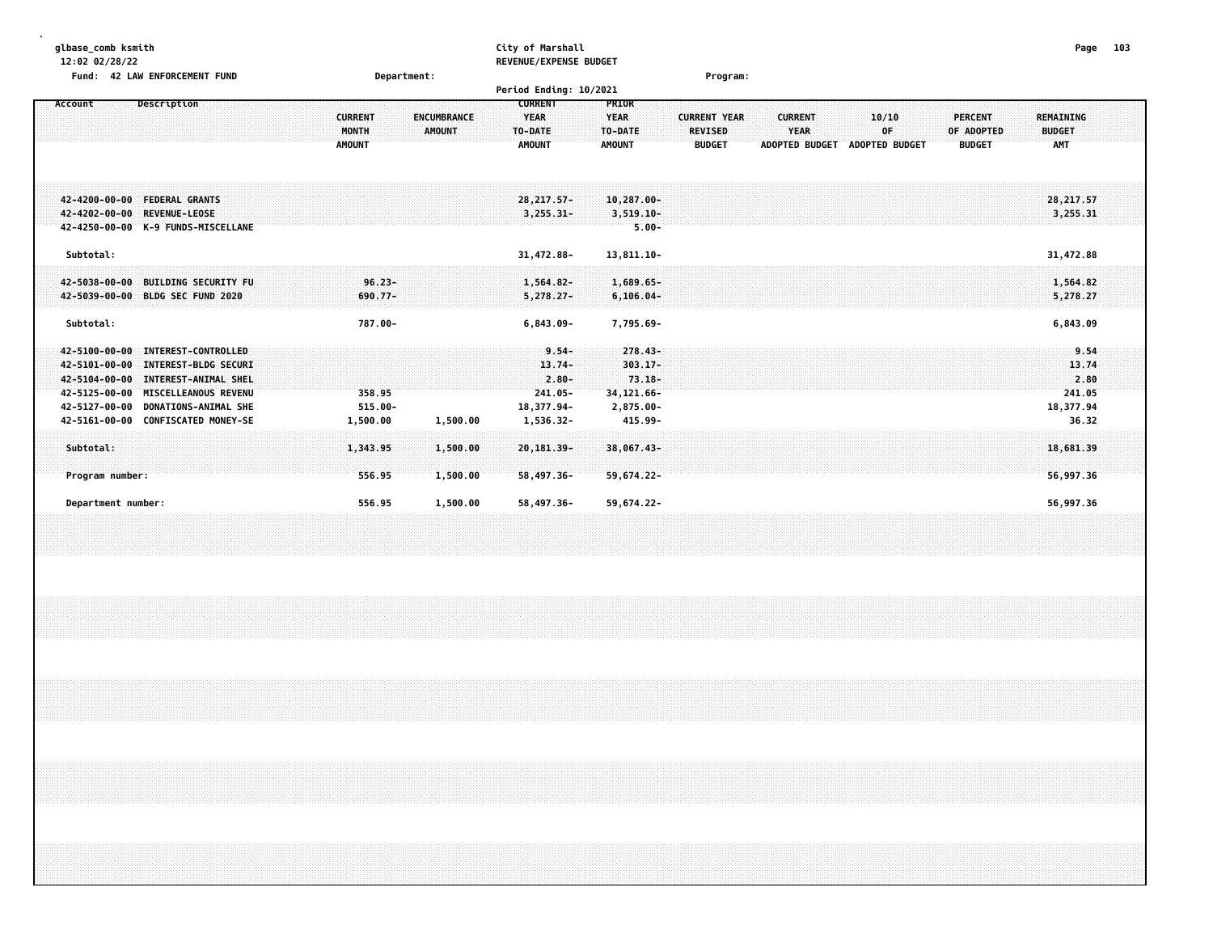| glbase comb ksmith<br>12:02 02/28/22<br>Fund: 42 LAW ENFORCEMENT FUND                                                                                                                                                                                                      | Department:                                                              | City of Marshall<br>REVENUE/EXPENSE BUDGET<br>Period Ending: 10/2021                                                                                  | Program:                                                                                                                                                 | 103<br>Page                                                                        |
|----------------------------------------------------------------------------------------------------------------------------------------------------------------------------------------------------------------------------------------------------------------------------|--------------------------------------------------------------------------|-------------------------------------------------------------------------------------------------------------------------------------------------------|----------------------------------------------------------------------------------------------------------------------------------------------------------|------------------------------------------------------------------------------------|
| <b>Description</b><br>Account                                                                                                                                                                                                                                              | <b>ENCUMBRANCE</b><br><b>CURRENT</b><br>MONTH<br>AMOUNT<br><b>AMOUNT</b> | <b>CURRENT</b><br>PRIOR<br><b>YEAR</b><br><b>YEAR</b><br>TO-DATE<br>TO-DATE<br><b>AMOUNT</b><br><b>AMOUNT</b>                                         | <b>CURRENT YEAR</b><br><b>CURRENT</b><br>10/10<br><b>YEAR</b><br><b>REVISED</b><br>OF<br><b>ADOPTED BUDGET</b><br><b>BUDGET</b><br><b>ADOPTED BUDGET</b> | <b>PERCENT</b><br>REMAINING<br>OF ADOPTED<br><b>BUDGET</b><br>AMT<br><b>BUDGET</b> |
| 42-4200-00-00 FEDERAL GRANTS<br>42-4202-00-00 REVENUE-LEOSE<br>42-4250-00-00 K-9 FUNDS-MISCELLANE                                                                                                                                                                          |                                                                          | $28, 217, 57 -$<br>$10, 287, 00 -$<br>$3,255.31-$<br>$3,519.10 -$<br>$5.00 -$                                                                         |                                                                                                                                                          | 28, 217.57<br>3,255.31                                                             |
| Subtotal:                                                                                                                                                                                                                                                                  |                                                                          | 31,472.88-<br>13,811.10-                                                                                                                              |                                                                                                                                                          | 31,472.88                                                                          |
| 42-5038-00-00 BUILDING SECURITY FU<br>42-5039-00-00 BLDG SEC FUND 2020                                                                                                                                                                                                     | $96.23 -$<br>690.77-                                                     | 1,564.82-<br>$1,689.65-$<br>$5,278.27-$<br>$6, 106.04 -$                                                                                              |                                                                                                                                                          | 1,564.82<br>5,278.27                                                               |
| Subtotal:                                                                                                                                                                                                                                                                  | 787.00-                                                                  | $6,843.09 -$<br>7,795.69-                                                                                                                             |                                                                                                                                                          | 6,843.09                                                                           |
| <b>INTEREST-CONTROLLED</b><br>42-5100-00-00<br>42-5101-00-00<br><b>INTEREST-BLDG SECURI</b><br>42-5104-00-00<br>INTEREST-ANIMAL SHEL<br>42-5125-00-00<br><b>MISCELLEANOUS REVENU</b><br>42-5127-00-00<br><b>DONATIONS-ANIMAL SHE</b><br>42-5161-00-00 CONFISCATED MONEY-SE | 358.95<br>$515.00 -$<br>1,500.00<br>1,500.00                             | $9.54 -$<br>$278.43 -$<br>$13.74-$<br>303.17-<br>$73.18 -$<br>$2.80 -$<br>34,121.66-<br>$241.05 -$<br>18,377.94-<br>2,875.00-<br>1,536.32-<br>415.99- |                                                                                                                                                          | 9.54<br>13.74<br>2.80<br>241.05<br>18,377.94<br>36.32                              |
| Subtotal:<br>Program number:                                                                                                                                                                                                                                               | 1,343.95<br>1,500.00<br>1,500.00<br>556.95                               | 20,181.39-<br>38,067.43-<br>58,497.36-<br>59,674.22-                                                                                                  |                                                                                                                                                          | 18,681,39<br>56,997.36                                                             |
| Department number:                                                                                                                                                                                                                                                         | 556.95<br>1,500.00                                                       | 59,674.22-<br>58.497.36-                                                                                                                              |                                                                                                                                                          | 56,997.36                                                                          |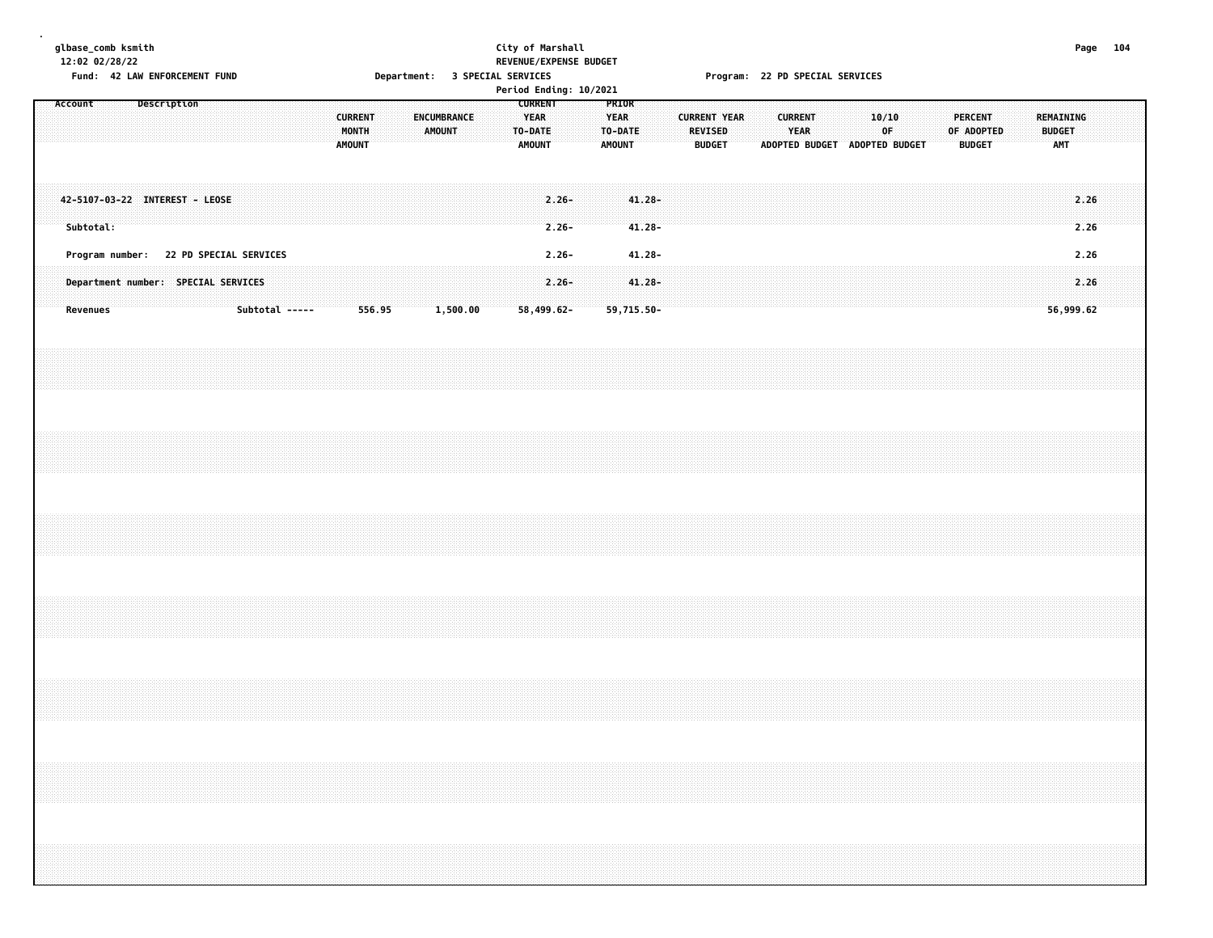|  |           | glbase_comb ksmith<br>12:02 02/28/22 |  |             | Fund: 42 LAW ENFORCEMENT FUND  |                                                                               |  |                                                                                                                                                                      |                                          |        |  |        | Department: 3 SPECIAL SERVICES |  |                                                           | City of Marshall<br>REVENUE/EXPENSE BUDGET<br>Period Ending: 10/2021 |  |                                                  |                        |  |                          |                     | Program: 22 PD SPECIAL SERVICES |                |             |  |                                              |  |            |                                 |  |                                          | Page 104     |  |
|--|-----------|--------------------------------------|--|-------------|--------------------------------|-------------------------------------------------------------------------------|--|----------------------------------------------------------------------------------------------------------------------------------------------------------------------|------------------------------------------|--------|--|--------|--------------------------------|--|-----------------------------------------------------------|----------------------------------------------------------------------|--|--------------------------------------------------|------------------------|--|--------------------------|---------------------|---------------------------------|----------------|-------------|--|----------------------------------------------|--|------------|---------------------------------|--|------------------------------------------|--------------|--|
|  | Account   |                                      |  | Description |                                |                                                                               |  |                                                                                                                                                                      | <b>CURRENT</b><br>MONTH<br><b>AMOUNT</b> |        |  | AMOUNT | ENCUMBRANCE                    |  | <b>CURRENT</b><br><b>YEAR</b><br>TO-DATE<br><b>AMOUNT</b> |                                                                      |  | PRIOR<br><b>YEAR</b><br>TO-DATE<br><b>AMOUNT</b> |                        |  | REVISED<br><b>BUDGET</b> | <b>CURRENT YEAR</b> |                                 | <b>CURRENT</b> | <b>YEAR</b> |  | 10/10<br>0F<br>ADOPTED BUDGET ADOPTED BUDGET |  | OF ADOPTED | <b>PERCENT</b><br><b>BUDGET</b> |  | REMAINING<br><b>BUDGET</b><br><b>AMT</b> |              |  |
|  | Subtotal: |                                      |  |             | 42-5107-03-22 INTEREST - LEOSE |                                                                               |  |                                                                                                                                                                      |                                          |        |  |        |                                |  |                                                           | $2.26 -$<br>$2.26 -$                                                 |  |                                                  | $41.28 -$<br>$41.28 -$ |  |                          |                     |                                 |                |             |  |                                              |  |            |                                 |  |                                          | 2.26<br>2.26 |  |
|  | Revenues  |                                      |  |             |                                | Program number: 22 PD SPECIAL SERVICES<br>Department number: SPECIAL SERVICES |  | Subtotal -----                                                                                                                                                       |                                          | 556.95 |  |        | 1,500.00                       |  |                                                           | $2.26 -$<br>$2.26 -$<br>58,499.62-                                   |  | 59,715.50-                                       | $41.28 -$<br>$41.28 -$ |  |                          |                     |                                 |                |             |  |                                              |  |            |                                 |  | 56,999.62                                | 2.26<br>2.26 |  |
|  |           |                                      |  |             |                                |                                                                               |  |                                                                                                                                                                      |                                          |        |  |        |                                |  |                                                           |                                                                      |  |                                                  |                        |  |                          |                     |                                 |                |             |  |                                              |  |            |                                 |  |                                          |              |  |
|  |           |                                      |  |             |                                |                                                                               |  |                                                                                                                                                                      |                                          |        |  |        |                                |  |                                                           |                                                                      |  |                                                  |                        |  |                          |                     |                                 |                |             |  |                                              |  |            |                                 |  |                                          |              |  |
|  |           |                                      |  |             |                                |                                                                               |  |                                                                                                                                                                      |                                          |        |  |        |                                |  |                                                           |                                                                      |  |                                                  |                        |  |                          |                     |                                 |                |             |  |                                              |  |            |                                 |  |                                          |              |  |
|  |           |                                      |  |             |                                |                                                                               |  |                                                                                                                                                                      |                                          |        |  |        |                                |  |                                                           |                                                                      |  |                                                  |                        |  |                          |                     |                                 |                |             |  |                                              |  |            |                                 |  |                                          |              |  |
|  |           |                                      |  |             |                                |                                                                               |  |                                                                                                                                                                      |                                          |        |  |        |                                |  |                                                           |                                                                      |  |                                                  |                        |  |                          |                     |                                 |                |             |  |                                              |  |            |                                 |  |                                          |              |  |
|  |           |                                      |  |             |                                |                                                                               |  | ,我们就会在这里的时候,我们就会在这里的时候,我们就会在这里的时候,我们就会在这里的时候,我们就会在这里的时候,我们就会在这里的时候,我们就会在这里的时候,我们<br>第2015章 我们的时候,我们就会在这里的时候,我们的时候,我们就会在这里的时候,我们就会在这里的时候,我们就会在这里的时候,我们就会在这里的时候,我们就会在这 |                                          |        |  |        |                                |  |                                                           |                                                                      |  |                                                  |                        |  |                          |                     |                                 |                |             |  |                                              |  |            |                                 |  |                                          |              |  |
|  |           |                                      |  |             |                                |                                                                               |  |                                                                                                                                                                      |                                          |        |  |        |                                |  |                                                           |                                                                      |  |                                                  |                        |  |                          |                     |                                 |                |             |  |                                              |  |            |                                 |  |                                          |              |  |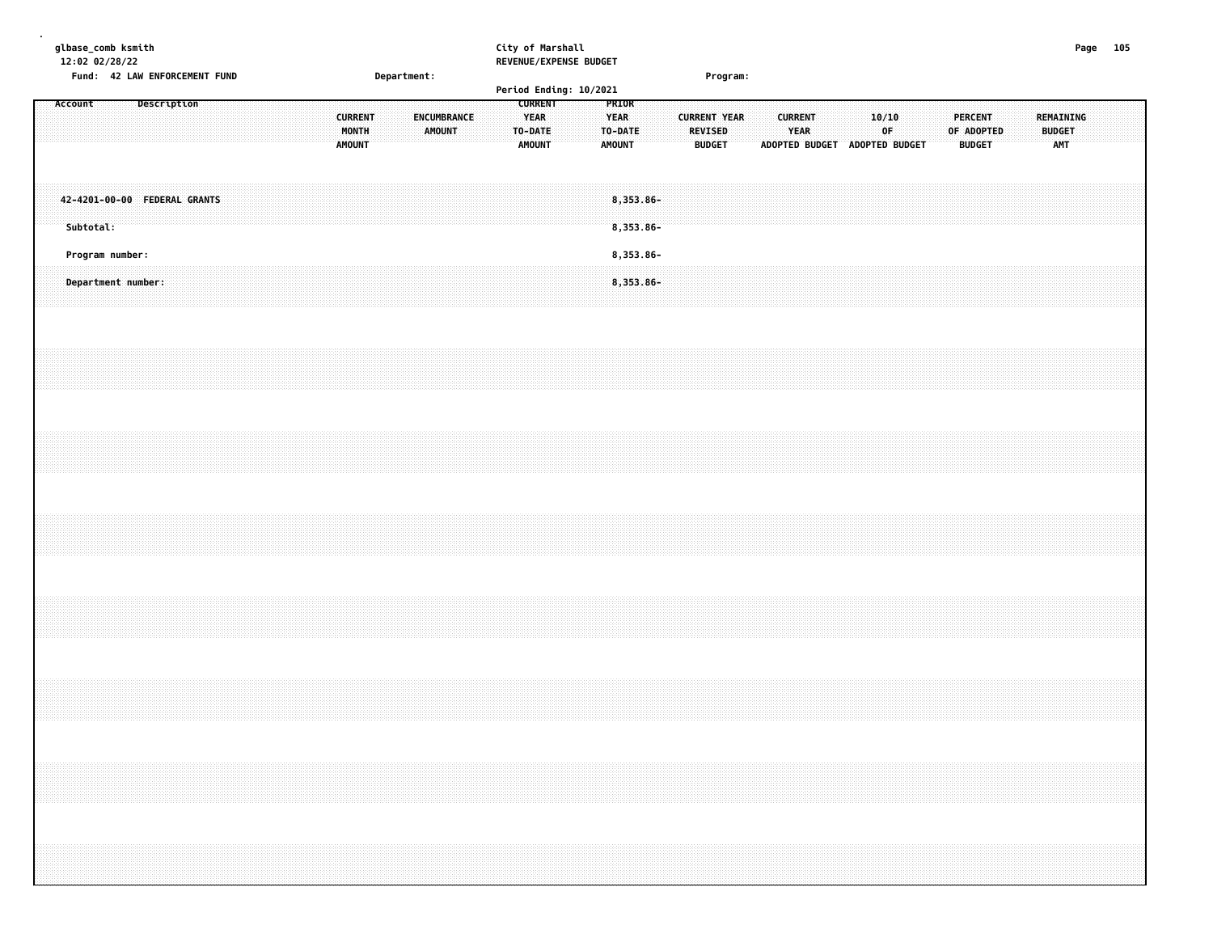| glbase_comb ksmith |           | 12:02 02/28/22                        |  |                               |  |  |  |                                          |  |             |                              |  |  | City of Marshall                                          | REVENUE/EXPENSE BUDGET |                                                  |  |                                 |                     |  |                               |  |                               |             |  |  |                                                                                  |  |                                   |  | Page 105 |  |
|--------------------|-----------|---------------------------------------|--|-------------------------------|--|--|--|------------------------------------------|--|-------------|------------------------------|--|--|-----------------------------------------------------------|------------------------|--------------------------------------------------|--|---------------------------------|---------------------|--|-------------------------------|--|-------------------------------|-------------|--|--|----------------------------------------------------------------------------------|--|-----------------------------------|--|----------|--|
|                    |           |                                       |  | Fund: 42 LAW ENFORCEMENT FUND |  |  |  |                                          |  | Department: |                              |  |  |                                                           | Period Ending: 10/2021 |                                                  |  |                                 | Program:            |  |                               |  |                               |             |  |  |                                                                                  |  |                                   |  |          |  |
|                    | Account   |                                       |  | Description                   |  |  |  | <b>CURRENT</b><br>MONTH<br><b>AMOUNT</b> |  |             | ENCUMBRANCE<br><b>AMOUNT</b> |  |  | <b>CURRENT</b><br><b>YEAR</b><br>TO-DATE<br><b>AMOUNT</b> |                        | PRIOR<br><b>YEAR</b><br>TO-DATE<br><b>AMOUNT</b> |  | <b>REVISED</b><br><b>BUDGET</b> | <b>CURRENT YEAR</b> |  | <b>CURRENT</b><br><b>YEAR</b> |  | ADOPTED BUDGET ADOPTED BUDGET | 10/10<br>0F |  |  | PERCENT<br>OF ADOPTED<br><b>BUDGET</b>                                           |  | REMAINING<br><b>BUDGET</b><br>AMT |  |          |  |
|                    | Subtotal: |                                       |  | 42-4201-00-00 FEDERAL GRANTS  |  |  |  |                                          |  |             |                              |  |  |                                                           |                        | $8,353.86 -$<br>8,353.86-                        |  |                                 |                     |  |                               |  |                               |             |  |  |                                                                                  |  |                                   |  |          |  |
|                    |           | Program number:<br>Department number: |  |                               |  |  |  |                                          |  |             |                              |  |  |                                                           |                        | 8,353.86-<br>8,353.86-                           |  |                                 |                     |  |                               |  |                               |             |  |  |                                                                                  |  |                                   |  |          |  |
|                    |           |                                       |  |                               |  |  |  |                                          |  |             |                              |  |  |                                                           |                        |                                                  |  |                                 |                     |  |                               |  |                               |             |  |  |                                                                                  |  |                                   |  |          |  |
|                    |           |                                       |  |                               |  |  |  |                                          |  |             |                              |  |  |                                                           |                        |                                                  |  |                                 |                     |  |                               |  |                               |             |  |  |                                                                                  |  |                                   |  |          |  |
|                    |           |                                       |  |                               |  |  |  |                                          |  |             |                              |  |  |                                                           |                        |                                                  |  |                                 |                     |  |                               |  |                               |             |  |  |                                                                                  |  |                                   |  |          |  |
|                    |           |                                       |  |                               |  |  |  |                                          |  |             |                              |  |  |                                                           |                        |                                                  |  |                                 |                     |  |                               |  |                               |             |  |  |                                                                                  |  |                                   |  |          |  |
|                    |           |                                       |  |                               |  |  |  |                                          |  |             |                              |  |  |                                                           |                        |                                                  |  |                                 |                     |  |                               |  |                               |             |  |  |                                                                                  |  |                                   |  |          |  |
|                    |           |                                       |  |                               |  |  |  |                                          |  |             |                              |  |  |                                                           |                        |                                                  |  |                                 |                     |  |                               |  |                               |             |  |  | ,我们就会在这里,我们就会在这里的时候,我们就会在这里,我们就会在这里,我们就会在这里,我们就会在这里,我们就会在这里,我们就会在这里,我们就会在这里,我们就会 |  |                                   |  |          |  |
|                    |           |                                       |  |                               |  |  |  |                                          |  |             |                              |  |  |                                                           |                        |                                                  |  |                                 |                     |  |                               |  |                               |             |  |  |                                                                                  |  |                                   |  |          |  |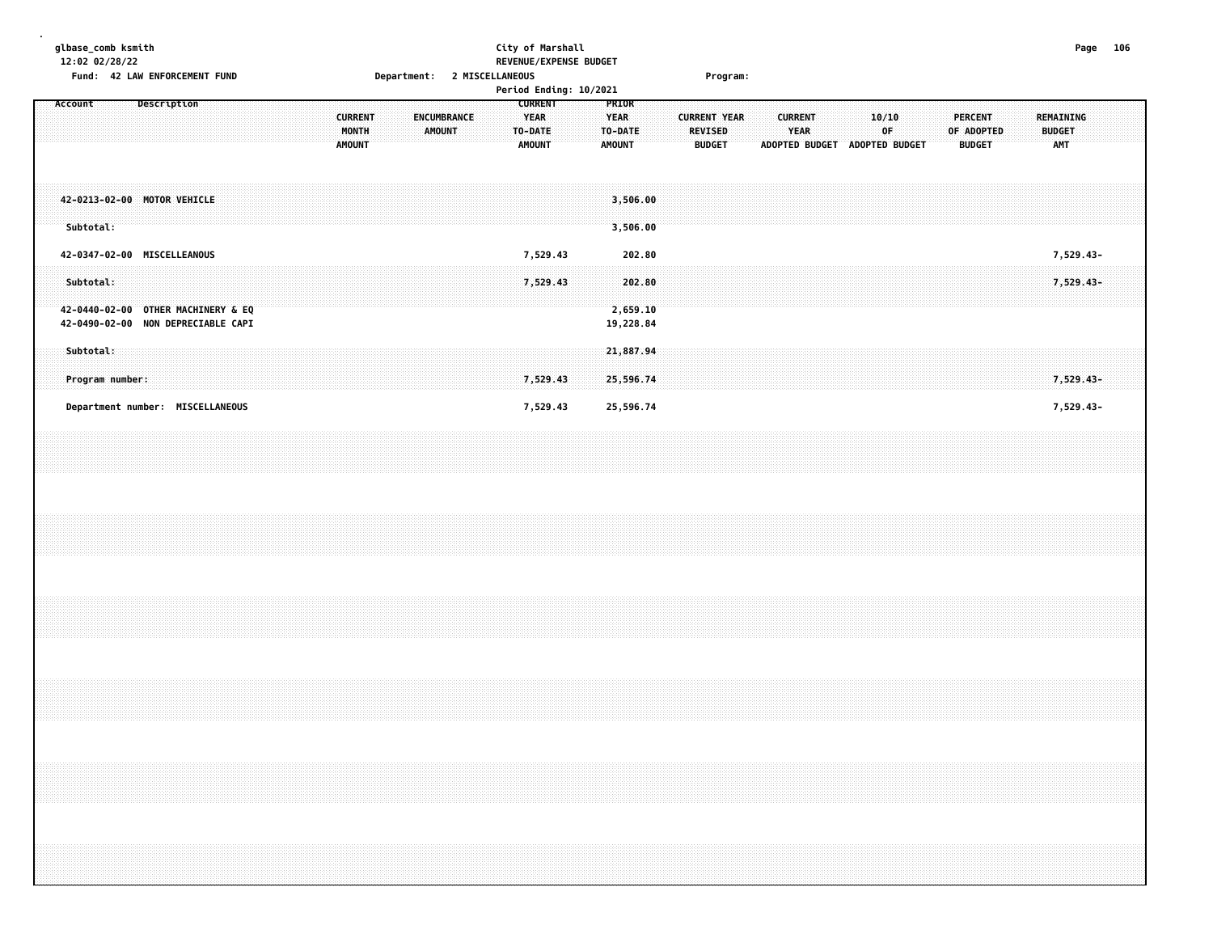|         | glbase_comb ksmith<br>12:02 02/28/22 |  | Fund: 42 LAW ENFORCEMENT FUND                                            |  |  |  |  |                                          |  |  |               |             | Department: 2 MISCELLANEOUS |  |                                                           | City of Marshall | REVENUE/EXPENSE BUDGET |                                                  |                                 |  |         |               | Program:            |                               |                        |  |       |    |  |            |                                 |  |                      |                                                                                   | Page 106 |  |
|---------|--------------------------------------|--|--------------------------------------------------------------------------|--|--|--|--|------------------------------------------|--|--|---------------|-------------|-----------------------------|--|-----------------------------------------------------------|------------------|------------------------|--------------------------------------------------|---------------------------------|--|---------|---------------|---------------------|-------------------------------|------------------------|--|-------|----|--|------------|---------------------------------|--|----------------------|-----------------------------------------------------------------------------------|----------|--|
|         |                                      |  |                                                                          |  |  |  |  |                                          |  |  |               |             |                             |  |                                                           |                  | Period Ending: 10/2021 |                                                  |                                 |  |         |               |                     |                               |                        |  |       |    |  |            |                                 |  |                      |                                                                                   |          |  |
| Account |                                      |  | Description                                                              |  |  |  |  | <b>CURRENT</b><br>MONTH<br><b>AMOUNT</b> |  |  | <b>AMOUNT</b> | ENCUMBRANCE |                             |  | <b>CURRENT</b><br><b>YEAR</b><br>TO-DATE<br><b>AMOUNT</b> |                  |                        | PRIOR<br><b>YEAR</b><br>TO-DATE<br><b>AMOUNT</b> |                                 |  | REVISED | <b>BUDGET</b> | <b>CURRENT YEAR</b> | ADOPTED BUDGET ADOPTED BUDGET | <b>CURRENT</b><br>YEAR |  | 10/10 | 0F |  | OF ADOPTED | <b>PERCENT</b><br><b>BUDGET</b> |  | <b>BUDGET</b><br>AMT | REMAINING                                                                         |          |  |
|         | Subtotal:                            |  | 42-0213-02-00 MOTOR VEHICLE                                              |  |  |  |  |                                          |  |  |               |             |                             |  |                                                           |                  |                        |                                                  | 3,506.00<br>3,506.00            |  |         |               |                     |                               |                        |  |       |    |  |            |                                 |  |                      |                                                                                   |          |  |
|         |                                      |  | 42-0347-02-00 MISCELLEANOUS                                              |  |  |  |  |                                          |  |  |               |             |                             |  |                                                           | 7,529.43         |                        |                                                  | 202.80                          |  |         |               |                     |                               |                        |  |       |    |  |            |                                 |  |                      | 7,529.43-                                                                         |          |  |
|         | Subtotal:                            |  | 42-0440-02-00 OTHER MACHINERY & EQ<br>42-0490-02-00 NON DEPRECIABLE CAPI |  |  |  |  |                                          |  |  |               |             |                             |  |                                                           | 7,529.43         |                        |                                                  | 202.80<br>2,659.10<br>19,228.84 |  |         |               |                     |                               |                        |  |       |    |  |            |                                 |  |                      | 7,529.43-                                                                         |          |  |
|         | Subtotal:                            |  |                                                                          |  |  |  |  |                                          |  |  |               |             |                             |  |                                                           |                  |                        |                                                  | 21,887.94                       |  |         |               |                     |                               |                        |  |       |    |  |            |                                 |  |                      |                                                                                   |          |  |
|         | Program number:                      |  |                                                                          |  |  |  |  |                                          |  |  |               |             |                             |  |                                                           | 7,529.43         |                        |                                                  | 25,596.74                       |  |         |               |                     |                               |                        |  |       |    |  |            |                                 |  |                      | 7,529.43-                                                                         |          |  |
|         |                                      |  | Department number: MISCELLANEOUS                                         |  |  |  |  |                                          |  |  |               |             |                             |  |                                                           | 7,529.43         |                        |                                                  | 25,596.74                       |  |         |               |                     |                               |                        |  |       |    |  |            |                                 |  |                      | 7,529.43-                                                                         |          |  |
|         |                                      |  |                                                                          |  |  |  |  |                                          |  |  |               |             |                             |  |                                                           |                  |                        |                                                  |                                 |  |         |               |                     |                               |                        |  |       |    |  |            |                                 |  |                      |                                                                                   |          |  |
|         |                                      |  |                                                                          |  |  |  |  |                                          |  |  |               |             |                             |  |                                                           |                  |                        |                                                  |                                 |  |         |               |                     |                               |                        |  |       |    |  |            |                                 |  |                      |                                                                                   |          |  |
|         |                                      |  |                                                                          |  |  |  |  |                                          |  |  |               |             |                             |  |                                                           |                  |                        |                                                  |                                 |  |         |               |                     |                               |                        |  |       |    |  |            |                                 |  |                      |                                                                                   |          |  |
|         |                                      |  |                                                                          |  |  |  |  |                                          |  |  |               |             |                             |  |                                                           |                  |                        |                                                  |                                 |  |         |               |                     |                               |                        |  |       |    |  |            |                                 |  |                      |                                                                                   |          |  |
|         |                                      |  |                                                                          |  |  |  |  |                                          |  |  |               |             |                             |  |                                                           |                  |                        |                                                  |                                 |  |         |               |                     |                               |                        |  |       |    |  |            |                                 |  |                      | ,我们就会在这里,我们就会在这里的时候,我们就会在这里的时候,我们就会在这里的时候,我们就会在这里的时候,我们就会在这里的时候,我们就会在这里的时候,我们就会在这 |          |  |
|         |                                      |  |                                                                          |  |  |  |  |                                          |  |  |               |             |                             |  |                                                           |                  |                        |                                                  |                                 |  |         |               |                     |                               |                        |  |       |    |  |            |                                 |  |                      |                                                                                   |          |  |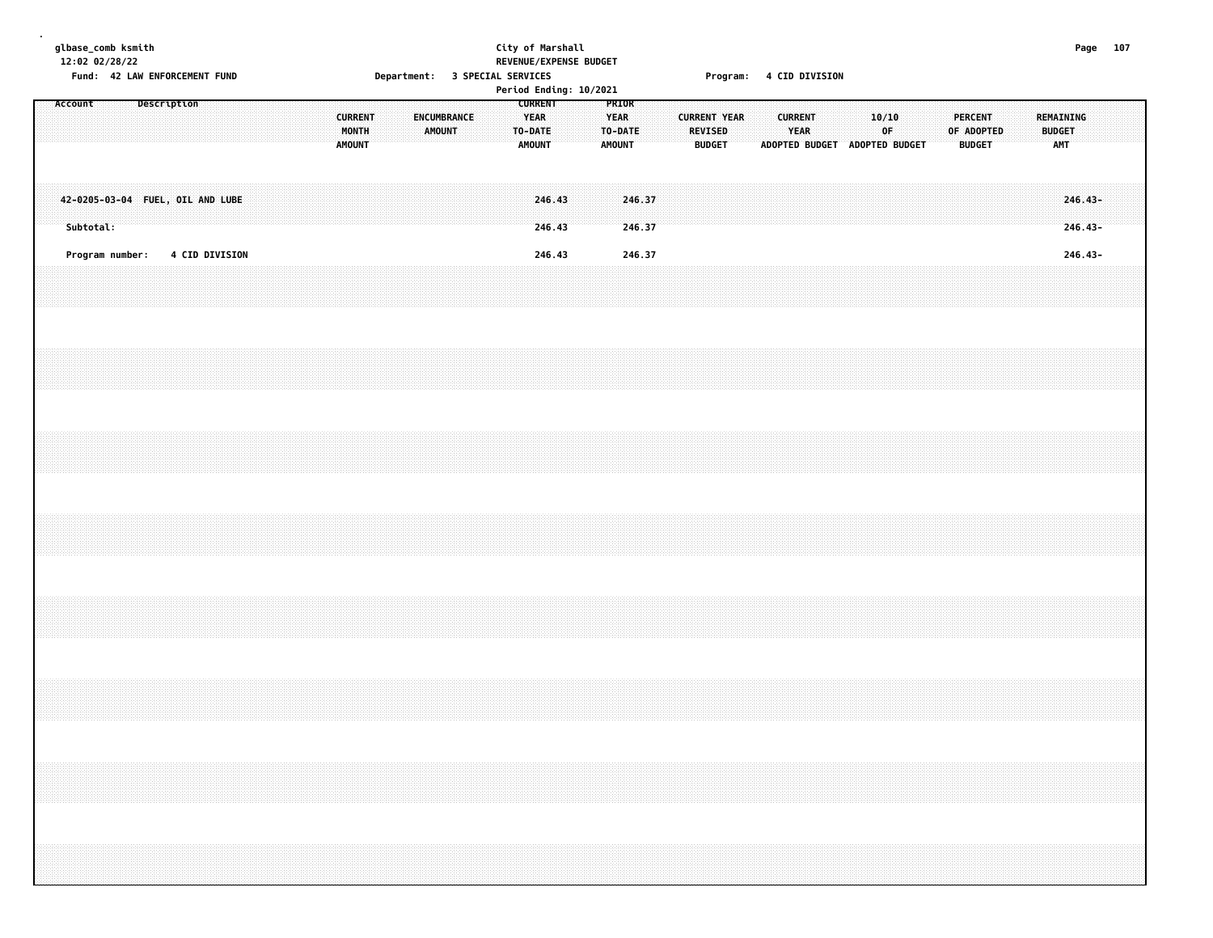|  |           | glbase_comb ksmith<br>12:02 02/28/22 |             |  | Fund: 42 LAW ENFORCEMENT FUND    |  |  |  |                                          |  |  |                       |  |  | City of Marshall<br>Department: 3 SPECIAL SERVICES        | REVENUE/EXPENSE BUDGET<br>Period Ending: 10/2021 |                                                  |                  |  |                                                        |  | Program: 4 CID DIVISION |                        |                               |  |             |  |                                               |  |                                          | Page 107               |  |  |
|--|-----------|--------------------------------------|-------------|--|----------------------------------|--|--|--|------------------------------------------|--|--|-----------------------|--|--|-----------------------------------------------------------|--------------------------------------------------|--------------------------------------------------|------------------|--|--------------------------------------------------------|--|-------------------------|------------------------|-------------------------------|--|-------------|--|-----------------------------------------------|--|------------------------------------------|------------------------|--|--|
|  | Account   |                                      | Description |  |                                  |  |  |  | <b>CURRENT</b><br>MONTH<br><b>AMOUNT</b> |  |  | ENCUMBRANCE<br>AMOUNT |  |  | <b>CURRENT</b><br><b>YEAR</b><br>TO-DATE<br><b>AMOUNT</b> |                                                  | PRIOR<br><b>YEAR</b><br>TO-DATE<br><b>AMOUNT</b> |                  |  | <b>CURRENT YEAR</b><br><b>REVISED</b><br><b>BUDGET</b> |  |                         | <b>CURRENT</b><br>YEAR | ADOPTED BUDGET ADOPTED BUDGET |  | 10/10<br>0F |  | <b>PERCENT</b><br>OF ADOPTED<br><b>BUDGET</b> |  | REMAINING<br><b>BUDGET</b><br><b>AMT</b> |                        |  |  |
|  | Subtotal: |                                      |             |  | 42-0205-03-04 FUEL, OIL AND LUBE |  |  |  |                                          |  |  |                       |  |  | 246.43<br>246.43                                          |                                                  |                                                  | 246.37<br>246.37 |  |                                                        |  |                         |                        |                               |  |             |  |                                               |  |                                          | $246.43-$<br>$246.43-$ |  |  |
|  |           | Program number:                      |             |  | <b>4 CID DIVISION</b>            |  |  |  |                                          |  |  |                       |  |  | 246.43                                                    |                                                  |                                                  | 246.37           |  |                                                        |  |                         |                        |                               |  |             |  |                                               |  |                                          | 246.43-                |  |  |
|  |           |                                      |             |  |                                  |  |  |  |                                          |  |  |                       |  |  |                                                           |                                                  |                                                  |                  |  |                                                        |  |                         |                        |                               |  |             |  |                                               |  |                                          |                        |  |  |
|  |           |                                      |             |  |                                  |  |  |  |                                          |  |  |                       |  |  |                                                           |                                                  |                                                  |                  |  |                                                        |  |                         |                        |                               |  |             |  |                                               |  |                                          |                        |  |  |
|  |           |                                      |             |  |                                  |  |  |  |                                          |  |  |                       |  |  |                                                           |                                                  |                                                  |                  |  |                                                        |  |                         |                        |                               |  |             |  |                                               |  |                                          |                        |  |  |
|  |           |                                      |             |  |                                  |  |  |  |                                          |  |  |                       |  |  |                                                           |                                                  |                                                  |                  |  |                                                        |  |                         |                        |                               |  |             |  |                                               |  |                                          |                        |  |  |
|  |           |                                      |             |  |                                  |  |  |  |                                          |  |  |                       |  |  |                                                           |                                                  |                                                  |                  |  |                                                        |  |                         |                        |                               |  |             |  |                                               |  |                                          |                        |  |  |
|  |           |                                      |             |  |                                  |  |  |  |                                          |  |  |                       |  |  |                                                           |                                                  |                                                  |                  |  |                                                        |  |                         |                        |                               |  |             |  |                                               |  |                                          |                        |  |  |
|  |           |                                      |             |  |                                  |  |  |  |                                          |  |  |                       |  |  |                                                           |                                                  |                                                  |                  |  |                                                        |  |                         |                        |                               |  |             |  |                                               |  |                                          |                        |  |  |
|  |           |                                      |             |  |                                  |  |  |  |                                          |  |  |                       |  |  |                                                           |                                                  |                                                  |                  |  |                                                        |  |                         |                        |                               |  |             |  |                                               |  |                                          |                        |  |  |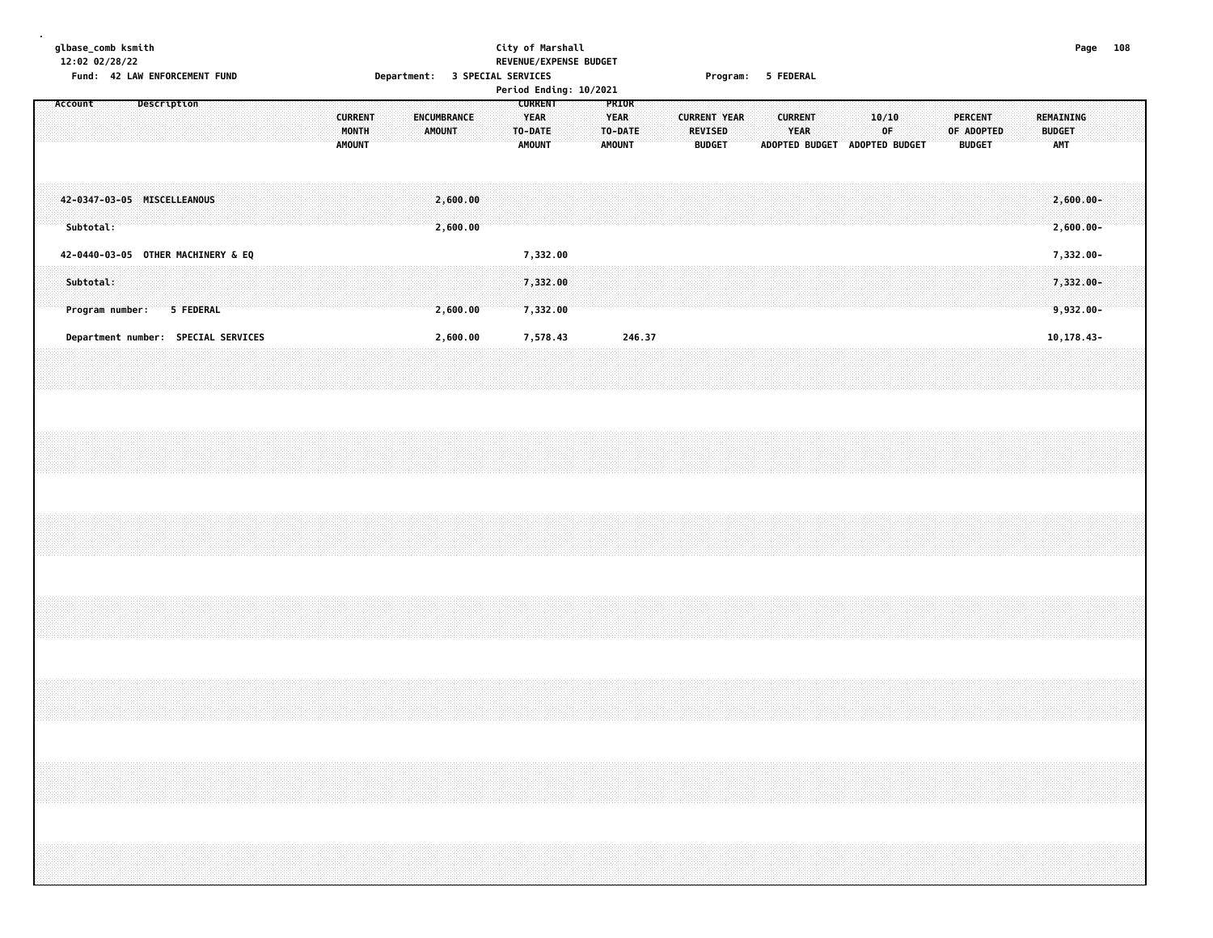## **glbase\_comb ksmith City of Marshall Page 108 12:02 02/28/22 REVENUE/EXPENSE BUDGET** Fund: 42 LAW ENFORCEMENT FUND **Department: 3 SPECIAL SERVICES CONTACT PROGRAM** Program: 5 FEDERAL

|         |           |                 |             |                                    |                                     |  |  |                                          |  |        |                      |  |                                             |                      | Period Ending: 10/2021 |                                                  |        |  |                                                        |  |                        |                       |                |              |  |                                        |  |                                          |  |  |
|---------|-----------|-----------------|-------------|------------------------------------|-------------------------------------|--|--|------------------------------------------|--|--------|----------------------|--|---------------------------------------------|----------------------|------------------------|--------------------------------------------------|--------|--|--------------------------------------------------------|--|------------------------|-----------------------|----------------|--------------|--|----------------------------------------|--|------------------------------------------|--|--|
| Account |           |                 | Description |                                    |                                     |  |  | <b>CURRENT</b><br>MONTH<br><b>AMOUNT</b> |  | AMOUNT | ENCUMBRANCE          |  | <b>CURRENT</b><br>YEAR<br>TO-DATE<br>AMOUNT |                      |                        | <b>PRIOR</b><br><b>YEAR</b><br>TO-DATE<br>AMOUNT |        |  | <b>CURRENT YEAR</b><br><b>REVISED</b><br><b>BUDGET</b> |  | <b>CURRENT</b><br>YEAR | <b>ADOPTED BUDGET</b> | ADOPTED BUDGET | 10/10<br>0F. |  | PERCENT<br>OF ADOPTED<br><b>BUDGET</b> |  | REMAINING<br><b>BUDGET</b><br><b>AMT</b> |  |  |
|         | Subtotal: |                 |             | 42-0347-03-05 MISCELLEANOUS        |                                     |  |  |                                          |  |        | 2,600.00<br>2,600.00 |  |                                             |                      |                        |                                                  |        |  |                                                        |  |                        |                       |                |              |  |                                        |  | $2,600.00 -$<br>$2,600.00 -$             |  |  |
|         |           |                 |             | 42-0440-03-05 OTHER MACHINERY & EQ |                                     |  |  |                                          |  |        |                      |  |                                             | 7,332.00             |                        |                                                  |        |  |                                                        |  |                        |                       |                |              |  |                                        |  | 7,332.00-                                |  |  |
|         | Subtotal: | Program number: |             | 5 FEDERAL                          |                                     |  |  |                                          |  |        | 2,600.00             |  |                                             | 7,332.00<br>7,332.00 |                        |                                                  |        |  |                                                        |  |                        |                       |                |              |  |                                        |  | 7,332.00-<br>$9,932.00 -$                |  |  |
|         |           |                 |             |                                    | Department number: SPECIAL SERVICES |  |  |                                          |  |        | 2,600.00             |  |                                             | 7,578.43             |                        |                                                  | 246.37 |  |                                                        |  |                        |                       |                |              |  |                                        |  | 10,178.43-                               |  |  |
|         |           |                 |             |                                    |                                     |  |  |                                          |  |        |                      |  |                                             |                      |                        |                                                  |        |  |                                                        |  |                        |                       |                |              |  |                                        |  |                                          |  |  |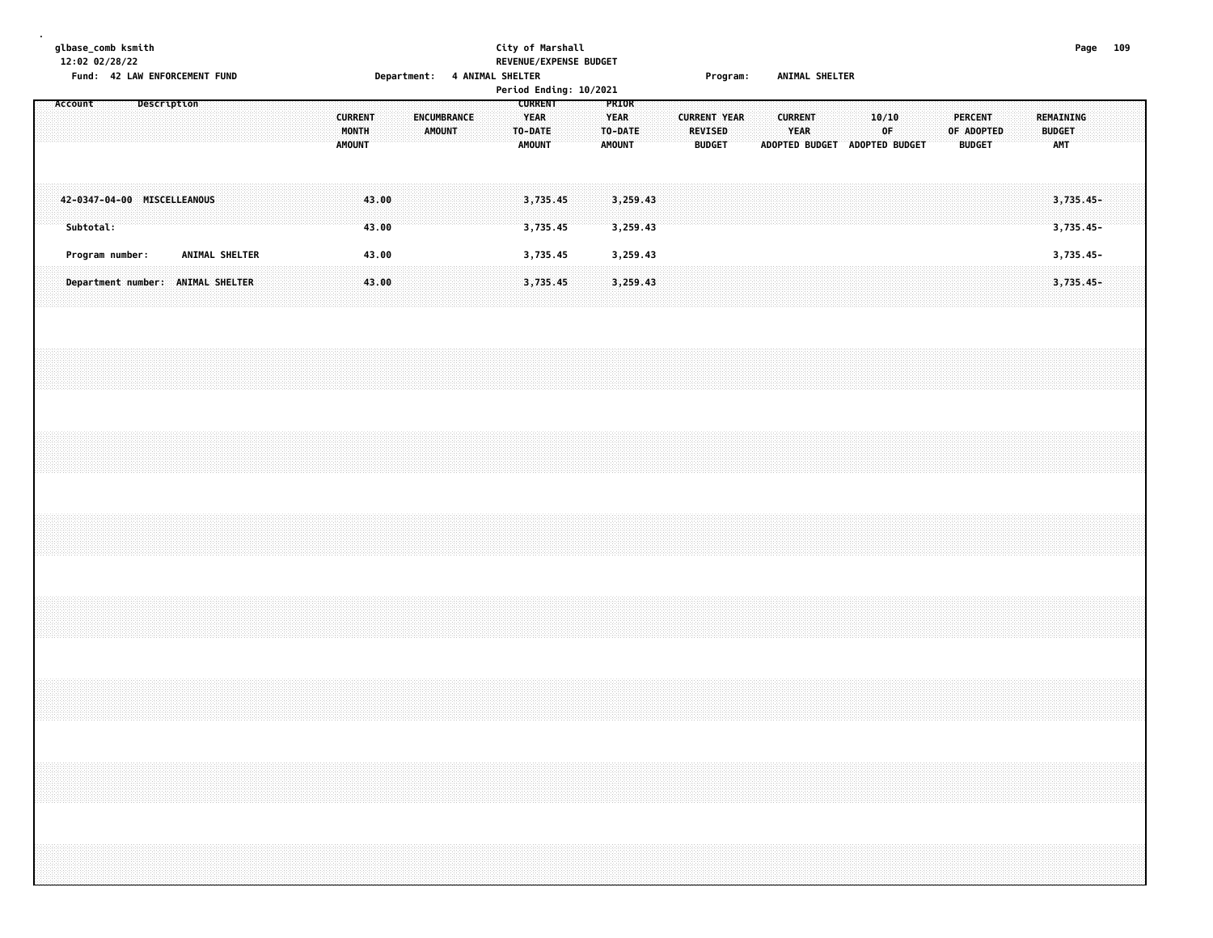|  |           | glbase_comb ksmith<br>12:02 02/28/22 |  |             |  |                |  |  |                                          |                |                              |               |             |  | City of Marshall<br>REVENUE/EXPENSE BUDGET |  |                                         |                      |  |                          |                     |  |                        |  |             |                               |  |                                               |  |                                          |                          | Page 109 |  |
|--|-----------|--------------------------------------|--|-------------|--|----------------|--|--|------------------------------------------|----------------|------------------------------|---------------|-------------|--|--------------------------------------------|--|-----------------------------------------|----------------------|--|--------------------------|---------------------|--|------------------------|--|-------------|-------------------------------|--|-----------------------------------------------|--|------------------------------------------|--------------------------|----------|--|
|  | Account   | Fund: 42 LAW ENFORCEMENT FUND        |  |             |  |                |  |  |                                          |                | Department: 4 ANIMAL SHELTER |               |             |  | Period Ending: 10/2021<br><b>CURRENT</b>   |  | PRIOR                                   |                      |  |                          | Program:            |  | ANIMAL SHELTER         |  |             |                               |  |                                               |  |                                          |                          |          |  |
|  |           |                                      |  | Description |  |                |  |  | <b>CURRENT</b><br>MONTH<br><b>AMOUNT</b> |                |                              | <b>AMOUNT</b> | ENCUMBRANCE |  | <b>YEAR</b><br>TO-DATE<br><b>AMOUNT</b>    |  | <b>YEAR</b><br>TO-DATE<br><b>AMOUNT</b> |                      |  | REVISED<br><b>BUDGET</b> | <b>CURRENT YEAR</b> |  | <b>CURRENT</b><br>YEAR |  | 10/10<br>0F | ADOPTED BUDGET ADOPTED BUDGET |  | <b>PERCENT</b><br>OF ADOPTED<br><b>BUDGET</b> |  | REMAINING<br><b>BUDGET</b><br><b>AMT</b> |                          |          |  |
|  | Subtotal: | 42-0347-04-00 MISCELLEANOUS          |  |             |  |                |  |  |                                          | 43.00<br>43.00 |                              |               |             |  | 3,735.45<br>3,735.45                       |  |                                         | 3,259.43<br>3,259.43 |  |                          |                     |  |                        |  |             |                               |  |                                               |  |                                          | $3,735.45-$<br>3,735.45- |          |  |
|  |           | Program number:                      |  |             |  | ANIMAL SHELTER |  |  |                                          | 43.00          |                              |               |             |  | 3,735.45                                   |  |                                         | 3,259.43             |  |                          |                     |  |                        |  |             |                               |  |                                               |  |                                          | 3,735.45-                |          |  |
|  |           | Department number: ANIMAL SHELTER    |  |             |  |                |  |  |                                          | 43.00          |                              |               |             |  | 3,735.45                                   |  |                                         | 3,259.43             |  |                          |                     |  |                        |  |             |                               |  |                                               |  |                                          | 3,735.45-                |          |  |
|  |           |                                      |  |             |  |                |  |  |                                          |                |                              |               |             |  |                                            |  |                                         |                      |  |                          |                     |  |                        |  |             |                               |  |                                               |  |                                          |                          |          |  |
|  |           |                                      |  |             |  |                |  |  |                                          |                |                              |               |             |  |                                            |  |                                         |                      |  |                          |                     |  |                        |  |             |                               |  |                                               |  |                                          |                          |          |  |
|  |           |                                      |  |             |  |                |  |  |                                          |                |                              |               |             |  |                                            |  |                                         |                      |  |                          |                     |  |                        |  |             |                               |  |                                               |  |                                          |                          |          |  |
|  |           |                                      |  |             |  |                |  |  |                                          |                |                              |               |             |  |                                            |  |                                         |                      |  |                          |                     |  |                        |  |             |                               |  |                                               |  |                                          |                          |          |  |
|  |           |                                      |  |             |  |                |  |  |                                          |                |                              |               |             |  |                                            |  |                                         |                      |  |                          |                     |  |                        |  |             |                               |  |                                               |  |                                          |                          |          |  |
|  |           |                                      |  |             |  |                |  |  |                                          |                |                              |               |             |  |                                            |  |                                         |                      |  |                          |                     |  |                        |  |             |                               |  |                                               |  |                                          |                          |          |  |
|  |           |                                      |  |             |  |                |  |  |                                          |                |                              |               |             |  |                                            |  |                                         |                      |  |                          |                     |  |                        |  |             |                               |  |                                               |  |                                          |                          |          |  |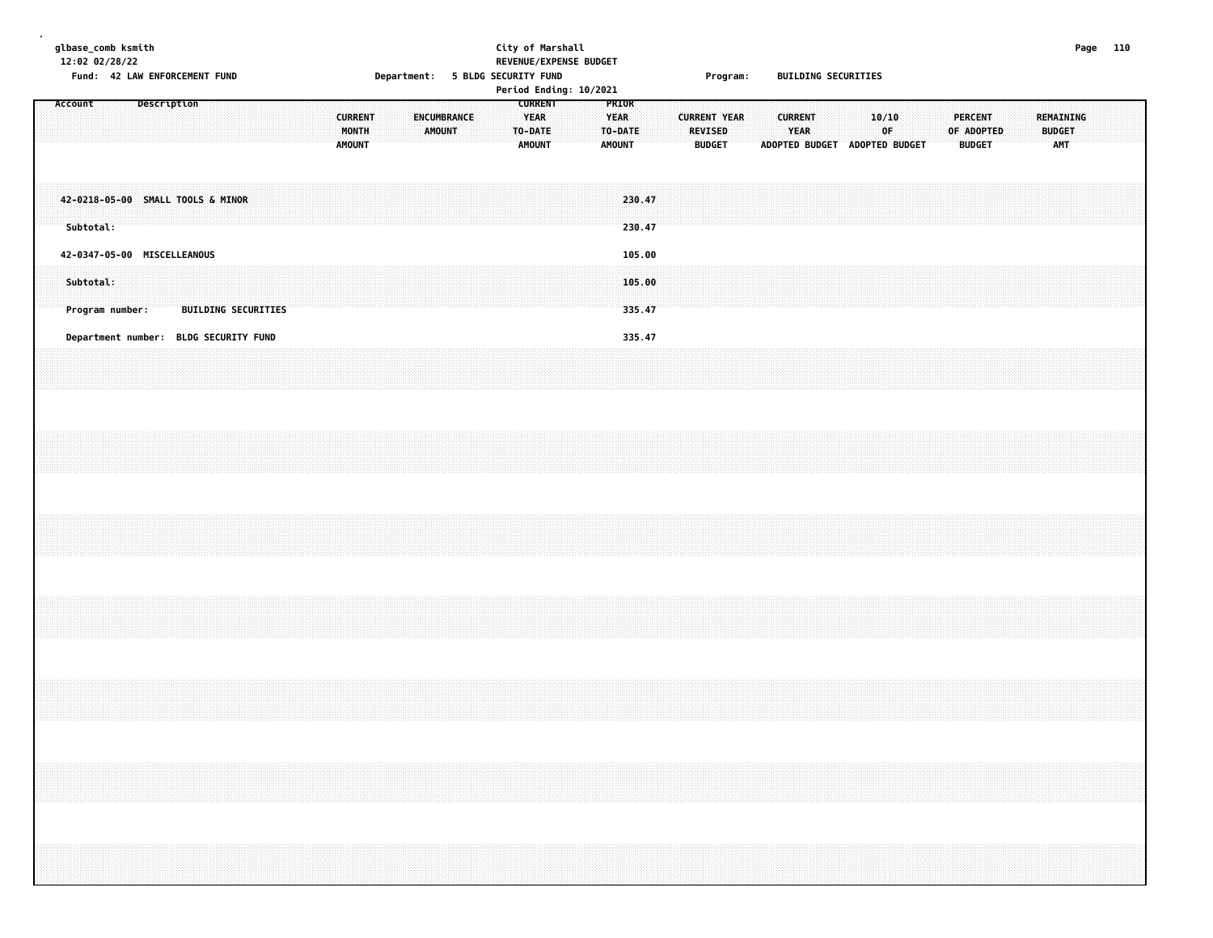|         | 12:02 02/28/22 | glbase_comb ksmith | Fund: 42 LAW ENFORCEMENT FUND         |  |                            |  |  |  |                                          |  |             |               |  | City of Marshall<br>Department: 5 BLDG SECURITY FUND      |  | REVENUE/EXPENSE BUDGET<br>Period Ending: 10/2021 |                                                  |                  |  |                                 | Program:            |  |                |      | <b>BUILDING SECURITIES</b>    |             |  |  |                                               |  |                                                                                                                                                                      |  | Page 110 |  |
|---------|----------------|--------------------|---------------------------------------|--|----------------------------|--|--|--|------------------------------------------|--|-------------|---------------|--|-----------------------------------------------------------|--|--------------------------------------------------|--------------------------------------------------|------------------|--|---------------------------------|---------------------|--|----------------|------|-------------------------------|-------------|--|--|-----------------------------------------------|--|----------------------------------------------------------------------------------------------------------------------------------------------------------------------|--|----------|--|
| Account |                |                    | Description                           |  |                            |  |  |  | <b>CURRENT</b><br>MONTH<br><b>AMOUNT</b> |  | ENCUMBRANCE | <b>AMOUNT</b> |  | <b>CURRENT</b><br><b>YEAR</b><br>TO-DATE<br><b>AMOUNT</b> |  |                                                  | PRIOR<br><b>YEAR</b><br>TO-DATE<br><b>AMOUNT</b> |                  |  | <b>REVISED</b><br><b>BUDGET</b> | <b>CURRENT YEAR</b> |  | <b>CURRENT</b> | YEAR | ADOPTED BUDGET ADOPTED BUDGET | 10/10<br>0F |  |  | <b>PERCENT</b><br>OF ADOPTED<br><b>BUDGET</b> |  | REMAINING<br><b>BUDGET</b><br><b>AMT</b>                                                                                                                             |  |          |  |
|         | Subtotal:      |                    | 42-0218-05-00 SMALL TOOLS & MINOR     |  |                            |  |  |  |                                          |  |             |               |  |                                                           |  |                                                  |                                                  | 230.47<br>230.47 |  |                                 |                     |  |                |      |                               |             |  |  |                                               |  |                                                                                                                                                                      |  |          |  |
|         |                |                    | 42-0347-05-00 MISCELLEANOUS           |  |                            |  |  |  |                                          |  |             |               |  |                                                           |  |                                                  |                                                  | 105.00           |  |                                 |                     |  |                |      |                               |             |  |  |                                               |  |                                                                                                                                                                      |  |          |  |
|         | Subtotal:      | Program number:    |                                       |  | <b>BUILDING SECURITIES</b> |  |  |  |                                          |  |             |               |  |                                                           |  |                                                  |                                                  | 105.00<br>335.47 |  |                                 |                     |  |                |      |                               |             |  |  |                                               |  |                                                                                                                                                                      |  |          |  |
|         |                |                    | Department number: BLDG SECURITY FUND |  |                            |  |  |  |                                          |  |             |               |  |                                                           |  |                                                  |                                                  | 335.47           |  |                                 |                     |  |                |      |                               |             |  |  |                                               |  |                                                                                                                                                                      |  |          |  |
|         |                |                    |                                       |  |                            |  |  |  |                                          |  |             |               |  |                                                           |  |                                                  |                                                  |                  |  |                                 |                     |  |                |      |                               |             |  |  |                                               |  |                                                                                                                                                                      |  |          |  |
|         |                |                    |                                       |  |                            |  |  |  |                                          |  |             |               |  |                                                           |  |                                                  |                                                  |                  |  |                                 |                     |  |                |      |                               |             |  |  |                                               |  |                                                                                                                                                                      |  |          |  |
|         |                |                    |                                       |  |                            |  |  |  |                                          |  |             |               |  |                                                           |  |                                                  |                                                  |                  |  |                                 |                     |  |                |      |                               |             |  |  |                                               |  |                                                                                                                                                                      |  |          |  |
|         |                |                    |                                       |  |                            |  |  |  |                                          |  |             |               |  |                                                           |  |                                                  |                                                  |                  |  |                                 |                     |  |                |      |                               |             |  |  |                                               |  |                                                                                                                                                                      |  |          |  |
|         |                |                    |                                       |  |                            |  |  |  |                                          |  |             |               |  |                                                           |  |                                                  |                                                  |                  |  |                                 |                     |  |                |      |                               |             |  |  |                                               |  |                                                                                                                                                                      |  |          |  |
|         |                |                    |                                       |  |                            |  |  |  |                                          |  |             |               |  |                                                           |  |                                                  |                                                  |                  |  |                                 |                     |  |                |      |                               |             |  |  |                                               |  | ,我们就会在这里,我们就会在这里的时候,我们就会在这里,我们就会在这里,我们就会在这里,我们就会在这里,我们就会在这里,我们就会在这里,我们就会在这里,我们就会<br>第25章 我们的时候,我们就会在这里,我们就会在这里,我们就会在这里,我们就会在这里,我们就会在这里,我们就会在这里,我们就会在这里,我们就会在这里,我们就会在 |  |          |  |
|         |                |                    |                                       |  |                            |  |  |  |                                          |  |             |               |  |                                                           |  |                                                  |                                                  |                  |  |                                 |                     |  |                |      |                               |             |  |  |                                               |  |                                                                                                                                                                      |  |          |  |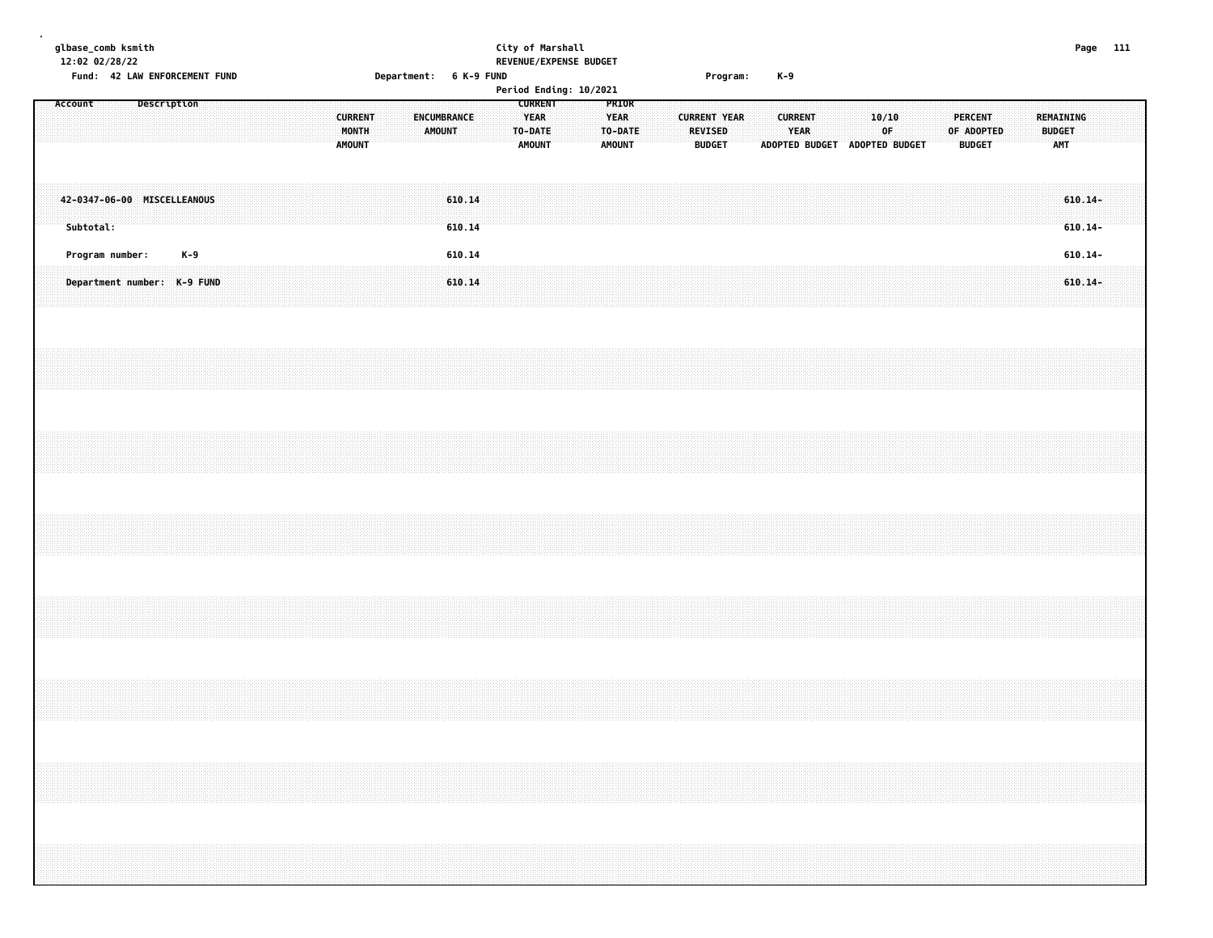| glbase_comb ksmith<br>12:02 02/28/22           |  |             |       |  |  |  |               |                         |  |                        |  | City of Marshall                                          | REVENUE/EXPENSE BUDGET |                                                  |  |                                                        |  |       |                        |  |                                        |    |  |                                               |  |                                          |                          | Page 111 |  |
|------------------------------------------------|--|-------------|-------|--|--|--|---------------|-------------------------|--|------------------------|--|-----------------------------------------------------------|------------------------|--------------------------------------------------|--|--------------------------------------------------------|--|-------|------------------------|--|----------------------------------------|----|--|-----------------------------------------------|--|------------------------------------------|--------------------------|----------|--|
| Fund: 42 LAW ENFORCEMENT FUND                  |  |             |       |  |  |  |               |                         |  | Department: 6 K-9 FUND |  |                                                           | Period Ending: 10/2021 |                                                  |  | Program:                                               |  | $K-9$ |                        |  |                                        |    |  |                                               |  |                                          |                          |          |  |
| Account                                        |  | Description |       |  |  |  | <b>AMOUNT</b> | <b>CURRENT</b><br>MONTH |  | ENCUMBRANCE<br>AMOUNT  |  | <b>CURRENT</b><br><b>YEAR</b><br>TO-DATE<br><b>AMOUNT</b> |                        | PRIOR<br><b>YEAR</b><br>TO-DATE<br><b>AMOUNT</b> |  | <b>CURRENT YEAR</b><br><b>REVISED</b><br><b>BUDGET</b> |  |       | <b>CURRENT</b><br>YEAR |  | 10/10<br>ADOPTED BUDGET ADOPTED BUDGET | 0F |  | <b>PERCENT</b><br>OF ADOPTED<br><b>BUDGET</b> |  | REMAINING<br><b>BUDGET</b><br><b>AMT</b> |                          |          |  |
| 42-0347-06-00 MISCELLEANOUS<br>Subtotal:       |  |             |       |  |  |  |               |                         |  | 610.14<br>610.14       |  |                                                           |                        |                                                  |  |                                                        |  |       |                        |  |                                        |    |  |                                               |  |                                          | $610.14 -$<br>$610.14 -$ |          |  |
| Program number:<br>Department number: K-9 FUND |  |             | $K-9$ |  |  |  |               |                         |  | 610.14<br>610.14       |  |                                                           |                        |                                                  |  |                                                        |  |       |                        |  |                                        |    |  |                                               |  |                                          | $610.14 -$<br>$610.14 -$ |          |  |
|                                                |  |             |       |  |  |  |               |                         |  |                        |  |                                                           |                        |                                                  |  |                                                        |  |       |                        |  |                                        |    |  |                                               |  |                                          |                          |          |  |
|                                                |  |             |       |  |  |  |               |                         |  |                        |  |                                                           |                        |                                                  |  |                                                        |  |       |                        |  |                                        |    |  |                                               |  |                                          |                          |          |  |
|                                                |  |             |       |  |  |  |               |                         |  |                        |  |                                                           |                        |                                                  |  |                                                        |  |       |                        |  |                                        |    |  |                                               |  |                                          |                          |          |  |
|                                                |  |             |       |  |  |  |               |                         |  |                        |  |                                                           |                        |                                                  |  |                                                        |  |       |                        |  |                                        |    |  |                                               |  |                                          |                          |          |  |
|                                                |  |             |       |  |  |  |               |                         |  |                        |  |                                                           |                        |                                                  |  |                                                        |  |       |                        |  |                                        |    |  |                                               |  |                                          |                          |          |  |
|                                                |  |             |       |  |  |  |               |                         |  |                        |  |                                                           |                        |                                                  |  |                                                        |  |       |                        |  |                                        |    |  |                                               |  |                                          |                          |          |  |
|                                                |  |             |       |  |  |  |               |                         |  |                        |  |                                                           |                        |                                                  |  |                                                        |  |       |                        |  |                                        |    |  |                                               |  |                                          |                          |          |  |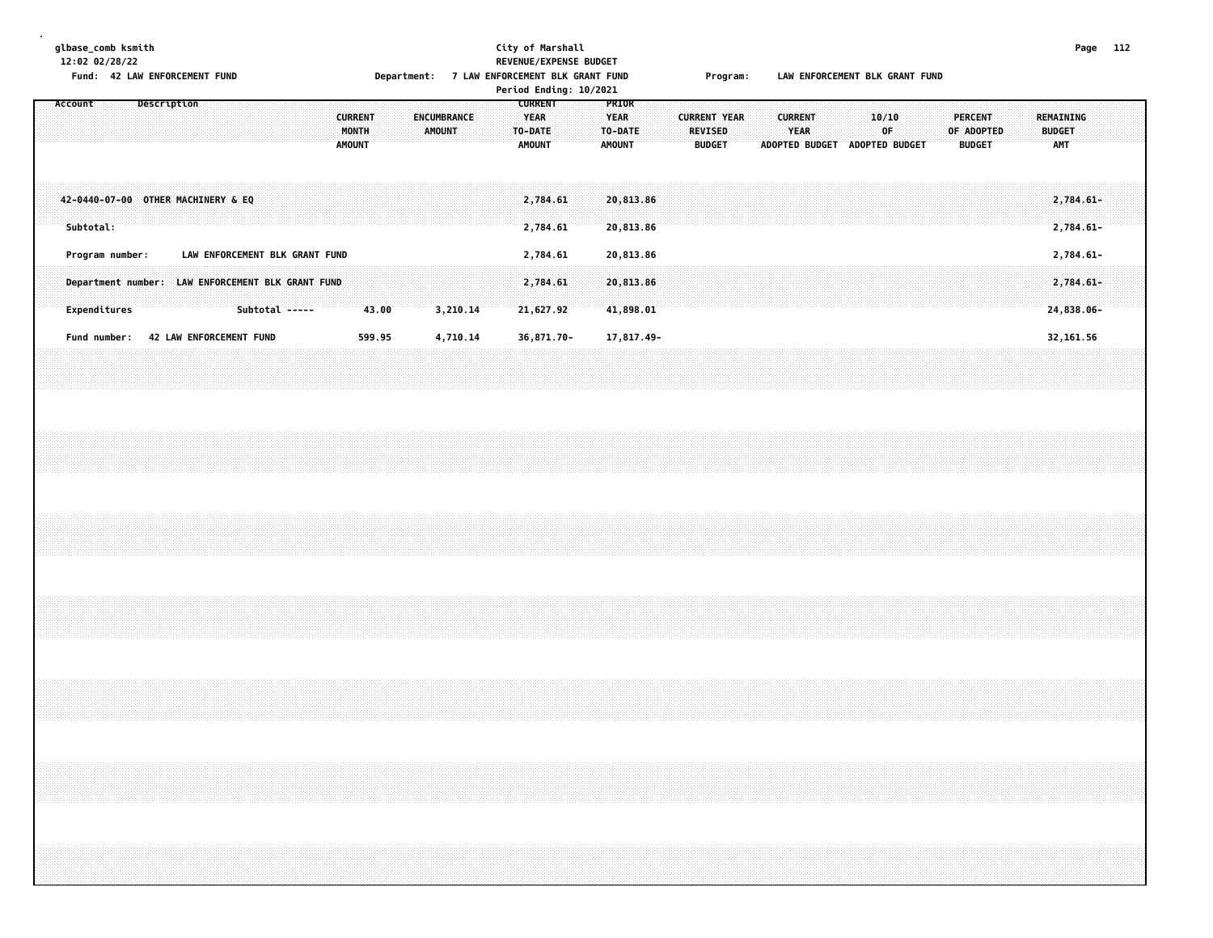**glbase\_comb ksmith City of Marshall Page 112 12:02 02/28/22 REVENUE/EXPENSE BUDGET Fund: 42 LAW ENFORCEMENT FUND Department: 7 LAW ENFORCEMENT BLK GRANT FUND Program: LAW ENFORCEMENT BLK GRANT FUND Period Ending: 10/2021 Account Description CURRENT PRIOR CURRENT ENCUMBRANCE YEAR YEAR CURRENT YEAR CURRENT 10/10 PERCENT REMAINING MONTH AMOUNT TO-DATE TO-DATE REVISED YEAR OF OF ADOPTED BUDGET AMOUNT AMOUNT AMOUNT BUDGET ADOPTED BUDGET ADOPTED BUDGET BUDGET AMT 42-0440-07-00 OTHER MACHINERY & EQ 2,784.61 20,813.86 2,784.61- Subtotal: 2,784.61 20,813.86 2,784.61-**

**.**

 **Program number: LAW ENFORCEMENT BLK GRANT FUND 2,784.61 20,813.86 2,784.61- Department number: LAW ENFORCEMENT BLK GRANT FUND 2,784.61 20,813.86 2,784.61- Expenditures Subtotal ----- 43.00 3,210.14 21,627.92 41,898.01 24,838.06-** Fund number: 42 LAW ENFORCEMENT FUND 599.95 4,710.14 36,871.70- 17,817.49- 17,819 17,819-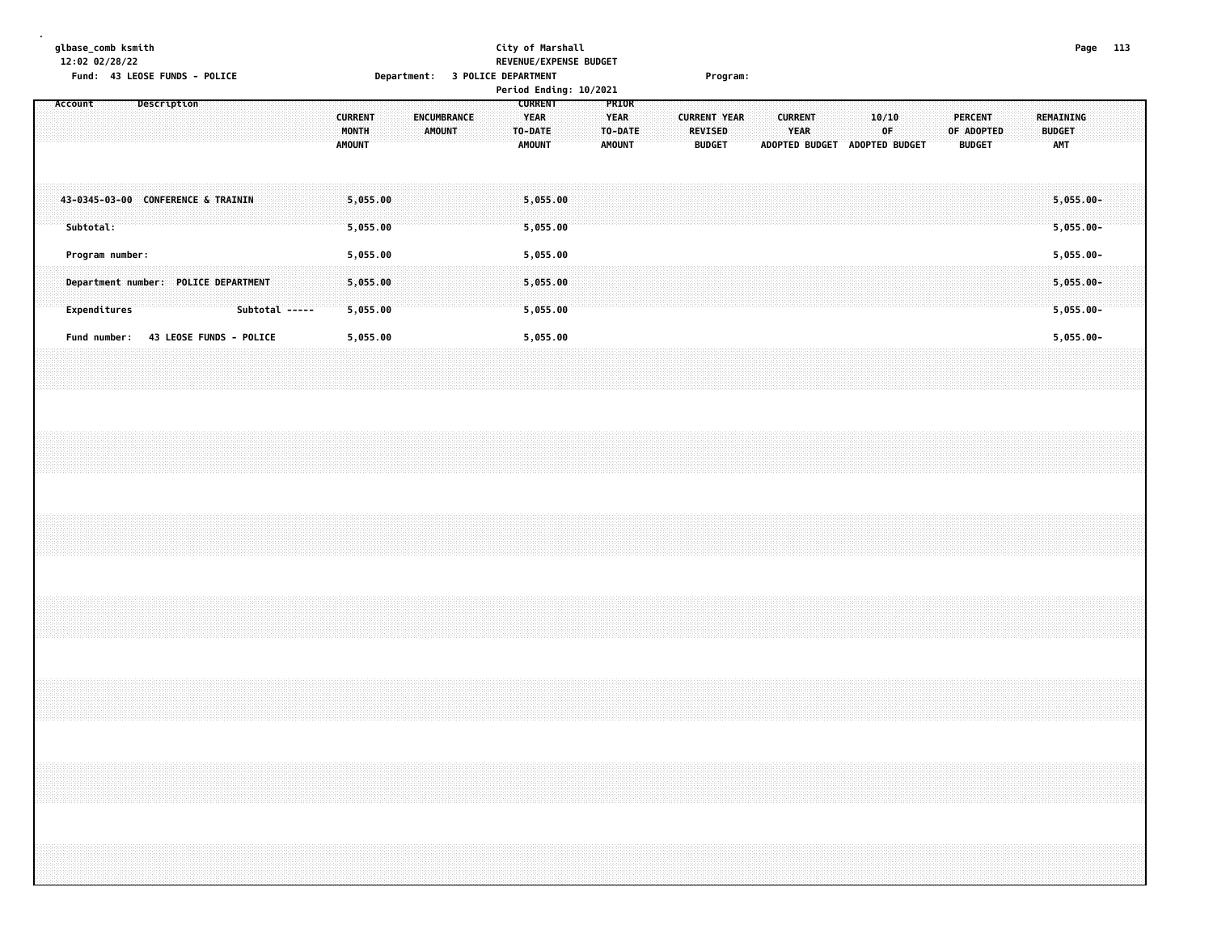**glbase\_comb ksmith City of Marshall Page 113 12:02 02/28/22 REVENUE/EXPENSE BUDGET Fund: 43 LEOSE FUNDS - POLICE Department: 3 POLICE DEPARTMENT Program: Period Ending: 10/2021 Account Description CURRENT PRIOR CURRENT ENCUMBRANCE YEAR YEAR CURRENT YEAR CURRENT 10/10 PERCENT REMAINING MONTH AMOUNT TO-DATE TO-DATE REVISED YEAR OF OF ADOPTED BUDGET AMOUNT AMOUNT AMOUNT BUDGET ADOPTED BUDGET ADOPTED BUDGET BUDGET AMT 43-0345-03-00 CONFERENCE & TRAININ 5,055.00 5,055.00 5,055.00- Subtotal: 5,055.00 5,055.00 5,055.00- Program number: 5,055.00 5,055.00 5,055.00- Department number: POLICE DEPARTMENT 5,055.00 5,055.00 5,055.00- Expenditures Subtotal ----- 5,055.00 5,055.00 5,055.00- Fund number: 43 LEOSE FUNDS - POLICE 5,055.00 5,055.00 5,055.00-**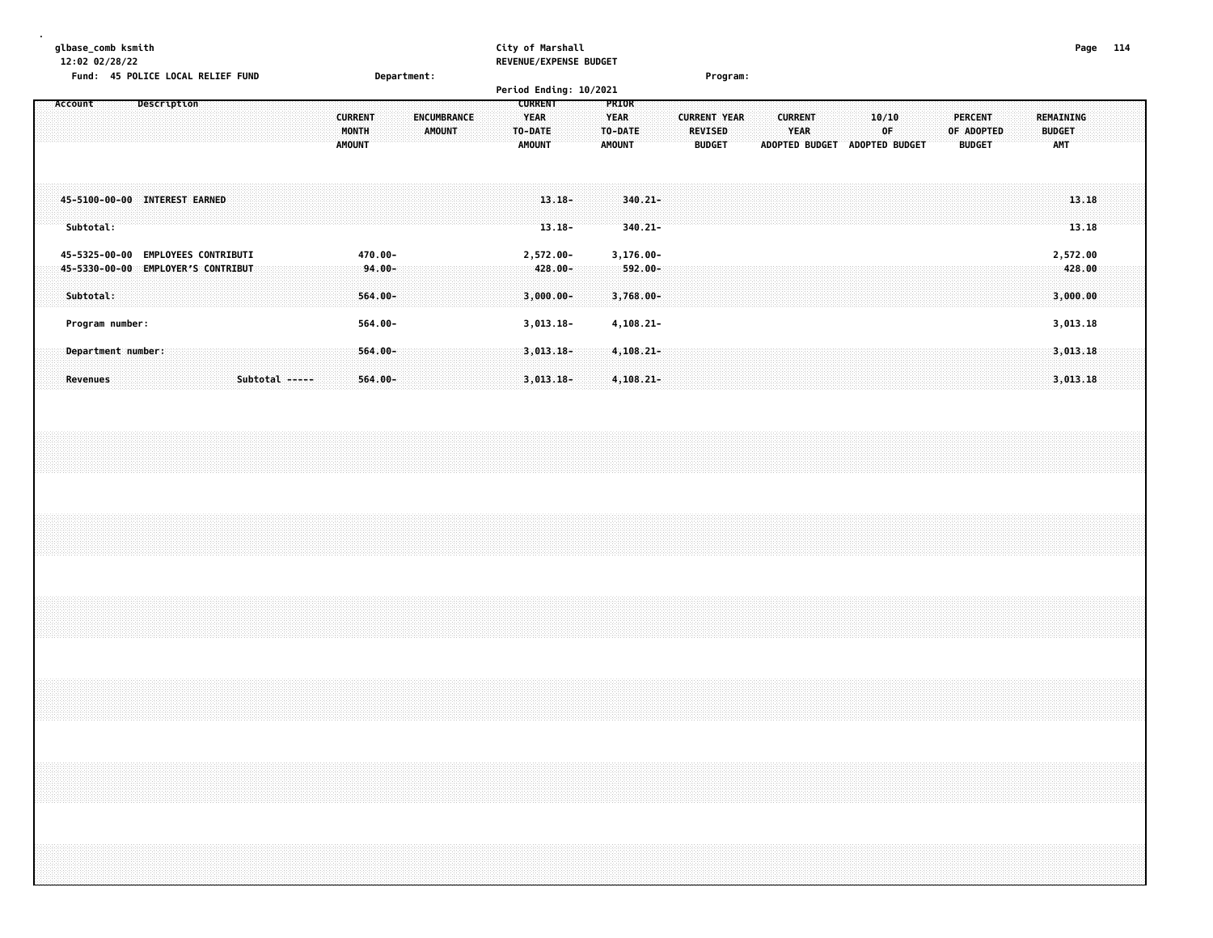| glbase comb ksmith                          |             | City of Marshall              | Page | 114 |
|---------------------------------------------|-------------|-------------------------------|------|-----|
| 12:02 02/28/22                              |             | <b>REVENUE/EXPENSE BUDGET</b> |      |     |
| <b>45 POLICE LOCAL RELIEF FUND</b><br>Fund: | Department: | Program:                      |      |     |

|                                                                  |                             |  |                |                                          |                                     |                                     |                                                    | Period Ending: 10/2021                   |                                                         |  |                                                        |                |                        |  |                                |  |                                               |  |                                          |  |
|------------------------------------------------------------------|-----------------------------|--|----------------|------------------------------------------|-------------------------------------|-------------------------------------|----------------------------------------------------|------------------------------------------|---------------------------------------------------------|--|--------------------------------------------------------|----------------|------------------------|--|--------------------------------|--|-----------------------------------------------|--|------------------------------------------|--|
| Account                                                          | Description                 |  |                | <b>CURRENT</b><br>MONTH<br><b>AMOUNT</b> |                                     | <b>ENCUMBRANCE</b><br><b>AMOUNT</b> | <b>CURRENT</b><br>YEAR<br>TO-DATE<br><b>AMOUNT</b> |                                          | <b>PRIOR</b><br><b>YEAR</b><br>TO-DATE<br><b>AMOUNT</b> |  | <b>CURRENT YEAR</b><br><b>REVISED</b><br><b>BUDGET</b> | <b>CURRENT</b> | YEAR<br>ADOPTED BUDGET |  | 10/10<br>0F.<br>ADOPTED BUDGET |  | <b>PERCENT</b><br>OF ADOPTED<br><b>BUDGET</b> |  | REMAINING<br><b>BUDGET</b><br><b>AMT</b> |  |
| 45-5100-00-00 INTEREST EARNED<br>Subtotal:                       |                             |  |                |                                          |                                     |                                     |                                                    | $13.18 -$<br>$13.18 -$                   | $340.21 -$<br>$340.21 -$                                |  |                                                        |                |                        |  |                                |  |                                               |  | 13.18<br>13.18                           |  |
| 45-5325-00-00<br>45-5330-00-00 EMPLOYER'S CONTRIBUT<br>Subtotal: | <b>EMPLOYEES CONTRIBUTI</b> |  |                |                                          | 470.00-<br>$-94.00 -$<br>$564.00 -$ |                                     |                                                    | 2,572.00-<br>$-428.00 -$<br>$3,000.00 -$ | $3,176.00 -$<br>$-592.00 -$<br>3,768.00-                |  |                                                        |                |                        |  |                                |  |                                               |  | 2,572.00<br>428.00<br>3,000.00           |  |
| Program number:                                                  |                             |  |                |                                          | 564.00-                             |                                     |                                                    | $3,013.18-$                              | $4, 108.21 -$                                           |  |                                                        |                |                        |  |                                |  |                                               |  | 3,013.18                                 |  |
| Department number:<br><b>Revenues</b>                            |                             |  | Subtotal ----- |                                          | $564.00 -$<br>$564.00 -$            |                                     |                                                    | $3,013.18-$<br>$3,013.18-$               | $4,108.21 -$<br>$4,108.21-$                             |  |                                                        |                |                        |  |                                |  |                                               |  | 3,013.18<br>3,013.18                     |  |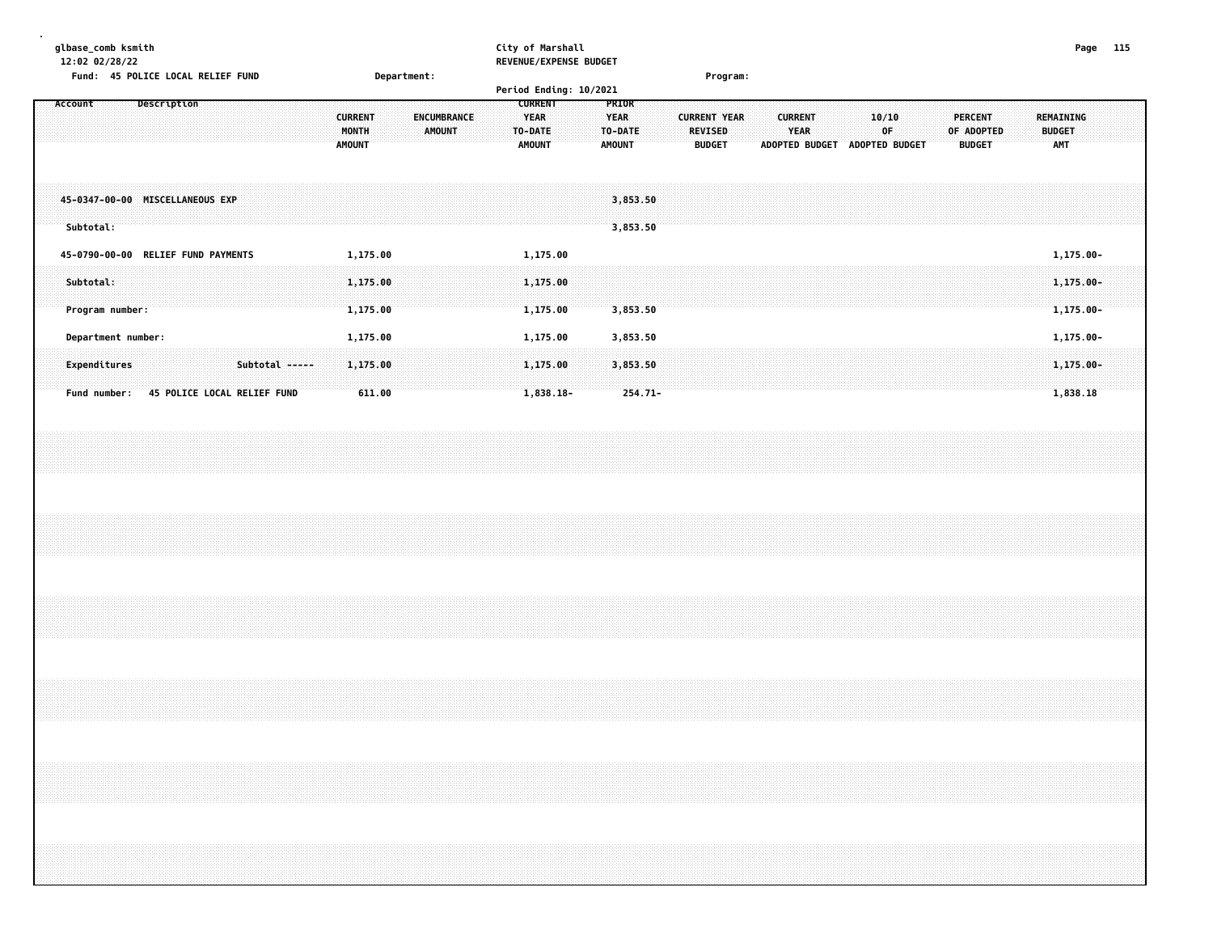| qlbase comb ksmith                |             | City of Marshall              |          | Page | 115 |
|-----------------------------------|-------------|-------------------------------|----------|------|-----|
| 12:02 02/28/22                    |             | <b>REVENUE/EXPENSE BUDGET</b> |          |      |     |
| Fund: 45 POLICE LOCAL RELIEF FUND | Department: |                               | Program: |      |     |
|                                   |             | Period Ending: 10/2021        |          |      |     |

|                                              | Period Ending: 10/2021                                                                                                         |                                                                                                                                                                             |                                                                                                                                   |
|----------------------------------------------|--------------------------------------------------------------------------------------------------------------------------------|-----------------------------------------------------------------------------------------------------------------------------------------------------------------------------|-----------------------------------------------------------------------------------------------------------------------------------|
| <b>Description</b><br>Account                | <b>CURRENT</b><br><b>YEAR</b><br>ENCUMBRANCE<br><b>CURRENT</b><br>MONTH<br>AMOUNT<br>TO-DATE<br><b>AMOUNT</b><br><b>AMOUNT</b> | <b>PRIOR</b><br><b>YEAR</b><br><b>CURRENT YEAR</b><br><b>CURRENT</b><br><b>YEAR</b><br>TO-DATE<br><b>REVISED</b><br><b>ADOPTED BUDGET</b><br><b>AMOUNT</b><br><b>BUDGET</b> | 10/10<br><b>PERCENT</b><br>REMAINING<br>0F<br>OF ADOPTED<br><b>BUDGET</b><br><b>AMT</b><br><b>ADOPTED BUDGET</b><br><b>BUDGET</b> |
| 45-0347-00-00 MISCELLANEOUS EXP<br>Subtotal: |                                                                                                                                | 3,853.50<br>3,853.50                                                                                                                                                        |                                                                                                                                   |
| 45-0790-00-00 RELIEF FUND PAYMENTS           | 1,175.00<br>1,175.00                                                                                                           |                                                                                                                                                                             | 1,175.00-                                                                                                                         |
| Subtotal:<br>Program number:                 | 1,175.00<br>1,175.00<br>1,175.00<br>1,175.00                                                                                   | 3,853.50                                                                                                                                                                    | $1,175.00 -$<br>$1,175.00 -$                                                                                                      |
| Department number:                           | 1,175.00<br>1,175.00                                                                                                           | 3,853.50                                                                                                                                                                    | 1,175.00-                                                                                                                         |
| Subtotal -----<br>Expenditures               | 1,175.00<br>1,175.00                                                                                                           | 3,853.50                                                                                                                                                                    | $1,175.00 -$                                                                                                                      |
| 45 POLICE LOCAL RELIEF FUND<br>Fund number:  | 611.00<br>1,838.18-                                                                                                            | $254.71 -$                                                                                                                                                                  | 1,838.18                                                                                                                          |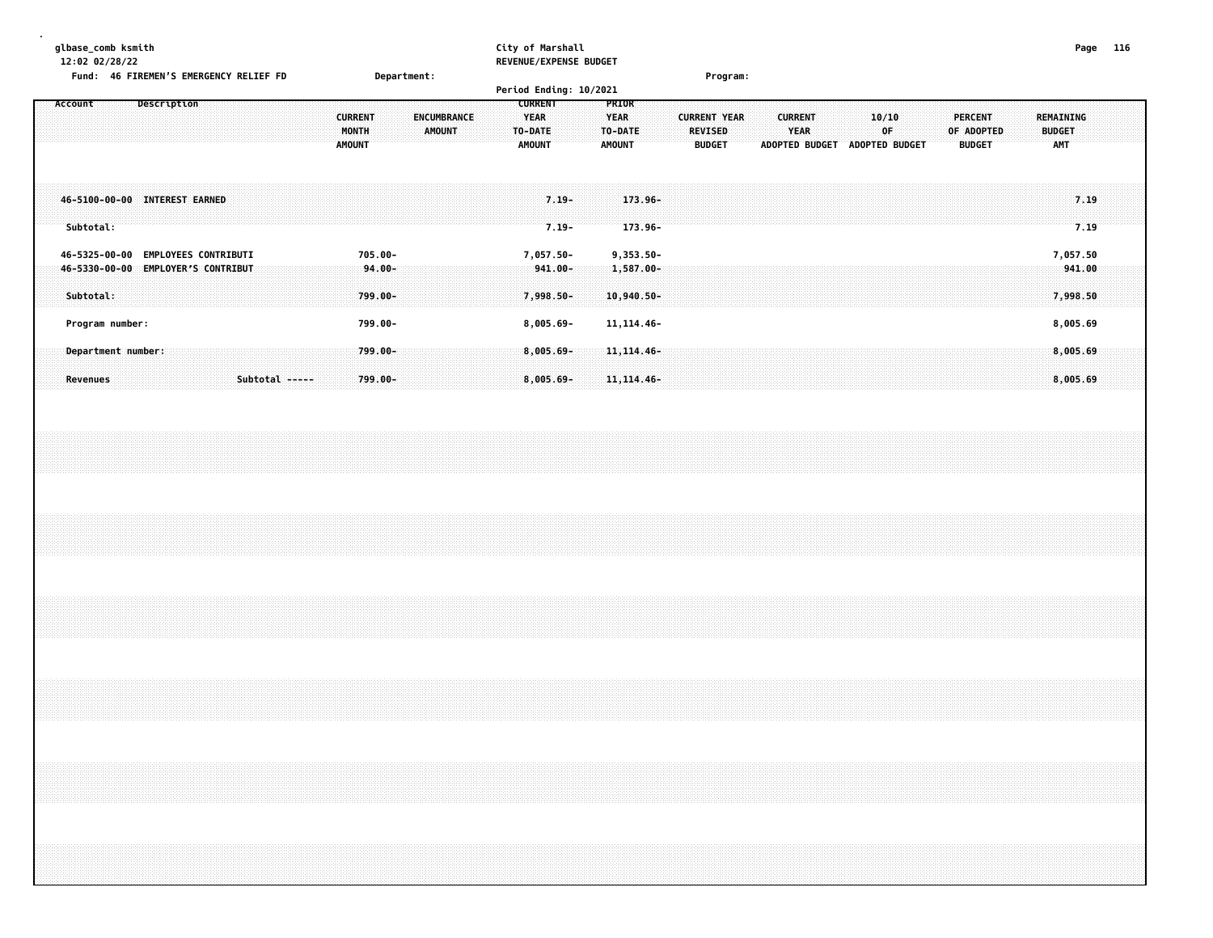| qlbase comb ksmith                            |             | City of Marshall              | Page | 116 |
|-----------------------------------------------|-------------|-------------------------------|------|-----|
| 12:02 02/28/22                                |             | <b>REVENUE/EXPENSE BUDGET</b> |      |     |
| <b>Fund: 46 FIREMEN'S EMERGENCY RELIEF FD</b> | Department: | <b>Program:</b>               |      |     |

|                                                 |                             |                |                                          |                       | Period Ending: 10/2021                                     |                      |                                                  |                                  |                                                        |  |                                                 |                |             |  |                                               |                                          |                      |  |
|-------------------------------------------------|-----------------------------|----------------|------------------------------------------|-----------------------|------------------------------------------------------------|----------------------|--------------------------------------------------|----------------------------------|--------------------------------------------------------|--|-------------------------------------------------|----------------|-------------|--|-----------------------------------------------|------------------------------------------|----------------------|--|
| Account                                         | Description                 |                | <b>CURRENT</b><br>MONTH<br><b>AMOUNT</b> | ENCUMBRANCE<br>AMOUNT | <b>CURRENT</b><br><b>YEAR</b><br>TO-DATE:<br><b>AMOUNT</b> |                      | PRIOR<br><b>YEAR</b><br>TO-DATE<br><b>AMOUNT</b> |                                  | <b>CURRENT YEAR</b><br><b>REVISED</b><br><b>BUDGET</b> |  | <b>CURRENT</b><br><b>YEAR</b><br>ADOPTED BUDGET | ADOPTED BUDGET | 10/10<br>0F |  | <b>PERCENT</b><br>OF ADOPTED<br><b>BUDGET</b> | REMAINING<br><b>BUDGET</b><br><b>AMT</b> |                      |  |
| 46-5100-00-00 INTEREST EARNED<br>Subtotal:      |                             |                |                                          |                       |                                                            | $7.19 -$<br>$7.19 -$ |                                                  | $173.96 -$<br>173.96-            |                                                        |  |                                                 |                |             |  |                                               |                                          | 7.19<br>7.19         |  |
| 46-5325-00-00                                   | <b>EMPLOYEES CONTRIBUTI</b> |                | 705.00-                                  |                       | 7,057.50-                                                  |                      |                                                  | $9,353.50 -$                     |                                                        |  |                                                 |                |             |  |                                               |                                          | 7,057.50             |  |
| 46-5330-00-00 EMPLOYER'S CONTRIBUT<br>Subtotal: |                             |                | $94.00 -$<br>$799.00 -$                  |                       | -941.00-<br>7,998.50-                                      |                      |                                                  | $1,587.00 -$<br>$10,940.50 -$    |                                                        |  |                                                 |                |             |  |                                               |                                          | 941.00<br>7,998.50   |  |
| Program number:                                 |                             |                | 799.00-                                  |                       | $8,005.69 -$                                               |                      |                                                  | 11, 114. 46 -                    |                                                        |  |                                                 |                |             |  |                                               |                                          | 8,005.69             |  |
| Department number:<br>Revenues                  |                             | Subtotal ----- | 799.00-<br>$799.00 -$                    |                       | 8,005.69-<br>$8,005.69 -$                                  |                      |                                                  | $11, 114.46 -$<br>$11, 114.46 -$ |                                                        |  |                                                 |                |             |  |                                               |                                          | 8,005.69<br>8,005.69 |  |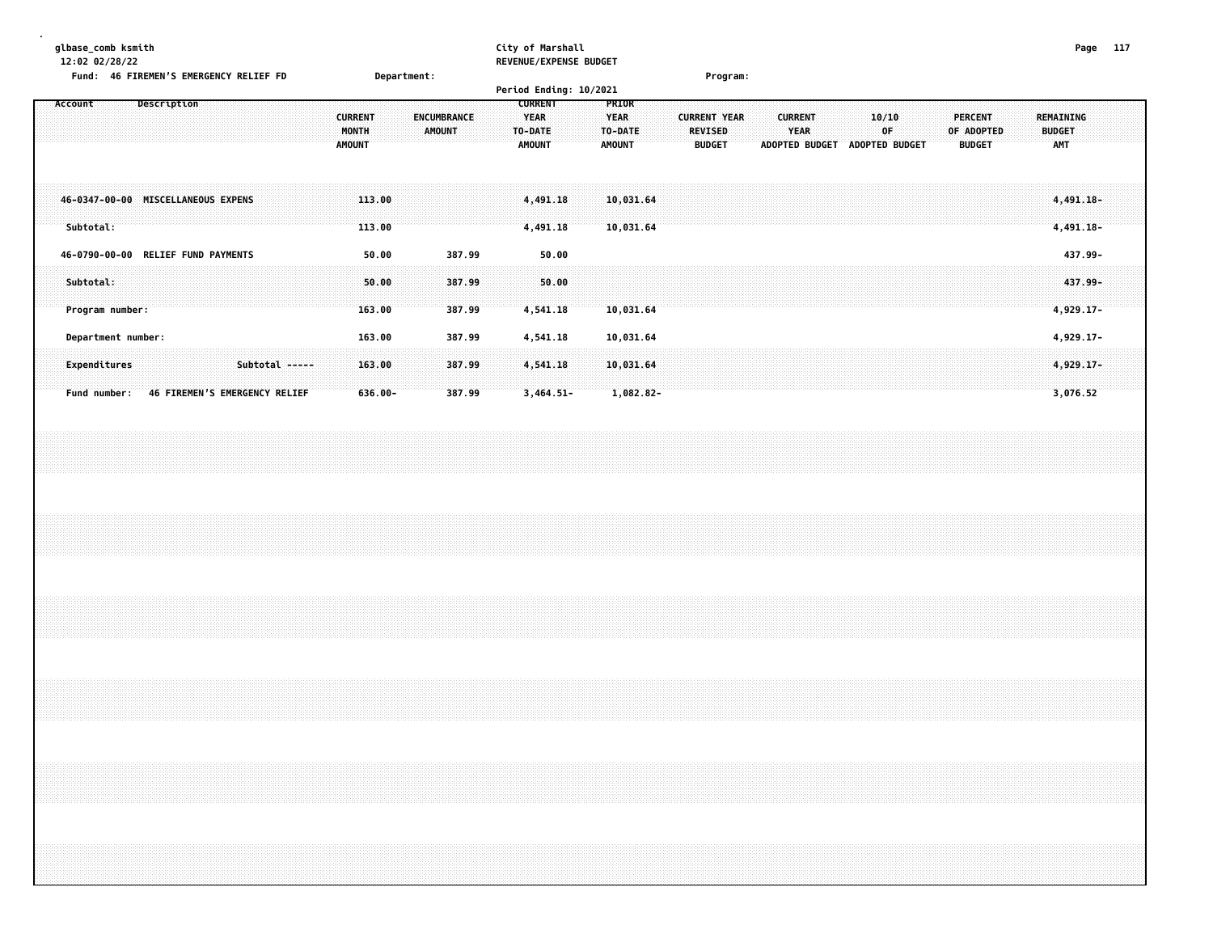**. glbase\_comb ksmith City of Marshall Page 117 12:02 02/28/22 REVENUE/EXPENSE BUDGET Fund: 46 FIREMENS EMERGENCY RELIEF FD Department: Program: Period Ending: 10/2021**

|                                                                    |             |                               |                |                                          |                                |                                     | Period Ending: 10/2021                             |                                                         |                                                        |  |                                                        |  |                               |  |                                        |                                   |                                      |  |
|--------------------------------------------------------------------|-------------|-------------------------------|----------------|------------------------------------------|--------------------------------|-------------------------------------|----------------------------------------------------|---------------------------------------------------------|--------------------------------------------------------|--|--------------------------------------------------------|--|-------------------------------|--|----------------------------------------|-----------------------------------|--------------------------------------|--|
| Account                                                            | Description |                               |                | <b>CURRENT</b><br>MONTH<br><b>AMOUNT</b> |                                | <b>ENCUMBRANCE</b><br><b>AMOUNT</b> | <b>CURRENT</b><br>YEAR<br>TO-DATE<br><b>AMOUNT</b> | <b>PRIOR</b><br><b>YEAR</b><br>TO-DATE<br><b>AMOUNT</b> | <b>CURRENT YEAR</b><br><b>REVISED</b><br><b>BUDGET</b> |  | <b>CURRENT</b><br><b>YEAR</b><br><b>ADOPTED BUDGET</b> |  | 10/10<br>0F<br>ADOPTED BUDGET |  | PERCENT<br>OF ADOPTED<br><b>BUDGET</b> | REMAINING<br><b>BUDGET</b><br>AMT |                                      |  |
| 46-0347-00-00 MISCELLANEOUS EXPENS<br>Subtotal:                    |             |                               |                |                                          | 113.00<br>113.00               |                                     | 4,491.18<br>4,491.18                               | 10,031.64<br>10,031.64                                  |                                                        |  |                                                        |  |                               |  |                                        |                                   | 4,491.18-<br>4,491.18-               |  |
| 46-0790-00-00 RELIEF FUND PAYMENTS<br>Subtotal:<br>Program number: |             |                               |                |                                          | 50.00<br>50.00<br>163.00       | 387.99<br>387.99<br>387.99          | 50.00<br>50.00<br>4,541.18                         | 10,031.64                                               |                                                        |  |                                                        |  |                               |  |                                        |                                   | 437.99-<br>437.99-<br>$4,929.17-$    |  |
| Department number:<br>Expenditures<br>Fund number:                 |             | 46 FIREMEN'S EMERGENCY RELIEF | Subtotal ----- |                                          | 163.00<br>163.00<br>$636.00 -$ | 387.99<br>387.99<br>387.99          | 4,541.18<br>4,541.18<br>$3,464.51-$                | 10,031.64<br>10,031.64<br>$1,082.82-$                   |                                                        |  |                                                        |  |                               |  |                                        |                                   | 4,929.17-<br>$4,929.17-$<br>3,076.52 |  |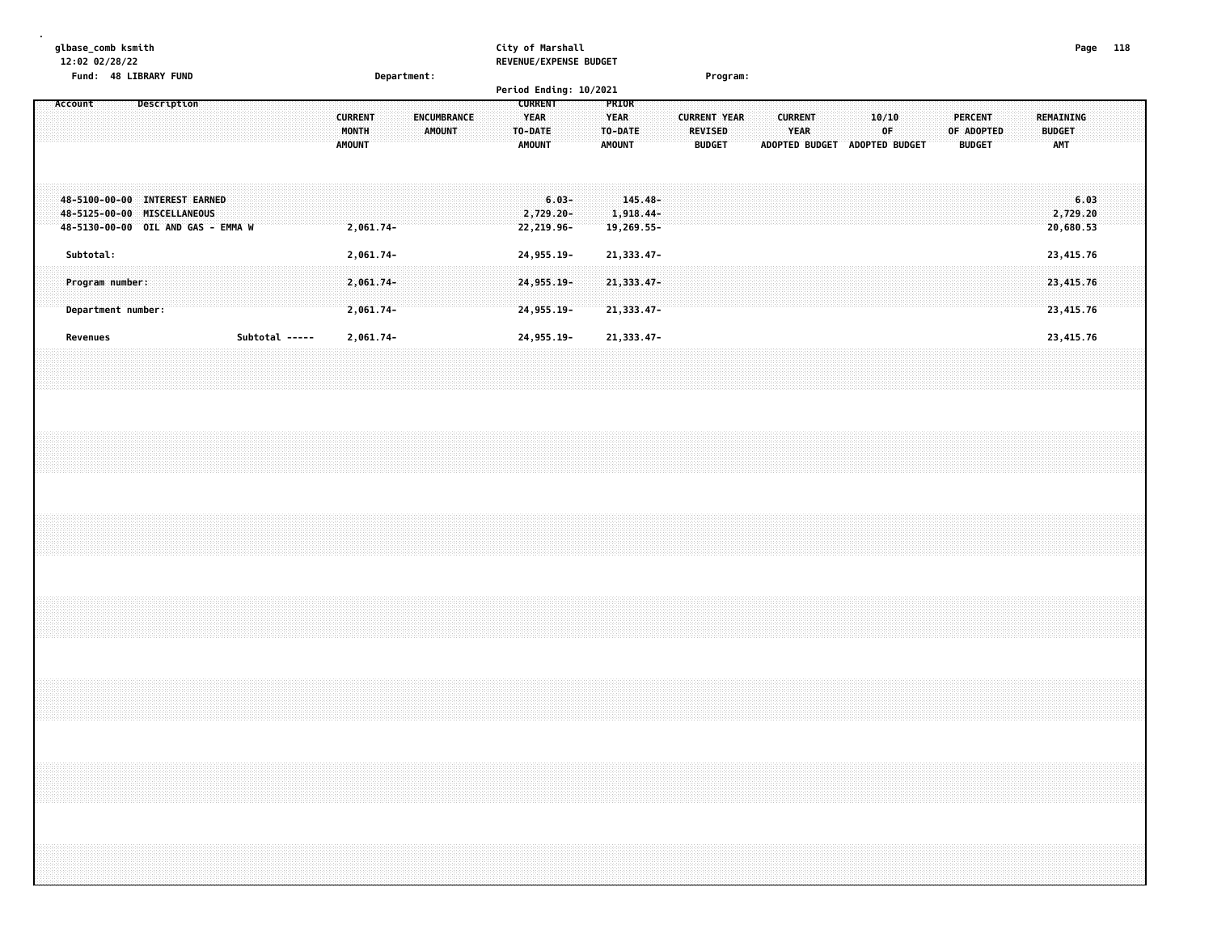| glbase_comb ksmith<br>12:02 02/28/22                                                               |                    |  |  |                |                                          |           |             |                       |  |          | City of Marshall<br>REVENUE/EXPENSE BUDGET |  |                                         |                                    |  |                                                 |  |                        |                               |       |    |  |                                               |  |                                                 | Page 118 |  |
|----------------------------------------------------------------------------------------------------|--------------------|--|--|----------------|------------------------------------------|-----------|-------------|-----------------------|--|----------|--------------------------------------------|--|-----------------------------------------|------------------------------------|--|-------------------------------------------------|--|------------------------|-------------------------------|-------|----|--|-----------------------------------------------|--|-------------------------------------------------|----------|--|
| Fund: 48 LIBRARY FUND<br>Account                                                                   | <b>Description</b> |  |  |                |                                          |           | Department: |                       |  |          | Period Ending: 10/2021<br><b>CURRENT</b>   |  | PRIOR                                   |                                    |  | Program:                                        |  |                        |                               |       |    |  |                                               |  |                                                 |          |  |
|                                                                                                    |                    |  |  |                | <b>CURRENT</b><br>MONTH<br><b>AMOUNT</b> |           |             | ENCUMBRANCE<br>AMOUNT |  | TO-DATE: | <b>YEAR</b><br><b>AMOUNT</b>               |  | <b>YEAR</b><br>TO-DATE<br><b>AMOUNT</b> |                                    |  | <b>CURRENT YEAR</b><br>REVISED<br><b>BUDGET</b> |  | <b>CURRENT</b><br>YEAR | ADOPTED BUDGET ADOPTED BUDGET | 10/10 | 0F |  | <b>PERCENT</b><br>OF ADOPTED<br><b>BUDGET</b> |  | <b>REMAINING</b><br><b>BUDGET</b><br><b>AMT</b> |          |  |
| 48-5100-00-00 INTEREST EARNED<br>48-5125-00-00 MISCELLANEOUS<br>48-5130-00-00 OIL AND GAS - EMMA W |                    |  |  |                | 2,061.74-                                |           |             |                       |  |          | $6.03 -$<br>2,729.20-<br>22,219.96-        |  |                                         | 145.48-<br>1,918.44-<br>19,269.55- |  |                                                 |  |                        |                               |       |    |  |                                               |  | 6.03<br>2,729.20<br>20,680.53                   |          |  |
| Subtotal:                                                                                          |                    |  |  |                | 2,061.74-                                |           |             |                       |  |          | 24,955.19-                                 |  |                                         | 21, 333.47-                        |  |                                                 |  |                        |                               |       |    |  |                                               |  | 23,415.76                                       |          |  |
| Program number:<br>Department number:                                                              |                    |  |  |                | 2,061.74-<br>$2,061.74-$                 |           |             |                       |  |          | 24, 955. 19-<br>24,955.19-                 |  |                                         | 21, 333.47-<br>21,333.47-          |  |                                                 |  |                        |                               |       |    |  |                                               |  | 23,415.76<br>23,415.76                          |          |  |
| Revenues                                                                                           |                    |  |  | Subtotal ----- |                                          | 2,061.74- |             |                       |  |          | 24,955.19-                                 |  |                                         | 21, 333.47-                        |  |                                                 |  |                        |                               |       |    |  |                                               |  | 23,415.76                                       |          |  |
|                                                                                                    |                    |  |  |                |                                          |           |             |                       |  |          |                                            |  |                                         |                                    |  |                                                 |  |                        |                               |       |    |  |                                               |  |                                                 |          |  |
|                                                                                                    |                    |  |  |                |                                          |           |             |                       |  |          |                                            |  |                                         |                                    |  |                                                 |  |                        |                               |       |    |  |                                               |  |                                                 |          |  |
|                                                                                                    |                    |  |  |                |                                          |           |             |                       |  |          |                                            |  |                                         |                                    |  |                                                 |  |                        |                               |       |    |  |                                               |  |                                                 |          |  |
|                                                                                                    |                    |  |  |                |                                          |           |             |                       |  |          |                                            |  |                                         |                                    |  |                                                 |  |                        |                               |       |    |  |                                               |  |                                                 |          |  |
| ,,,,,,,,,,,,,,,,,,,,                                                                               |                    |  |  |                |                                          |           |             |                       |  |          |                                            |  |                                         |                                    |  |                                                 |  |                        |                               |       |    |  |                                               |  |                                                 |          |  |
|                                                                                                    |                    |  |  |                |                                          |           |             |                       |  |          |                                            |  |                                         |                                    |  |                                                 |  |                        |                               |       |    |  |                                               |  |                                                 |          |  |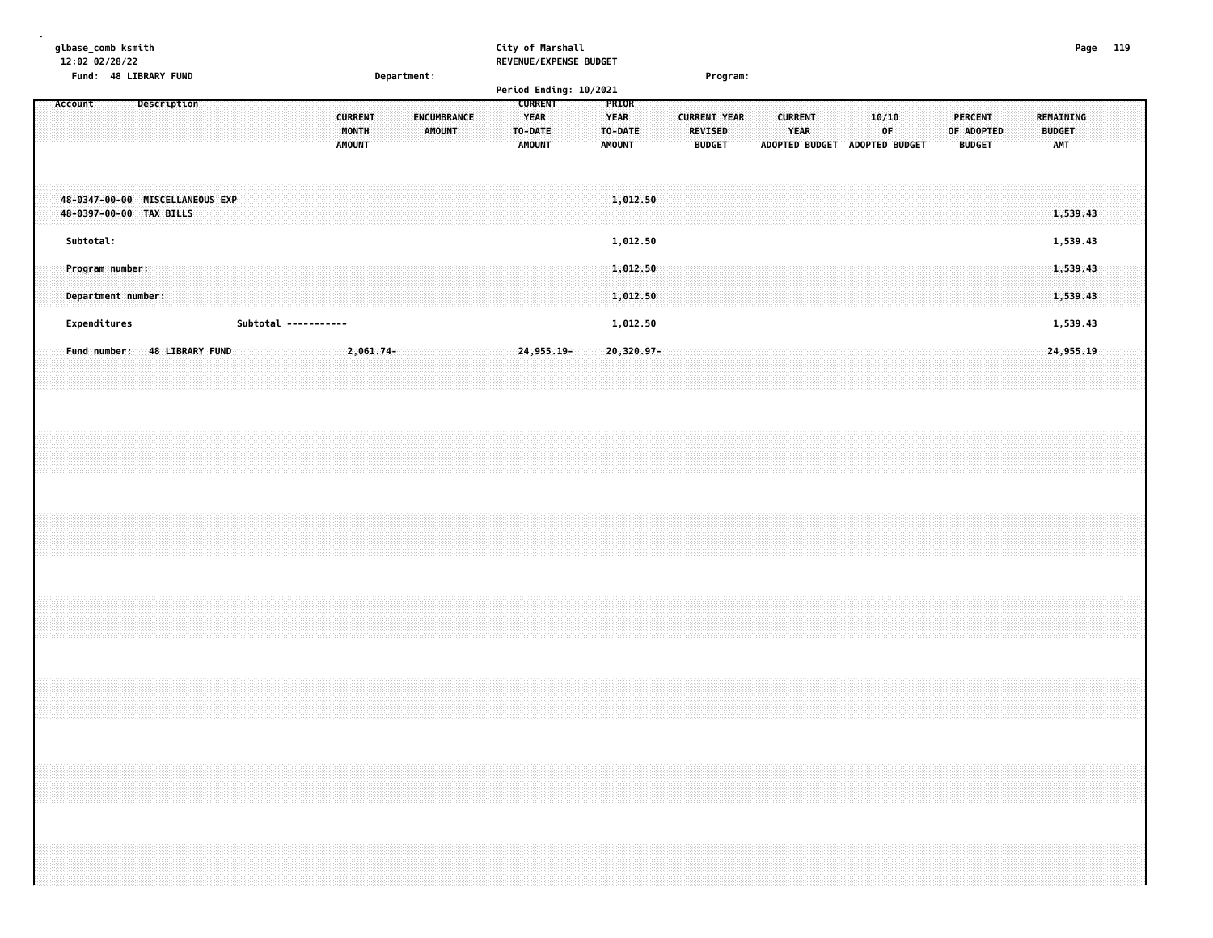| Page 119                                                             |                                                           |                                 |           |                                       |                      |                              |  |  |                                                                                                                                                                      |  |
|----------------------------------------------------------------------|-----------------------------------------------------------|---------------------------------|-----------|---------------------------------------|----------------------|------------------------------|--|--|----------------------------------------------------------------------------------------------------------------------------------------------------------------------|--|
|                                                                      |                                                           |                                 |           |                                       |                      |                              |  |  |                                                                                                                                                                      |  |
|                                                                      | AMT                                                       | 1,539.43                        | 1,539.43  | 1,539.43<br>1,539.43                  | 1,539.43             | 24,955.19                    |  |  |                                                                                                                                                                      |  |
|                                                                      | REMAINING<br><b>BUDGET</b>                                |                                 |           |                                       |                      |                              |  |  | ,我们就会在这里的时候,我们就会在这里的时候,我们就会在这里的时候,我们就会在这里的时候,我们就会在这里的时候,我们就会在这里的时候,我们就会在这里的时候,我们<br>,我们就会在这里的时候,我们就会在这里的时候,我们就会在这里的时候,我们就会在这里的时候,我们就会在这里的时候,我们就会在这里的时候,我们就会在这里的时候,我们 |  |
|                                                                      |                                                           |                                 |           |                                       |                      |                              |  |  |                                                                                                                                                                      |  |
|                                                                      |                                                           |                                 |           |                                       |                      |                              |  |  |                                                                                                                                                                      |  |
|                                                                      | <b>PERCENT</b><br>OF ADOPTED<br><b>BUDGET</b>             |                                 |           |                                       |                      |                              |  |  |                                                                                                                                                                      |  |
|                                                                      |                                                           |                                 |           |                                       |                      |                              |  |  |                                                                                                                                                                      |  |
|                                                                      |                                                           |                                 |           |                                       |                      |                              |  |  |                                                                                                                                                                      |  |
|                                                                      |                                                           |                                 |           |                                       |                      |                              |  |  |                                                                                                                                                                      |  |
|                                                                      | 10/10<br>0F                                               |                                 |           |                                       |                      |                              |  |  |                                                                                                                                                                      |  |
|                                                                      | ADOPTED BUDGET ADOPTED BUDGET                             |                                 |           |                                       |                      |                              |  |  |                                                                                                                                                                      |  |
|                                                                      |                                                           |                                 |           |                                       |                      |                              |  |  |                                                                                                                                                                      |  |
|                                                                      |                                                           |                                 |           |                                       |                      |                              |  |  |                                                                                                                                                                      |  |
|                                                                      | <b>CURRENT</b><br>YEAR                                    |                                 |           |                                       |                      |                              |  |  |                                                                                                                                                                      |  |
|                                                                      |                                                           |                                 |           |                                       |                      |                              |  |  |                                                                                                                                                                      |  |
|                                                                      |                                                           |                                 |           |                                       |                      |                              |  |  |                                                                                                                                                                      |  |
| Program:                                                             |                                                           |                                 |           |                                       |                      |                              |  |  |                                                                                                                                                                      |  |
|                                                                      | <b>CURRENT YEAR</b><br><b>REVISED</b><br><b>BUDGET</b>    |                                 |           |                                       |                      |                              |  |  |                                                                                                                                                                      |  |
|                                                                      |                                                           |                                 |           |                                       |                      |                              |  |  |                                                                                                                                                                      |  |
|                                                                      |                                                           |                                 |           |                                       |                      |                              |  |  |                                                                                                                                                                      |  |
|                                                                      |                                                           |                                 |           |                                       |                      |                              |  |  |                                                                                                                                                                      |  |
|                                                                      | PRIOR<br><b>YEAR</b><br>TO-DATE<br><b>AMOUNT</b>          | 1,012.50                        | 1,012.50  | 1,012,50<br>1,012.50                  | 1,012.50             | 20,320.97-                   |  |  |                                                                                                                                                                      |  |
|                                                                      |                                                           |                                 |           |                                       |                      |                              |  |  |                                                                                                                                                                      |  |
|                                                                      |                                                           |                                 |           |                                       |                      |                              |  |  |                                                                                                                                                                      |  |
|                                                                      |                                                           |                                 |           |                                       |                      |                              |  |  |                                                                                                                                                                      |  |
| City of Marshall<br>REVENUE/EXPENSE BUDGET<br>Period Ending: 10/2021 | <b>CURRENT</b><br><b>YEAR</b><br>TO-DATE<br><b>AMOUNT</b> |                                 |           |                                       |                      | 24,955.19-                   |  |  |                                                                                                                                                                      |  |
|                                                                      |                                                           |                                 |           |                                       |                      |                              |  |  |                                                                                                                                                                      |  |
|                                                                      |                                                           |                                 |           |                                       |                      |                              |  |  |                                                                                                                                                                      |  |
|                                                                      | <b>ENCUMBRANCE</b>                                        |                                 |           |                                       |                      |                              |  |  |                                                                                                                                                                      |  |
|                                                                      | AMOUNT                                                    |                                 |           |                                       |                      |                              |  |  |                                                                                                                                                                      |  |
|                                                                      |                                                           |                                 |           |                                       |                      |                              |  |  |                                                                                                                                                                      |  |
| Department:                                                          |                                                           |                                 |           |                                       |                      |                              |  |  |                                                                                                                                                                      |  |
|                                                                      |                                                           |                                 |           |                                       |                      | 2,061.74-                    |  |  |                                                                                                                                                                      |  |
|                                                                      | <b>CURRENT</b><br>MONTH<br><b>AMOUNT</b>                  |                                 |           |                                       |                      |                              |  |  |                                                                                                                                                                      |  |
|                                                                      |                                                           |                                 |           |                                       |                      |                              |  |  |                                                                                                                                                                      |  |
|                                                                      |                                                           |                                 |           |                                       | Subtotal ----------- |                              |  |  |                                                                                                                                                                      |  |
|                                                                      |                                                           |                                 |           |                                       |                      |                              |  |  |                                                                                                                                                                      |  |
|                                                                      |                                                           |                                 |           |                                       |                      |                              |  |  |                                                                                                                                                                      |  |
|                                                                      |                                                           |                                 |           |                                       |                      |                              |  |  |                                                                                                                                                                      |  |
|                                                                      |                                                           |                                 |           |                                       |                      |                              |  |  |                                                                                                                                                                      |  |
|                                                                      | Description                                               | 48-0347-00-00 MISCELLANEOUS EXP |           |                                       |                      | Fund number: 48 LIBRARY FUND |  |  |                                                                                                                                                                      |  |
|                                                                      |                                                           |                                 |           |                                       |                      |                              |  |  |                                                                                                                                                                      |  |
|                                                                      |                                                           |                                 |           |                                       |                      |                              |  |  |                                                                                                                                                                      |  |
|                                                                      |                                                           |                                 |           |                                       |                      |                              |  |  |                                                                                                                                                                      |  |
| Fund: 48 LIBRARY FUND                                                |                                                           |                                 |           |                                       |                      |                              |  |  |                                                                                                                                                                      |  |
| glbase_comb ksmith<br>12:02 02/28/22                                 | Account                                                   | 48-0397-00-00 TAX BILLS         | Subtotal: | Program number:<br>Department number: | Expenditures         |                              |  |  |                                                                                                                                                                      |  |
|                                                                      |                                                           |                                 |           |                                       |                      |                              |  |  |                                                                                                                                                                      |  |
|                                                                      |                                                           |                                 |           |                                       |                      |                              |  |  |                                                                                                                                                                      |  |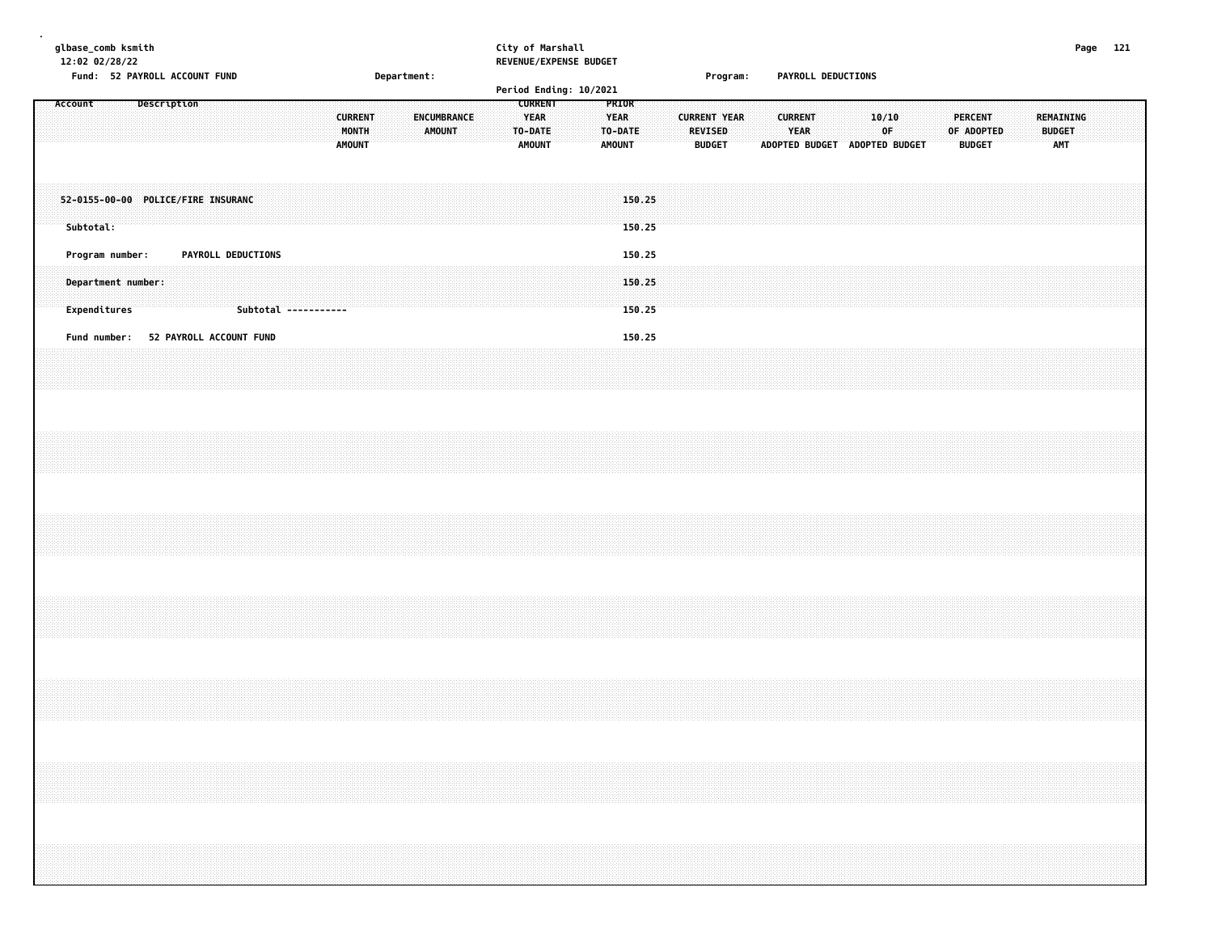| glbase_comb ksmith<br>12:02 02/28/22 | Fund: 52 PAYROLL ACCOUNT FUND        |             |                    |                      |  |               |                         | Department: |               |             |  | City of Marshall                                          | REVENUE/EXPENSE BUDGET<br>Period Ending: 10/2021 |                                                  |  |         | Program:                             |  |                        | PAYROLL DEDUCTIONS |  |                                              |  |                                               |  |                                          | Page 121 |  |
|--------------------------------------|--------------------------------------|-------------|--------------------|----------------------|--|---------------|-------------------------|-------------|---------------|-------------|--|-----------------------------------------------------------|--------------------------------------------------|--------------------------------------------------|--|---------|--------------------------------------|--|------------------------|--------------------|--|----------------------------------------------|--|-----------------------------------------------|--|------------------------------------------|----------|--|
| Account                              |                                      | Description |                    |                      |  | <b>AMOUNT</b> | <b>CURRENT</b><br>MONTH |             | <b>AMOUNT</b> | ENCUMBRANCE |  | <b>CURRENT</b><br><b>YEAR</b><br>TO-DATE<br><b>AMOUNT</b> |                                                  | PRIOR<br><b>YEAR</b><br>TO-DATE<br><b>AMOUNT</b> |  | REVISED | <b>CURRENT YEAR</b><br><b>BUDGET</b> |  | <b>CURRENT</b><br>YEAR |                    |  | 10/10<br>0F<br>ADOPTED BUDGET ADOPTED BUDGET |  | <b>PERCENT</b><br>OF ADOPTED<br><b>BUDGET</b> |  | REMAINING<br><b>BUDGET</b><br><b>AMT</b> |          |  |
| Subtotal:                            | 52-0155-00-00 POLICE/FIRE INSURANC   |             |                    |                      |  |               |                         |             |               |             |  |                                                           |                                                  | 150.25<br>150.25                                 |  |         |                                      |  |                        |                    |  |                                              |  |                                               |  |                                          |          |  |
| Program number:<br>Expenditures      | Department number:                   |             | PAYROLL DEDUCTIONS | Subtotal ----------- |  |               |                         |             |               |             |  |                                                           |                                                  | 150.25<br>150.25<br>150.25                       |  |         |                                      |  |                        |                    |  |                                              |  |                                               |  |                                          |          |  |
|                                      | Fund number: 52 PAYROLL ACCOUNT FUND |             |                    |                      |  |               |                         |             |               |             |  |                                                           |                                                  | 150.25                                           |  |         |                                      |  |                        |                    |  |                                              |  |                                               |  |                                          |          |  |
|                                      |                                      |             |                    |                      |  |               |                         |             |               |             |  |                                                           |                                                  |                                                  |  |         |                                      |  |                        |                    |  |                                              |  |                                               |  |                                          |          |  |
|                                      |                                      |             |                    |                      |  |               |                         |             |               |             |  |                                                           |                                                  |                                                  |  |         |                                      |  |                        |                    |  |                                              |  |                                               |  |                                          |          |  |
|                                      |                                      |             |                    |                      |  |               |                         |             |               |             |  |                                                           |                                                  |                                                  |  |         |                                      |  |                        |                    |  |                                              |  |                                               |  |                                          |          |  |
|                                      |                                      |             |                    |                      |  |               |                         |             |               |             |  |                                                           |                                                  |                                                  |  |         |                                      |  |                        |                    |  |                                              |  |                                               |  |                                          |          |  |
|                                      |                                      |             |                    |                      |  |               |                         |             |               |             |  |                                                           |                                                  |                                                  |  |         |                                      |  |                        |                    |  |                                              |  |                                               |  |                                          |          |  |
|                                      |                                      |             |                    |                      |  |               |                         |             |               |             |  |                                                           |                                                  |                                                  |  |         |                                      |  |                        |                    |  |                                              |  |                                               |  |                                          |          |  |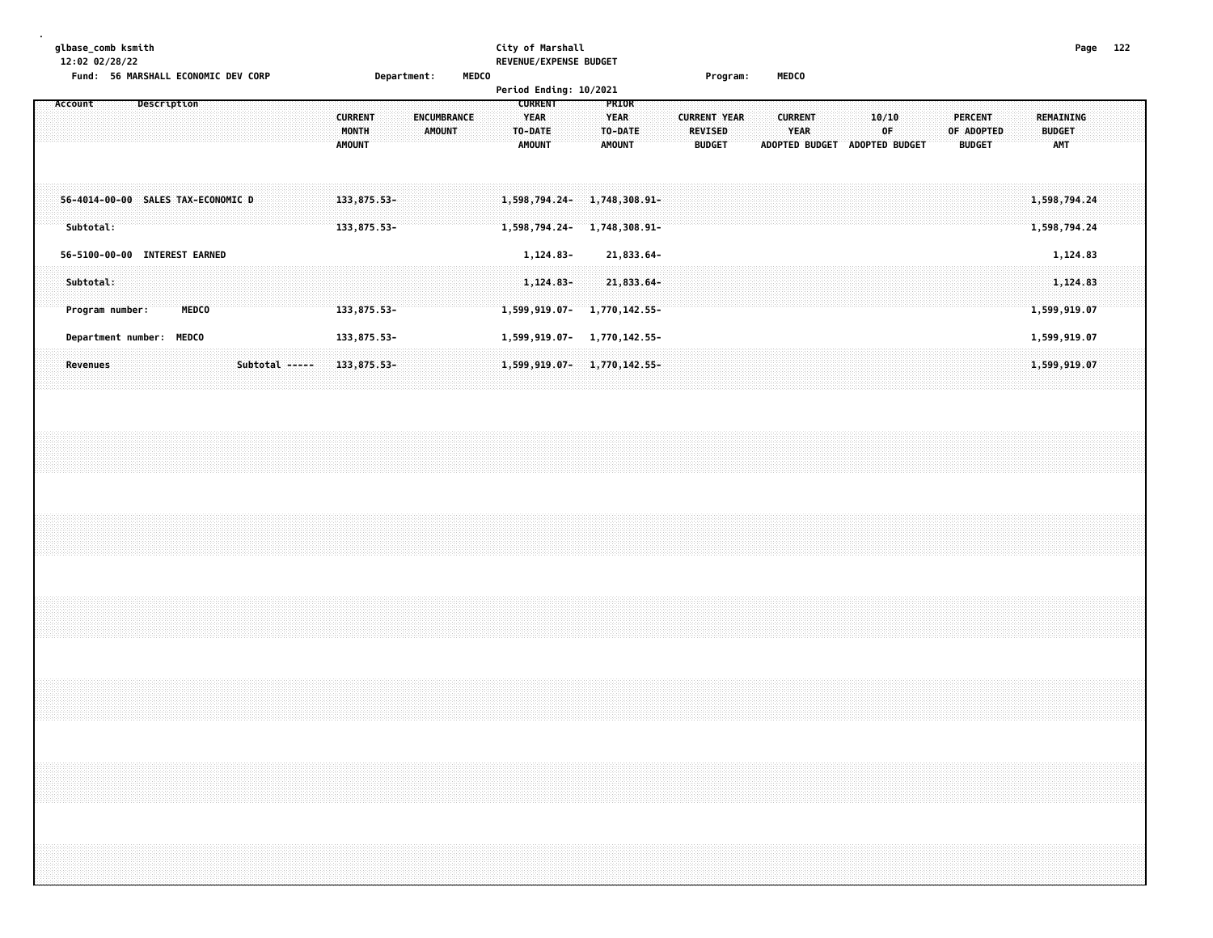## **glbase\_comb ksmith City of Marshall Page 122 12:02 02/28/22 REVENUE/EXPENSE BUDGET**

| Page |  |
|------|--|
|      |  |

**Fund: 56 MARSHALL ECONOMIC DEV CORP Department: MEDCO Program: MEDCO**

|         |  |             |  |  |  |  |                |  |  |   |                            |  | <b>Period Ending: 10/2021</b> |  |  |              |  |                          |  |  |  |  |  |  |               |                |  |                                                 |  |
|---------|--|-------------|--|--|--|--|----------------|--|--|---|----------------------------|--|-------------------------------|--|--|--------------|--|--------------------------|--|--|--|--|--|--|---------------|----------------|--|-------------------------------------------------|--|
| Account |  | Description |  |  |  |  |                |  |  |   |                            |  | <b>CURRENT</b>                |  |  | <b>PRIOR</b> |  |                          |  |  |  |  |  |  |               |                |  |                                                 |  |
|         |  |             |  |  |  |  |                |  |  |   |                            |  |                               |  |  |              |  |                          |  |  |  |  |  |  |               |                |  |                                                 |  |
|         |  |             |  |  |  |  | <b>CURRENT</b> |  |  |   | <b>ENCUMBRANCE EXAMPLE</b> |  | <b>YEAR Example 2009</b>      |  |  |              |  | <b>YEAR CURRENT YEAR</b> |  |  |  |  |  |  | CURRENT 10/10 | <b>PERCENT</b> |  | REMAINING                                       |  |
|         |  |             |  |  |  |  |                |  |  | . |                            |  |                               |  |  |              |  | _____________            |  |  |  |  |  |  |               |                |  | a series of the series of the components of the |  |

|               |                          |                                    |                | MONTH                      | AMOUNT | TO-DATE                      | TO-DATE                                       | <b>REVISED</b> | <b>YEAR</b>           | 0F                    | OF ADOPTED    | <b>BUDGET</b>                |  |
|---------------|--------------------------|------------------------------------|----------------|----------------------------|--------|------------------------------|-----------------------------------------------|----------------|-----------------------|-----------------------|---------------|------------------------------|--|
|               |                          |                                    |                | AMOUNT                     |        | <b>AMOUNT</b>                | AMOUNT                                        | <b>BUDGET</b>  | <b>ADOPTED BUDGET</b> | <b>ADOPTED BUDGET</b> | <b>BUDGET</b> | <b>AMT</b>                   |  |
| Subtotal:     |                          | 56-4014-00-00 SALES TAX-ECONOMIC D |                | 133,875.53-<br>133,875.53- |        | 1,598,794.24-                | $1,598,794,24-1,748,308.91-$<br>1,748,308.91- |                |                       |                       |               | 1,598,794.24<br>1,598,794.24 |  |
| 56-5100-00-00 |                          | <b>INTEREST EARNED</b>             |                |                            |        | 1,124.83-                    | 21,833.64-                                    |                |                       |                       |               | 1,124.83                     |  |
| Subtotal:     | Program number:          | <b>MEDCO</b>                       |                | 133,875.53-                |        | $1,124.83-$<br>1,599,919.07- | $21,833.64-$<br>1,770,142.55-                 |                |                       |                       |               | 1,124.83<br>1,599,919.07     |  |
|               | Department number: MEDCO |                                    |                | 133,875.53-                |        |                              | 1,599,919.07- 1,770,142.55-                   |                |                       |                       |               | 1,599,919.07                 |  |
| Revenues      |                          |                                    | Subtotal ----- | 133,875.53-                |        |                              | $1,599,919.07 - 1,770,142.55 -$               |                |                       |                       |               | 1,599,919.07                 |  |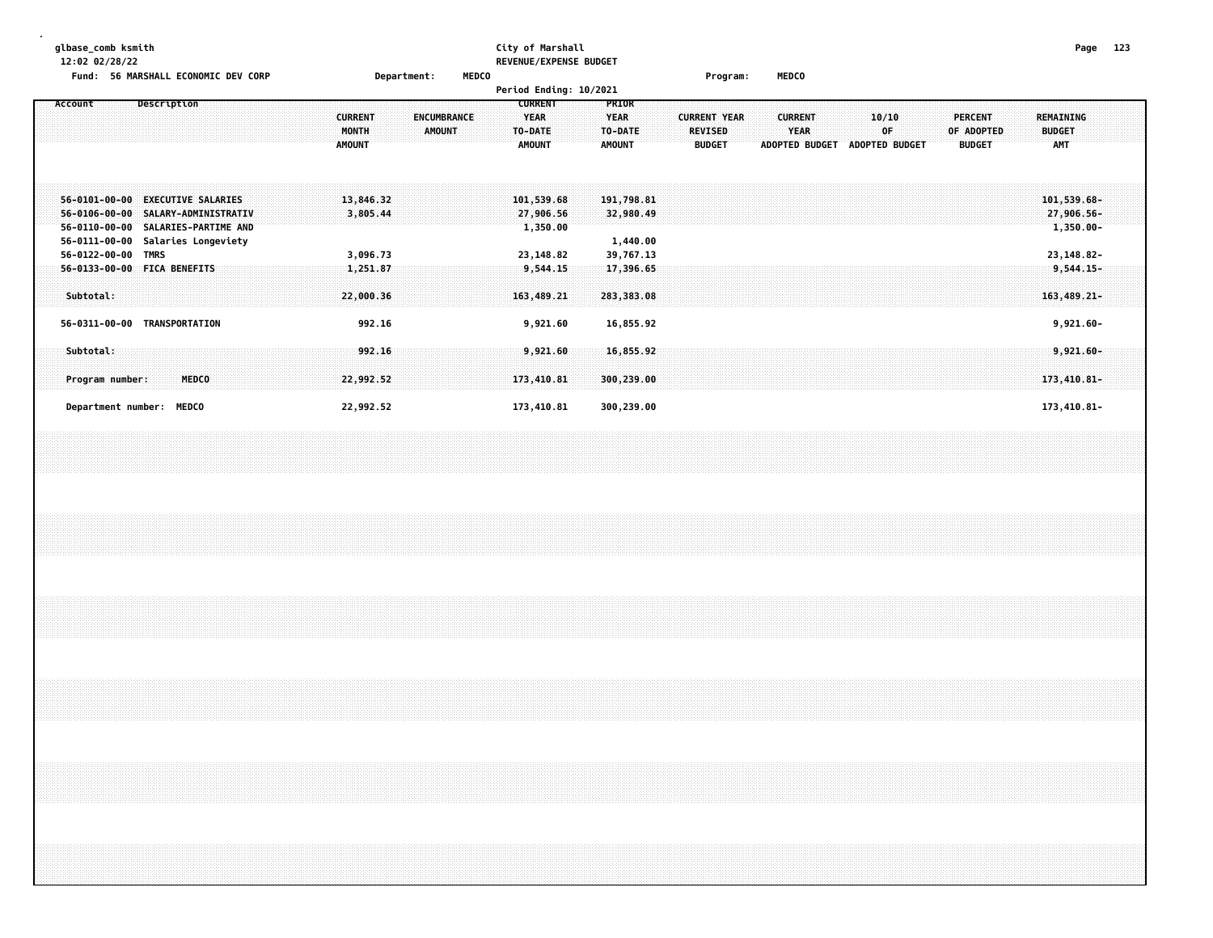| qlbase comb ksmith                           |                    | City of Marshall              |                 |              | Page | 123 |
|----------------------------------------------|--------------------|-------------------------------|-----------------|--------------|------|-----|
| 12:02 02/28/22                               |                    | <b>REVENUE/EXPENSE BUDGET</b> |                 |              |      |     |
| Fund<br><b>56 MARSHALL ECONOMIC DEV CORP</b> | <b>Department:</b> | <b>MEDCO</b>                  | <b>Program:</b> | <b>MEDCO</b> |      |     |

|                                                                                          |                                                                                                  |  |                                          |                                     | Period Ending: 10/2021                                    |                                                         |                                     |                                                        |                       |                               |  |                                      |  |                                        |  |                                             |  |
|------------------------------------------------------------------------------------------|--------------------------------------------------------------------------------------------------|--|------------------------------------------|-------------------------------------|-----------------------------------------------------------|---------------------------------------------------------|-------------------------------------|--------------------------------------------------------|-----------------------|-------------------------------|--|--------------------------------------|--|----------------------------------------|--|---------------------------------------------|--|
| Account                                                                                  | Description                                                                                      |  | <b>CURRENT</b><br>MONTH<br><b>AMOUNT</b> | <b>ENCUMBRANCE</b><br><b>AMOUNT</b> | <b>CURRENT</b><br><b>YEAR</b><br>TO-DATE<br><b>AMOUNT</b> | <b>PRIOR</b><br><b>YEAR</b><br>TO-DATE<br><b>AMOUNT</b> |                                     | <b>CURRENT YEAR</b><br><b>REVISED</b><br><b>BUDGET</b> | <b>ADOPTED BUDGET</b> | <b>CURRENT</b><br><b>YEAR</b> |  | 10/10<br>0F<br><b>ADOPTED BUDGET</b> |  | PERCENT<br>OF ADOPTED<br><b>BUDGET</b> |  | REMAINING<br><b>BUDGET</b><br><b>AMT</b>    |  |
| $56 - 0101 - 00 - 00$<br>$56 - 0106 - 00 - 00$<br>$56 - 0110 - 00 - 00$<br>56-0111-00-00 | <b>EXECUTIVE SALARIES</b><br>SALARY-ADMINISTRATIV<br>SALARIES-PARTIME AND<br>Salaries Longeviety |  | 13,846.32<br>3,805.44                    |                                     | 101,539.68<br>27,906.56<br>1,350.00                       |                                                         | 191,798.81<br>32,980.49<br>1,440.00 |                                                        |                       |                               |  |                                      |  |                                        |  | $101,539.68-$<br>27,906.56-<br>$1,350.00 -$ |  |
| 56-0122-00-00                                                                            | TMRS                                                                                             |  | 3,096.73                                 |                                     | 23,148.82                                                 |                                                         | 39,767.13                           |                                                        |                       |                               |  |                                      |  |                                        |  | 23, 148.82-                                 |  |
| Subtotal:                                                                                | 56-0133-00-00 FICA BENEFITS                                                                      |  | 1,251.87<br>22,000.36                    |                                     | 9,544.15<br>163,489.21                                    |                                                         | 17,396.65<br>283,383.08             |                                                        |                       |                               |  |                                      |  |                                        |  | $9,544.15-$<br>$163,489.21-$                |  |
|                                                                                          | 56-0311-00-00 TRANSPORTATION                                                                     |  | 992.16                                   |                                     | 9,921.60                                                  |                                                         | 16,855.92                           |                                                        |                       |                               |  |                                      |  |                                        |  | $9,921.60 -$                                |  |
| Subtotal:<br>Program number:                                                             | MEDCO                                                                                            |  | 992.16<br>22,992.52                      |                                     | 9,921.60<br>173,410.81                                    |                                                         | 16,855.92<br>300,239.00             |                                                        |                       |                               |  |                                      |  |                                        |  | 9,921.60-<br>173,410.81-                    |  |
|                                                                                          | Department number: MEDCO                                                                         |  | 22,992.52                                |                                     | 173,410.81                                                |                                                         | 300,239.00                          |                                                        |                       |                               |  |                                      |  |                                        |  | 173,410.81-                                 |  |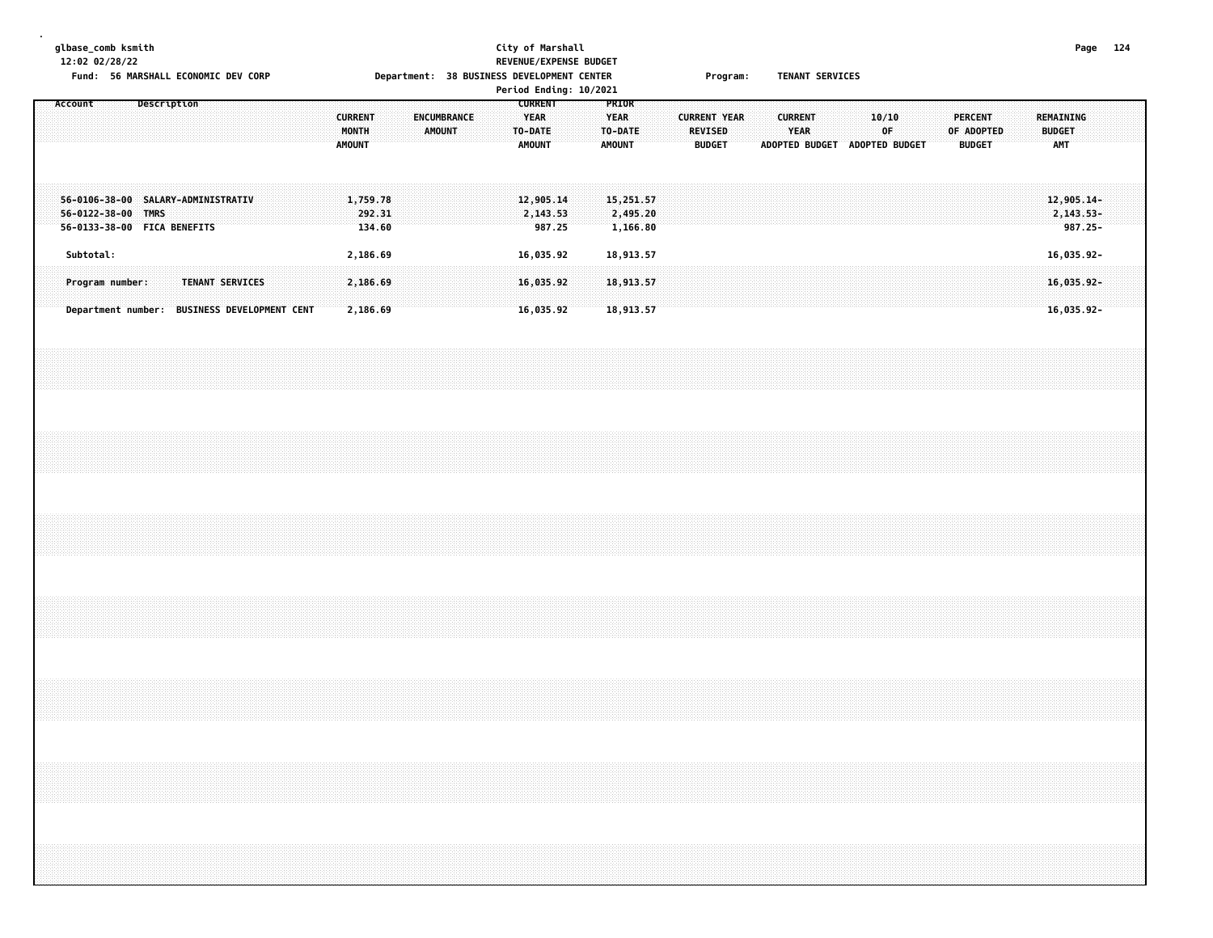|  |         | 12:02 02/28/22 | glbase_comb ksmith |             | Fund: 56 MARSHALL ECONOMIC DEV CORP                               |  |                                              |  |                                          |                              |  |               |                    |  | City of Marshall<br>REVENUE/EXPENSE BUDGET<br>Department: 38 BUSINESS DEVELOPMENT CENTER<br>Period Ending: 10/2021 |                                                |  |                                                  |  |                                                 | Program: |  |                        | TENANT SERVICES |                               |             |  |                                               |  |                                                                                  |            | Page 124 |  |
|--|---------|----------------|--------------------|-------------|-------------------------------------------------------------------|--|----------------------------------------------|--|------------------------------------------|------------------------------|--|---------------|--------------------|--|--------------------------------------------------------------------------------------------------------------------|------------------------------------------------|--|--------------------------------------------------|--|-------------------------------------------------|----------|--|------------------------|-----------------|-------------------------------|-------------|--|-----------------------------------------------|--|----------------------------------------------------------------------------------|------------|----------|--|
|  | Account |                |                    | Description |                                                                   |  |                                              |  | <b>CURRENT</b><br>MONTH<br><b>AMOUNT</b> |                              |  | <b>AMOUNT</b> | <b>ENCUMBRANCE</b> |  | TO-DATE                                                                                                            | <b>CURRENT</b><br><b>YEAR</b><br><b>AMOUNT</b> |  | PRIOR<br><b>YEAR</b><br>TO-DATE<br><b>AMOUNT</b> |  | <b>CURRENT YEAR</b><br>REVISED<br><b>BUDGET</b> |          |  | <b>CURRENT</b><br>YEAR |                 | ADOPTED BUDGET ADOPTED BUDGET | 10/10<br>0F |  | <b>PERCENT</b><br>OF ADOPTED<br><b>BUDGET</b> |  | <b>REMAINING</b><br><b>BUDGET</b><br>AMT                                         |            |          |  |
|  |         |                | 56-0122-38-00 TMRS |             | 56-0106-38-00 SALARY-ADMINISTRATIV<br>56-0133-38-00 FICA BENEFITS |  |                                              |  |                                          | 1,759.78<br>292.31<br>134.60 |  |               |                    |  |                                                                                                                    | 12,905.14<br>2,143.53<br>987.25                |  | 15,251.57<br>2,495.20<br>1,166.80                |  |                                                 |          |  |                        |                 |                               |             |  |                                               |  | $12,905.14-$<br>2,143.53-                                                        | $987.25 -$ |          |  |
|  |         | Subtotal:      |                    |             |                                                                   |  |                                              |  |                                          | 2,186.69                     |  |               |                    |  |                                                                                                                    | 16,035.92                                      |  | 18,913.57                                        |  |                                                 |          |  |                        |                 |                               |             |  |                                               |  | 16,035.92-                                                                       |            |          |  |
|  |         |                | Program number:    |             | TENANT SERVICES                                                   |  | Department number: BUSINESS DEVELOPMENT CENT |  |                                          | 2,186.69<br>2,186.69         |  |               |                    |  |                                                                                                                    | 16,035.92<br>16,035.92                         |  | 18,913.57<br>18,913.57                           |  |                                                 |          |  |                        |                 |                               |             |  |                                               |  | 16,035.92-<br>$16,035.92-$                                                       |            |          |  |
|  |         |                |                    |             |                                                                   |  |                                              |  |                                          |                              |  |               |                    |  |                                                                                                                    |                                                |  |                                                  |  |                                                 |          |  |                        |                 |                               |             |  |                                               |  |                                                                                  |            |          |  |
|  |         |                |                    |             |                                                                   |  |                                              |  |                                          |                              |  |               |                    |  |                                                                                                                    |                                                |  |                                                  |  |                                                 |          |  |                        |                 |                               |             |  |                                               |  |                                                                                  |            |          |  |
|  |         |                |                    |             |                                                                   |  |                                              |  |                                          |                              |  |               |                    |  |                                                                                                                    |                                                |  |                                                  |  |                                                 |          |  |                        |                 |                               |             |  |                                               |  |                                                                                  |            |          |  |
|  |         |                |                    |             |                                                                   |  |                                              |  |                                          |                              |  |               |                    |  |                                                                                                                    |                                                |  |                                                  |  |                                                 |          |  |                        |                 |                               |             |  |                                               |  |                                                                                  |            |          |  |
|  |         |                |                    |             |                                                                   |  |                                              |  |                                          |                              |  |               |                    |  |                                                                                                                    |                                                |  |                                                  |  |                                                 |          |  |                        |                 |                               |             |  |                                               |  |                                                                                  |            |          |  |
|  |         |                |                    |             |                                                                   |  |                                              |  |                                          |                              |  |               |                    |  |                                                                                                                    |                                                |  |                                                  |  |                                                 |          |  |                        |                 |                               |             |  |                                               |  | ,我们就会在这里,我们就会在这里的时候,我们就会在这里,我们就会在这里,我们就会在这里,我们就会在这里,我们就会在这里,我们就会在这里,我们就会在这里,我们就会 |            |          |  |
|  |         |                |                    |             |                                                                   |  |                                              |  |                                          |                              |  |               |                    |  |                                                                                                                    |                                                |  |                                                  |  |                                                 |          |  |                        |                 |                               |             |  |                                               |  |                                                                                  |            |          |  |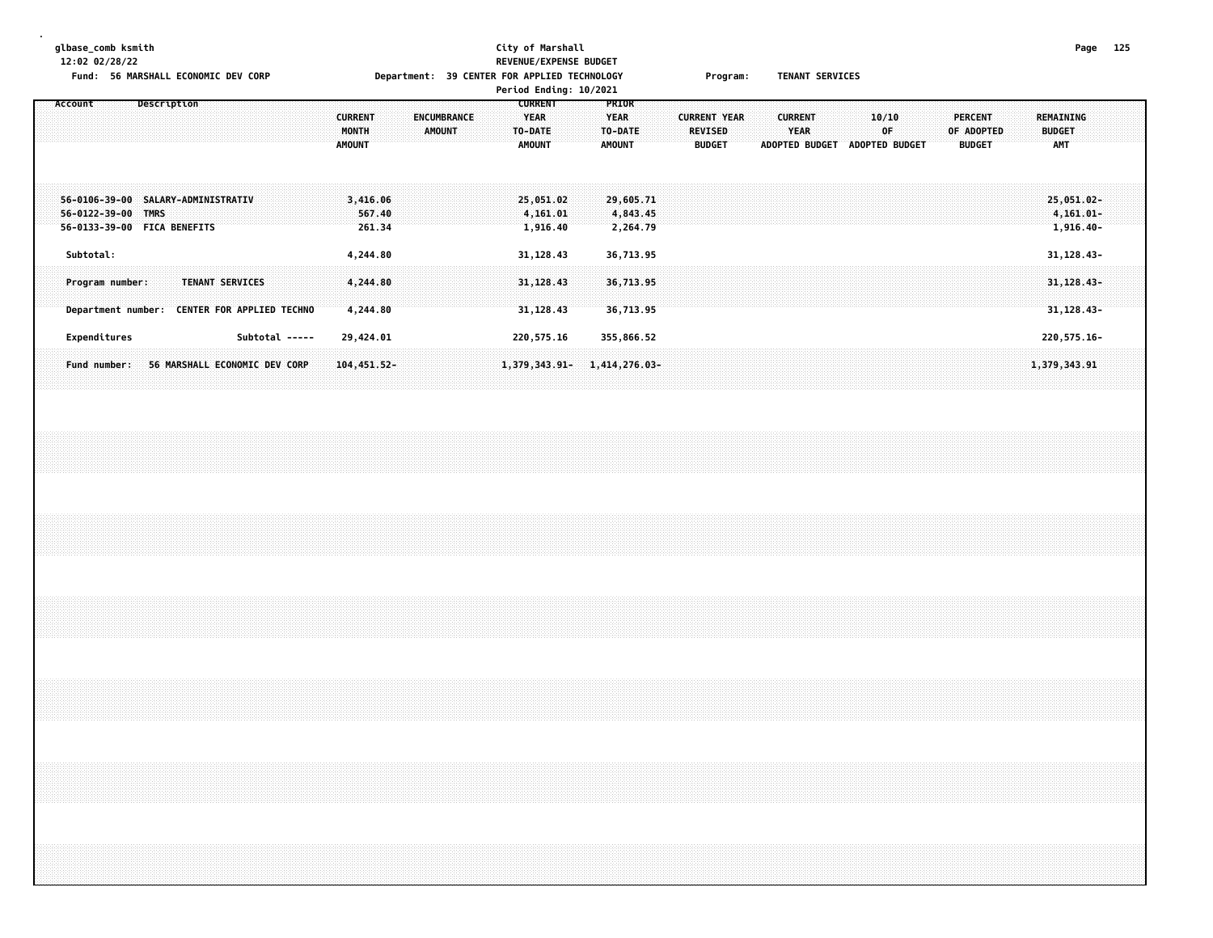**glbase\_comb ksmith City of Marshall Page 125 12:02 02/28/22 REVENUE/EXPENSE BUDGET** Fund: 56 MARSHALL ECONOMIC DEV CORP **Example 20 Department: 39 CENTER FOR APPLIED TECHNOLOGY** Program: TENANT SERVICES **Period Ending: 10/2021 Account Description CURRENT PRIOR CURRENT ENCUMBRANCE YEAR YEAR CURRENT YEAR CURRENT 10/10 PERCENT REMAINING MONTH AMOUNT TO-DATE TO-DATE REVISED YEAR OF OF ADOPTED BUDGET AMOUNT AMOUNT AMOUNT BUDGET ADOPTED BUDGET ADOPTED BUDGET BUDGET AMT 56-0106-39-00 SALARY-ADMINISTRATIV 3,416.06 25,051.02 29,605.71 25,051.02- 56-0122-39-00 TMRS 567.40 4,161.01 4,843.45 4,161.01- 56-0133-39-00 FICA BENEFITS 261.34 1,916.40 2,264.79 1,916.40- Subtotal: 4,244.80 31,128.43 36,713.95 31,128.43- Program number: TENANT SERVICES 4,244.80 31,128.43 36,713.95 31,128.43-** Department number: CENTER FOR APPLIED TECHNO 4,244.80 31,128.43 36,713.95 31,128.43 36,739 31,128.43

 **Expenditures Subtotal ----- 29,424.01 220,575.16 355,866.52 220,575.16-** Fund number: 56 MARSHALL ECONOMIC DEV CORP 104,451.52- 1,379,343.91- 1,414,276.03- 1,420.03- 1,379,343.91 1,379,343.91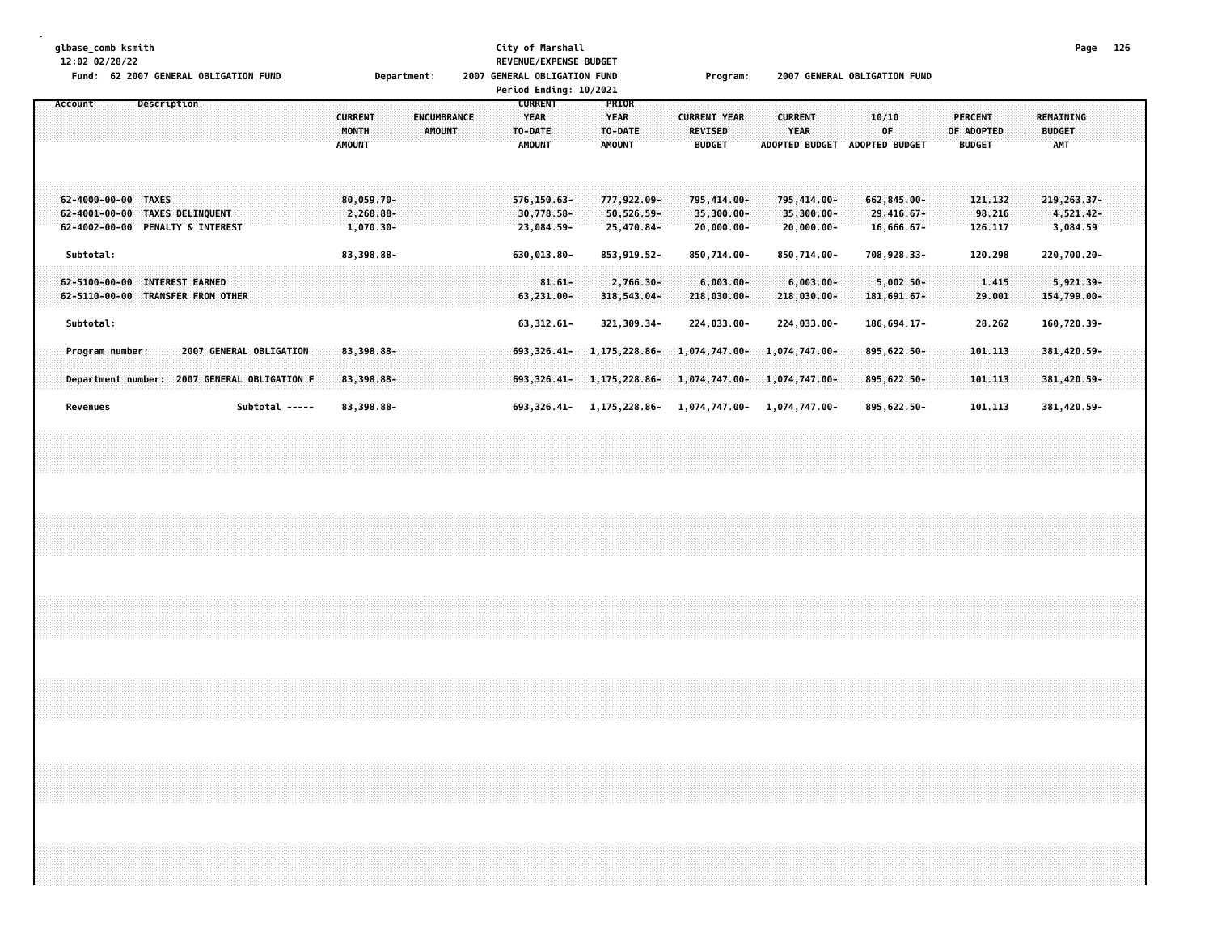| glbase_comb ksmith<br>12:02 02/28/22<br>Fund: 62 2007 GENERAL OBLIGATION FUND             |             |                         |                |  |                                          | Department: |               |                    |  |                                                           | City of Marshall<br>REVENUE/EXPENSE BUDGET<br>2007 GENERAL OBLIGATION FUND<br>Period Ending: 10/2021 |  |                                                  |                                          |  | Program:                                               |                                            |                               |                                            | 2007 GENERAL OBLIGATION FUND  |                                             |  |                |                              |  |                                                 | Page 126                                |  |
|-------------------------------------------------------------------------------------------|-------------|-------------------------|----------------|--|------------------------------------------|-------------|---------------|--------------------|--|-----------------------------------------------------------|------------------------------------------------------------------------------------------------------|--|--------------------------------------------------|------------------------------------------|--|--------------------------------------------------------|--------------------------------------------|-------------------------------|--------------------------------------------|-------------------------------|---------------------------------------------|--|----------------|------------------------------|--|-------------------------------------------------|-----------------------------------------|--|
| Account                                                                                   | Description |                         |                |  | <b>CURRENT</b><br>MONTH<br><b>AMOUNT</b> |             | <b>AMOUNT</b> | <b>ENCUMBRANCE</b> |  | <b>CURRENT</b><br><b>YEAR</b><br>TO-DATE<br><b>AMOUNT</b> |                                                                                                      |  | PRIOR<br><b>YEAR</b><br>TO-DATE<br><b>AMOUNT</b> |                                          |  | <b>CURRENT YEAR</b><br><b>REVISED</b><br><b>BUDGET</b> |                                            | <b>CURRENT</b><br><b>YEAR</b> |                                            | ADOPTED BUDGET ADOPTED BUDGET | 10/10<br>0F                                 |  | <b>PERCENT</b> | OF ADOPTED<br><b>BUDGET</b>  |  | <b>REMAINING</b><br><b>BUDGET</b><br><b>AMT</b> |                                         |  |
| 62-4000-00-00 TAXES<br>62-4001-00-00 TAXES DELINQUENT<br>62-4002-00-00 PENALTY & INTEREST |             |                         |                |  | 80,059.70-<br>2,268.88-<br>$1,070.30 -$  |             |               |                    |  |                                                           | 576,150.63-<br>30,778.58-<br>23,084.59-                                                              |  |                                                  | 777,922.09-<br>50,526.59-<br>25,470.84-  |  | 795,414.00-<br>35,300.00-                              | $20,000.00 -$                              |                               | 795,414.00-<br>35,300.00-<br>$20,000.00 -$ |                               | 662,845.00-<br>29,416.67-<br>16,666.67-     |  |                | 121.132<br>98.216<br>126.117 |  |                                                 | 219, 263.37-<br>4,521.42-<br>3,084.59   |  |
| Subtotal:<br>62-5100-00-00 INTEREST EARNED<br>62-5110-00-00 TRANSFER FROM OTHER           |             |                         |                |  | 83,398.88-                               |             |               |                    |  |                                                           | 630,013.80-<br>$81.61 -$<br>63,231.00-                                                               |  |                                                  | 853, 919.52-<br>2,766.30-<br>318,543.04- |  |                                                        | 850,714.00-<br>$6,003.00 -$<br>218,030.00- |                               | 850,714.00-<br>$6,003.00 -$<br>218,030.00- |                               | 708,928.33-<br>$5,002.50 -$<br>181, 691.67- |  |                | 120.298<br>1.415<br>29.001   |  |                                                 | 220,700.20-<br>5,921.39-<br>154,799.00- |  |
| Subtotal:                                                                                 |             |                         |                |  |                                          |             |               |                    |  |                                                           | 63, 312.61-                                                                                          |  |                                                  | 321, 309.34-                             |  |                                                        | 224,033.00-                                |                               | 224,033.00-                                |                               | 186,694.17-                                 |  |                | 28.262                       |  |                                                 | 160,720.39-                             |  |
| Program number:<br>Department number: 2007 GENERAL OBLIGATION F                           |             | 2007 GENERAL OBLIGATION |                |  | 83,398.88-<br>83,398.88-                 |             |               |                    |  |                                                           | 693,326.41-<br>$693,326.41-$                                                                         |  |                                                  | 1,175,228.86-<br>1,175,228.86-           |  |                                                        | 1,074,747.00-<br>1,074,747.00-             |                               | $1,074,747.00 -$<br>1,074,747.00-          |                               | 895,622.50-<br>895,622.50-                  |  |                | 101.113<br>101.113           |  |                                                 | 381,420.59-<br>381, 420.59-             |  |
| Revenues                                                                                  |             |                         | Subtotal ----- |  | 83,398.88-                               |             |               |                    |  |                                                           |                                                                                                      |  |                                                  | 693, 326.41- 1, 175, 228.86-             |  |                                                        | 1,074,747.00-                              |                               | 1,074,747.00-                              |                               | 895,622.50-                                 |  |                | 101.113                      |  |                                                 | 381,420.59-                             |  |
|                                                                                           |             |                         |                |  |                                          |             |               |                    |  |                                                           |                                                                                                      |  |                                                  |                                          |  |                                                        |                                            |                               |                                            |                               |                                             |  |                |                              |  |                                                 |                                         |  |
|                                                                                           |             |                         |                |  |                                          |             |               |                    |  |                                                           |                                                                                                      |  |                                                  |                                          |  |                                                        |                                            |                               |                                            |                               |                                             |  |                |                              |  |                                                 |                                         |  |
|                                                                                           |             |                         |                |  |                                          |             |               |                    |  |                                                           |                                                                                                      |  |                                                  |                                          |  |                                                        |                                            |                               |                                            |                               |                                             |  |                |                              |  |                                                 |                                         |  |
|                                                                                           |             |                         |                |  |                                          |             |               |                    |  |                                                           |                                                                                                      |  |                                                  |                                          |  |                                                        |                                            |                               |                                            |                               |                                             |  |                |                              |  |                                                 |                                         |  |
|                                                                                           |             |                         |                |  |                                          |             |               |                    |  |                                                           |                                                                                                      |  |                                                  |                                          |  |                                                        |                                            |                               |                                            |                               |                                             |  |                |                              |  |                                                 |                                         |  |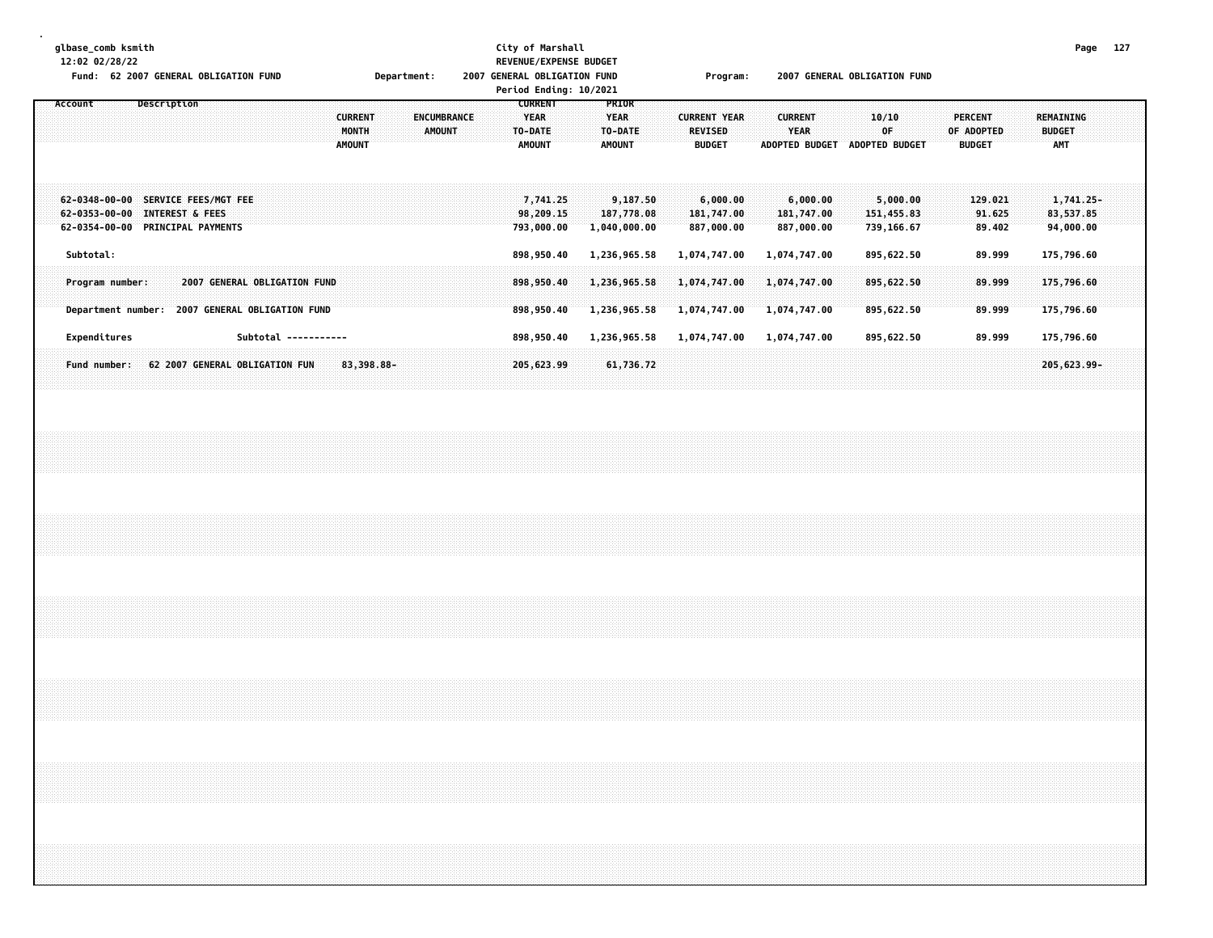| glbase_comb ksmith<br>12:02 02/28/22<br>Fund: 62 2007 GENERAL OBLIGATION FUND                                                                             |                                                                     | Department:<br>2007                 | City of Marshall<br><b>REVENUE/EXPENSE BUDGET</b><br><b>GENERAL OBLIGATION FUND</b><br>Period Ending: 10/2021 | Program:                                               | 2007 GENERAL OBLIGATION FUND                                                                   | 127<br>Page                                                                        |
|-----------------------------------------------------------------------------------------------------------------------------------------------------------|---------------------------------------------------------------------|-------------------------------------|---------------------------------------------------------------------------------------------------------------|--------------------------------------------------------|------------------------------------------------------------------------------------------------|------------------------------------------------------------------------------------|
| Description<br>Account                                                                                                                                    | <b>CURRENT</b><br>MONTH<br><b>AMOUNT</b>                            | <b>ENCUMBRANCE</b><br><b>AMOUNT</b> | <b>CURRENT</b><br>PRIOR<br><b>YEAR</b><br><b>YEAR</b><br>TO-DATE<br>TO-DATE<br><b>AMOUNT</b><br><b>AMOUNT</b> | <b>CURRENT YEAR</b><br><b>REVISED</b><br><b>BUDGET</b> | <b>CURRENT</b><br>10/10<br><b>YEAR</b><br>0F<br><b>ADOPTED BUDGET</b><br><b>ADOPTED BUDGET</b> | <b>PERCENT</b><br>REMAINING<br>OF ADOPTED<br><b>BUDGET</b><br>AMT<br><b>BUDGET</b> |
| $62 - 0348 - 00 - 00$<br><b>SERVICE FEES/MGT FEE</b><br>$62 - 0353 - 00 - 00$<br><b>INTEREST &amp; FEES</b><br><b>PRINCIPAL PAYMENTS</b><br>62-0354-00-00 |                                                                     |                                     | 7,741,25<br>9,187.50<br>98,209.15<br>187,778.08<br>793,000.00<br>1,040,000.00                                 | 6,000.00<br>181,747.00<br>887,000.00                   | 6,000.00<br>5,000.00<br>181,747.00<br>151,455.83<br>887,000.00<br>739,166.67                   | 129.021<br>1,741.25-<br>91.625<br>83,537.85<br>94,000.00<br>89.402                 |
| Subtotal:                                                                                                                                                 |                                                                     |                                     | 898,950.40<br>1,236,965.58                                                                                    | 1,074,747.00                                           | 895,622.50<br>1,074,747.00                                                                     | 175,796.60<br>89.999                                                               |
| Program number:                                                                                                                                           | 2007 GENERAL OBLIGATION FUND<br><b>2007 GENERAL OBLIGATION FUND</b> |                                     | 898,950.40<br>1,236,965.58                                                                                    | 1,074,747.00                                           | 895,622.50<br>1,074,747.00<br>895,622.50                                                       | 175,796.60<br>89.999<br>175,796.60<br>89.999                                       |
| Department number:                                                                                                                                        |                                                                     |                                     | 1,236,965.58<br>898,950.40                                                                                    | 1,074,747.00                                           | 1,074,747.00                                                                                   |                                                                                    |
| Expenditures                                                                                                                                              | Subtotal -----------                                                |                                     | 898,950.40<br>1,236,965.58                                                                                    | 1,074,747.00                                           | 895,622.50<br>1,074,747.00                                                                     | 175,796.60<br>89.999                                                               |
| Fund number:                                                                                                                                              | 62 2007 GENERAL OBLIGATION FUN                                      | 83,398.88-                          | 205.623.99<br>61,736.72                                                                                       |                                                        |                                                                                                | 205,623.99-                                                                        |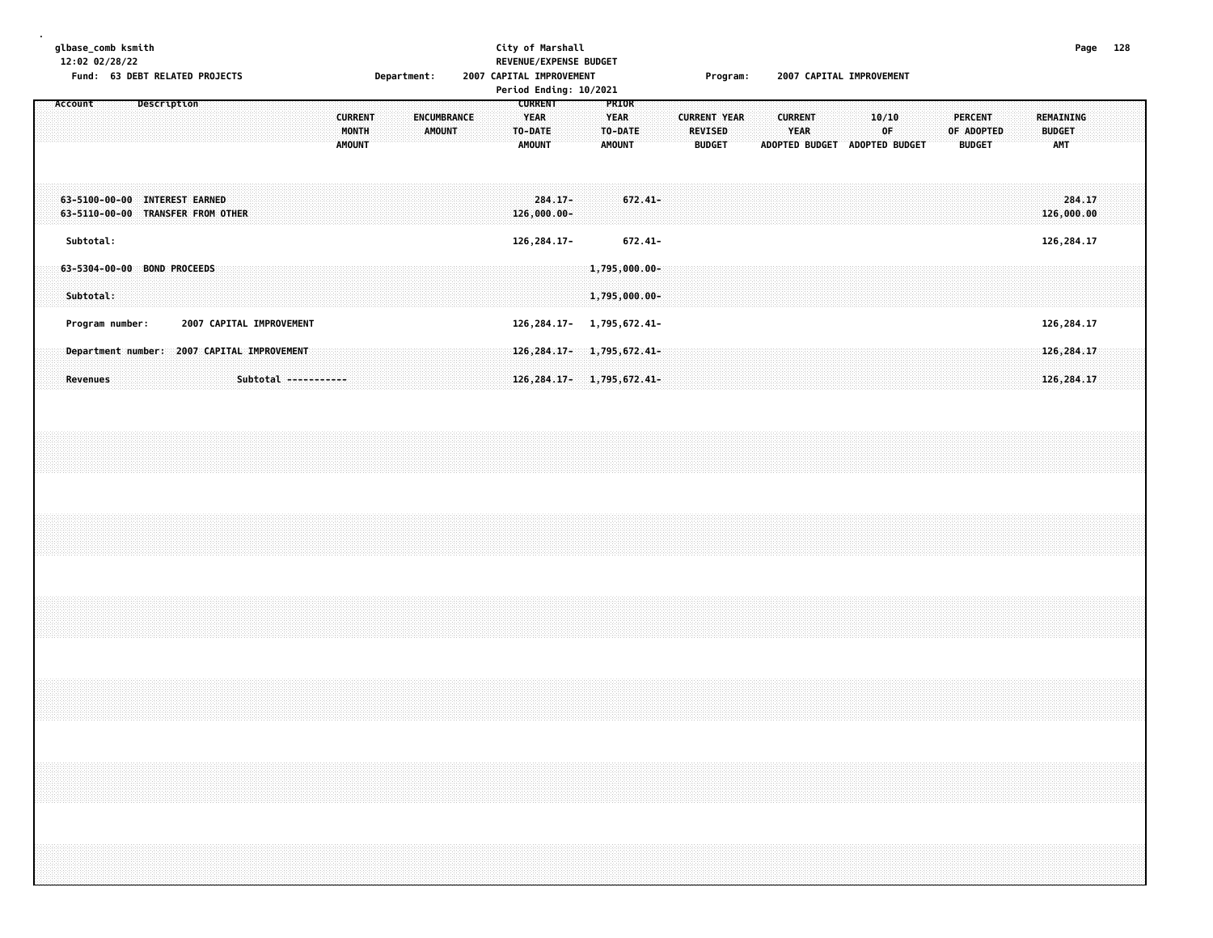|  |         | 12:02 02/28/22 | glbase_comb ksmith<br>Fund: 63 DEBT RELATED PROJECTS               |             |  |  |                                                                     |  |  |                                          | Department: |               |             |  | City of Marshall<br>REVENUE/EXPENSE BUDGET<br>2007 CAPITAL IMPROVEMENT<br>Period Ending: 10/2021 |                                                           |                           |  |                                                                    |            |  |         |               | Program:            |  |                               | 2007 CAPITAL IMPROVEMENT      |  |             |  |            |                                 |  |                                                                                  | Page 128                   |  |  |
|--|---------|----------------|--------------------------------------------------------------------|-------------|--|--|---------------------------------------------------------------------|--|--|------------------------------------------|-------------|---------------|-------------|--|--------------------------------------------------------------------------------------------------|-----------------------------------------------------------|---------------------------|--|--------------------------------------------------------------------|------------|--|---------|---------------|---------------------|--|-------------------------------|-------------------------------|--|-------------|--|------------|---------------------------------|--|----------------------------------------------------------------------------------|----------------------------|--|--|
|  | Account |                |                                                                    | Description |  |  |                                                                     |  |  | <b>CURRENT</b><br>MONTH<br><b>AMOUNT</b> |             | <b>AMOUNT</b> | ENCUMBRANCE |  |                                                                                                  | <b>CURRENT</b><br><b>YEAR</b><br>TO-DATE<br><b>AMOUNT</b> |                           |  | PRIOR<br><b>YEAR</b><br>TO-DATE<br><b>AMOUNT</b>                   |            |  | REVISED | <b>BUDGET</b> | <b>CURRENT YEAR</b> |  | <b>CURRENT</b><br><b>YEAR</b> | ADOPTED BUDGET ADOPTED BUDGET |  | 10/10<br>0F |  | OF ADOPTED | <b>PERCENT</b><br><b>BUDGET</b> |  | REMAINING<br><b>BUDGET</b><br><b>AMT</b>                                         |                            |  |  |
|  |         |                | 63-5100-00-00 INTEREST EARNED<br>63-5110-00-00 TRANSFER FROM OTHER |             |  |  |                                                                     |  |  |                                          |             |               |             |  |                                                                                                  |                                                           | $284.17 -$<br>126,000.00- |  |                                                                    | $672.41 -$ |  |         |               |                     |  |                               |                               |  |             |  |            |                                 |  |                                                                                  | 284.17<br>126,000.00       |  |  |
|  |         | Subtotal:      |                                                                    |             |  |  |                                                                     |  |  |                                          |             |               |             |  |                                                                                                  |                                                           | 126, 284. 17-             |  |                                                                    | 672.41-    |  |         |               |                     |  |                               |                               |  |             |  |            |                                 |  |                                                                                  | 126, 284.17                |  |  |
|  |         | Subtotal:      | 63-5304-00-00 BOND PROCEEDS                                        |             |  |  |                                                                     |  |  |                                          |             |               |             |  |                                                                                                  |                                                           |                           |  | $1,795,000.00 -$<br>1,795,000.00-                                  |            |  |         |               |                     |  |                               |                               |  |             |  |            |                                 |  |                                                                                  |                            |  |  |
|  |         |                | Program number:                                                    |             |  |  | 2007 CAPITAL IMPROVEMENT                                            |  |  |                                          |             |               |             |  |                                                                                                  |                                                           |                           |  | 126, 284. 17- 1, 795, 672. 41-                                     |            |  |         |               |                     |  |                               |                               |  |             |  |            |                                 |  |                                                                                  | 126, 284.17                |  |  |
|  |         | Revenues       |                                                                    |             |  |  | Department number: 2007 CAPITAL IMPROVEMENT<br>Subtotal ----------- |  |  |                                          |             |               |             |  |                                                                                                  |                                                           |                           |  | 126, 284. 17 - 1, 795, 672. 41-<br>126, 284. 17 - 1, 795, 672. 41- |            |  |         |               |                     |  |                               |                               |  |             |  |            |                                 |  |                                                                                  | 126, 284.17<br>126, 284.17 |  |  |
|  |         |                |                                                                    |             |  |  |                                                                     |  |  |                                          |             |               |             |  |                                                                                                  |                                                           |                           |  |                                                                    |            |  |         |               |                     |  |                               |                               |  |             |  |            |                                 |  |                                                                                  |                            |  |  |
|  |         |                |                                                                    |             |  |  |                                                                     |  |  |                                          |             |               |             |  |                                                                                                  |                                                           |                           |  |                                                                    |            |  |         |               |                     |  |                               |                               |  |             |  |            |                                 |  |                                                                                  |                            |  |  |
|  |         |                |                                                                    |             |  |  |                                                                     |  |  |                                          |             |               |             |  |                                                                                                  |                                                           |                           |  |                                                                    |            |  |         |               |                     |  |                               |                               |  |             |  |            |                                 |  |                                                                                  |                            |  |  |
|  |         |                |                                                                    |             |  |  |                                                                     |  |  |                                          |             |               |             |  |                                                                                                  |                                                           |                           |  |                                                                    |            |  |         |               |                     |  |                               |                               |  |             |  |            |                                 |  |                                                                                  |                            |  |  |
|  |         |                |                                                                    |             |  |  |                                                                     |  |  |                                          |             |               |             |  |                                                                                                  |                                                           |                           |  |                                                                    |            |  |         |               |                     |  |                               |                               |  |             |  |            |                                 |  | ,我们就会在这里的时候,我们就会在这里的时候,我们就会在这里的时候,我们就会在这里的时候,我们就会在这里的时候,我们就会在这里的时候,我们就会在这里的时候,我们 |                            |  |  |
|  |         |                |                                                                    |             |  |  |                                                                     |  |  |                                          |             |               |             |  |                                                                                                  |                                                           |                           |  |                                                                    |            |  |         |               |                     |  |                               |                               |  |             |  |            |                                 |  |                                                                                  |                            |  |  |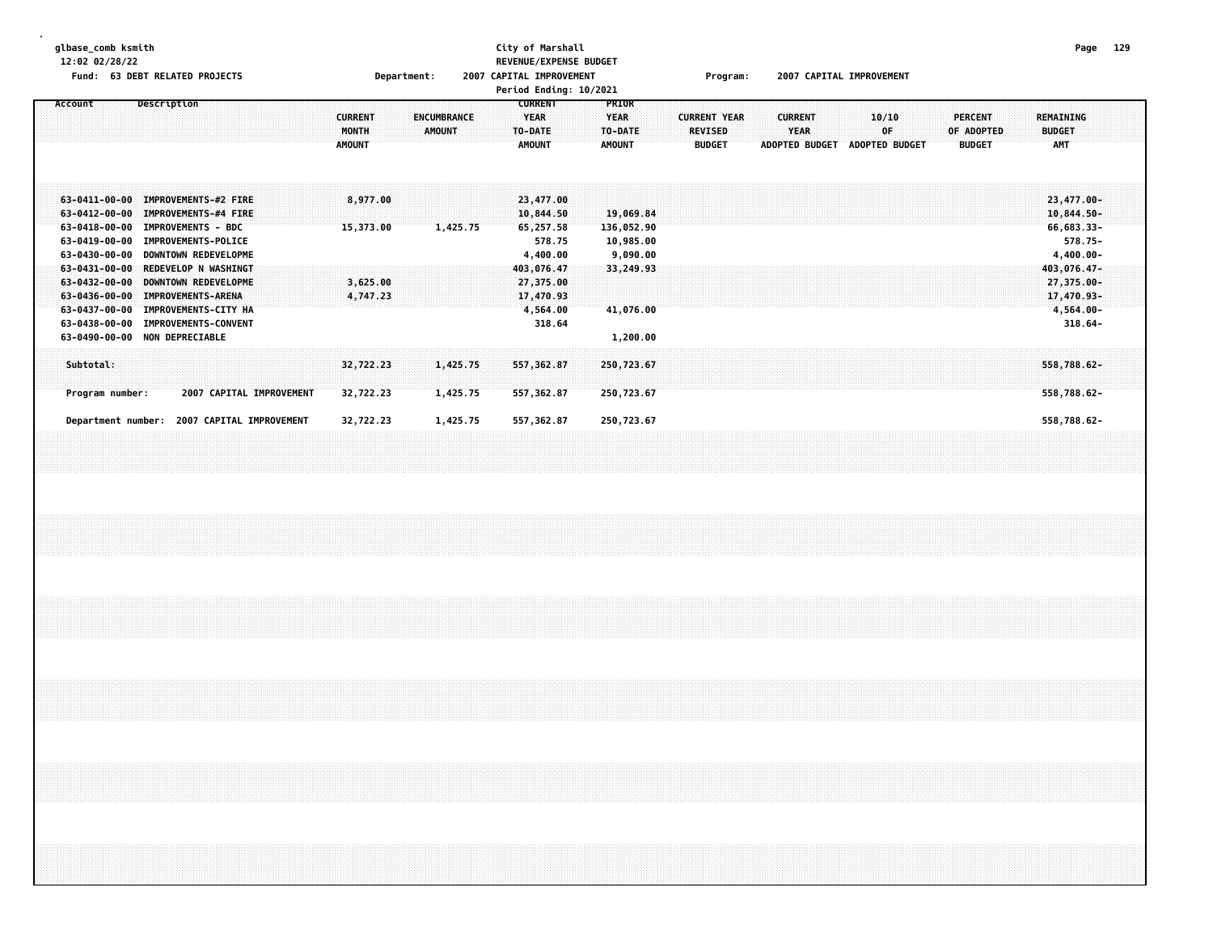| glbase_comb ksmith<br>12:02 02/28/22<br>Fund: 63 DEBT RELATED PROJECTS                                                                                                                                                                                                                                                                                                                                               | Department:                                                                     | City of Marshall<br>REVENUE/EXPENSE BUDGET<br>2007 CAPITAL IMPROVEMENT<br>Period Ending: 10/2021                                                                                                      | Program:                                               | 2007 CAPITAL IMPROVEMENT                                                      | Page 129                                                                                                                                |  |
|----------------------------------------------------------------------------------------------------------------------------------------------------------------------------------------------------------------------------------------------------------------------------------------------------------------------------------------------------------------------------------------------------------------------|---------------------------------------------------------------------------------|-------------------------------------------------------------------------------------------------------------------------------------------------------------------------------------------------------|--------------------------------------------------------|-------------------------------------------------------------------------------|-----------------------------------------------------------------------------------------------------------------------------------------|--|
| Account<br>Description                                                                                                                                                                                                                                                                                                                                                                                               | <b>CURRENT</b><br><b>ENCUMBRANCE</b><br>MONTH<br><b>AMOUNT</b><br><b>AMOUNT</b> | <b>CURRENT</b><br><b>PRIOR</b><br><b>YEAR</b><br><b>YEAR</b><br>TO-DATE<br>TO-DATE<br><b>AMOUNT</b><br><b>AMOUNT</b>                                                                                  | <b>CURRENT YEAR</b><br><b>REVISED</b><br><b>BUDGET</b> | <b>CURRENT</b><br>10/10<br><b>YEAR</b><br>OF<br>ADOPTED BUDGET ADOPTED BUDGET | <b>PERCENT</b><br><b>REMAINING</b><br><b>BUDGET</b><br>OF ADOPTED<br><b>BUDGET</b><br><b>AMT</b>                                        |  |
| 63-0411-00-00 IMPROVEMENTS-#2 FIRE<br>63-0412-00-00 IMPROVEMENTS-#4 FIRE<br>63-0418-00-00 IMPROVEMENTS - BDC<br>63-0419-00-00 IMPROVEMENTS-POLICE<br>63-0430-00-00 DOWNTOWN REDEVELOPME<br>63-0431-00-00 REDEVELOP N WASHINGT<br>63-0432-00-00 DOWNTOWN REDEVELOPME<br>63-0436-00-00 IMPROVEMENTS-ARENA<br>63-0437-00-00 IMPROVEMENTS-CITY HA<br>63-0438-00-00 IMPROVEMENTS-CONVENT<br>63-0490-00-00 NON DEPRECIABLE | 8,977.00<br>1,425.75<br>15,373.00<br>3,625.00<br>4,747.23                       | 23,477.00<br>10,844.50<br>19,069.84<br>65,257.58<br>136,052.90<br>10,985.00<br>578.75<br>9,090.00<br>4,400.00<br>403,076.47<br>33,249.93<br>27,375.00<br>17,470.93<br>4,564.00<br>41,076.00<br>318.64 |                                                        |                                                                               | 23,477.00-<br>$10,844.50 -$<br>66,683.33-<br>578.75-<br>$4,400.00 -$<br>403,076.47-<br>27,375.00-<br>17,470.93-<br>4,564.00-<br>318.64- |  |
| Subtotal:<br>Program number:<br>2007 CAPITAL IMPROVEMENT                                                                                                                                                                                                                                                                                                                                                             | 32,722.23<br>1,425.75<br>32,722.23<br>1,425.75                                  | 1,200.00<br>557, 362.87<br>250,723.67<br>557, 362.87<br>250,723.67                                                                                                                                    |                                                        |                                                                               | 558,788.62-<br>558,788.62-                                                                                                              |  |
| Department number: 2007 CAPITAL IMPROVEMENT                                                                                                                                                                                                                                                                                                                                                                          | 32,722.23<br>1,425.75                                                           | 557,362.87<br>250,723.67                                                                                                                                                                              |                                                        |                                                                               | 558,788.62-                                                                                                                             |  |
|                                                                                                                                                                                                                                                                                                                                                                                                                      |                                                                                 |                                                                                                                                                                                                       |                                                        |                                                                               |                                                                                                                                         |  |
|                                                                                                                                                                                                                                                                                                                                                                                                                      |                                                                                 |                                                                                                                                                                                                       |                                                        |                                                                               |                                                                                                                                         |  |
|                                                                                                                                                                                                                                                                                                                                                                                                                      |                                                                                 |                                                                                                                                                                                                       |                                                        |                                                                               |                                                                                                                                         |  |
|                                                                                                                                                                                                                                                                                                                                                                                                                      |                                                                                 |                                                                                                                                                                                                       |                                                        |                                                                               |                                                                                                                                         |  |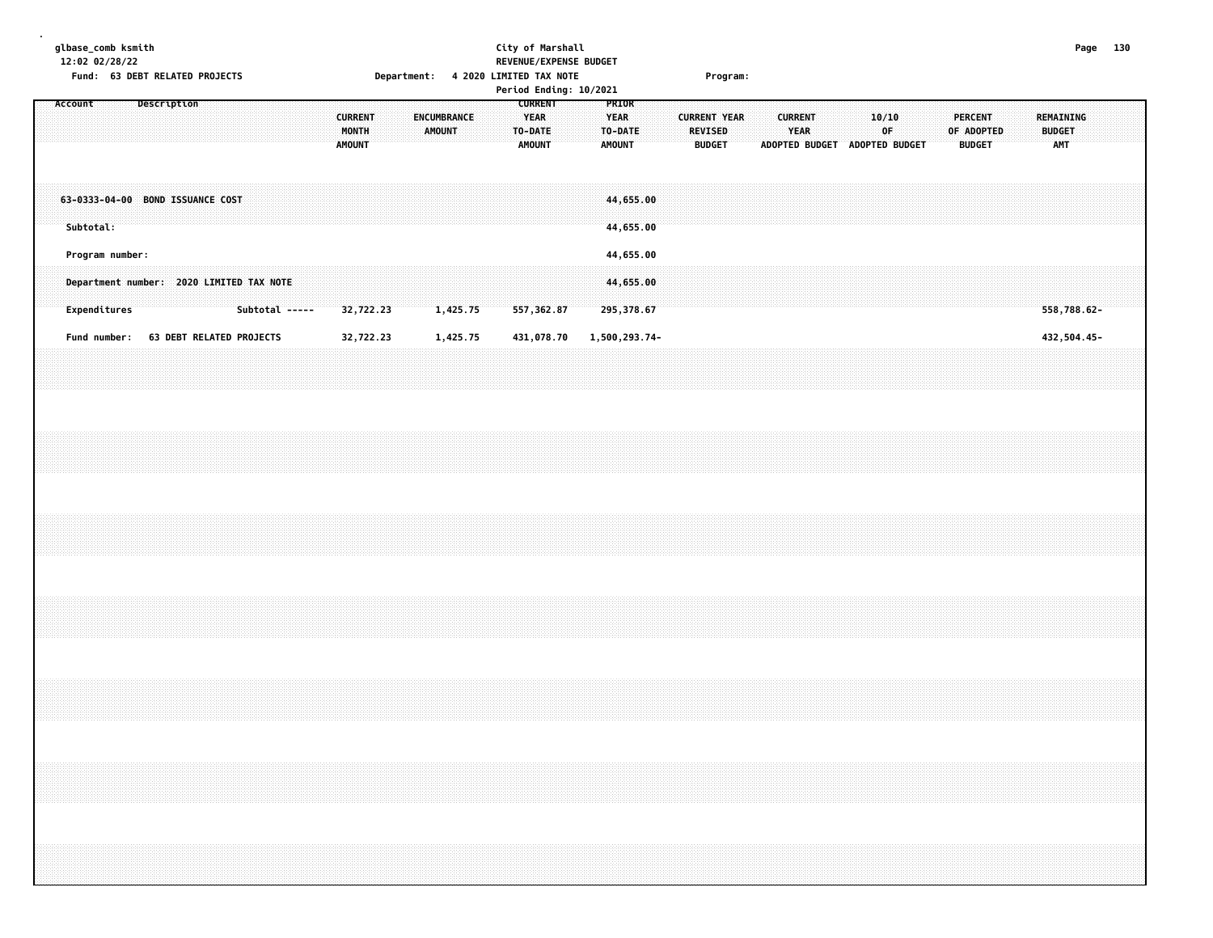| glbase_comb ksmith<br>12:02 02/28/22                                                                                                                                 |                 | Fund: 63 DEBT RELATED PROJECTS           |                          |  |                |  |  |                                          |  |               |             |  | Department: 4 2020 LIMITED TAX NOTE                       | City of Marshall<br>REVENUE/EXPENSE BUDGET<br>Period Ending: 10/2021 |                                                  |                         |  |                          | Program:            |  |                        |                               |             |  |  |                                               |  |                                   | Page 130    |  |  |
|----------------------------------------------------------------------------------------------------------------------------------------------------------------------|-----------------|------------------------------------------|--------------------------|--|----------------|--|--|------------------------------------------|--|---------------|-------------|--|-----------------------------------------------------------|----------------------------------------------------------------------|--------------------------------------------------|-------------------------|--|--------------------------|---------------------|--|------------------------|-------------------------------|-------------|--|--|-----------------------------------------------|--|-----------------------------------|-------------|--|--|
| Account                                                                                                                                                              |                 |                                          | Description              |  |                |  |  | <b>CURRENT</b><br>MONTH<br><b>AMOUNT</b> |  | <b>AMOUNT</b> | ENCUMBRANCE |  | <b>CURRENT</b><br><b>YEAR</b><br>TO-DATE<br><b>AMOUNT</b> |                                                                      | PRIOR<br><b>YEAR</b><br>TO-DATE<br><b>AMOUNT</b> |                         |  | REVISED<br><b>BUDGET</b> | <b>CURRENT YEAR</b> |  | <b>CURRENT</b><br>YEAR | ADOPTED BUDGET ADOPTED BUDGET | 10/10<br>0F |  |  | <b>PERCENT</b><br>OF ADOPTED<br><b>BUDGET</b> |  | REMAINING<br><b>BUDGET</b><br>AMT |             |  |  |
| 63-0333-04-00 BOND ISSUANCE COST                                                                                                                                     | Subtotal:       |                                          |                          |  |                |  |  |                                          |  |               |             |  |                                                           |                                                                      |                                                  | 44,655.00<br>44,655.00  |  |                          |                     |  |                        |                               |             |  |  |                                               |  |                                   |             |  |  |
|                                                                                                                                                                      | Program number: |                                          |                          |  |                |  |  |                                          |  |               |             |  |                                                           |                                                                      |                                                  | 44,655.00               |  |                          |                     |  |                        |                               |             |  |  |                                               |  |                                   |             |  |  |
|                                                                                                                                                                      | Expenditures    | Department number: 2020 LIMITED TAX NOTE |                          |  | Subtotal ----- |  |  | 32,722.23                                |  |               | 1,425.75    |  | 557,362.87                                                |                                                                      |                                                  | 44,655.00<br>295,378.67 |  |                          |                     |  |                        |                               |             |  |  |                                               |  |                                   | 558,788.62- |  |  |
|                                                                                                                                                                      | Fund number:    |                                          | 63 DEBT RELATED PROJECTS |  |                |  |  | 32,722.23                                |  |               | 1,425.75    |  | 431,078.70                                                |                                                                      |                                                  | 1,500,293.74-           |  |                          |                     |  |                        |                               |             |  |  |                                               |  |                                   | 432,504.45- |  |  |
|                                                                                                                                                                      |                 |                                          |                          |  |                |  |  |                                          |  |               |             |  |                                                           |                                                                      |                                                  |                         |  |                          |                     |  |                        |                               |             |  |  |                                               |  |                                   |             |  |  |
|                                                                                                                                                                      |                 |                                          |                          |  |                |  |  |                                          |  |               |             |  |                                                           |                                                                      |                                                  |                         |  |                          |                     |  |                        |                               |             |  |  |                                               |  |                                   |             |  |  |
|                                                                                                                                                                      |                 |                                          |                          |  |                |  |  |                                          |  |               |             |  |                                                           |                                                                      |                                                  |                         |  |                          |                     |  |                        |                               |             |  |  |                                               |  |                                   |             |  |  |
|                                                                                                                                                                      |                 |                                          |                          |  |                |  |  |                                          |  |               |             |  |                                                           |                                                                      |                                                  |                         |  |                          |                     |  |                        |                               |             |  |  |                                               |  |                                   |             |  |  |
|                                                                                                                                                                      |                 |                                          |                          |  |                |  |  |                                          |  |               |             |  |                                                           |                                                                      |                                                  |                         |  |                          |                     |  |                        |                               |             |  |  |                                               |  |                                   |             |  |  |
| ,我们的时候,我们就会在这里,我们的时候,我们就会在这里,我们就会在这里,我们的时候,我们就会在这里,我们的时候,我们就会在这里,我们就会在这里,我们就会在这里<br>第一百一十一章 我们的时候,我们的时候,我们的时候,我们的时候,我们的时候,我们的时候,我们的时候,我们的时候,我们的时候,我们的时候,我们的时候,我们的时候, |                 |                                          |                          |  |                |  |  |                                          |  |               |             |  |                                                           |                                                                      |                                                  |                         |  |                          |                     |  |                        |                               |             |  |  |                                               |  |                                   |             |  |  |
|                                                                                                                                                                      |                 |                                          |                          |  |                |  |  |                                          |  |               |             |  |                                                           |                                                                      |                                                  |                         |  |                          |                     |  |                        |                               |             |  |  |                                               |  |                                   |             |  |  |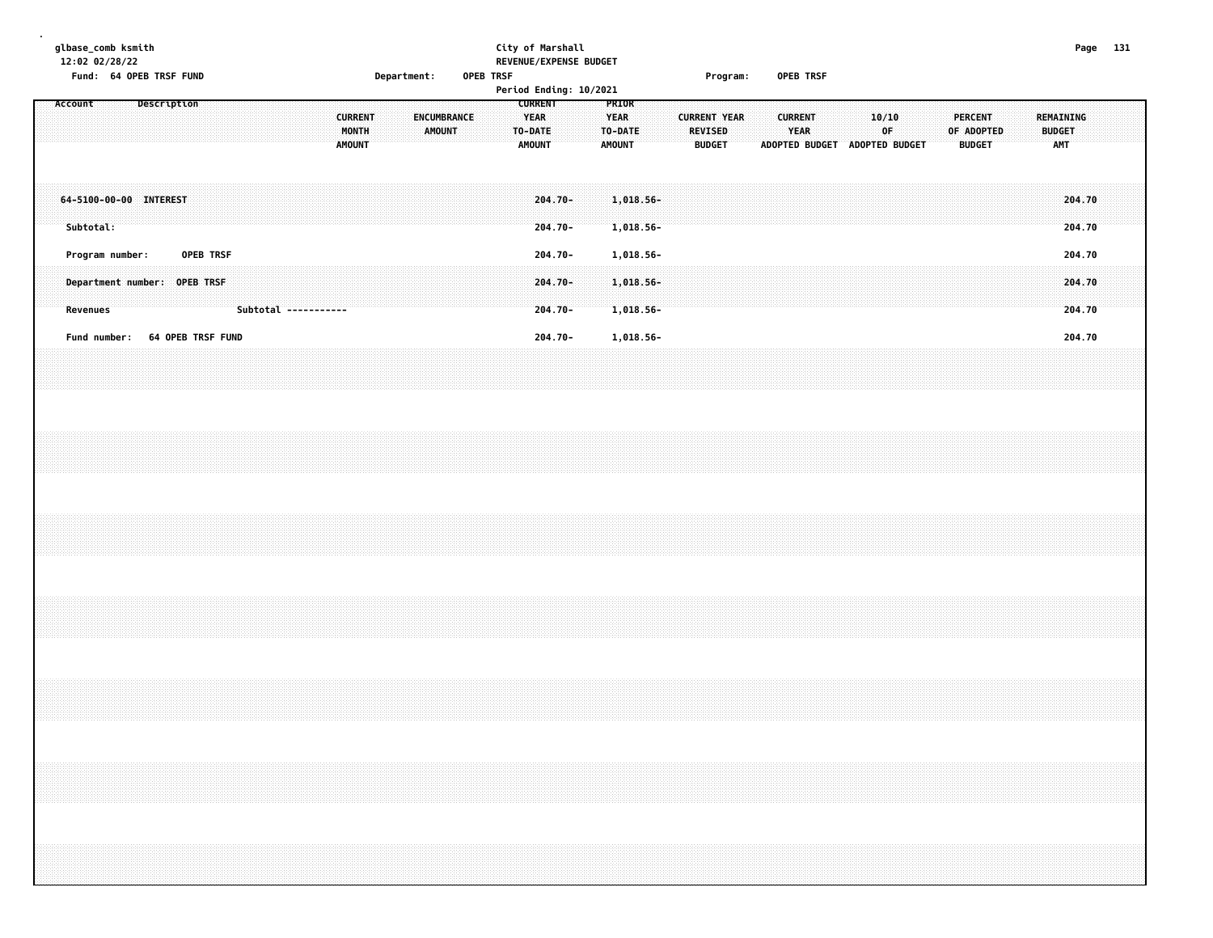|         |           | glbase_comb ksmith<br>12:02 02/28/22<br>Fund: 64 OPEB TRSF FUND |                   |           |  |  |                      |                                          | Department: |        |             | <b>OPEB TRSF</b> |                                                           | City of Marshall<br>REVENUE/EXPENSE BUDGET<br>Period Ending: 10/2021 |  |                                                  |                        |  |                | Program:                             |  | OPEB TRSF                                                      |  |       |    |  |                                               |  |                                          | Page 131         |  |
|---------|-----------|-----------------------------------------------------------------|-------------------|-----------|--|--|----------------------|------------------------------------------|-------------|--------|-------------|------------------|-----------------------------------------------------------|----------------------------------------------------------------------|--|--------------------------------------------------|------------------------|--|----------------|--------------------------------------|--|----------------------------------------------------------------|--|-------|----|--|-----------------------------------------------|--|------------------------------------------|------------------|--|
| Account |           |                                                                 | Description       |           |  |  |                      | <b>CURRENT</b><br>MONTH<br><b>AMOUNT</b> |             | AMOUNT | ENCUMBRANCE |                  | <b>CURRENT</b><br><b>YEAR</b><br>TO-DATE<br><b>AMOUNT</b> |                                                                      |  | PRIOR<br><b>YEAR</b><br>TO-DATE<br><b>AMOUNT</b> |                        |  | <b>REVISED</b> | <b>CURRENT YEAR</b><br><b>BUDGET</b> |  | <b>CURRENT</b><br><b>YEAR</b><br>ADOPTED BUDGET ADOPTED BUDGET |  | 10/10 | OF |  | <b>PERCENT</b><br>OF ADOPTED<br><b>BUDGET</b> |  | <b>REMAINING</b><br><b>BUDGET</b><br>AMT |                  |  |
|         | Subtotal: | 64-5100-00-00 INTEREST                                          |                   |           |  |  |                      |                                          |             |        |             |                  |                                                           | 204.70-<br>$204.70 -$                                                |  |                                                  | 1,018.56-<br>1,018.56- |  |                |                                      |  |                                                                |  |       |    |  |                                               |  |                                          | 204.70<br>204.70 |  |
|         |           | Program number:                                                 |                   | OPEB TRSF |  |  |                      |                                          |             |        |             |                  |                                                           | 204.70-                                                              |  |                                                  | 1,018.56-              |  |                |                                      |  |                                                                |  |       |    |  |                                               |  |                                          | 204.70           |  |
|         | Revenues  | Department number: OPEB TRSF                                    |                   |           |  |  | Subtotal ----------- |                                          |             |        |             |                  |                                                           | 204.70-<br>$204.70 -$                                                |  |                                                  | 1,018.56-<br>1,018.56- |  |                |                                      |  |                                                                |  |       |    |  |                                               |  |                                          | 204.70<br>204.70 |  |
|         |           | Fund number:                                                    | 64 OPEB TRSF FUND |           |  |  |                      |                                          |             |        |             |                  |                                                           | $204.70 -$                                                           |  |                                                  | 1,018.56-              |  |                |                                      |  |                                                                |  |       |    |  |                                               |  |                                          | 204.70           |  |
|         |           |                                                                 |                   |           |  |  |                      |                                          |             |        |             |                  |                                                           |                                                                      |  |                                                  |                        |  |                |                                      |  |                                                                |  |       |    |  |                                               |  |                                          |                  |  |
|         |           |                                                                 |                   |           |  |  |                      |                                          |             |        |             |                  |                                                           |                                                                      |  |                                                  |                        |  |                |                                      |  |                                                                |  |       |    |  |                                               |  |                                          |                  |  |
|         |           |                                                                 |                   |           |  |  |                      |                                          |             |        |             |                  |                                                           |                                                                      |  |                                                  |                        |  |                |                                      |  |                                                                |  |       |    |  |                                               |  |                                          |                  |  |
|         |           |                                                                 |                   |           |  |  |                      |                                          |             |        |             |                  |                                                           |                                                                      |  |                                                  |                        |  |                |                                      |  |                                                                |  |       |    |  |                                               |  |                                          |                  |  |
|         |           |                                                                 |                   |           |  |  |                      |                                          |             |        |             |                  |                                                           |                                                                      |  |                                                  |                        |  |                |                                      |  |                                                                |  |       |    |  |                                               |  |                                          |                  |  |
|         |           |                                                                 |                   |           |  |  |                      |                                          |             |        |             |                  |                                                           |                                                                      |  |                                                  |                        |  |                |                                      |  |                                                                |  |       |    |  |                                               |  |                                          |                  |  |
|         |           |                                                                 |                   |           |  |  |                      |                                          |             |        |             |                  |                                                           |                                                                      |  |                                                  |                        |  |                |                                      |  |                                                                |  |       |    |  |                                               |  |                                          |                  |  |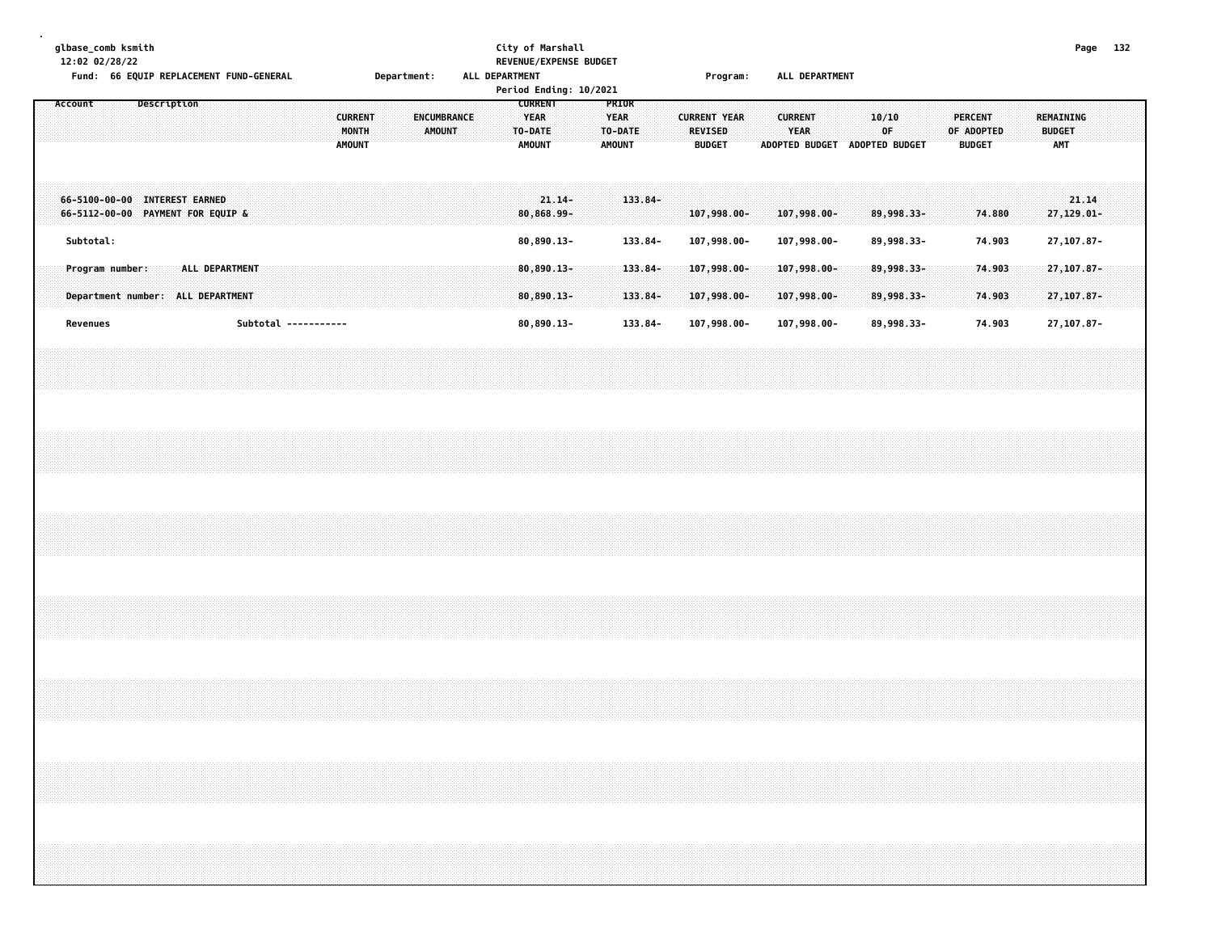| glbase_comb ksmith<br>12:02 02/28/22<br>Fund: 66 EQUIP REPLACEMENT FUND-GENERAL                                                                                      |             |                |                      |  |                                          | Department: |               |                    |  | ALL DEPARTMENT                                            |           | City of Marshall<br>REVENUE/EXPENSE BUDGET<br>Period Ending: 10/2021 |                                                  |                       |  |                                                        | Program: |  |                        |                            | ALL DEPARTMENT                |                          |  |                                               |                  |  |                                          |       | Page 132 |  |
|----------------------------------------------------------------------------------------------------------------------------------------------------------------------|-------------|----------------|----------------------|--|------------------------------------------|-------------|---------------|--------------------|--|-----------------------------------------------------------|-----------|----------------------------------------------------------------------|--------------------------------------------------|-----------------------|--|--------------------------------------------------------|----------|--|------------------------|----------------------------|-------------------------------|--------------------------|--|-----------------------------------------------|------------------|--|------------------------------------------|-------|----------|--|
| Account                                                                                                                                                              | Description |                |                      |  | <b>CURRENT</b><br>MONTH<br><b>AMOUNT</b> |             | <b>AMOUNT</b> | <b>ENCUMBRANCE</b> |  | <b>CURRENT</b><br><b>YEAR</b><br>TO-DATE<br><b>AMOUNT</b> |           |                                                                      | PRIOR<br><b>YEAR</b><br>TO-DATE<br><b>AMOUNT</b> |                       |  | <b>CURRENT YEAR</b><br><b>REVISED</b><br><b>BUDGET</b> |          |  | <b>CURRENT</b><br>YEAR |                            | ADOPTED BUDGET ADOPTED BUDGET | 10/10<br>0F              |  | <b>PERCENT</b><br>OF ADOPTED<br><b>BUDGET</b> |                  |  | REMAINING<br><b>BUDGET</b><br><b>AMT</b> |       |          |  |
| 66-5100-00-00 INTEREST EARNED<br>66-5112-00-00 PAYMENT FOR EQUIP &                                                                                                   |             |                |                      |  |                                          |             |               |                    |  | 80,868.99-                                                | $21.14 -$ |                                                                      |                                                  | $133.84 -$            |  | 107,998.00-                                            |          |  |                        | 107,998.00-                |                               | 89,998.33-               |  |                                               | 74.880           |  | 27,129.01-                               | 21.14 |          |  |
| Subtotal:<br>Program number:                                                                                                                                         |             | ALL DEPARTMENT |                      |  |                                          |             |               |                    |  | 80,890.13-<br>$80,890.13 -$                               |           |                                                                      |                                                  | 133.84-<br>$133.84 -$ |  | 107,998.00-<br>$107,998.00 -$                          |          |  |                        | 107,998.00-<br>107,998.00- |                               | 89,998.33-<br>89,998.33- |  |                                               | 74.903<br>74.903 |  | 27, 107.87-<br>27, 107.87-               |       |          |  |
| Department number: ALL DEPARTMENT                                                                                                                                    |             |                |                      |  |                                          |             |               |                    |  | $80,890.13 -$                                             |           |                                                                      |                                                  | 133.84-               |  | 107,998.00-                                            |          |  |                        | $107,998.00 -$             |                               | 89,998.33-               |  |                                               | 74.903           |  | $27, 107.87 -$                           |       |          |  |
| Revenues                                                                                                                                                             |             |                | Subtotal ----------- |  |                                          |             |               |                    |  | 80,890.13-                                                |           |                                                                      |                                                  | 133.84-               |  | 107,998.00-                                            |          |  |                        | 107,998.00-                |                               | 89,998.33-               |  |                                               | 74.903           |  | 27, 107.87-                              |       |          |  |
|                                                                                                                                                                      |             |                |                      |  |                                          |             |               |                    |  |                                                           |           |                                                                      |                                                  |                       |  |                                                        |          |  |                        |                            |                               |                          |  |                                               |                  |  |                                          |       |          |  |
|                                                                                                                                                                      |             |                |                      |  |                                          |             |               |                    |  |                                                           |           |                                                                      |                                                  |                       |  |                                                        |          |  |                        |                            |                               |                          |  |                                               |                  |  |                                          |       |          |  |
|                                                                                                                                                                      |             |                |                      |  |                                          |             |               |                    |  |                                                           |           |                                                                      |                                                  |                       |  |                                                        |          |  |                        |                            |                               |                          |  |                                               |                  |  |                                          |       |          |  |
|                                                                                                                                                                      |             |                |                      |  |                                          |             |               |                    |  |                                                           |           |                                                                      |                                                  |                       |  |                                                        |          |  |                        |                            |                               |                          |  |                                               |                  |  |                                          |       |          |  |
|                                                                                                                                                                      |             |                |                      |  |                                          |             |               |                    |  |                                                           |           |                                                                      |                                                  |                       |  |                                                        |          |  |                        |                            |                               |                          |  |                                               |                  |  |                                          |       |          |  |
| ,我们就会在这里,我们就会在这里,我们就会在这里,我们就会在这里,我们就会在这里,我们就会在这里,我们就会在这里,我们就会在这里,我们就会在这里,我们就会在这里<br>第一章 一个人的话,我们就会在这里,我们就会在这里,我们就会在这里,我们就会在这里,我们就会在这里,我们就会在这里,我们就会在这里,我们就会在这里,我们就会在这 |             |                |                      |  |                                          |             |               |                    |  |                                                           |           |                                                                      |                                                  |                       |  |                                                        |          |  |                        |                            |                               |                          |  |                                               |                  |  |                                          |       |          |  |
|                                                                                                                                                                      |             |                |                      |  |                                          |             |               |                    |  |                                                           |           |                                                                      |                                                  |                       |  |                                                        |          |  |                        |                            |                               |                          |  |                                               |                  |  |                                          |       |          |  |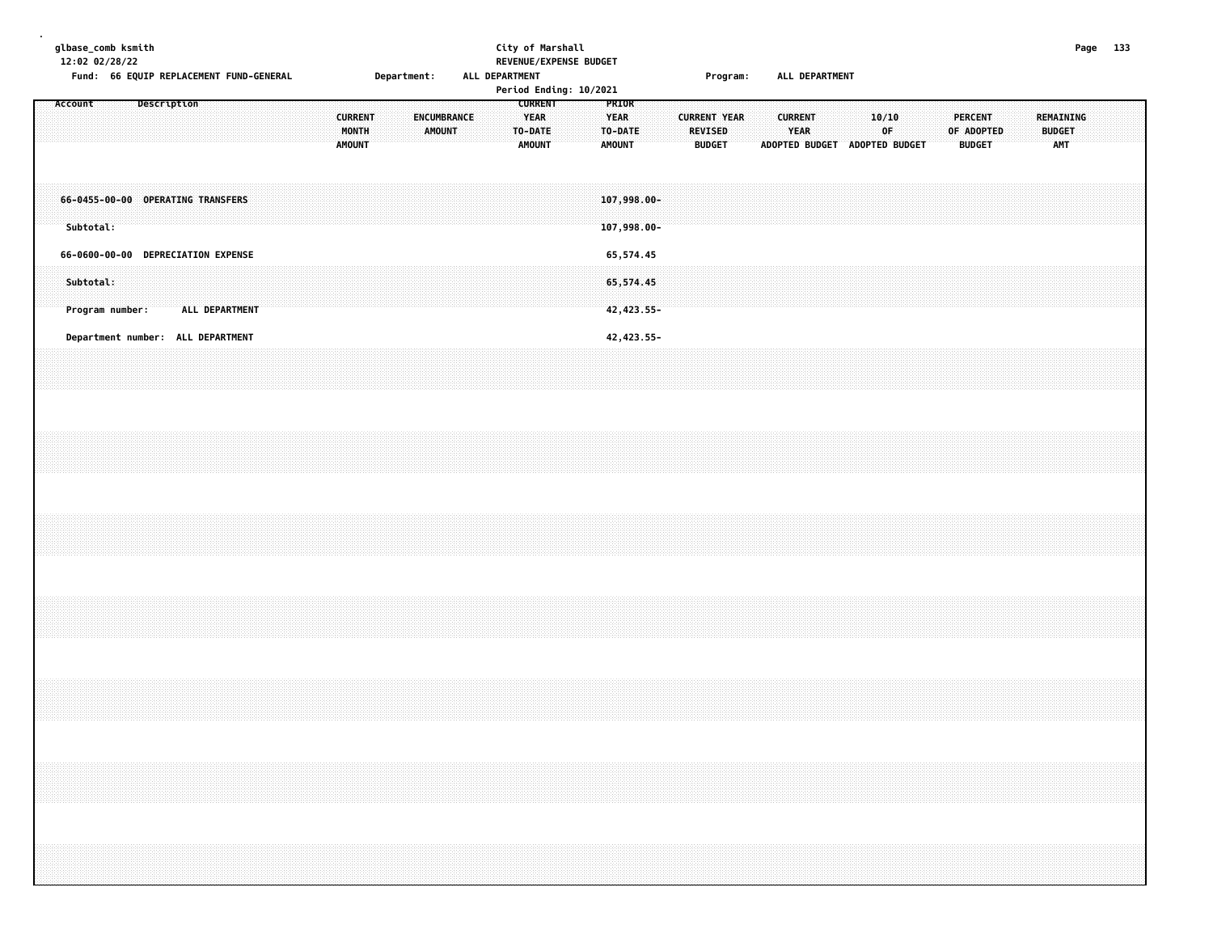|  |  | glbase_comb ksmith<br>12:02 02/28/22 |  |  |             | Fund: 66 EQUIP REPLACEMENT FUND-GENERAL |  |  |  |  |                                          |  | Department: |  |                              |  |  | ALL DEPARTMENT                          | City of Marshall | REVENUE/EXPENSE BUDGET<br>Period Ending: 10/2021 |                                         |       |             |  |                                 | Program:            |  |                               | ALL DEPARTMENT                |  |             |  |  |                                               |  |  |                                          |  | Page 133                                                                                                                                                                                                                                                                                                                                                                                                                                                    |  |
|--|--|--------------------------------------|--|--|-------------|-----------------------------------------|--|--|--|--|------------------------------------------|--|-------------|--|------------------------------|--|--|-----------------------------------------|------------------|--------------------------------------------------|-----------------------------------------|-------|-------------|--|---------------------------------|---------------------|--|-------------------------------|-------------------------------|--|-------------|--|--|-----------------------------------------------|--|--|------------------------------------------|--|-------------------------------------------------------------------------------------------------------------------------------------------------------------------------------------------------------------------------------------------------------------------------------------------------------------------------------------------------------------------------------------------------------------------------------------------------------------|--|
|  |  | Account                              |  |  | Description |                                         |  |  |  |  | <b>CURRENT</b><br>MONTH<br><b>AMOUNT</b> |  |             |  | ENCUMBRANCE<br><b>AMOUNT</b> |  |  | <b>YEAR</b><br>TO-DATE<br><b>AMOUNT</b> | <b>CURRENT</b>   |                                                  | <b>YEAR</b><br>TO-DATE<br><b>AMOUNT</b> | PRIOR |             |  | <b>REVISED</b><br><b>BUDGET</b> | <b>CURRENT YEAR</b> |  | <b>CURRENT</b><br><b>YEAR</b> | ADOPTED BUDGET ADOPTED BUDGET |  | 10/10<br>0F |  |  | <b>PERCENT</b><br>OF ADOPTED<br><b>BUDGET</b> |  |  | REMAINING<br><b>BUDGET</b><br><b>AMT</b> |  |                                                                                                                                                                                                                                                                                                                                                                                                                                                             |  |
|  |  | Subtotal:                            |  |  |             | 66-0455-00-00 OPERATING TRANSFERS       |  |  |  |  |                                          |  |             |  |                              |  |  |                                         |                  |                                                  | $107,998.00 -$<br>107,998.00-           |       |             |  |                                 |                     |  |                               |                               |  |             |  |  |                                               |  |  |                                          |  |                                                                                                                                                                                                                                                                                                                                                                                                                                                             |  |
|  |  |                                      |  |  |             | 66-0600-00-00 DEPRECIATION EXPENSE      |  |  |  |  |                                          |  |             |  |                              |  |  |                                         |                  |                                                  |                                         |       | 65,574.45   |  |                                 |                     |  |                               |                               |  |             |  |  |                                               |  |  |                                          |  |                                                                                                                                                                                                                                                                                                                                                                                                                                                             |  |
|  |  | Subtotal:<br>Program number:         |  |  |             | ALL DEPARTMENT                          |  |  |  |  |                                          |  |             |  |                              |  |  |                                         |                  |                                                  | 65,574.45                               |       | 42, 423.55- |  |                                 |                     |  |                               |                               |  |             |  |  |                                               |  |  |                                          |  |                                                                                                                                                                                                                                                                                                                                                                                                                                                             |  |
|  |  |                                      |  |  |             | Department number: ALL DEPARTMENT       |  |  |  |  |                                          |  |             |  |                              |  |  |                                         |                  |                                                  | 42, 423.55-                             |       |             |  |                                 |                     |  |                               |                               |  |             |  |  |                                               |  |  |                                          |  |                                                                                                                                                                                                                                                                                                                                                                                                                                                             |  |
|  |  |                                      |  |  |             |                                         |  |  |  |  |                                          |  |             |  |                              |  |  |                                         |                  |                                                  |                                         |       |             |  |                                 |                     |  |                               |                               |  |             |  |  |                                               |  |  |                                          |  |                                                                                                                                                                                                                                                                                                                                                                                                                                                             |  |
|  |  |                                      |  |  |             |                                         |  |  |  |  |                                          |  |             |  |                              |  |  |                                         |                  |                                                  |                                         |       |             |  |                                 |                     |  |                               |                               |  |             |  |  |                                               |  |  |                                          |  |                                                                                                                                                                                                                                                                                                                                                                                                                                                             |  |
|  |  |                                      |  |  |             |                                         |  |  |  |  |                                          |  |             |  |                              |  |  |                                         |                  |                                                  |                                         |       |             |  |                                 |                     |  |                               |                               |  |             |  |  |                                               |  |  |                                          |  |                                                                                                                                                                                                                                                                                                                                                                                                                                                             |  |
|  |  |                                      |  |  |             |                                         |  |  |  |  |                                          |  |             |  |                              |  |  |                                         |                  |                                                  |                                         |       |             |  |                                 |                     |  |                               |                               |  |             |  |  |                                               |  |  |                                          |  |                                                                                                                                                                                                                                                                                                                                                                                                                                                             |  |
|  |  |                                      |  |  |             |                                         |  |  |  |  |                                          |  |             |  |                              |  |  |                                         |                  |                                                  |                                         |       |             |  |                                 |                     |  |                               |                               |  |             |  |  |                                               |  |  |                                          |  | $\mathcal{L}(\mathcal{L}(\mathcal{L}(\mathcal{L}(\mathcal{L}(\mathcal{L}(\mathcal{L}(\mathcal{L}(\mathcal{L}(\mathcal{L}(\mathcal{L}(\mathcal{L}(\mathcal{L}(\mathcal{L}(\mathcal{L}(\mathcal{L}(\mathcal{L}(\mathcal{L}(\mathcal{L}(\mathcal{L}(\mathcal{L}(\mathcal{L}(\mathcal{L}(\mathcal{L}(\mathcal{L}(\mathcal{L}(\mathcal{L}(\mathcal{L}(\mathcal{L}(\mathcal{L}(\mathcal{L}(\mathcal{L}(\mathcal{L}(\mathcal{L}(\mathcal{L}(\mathcal{L}(\mathcal{$ |  |
|  |  |                                      |  |  |             |                                         |  |  |  |  |                                          |  |             |  |                              |  |  |                                         |                  |                                                  |                                         |       |             |  |                                 |                     |  |                               |                               |  |             |  |  |                                               |  |  |                                          |  |                                                                                                                                                                                                                                                                                                                                                                                                                                                             |  |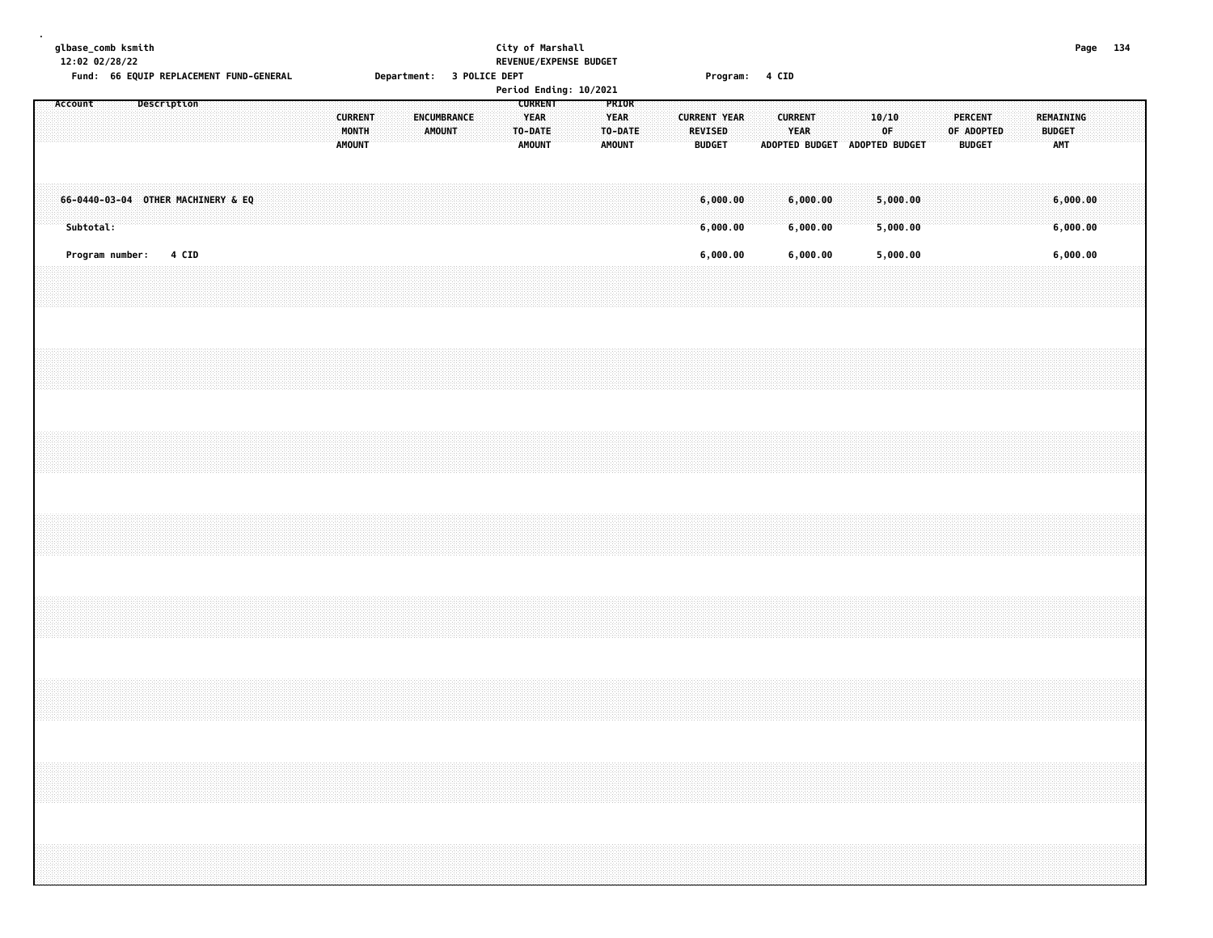|  |           | glbase_comb ksmith<br>12:02 02/28/22 |             |       | Fund: 66 EQUIP REPLACEMENT FUND-GENERAL |  |  |  |                                          | Department: 3 POLICE DEPT |               |             |  | City of Marshall |                                                | REVENUE/EXPENSE BUDGET<br>Period Ending: 10/2021 |                                                  |  |                                                        | Program: 4 CID |  |                               |  |                                              |  |                                               |  |                                          |                      | Page 134 |  |
|--|-----------|--------------------------------------|-------------|-------|-----------------------------------------|--|--|--|------------------------------------------|---------------------------|---------------|-------------|--|------------------|------------------------------------------------|--------------------------------------------------|--------------------------------------------------|--|--------------------------------------------------------|----------------|--|-------------------------------|--|----------------------------------------------|--|-----------------------------------------------|--|------------------------------------------|----------------------|----------|--|
|  | Account   |                                      | Description |       |                                         |  |  |  | <b>CURRENT</b><br>MONTH<br><b>AMOUNT</b> |                           | <b>AMOUNT</b> | ENCUMBRANCE |  | TO-DATE          | <b>CURRENT</b><br><b>YEAR</b><br><b>AMOUNT</b> |                                                  | PRIOR<br><b>YEAR</b><br>TO-DATE<br><b>AMOUNT</b> |  | <b>CURRENT YEAR</b><br><b>REVISED</b><br><b>BUDGET</b> |                |  | <b>CURRENT</b><br><b>YEAR</b> |  | 10/10<br>OF<br>ADOPTED BUDGET ADOPTED BUDGET |  | <b>PERCENT</b><br>OF ADOPTED<br><b>BUDGET</b> |  | REMAINING<br><b>BUDGET</b><br><b>AMT</b> |                      |          |  |
|  | Subtotal: |                                      |             |       | 66-0440-03-04 OTHER MACHINERY & EQ      |  |  |  |                                          |                           |               |             |  |                  |                                                |                                                  |                                                  |  | 6,000.00<br>6,000.00                                   |                |  | 6,000.00<br>6,000.00          |  | 5,000.00<br>5,000.00                         |  |                                               |  |                                          | 6,000.00<br>6,000.00 |          |  |
|  |           | Program number:                      |             | 4 CID |                                         |  |  |  |                                          |                           |               |             |  |                  |                                                |                                                  |                                                  |  | 6,000.00                                               |                |  | 6,000.00                      |  | 5,000.00                                     |  |                                               |  |                                          | 6,000.00             |          |  |
|  |           |                                      |             |       |                                         |  |  |  |                                          |                           |               |             |  |                  |                                                |                                                  |                                                  |  |                                                        |                |  |                               |  |                                              |  |                                               |  |                                          |                      |          |  |
|  |           |                                      |             |       |                                         |  |  |  |                                          |                           |               |             |  |                  |                                                |                                                  |                                                  |  |                                                        |                |  |                               |  |                                              |  |                                               |  |                                          |                      |          |  |
|  |           |                                      |             |       |                                         |  |  |  |                                          |                           |               |             |  |                  |                                                |                                                  |                                                  |  |                                                        |                |  |                               |  |                                              |  |                                               |  |                                          |                      |          |  |
|  |           |                                      |             |       |                                         |  |  |  |                                          |                           |               |             |  |                  |                                                |                                                  |                                                  |  |                                                        |                |  |                               |  |                                              |  |                                               |  |                                          |                      |          |  |
|  |           |                                      |             |       |                                         |  |  |  |                                          |                           |               |             |  |                  |                                                |                                                  |                                                  |  |                                                        |                |  |                               |  |                                              |  |                                               |  |                                          |                      |          |  |
|  |           |                                      |             |       |                                         |  |  |  |                                          |                           |               |             |  |                  |                                                |                                                  |                                                  |  |                                                        |                |  |                               |  |                                              |  |                                               |  |                                          |                      |          |  |
|  |           |                                      |             |       |                                         |  |  |  |                                          |                           |               |             |  |                  |                                                |                                                  |                                                  |  |                                                        |                |  |                               |  |                                              |  |                                               |  |                                          |                      |          |  |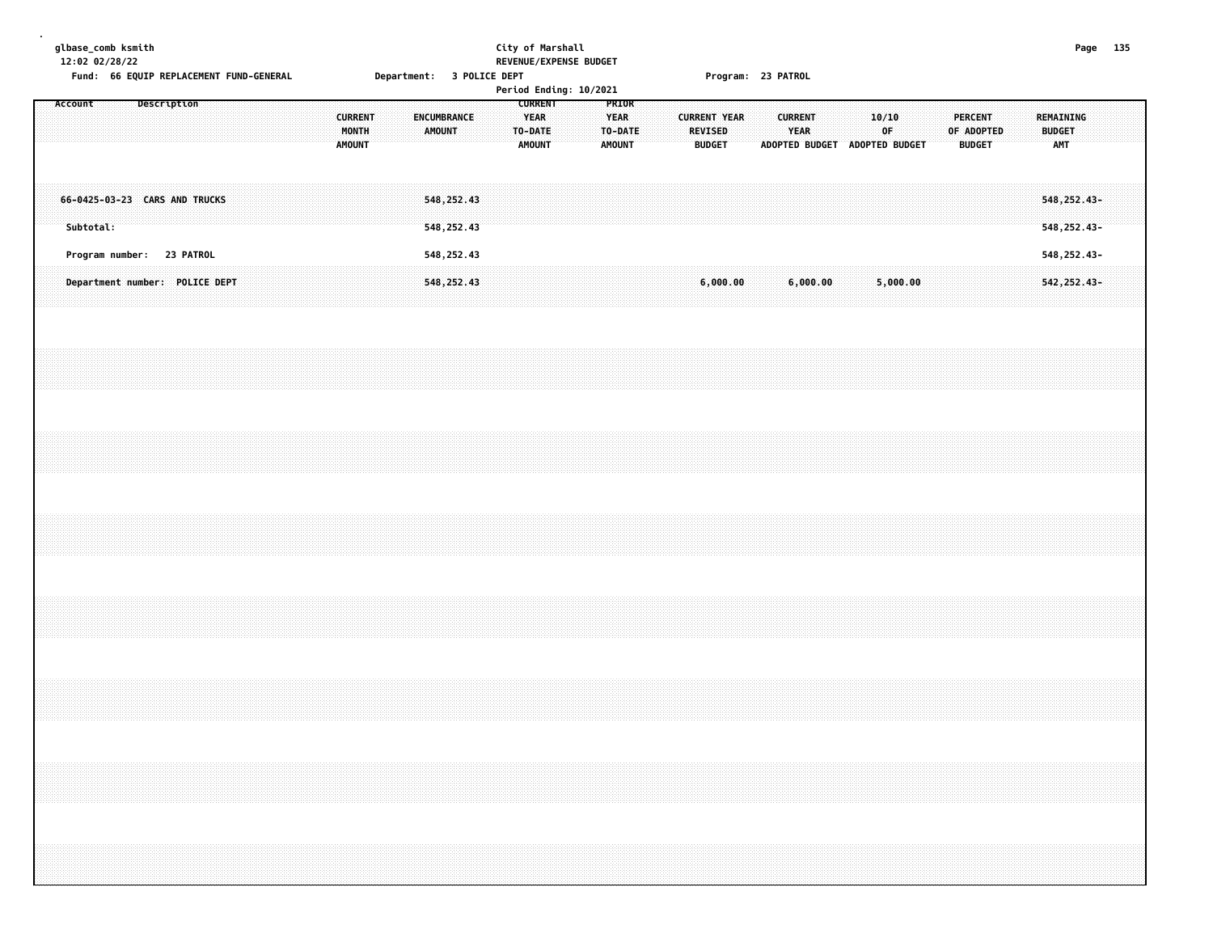|                                                           | REMAINING<br><b>BUDGET</b><br><b>AMT</b>                                                                      | 548, 252.43-<br>548, 252.43-               | 548, 252.43-              | 542, 252.43-                   |  |  |  |  |
|-----------------------------------------------------------|---------------------------------------------------------------------------------------------------------------|--------------------------------------------|---------------------------|--------------------------------|--|--|--|--|
|                                                           | 10/10<br><b>PERCENT</b><br>OF<br>OF ADOPTED<br>ADOPTED BUDGET ADOPTED BUDGET<br><b>BUDGET</b>                 |                                            |                           | 5,000.00                       |  |  |  |  |
| Program: 23 PATROL                                        | <b>CURRENT</b><br>YEAR                                                                                        |                                            |                           | 6,000.00                       |  |  |  |  |
|                                                           | <b>CURRENT YEAR</b><br><b>REVISED</b><br><b>BUDGET</b>                                                        |                                            |                           | 6,000.00                       |  |  |  |  |
| REVENUE/EXPENSE BUDGET<br>Period Ending: 10/2021          | <b>CURRENT</b><br>PRIOR<br><b>YEAR</b><br><b>YEAR</b><br>TO-DATE<br>TO-DATE<br><b>AMOUNT</b><br><b>AMOUNT</b> |                                            |                           |                                |  |  |  |  |
| Department: 3 POLICE DEPT                                 | <b>CURRENT</b><br><b>ENCUMBRANCE</b><br>MONTH<br><b>AMOUNT</b><br><b>AMOUNT</b>                               | 548,252.43<br>548, 252.43                  | 548,252.43                | 548, 252.43                    |  |  |  |  |
| 12:02 02/28/22<br>Fund: 66 EQUIP REPLACEMENT FUND-GENERAL | Account<br>Description                                                                                        | 66-0425-03-23 CARS AND TRUCKS<br>Subtotal: | Program number: 23 PATROL | Department number: POLICE DEPT |  |  |  |  |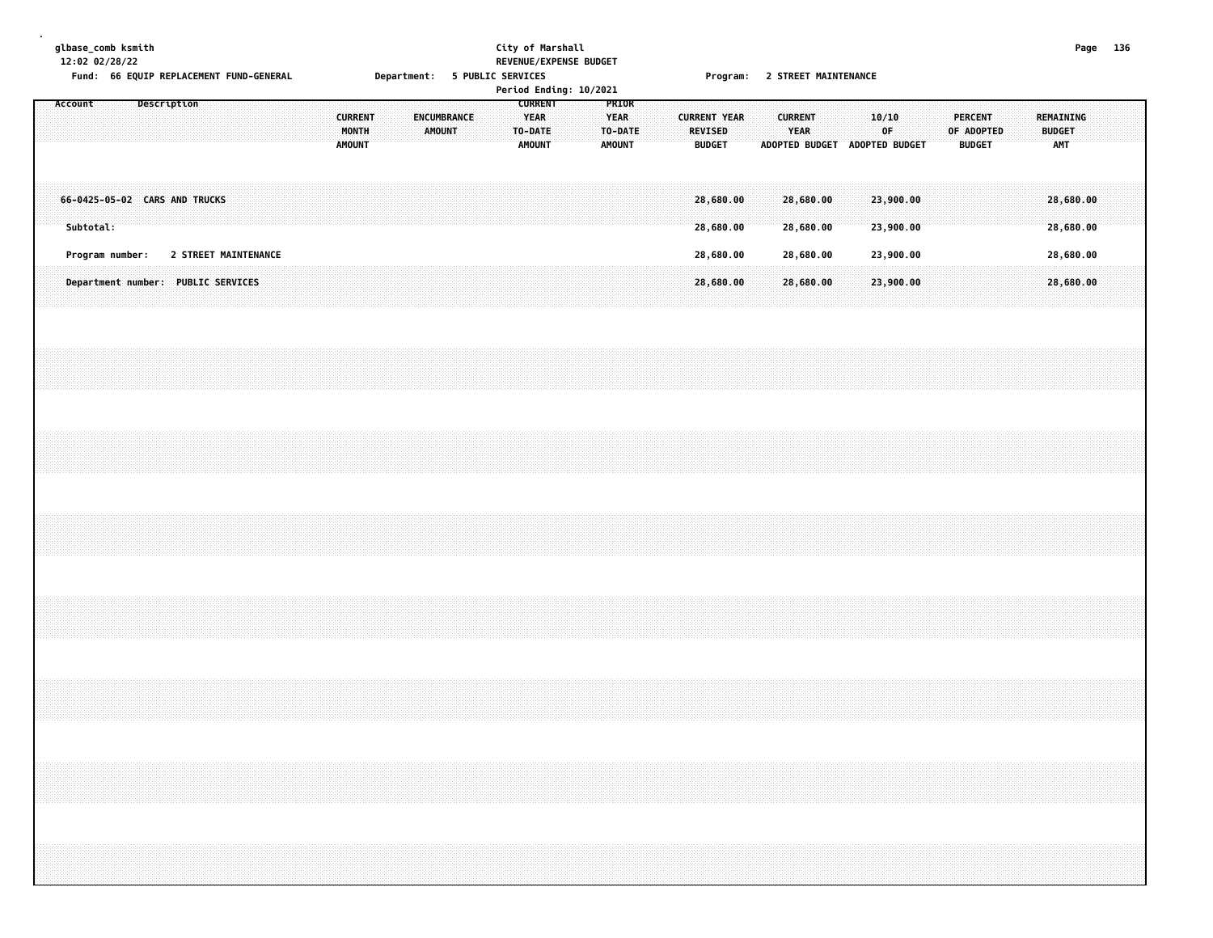|  |         | 12:02 02/28/22 | glbase_comb ksmith<br>Fund: 66 EQUIP REPLACEMENT FUND-GENERAL |                    |                      |  |  |  |                                          |  | Department: 5 PUBLIC SERVICES |        |  | City of Marshall |                                                           | REVENUE/EXPENSE BUDGET<br>Period Ending: 10/2021 |                                                  |  |  |                                                        |  |                        |  | Program: 2 STREET MAINTENANCE |             |                        |  |                                               |  |           |                             | Page 136                                                                                                                                                             |  |
|--|---------|----------------|---------------------------------------------------------------|--------------------|----------------------|--|--|--|------------------------------------------|--|-------------------------------|--------|--|------------------|-----------------------------------------------------------|--------------------------------------------------|--------------------------------------------------|--|--|--------------------------------------------------------|--|------------------------|--|-------------------------------|-------------|------------------------|--|-----------------------------------------------|--|-----------|-----------------------------|----------------------------------------------------------------------------------------------------------------------------------------------------------------------|--|
|  | Account |                |                                                               | <b>Description</b> |                      |  |  |  | <b>CURRENT</b><br>MONTH<br><b>AMOUNT</b> |  | ENCUMBRANCE                   | AMOUNT |  |                  | <b>CURRENT</b><br><b>YEAR</b><br>TO-DATE<br><b>AMOUNT</b> |                                                  | PRIOR<br><b>YEAR</b><br>TO-DATE<br><b>AMOUNT</b> |  |  | <b>CURRENT YEAR</b><br><b>REVISED</b><br><b>BUDGET</b> |  | <b>CURRENT</b><br>YEAR |  | ADOPTED BUDGET ADOPTED BUDGET | 10/10<br>0F |                        |  | <b>PERCENT</b><br>OF ADOPTED<br><b>BUDGET</b> |  | REMAINING | <b>BUDGET</b><br><b>AMT</b> |                                                                                                                                                                      |  |
|  |         | Subtotal:      | 66-0425-05-02 CARS AND TRUCKS                                 |                    |                      |  |  |  |                                          |  |                               |        |  |                  |                                                           |                                                  |                                                  |  |  | 28,680.00<br>28,680.00                                 |  | 28,680.00<br>28,680.00 |  |                               |             | 23,900.00<br>23,900.00 |  |                                               |  |           | 28,680.00<br>28,680.00      |                                                                                                                                                                      |  |
|  |         |                | Program number:                                               |                    | 2 STREET MAINTENANCE |  |  |  |                                          |  |                               |        |  |                  |                                                           |                                                  |                                                  |  |  | 28,680.00                                              |  | 28,680.00              |  |                               |             | 23,900.00              |  |                                               |  |           | 28,680.00                   |                                                                                                                                                                      |  |
|  |         |                | Department number: PUBLIC SERVICES                            |                    |                      |  |  |  |                                          |  |                               |        |  |                  |                                                           |                                                  |                                                  |  |  | 28,680.00                                              |  | 28,680.00              |  |                               |             | 23,900.00              |  |                                               |  |           | 28,680.00                   |                                                                                                                                                                      |  |
|  |         |                |                                                               |                    |                      |  |  |  |                                          |  |                               |        |  |                  |                                                           |                                                  |                                                  |  |  |                                                        |  |                        |  |                               |             |                        |  |                                               |  |           |                             |                                                                                                                                                                      |  |
|  |         |                |                                                               |                    |                      |  |  |  |                                          |  |                               |        |  |                  |                                                           |                                                  |                                                  |  |  |                                                        |  |                        |  |                               |             |                        |  |                                               |  |           |                             |                                                                                                                                                                      |  |
|  |         |                |                                                               |                    |                      |  |  |  |                                          |  |                               |        |  |                  |                                                           |                                                  |                                                  |  |  |                                                        |  |                        |  |                               |             |                        |  |                                               |  |           |                             |                                                                                                                                                                      |  |
|  |         |                |                                                               |                    |                      |  |  |  |                                          |  |                               |        |  |                  |                                                           |                                                  |                                                  |  |  |                                                        |  |                        |  |                               |             |                        |  |                                               |  |           |                             |                                                                                                                                                                      |  |
|  |         |                |                                                               |                    |                      |  |  |  |                                          |  |                               |        |  |                  |                                                           |                                                  |                                                  |  |  |                                                        |  |                        |  |                               |             |                        |  |                                               |  |           |                             |                                                                                                                                                                      |  |
|  |         |                |                                                               |                    |                      |  |  |  |                                          |  |                               |        |  |                  |                                                           |                                                  |                                                  |  |  |                                                        |  |                        |  |                               |             |                        |  |                                               |  |           |                             | ,我们就是我们的,你们就是我们的,你们就是我们的,你们就是我们的。""你们的,你们就是我们的。""你们的,你们就是我们的。""你们的,你们就是我们的。""你们的<br>第151章 我们的人们的人们的人们,我们的人们的人们的人们,我们的人们的人们的人们,我们的人们的人们,我们的人们的人们,我们的人们的人们,我们的人们,我们就是我 |  |
|  |         |                |                                                               |                    |                      |  |  |  |                                          |  |                               |        |  |                  |                                                           |                                                  |                                                  |  |  |                                                        |  |                        |  |                               |             |                        |  |                                               |  |           |                             |                                                                                                                                                                      |  |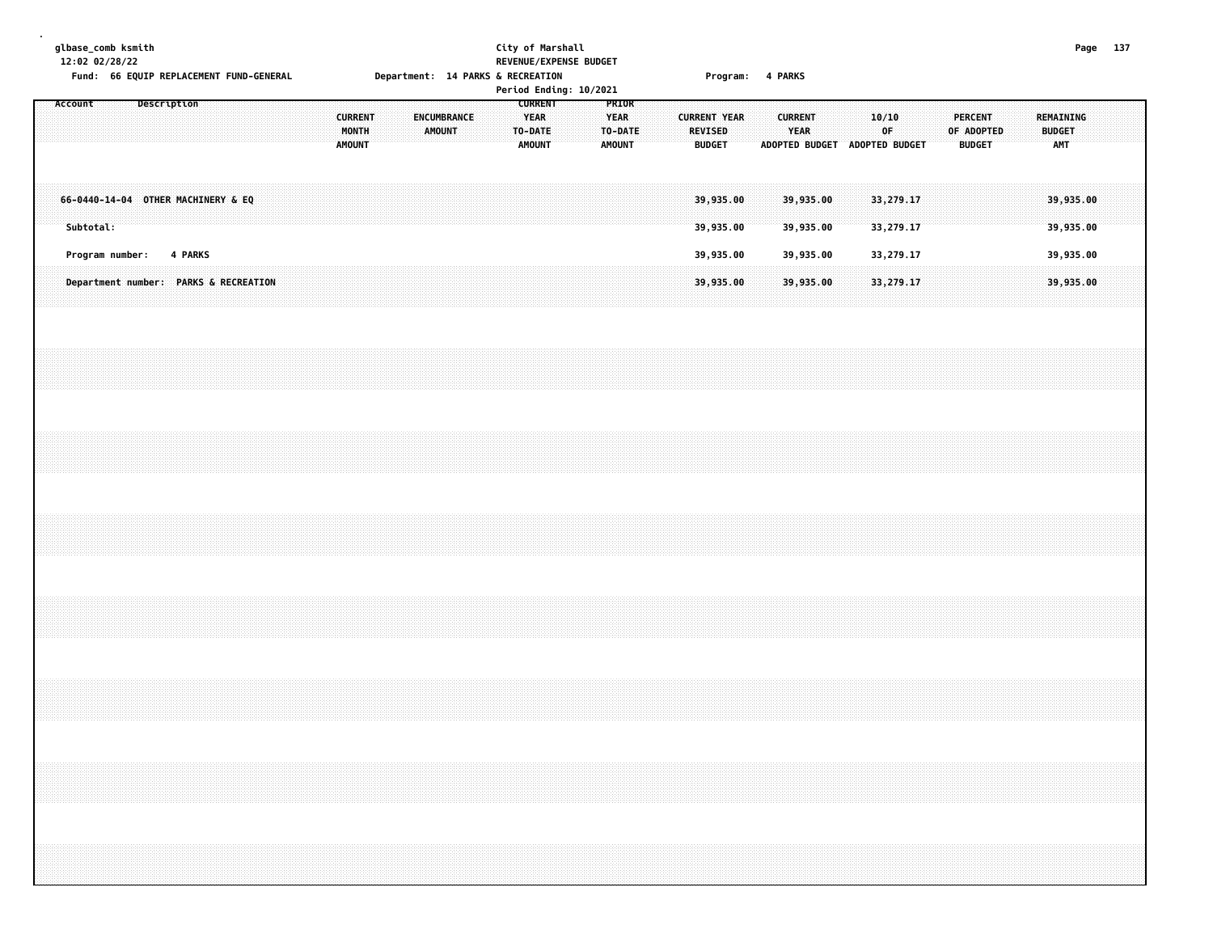| glbase_comb ksmith |           | 12:02 02/28/22  |             |         |  |                                    | Fund: 66 EQUIP REPLACEMENT FUND-GENERAL |  |                                          |  |  |               |             |  | City of Marshall<br>REVENUE/EXPENSE BUDGET<br>Department: 14 PARKS & RECREATION<br>Period Ending: 10/2021 |  |                                           |  |                          | Program: 4 PARKS       |  |                        |                        |  |                                                                                                               |  |                                 |            |  |                      |                        | Page 137 |  |
|--------------------|-----------|-----------------|-------------|---------|--|------------------------------------|-----------------------------------------|--|------------------------------------------|--|--|---------------|-------------|--|-----------------------------------------------------------------------------------------------------------|--|-------------------------------------------|--|--------------------------|------------------------|--|------------------------|------------------------|--|---------------------------------------------------------------------------------------------------------------|--|---------------------------------|------------|--|----------------------|------------------------|----------|--|
| Account            |           |                 | Description |         |  |                                    |                                         |  | <b>CURRENT</b><br>MONTH<br><b>AMOUNT</b> |  |  | <b>AMOUNT</b> | ENCUMBRANCE |  | <b>CURRENT</b><br><b>YEAR</b><br>TO-DATE<br><b>AMOUNT</b>                                                 |  | PRIOR<br>YEAR<br>TO-DATE<br><b>AMOUNT</b> |  | REVISED<br><b>BUDGET</b> | <b>CURRENT YEAR</b>    |  | <b>CURRENT</b><br>YEAR |                        |  | 10/10<br>0F<br>ADOPTED BUDGET ADOPTED BUDGET                                                                  |  | <b>PERCENT</b><br><b>BUDGET</b> | OF ADOPTED |  | <b>BUDGET</b><br>AMT | <b>REMAINING</b>       |          |  |
|                    | Subtotal: |                 |             |         |  | 66-0440-14-04 OTHER MACHINERY & EQ |                                         |  |                                          |  |  |               |             |  |                                                                                                           |  |                                           |  |                          | 39,935.00<br>39,935.00 |  |                        | 39,935.00<br>39,935.00 |  | 33,279.17<br>33,279.17                                                                                        |  |                                 |            |  |                      | 39,935.00<br>39,935.00 |          |  |
|                    |           | Program number: |             | 4 PARKS |  |                                    | Department number: PARKS & RECREATION   |  |                                          |  |  |               |             |  |                                                                                                           |  |                                           |  |                          | 39,935.00<br>39,935.00 |  |                        | 39,935.00<br>39,935.00 |  | 33,279.17<br>33,279.17                                                                                        |  |                                 |            |  |                      | 39,935.00<br>39,935.00 |          |  |
|                    |           |                 |             |         |  |                                    |                                         |  |                                          |  |  |               |             |  |                                                                                                           |  |                                           |  |                          |                        |  |                        |                        |  |                                                                                                               |  |                                 |            |  |                      |                        |          |  |
|                    |           |                 |             |         |  |                                    |                                         |  |                                          |  |  |               |             |  |                                                                                                           |  |                                           |  |                          |                        |  |                        |                        |  |                                                                                                               |  |                                 |            |  |                      |                        |          |  |
|                    |           |                 |             |         |  |                                    |                                         |  |                                          |  |  |               |             |  |                                                                                                           |  |                                           |  |                          |                        |  |                        |                        |  |                                                                                                               |  |                                 |            |  |                      |                        |          |  |
|                    |           |                 |             |         |  |                                    |                                         |  |                                          |  |  |               |             |  |                                                                                                           |  |                                           |  |                          |                        |  |                        |                        |  |                                                                                                               |  |                                 |            |  |                      |                        |          |  |
|                    |           |                 |             |         |  |                                    |                                         |  |                                          |  |  |               |             |  |                                                                                                           |  |                                           |  |                          |                        |  |                        |                        |  |                                                                                                               |  |                                 |            |  |                      |                        |          |  |
|                    |           |                 |             |         |  |                                    |                                         |  |                                          |  |  |               |             |  |                                                                                                           |  |                                           |  |                          |                        |  |                        |                        |  |                                                                                                               |  |                                 |            |  |                      |                        |          |  |
|                    |           |                 |             |         |  |                                    |                                         |  |                                          |  |  |               |             |  |                                                                                                           |  |                                           |  |                          |                        |  |                        |                        |  | a se a construída de as antigas de as antigas de as antigas de as antigas de as antigas de as antigas de as a |  |                                 |            |  |                      |                        |          |  |
|                    |           |                 |             |         |  |                                    |                                         |  |                                          |  |  |               |             |  |                                                                                                           |  |                                           |  |                          |                        |  |                        |                        |  |                                                                                                               |  |                                 |            |  |                      |                        |          |  |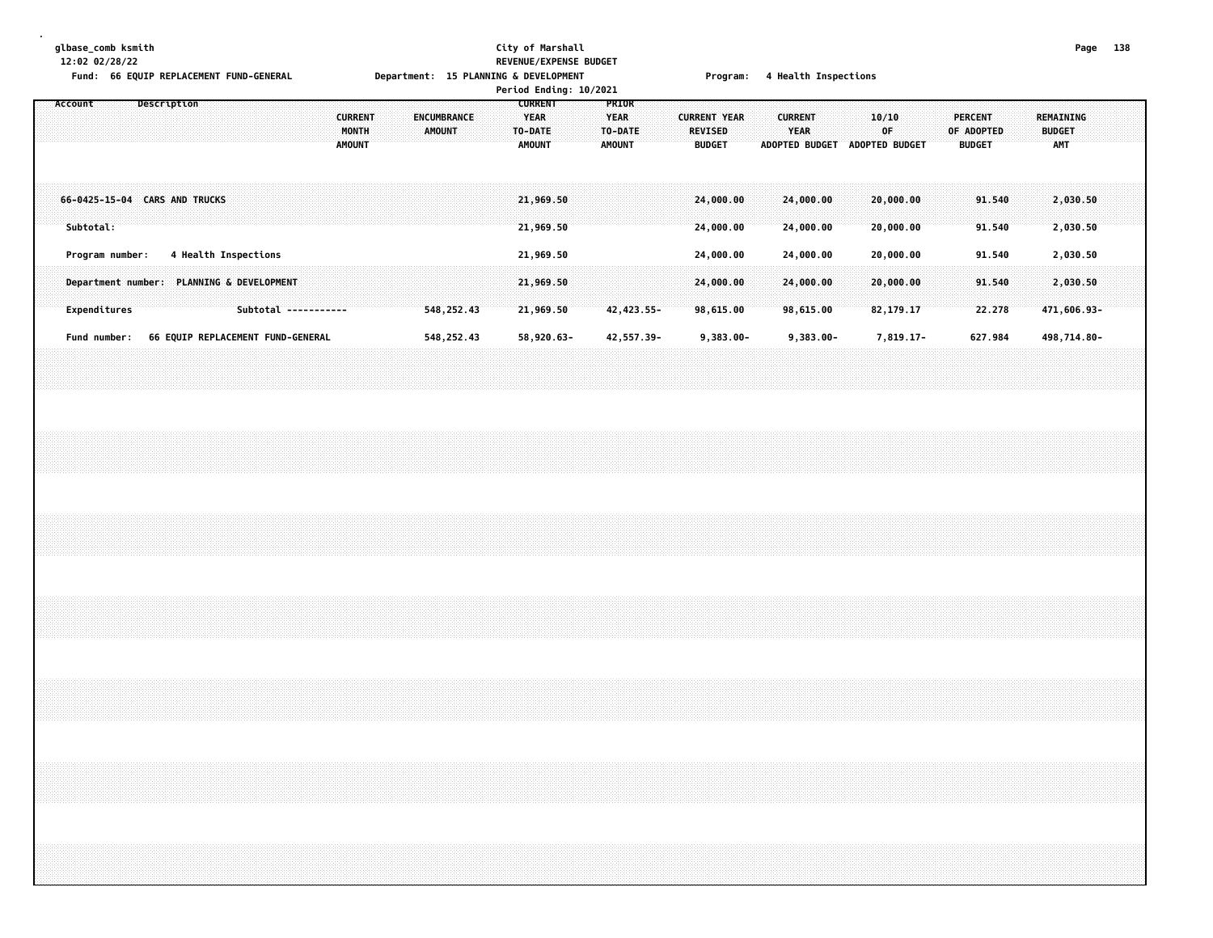### **glbase\_comb ksmith City of Marshall Page 138 12:02 02/28/22 REVENUE/EXPENSE BUDGET** Eund: 66 FOUTD REPLACEMENT FUND-GENERAL MANUS Denartment: 15 PLANNTNG & DEVELOPMENT Program: 4 Health Inspecti

|         | FUND: OD EQUIP REPLACEMENT FUND-GENERAL |                                           |             |  |                      |                                                           |  |                                          |  |               | Department: 15 PLANNING & DEVELOPMENT |  |                                                           | Period Ending: 10/2021 |                                                  |                           |                     |                                 |  |                               | Program: 4 Health Inspections |       |                          |  |                                        |                   |                            |                            |  |  |
|---------|-----------------------------------------|-------------------------------------------|-------------|--|----------------------|-----------------------------------------------------------|--|------------------------------------------|--|---------------|---------------------------------------|--|-----------------------------------------------------------|------------------------|--------------------------------------------------|---------------------------|---------------------|---------------------------------|--|-------------------------------|-------------------------------|-------|--------------------------|--|----------------------------------------|-------------------|----------------------------|----------------------------|--|--|
| Account |                                         |                                           | Description |  |                      |                                                           |  | <b>CURRENT</b><br>MONTH<br><b>AMOUNT</b> |  | <b>AMOUNT</b> | ENCUMBRANCE                           |  | <b>CURRENT</b><br><b>YEAR</b><br>TO-DATE<br><b>AMOUNT</b> |                        | PRIOR<br><b>YEAR</b><br>TO-DATE<br><b>AMOUNT</b> |                           | <b>CURRENT YEAR</b> | <b>REVISED</b><br><b>BUDGET</b> |  | <b>CURRENT</b><br><b>YEAR</b> | ADOPTED BUDGET ADOPTED BUDGET | 10/10 | 0F.                      |  | PERCENT<br>OF ADOPTED<br><b>BUDGET</b> |                   | REMAINING<br><b>BUDGET</b> | AMT                        |  |  |
|         | Subtotal:                               | 66-0425-15-04 CARS AND TRUCKS             |             |  |                      |                                                           |  |                                          |  |               |                                       |  | 21,969.50<br>21,969.50                                    |                        |                                                  |                           |                     | 24,000.00<br>24,000.00          |  |                               | 24,000.00<br>24,000.00        |       | 20,000.00<br>20,000.00   |  |                                        | 91.540<br>91.540  |                            | 2,030.50<br>2,030.50       |  |  |
|         |                                         | Program number:                           |             |  | 4 Health Inspections |                                                           |  |                                          |  |               |                                       |  | 21,969.50                                                 |                        |                                                  |                           |                     | 24,000.00                       |  |                               | 24,000.00                     |       | 20,000.00                |  |                                        | 91.540            |                            | 2,030.50                   |  |  |
|         |                                         | Department number: PLANNING & DEVELOPMENT |             |  |                      |                                                           |  |                                          |  |               |                                       |  | 21,969.50                                                 |                        |                                                  |                           |                     | 24,000.00                       |  |                               | 24,000.00                     |       | 20,000.00                |  |                                        | 91.540            |                            | 2,030.50                   |  |  |
|         | Expenditures<br>Fund number:            |                                           |             |  |                      | Subtotal -----------<br>66 EQUIP REPLACEMENT FUND-GENERAL |  |                                          |  |               | 548,252.43<br>548, 252.43             |  | 21,969.50<br>58,920.63-                                   |                        |                                                  | 42, 423.55-<br>42,557.39- |                     | 98,615.00<br>$9,383.00 -$       |  |                               | 98,615.00<br>$9,383.00 -$     |       | 82, 179. 17<br>7,819.17- |  |                                        | 22.278<br>627.984 |                            | 471,606.93-<br>498,714.80- |  |  |
|         |                                         |                                           |             |  |                      |                                                           |  |                                          |  |               |                                       |  |                                                           |                        |                                                  |                           |                     |                                 |  |                               |                               |       |                          |  |                                        |                   |                            |                            |  |  |
|         |                                         |                                           |             |  |                      |                                                           |  |                                          |  |               |                                       |  |                                                           |                        |                                                  |                           |                     |                                 |  |                               |                               |       |                          |  |                                        |                   |                            |                            |  |  |
|         |                                         |                                           |             |  |                      |                                                           |  |                                          |  |               |                                       |  |                                                           |                        |                                                  |                           |                     |                                 |  |                               |                               |       |                          |  |                                        |                   |                            |                            |  |  |
|         |                                         |                                           |             |  |                      |                                                           |  |                                          |  |               |                                       |  |                                                           |                        |                                                  |                           |                     |                                 |  |                               |                               |       |                          |  |                                        |                   |                            |                            |  |  |
|         |                                         |                                           |             |  |                      |                                                           |  |                                          |  |               |                                       |  |                                                           |                        |                                                  |                           |                     |                                 |  |                               |                               |       |                          |  |                                        |                   |                            |                            |  |  |
|         |                                         |                                           |             |  |                      |                                                           |  |                                          |  |               |                                       |  |                                                           |                        |                                                  |                           |                     |                                 |  |                               |                               |       |                          |  |                                        |                   |                            |                            |  |  |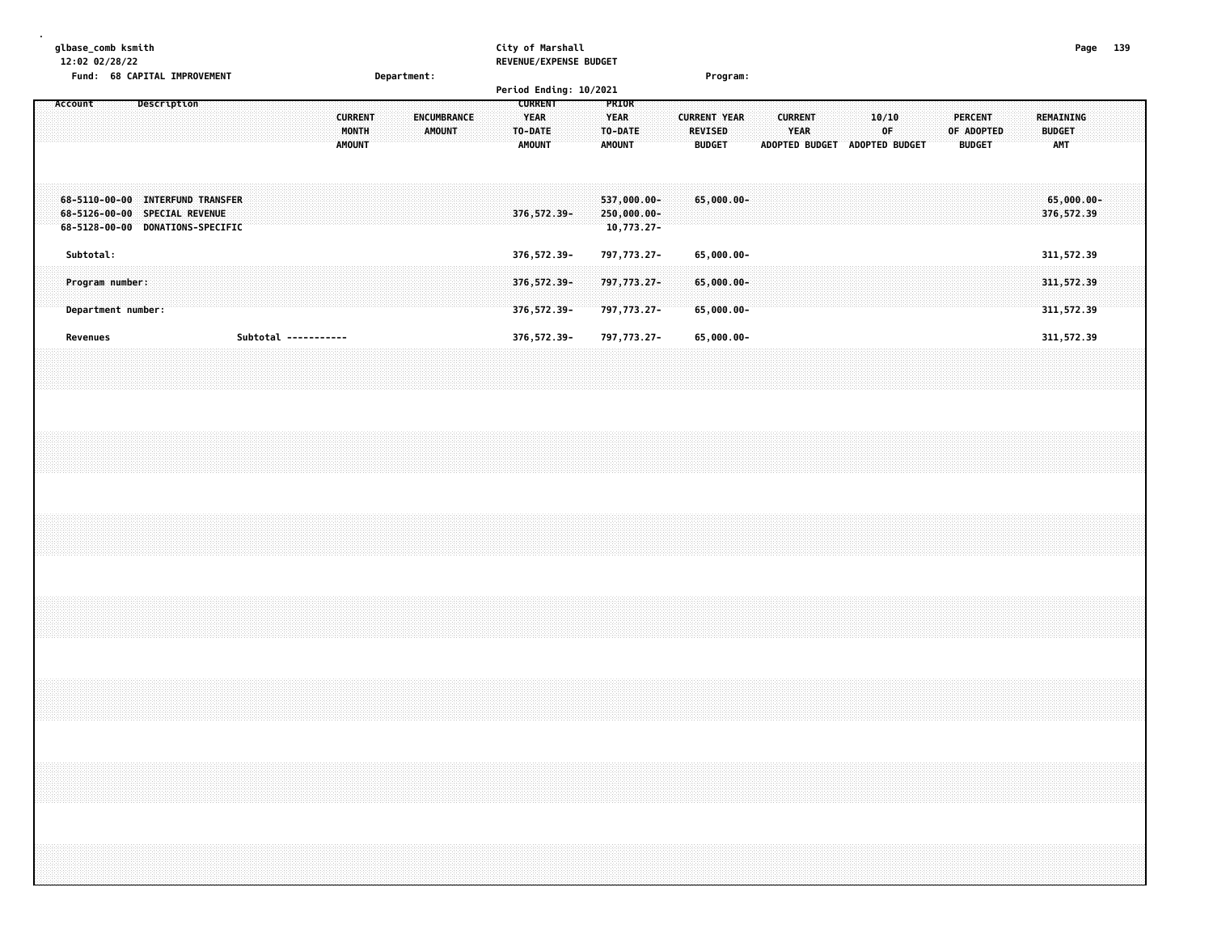| glbase_comb ksmith<br>12:02 02/28/22 | Fund: 68 CAPITAL IMPROVEMENT                                                                          |                                          | Department:                  | City of Marshall<br>REVENUE/EXPENSE BUDGET<br>Period Ending: 10/2021                                           | Program:                                                                                |                                                                                               | Page 139                                 |  |
|--------------------------------------|-------------------------------------------------------------------------------------------------------|------------------------------------------|------------------------------|----------------------------------------------------------------------------------------------------------------|-----------------------------------------------------------------------------------------|-----------------------------------------------------------------------------------------------|------------------------------------------|--|
| Account                              | Description                                                                                           | <b>CURRENT</b><br>MONTH<br><b>AMOUNT</b> | ENCUMBRANCE<br><b>AMOUNT</b> | <b>CURRENT</b><br>PRIOR<br><b>YEAR</b><br><b>YEAR</b><br>TO-DATE:<br>TO-DATE<br><b>AMOUNT</b><br><b>AMOUNT</b> | <b>CURRENT YEAR</b><br><b>CURRENT</b><br><b>YEAR</b><br><b>REVISED</b><br><b>BUDGET</b> | 10/10<br><b>PERCENT</b><br>0F<br>OF ADOPTED<br><b>BUDGET</b><br>ADOPTED BUDGET ADOPTED BUDGET | REMAINING<br><b>BUDGET</b><br><b>AMT</b> |  |
|                                      | 68-5110-00-00 INTERFUND TRANSFER<br>68-5126-00-00 SPECIAL REVENUE<br>68-5128-00-00 DONATIONS-SPECIFIC |                                          |                              | 537,000.00-<br>376, 572.39-<br>$250,000.00 -$<br>10,773.27-                                                    | 65,000.00-                                                                              |                                                                                               | $65,000.00 -$<br>376,572.39              |  |
| Subtotal:                            |                                                                                                       |                                          |                              | 376, 572.39-<br>797,773.27-                                                                                    | 65,000.00-                                                                              |                                                                                               | 311,572.39                               |  |
| Program number:                      |                                                                                                       |                                          |                              | 376, 572.39-<br>797,773.27-                                                                                    | $65,000.00 -$                                                                           |                                                                                               | 311, 572.39                              |  |
| Department number:<br>Revenues       |                                                                                                       | Subtotal -----------                     |                              | 797,773.27-<br>376, 572.39-<br>376, 572.39-<br>797,773.27-                                                     | 65,000.00-<br>65,000.00-                                                                |                                                                                               | 311,572.39<br>311,572.39                 |  |
|                                      |                                                                                                       |                                          |                              |                                                                                                                |                                                                                         |                                                                                               |                                          |  |
|                                      |                                                                                                       |                                          |                              |                                                                                                                |                                                                                         |                                                                                               |                                          |  |
|                                      |                                                                                                       |                                          |                              |                                                                                                                |                                                                                         |                                                                                               |                                          |  |
|                                      |                                                                                                       |                                          |                              |                                                                                                                |                                                                                         |                                                                                               |                                          |  |
|                                      |                                                                                                       |                                          |                              |                                                                                                                |                                                                                         |                                                                                               |                                          |  |
|                                      |                                                                                                       |                                          |                              |                                                                                                                |                                                                                         | ,我们的人们都会不会不会。""你们的人们,你们的人们就会不会不会不会不会不会不会不会不会不会不会不会。""你们的人们就会不会不会不会不会不会不会不会不会不会不会              |                                          |  |
|                                      |                                                                                                       |                                          |                              |                                                                                                                |                                                                                         |                                                                                               |                                          |  |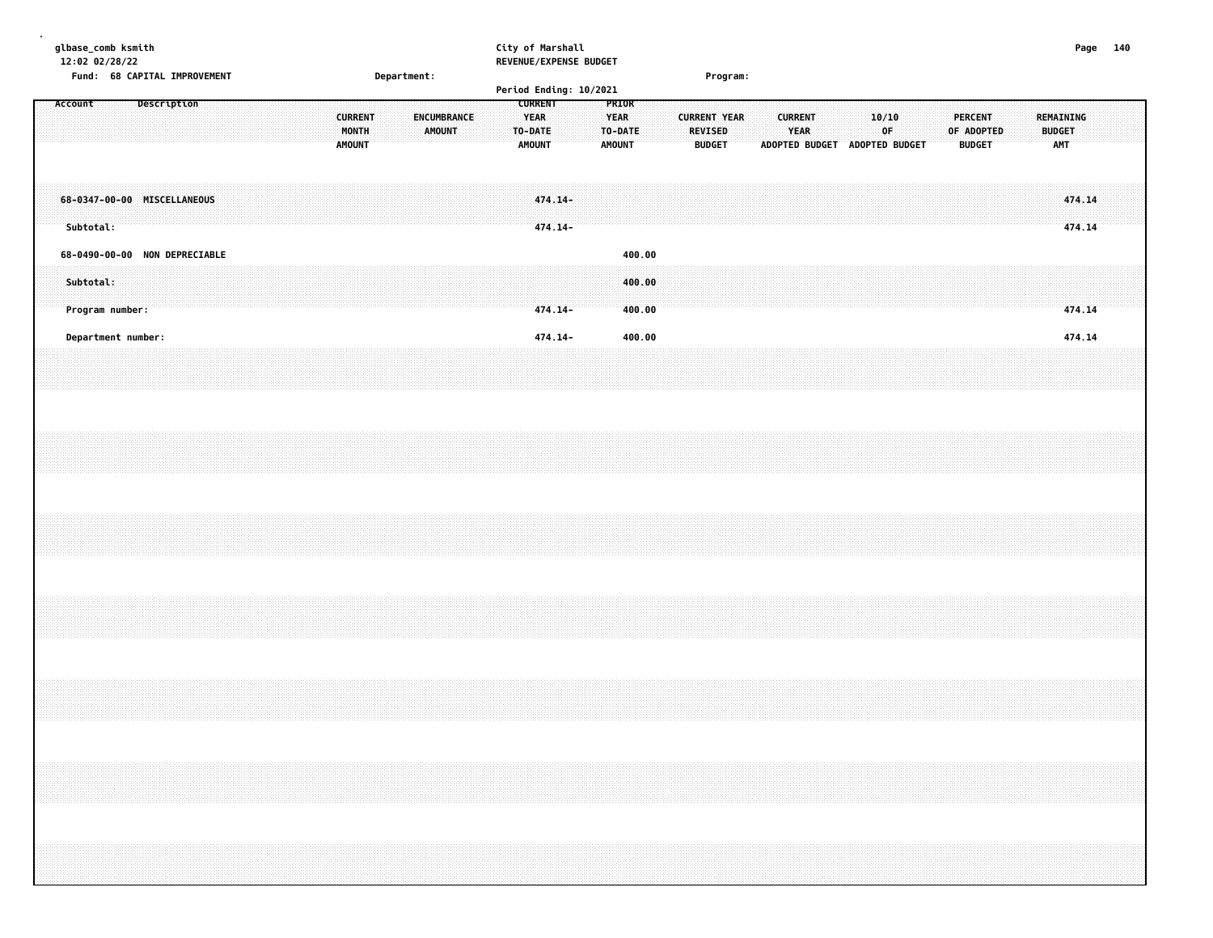| glbase_comb ksmith<br>12:02 02/28/22 |                               |             |  |  |  |                |  |             |             |  | City of Marshall<br>REVENUE/EXPENSE BUDGET |         |  |               |        |  |                |                     |  |                |                       |  |                |  |                |               |  |               |            | Page 140 |  |
|--------------------------------------|-------------------------------|-------------|--|--|--|----------------|--|-------------|-------------|--|--------------------------------------------|---------|--|---------------|--------|--|----------------|---------------------|--|----------------|-----------------------|--|----------------|--|----------------|---------------|--|---------------|------------|----------|--|
|                                      | Fund: 68 CAPITAL IMPROVEMENT  |             |  |  |  |                |  | Department: |             |  |                                            |         |  |               |        |  |                | Program:            |  |                |                       |  |                |  |                |               |  |               |            |          |  |
|                                      |                               |             |  |  |  |                |  |             |             |  | Period Ending: 10/2021                     |         |  |               |        |  |                |                     |  |                |                       |  |                |  |                |               |  |               |            |          |  |
| Account                              |                               | Description |  |  |  |                |  |             |             |  | <b>CURRENT</b>                             |         |  | <b>PRIOR</b>  |        |  |                |                     |  |                |                       |  |                |  |                |               |  |               |            |          |  |
|                                      |                               |             |  |  |  | <b>CURRENT</b> |  |             | ENCUMBRANCE |  | <b>YEAR</b>                                |         |  | <b>YEAR</b>   |        |  |                | <b>CURRENT YEAR</b> |  | <b>CURRENT</b> |                       |  | 10/10          |  | <b>PERCENT</b> |               |  |               | REMAINING  |          |  |
|                                      |                               |             |  |  |  | MONTH          |  |             | AMOUNT      |  | TO-DATE                                    |         |  | TO-DATE       |        |  | <b>REVISED</b> |                     |  |                | YEAR                  |  | 0F             |  | OF ADOPTED     |               |  | <b>BUDGET</b> |            |          |  |
|                                      |                               |             |  |  |  | <b>AMOUNT</b>  |  |             |             |  | <b>AMOUNT</b>                              |         |  | <b>AMOUNT</b> |        |  | <b>BUDGET</b>  |                     |  |                | <b>ADOPTED BUDGET</b> |  | ADOPTED BUDGET |  |                | <b>BUDGET</b> |  |               | <b>AMT</b> |          |  |
|                                      |                               |             |  |  |  |                |  |             |             |  |                                            |         |  |               |        |  |                |                     |  |                |                       |  |                |  |                |               |  |               |            |          |  |
|                                      |                               |             |  |  |  |                |  |             |             |  |                                            |         |  |               |        |  |                |                     |  |                |                       |  |                |  |                |               |  |               |            |          |  |
| 68-0347-00-00 MISCELLANEOUS          |                               |             |  |  |  |                |  |             |             |  |                                            | 474.14- |  |               |        |  |                |                     |  |                |                       |  |                |  |                |               |  |               | 474.14     |          |  |
|                                      |                               |             |  |  |  |                |  |             |             |  |                                            |         |  |               |        |  |                |                     |  |                |                       |  |                |  |                |               |  |               |            |          |  |
| Subtotal:                            |                               |             |  |  |  |                |  |             |             |  |                                            | 474.14- |  |               |        |  |                |                     |  |                |                       |  |                |  |                |               |  |               | 474.14     |          |  |
|                                      | 68-0490-00-00 NON DEPRECIABLE |             |  |  |  |                |  |             |             |  |                                            |         |  |               | 400.00 |  |                |                     |  |                |                       |  |                |  |                |               |  |               |            |          |  |
|                                      |                               |             |  |  |  |                |  |             |             |  |                                            |         |  |               |        |  |                |                     |  |                |                       |  |                |  |                |               |  |               |            |          |  |
| Subtotal:                            |                               |             |  |  |  |                |  |             |             |  |                                            |         |  |               | 400.00 |  |                |                     |  |                |                       |  |                |  |                |               |  |               |            |          |  |
|                                      |                               |             |  |  |  |                |  |             |             |  |                                            |         |  |               |        |  |                |                     |  |                |                       |  |                |  |                |               |  |               |            |          |  |
|                                      | Program number:               |             |  |  |  |                |  |             |             |  |                                            | 474.14- |  |               | 400.00 |  |                |                     |  |                |                       |  |                |  |                |               |  |               | 474.14     |          |  |
|                                      |                               |             |  |  |  |                |  |             |             |  |                                            |         |  |               |        |  |                |                     |  |                |                       |  |                |  |                |               |  |               |            |          |  |
|                                      | Department number:            |             |  |  |  |                |  |             |             |  |                                            | 474.14- |  |               | 400.00 |  |                |                     |  |                |                       |  |                |  |                |               |  |               | 474.14     |          |  |
|                                      |                               |             |  |  |  |                |  |             |             |  |                                            |         |  |               |        |  |                |                     |  |                |                       |  |                |  |                |               |  |               |            |          |  |
|                                      |                               |             |  |  |  |                |  |             |             |  |                                            |         |  |               |        |  |                |                     |  |                |                       |  |                |  |                |               |  |               |            |          |  |
|                                      |                               |             |  |  |  |                |  |             |             |  |                                            |         |  |               |        |  |                |                     |  |                |                       |  |                |  |                |               |  |               |            |          |  |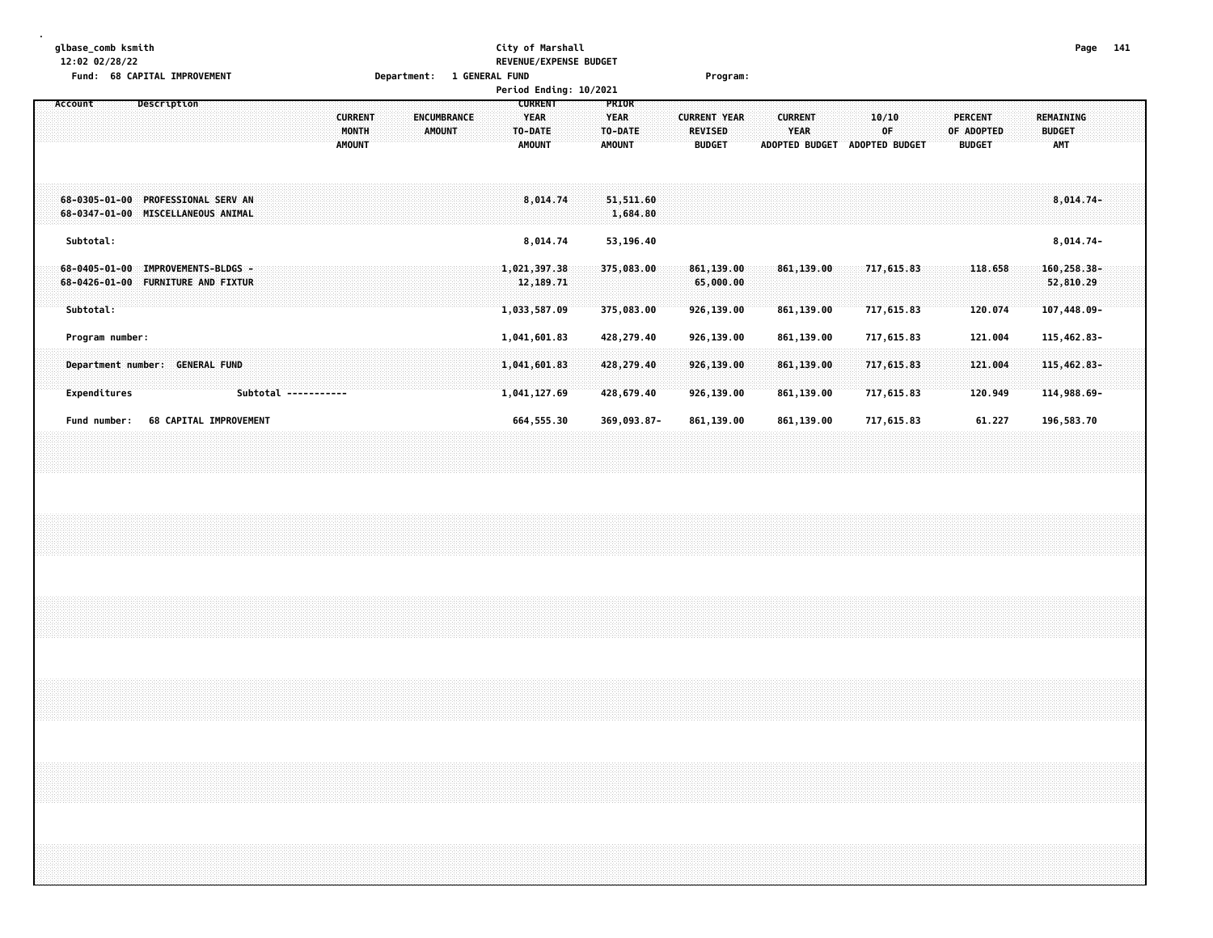| 12:02 02/28/22     | REVENUE/EXPENSE BUDGET        |                      |
|--------------------|-------------------------------|----------------------|
| glbase_comb ksmith | --<br><b>¨ity of Marshall</b> | - - -<br>Page<br>141 |

# **Fund: 68 CAPITAL IMPROVEMENT Department: 1 GENERAL FUND Program:**

|                                                                                                            |                                          | Period Ending: 10/2021                                                                           |                                                                                                            |                                                                                         |                                                                                    |
|------------------------------------------------------------------------------------------------------------|------------------------------------------|--------------------------------------------------------------------------------------------------|------------------------------------------------------------------------------------------------------------|-----------------------------------------------------------------------------------------|------------------------------------------------------------------------------------|
| Description<br>Account                                                                                     | <b>CURRENT</b><br>MONTH<br><b>AMOUNT</b> | <b>CURRENT</b><br><b>ENCUMBRANCE</b><br><b>YEAR</b><br><b>AMOUNT</b><br>TO-DATE<br><b>AMOUNT</b> | <b>PRIOR</b><br><b>YEAR</b><br><b>CURRENT YEAR</b><br>TO-DATE<br><b>REVISED</b><br>AMOUNT<br><b>BUDGET</b> | <b>CURRENT</b><br>10/10<br><b>YEAR</b><br>0F<br><b>ADOPTED BUDGET</b><br>ADOPTED BUDGET | REMAINING<br>PERCENT<br>OF ADOPTED<br><b>BUDGET</b><br><b>AMT</b><br><b>BUDGET</b> |
| <b>PROFESSIONAL SERV AN</b><br>$-68 - 0305 - 01 - 00$<br>MISCELLANEOUS ANIMAL<br>68-0347-01-00             |                                          | 8,014.74                                                                                         | 51,511.60<br>1,684.80                                                                                      |                                                                                         | $8,014.74-$                                                                        |
| Subtotal:                                                                                                  |                                          | 8,014.74                                                                                         | 53,196.40                                                                                                  |                                                                                         | $8,014.74-$                                                                        |
| IMPROVEMENTS-BLDGS -<br>$68 - 0405 - 01 - 00$<br><b>FURNITURE AND FIXTUR</b><br>68-0426-01-00<br>Subtotal: |                                          | 1,021,397.38<br>12,189.71<br>1,033,587.09                                                        | 375,083.00<br>861, 139.00<br>65,000.00<br>375,083.00<br>926,139.00                                         | 861,139.00<br>717,615.83<br>861,139.00<br>717,615.83                                    | $160, 258.38 -$<br>118.658<br>52,810.29<br>107,448.09-<br>120.074                  |
| Program number:                                                                                            |                                          | 1,041,601.83                                                                                     | 428,279.40<br>926,139.00                                                                                   | 861,139.00<br>717,615.83                                                                | 121.004<br>115,462.83-                                                             |
| <b>GENERAL FUND</b><br>Department number:<br><b>Expenditures</b>                                           | Subtotal -----------                     | 1,041,601.83<br>1,041,127.69                                                                     | 428,279.40<br>926,139.00<br>428,679.40<br>926,139.00                                                       | 717,615.83<br>861,139.00<br>861,139.00<br>717,615.83                                    | 115,462.83-<br>121.004<br>120.949<br>114,988.69-                                   |
| <b>68 CAPITAL IMPROVEMENT</b><br>Fund number:                                                              |                                          | 664, 555.30                                                                                      | 369,093.87-<br>861,139.00                                                                                  | 861,139.00<br>717,615.83                                                                | 61.227<br>196,583.70                                                               |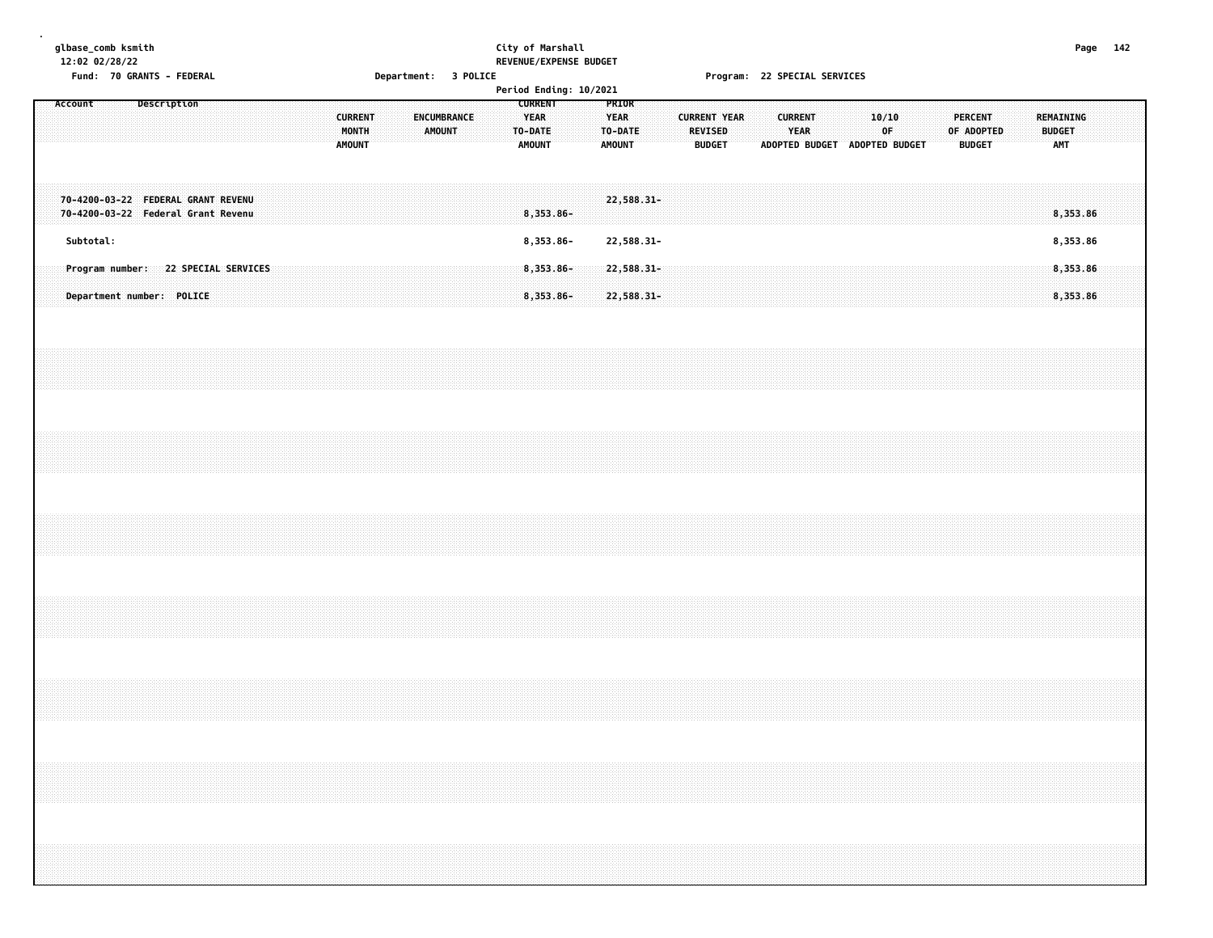| glbase_comb ksmith |  |
|--------------------|--|
| 12.02.021          |  |

# **glbase\_comb ksmith City of Marshall Page 142 12:02 02/28/22 REVENUE/EXPENSE BUDGET**

**Fund: 70 GRANTS - FEDERAL Department: 3 POLICE Program: 22 SPECIAL SERVICES**

| Period Ending: 10/2021<br><b>CURRENT</b><br>Description<br>PRIOR<br>Account<br><b>ENCUMBRANCE</b><br><b>CURRENT YEAR</b> |  |           |  |                                                                          |  |  |  |  |  |                                     |  |  |  |                                          |  |  |        |  |                                         |  |                                         |  |                                 |  |                        |                               |  |             |  |                                 |            |  |                                          |  |  |
|--------------------------------------------------------------------------------------------------------------------------|--|-----------|--|--------------------------------------------------------------------------|--|--|--|--|--|-------------------------------------|--|--|--|------------------------------------------|--|--|--------|--|-----------------------------------------|--|-----------------------------------------|--|---------------------------------|--|------------------------|-------------------------------|--|-------------|--|---------------------------------|------------|--|------------------------------------------|--|--|
|                                                                                                                          |  |           |  |                                                                          |  |  |  |  |  |                                     |  |  |  | <b>CURRENT</b><br>MONTH<br><b>AMOUNT</b> |  |  | AMOUNT |  | <b>YEAR</b><br>TO-DATE<br><b>AMOUNT</b> |  | <b>YEAR</b><br>TO-DATE<br><b>AMOUNT</b> |  | <b>REVISED</b><br><b>BUDGET</b> |  | <b>CURRENT</b><br>YEAR | ADOPTED BUDGET ADOPTED BUDGET |  | 10/10<br>0F |  | <b>PERCENT</b><br><b>BUDGET</b> | OF ADOPTED |  | REMAINING<br><b>BUDGET</b><br><b>AMT</b> |  |  |
|                                                                                                                          |  |           |  | 70-4200-03-22 FEDERAL GRANT REVENU<br>70-4200-03-22 Federal Grant Revenu |  |  |  |  |  |                                     |  |  |  |                                          |  |  |        |  | 8,353.86-                               |  | 22,588.31-                              |  |                                 |  |                        |                               |  |             |  |                                 |            |  | 8,353.86                                 |  |  |
|                                                                                                                          |  | Subtotal: |  |                                                                          |  |  |  |  |  |                                     |  |  |  |                                          |  |  |        |  | 8,353.86-                               |  | 22,588.31-                              |  |                                 |  |                        |                               |  |             |  |                                 |            |  | 8,353.86                                 |  |  |
|                                                                                                                          |  |           |  | Department number: POLICE                                                |  |  |  |  |  | Program number: 22 SPECIAL SERVICES |  |  |  |                                          |  |  |        |  | $8,353.86 -$<br>$8,353.86-$             |  | $22,588.31-$<br>22,588.31-              |  |                                 |  |                        |                               |  |             |  |                                 |            |  | 8,353.86<br>8,353.86                     |  |  |
|                                                                                                                          |  |           |  |                                                                          |  |  |  |  |  |                                     |  |  |  |                                          |  |  |        |  |                                         |  |                                         |  |                                 |  |                        |                               |  |             |  |                                 |            |  |                                          |  |  |
|                                                                                                                          |  |           |  |                                                                          |  |  |  |  |  |                                     |  |  |  |                                          |  |  |        |  |                                         |  |                                         |  |                                 |  |                        |                               |  |             |  |                                 |            |  |                                          |  |  |
|                                                                                                                          |  |           |  |                                                                          |  |  |  |  |  |                                     |  |  |  |                                          |  |  |        |  |                                         |  |                                         |  |                                 |  |                        |                               |  |             |  |                                 |            |  |                                          |  |  |
|                                                                                                                          |  |           |  |                                                                          |  |  |  |  |  |                                     |  |  |  |                                          |  |  |        |  |                                         |  |                                         |  |                                 |  |                        |                               |  |             |  |                                 |            |  |                                          |  |  |
|                                                                                                                          |  |           |  |                                                                          |  |  |  |  |  |                                     |  |  |  |                                          |  |  |        |  |                                         |  |                                         |  |                                 |  |                        |                               |  |             |  |                                 |            |  |                                          |  |  |
|                                                                                                                          |  |           |  |                                                                          |  |  |  |  |  |                                     |  |  |  |                                          |  |  |        |  |                                         |  |                                         |  |                                 |  |                        |                               |  |             |  |                                 |            |  |                                          |  |  |
|                                                                                                                          |  |           |  |                                                                          |  |  |  |  |  |                                     |  |  |  |                                          |  |  |        |  |                                         |  |                                         |  |                                 |  |                        |                               |  |             |  |                                 |            |  |                                          |  |  |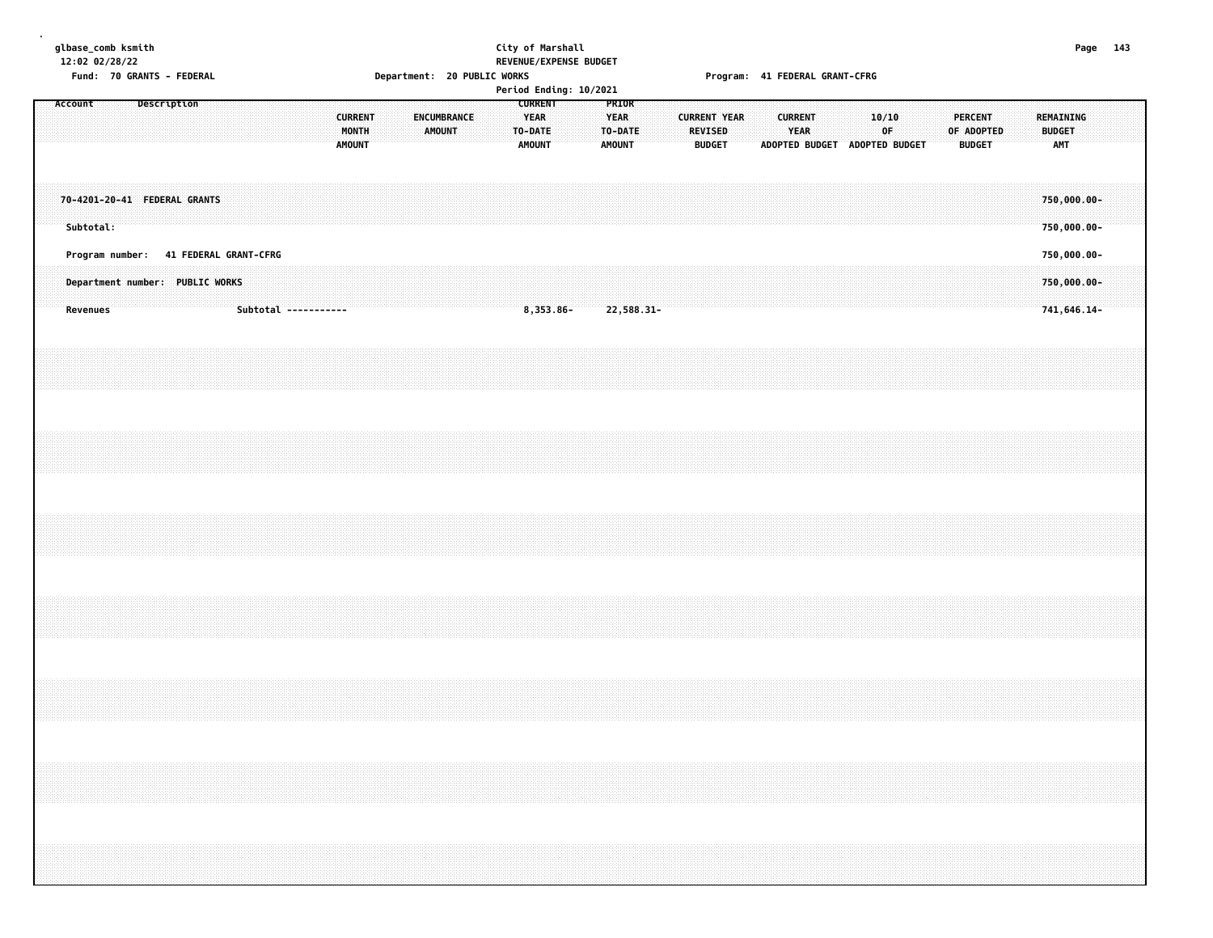| 12:02 02/28/22<br>Fund: 70 GRANTS - FEDERAL<br>Account<br>Description |                                                                                             |  |  |  |  |                      | Department: 20 PUBLIC WORKS |                                          |  |                              | REVENUE/EXPENSE BUDGET<br>Period Ending: 10/2021 |                                                           |              |  |                                                  |  | Program: 41 FEDERAL GRANT-CFRG |                                      |  |                        |  |                               |             |  |                                 |            |  |                                           |  |  |
|-----------------------------------------------------------------------|---------------------------------------------------------------------------------------------|--|--|--|--|----------------------|-----------------------------|------------------------------------------|--|------------------------------|--------------------------------------------------|-----------------------------------------------------------|--------------|--|--------------------------------------------------|--|--------------------------------|--------------------------------------|--|------------------------|--|-------------------------------|-------------|--|---------------------------------|------------|--|-------------------------------------------|--|--|
|                                                                       |                                                                                             |  |  |  |  |                      |                             | <b>CURRENT</b><br>MONTH<br><b>AMOUNT</b> |  | ENCUMBRANCE<br><b>AMOUNT</b> |                                                  | <b>CURRENT</b><br><b>YEAR</b><br>TO-DATE<br><b>AMOUNT</b> |              |  | PRIOR<br><b>YEAR</b><br>TO-DATE<br><b>AMOUNT</b> |  | REVISED                        | <b>CURRENT YEAR</b><br><b>BUDGET</b> |  | <b>CURRENT</b><br>YEAR |  | ADOPTED BUDGET ADOPTED BUDGET | 10/10<br>0F |  | <b>PERCENT</b><br><b>BUDGET</b> | OF ADOPTED |  | REMAINING<br><b>BUDGET</b><br>AMT         |  |  |
|                                                                       | 70-4201-20-41 FEDERAL GRANTS<br>Subtotal:                                                   |  |  |  |  |                      |                             |                                          |  |                              |                                                  |                                                           |              |  |                                                  |  |                                |                                      |  |                        |  |                               |             |  |                                 |            |  | $750,000.00 -$<br>750,000.00-             |  |  |
|                                                                       | Program number: 41 FEDERAL GRANT-CFRG<br>Department number: PUBLIC WORKS<br><b>Revenues</b> |  |  |  |  | Subtotal ----------- |                             |                                          |  |                              |                                                  |                                                           | $8,353.86 -$ |  | 22,588.31-                                       |  |                                |                                      |  |                        |  |                               |             |  |                                 |            |  | 750,000.00-<br>750,000.00-<br>741,646.14- |  |  |
|                                                                       |                                                                                             |  |  |  |  |                      |                             |                                          |  |                              |                                                  |                                                           |              |  |                                                  |  |                                |                                      |  |                        |  |                               |             |  |                                 |            |  |                                           |  |  |
|                                                                       |                                                                                             |  |  |  |  |                      |                             |                                          |  |                              |                                                  |                                                           |              |  |                                                  |  |                                |                                      |  |                        |  |                               |             |  |                                 |            |  |                                           |  |  |
|                                                                       |                                                                                             |  |  |  |  |                      |                             |                                          |  |                              |                                                  |                                                           |              |  |                                                  |  |                                |                                      |  |                        |  |                               |             |  |                                 |            |  |                                           |  |  |
|                                                                       |                                                                                             |  |  |  |  |                      |                             |                                          |  |                              |                                                  |                                                           |              |  |                                                  |  |                                |                                      |  |                        |  |                               |             |  |                                 |            |  |                                           |  |  |
|                                                                       |                                                                                             |  |  |  |  |                      |                             |                                          |  |                              |                                                  |                                                           |              |  |                                                  |  |                                |                                      |  |                        |  |                               |             |  |                                 |            |  |                                           |  |  |
|                                                                       |                                                                                             |  |  |  |  |                      |                             |                                          |  |                              |                                                  |                                                           |              |  |                                                  |  |                                |                                      |  |                        |  |                               |             |  |                                 |            |  |                                           |  |  |
|                                                                       |                                                                                             |  |  |  |  |                      |                             |                                          |  |                              |                                                  |                                                           |              |  |                                                  |  |                                |                                      |  |                        |  |                               |             |  |                                 |            |  |                                           |  |  |

**glbase\_comb ksmith City of Marshall Page 143**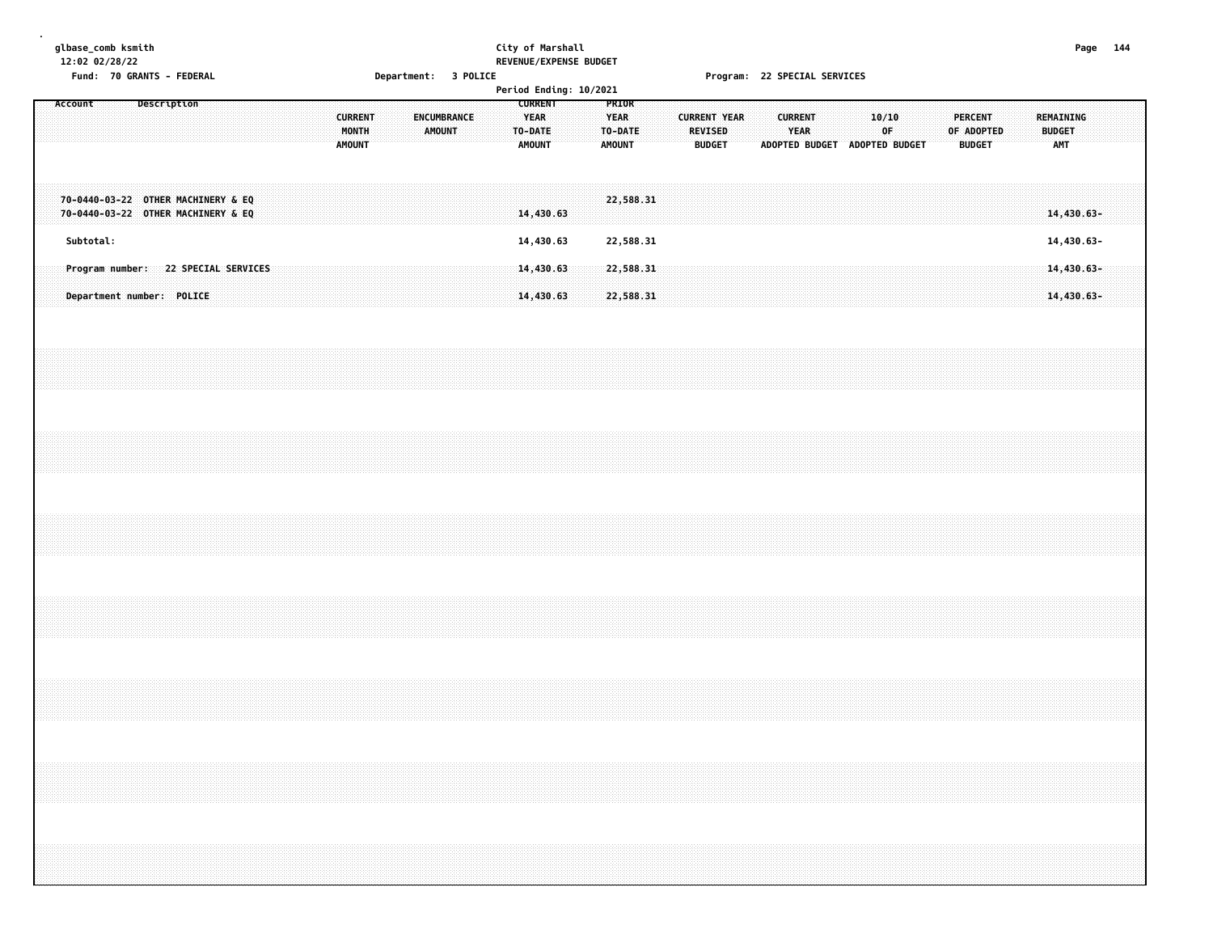| glbase_comb ksmith |  |
|--------------------|--|
| 12.02.021          |  |

# **glbase\_comb ksmith City of Marshall Page 144 12:02 02/28/22 REVENUE/EXPENSE BUDGET**

**Fund: 70 GRANTS - FEDERAL Department: 3 POLICE Program: 22 SPECIAL SERVICES**

| Period Ending: 10/2021<br><b>CURRENT</b><br>Account<br>Description<br>PRIOR<br>YEAR<br><b>CURRENT</b><br>ENCUMBRANCE<br><b>YEAR</b><br><b>CURRENT YEAR</b><br><b>CURRENT</b><br>10/10<br>TO-DATE<br><b>REVISED</b> |                                                                          |           |                           |  |  |  |                                     |  |  |  |  |  |               |  |               |  |               |           |  |                        |  |               |  |                               |      |  |  |    |  |                              |  |                            |                          |  |
|--------------------------------------------------------------------------------------------------------------------------------------------------------------------------------------------------------------------|--------------------------------------------------------------------------|-----------|---------------------------|--|--|--|-------------------------------------|--|--|--|--|--|---------------|--|---------------|--|---------------|-----------|--|------------------------|--|---------------|--|-------------------------------|------|--|--|----|--|------------------------------|--|----------------------------|--------------------------|--|
|                                                                                                                                                                                                                    |                                                                          |           |                           |  |  |  |                                     |  |  |  |  |  | MONTH         |  | <b>AMOUNT</b> |  |               |           |  | TO-DATE                |  |               |  |                               | YEAR |  |  | 0F |  | <b>PERCENT</b><br>OF ADOPTED |  | REMAINING<br><b>BUDGET</b> |                          |  |
|                                                                                                                                                                                                                    |                                                                          |           |                           |  |  |  |                                     |  |  |  |  |  | <b>AMOUNT</b> |  |               |  | <b>AMOUNT</b> |           |  | <b>AMOUNT</b>          |  | <b>BUDGET</b> |  | ADOPTED BUDGET ADOPTED BUDGET |      |  |  |    |  | <b>BUDGET</b>                |  | AMT                        |                          |  |
|                                                                                                                                                                                                                    |                                                                          |           |                           |  |  |  |                                     |  |  |  |  |  |               |  |               |  |               |           |  |                        |  |               |  |                               |      |  |  |    |  |                              |  |                            |                          |  |
|                                                                                                                                                                                                                    | 70-0440-03-22 OTHER MACHINERY & EQ<br>70-0440-03-22 OTHER MACHINERY & EQ |           |                           |  |  |  |                                     |  |  |  |  |  |               |  |               |  |               | 14,430.63 |  | 22,588.31              |  |               |  |                               |      |  |  |    |  |                              |  |                            | 14,430.63-               |  |
|                                                                                                                                                                                                                    |                                                                          | Subtotal: |                           |  |  |  |                                     |  |  |  |  |  |               |  |               |  |               | 14,430.63 |  |                        |  |               |  |                               |      |  |  |    |  |                              |  |                            |                          |  |
|                                                                                                                                                                                                                    |                                                                          |           |                           |  |  |  | Program number: 22 SPECIAL SERVICES |  |  |  |  |  |               |  |               |  |               | 14,430.63 |  | 22,588.31              |  |               |  |                               |      |  |  |    |  |                              |  |                            | 14,430.63-               |  |
|                                                                                                                                                                                                                    |                                                                          |           | Department number: POLICE |  |  |  |                                     |  |  |  |  |  |               |  |               |  |               | 14,430.63 |  | 22,588.31<br>22,588.31 |  |               |  |                               |      |  |  |    |  |                              |  |                            | 14,430.63-<br>14,430.63- |  |
|                                                                                                                                                                                                                    |                                                                          |           |                           |  |  |  |                                     |  |  |  |  |  |               |  |               |  |               |           |  |                        |  |               |  |                               |      |  |  |    |  |                              |  |                            |                          |  |
|                                                                                                                                                                                                                    |                                                                          |           |                           |  |  |  |                                     |  |  |  |  |  |               |  |               |  |               |           |  |                        |  |               |  |                               |      |  |  |    |  |                              |  |                            |                          |  |
|                                                                                                                                                                                                                    |                                                                          |           |                           |  |  |  |                                     |  |  |  |  |  |               |  |               |  |               |           |  |                        |  |               |  |                               |      |  |  |    |  |                              |  |                            |                          |  |
|                                                                                                                                                                                                                    |                                                                          |           |                           |  |  |  |                                     |  |  |  |  |  |               |  |               |  |               |           |  |                        |  |               |  |                               |      |  |  |    |  |                              |  |                            |                          |  |
|                                                                                                                                                                                                                    |                                                                          |           |                           |  |  |  |                                     |  |  |  |  |  |               |  |               |  |               |           |  |                        |  |               |  |                               |      |  |  |    |  |                              |  |                            |                          |  |
|                                                                                                                                                                                                                    |                                                                          |           |                           |  |  |  |                                     |  |  |  |  |  |               |  |               |  |               |           |  |                        |  |               |  |                               |      |  |  |    |  |                              |  |                            |                          |  |
|                                                                                                                                                                                                                    |                                                                          |           |                           |  |  |  |                                     |  |  |  |  |  |               |  |               |  |               |           |  |                        |  |               |  |                               |      |  |  |    |  |                              |  |                            |                          |  |
|                                                                                                                                                                                                                    |                                                                          |           |                           |  |  |  |                                     |  |  |  |  |  |               |  |               |  |               |           |  |                        |  |               |  |                               |      |  |  |    |  |                              |  |                            |                          |  |
|                                                                                                                                                                                                                    |                                                                          |           |                           |  |  |  |                                     |  |  |  |  |  |               |  |               |  |               |           |  |                        |  |               |  |                               |      |  |  |    |  |                              |  |                            |                          |  |
|                                                                                                                                                                                                                    |                                                                          |           |                           |  |  |  |                                     |  |  |  |  |  |               |  |               |  |               |           |  |                        |  |               |  |                               |      |  |  |    |  |                              |  |                            |                          |  |
|                                                                                                                                                                                                                    |                                                                          |           |                           |  |  |  |                                     |  |  |  |  |  |               |  |               |  |               |           |  |                        |  |               |  |                               |      |  |  |    |  |                              |  |                            |                          |  |
|                                                                                                                                                                                                                    |                                                                          |           |                           |  |  |  |                                     |  |  |  |  |  |               |  |               |  |               |           |  |                        |  |               |  |                               |      |  |  |    |  |                              |  |                            |                          |  |
|                                                                                                                                                                                                                    |                                                                          |           |                           |  |  |  |                                     |  |  |  |  |  |               |  |               |  |               |           |  |                        |  |               |  |                               |      |  |  |    |  |                              |  |                            |                          |  |
|                                                                                                                                                                                                                    |                                                                          |           |                           |  |  |  |                                     |  |  |  |  |  |               |  |               |  |               |           |  |                        |  |               |  |                               |      |  |  |    |  |                              |  |                            |                          |  |
|                                                                                                                                                                                                                    |                                                                          |           |                           |  |  |  |                                     |  |  |  |  |  |               |  |               |  |               |           |  |                        |  |               |  |                               |      |  |  |    |  |                              |  |                            |                          |  |
|                                                                                                                                                                                                                    |                                                                          |           |                           |  |  |  |                                     |  |  |  |  |  |               |  |               |  |               |           |  |                        |  |               |  |                               |      |  |  |    |  |                              |  |                            |                          |  |
|                                                                                                                                                                                                                    |                                                                          |           |                           |  |  |  |                                     |  |  |  |  |  |               |  |               |  |               |           |  |                        |  |               |  |                               |      |  |  |    |  |                              |  |                            |                          |  |
|                                                                                                                                                                                                                    |                                                                          |           |                           |  |  |  |                                     |  |  |  |  |  |               |  |               |  |               |           |  |                        |  |               |  |                               |      |  |  |    |  |                              |  |                            |                          |  |
|                                                                                                                                                                                                                    |                                                                          |           |                           |  |  |  |                                     |  |  |  |  |  |               |  |               |  |               |           |  |                        |  |               |  |                               |      |  |  |    |  |                              |  |                            |                          |  |
|                                                                                                                                                                                                                    |                                                                          |           |                           |  |  |  |                                     |  |  |  |  |  |               |  |               |  |               |           |  |                        |  |               |  |                               |      |  |  |    |  |                              |  |                            |                          |  |
|                                                                                                                                                                                                                    |                                                                          |           |                           |  |  |  |                                     |  |  |  |  |  |               |  |               |  |               |           |  |                        |  |               |  |                               |      |  |  |    |  |                              |  |                            |                          |  |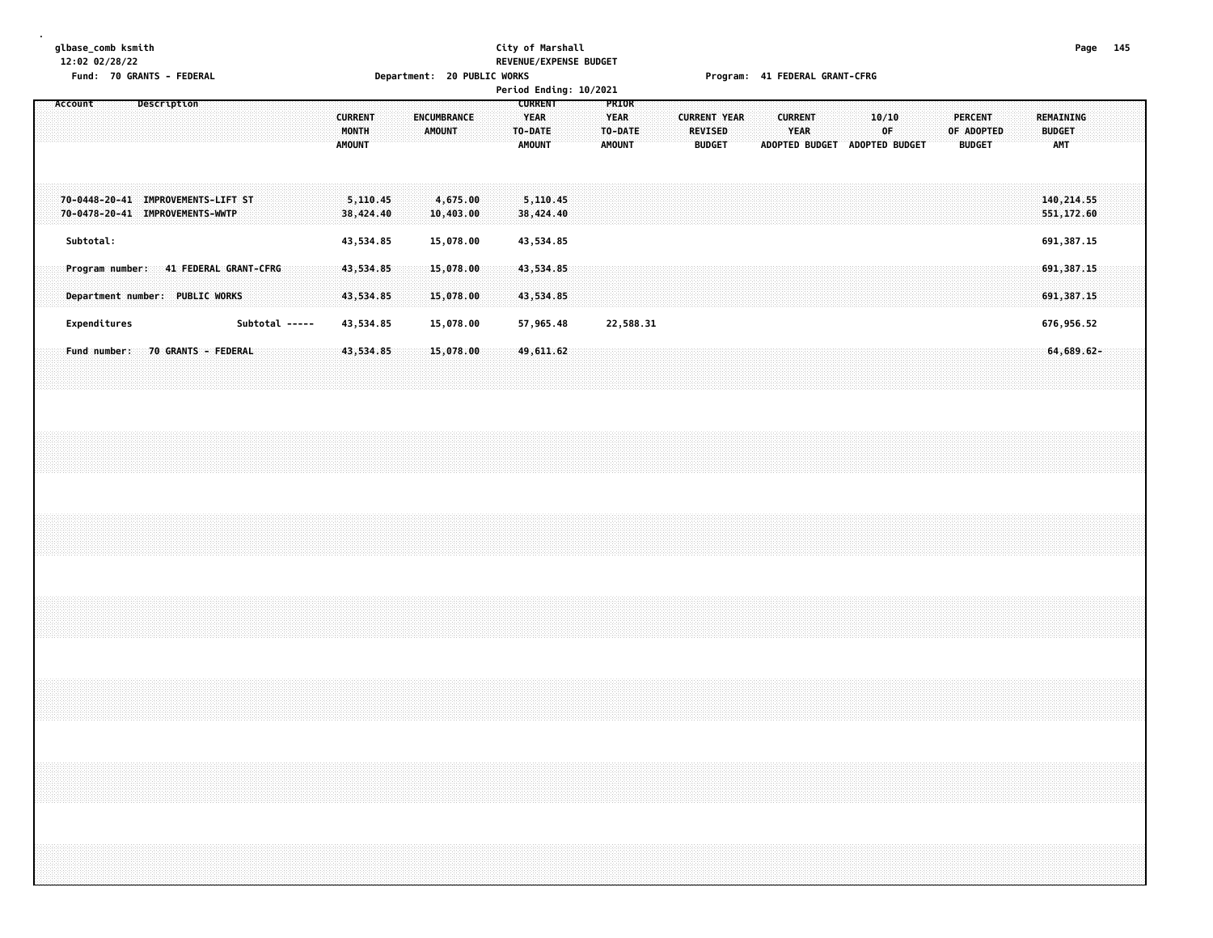#### **glbase\_comb ksmith City of Marshall Page 145 12:02 02/28/22 REVENUE/EXPENSE BUDGET** Fund: 70 GRANTS - FEDERAL Department: 20 PUBLIC WORKS Program: 41 FEDERAL GRANT-CFRG

|                                                                       |                       |                                          |                                     | Period Ending: 10/2021                                    |                                                  |                                                                                                           |                                                                                       |                                                 |
|-----------------------------------------------------------------------|-----------------------|------------------------------------------|-------------------------------------|-----------------------------------------------------------|--------------------------------------------------|-----------------------------------------------------------------------------------------------------------|---------------------------------------------------------------------------------------|-------------------------------------------------|
| Description<br>Account                                                |                       | <b>CURRENT</b><br>MONTH<br><b>AMOUNT</b> | <b>ENCUMBRANCE</b><br><b>AMOUNT</b> | <b>CURRENT</b><br><b>YEAR</b><br>TO-DATE<br><b>AMOUNT</b> | <b>PRIOR</b><br><b>YEAR</b><br>TO-DATE<br>AMOUNT | <b>CURRENT YEAR</b><br><b>CURRENT</b><br>YEAR<br><b>REVISED</b><br><b>BUDGET</b><br><b>ADOPTED BUDGET</b> | <b>PERCENT</b><br>10/10<br>OF<br>OF ADOPTED<br><b>ADOPTED BUDGET</b><br><b>BUDGET</b> | <b>REMAINING</b><br><b>BUDGET</b><br><b>AMT</b> |
| 70-0448-20-41 IMPROVEMENTS-LIFT ST<br>70-0478-20-41 IMPROVEMENTS-WWTP |                       | 5,110.45<br>38,424.40                    | 4,675.00<br>10,403.00               | 5,110.45<br>38,424.40                                     |                                                  |                                                                                                           |                                                                                       | 140, 214.55<br>551,172.60                       |
| Subtotal:<br>Program number:                                          | 41 FEDERAL GRANT-CFRG | 43,534.85<br>43,534.85                   | 15,078.00<br>15,078.00              | 43,534.85<br>43,534.85                                    |                                                  |                                                                                                           |                                                                                       | 691,387.15<br>691, 387.15                       |
| Department number: PUBLIC WORKS<br>Expenditures                       | Subtotal -----        | 43,534.85<br>43,534.85                   | 15,078.00<br>15,078.00              | 43,534.85<br>57,965.48                                    | 22,588.31                                        |                                                                                                           |                                                                                       | 691,387.15<br>676,956.52                        |
| 70 GRANTS - FEDERAL<br>Fund number:                                   |                       | 43,534.85                                | 15,078.00                           | 49,611.62                                                 |                                                  |                                                                                                           |                                                                                       | 64,689.62-                                      |
|                                                                       |                       |                                          |                                     |                                                           |                                                  |                                                                                                           |                                                                                       |                                                 |
|                                                                       |                       |                                          |                                     |                                                           |                                                  |                                                                                                           |                                                                                       |                                                 |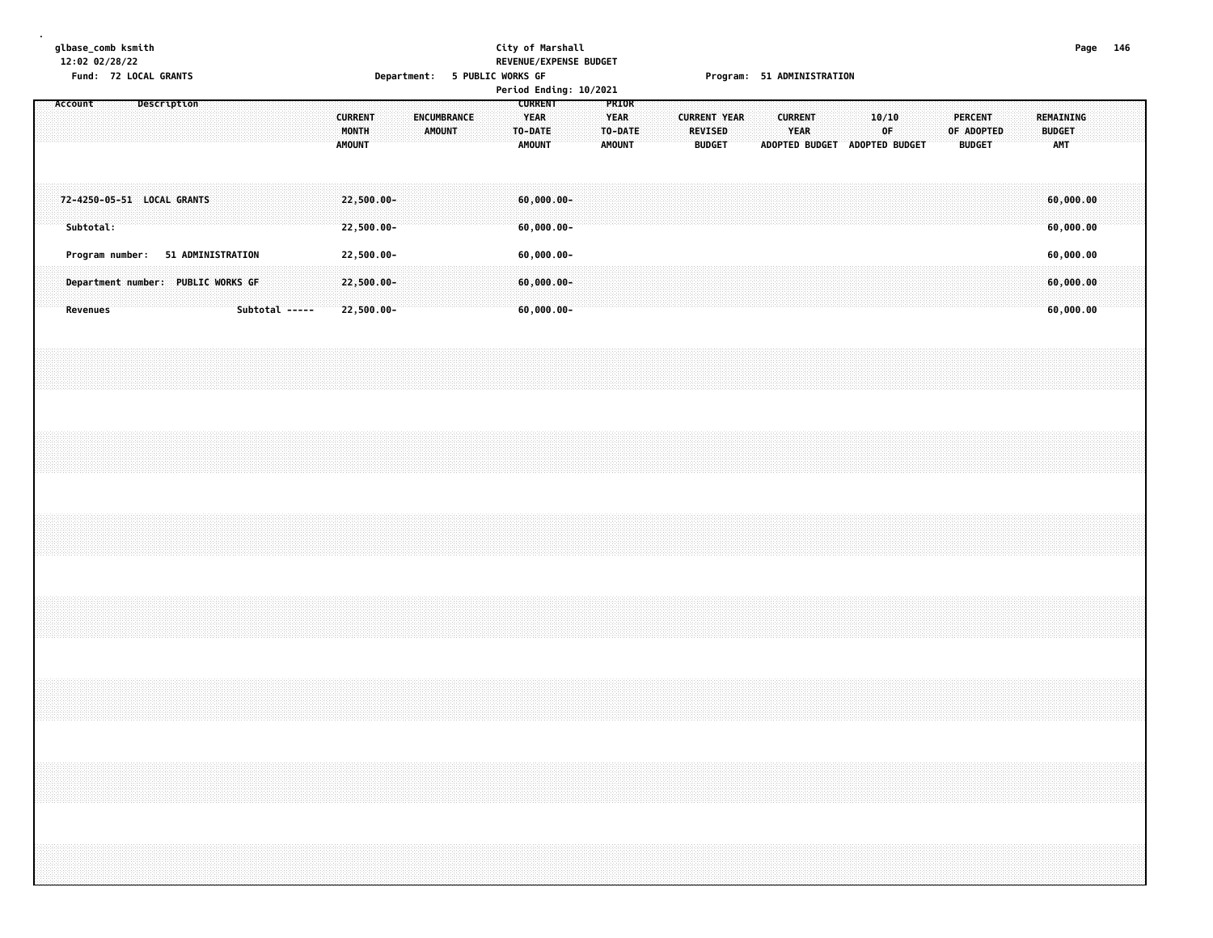## **glbase\_comb ksmith City of Marshall Page 146 12:02 02/28/22 REVENUE/EXPENSE BUDGET**

|                                         |                 |  | Fund: 72 LOCAL GRANTS                                                   |  |                |  |                                          | Department: 5 PUBLIC WORKS GF |                       |  |         |                                                 | Period Ending: 10/2021 |                                |         |  |                                                        |  |                               | Program: 51 ADMINISTRATION    |             |  |                                               |  |               |                                     |  |  |
|-----------------------------------------|-----------------|--|-------------------------------------------------------------------------|--|----------------|--|------------------------------------------|-------------------------------|-----------------------|--|---------|-------------------------------------------------|------------------------|--------------------------------|---------|--|--------------------------------------------------------|--|-------------------------------|-------------------------------|-------------|--|-----------------------------------------------|--|---------------|-------------------------------------|--|--|
| Account                                 |                 |  | Description                                                             |  |                |  | <b>CURRENT</b><br><b>MONTH</b><br>AMOUNT |                               | ENCUMBRANCE<br>AMOUNT |  | TO-DATE | <b>CURRENT</b><br><b>YEAR</b><br>AMOUNT         |                        | PRIOR<br>YEAR<br><b>AMOUNT</b> | TO-DATE |  | <b>CURRENT YEAR</b><br><b>REVISED</b><br><b>BUDGET</b> |  | <b>CURRENT</b><br><b>YEAR</b> | ADOPTED BUDGET ADOPTED BUDGET | 10/10<br>0F |  | <b>PERCENT</b><br>OF ADOPTED<br><b>BUDGET</b> |  | <b>BUDGET</b> | REMAINING<br><b>AMT</b>             |  |  |
| 72-4250-05-51 LOCAL GRANTS<br>Subtotal: |                 |  |                                                                         |  |                |  | 22,500.00-<br>22,500.00-                 |                               |                       |  |         | $60,000.00 -$<br>$60,000.00 -$                  |                        |                                |         |  |                                                        |  |                               |                               |             |  |                                               |  |               | 60,000.00<br>60,000.00              |  |  |
|                                         | <b>Revenues</b> |  | Program number: 51 ADMINISTRATION<br>Department number: PUBLIC WORKS GF |  | Subtotal ----- |  | 22,500.00-<br>22,500.00-<br>22,500.00-   |                               |                       |  |         | $60,000.00 -$<br>$60,000.00 -$<br>$60,000.00 -$ |                        |                                |         |  |                                                        |  |                               |                               |             |  |                                               |  |               | 60,000.00<br>60,000.00<br>60,000.00 |  |  |
|                                         |                 |  |                                                                         |  |                |  |                                          |                               |                       |  |         |                                                 |                        |                                |         |  |                                                        |  |                               |                               |             |  |                                               |  |               |                                     |  |  |
|                                         |                 |  |                                                                         |  |                |  |                                          |                               |                       |  |         |                                                 |                        |                                |         |  |                                                        |  |                               |                               |             |  |                                               |  |               |                                     |  |  |
|                                         |                 |  |                                                                         |  |                |  |                                          |                               |                       |  |         |                                                 |                        |                                |         |  |                                                        |  |                               |                               |             |  |                                               |  |               |                                     |  |  |
|                                         |                 |  |                                                                         |  |                |  |                                          |                               |                       |  |         |                                                 |                        |                                |         |  |                                                        |  |                               |                               |             |  |                                               |  |               |                                     |  |  |
|                                         |                 |  |                                                                         |  |                |  |                                          |                               |                       |  |         |                                                 |                        |                                |         |  |                                                        |  |                               |                               |             |  |                                               |  |               |                                     |  |  |
|                                         |                 |  |                                                                         |  |                |  |                                          |                               |                       |  |         |                                                 |                        |                                |         |  |                                                        |  |                               |                               |             |  |                                               |  |               |                                     |  |  |
|                                         |                 |  |                                                                         |  |                |  |                                          |                               |                       |  |         |                                                 |                        |                                |         |  |                                                        |  |                               |                               |             |  |                                               |  |               |                                     |  |  |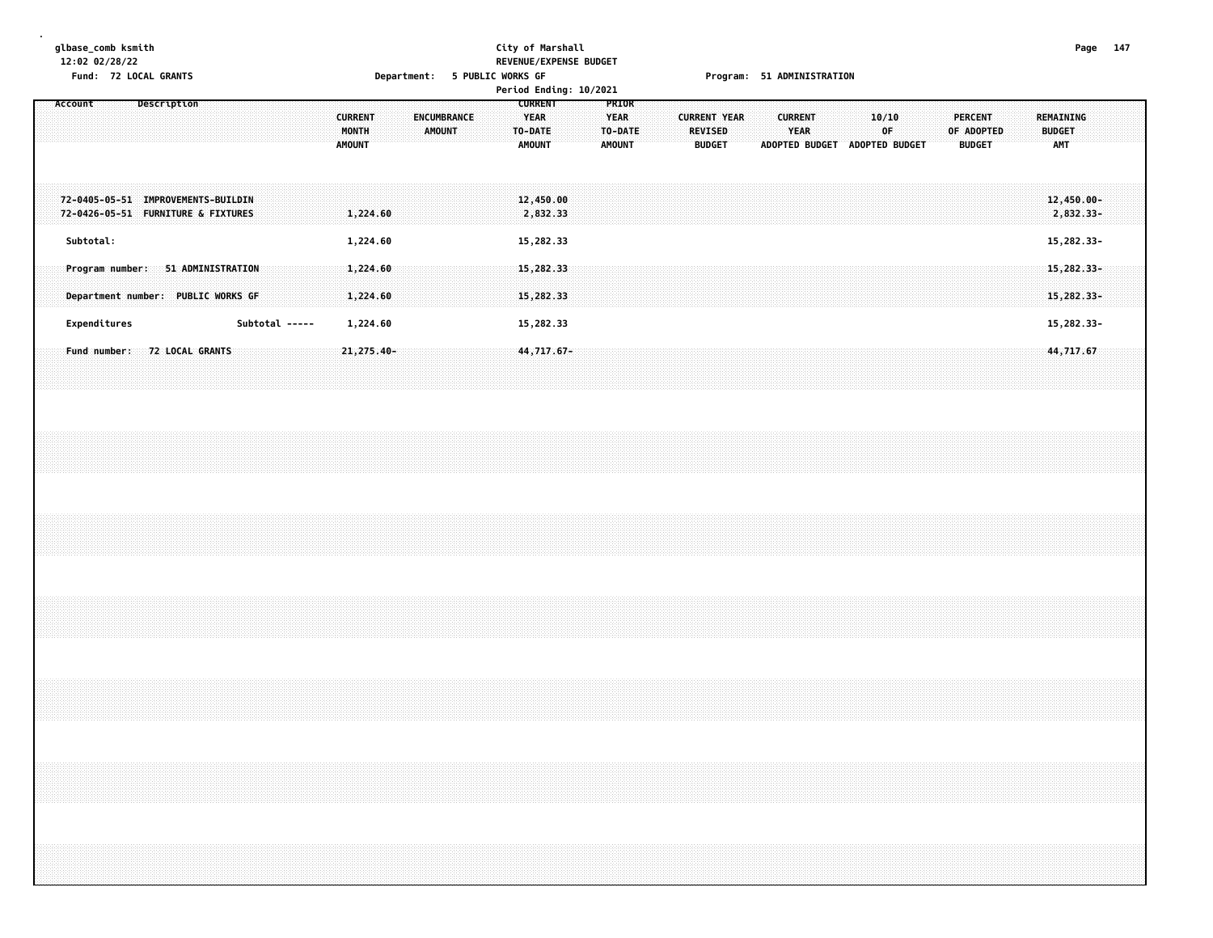#### **glbase\_comb ksmith City of Marshall Page 147 12:02 02/28/22 REVENUE/EXPENSE BUDGET Fund: 72 LOCAL GRANTS Department: 5 PUBLIC WORKS GF Program: 51 ADMINISTRATION**

| FUIIU. IZ LUCAL UNANIS                                                     | Department. 3 LODETC MOUNS ALL                                           |                                                                                    | LINNISTURI 3T WALIMINISTANITAM                                                                                                                                                                                                   |
|----------------------------------------------------------------------------|--------------------------------------------------------------------------|------------------------------------------------------------------------------------|----------------------------------------------------------------------------------------------------------------------------------------------------------------------------------------------------------------------------------|
| <b>Description</b><br>Account                                              |                                                                          | Period Ending: 10/2021<br><b>CURRENT</b><br>PRIOR                                  |                                                                                                                                                                                                                                  |
|                                                                            | <b>CURRENT</b><br><b>ENCUMBRANCE</b><br>MONTH<br>AMOUNT<br><b>AMOUNT</b> | <b>YEAR</b><br><b>YEAR</b><br>TO-DATE<br>TO-DATE<br><b>AMOUNT</b><br><b>AMOUNT</b> | <b>CURRENT YEAR</b><br>10/10<br><b>PERCENT</b><br>REMAINING<br><b>CURRENT</b><br><b>YEAR</b><br>0F<br>REVISED<br>OF ADOPTED<br><b>BUDGET</b><br><b>BUDGET</b><br>ADOPTED BUDGET<br>ADOPTED BUDGET<br><b>BUDGET</b><br><b>AMT</b> |
| 72-0405-05-51 IMPROVEMENTS-BUILDIN<br>72-0426-05-51 FURNITURE & FIXTURES   | 1,224.60                                                                 | 12,450.00<br>2,832.33                                                              | 12,450.00-<br>2,832.33-                                                                                                                                                                                                          |
| Subtotal:                                                                  | 1,224.60                                                                 | 15,282.33                                                                          | 15,282.33-                                                                                                                                                                                                                       |
| 51 ADMINISTRATION<br>Program number:<br>Department number: PUBLIC WORKS GF | 1,224.60<br>1,224.60                                                     | 15,282.33<br>15,282.33                                                             | $15,282.33 -$<br>15, 282.33-                                                                                                                                                                                                     |
| Subtotal -----<br>Expenditures                                             | 1,224.60                                                                 | 15,282.33                                                                          | 15,282.33-                                                                                                                                                                                                                       |
| Fund number: 72 LOCAL GRANTS                                               | $21,275.40 -$                                                            | 44,717.67-                                                                         | 44,717.67                                                                                                                                                                                                                        |
|                                                                            |                                                                          |                                                                                    |                                                                                                                                                                                                                                  |
|                                                                            |                                                                          |                                                                                    |                                                                                                                                                                                                                                  |
|                                                                            |                                                                          |                                                                                    |                                                                                                                                                                                                                                  |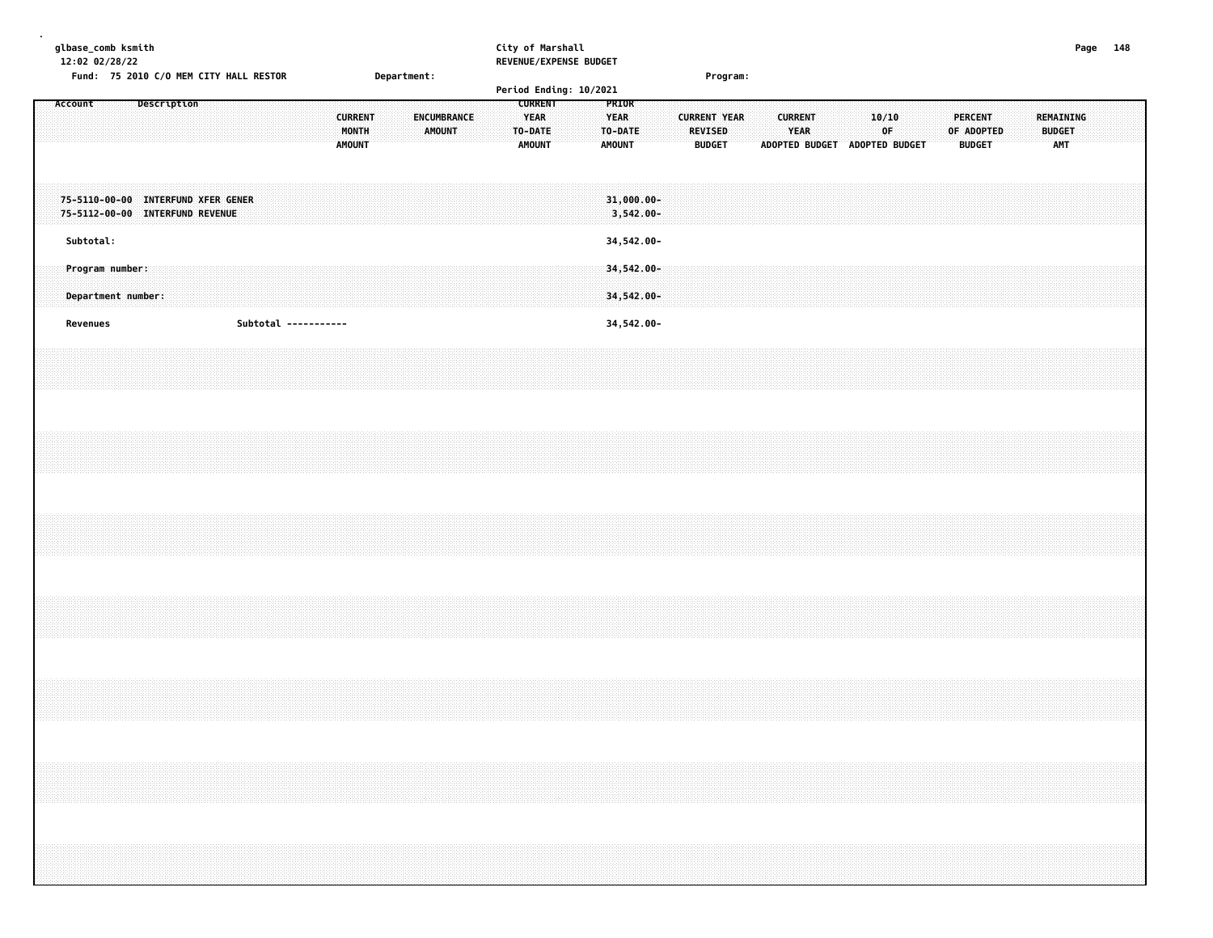|  |         | glbase_comb ksmith<br>12:02 02/28/22 |  |                    |             |                                                                       |                                        |  |  |                                          |             |                              |  |  | City of Marshall                                          | REVENUE/EXPENSE BUDGET |                                                  |                               |  |                                                 |          |  |                        |  |                                              |  |  |                                               |  |                                   | Page 148 |  |
|--|---------|--------------------------------------|--|--------------------|-------------|-----------------------------------------------------------------------|----------------------------------------|--|--|------------------------------------------|-------------|------------------------------|--|--|-----------------------------------------------------------|------------------------|--------------------------------------------------|-------------------------------|--|-------------------------------------------------|----------|--|------------------------|--|----------------------------------------------|--|--|-----------------------------------------------|--|-----------------------------------|----------|--|
|  |         |                                      |  |                    |             |                                                                       | Fund: 75 2010 C/O MEM CITY HALL RESTOR |  |  |                                          | Department: |                              |  |  |                                                           | Period Ending: 10/2021 |                                                  |                               |  |                                                 | Program: |  |                        |  |                                              |  |  |                                               |  |                                   |          |  |
|  | Account |                                      |  |                    | Description |                                                                       |                                        |  |  | <b>CURRENT</b><br>MONTH<br><b>AMOUNT</b> |             | ENCUMBRANCE<br><b>AMOUNT</b> |  |  | <b>CURRENT</b><br><b>YEAR</b><br>TO-DATE<br><b>AMOUNT</b> |                        | PRIOR<br><b>YEAR</b><br>TO-DATE<br><b>AMOUNT</b> |                               |  | <b>CURRENT YEAR</b><br>REVISED<br><b>BUDGET</b> |          |  | <b>CURRENT</b><br>YEAR |  | 10/10<br>0F<br>ADOPTED BUDGET ADOPTED BUDGET |  |  | <b>PERCENT</b><br>OF ADOPTED<br><b>BUDGET</b> |  | REMAINING<br><b>BUDGET</b><br>AMT |          |  |
|  |         |                                      |  |                    |             | 75-5110-00-00 INTERFUND XFER GENER<br>75-5112-00-00 INTERFUND REVENUE |                                        |  |  |                                          |             |                              |  |  |                                                           |                        |                                                  | $31,000.00 -$<br>$3,542.00 -$ |  |                                                 |          |  |                        |  |                                              |  |  |                                               |  |                                   |          |  |
|  |         | Subtotal:                            |  |                    |             |                                                                       |                                        |  |  |                                          |             |                              |  |  |                                                           |                        |                                                  | 34,542.00-                    |  |                                                 |          |  |                        |  |                                              |  |  |                                               |  |                                   |          |  |
|  |         | Program number:                      |  | Department number: |             |                                                                       |                                        |  |  |                                          |             |                              |  |  |                                                           |                        |                                                  | 34,542.00-<br>34,542.00-      |  |                                                 |          |  |                        |  |                                              |  |  |                                               |  |                                   |          |  |
|  |         | Revenues                             |  |                    |             |                                                                       | Subtotal -----------                   |  |  |                                          |             |                              |  |  |                                                           |                        |                                                  | 34,542.00-                    |  |                                                 |          |  |                        |  |                                              |  |  |                                               |  |                                   |          |  |
|  |         |                                      |  |                    |             |                                                                       |                                        |  |  |                                          |             |                              |  |  |                                                           |                        |                                                  |                               |  |                                                 |          |  |                        |  |                                              |  |  |                                               |  |                                   |          |  |
|  |         |                                      |  |                    |             |                                                                       |                                        |  |  |                                          |             |                              |  |  |                                                           |                        |                                                  |                               |  |                                                 |          |  |                        |  |                                              |  |  |                                               |  |                                   |          |  |
|  |         |                                      |  |                    |             |                                                                       |                                        |  |  |                                          |             |                              |  |  |                                                           |                        |                                                  |                               |  |                                                 |          |  |                        |  |                                              |  |  |                                               |  |                                   |          |  |
|  |         |                                      |  |                    |             |                                                                       |                                        |  |  |                                          |             |                              |  |  |                                                           |                        |                                                  |                               |  |                                                 |          |  |                        |  |                                              |  |  |                                               |  |                                   |          |  |
|  |         |                                      |  |                    |             |                                                                       |                                        |  |  |                                          |             |                              |  |  |                                                           |                        |                                                  |                               |  |                                                 |          |  |                        |  |                                              |  |  |                                               |  |                                   |          |  |
|  |         |                                      |  |                    |             |                                                                       |                                        |  |  |                                          |             |                              |  |  |                                                           |                        |                                                  |                               |  |                                                 |          |  |                        |  |                                              |  |  |                                               |  |                                   |          |  |
|  |         |                                      |  |                    |             |                                                                       |                                        |  |  |                                          |             |                              |  |  |                                                           |                        |                                                  |                               |  |                                                 |          |  |                        |  |                                              |  |  |                                               |  |                                   |          |  |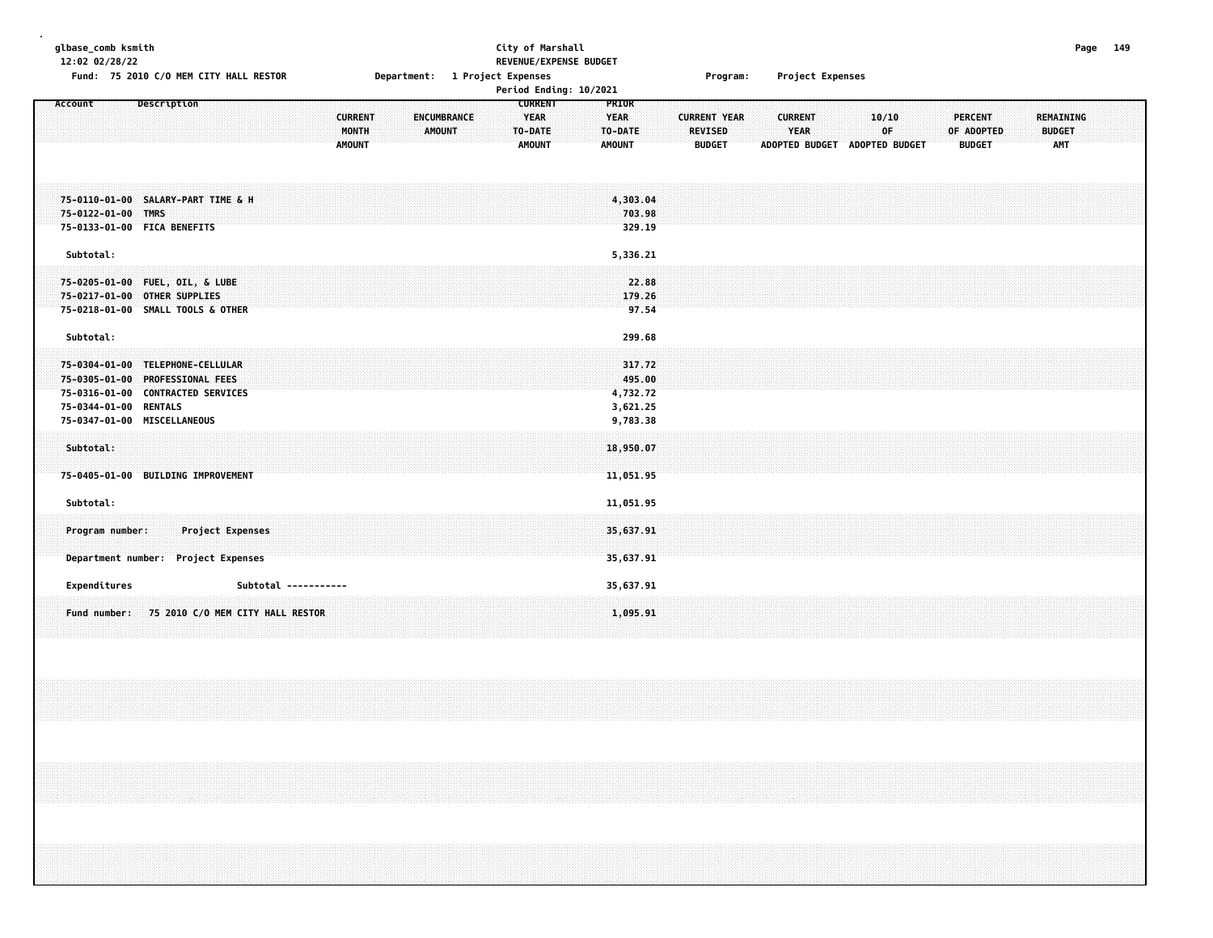| glbase_comb ksmith<br>12:02 02/28/22<br>Fund: 75 2010 C/O MEM CITY HALL RESTOR                                                                                                |                                                                          | City of Marshall<br>REVENUE/EXPENSE BUDGET<br>Department: 1 Project Expenses | Program:                                                                                                   | Project Expenses                                                              | Page 149                                                                                         |  |
|-------------------------------------------------------------------------------------------------------------------------------------------------------------------------------|--------------------------------------------------------------------------|------------------------------------------------------------------------------|------------------------------------------------------------------------------------------------------------|-------------------------------------------------------------------------------|--------------------------------------------------------------------------------------------------|--|
|                                                                                                                                                                               |                                                                          | Period Ending: 10/2021                                                       |                                                                                                            |                                                                               |                                                                                                  |  |
| Description<br>Account                                                                                                                                                        | <b>CURRENT</b><br><b>ENCUMBRANCE</b><br>MONTH<br>AMOUNT<br><b>AMOUNT</b> | <b>CURRENT</b><br><b>YEAR</b><br>TO-DATE<br><b>AMOUNT</b>                    | PRIOR<br><b>YEAR</b><br><b>CURRENT YEAR</b><br><b>REVISED</b><br>TO-DATE<br><b>BUDGET</b><br><b>AMOUNT</b> | 10/10<br><b>CURRENT</b><br><b>YEAR</b><br>0F<br>ADOPTED BUDGET ADOPTED BUDGET | <b>PERCENT</b><br><b>REMAINING</b><br>OF ADOPTED<br><b>BUDGET</b><br><b>AMT</b><br><b>BUDGET</b> |  |
| 75-0110-01-00 SALARY-PART TIME & H<br>75-0122-01-00 TMRS<br>75-0133-01-00 FICA BENEFITS                                                                                       |                                                                          |                                                                              | 4,303.04<br>703.98<br>329.19                                                                               |                                                                               |                                                                                                  |  |
| Subtotal:<br>75-0205-01-00 FUEL, OIL, & LUBE<br>75-0217-01-00 OTHER SUPPLIES<br>75-0218-01-00 SMALL TOOLS & OTHER                                                             |                                                                          |                                                                              | 5,336.21<br>22.88<br>179.26<br>97.54                                                                       |                                                                               |                                                                                                  |  |
| Subtotal:<br>75-0304-01-00 TELEPHONE-CELLULAR<br>75-0305-01-00 PROFESSIONAL FEES<br>75-0316-01-00 CONTRACTED SERVICES<br>75-0344-01-00 RENTALS<br>75-0347-01-00 MISCELLANEOUS |                                                                          |                                                                              | 299.68<br>317.72<br>495.00<br>4,732.72<br>3,621.25<br>9,783.38                                             |                                                                               |                                                                                                  |  |
| Subtotal:<br>75-0405-01-00 BUILDING IMPROVEMENT                                                                                                                               |                                                                          |                                                                              | 18,950.07<br>11,051.95                                                                                     |                                                                               |                                                                                                  |  |
| Subtotal:<br>Program number:<br><b>Project Expenses</b><br>Department number: Project Expenses                                                                                |                                                                          |                                                                              | 11,051.95<br>35,637.91<br>35,637.91                                                                        |                                                                               |                                                                                                  |  |
| Expenditures<br>75 2010 C/O MEM CITY HALL RESTOR<br>Fund number:                                                                                                              | Subtotal -----------                                                     |                                                                              | 35,637.91<br>1,095.91                                                                                      |                                                                               |                                                                                                  |  |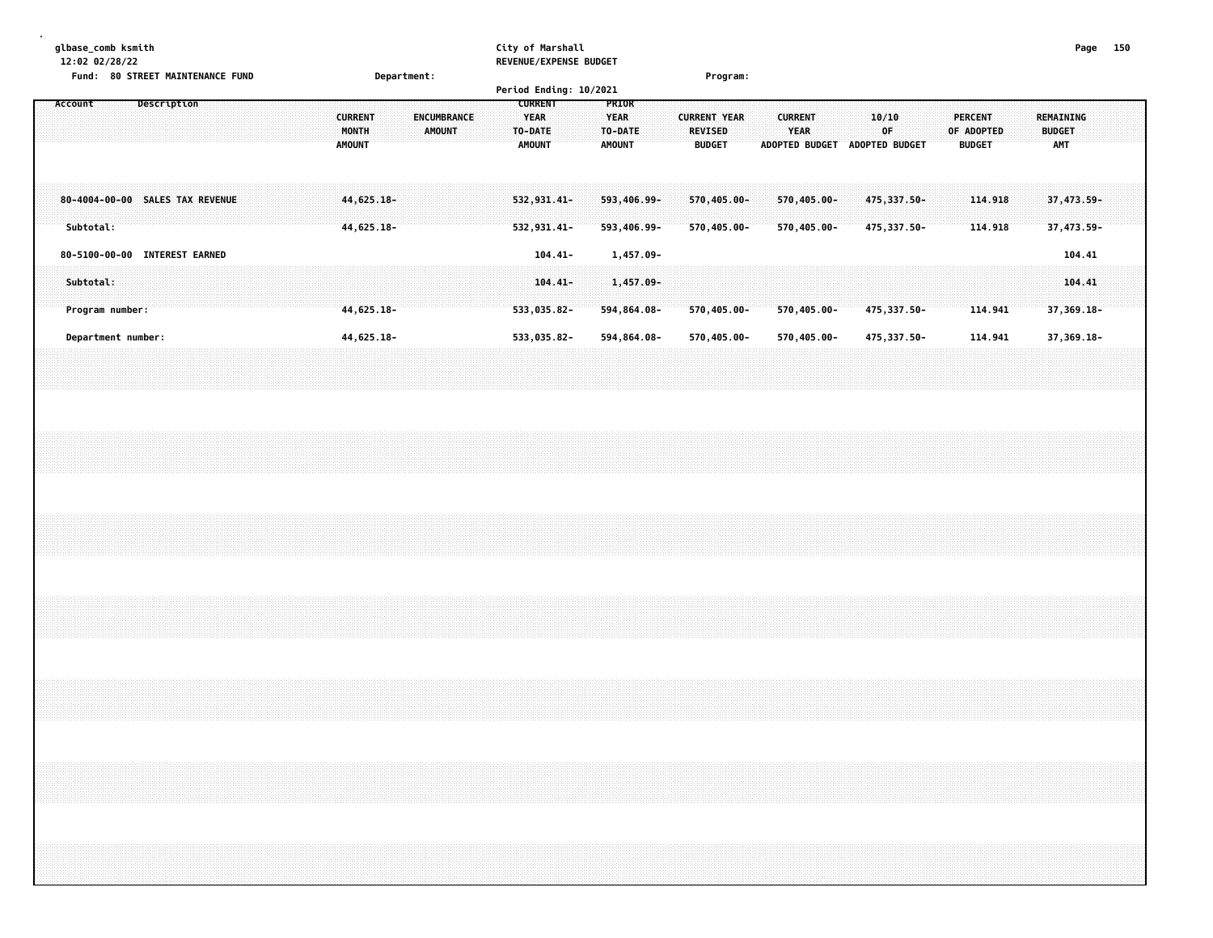**glbase\_comb ksmith City of Marshall Page 150 12:02 02/28/22 REVENUE/EXPENSE BUDGET Fund: 80 STREET MAINTENANCE FUND Department: Program:**

|                                              |                        |  |                                          |                              | Period Ending: 10/2021                             |                                                  |                                                        |                                                        |                                       |                                        |                    |                                          |  |
|----------------------------------------------|------------------------|--|------------------------------------------|------------------------------|----------------------------------------------------|--------------------------------------------------|--------------------------------------------------------|--------------------------------------------------------|---------------------------------------|----------------------------------------|--------------------|------------------------------------------|--|
| Account                                      | Description            |  | <b>CURRENT</b><br>MONTH<br><b>AMOUNT</b> | <b>ENCUMBRANCE</b><br>AMOUNT | <b>CURRENT</b><br>YEAR<br>TO-DATE<br><b>AMOUNT</b> | <b>PRIOR</b><br><b>YEAR</b><br>TO-DATE<br>AMOUNT | <b>CURRENT YEAR</b><br><b>REVISED</b><br><b>BUDGET</b> | <b>CURRENT</b><br><b>YEAR</b><br><b>ADOPTED BUDGET</b> | 10/10<br>0F.<br><b>ADOPTED BUDGET</b> | PERCENT<br>OF ADOPTED<br><b>BUDGET</b> |                    | REMAINING<br><b>BUDGET</b><br><b>AMT</b> |  |
| 80-4004-00-00 SALES TAX REVENUE<br>Subtotal: |                        |  | 44,625.18-<br>44,625.18-                 |                              | $532, 931, 41 -$<br>532,931.41-                    | 593,406.99-<br>593,406.99-                       | 570,405.00-<br>570,405.00-                             | 570,405.00-<br>570,405.00-                             | 475,337.50-<br>475,337.50-            |                                        | 114,918<br>114.918 | 37,473.59-<br>37,473.59-                 |  |
| 80-5100-00-00                                | <b>INTEREST EARNED</b> |  |                                          |                              | $104.41 -$                                         | 1,457.09-                                        |                                                        |                                                        |                                       |                                        |                    | 104.41                                   |  |
| Subtotal:<br>Program number:                 |                        |  | 44,625.18-                               |                              | $104.41 -$<br>533,035.82-                          | 1,457.09-<br>594,864.08-                         | 570,405.00-                                            | 570,405.00-                                            | 475,337.50-                           |                                        | 114.941            | 104.41<br>$37,369.18 -$                  |  |
| Department number:                           |                        |  | 44,625.18-                               |                              | 533,035.82-                                        | 594,864.08-                                      | 570,405.00-                                            | 570,405.00-                                            | 475,337.50-                           |                                        | 114.941            | 37,369.18-                               |  |
|                                              |                        |  |                                          |                              |                                                    |                                                  |                                                        |                                                        |                                       |                                        |                    |                                          |  |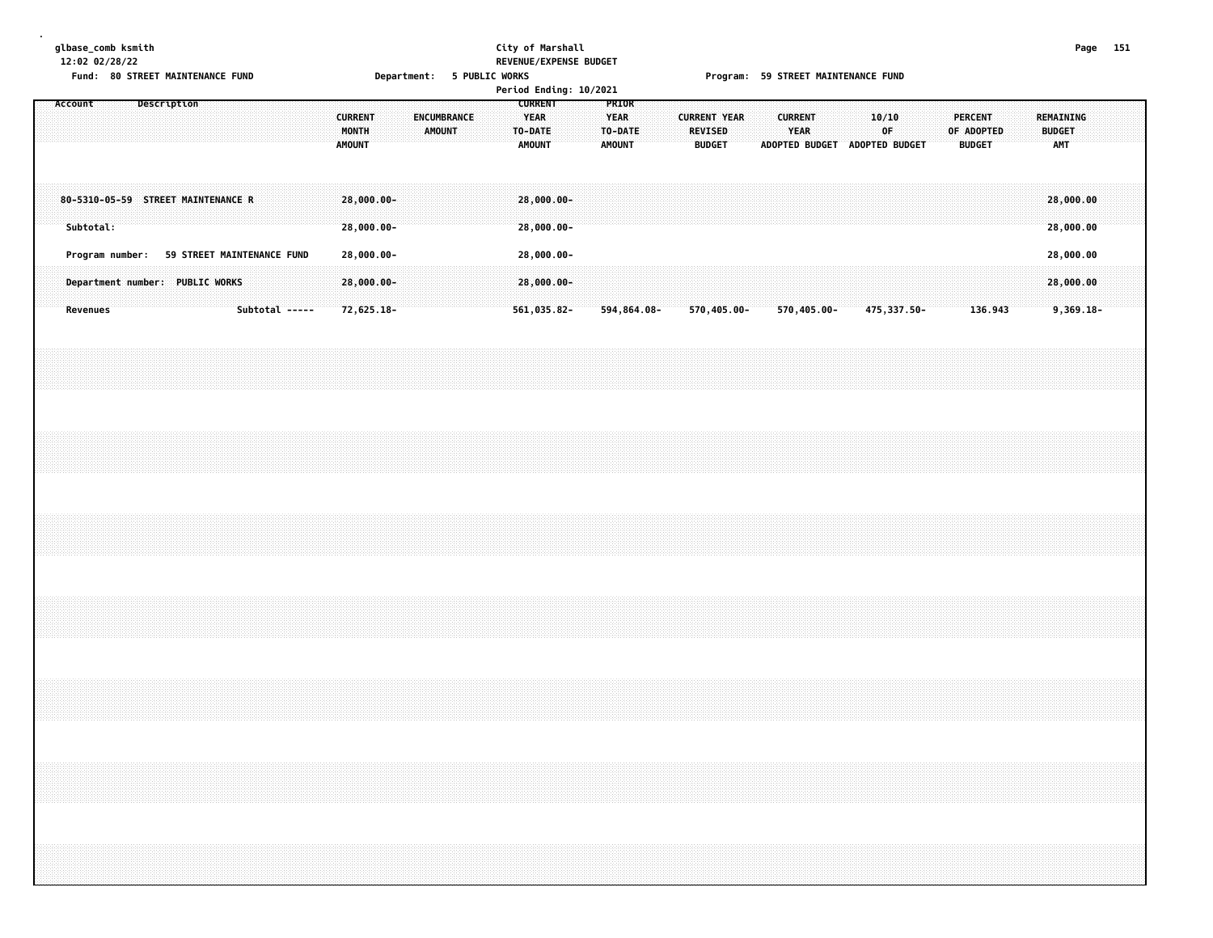|               | base comb ksmith |  |
|---------------|------------------|--|
| 2:02 02/28/22 |                  |  |

#### **glbase\_comb ksmith City of Marshall Page 151 12:02 02/28/22 REVENUE/EXPENSE BUDGET** Fund: 80 STREET MAINTENANCE FUND **Department: 5 PUBLIC WORKS FOR STATE SEET ALT PROS** Program: 59 STREET MAINTENANCE FUND

|         |           |                                            |  |             |  |                |  |                                          |                          |  |        |                    |  |         |                                  |                           | Period Ending: 10/2021 |                                                  |  |                     |                                 |             |  |                               |                               |       |             |  |                                               |  |                                   |  |  |
|---------|-----------|--------------------------------------------|--|-------------|--|----------------|--|------------------------------------------|--------------------------|--|--------|--------------------|--|---------|----------------------------------|---------------------------|------------------------|--------------------------------------------------|--|---------------------|---------------------------------|-------------|--|-------------------------------|-------------------------------|-------|-------------|--|-----------------------------------------------|--|-----------------------------------|--|--|
| Account |           |                                            |  | Description |  |                |  | <b>CURRENT</b><br>MONTH<br><b>AMOUNT</b> |                          |  | AMOUNT | <b>ENCUMBRANCE</b> |  | TO-DATE | <b>CURRENT</b><br>YEAR<br>AMOUNT |                           |                        | PRIOR<br><b>YEAR</b><br>TO-DATE<br><b>AMOUNT</b> |  | <b>CURRENT YEAR</b> | <b>REVISED</b><br><b>BUDGET</b> |             |  | <b>CURRENT</b><br><b>YEAR</b> | ADOPTED BUDGET ADOPTED BUDGET | 10/10 | OF          |  | <b>PERCENT</b><br>OF ADOPTED<br><b>BUDGET</b> |  | REMAINING<br><b>BUDGET</b><br>AMT |  |  |
|         | Subtotal: | 80-5310-05-59 STREET MAINTENANCE R         |  |             |  |                |  |                                          | 28,000.00-<br>28,000.00- |  |        |                    |  |         |                                  | 28,000.00-<br>28,000.00-  |                        |                                                  |  |                     |                                 |             |  |                               |                               |       |             |  |                                               |  | 28,000.00<br>28,000.00            |  |  |
|         |           | Program number: 59 STREET MAINTENANCE FUND |  |             |  |                |  |                                          | 28,000.00-               |  |        |                    |  |         |                                  | 28,000.00-                |                        |                                                  |  |                     |                                 |             |  |                               |                               |       |             |  |                                               |  | 28,000.00                         |  |  |
|         | Revenues  | Department number: PUBLIC WORKS            |  |             |  | Subtotal ----- |  |                                          | 28,000.00-<br>72,625.18- |  |        |                    |  |         |                                  | 28,000.00-<br>561,035.82- |                        | 594,864.08-                                      |  |                     |                                 | 570,405.00- |  |                               | 570,405.00-                   |       | 475,337.50- |  | 136.943                                       |  | 28,000.00<br>$9,369.18-$          |  |  |
|         |           |                                            |  |             |  |                |  |                                          |                          |  |        |                    |  |         |                                  |                           |                        |                                                  |  |                     |                                 |             |  |                               |                               |       |             |  |                                               |  |                                   |  |  |
|         |           |                                            |  |             |  |                |  |                                          |                          |  |        |                    |  |         |                                  |                           |                        |                                                  |  |                     |                                 |             |  |                               |                               |       |             |  |                                               |  |                                   |  |  |
|         |           |                                            |  |             |  |                |  |                                          |                          |  |        |                    |  |         |                                  |                           |                        |                                                  |  |                     |                                 |             |  |                               |                               |       |             |  |                                               |  |                                   |  |  |
|         |           |                                            |  |             |  |                |  |                                          |                          |  |        |                    |  |         |                                  |                           |                        |                                                  |  |                     |                                 |             |  |                               |                               |       |             |  |                                               |  |                                   |  |  |
|         |           |                                            |  |             |  |                |  |                                          |                          |  |        |                    |  |         |                                  |                           |                        |                                                  |  |                     |                                 |             |  |                               |                               |       |             |  |                                               |  |                                   |  |  |
|         |           |                                            |  |             |  |                |  |                                          |                          |  |        |                    |  |         |                                  |                           |                        |                                                  |  |                     |                                 |             |  |                               |                               |       |             |  |                                               |  |                                   |  |  |
|         |           |                                            |  |             |  |                |  |                                          |                          |  |        |                    |  |         |                                  |                           |                        |                                                  |  |                     |                                 |             |  |                               |                               |       |             |  |                                               |  |                                   |  |  |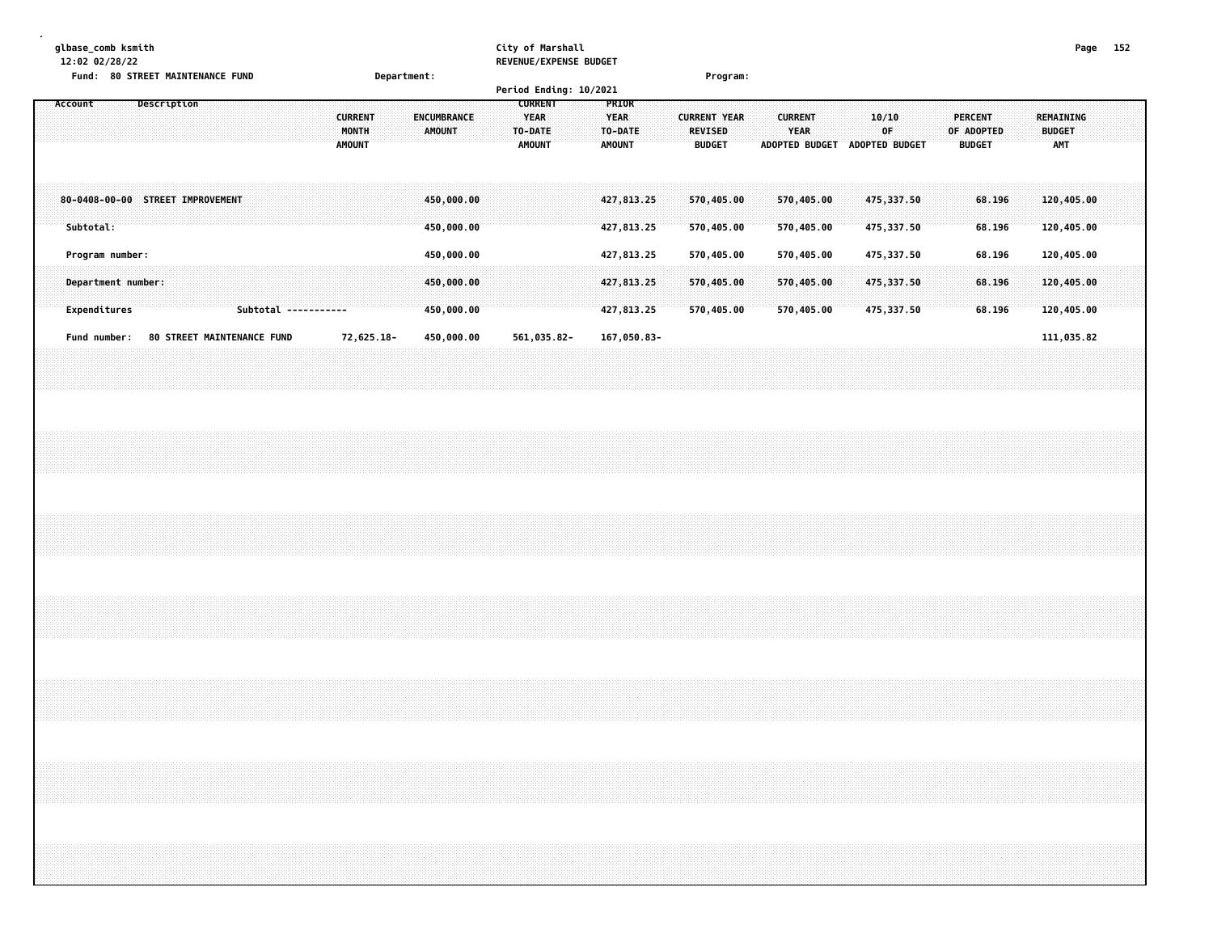# **glbase\_comb ksmith City of Marshall Page 152**

**12:02 02/28/22 REVENUE/EXPENSE BUDGET**

| 12:02 02/20/22<br>KEVENUE/EAPENSE BUDGET<br>Fund: 80 STREET MAINTENANCE FUND<br>Department:<br>Program:<br>Period Ending: 10/2021<br>Description<br><b>CURRENT</b><br>Account<br>PRIOR<br><b>CURRENT</b><br>ENCUMBRANCE<br><b>YEAR</b><br><b>YEAR</b><br><b>CURRENT YEAR</b><br>MONTH<br><b>AMOUNT</b><br>TO-DATE<br>TO-DATE<br>REVISED<br><b>AMOUNT</b><br><b>AMOUNT</b><br><b>AMOUNT</b><br><b>BUDGET</b> |  |  |  |  |  |  |  |  |  |  |                      |  |            |  |  |  |                          |  |  |  |             |  |  |                          |  |  |                          |  |  | <b>CURRENT</b><br>YEAR | ADOPTED BUDGET ADOPTED BUDGET |  | 10/10<br>0F              |  |  |  | <b>PERCENT</b><br>OF ADOPTED<br><b>BUDGET</b> |  |  | REMAINING<br><b>BUDGET</b><br><b>AMT</b> |  |  |  |
|-------------------------------------------------------------------------------------------------------------------------------------------------------------------------------------------------------------------------------------------------------------------------------------------------------------------------------------------------------------------------------------------------------------|--|--|--|--|--|--|--|--|--|--|----------------------|--|------------|--|--|--|--------------------------|--|--|--|-------------|--|--|--------------------------|--|--|--------------------------|--|--|------------------------|-------------------------------|--|--------------------------|--|--|--|-----------------------------------------------|--|--|------------------------------------------|--|--|--|
| 80-0408-00-00 STREET IMPROVEMENT                                                                                                                                                                                                                                                                                                                                                                            |  |  |  |  |  |  |  |  |  |  |                      |  |            |  |  |  | 450,000.00               |  |  |  |             |  |  | 427,813.25               |  |  | 570,405.00               |  |  |                        | 570,405.00                    |  | 475, 337.50              |  |  |  | 68.196                                        |  |  | 120,405.00                               |  |  |  |
| Subtotal:<br>Program number:                                                                                                                                                                                                                                                                                                                                                                                |  |  |  |  |  |  |  |  |  |  |                      |  |            |  |  |  | 450,000.00<br>450,000.00 |  |  |  |             |  |  | 427,813.25<br>427,813.25 |  |  | 570,405.00<br>570,405.00 |  |  |                        | 570,405.00<br>570,405.00      |  | 475,337.50<br>475,337.50 |  |  |  | 68.196<br>68.196                              |  |  | 120,405.00<br>120,405.00                 |  |  |  |
| Department number:                                                                                                                                                                                                                                                                                                                                                                                          |  |  |  |  |  |  |  |  |  |  |                      |  |            |  |  |  | 450,000.00               |  |  |  |             |  |  | 427,813.25               |  |  | 570,405.00               |  |  |                        | 570,405.00                    |  | 475,337.50               |  |  |  | 68.196                                        |  |  | 120,405.00                               |  |  |  |
| Expenditures                                                                                                                                                                                                                                                                                                                                                                                                |  |  |  |  |  |  |  |  |  |  | Subtotal ----------- |  |            |  |  |  | 450,000.00               |  |  |  |             |  |  | 427,813.25               |  |  | 570,405.00               |  |  |                        | 570,405.00                    |  | 475,337.50               |  |  |  | 68.196                                        |  |  | 120,405.00                               |  |  |  |
| Fund number: 80 STREET MAINTENANCE FUND                                                                                                                                                                                                                                                                                                                                                                     |  |  |  |  |  |  |  |  |  |  |                      |  | 72,625.18- |  |  |  | 450,000.00               |  |  |  | 561,035.82- |  |  | 167,050.83-              |  |  |                          |  |  |                        |                               |  |                          |  |  |  |                                               |  |  | 111,035.82                               |  |  |  |
|                                                                                                                                                                                                                                                                                                                                                                                                             |  |  |  |  |  |  |  |  |  |  |                      |  |            |  |  |  |                          |  |  |  |             |  |  |                          |  |  |                          |  |  |                        |                               |  |                          |  |  |  |                                               |  |  |                                          |  |  |  |
|                                                                                                                                                                                                                                                                                                                                                                                                             |  |  |  |  |  |  |  |  |  |  |                      |  |            |  |  |  |                          |  |  |  |             |  |  |                          |  |  |                          |  |  |                        |                               |  |                          |  |  |  |                                               |  |  |                                          |  |  |  |
|                                                                                                                                                                                                                                                                                                                                                                                                             |  |  |  |  |  |  |  |  |  |  |                      |  |            |  |  |  |                          |  |  |  |             |  |  |                          |  |  |                          |  |  |                        |                               |  |                          |  |  |  |                                               |  |  |                                          |  |  |  |
|                                                                                                                                                                                                                                                                                                                                                                                                             |  |  |  |  |  |  |  |  |  |  |                      |  |            |  |  |  |                          |  |  |  |             |  |  |                          |  |  |                          |  |  |                        |                               |  |                          |  |  |  |                                               |  |  |                                          |  |  |  |
|                                                                                                                                                                                                                                                                                                                                                                                                             |  |  |  |  |  |  |  |  |  |  |                      |  |            |  |  |  |                          |  |  |  |             |  |  |                          |  |  |                          |  |  |                        |                               |  |                          |  |  |  |                                               |  |  |                                          |  |  |  |
|                                                                                                                                                                                                                                                                                                                                                                                                             |  |  |  |  |  |  |  |  |  |  |                      |  |            |  |  |  |                          |  |  |  |             |  |  |                          |  |  |                          |  |  |                        |                               |  |                          |  |  |  |                                               |  |  |                                          |  |  |  |
|                                                                                                                                                                                                                                                                                                                                                                                                             |  |  |  |  |  |  |  |  |  |  |                      |  |            |  |  |  |                          |  |  |  |             |  |  |                          |  |  |                          |  |  |                        |                               |  |                          |  |  |  |                                               |  |  |                                          |  |  |  |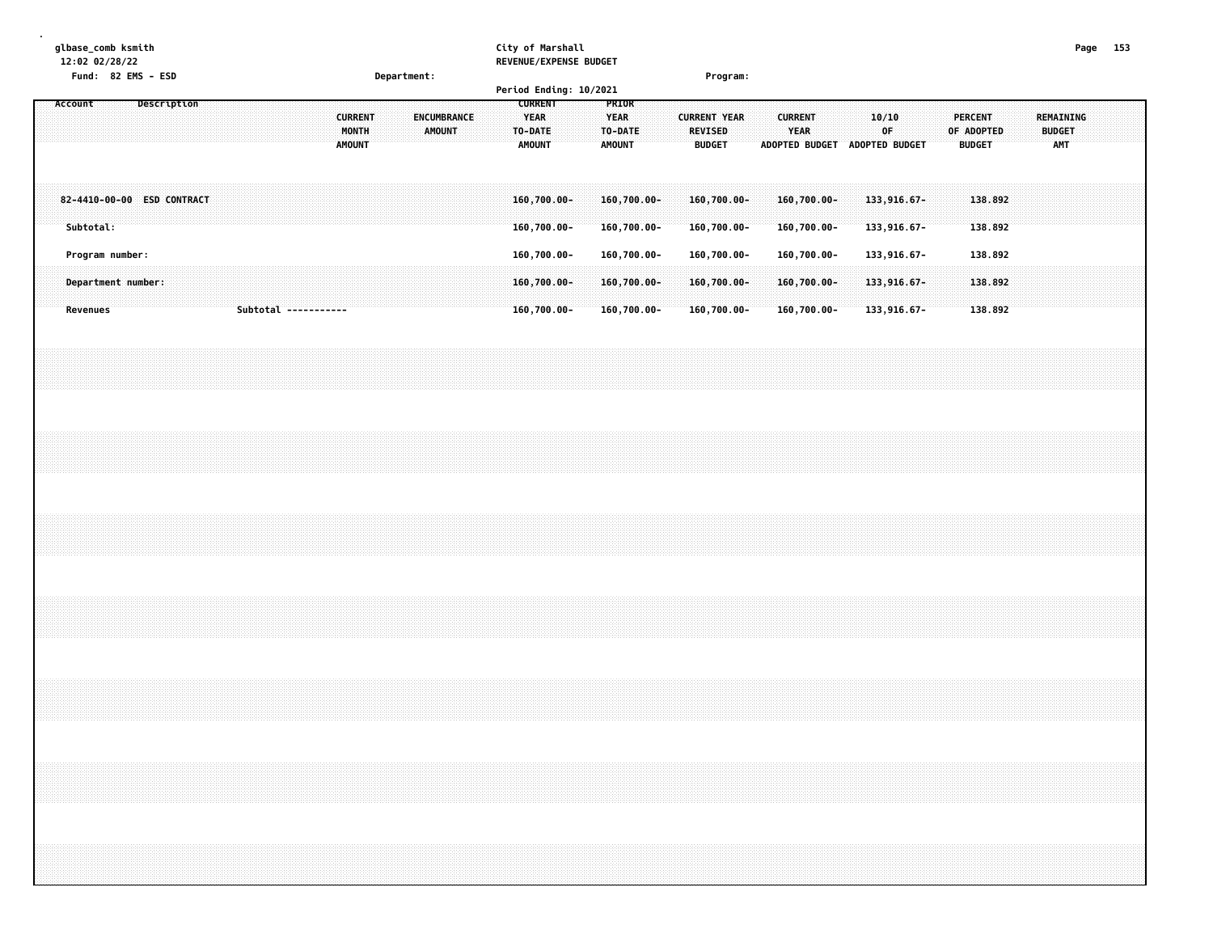| Page 153<br>12:02 02/28/22<br>REVENUE/EXPENSE BUDGET<br>Fund: 82 EMS - ESD<br>Department:<br>Program:<br>Period Ending: 10/2021<br><b>CURRENT</b><br>Description<br>PRIOR<br>Account<br><b>CURRENT</b><br><b>YEAR</b><br><b>CURRENT</b><br><b>PERCENT</b><br>REMAINING<br>ENCUMBRANCE<br><b>YEAR</b><br><b>CURRENT YEAR</b><br>10/10<br>MONTH<br>AMOUNT<br>TO-DATE<br><b>REVISED</b><br>YEAR<br>OF<br>OF ADOPTED<br>TO-DATE<br><b>BUDGET</b><br>AMOUNT<br><b>BUDGET</b><br><b>AMOUNT</b><br><b>AMOUNT</b><br>ADOPTED BUDGET ADOPTED BUDGET<br><b>BUDGET</b><br><b>AMT</b><br>138.892<br>82-4410-00-00 ESD CONTRACT<br>$160,700.00 -$<br>160,700.00-<br>160,700.00-<br>160,700.00-<br>133,916.67-<br>Subtotal:<br>138.892<br>160,700.00-<br>160,700.00-<br>160,700.00-<br>$160,700.00 -$<br>133,916.67-<br>138.892<br>Program number:<br>160,700.00-<br>160,700.00-<br>160,700.00-<br>160,700.00-<br>133,916.67-<br>160,700.00-<br>138.892<br>Department number:<br>160,700.00-<br>160,700.00-<br>160,700.00-<br>133,916.67-<br>160,700.00-<br>160,700.00-<br>138.892<br>Subtotal -----------<br>$160,700.00 -$<br>160,700.00-<br>133,916.67-<br><b>Revenues</b><br>,我们就会在这里的时候,我们就会在这里的时候,我们就会在这里的时候,我们就会在这里的时候,我们就会在这里的时候,我们就会在这里的时候,我们就会在这里的时候,我们 |  |  |  |  |  |  |
|-----------------------------------------------------------------------------------------------------------------------------------------------------------------------------------------------------------------------------------------------------------------------------------------------------------------------------------------------------------------------------------------------------------------------------------------------------------------------------------------------------------------------------------------------------------------------------------------------------------------------------------------------------------------------------------------------------------------------------------------------------------------------------------------------------------------------------------------------------------------------------------------------------------------------------------------------------------------------------------------------------------------------------------------------------------------------------------------------------------------------------------------------------------------------------------------------------------------------------------------------------|--|--|--|--|--|--|
|                                                                                                                                                                                                                                                                                                                                                                                                                                                                                                                                                                                                                                                                                                                                                                                                                                                                                                                                                                                                                                                                                                                                                                                                                                                     |  |  |  |  |  |  |
| glbase_comb ksmith<br>City of Marshall                                                                                                                                                                                                                                                                                                                                                                                                                                                                                                                                                                                                                                                                                                                                                                                                                                                                                                                                                                                                                                                                                                                                                                                                              |  |  |  |  |  |  |
|                                                                                                                                                                                                                                                                                                                                                                                                                                                                                                                                                                                                                                                                                                                                                                                                                                                                                                                                                                                                                                                                                                                                                                                                                                                     |  |  |  |  |  |  |
|                                                                                                                                                                                                                                                                                                                                                                                                                                                                                                                                                                                                                                                                                                                                                                                                                                                                                                                                                                                                                                                                                                                                                                                                                                                     |  |  |  |  |  |  |
|                                                                                                                                                                                                                                                                                                                                                                                                                                                                                                                                                                                                                                                                                                                                                                                                                                                                                                                                                                                                                                                                                                                                                                                                                                                     |  |  |  |  |  |  |
|                                                                                                                                                                                                                                                                                                                                                                                                                                                                                                                                                                                                                                                                                                                                                                                                                                                                                                                                                                                                                                                                                                                                                                                                                                                     |  |  |  |  |  |  |
|                                                                                                                                                                                                                                                                                                                                                                                                                                                                                                                                                                                                                                                                                                                                                                                                                                                                                                                                                                                                                                                                                                                                                                                                                                                     |  |  |  |  |  |  |
|                                                                                                                                                                                                                                                                                                                                                                                                                                                                                                                                                                                                                                                                                                                                                                                                                                                                                                                                                                                                                                                                                                                                                                                                                                                     |  |  |  |  |  |  |
|                                                                                                                                                                                                                                                                                                                                                                                                                                                                                                                                                                                                                                                                                                                                                                                                                                                                                                                                                                                                                                                                                                                                                                                                                                                     |  |  |  |  |  |  |
|                                                                                                                                                                                                                                                                                                                                                                                                                                                                                                                                                                                                                                                                                                                                                                                                                                                                                                                                                                                                                                                                                                                                                                                                                                                     |  |  |  |  |  |  |
|                                                                                                                                                                                                                                                                                                                                                                                                                                                                                                                                                                                                                                                                                                                                                                                                                                                                                                                                                                                                                                                                                                                                                                                                                                                     |  |  |  |  |  |  |
|                                                                                                                                                                                                                                                                                                                                                                                                                                                                                                                                                                                                                                                                                                                                                                                                                                                                                                                                                                                                                                                                                                                                                                                                                                                     |  |  |  |  |  |  |
|                                                                                                                                                                                                                                                                                                                                                                                                                                                                                                                                                                                                                                                                                                                                                                                                                                                                                                                                                                                                                                                                                                                                                                                                                                                     |  |  |  |  |  |  |
|                                                                                                                                                                                                                                                                                                                                                                                                                                                                                                                                                                                                                                                                                                                                                                                                                                                                                                                                                                                                                                                                                                                                                                                                                                                     |  |  |  |  |  |  |
|                                                                                                                                                                                                                                                                                                                                                                                                                                                                                                                                                                                                                                                                                                                                                                                                                                                                                                                                                                                                                                                                                                                                                                                                                                                     |  |  |  |  |  |  |
|                                                                                                                                                                                                                                                                                                                                                                                                                                                                                                                                                                                                                                                                                                                                                                                                                                                                                                                                                                                                                                                                                                                                                                                                                                                     |  |  |  |  |  |  |
|                                                                                                                                                                                                                                                                                                                                                                                                                                                                                                                                                                                                                                                                                                                                                                                                                                                                                                                                                                                                                                                                                                                                                                                                                                                     |  |  |  |  |  |  |
|                                                                                                                                                                                                                                                                                                                                                                                                                                                                                                                                                                                                                                                                                                                                                                                                                                                                                                                                                                                                                                                                                                                                                                                                                                                     |  |  |  |  |  |  |
|                                                                                                                                                                                                                                                                                                                                                                                                                                                                                                                                                                                                                                                                                                                                                                                                                                                                                                                                                                                                                                                                                                                                                                                                                                                     |  |  |  |  |  |  |
|                                                                                                                                                                                                                                                                                                                                                                                                                                                                                                                                                                                                                                                                                                                                                                                                                                                                                                                                                                                                                                                                                                                                                                                                                                                     |  |  |  |  |  |  |
|                                                                                                                                                                                                                                                                                                                                                                                                                                                                                                                                                                                                                                                                                                                                                                                                                                                                                                                                                                                                                                                                                                                                                                                                                                                     |  |  |  |  |  |  |
|                                                                                                                                                                                                                                                                                                                                                                                                                                                                                                                                                                                                                                                                                                                                                                                                                                                                                                                                                                                                                                                                                                                                                                                                                                                     |  |  |  |  |  |  |
|                                                                                                                                                                                                                                                                                                                                                                                                                                                                                                                                                                                                                                                                                                                                                                                                                                                                                                                                                                                                                                                                                                                                                                                                                                                     |  |  |  |  |  |  |
|                                                                                                                                                                                                                                                                                                                                                                                                                                                                                                                                                                                                                                                                                                                                                                                                                                                                                                                                                                                                                                                                                                                                                                                                                                                     |  |  |  |  |  |  |
|                                                                                                                                                                                                                                                                                                                                                                                                                                                                                                                                                                                                                                                                                                                                                                                                                                                                                                                                                                                                                                                                                                                                                                                                                                                     |  |  |  |  |  |  |
|                                                                                                                                                                                                                                                                                                                                                                                                                                                                                                                                                                                                                                                                                                                                                                                                                                                                                                                                                                                                                                                                                                                                                                                                                                                     |  |  |  |  |  |  |
|                                                                                                                                                                                                                                                                                                                                                                                                                                                                                                                                                                                                                                                                                                                                                                                                                                                                                                                                                                                                                                                                                                                                                                                                                                                     |  |  |  |  |  |  |
|                                                                                                                                                                                                                                                                                                                                                                                                                                                                                                                                                                                                                                                                                                                                                                                                                                                                                                                                                                                                                                                                                                                                                                                                                                                     |  |  |  |  |  |  |
|                                                                                                                                                                                                                                                                                                                                                                                                                                                                                                                                                                                                                                                                                                                                                                                                                                                                                                                                                                                                                                                                                                                                                                                                                                                     |  |  |  |  |  |  |
|                                                                                                                                                                                                                                                                                                                                                                                                                                                                                                                                                                                                                                                                                                                                                                                                                                                                                                                                                                                                                                                                                                                                                                                                                                                     |  |  |  |  |  |  |
|                                                                                                                                                                                                                                                                                                                                                                                                                                                                                                                                                                                                                                                                                                                                                                                                                                                                                                                                                                                                                                                                                                                                                                                                                                                     |  |  |  |  |  |  |
|                                                                                                                                                                                                                                                                                                                                                                                                                                                                                                                                                                                                                                                                                                                                                                                                                                                                                                                                                                                                                                                                                                                                                                                                                                                     |  |  |  |  |  |  |
|                                                                                                                                                                                                                                                                                                                                                                                                                                                                                                                                                                                                                                                                                                                                                                                                                                                                                                                                                                                                                                                                                                                                                                                                                                                     |  |  |  |  |  |  |
|                                                                                                                                                                                                                                                                                                                                                                                                                                                                                                                                                                                                                                                                                                                                                                                                                                                                                                                                                                                                                                                                                                                                                                                                                                                     |  |  |  |  |  |  |
|                                                                                                                                                                                                                                                                                                                                                                                                                                                                                                                                                                                                                                                                                                                                                                                                                                                                                                                                                                                                                                                                                                                                                                                                                                                     |  |  |  |  |  |  |
|                                                                                                                                                                                                                                                                                                                                                                                                                                                                                                                                                                                                                                                                                                                                                                                                                                                                                                                                                                                                                                                                                                                                                                                                                                                     |  |  |  |  |  |  |
|                                                                                                                                                                                                                                                                                                                                                                                                                                                                                                                                                                                                                                                                                                                                                                                                                                                                                                                                                                                                                                                                                                                                                                                                                                                     |  |  |  |  |  |  |
|                                                                                                                                                                                                                                                                                                                                                                                                                                                                                                                                                                                                                                                                                                                                                                                                                                                                                                                                                                                                                                                                                                                                                                                                                                                     |  |  |  |  |  |  |
|                                                                                                                                                                                                                                                                                                                                                                                                                                                                                                                                                                                                                                                                                                                                                                                                                                                                                                                                                                                                                                                                                                                                                                                                                                                     |  |  |  |  |  |  |
|                                                                                                                                                                                                                                                                                                                                                                                                                                                                                                                                                                                                                                                                                                                                                                                                                                                                                                                                                                                                                                                                                                                                                                                                                                                     |  |  |  |  |  |  |
|                                                                                                                                                                                                                                                                                                                                                                                                                                                                                                                                                                                                                                                                                                                                                                                                                                                                                                                                                                                                                                                                                                                                                                                                                                                     |  |  |  |  |  |  |
|                                                                                                                                                                                                                                                                                                                                                                                                                                                                                                                                                                                                                                                                                                                                                                                                                                                                                                                                                                                                                                                                                                                                                                                                                                                     |  |  |  |  |  |  |
|                                                                                                                                                                                                                                                                                                                                                                                                                                                                                                                                                                                                                                                                                                                                                                                                                                                                                                                                                                                                                                                                                                                                                                                                                                                     |  |  |  |  |  |  |
|                                                                                                                                                                                                                                                                                                                                                                                                                                                                                                                                                                                                                                                                                                                                                                                                                                                                                                                                                                                                                                                                                                                                                                                                                                                     |  |  |  |  |  |  |
|                                                                                                                                                                                                                                                                                                                                                                                                                                                                                                                                                                                                                                                                                                                                                                                                                                                                                                                                                                                                                                                                                                                                                                                                                                                     |  |  |  |  |  |  |
|                                                                                                                                                                                                                                                                                                                                                                                                                                                                                                                                                                                                                                                                                                                                                                                                                                                                                                                                                                                                                                                                                                                                                                                                                                                     |  |  |  |  |  |  |
|                                                                                                                                                                                                                                                                                                                                                                                                                                                                                                                                                                                                                                                                                                                                                                                                                                                                                                                                                                                                                                                                                                                                                                                                                                                     |  |  |  |  |  |  |
|                                                                                                                                                                                                                                                                                                                                                                                                                                                                                                                                                                                                                                                                                                                                                                                                                                                                                                                                                                                                                                                                                                                                                                                                                                                     |  |  |  |  |  |  |
|                                                                                                                                                                                                                                                                                                                                                                                                                                                                                                                                                                                                                                                                                                                                                                                                                                                                                                                                                                                                                                                                                                                                                                                                                                                     |  |  |  |  |  |  |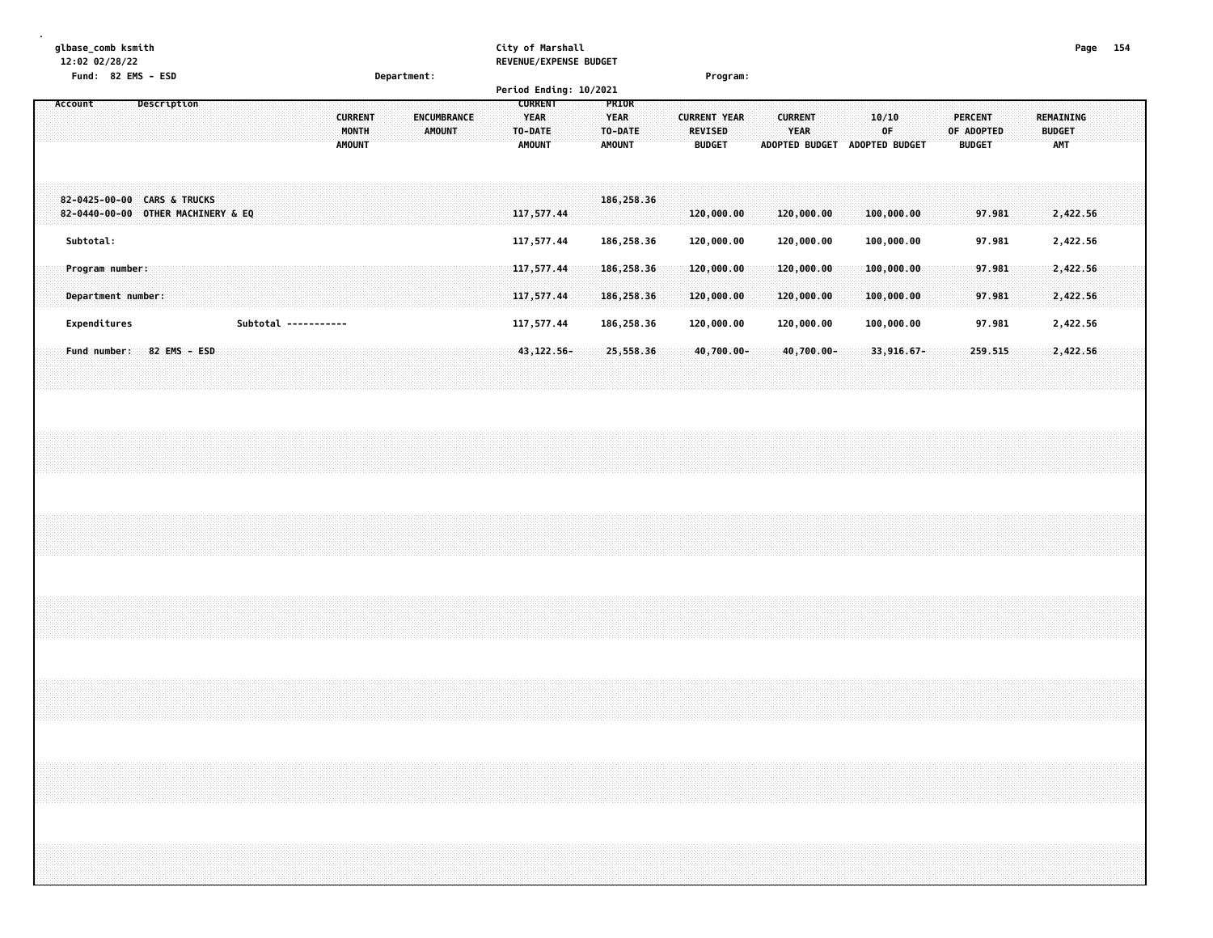|                                                                                                               | Department:                                                       | City of Marshall<br>REVENUE/EXPENSE BUDGET<br>Period Ending: 10/2021<br><b>CURRENT</b><br>PRIOR | Program:                                                                         |                                                                                               | Page 154                                 |
|---------------------------------------------------------------------------------------------------------------|-------------------------------------------------------------------|-------------------------------------------------------------------------------------------------|----------------------------------------------------------------------------------|-----------------------------------------------------------------------------------------------|------------------------------------------|
| Description<br>Account                                                                                        | <b>CURRENT</b><br>ENCUMBRANCE<br>MONTH<br>AMOUNT<br><b>AMOUNT</b> | <b>YEAR</b><br><b>YEAR</b><br>TO-DATE<br>TO-DATE<br><b>AMOUNT</b><br><b>AMOUNT</b>              | <b>CURRENT YEAR</b><br><b>CURRENT</b><br><b>REVISED</b><br>YEAR<br><b>BUDGET</b> | 10/10<br><b>PERCENT</b><br>0F<br>OF ADOPTED<br>ADOPTED BUDGET ADOPTED BUDGET<br><b>BUDGET</b> | REMAINING<br><b>BUDGET</b><br><b>AMT</b> |
| 82-0425-00-00 CARS & TRUCKS<br>82-0440-00-00 OTHER MACHINERY & EQ                                             |                                                                   | 186,258.36<br>117,577.44                                                                        | 120,000.00<br>120,000.00                                                         | 100,000.00<br>97.981                                                                          | 2,422.56                                 |
| Subtotal:<br>Program number:                                                                                  |                                                                   | 117,577.44<br>186,258.36<br>117,577.44<br>186,258.36                                            | 120,000.00<br>120,000.00<br>120,000.00<br>120,000.00                             | 100,000.00<br>97.981<br>100,000.00<br>97.981                                                  | 2,422.56<br>2,422.56                     |
| Department number:                                                                                            |                                                                   | 117,577.44<br>186,258.36                                                                        | 120,000.00<br>120,000.00                                                         | 100,000.00<br>97.981                                                                          | 2,422.56                                 |
| Expenditures<br>Subtotal -----------                                                                          |                                                                   | 117,577.44<br>186,258.36                                                                        | 120,000.00<br>120,000.00                                                         | 100,000.00<br>97.981                                                                          | 2,422.56                                 |
| Fund number: 82 EMS - ESD                                                                                     |                                                                   | 43, 122.56-<br>25,558.36                                                                        | 40,700.00-<br>$40,700.00 -$                                                      | $33,916.67 -$<br>259.515                                                                      | 2,422.56                                 |
|                                                                                                               |                                                                   |                                                                                                 |                                                                                  |                                                                                               |                                          |
|                                                                                                               |                                                                   |                                                                                                 |                                                                                  |                                                                                               |                                          |
|                                                                                                               |                                                                   |                                                                                                 |                                                                                  |                                                                                               |                                          |
|                                                                                                               |                                                                   |                                                                                                 |                                                                                  |                                                                                               |                                          |
| a se a construída de as antigas de as antigas de as antigas de as antigas de as antigas de as antigas de as a |                                                                   |                                                                                                 |                                                                                  |                                                                                               |                                          |
|                                                                                                               |                                                                   |                                                                                                 |                                                                                  |                                                                                               |                                          |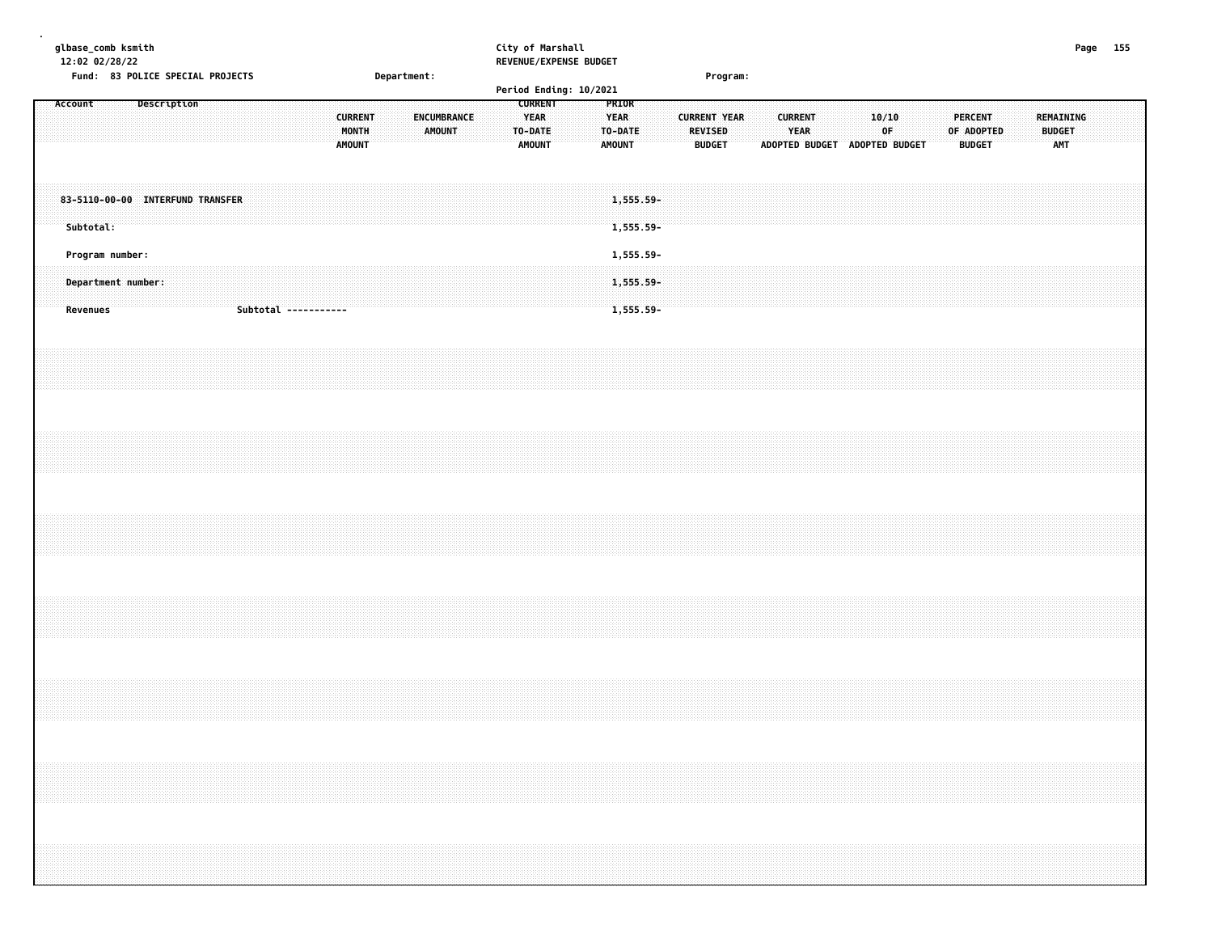| glbase_comb ksmith<br>12:02 02/28/22<br>Fund: 83 POLICE SPECIAL PROJECTS |  |             |  |  |  |                      |  |                                          |  | Department: |                              |  |  | City of Marshall                        | REVENUE/EXPENSE BUDGET |                                         |                        |  |                | Program:                             |  |                        |  |                               |              |  |                          |            |  |                                          |  | Page 155 |  |
|--------------------------------------------------------------------------|--|-------------|--|--|--|----------------------|--|------------------------------------------|--|-------------|------------------------------|--|--|-----------------------------------------|------------------------|-----------------------------------------|------------------------|--|----------------|--------------------------------------|--|------------------------|--|-------------------------------|--------------|--|--------------------------|------------|--|------------------------------------------|--|----------|--|
| Account                                                                  |  | Description |  |  |  |                      |  |                                          |  |             |                              |  |  | <b>CURRENT</b>                          | Period Ending: 10/2021 | PRIOR                                   |                        |  |                |                                      |  |                        |  |                               |              |  |                          |            |  |                                          |  |          |  |
|                                                                          |  |             |  |  |  |                      |  | <b>CURRENT</b><br>MONTH<br><b>AMOUNT</b> |  |             | ENCUMBRANCE<br><b>AMOUNT</b> |  |  | <b>YEAR</b><br>TO-DATE<br><b>AMOUNT</b> |                        | <b>YEAR</b><br>TO-DATE<br><b>AMOUNT</b> |                        |  | <b>REVISED</b> | <b>CURRENT YEAR</b><br><b>BUDGET</b> |  | <b>CURRENT</b><br>YEAR |  | ADOPTED BUDGET ADOPTED BUDGET | 10/10<br>0F. |  | PERCENT<br><b>BUDGET</b> | OF ADOPTED |  | REMAINING<br><b>BUDGET</b><br><b>AMT</b> |  |          |  |
| 83-5110-00-00 INTERFUND TRANSFER<br>Subtotal:                            |  |             |  |  |  |                      |  |                                          |  |             |                              |  |  |                                         |                        |                                         | 1,555.59-<br>1,555.59- |  |                |                                      |  |                        |  |                               |              |  |                          |            |  |                                          |  |          |  |
| Program number:                                                          |  |             |  |  |  |                      |  |                                          |  |             |                              |  |  |                                         |                        |                                         | 1,555.59-              |  |                |                                      |  |                        |  |                               |              |  |                          |            |  |                                          |  |          |  |
| Department number:<br>Revenues                                           |  |             |  |  |  | Subtotal ----------- |  |                                          |  |             |                              |  |  |                                         |                        |                                         | 1,555.59-<br>1,555.59- |  |                |                                      |  |                        |  |                               |              |  |                          |            |  |                                          |  |          |  |
|                                                                          |  |             |  |  |  |                      |  |                                          |  |             |                              |  |  |                                         |                        |                                         |                        |  |                |                                      |  |                        |  |                               |              |  |                          |            |  |                                          |  |          |  |
|                                                                          |  |             |  |  |  |                      |  |                                          |  |             |                              |  |  |                                         |                        |                                         |                        |  |                |                                      |  |                        |  |                               |              |  |                          |            |  |                                          |  |          |  |
|                                                                          |  |             |  |  |  |                      |  |                                          |  |             |                              |  |  |                                         |                        |                                         |                        |  |                |                                      |  |                        |  |                               |              |  |                          |            |  |                                          |  |          |  |
|                                                                          |  |             |  |  |  |                      |  |                                          |  |             |                              |  |  |                                         |                        |                                         |                        |  |                |                                      |  |                        |  |                               |              |  |                          |            |  |                                          |  |          |  |
|                                                                          |  |             |  |  |  |                      |  |                                          |  |             |                              |  |  |                                         |                        |                                         |                        |  |                |                                      |  |                        |  |                               |              |  |                          |            |  |                                          |  |          |  |
|                                                                          |  |             |  |  |  |                      |  |                                          |  |             |                              |  |  |                                         |                        |                                         |                        |  |                |                                      |  |                        |  |                               |              |  |                          |            |  |                                          |  |          |  |
|                                                                          |  |             |  |  |  |                      |  |                                          |  |             |                              |  |  |                                         |                        |                                         |                        |  |                |                                      |  |                        |  |                               |              |  |                          |            |  |                                          |  |          |  |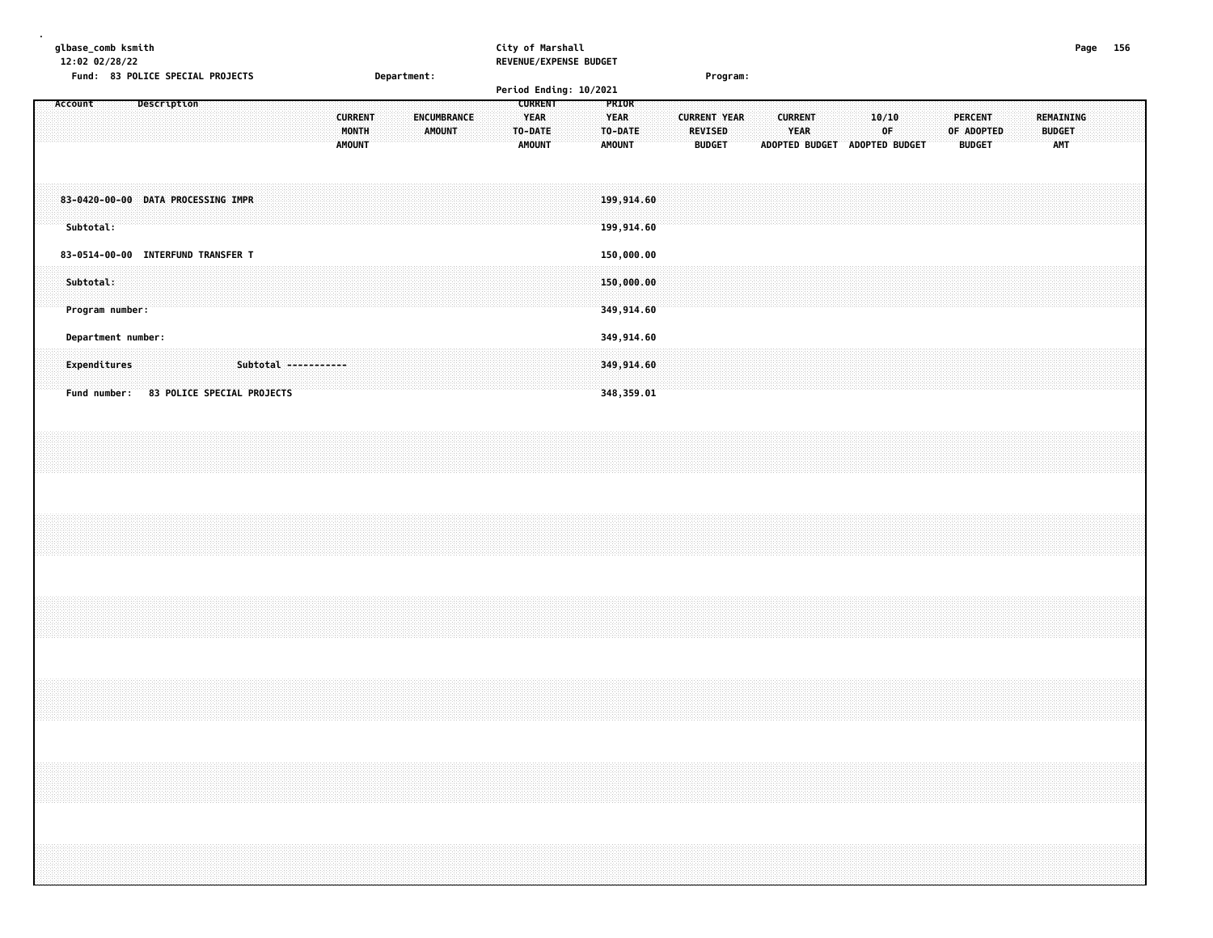| glbase_comb ksmith<br>12:02 02/28/22 |  |                |             |               | City of Marshall<br><b>REVENUE/EXPENSE BUDGET</b> |                 |                       |                       |              |            | Page |  |
|--------------------------------------|--|----------------|-------------|---------------|---------------------------------------------------|-----------------|-----------------------|-----------------------|--------------|------------|------|--|
| Fund: 83 POLICE SPECIAL PROJECTS     |  |                | Department: |               |                                                   | <b>Program:</b> |                       |                       |              |            |      |  |
|                                      |  |                |             |               | Period Ending: 10/2021                            |                 |                       |                       |              |            |      |  |
|                                      |  |                |             | <b>CURREN</b> | PRIOR                                             |                 |                       |                       |              |            |      |  |
|                                      |  |                |             |               |                                                   |                 |                       |                       |              |            |      |  |
|                                      |  | <b>CURRENT</b> |             |               | <b>YEAR</b><br>.                                  |                 |                       |                       |              |            |      |  |
|                                      |  |                |             |               |                                                   |                 |                       |                       |              |            |      |  |
|                                      |  |                |             | <b>AMOUNT</b> |                                                   |                 |                       |                       |              |            |      |  |
|                                      |  |                |             |               |                                                   |                 |                       |                       |              |            |      |  |
|                                      |  | <b>AMOUNT</b>  |             |               | <b>AMOUNT</b>                                     | <b>BUDGET</b>   | <b>ADOPTED BUDGET</b> | <b>ADOPTED BUDGET</b> | <b>BUDGE</b> | <b>AMT</b> |      |  |

| 83-0420-00-00 DATA PROCESSING IMPR<br>Subtotal:                    |                            |             |  |  |  |  | 199,914.60<br>199,914.60               |  |  |  |  |  |  |  |  |  |  |
|--------------------------------------------------------------------|----------------------------|-------------|--|--|--|--|----------------------------------------|--|--|--|--|--|--|--|--|--|--|
| 83-0514-00-00 INTERFUND TRANSFER T<br>Subtotal:<br>Program number: |                            |             |  |  |  |  | 150,000.00<br>150,000.00<br>349,914.60 |  |  |  |  |  |  |  |  |  |  |
| Department number:<br>Expenditures<br>Fund number:                 | 83 POLICE SPECIAL PROJECTS | Subtotal -- |  |  |  |  | 349,914.60<br>349,914.60<br>348,359.01 |  |  |  |  |  |  |  |  |  |  |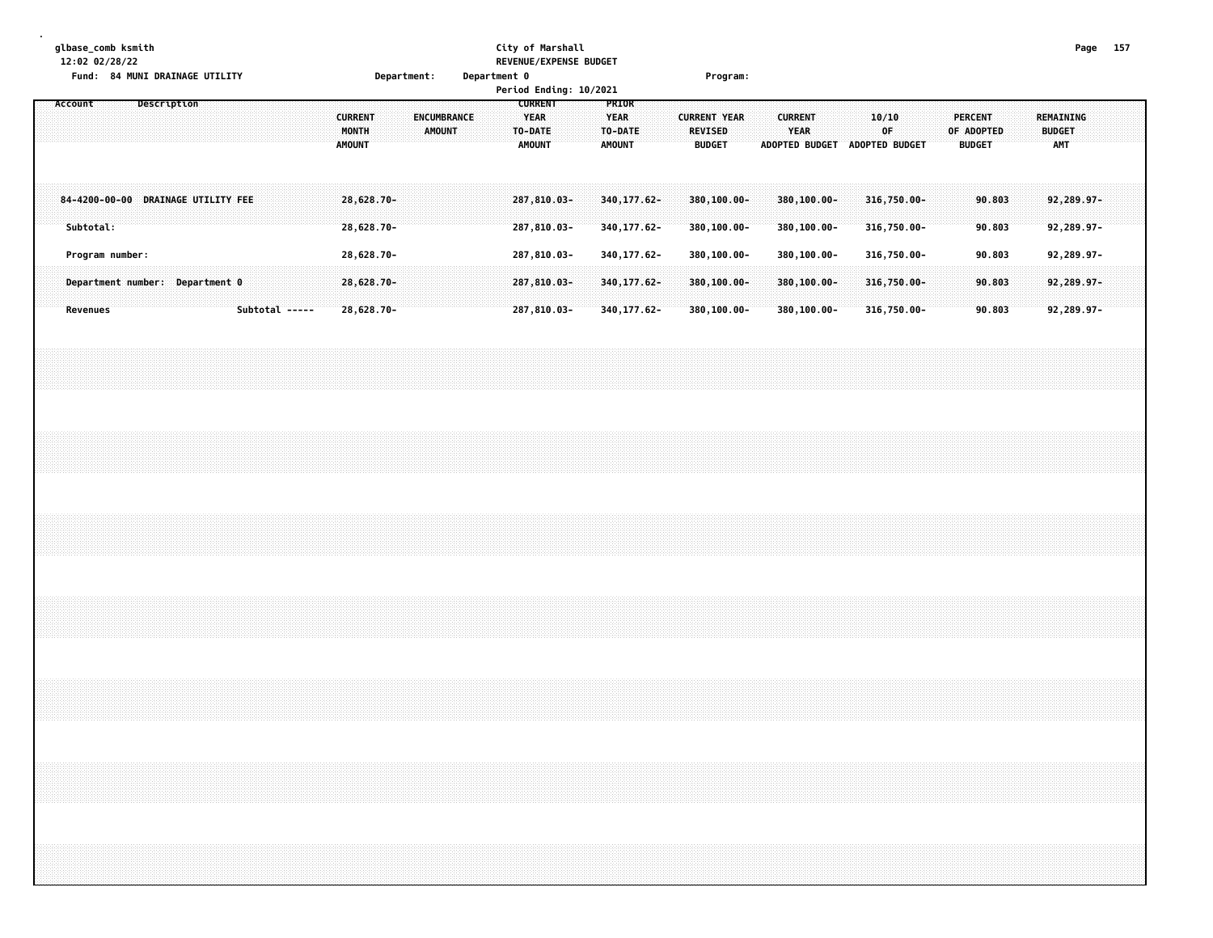|  |         |           | 12:02 02/28/22  | glbase_comb ksmith |             | Fund: 84 MUNI DRAINAGE UTILITY     |                |  |                                          |                            | Department: |               |             | Department 0 |  | City of Marshall<br>REVENUE/EXPENSE BUDGET<br>Period Ending: 10/2021 |  |                                                  |  | Program:                                               |  |                               |                               |  |                            |  |                              |                  |        |  |                                          | Page 157 |  |
|--|---------|-----------|-----------------|--------------------|-------------|------------------------------------|----------------|--|------------------------------------------|----------------------------|-------------|---------------|-------------|--------------|--|----------------------------------------------------------------------|--|--------------------------------------------------|--|--------------------------------------------------------|--|-------------------------------|-------------------------------|--|----------------------------|--|------------------------------|------------------|--------|--|------------------------------------------|----------|--|
|  | Account |           |                 |                    | Description |                                    |                |  | <b>CURRENT</b><br>MONTH<br><b>AMOUNT</b> |                            |             | <b>AMOUNT</b> | ENCUMBRANCE |              |  | <b>CURRENT</b><br><b>YEAR</b><br>TO-DATE<br><b>AMOUNT</b>            |  | PRIOR<br><b>YEAR</b><br>TO-DATE<br><b>AMOUNT</b> |  | <b>CURRENT YEAR</b><br><b>REVISED</b><br><b>BUDGET</b> |  | <b>CURRENT</b><br><b>YEAR</b> | ADOPTED BUDGET ADOPTED BUDGET |  | 10/10<br>0F                |  | <b>PERCENT</b><br>OF ADOPTED | <b>BUDGET</b>    |        |  | REMAINING<br><b>BUDGET</b><br><b>AMT</b> |          |  |
|  |         | Subtotal: |                 |                    |             | 84-4200-00-00 DRAINAGE UTILITY FEE |                |  |                                          | 28,628.70-<br>28,628.70-   |             |               |             |              |  | 287,810.03-<br>287,810.03-                                           |  | 340, 177.62-<br>340, 177.62-                     |  | 380,100.00-<br>380,100.00-                             |  |                               | 380,100.00-<br>380,100.00-    |  | 316,750.00-<br>316,750.00- |  |                              | 90.803<br>90.803 |        |  | 92,289.97-<br>92,289.97-                 |          |  |
|  |         |           | Program number: |                    |             |                                    |                |  |                                          | 28,628.70-                 |             |               |             |              |  | 287,810.03-                                                          |  | 340, 177.62-                                     |  | 380,100.00-                                            |  |                               | 380,100.00-                   |  | 316,750.00-                |  |                              |                  | 90.803 |  | 92,289.97-                               |          |  |
|  |         | Revenues  |                 |                    |             | Department number: Department 0    | Subtotal ----- |  |                                          | $28,628.70-$<br>28,628.70- |             |               |             |              |  | 287,810.03-<br>287,810.03-                                           |  | 340, 177.62-<br>340, 177.62-                     |  | 380,100.00-<br>380,100.00-                             |  |                               | 380,100.00-<br>380,100.00-    |  | 316,750.00-<br>316,750.00- |  |                              | 90.803<br>90.803 |        |  | 92,289.97-<br>92,289.97-                 |          |  |
|  |         |           |                 |                    |             |                                    |                |  |                                          |                            |             |               |             |              |  |                                                                      |  |                                                  |  |                                                        |  |                               |                               |  |                            |  |                              |                  |        |  |                                          |          |  |
|  |         |           |                 |                    |             |                                    |                |  |                                          |                            |             |               |             |              |  |                                                                      |  |                                                  |  |                                                        |  |                               |                               |  |                            |  |                              |                  |        |  |                                          |          |  |
|  |         |           |                 |                    |             |                                    |                |  |                                          |                            |             |               |             |              |  |                                                                      |  |                                                  |  |                                                        |  |                               |                               |  |                            |  |                              |                  |        |  |                                          |          |  |
|  |         |           |                 |                    |             |                                    |                |  |                                          |                            |             |               |             |              |  |                                                                      |  |                                                  |  |                                                        |  |                               |                               |  |                            |  |                              |                  |        |  |                                          |          |  |
|  |         |           |                 |                    |             |                                    |                |  |                                          |                            |             |               |             |              |  |                                                                      |  |                                                  |  |                                                        |  |                               |                               |  |                            |  |                              |                  |        |  |                                          |          |  |
|  |         |           |                 |                    |             |                                    |                |  |                                          |                            |             |               |             |              |  |                                                                      |  |                                                  |  |                                                        |  |                               |                               |  |                            |  |                              |                  |        |  |                                          |          |  |
|  |         |           |                 |                    |             |                                    |                |  |                                          |                            |             |               |             |              |  |                                                                      |  |                                                  |  |                                                        |  |                               |                               |  |                            |  |                              |                  |        |  |                                          |          |  |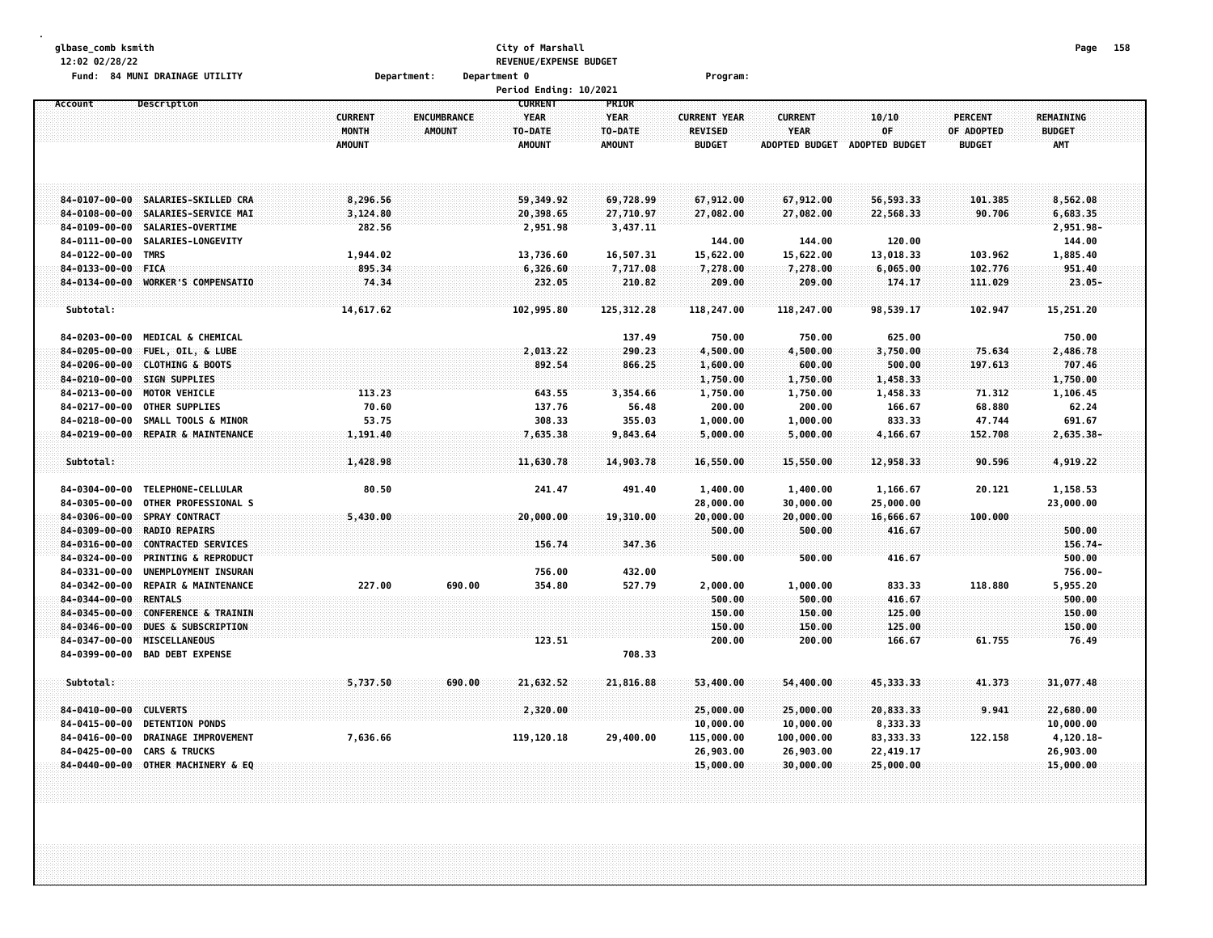| 12:02 02/28/22                                                           |                                                                                                           |                                          |                              | City of Marshall<br>REVENUE/EXPENSE BUDGET                |                                                  |                                                 |                                                        |                                          |                                               | Page                                     | 158 |
|--------------------------------------------------------------------------|-----------------------------------------------------------------------------------------------------------|------------------------------------------|------------------------------|-----------------------------------------------------------|--------------------------------------------------|-------------------------------------------------|--------------------------------------------------------|------------------------------------------|-----------------------------------------------|------------------------------------------|-----|
|                                                                          | Fund: 84 MUNI DRAINAGE UTILITY                                                                            |                                          | Department:                  | Department 0                                              |                                                  | Program:                                        |                                                        |                                          |                                               |                                          |     |
|                                                                          |                                                                                                           |                                          |                              | Period Ending: 10/2021                                    |                                                  |                                                 |                                                        |                                          |                                               |                                          |     |
| Account                                                                  | Description                                                                                               | <b>CURRENT</b><br>MONTH<br><b>AMOUNT</b> | ENCUMBRANCE<br><b>AMOUNT</b> | <b>CURRENT</b><br><b>YEAR</b><br>TO-DATE<br><b>AMOUNT</b> | PRIOR<br><b>YEAR</b><br>TO-DATE<br><b>AMOUNT</b> | <b>CURRENT YEAR</b><br>REVISED<br><b>BUDGET</b> | <b>CURRENT</b><br><b>YEAR</b><br><b>ADOPTED BUDGET</b> | 10/10<br>0F<br>ADOPTED BUDGET            | <b>PERCENT</b><br>OF ADOPTED<br><b>BUDGET</b> | REMAINING<br><b>BUDGET</b><br><b>AMT</b> |     |
| 84-0107-00-00<br>$84 - 0108 - 00 - 00$                                   | SALARIES-SKILLED CRA<br>SALARIES-SERVICE MAI                                                              | 8,296.56<br>3,124.80                     |                              | 59,349.92<br>20,398.65                                    | 69,728.99<br>27,710.97                           | 67,912.00<br>27,082.00                          | 67,912.00<br>27,082.00                                 | 56,593.33<br>22,568.33                   | 101.385<br>90.706                             | 8,562.08<br>6,683.35                     |     |
| $84 - 0109 - 00 - 00$<br>84-0111-00-00<br>84-0122-00-00                  | SALARIES-OVERTIME<br>SALARIES-LONGEVITY<br>TMRS                                                           | 282.56<br>1,944.02                       |                              | 2,951.98<br>13,736.60                                     | 3,437.11<br>16,507.31                            | 144.00<br>15,622.00                             | 144.00<br>15,622.00                                    | 120.00<br>13,018.33                      | 103.962                                       | 2,951.98-<br>144.00<br>1,885.40          |     |
| $84 - 0133 - 00 - 00$<br>84-0134-00-00                                   | <b>FICA</b><br><b>WORKER'S COMPENSATIO</b>                                                                | 895.34<br>74.34                          |                              | 6,326.60<br>232.05                                        | 7,717.08<br>210.82                               | 7,278.00<br>209.00                              | 7,278.00<br>209.00                                     | 6,065.00<br>174.17                       | 102.776<br>111.029                            | 951.40<br>$23.05 -$                      |     |
| Subtotal:                                                                |                                                                                                           | 14,617.62                                |                              | 102,995.80                                                | 125, 312.28                                      | 118,247.00                                      | 118,247.00                                             | 98,539.17                                | 102.947                                       | 15,251.20                                |     |
| 84-0203-00-00<br>84-0205-00-00<br>$84 - 0206 - 00 - 00$<br>84-0210-00-00 | <b>MEDICAL &amp; CHEMICAL</b><br>FUEL, OIL, & LUBE<br><b>CLOTHING &amp; BOOTS</b><br><b>SIGN SUPPLIES</b> |                                          |                              | 2,013.22<br>892.54                                        | 137.49<br>290.23<br>866.25                       | 750.00<br>4,500.00<br>1,600.00<br>1,750.00      | 750.00<br>4,500.00<br>600.00<br>1,750.00               | 625.00<br>3,750.00<br>500.00<br>1,458.33 | 75.634<br>197.613                             | 750.00<br>2,486.78<br>707.46<br>1,750.00 |     |
| 84-0213-00-00<br>84-0217-00-00                                           | MOTOR VEHICLE<br><b>OTHER SUPPLIES</b>                                                                    | 113.23<br>70.60<br>53.75                 |                              | 643.55<br>137.76                                          | 3,354.66<br>56.48                                | 1,750.00<br>200.00                              | 1,750.00<br>200.00                                     | 1,458.33<br>166.67                       | 71.312<br>68.880                              | 1,106.45<br>62.24                        |     |
| 84-0218-00-00<br>$84 - 0219 - 00 - 00$                                   | SMALL TOOLS & MINOR<br>REPAIR & MAINTENANCE                                                               | 1,191.40                                 |                              | 308.33<br>7,635.38                                        | 355.03<br>9,843.64                               | 1,000.00<br>5,000.00                            | 1,000.00<br>5,000.00                                   | 833.33<br>4,166.67                       | 47.744<br>152.708                             | 691.67<br>$2,635.38 -$                   |     |
| Subtotal:<br>84-0304-00-00                                               | TELEPHONE-CELLULAR                                                                                        | 1,428.98<br>80.50                        |                              | 11,630.78<br>241.47                                       | 14,903.78<br>491.40                              | 16,550.00<br>1,400.00                           | 15,550.00<br>1,400.00                                  | 12,958.33<br>1,166.67                    | 90.596<br>20.121                              | 4,919.22<br>1,158.53                     |     |
| 84-0305-00-00<br>$84 - 0306 - 00 - 00$<br>$84 - 0309 - 00 - 00$          | OTHER PROFESSIONAL S<br>SPRAY CONTRACT<br><b>RADIO REPAIRS</b>                                            | 5,430.00                                 |                              | 20,000.00                                                 | 19,310.00                                        | 28,000.00<br>20,000.00<br>500.00                | 30,000.00<br>20,000.00<br>500.00                       | 25,000.00<br>16,666.67<br>416.67         | 100.000                                       | 23,000.00<br>500.00                      |     |
| 84-0316-00-00<br>84-0324-00-00<br>84-0331-00-00                          | <b>CONTRACTED SERVICES</b><br><b>PRINTING &amp; REPRODUCT</b><br>UNEMPLOYMENT INSURAN                     |                                          |                              | 156,74<br>756.00                                          | 347.36<br>432.00                                 | 500.00                                          | 500.00                                                 | 416.67                                   |                                               | $156.74-$<br>500.00<br>756.00-           |     |
| 84-0342-00-00<br>$84 - 0344 - 00 - 00$                                   | <b>REPAIR &amp; MAINTENANCE</b><br><b>RENTALS</b>                                                         | 227.00                                   | 690.00                       | 354.80                                                    | 527.79                                           | 2,000.00<br>500.00                              | 1,000.00<br>500.00                                     | 833.33<br>416.67                         | 118.880                                       | 5,955.20<br>500.00                       |     |
| 84-0345-00-00<br>84-0346-00-00<br>84-0347-00-00                          | CONFERENCE & TRAININ<br>DUES & SUBSCRIPTION<br><b>MISCELLANEOUS</b>                                       |                                          |                              | 123.51                                                    |                                                  | 150.00<br>150.00<br>200.00                      | 150.00<br>150.00<br>200.00                             | 125.00<br>125.00<br>166.67               | 61.755                                        | 150.00<br>150.00<br>76.49                |     |
| 84-0399-00-00<br>Subtotal:                                               | <b>BAD DEBT EXPENSE</b>                                                                                   | 5,737.50                                 | 690.00                       | 21,632.52                                                 | 708.33<br>21,816.88                              | 53,400.00                                       | 54,400.00                                              | 45,333.33                                | 41.373                                        | 31,077.48                                |     |
| $84 - 0410 - 00 - 00$                                                    | <b>CULVERTS</b><br>84-0415-00-00 DETENTION PONDS                                                          |                                          |                              | 2,320.00                                                  |                                                  | 25,000.00<br>10,000.00                          | 25,000.00<br>10,000.00                                 | 20,833.33<br>8,333.33                    | 9.941                                         | 22,680.00<br>10,000.00                   |     |
|                                                                          | 84-0416-00-00 DRAINAGE IMPROVEMENT<br>84-0425-00-00 CARS & TRUCKS<br>84-0440-00-00 OTHER MACHINERY & EQ   | 7,636.66                                 |                              | 119,120.18                                                | 29,400.00                                        | 115,000.00<br>26,903.00<br>15,000.00            | 100,000.00<br>26,903.00<br>30,000.00                   | 83, 333.33<br>22,419.17<br>25,000.00     | 122.158                                       | 4,120.18-<br>26,903.00<br>15,000.00      |     |
|                                                                          |                                                                                                           |                                          |                              |                                                           |                                                  |                                                 |                                                        |                                          |                                               |                                          |     |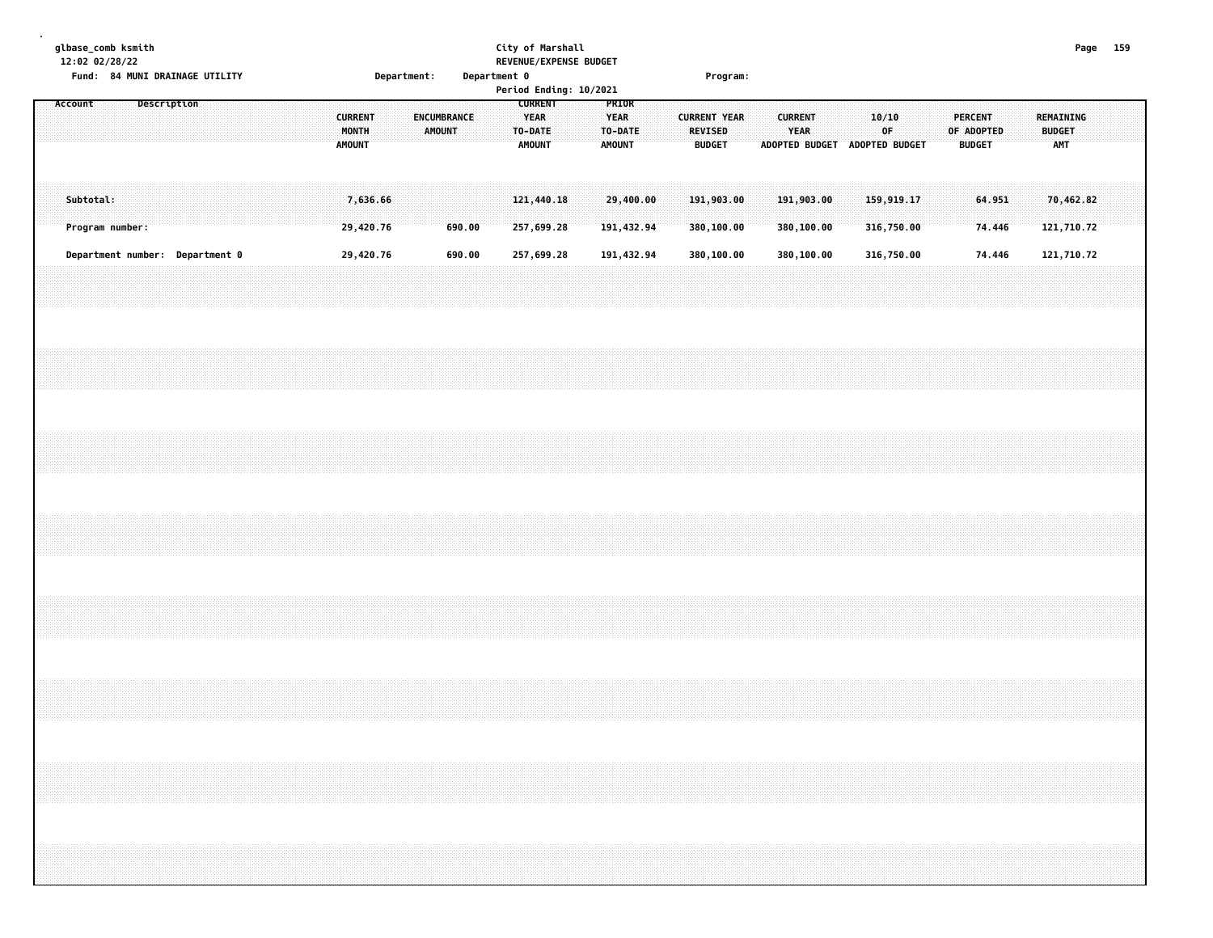|  |         | 12:02 02/28/22 | glbase_comb ksmith |             | Fund: 84 MUNI DRAINAGE UTILITY  |  |  |  |                                          |                       | Department: |                              | Department 0 |  | City of Marshall                                          |  | REVENUE/EXPENSE BUDGET<br>Period Ending: 10/2021 |                                                  |                         |  | Program:                                               |  |                           |                               |  |                          |  |                                               |                  |  |                                                 | Page 159                |  |  |
|--|---------|----------------|--------------------|-------------|---------------------------------|--|--|--|------------------------------------------|-----------------------|-------------|------------------------------|--------------|--|-----------------------------------------------------------|--|--------------------------------------------------|--------------------------------------------------|-------------------------|--|--------------------------------------------------------|--|---------------------------|-------------------------------|--|--------------------------|--|-----------------------------------------------|------------------|--|-------------------------------------------------|-------------------------|--|--|
|  | Account |                |                    | Description |                                 |  |  |  | <b>CURRENT</b><br>MONTH<br><b>AMOUNT</b> |                       |             | ENCUMBRANCE<br><b>AMOUNT</b> |              |  | <b>CURRENT</b><br><b>YEAR</b><br>TO-DATE<br><b>AMOUNT</b> |  |                                                  | PRIOR<br><b>YEAR</b><br>TO-DATE<br><b>AMOUNT</b> |                         |  | <b>CURRENT YEAR</b><br><b>REVISED</b><br><b>BUDGET</b> |  | <b>CURRENT</b><br>YEAR    | ADOPTED BUDGET ADOPTED BUDGET |  | 10/10<br>0F              |  | <b>PERCENT</b><br>OF ADOPTED<br><b>BUDGET</b> |                  |  | <b>REMAINING</b><br><b>BUDGET</b><br><b>AMT</b> |                         |  |  |
|  |         | Subtotal:      | Program number:    |             |                                 |  |  |  |                                          | 7,636.66<br>29,420.76 |             |                              | 690.00       |  | 121,440.18<br>257,699.28                                  |  |                                                  |                                                  | 29,400.00<br>191,432.94 |  | 191,903.00<br>380,100.00                               |  | 191,903.00<br>380, 100.00 |                               |  | 159,919.17<br>316,750.00 |  |                                               | 64.951<br>74.446 |  |                                                 | 70,462.82<br>121,710.72 |  |  |
|  |         |                |                    |             | Department number: Department 0 |  |  |  |                                          | 29,420.76             |             |                              | 690.00       |  | 257,699.28                                                |  |                                                  |                                                  | 191,432.94              |  | 380,100.00                                             |  | 380,100.00                |                               |  | 316,750.00               |  |                                               | 74.446           |  |                                                 | 121,710.72              |  |  |
|  |         |                |                    |             |                                 |  |  |  |                                          |                       |             |                              |              |  |                                                           |  |                                                  |                                                  |                         |  |                                                        |  |                           |                               |  |                          |  |                                               |                  |  |                                                 |                         |  |  |
|  |         |                |                    |             |                                 |  |  |  |                                          |                       |             |                              |              |  |                                                           |  |                                                  |                                                  |                         |  |                                                        |  |                           |                               |  |                          |  |                                               |                  |  |                                                 |                         |  |  |
|  |         |                |                    |             |                                 |  |  |  |                                          |                       |             |                              |              |  |                                                           |  |                                                  |                                                  |                         |  |                                                        |  |                           |                               |  |                          |  |                                               |                  |  |                                                 |                         |  |  |
|  |         |                |                    |             |                                 |  |  |  |                                          |                       |             |                              |              |  |                                                           |  |                                                  |                                                  |                         |  |                                                        |  |                           |                               |  |                          |  |                                               |                  |  |                                                 |                         |  |  |
|  |         |                |                    |             |                                 |  |  |  |                                          |                       |             |                              |              |  |                                                           |  |                                                  |                                                  |                         |  |                                                        |  |                           |                               |  |                          |  |                                               |                  |  |                                                 |                         |  |  |
|  |         |                |                    |             |                                 |  |  |  |                                          |                       |             |                              |              |  |                                                           |  |                                                  |                                                  |                         |  |                                                        |  |                           |                               |  |                          |  |                                               |                  |  |                                                 |                         |  |  |
|  |         |                |                    |             |                                 |  |  |  |                                          |                       |             |                              |              |  |                                                           |  |                                                  |                                                  |                         |  |                                                        |  |                           |                               |  |                          |  |                                               |                  |  |                                                 |                         |  |  |
|  |         |                |                    |             |                                 |  |  |  |                                          |                       |             |                              |              |  |                                                           |  |                                                  |                                                  |                         |  |                                                        |  |                           |                               |  |                          |  |                                               |                  |  |                                                 |                         |  |  |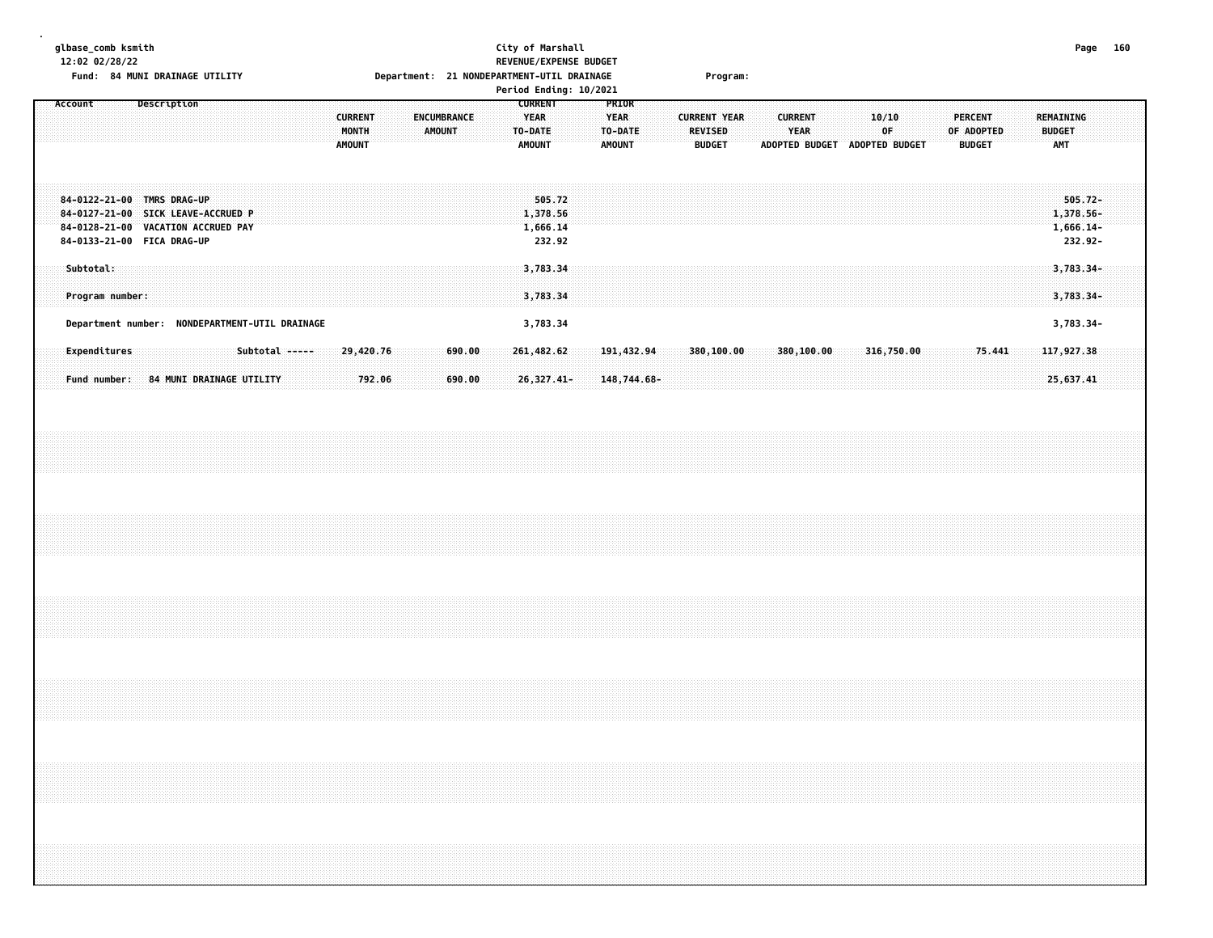### **glbase\_comb ksmith City of Marshall Page 160 12:02 02/28/22 REVENUE/EXPENSE BUDGET Fund: 84 MUNI DRAINAGE UTILITY Department: 21 NONDEPARTMENT-UTIL DRAINAGE Program:**

|                                                                                                                                                               | Period Ending: 10/2021                                                                                                                 |                                                                                                                                                                                                     |                                                   |
|---------------------------------------------------------------------------------------------------------------------------------------------------------------|----------------------------------------------------------------------------------------------------------------------------------------|-----------------------------------------------------------------------------------------------------------------------------------------------------------------------------------------------------|---------------------------------------------------|
| Description<br>Account<br><b>CURRENT</b><br>MONTH<br><b>AMOUNT</b>                                                                                            | <b>CURRENT</b><br>PRIOR<br>YEAR<br><b>YEAR</b><br><b>ENCUMBRANCE</b><br>AMOUNT<br>TO-DATE<br>TO-DATE<br><b>AMOUNT</b><br><b>AMOUNT</b> | <b>CURRENT YEAR</b><br><b>CURRENT</b><br>10/10<br><b>PERCENT</b><br><b>REVISED</b><br><b>YEAR</b><br>0F.<br>OF ADOPTED<br><b>BUDGET</b><br><b>ADOPTED BUDGET</b><br>ADOPTED BUDGET<br><b>BUDGET</b> | <b>REMAINING</b><br><b>BUDGET</b><br><b>AMT</b>   |
| 84-0122-21-00 TMRS DRAG-UP<br>84-0127-21-00 SICK LEAVE-ACCRUED P<br>84-0128-21-00 VACATION ACCRUED PAY<br>84-0133-21-00 FICA DRAG-UP                          | 505.72<br>1,378.56<br>1,666.14<br>232.92                                                                                               |                                                                                                                                                                                                     | $505.72 -$<br>1,378.56-<br>$1,666.14-$<br>232.92- |
| Subtotal:<br>Program number:                                                                                                                                  | 3,783.34<br>3,783.34                                                                                                                   |                                                                                                                                                                                                     | $3,783.34-$<br>$3,783.34-$                        |
| NONDEPARTMENT-UTIL DRAINAGE<br>Department number:<br>Subtotal -----<br>29,420.76<br>Expenditures<br>Fund number:<br><b>84 MUNI DRAINAGE UTILITY</b><br>792.06 | 3,783.34<br>261,482,62<br>690.00<br>191,432.94<br>690.00<br>26,327.41-<br>148,744.68-                                                  | 316,750.00<br>380,100.00<br>380,100.00<br>75.441                                                                                                                                                    | 3,783.34-<br>117,927.38<br>25,637.41              |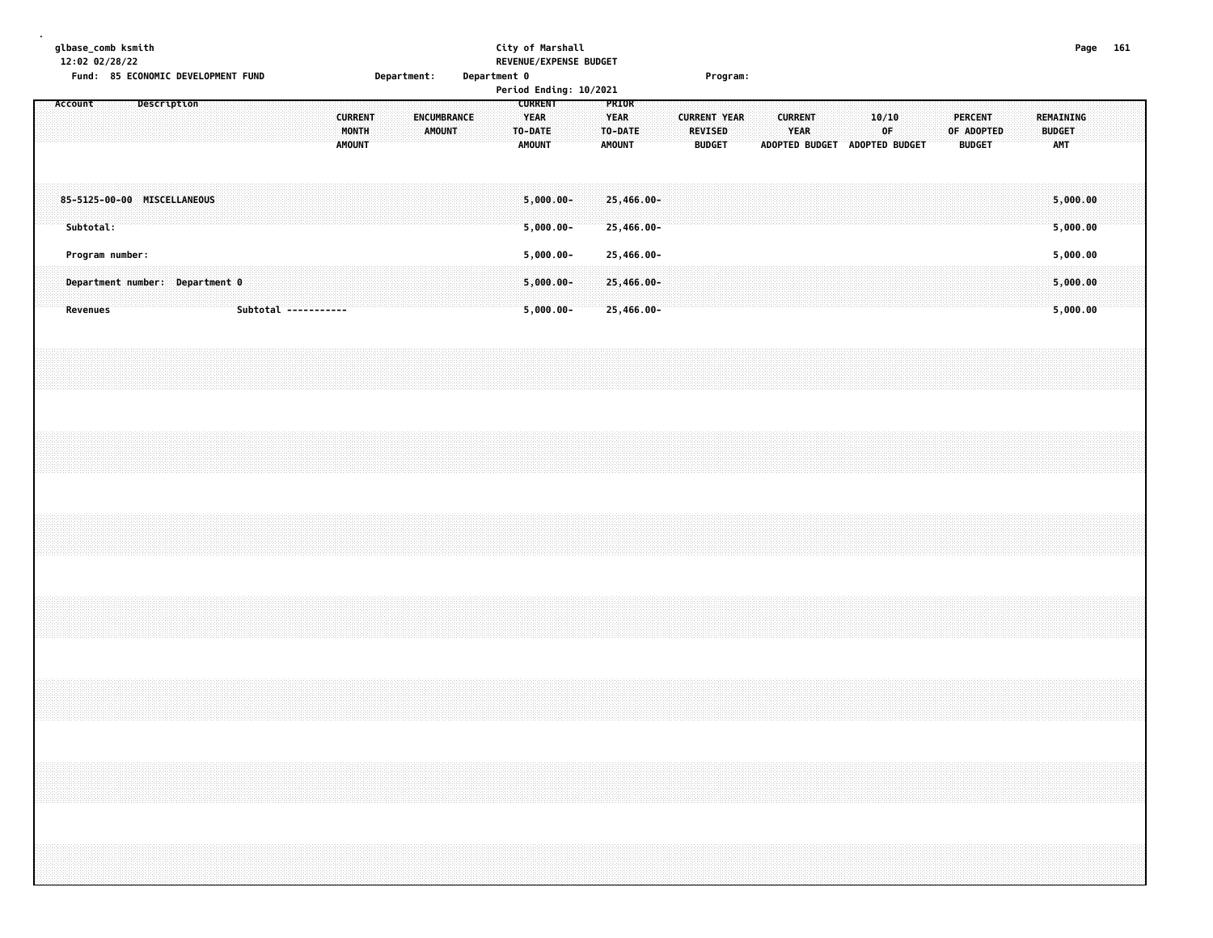| glbase_comb ksmith<br>12:02 02/28/22<br>Fund: 85 ECONOMIC DEVELOPMENT FUND<br>Description |                                                    |                      | Department:<br><b>CURRENT</b><br>ENCUMBRANCE | City of Marshall<br>REVENUE/EXPENSE BUDGET<br>Department 0<br>Period Ending: 10/2021<br><b>CURRENT</b><br>PRIOR<br><b>YEAR</b><br><b>YEAR</b> | Program:<br>10/10<br><b>CURRENT</b><br><b>PERCENT</b><br><b>CURRENT YEAR</b>                                                                                         | Page 161<br>REMAINING            |
|-------------------------------------------------------------------------------------------|----------------------------------------------------|----------------------|----------------------------------------------|-----------------------------------------------------------------------------------------------------------------------------------------------|----------------------------------------------------------------------------------------------------------------------------------------------------------------------|----------------------------------|
|                                                                                           |                                                    |                      | MONTH<br><b>AMOUNT</b><br><b>AMOUNT</b>      | TO-DATE<br>TO-DATE<br><b>AMOUNT</b><br><b>AMOUNT</b>                                                                                          | <b>REVISED</b><br>YEAR<br>0F<br>OF ADOPTED<br><b>BUDGET</b><br><b>BUDGET</b><br>ADOPTED BUDGET ADOPTED BUDGET                                                        | <b>BUDGET</b><br><b>AMT</b>      |
| Subtotal:                                                                                 | 85-5125-00-00 MISCELLANEOUS                        |                      |                                              | $5,000,00 -$<br>25,466.00-<br>$5,000.00 -$<br>25,466.00-                                                                                      |                                                                                                                                                                      | 5,000.00<br>5,000.00             |
| <b>Revenues</b>                                                                           | Program number:<br>Department number: Department 0 | Subtotal ----------- |                                              | $5,000.00 -$<br>25,466.00-<br>$5,000.00 -$<br>25,466.00-<br>$5,000.00 -$<br>25,466.00-                                                        |                                                                                                                                                                      | 5,000.00<br>5,000.00<br>5,000.00 |
|                                                                                           |                                                    |                      |                                              |                                                                                                                                               |                                                                                                                                                                      |                                  |
|                                                                                           |                                                    |                      |                                              |                                                                                                                                               |                                                                                                                                                                      |                                  |
|                                                                                           |                                                    |                      |                                              |                                                                                                                                               |                                                                                                                                                                      |                                  |
|                                                                                           |                                                    |                      |                                              |                                                                                                                                               |                                                                                                                                                                      |                                  |
|                                                                                           |                                                    |                      |                                              |                                                                                                                                               |                                                                                                                                                                      |                                  |
|                                                                                           |                                                    |                      |                                              |                                                                                                                                               | ,我们就会在这里的时候,我们就会在这里的时候,我们就会在这里的时候,我们就会在这里的时候,我们就会在这里的时候,我们就会在这里的时候,我们就会在这里的时候,我们<br>第251章 我们的时候,我们就会在这里的时候,我们就会在这里的时候,我们就会在这里的时候,我们就会在这里的时候,我们就会在这里的时候,我们就会在这里的时候,我们 |                                  |
|                                                                                           |                                                    |                      |                                              |                                                                                                                                               |                                                                                                                                                                      |                                  |